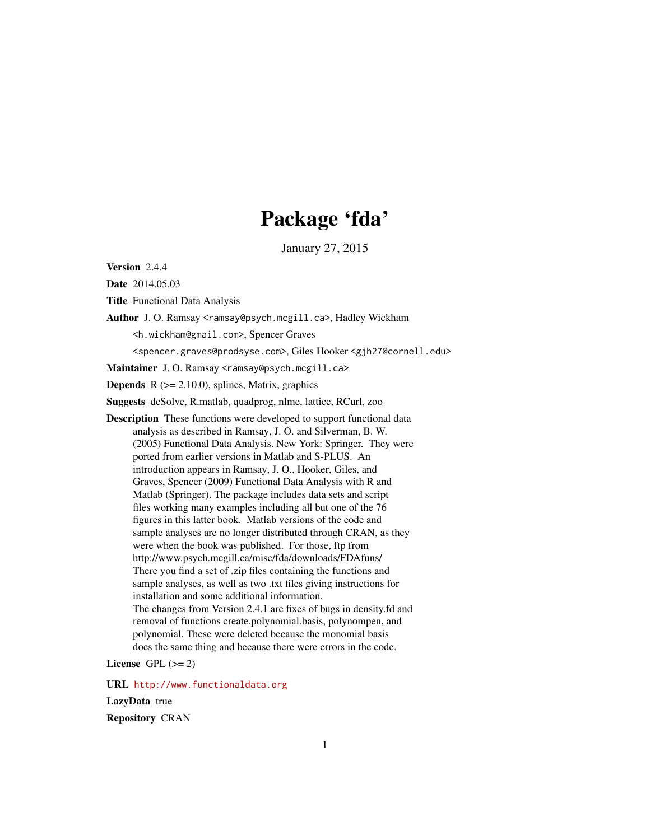# Package 'fda'

January 27, 2015

<span id="page-0-0"></span>Version 2.4.4

Date 2014.05.03

Title Functional Data Analysis

Author J. O. Ramsay <ramsay@psych.mcgill.ca>, Hadley Wickham

<h.wickham@gmail.com>, Spencer Graves

<spencer.graves@prodsyse.com>, Giles Hooker <gjh27@cornell.edu>

Maintainer J. O. Ramsay <ramsay@psych.mcgill.ca>

**Depends**  $R$  ( $>= 2.10.0$ ), splines, Matrix, graphics

Suggests deSolve, R.matlab, quadprog, nlme, lattice, RCurl, zoo

Description These functions were developed to support functional data analysis as described in Ramsay, J. O. and Silverman, B. W. (2005) Functional Data Analysis. New York: Springer. They were ported from earlier versions in Matlab and S-PLUS. An introduction appears in Ramsay, J. O., Hooker, Giles, and Graves, Spencer (2009) Functional Data Analysis with R and Matlab (Springer). The package includes data sets and script files working many examples including all but one of the 76 figures in this latter book. Matlab versions of the code and sample analyses are no longer distributed through CRAN, as they were when the book was published. For those, ftp from http://www.psych.mcgill.ca/misc/fda/downloads/FDAfuns/ There you find a set of .zip files containing the functions and sample analyses, as well as two .txt files giving instructions for installation and some additional information. The changes from Version 2.4.1 are fixes of bugs in density.fd and removal of functions create.polynomial.basis, polynompen, and polynomial. These were deleted because the monomial basis does the same thing and because there were errors in the code.

License GPL  $(>= 2)$ 

URL <http://www.functionaldata.org>

LazyData true Repository CRAN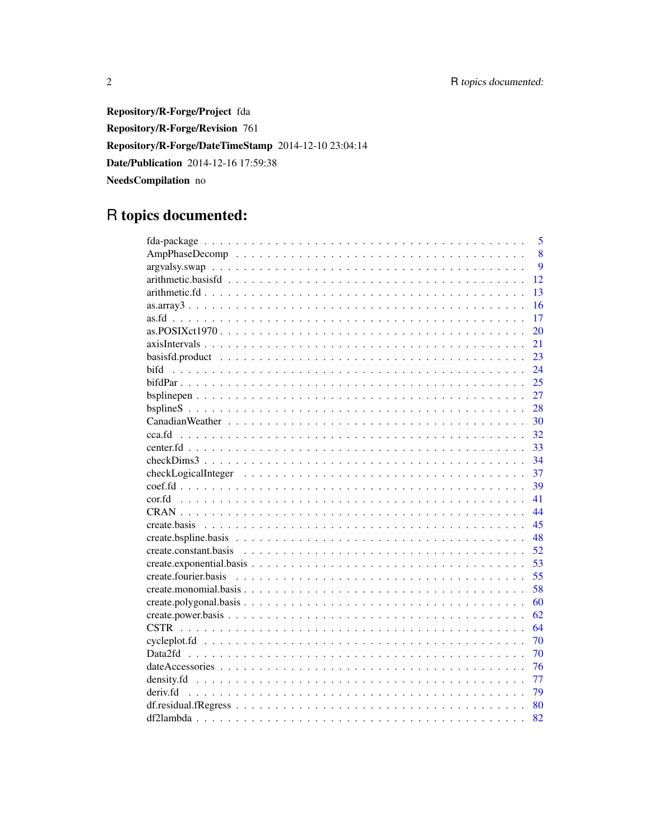Repository/R-Forge/Project fda Repository/R-Forge/Revision 761 Repository/R-Forge/DateTimeStamp 2014-12-10 23:04:14 Date/Publication 2014-12-16 17:59:38 NeedsCompilation no

## R topics documented:

|                                                                                                                              | 5  |
|------------------------------------------------------------------------------------------------------------------------------|----|
|                                                                                                                              | 8  |
|                                                                                                                              | 9  |
|                                                                                                                              | 12 |
|                                                                                                                              | 13 |
|                                                                                                                              | 16 |
|                                                                                                                              | 17 |
|                                                                                                                              | 20 |
|                                                                                                                              | 21 |
|                                                                                                                              | 23 |
| bifd                                                                                                                         | 24 |
|                                                                                                                              | 25 |
|                                                                                                                              | 27 |
|                                                                                                                              | 28 |
|                                                                                                                              | 30 |
|                                                                                                                              | 32 |
|                                                                                                                              | 33 |
|                                                                                                                              | 34 |
|                                                                                                                              | 37 |
|                                                                                                                              | 39 |
|                                                                                                                              | 41 |
|                                                                                                                              | 44 |
|                                                                                                                              | 45 |
|                                                                                                                              | 48 |
|                                                                                                                              | 52 |
| $create. exponential. basis \dots \dots \dots \dots \dots \dots \dots \dots \dots \dots \dots \dots \dots \dots \dots \dots$ | 53 |
| create.fourier.basis                                                                                                         | 55 |
|                                                                                                                              | 58 |
|                                                                                                                              | 60 |
|                                                                                                                              | 62 |
|                                                                                                                              | 64 |
|                                                                                                                              | 70 |
|                                                                                                                              | 70 |
|                                                                                                                              | 76 |
|                                                                                                                              | 77 |
|                                                                                                                              | 79 |
|                                                                                                                              | 80 |
|                                                                                                                              | 82 |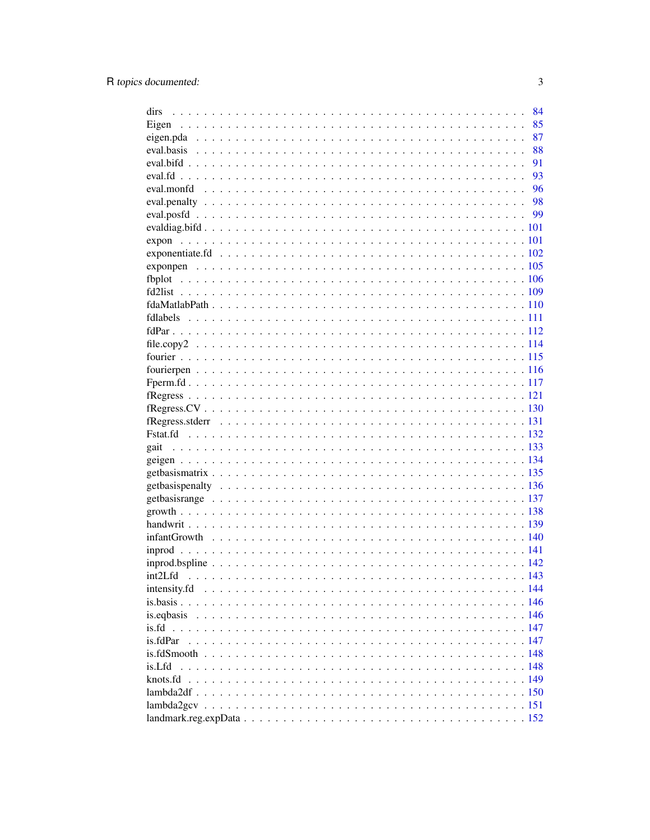|              | 84   |
|--------------|------|
|              | 85   |
|              | 87   |
|              | 88   |
|              | 91   |
|              | 93   |
|              | - 96 |
|              |      |
|              |      |
|              |      |
|              |      |
|              |      |
|              |      |
|              |      |
|              |      |
|              |      |
|              |      |
|              |      |
|              |      |
|              |      |
|              |      |
|              |      |
|              |      |
|              |      |
|              |      |
|              |      |
|              |      |
|              |      |
|              |      |
|              |      |
|              |      |
|              |      |
|              |      |
|              |      |
|              |      |
|              |      |
|              |      |
| intensity.fd |      |
|              |      |
|              |      |
|              |      |
| is.fdPar     |      |
|              |      |
| is.Lfd       |      |
| knots.fd     |      |
|              |      |
|              |      |
|              |      |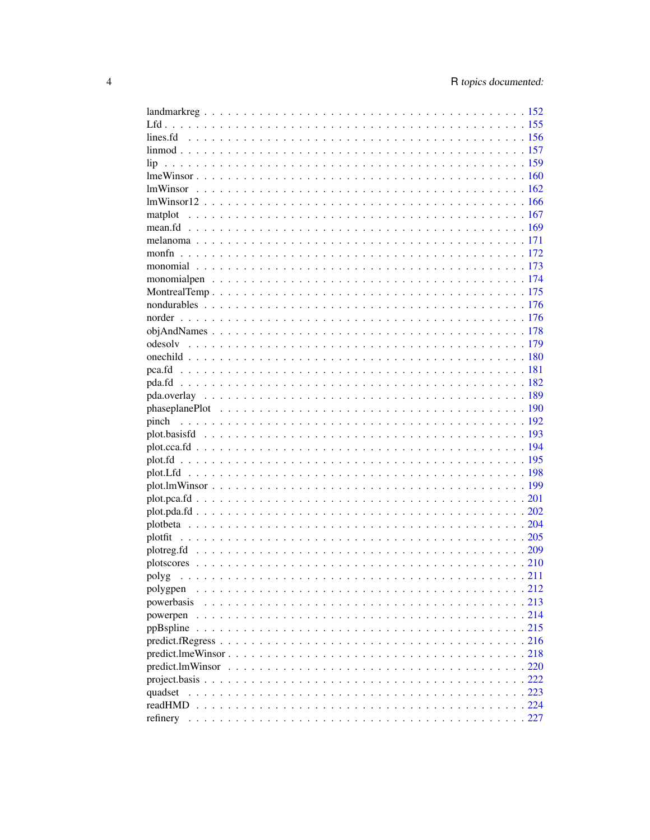| lip         |  |
|-------------|--|
|             |  |
|             |  |
|             |  |
|             |  |
|             |  |
|             |  |
|             |  |
|             |  |
|             |  |
|             |  |
|             |  |
|             |  |
|             |  |
|             |  |
|             |  |
|             |  |
|             |  |
|             |  |
|             |  |
|             |  |
|             |  |
|             |  |
|             |  |
|             |  |
|             |  |
|             |  |
| plot.pda.fd |  |
|             |  |
|             |  |
|             |  |
|             |  |
|             |  |
| polygpen    |  |
| powerbasis  |  |
|             |  |
|             |  |
|             |  |
|             |  |
|             |  |
|             |  |
| quadset     |  |
|             |  |
|             |  |
|             |  |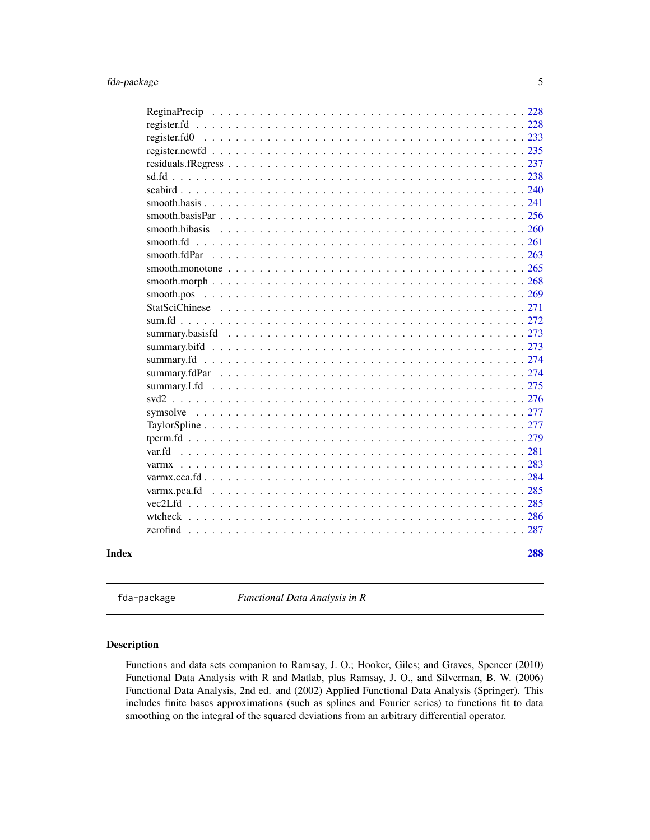<span id="page-4-0"></span>

|       | smooth bibasis  |     |
|-------|-----------------|-----|
|       |                 |     |
|       |                 |     |
|       |                 |     |
|       |                 |     |
|       |                 |     |
|       |                 |     |
|       |                 |     |
|       | summary.basisfd |     |
|       |                 |     |
|       |                 |     |
|       |                 |     |
|       |                 |     |
|       |                 |     |
|       |                 |     |
|       |                 |     |
|       |                 |     |
|       | var fd          |     |
|       |                 |     |
|       |                 |     |
|       |                 |     |
|       |                 |     |
|       |                 |     |
|       |                 |     |
| Index |                 | 288 |

fda-package *Functional Data Analysis in R*

### Description

Functions and data sets companion to Ramsay, J. O.; Hooker, Giles; and Graves, Spencer (2010) Functional Data Analysis with R and Matlab, plus Ramsay, J. O., and Silverman, B. W. (2006) Functional Data Analysis, 2nd ed. and (2002) Applied Functional Data Analysis (Springer). This includes finite bases approximations (such as splines and Fourier series) to functions fit to data smoothing on the integral of the squared deviations from an arbitrary differential operator.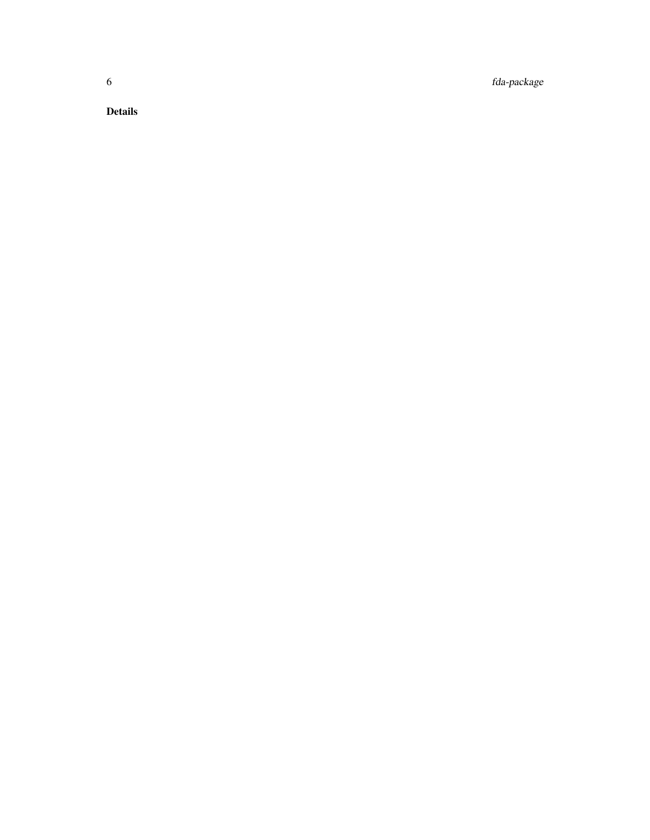6 fda-package

Details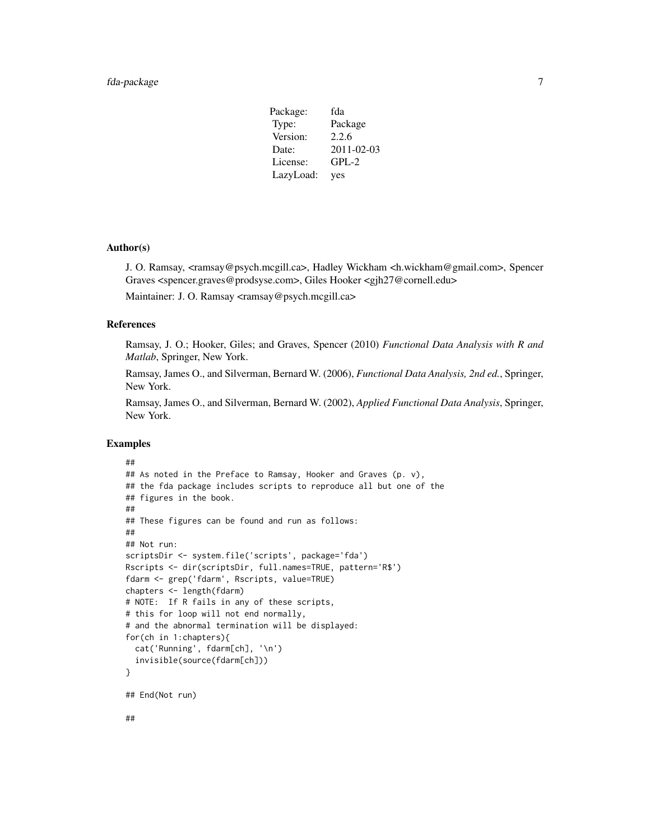| Package:  | fda              |
|-----------|------------------|
| Type:     | Package          |
| Version:  | 2.2.6            |
| Date:     | $2011 - 02 - 03$ |
| License:  | $GPL-2$          |
| LazyLoad: | yes              |

#### Author(s)

J. O. Ramsay, <ramsay@psych.mcgill.ca>, Hadley Wickham <h.wickham@gmail.com>, Spencer Graves <spencer.graves@prodsyse.com>, Giles Hooker <gjh27@cornell.edu>

Maintainer: J. O. Ramsay <ramsay@psych.mcgill.ca>

#### References

Ramsay, J. O.; Hooker, Giles; and Graves, Spencer (2010) *Functional Data Analysis with R and Matlab*, Springer, New York.

Ramsay, James O., and Silverman, Bernard W. (2006), *Functional Data Analysis, 2nd ed.*, Springer, New York.

Ramsay, James O., and Silverman, Bernard W. (2002), *Applied Functional Data Analysis*, Springer, New York.

```
##
## As noted in the Preface to Ramsay, Hooker and Graves (p. v),
## the fda package includes scripts to reproduce all but one of the
## figures in the book.
##
## These figures can be found and run as follows:
##
## Not run:
scriptsDir <- system.file('scripts', package='fda')
Rscripts <- dir(scriptsDir, full.names=TRUE, pattern='R$')
fdarm <- grep('fdarm', Rscripts, value=TRUE)
chapters <- length(fdarm)
# NOTE: If R fails in any of these scripts,
# this for loop will not end normally,
# and the abnormal termination will be displayed:
for(ch in 1:chapters){
  cat('Running', fdarm[ch], '\n')
  invisible(source(fdarm[ch]))
}
## End(Not run)
```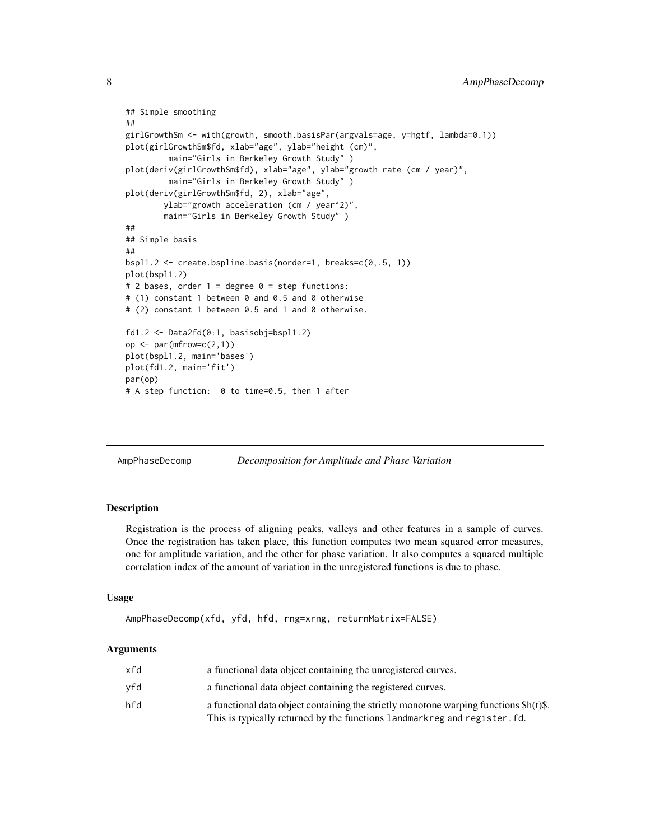```
## Simple smoothing
##
girlGrowthSm <- with(growth, smooth.basisPar(argvals=age, y=hgtf, lambda=0.1))
plot(girlGrowthSm$fd, xlab="age", ylab="height (cm)",
         main="Girls in Berkeley Growth Study" )
plot(deriv(girlGrowthSm$fd), xlab="age", ylab="growth rate (cm / year)",
         main="Girls in Berkeley Growth Study" )
plot(deriv(girlGrowthSm$fd, 2), xlab="age",
        ylab="growth acceleration (cm / year^2)",
        main="Girls in Berkeley Growth Study" )
##
## Simple basis
##
bspl1.2 \leq create.bspline.basis(norder=1, breaks=c(0, .5, 1))
plot(bspl1.2)
# 2 bases, order 1 = \text{degree } \theta = \text{step functions}:# (1) constant 1 between 0 and 0.5 and 0 otherwise
# (2) constant 1 between 0.5 and 1 and 0 otherwise.
fd1.2 <- Data2fd(0:1, basisobj=bspl1.2)
op \leq par(mfrow=c(2,1))
plot(bspl1.2, main='bases')
plot(fd1.2, main='fit')
par(op)
# A step function: 0 to time=0.5, then 1 after
```
AmpPhaseDecomp *Decomposition for Amplitude and Phase Variation*

### **Description**

Registration is the process of aligning peaks, valleys and other features in a sample of curves. Once the registration has taken place, this function computes two mean squared error measures, one for amplitude variation, and the other for phase variation. It also computes a squared multiple correlation index of the amount of variation in the unregistered functions is due to phase.

#### Usage

```
AmpPhaseDecomp(xfd, yfd, hfd, rng=xrng, returnMatrix=FALSE)
```
#### Arguments

| xfd | a functional data object containing the unregistered curves.                         |
|-----|--------------------------------------------------------------------------------------|
| vfd | a functional data object containing the registered curves.                           |
| hfd | a functional data object containing the strictly monotone warping functions $h(t)$ . |
|     | This is typically returned by the functions landmarkreg and register. fd.            |

<span id="page-7-0"></span>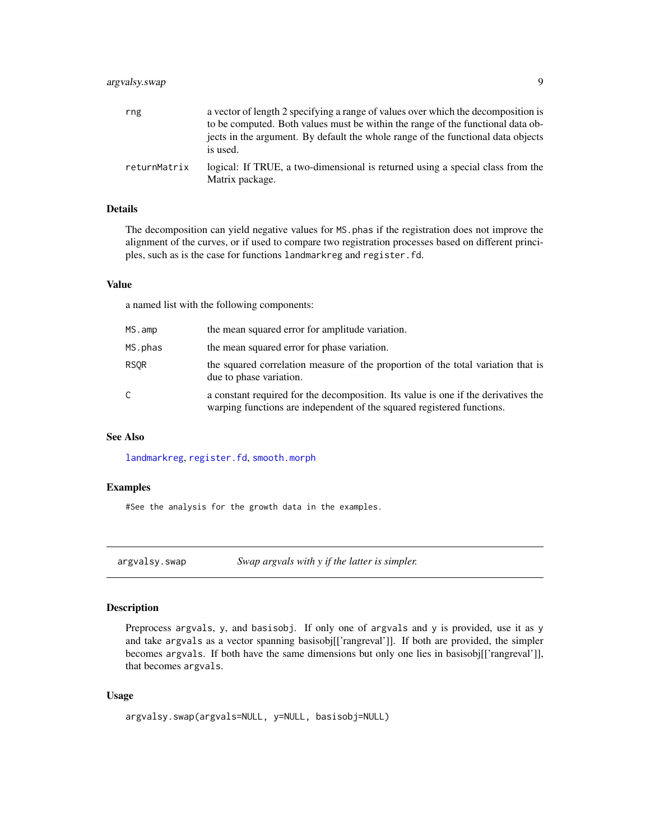### <span id="page-8-0"></span>argvalsy.swap 9

| rng          | a vector of length 2 specifying a range of values over which the decomposition is            |
|--------------|----------------------------------------------------------------------------------------------|
|              | to be computed. Both values must be within the range of the functional data ob-              |
|              | jects in the argument. By default the whole range of the functional data objects<br>is used. |
| returnMatrix | logical: If TRUE, a two-dimensional is returned using a special class from the               |
|              | Matrix package.                                                                              |

### Details

The decomposition can yield negative values for MS.phas if the registration does not improve the alignment of the curves, or if used to compare two registration processes based on different principles, such as is the case for functions landmarkreg and register.fd.

#### Value

a named list with the following components:

| MS.amp      | the mean squared error for amplitude variation.                                                                                                              |
|-------------|--------------------------------------------------------------------------------------------------------------------------------------------------------------|
| MS.phas     | the mean squared error for phase variation.                                                                                                                  |
| <b>RSOR</b> | the squared correlation measure of the proportion of the total variation that is<br>due to phase variation.                                                  |
| C           | a constant required for the decomposition. Its value is one if the derivatives the<br>warping functions are independent of the squared registered functions. |

### See Also

[landmarkreg](#page-151-1), [register.fd](#page-227-1), [smooth.morph](#page-267-1)

#### Examples

#See the analysis for the growth data in the examples.

argvalsy.swap *Swap argvals with y if the latter is simpler.*

### Description

Preprocess argvals, y, and basisobj. If only one of argvals and y is provided, use it as y and take argvals as a vector spanning basisobj[['rangreval']]. If both are provided, the simpler becomes argvals. If both have the same dimensions but only one lies in basisobj[['rangreval']], that becomes argvals.

### Usage

```
argvalsy.swap(argvals=NULL, y=NULL, basisobj=NULL)
```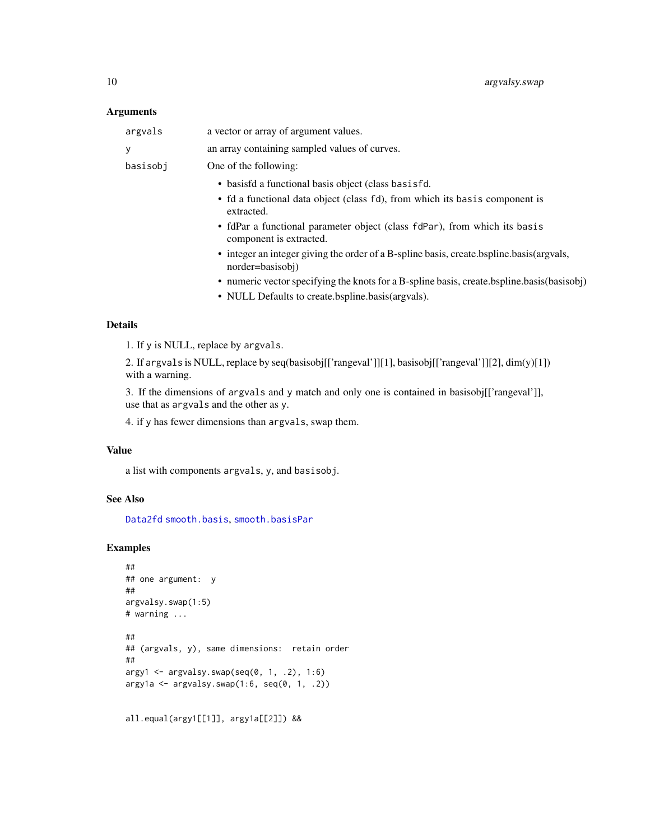### Arguments

| argvals  | a vector or array of argument values.                                                                         |
|----------|---------------------------------------------------------------------------------------------------------------|
| у        | an array containing sampled values of curves.                                                                 |
| basisobj | One of the following:                                                                                         |
|          | • basisfd a functional basis object (class basisfd.                                                           |
|          | • It a functional data object (class fd), from which its basis component is<br>extracted.                     |
|          | • fdPar a functional parameter object (class fdPar), from which its basis<br>component is extracted.          |
|          | • integer an integer giving the order of a B-spline basis, create bspline basis (arguals,<br>norder=basisobj) |
|          | • numeric vector specifying the knots for a B-spline basis, create bspline basis (basis obj)                  |
|          | • NULL Defaults to create.bspline.basis(argvals).                                                             |
|          |                                                                                                               |

#### Details

1. If y is NULL, replace by argvals.

2. If argvals is NULL, replace by seq(basisobj[['rangeval']][1], basisobj[['rangeval']][2], dim(y)[1]) with a warning.

3. If the dimensions of argvals and y match and only one is contained in basisobj[['rangeval']], use that as argvals and the other as y.

4. if y has fewer dimensions than argvals, swap them.

### Value

a list with components argvals, y, and basisobj.

### See Also

[Data2fd](#page-69-1) [smooth.basis](#page-240-1), [smooth.basisPar](#page-255-1)

### Examples

```
##
## one argument: y
##
argvalsy.swap(1:5)
# warning ...
##
## (argvals, y), same dimensions: retain order
##
argy1 \leq -argvalsy.sum(seq(0, 1, .2), 1:6)argy1a \leftarrow argvalsy.sum(1:6, seq(0, 1, .2))
```
all.equal(argy1[[1]], argy1a[[2]]) &&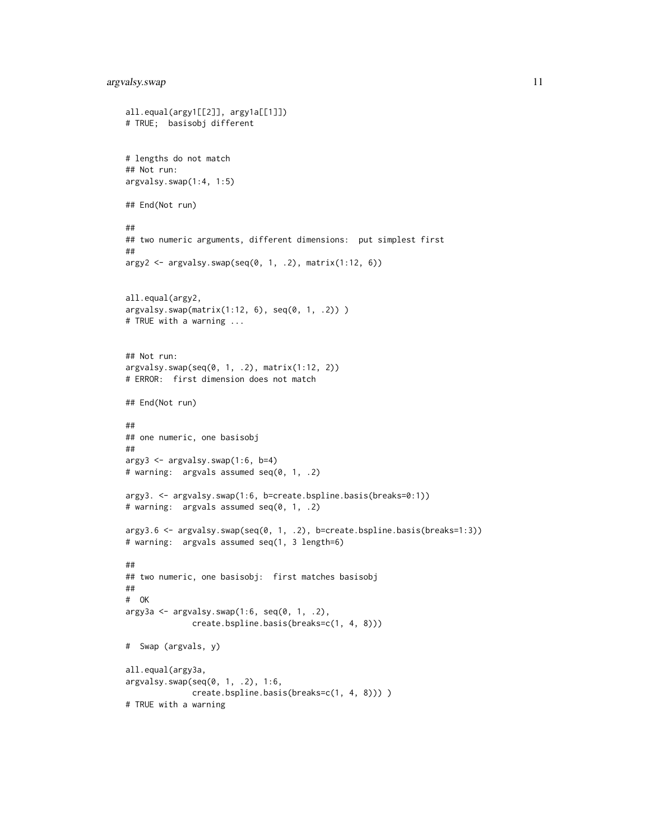```
all.equal(argy1[[2]], argy1a[[1]])
# TRUE; basisobj different
# lengths do not match
## Not run:
argvalsy.swap(1:4, 1:5)
## End(Not run)
##
## two numeric arguments, different dimensions: put simplest first
##
argy2 \leq -argvalsy.sum(seq(0, 1, .2), matrix(1:12, 6))all.equal(argy2,
argvalsy.swap(matrix(1:12, 6), seq(0, 1, .2)) )
# TRUE with a warning ...
## Not run:
argvalsy.swap(seq(0, 1, .2), matrix(1:12, 2))
# ERROR: first dimension does not match
## End(Not run)
##
## one numeric, one basisobj
##
argy3 <- argvalsy.swap(1:6, b=4)
# warning: argvals assumed seq(0, 1, .2)
argy3. <- argvalsy.swap(1:6, b=create.bspline.basis(breaks=0:1))
# warning: argvals assumed seq(0, 1, .2)
argy3.6 <- argvalsy.swap(seq(0, 1, .2), b=create.bspline.basis(breaks=1:3))
# warning: argvals assumed seq(1, 3 length=6)
##
## two numeric, one basisobj: first matches basisobj
##
# OK
argy3a \leftarrow argvalsy.sum(1:6, seq(0, 1, .2),create.bspline.basis(breaks=c(1, 4, 8)))
# Swap (argvals, y)
all.equal(argy3a,
argvalsy.swap(seq(0, 1, .2), 1:6,
              create.bspline.basis(breaks=c(1, 4, 8))) )
# TRUE with a warning
```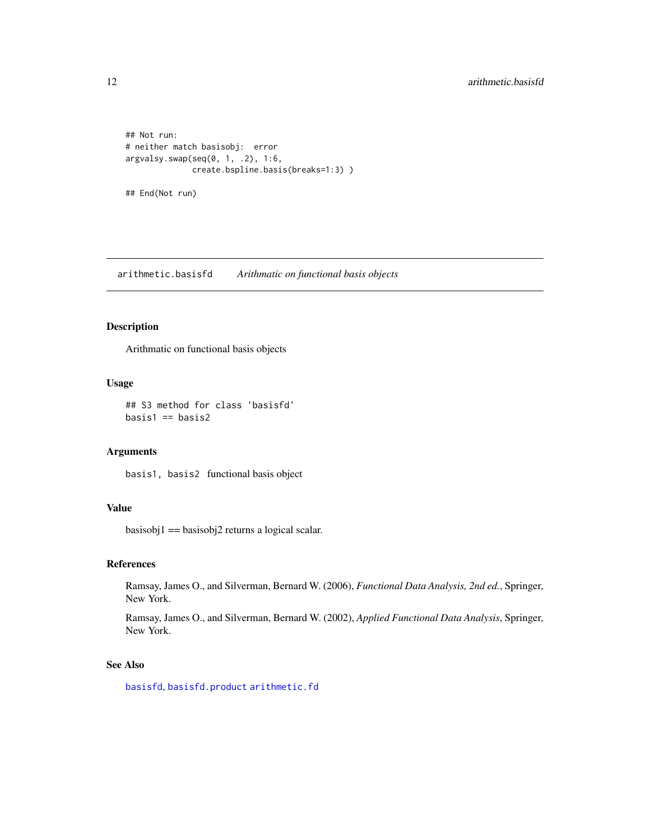```
## Not run:
# neither match basisobj: error
argvalsy.swap(seq(0, 1, .2), 1:6,
              create.bspline.basis(breaks=1:3) )
## End(Not run)
```
arithmetic.basisfd *Arithmatic on functional basis objects*

### Description

Arithmatic on functional basis objects

#### Usage

```
## S3 method for class 'basisfd'
basis1 == basis2
```
#### Arguments

basis1, basis2 functional basis object

### Value

basisobj1 == basisobj2 returns a logical scalar.

### References

Ramsay, James O., and Silverman, Bernard W. (2006), *Functional Data Analysis, 2nd ed.*, Springer, New York.

Ramsay, James O., and Silverman, Bernard W. (2002), *Applied Functional Data Analysis*, Springer, New York.

### See Also

[basisfd](#page-0-0), [basisfd.product](#page-22-1) [arithmetic.fd](#page-12-1)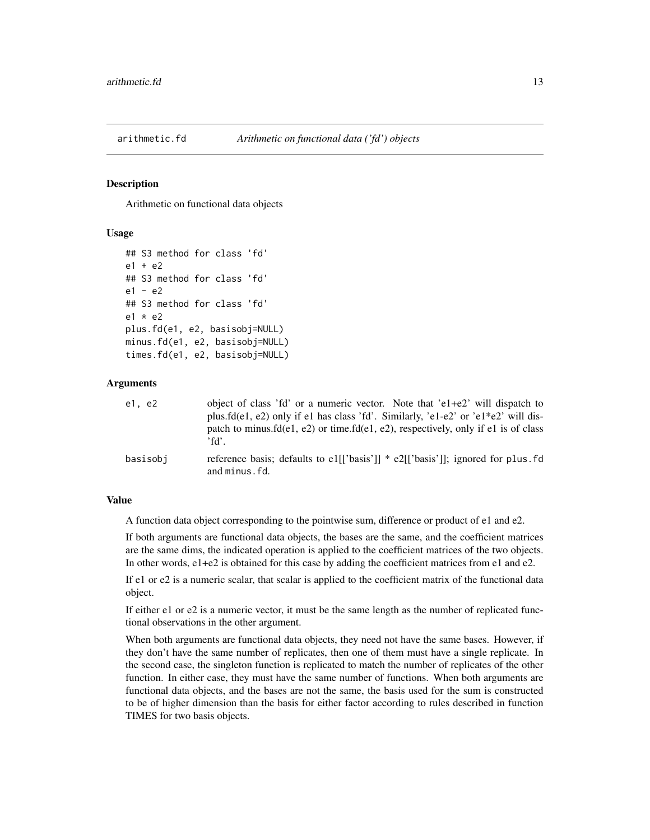<span id="page-12-1"></span><span id="page-12-0"></span>

#### Description

Arithmetic on functional data objects

### Usage

```
## S3 method for class 'fd'
e1 + e2## S3 method for class 'fd'
e1 - e2## S3 method for class 'fd'
e1 * e2
plus.fd(e1, e2, basisobj=NULL)
minus.fd(e1, e2, basisobj=NULL)
times.fd(e1, e2, basisobj=NULL)
```
#### Arguments

| e1. e2   | object of class 'fd' or a numeric vector. Note that 'e1+e2' will dispatch to                          |
|----------|-------------------------------------------------------------------------------------------------------|
|          | plus.fd(e1, e2) only if e1 has class 'fd'. Similarly, 'e1-e2' or 'e1*e2' will dis-                    |
|          | patch to minus. $fd(e1, e2)$ or time. $fd(e1, e2)$ , respectively, only if el is of class<br>$`fd`$ . |
| basisobi | reference basis; defaults to ell ['basis'] $*$ e2[['basis']]; ignored for plus fd<br>and minus.fd.    |

#### Value

A function data object corresponding to the pointwise sum, difference or product of e1 and e2.

If both arguments are functional data objects, the bases are the same, and the coefficient matrices are the same dims, the indicated operation is applied to the coefficient matrices of the two objects. In other words,  $e1 + e2$  is obtained for this case by adding the coefficient matrices from  $e1$  and  $e2$ .

If e1 or e2 is a numeric scalar, that scalar is applied to the coefficient matrix of the functional data object.

If either e1 or e2 is a numeric vector, it must be the same length as the number of replicated functional observations in the other argument.

When both arguments are functional data objects, they need not have the same bases. However, if they don't have the same number of replicates, then one of them must have a single replicate. In the second case, the singleton function is replicated to match the number of replicates of the other function. In either case, they must have the same number of functions. When both arguments are functional data objects, and the bases are not the same, the basis used for the sum is constructed to be of higher dimension than the basis for either factor according to rules described in function TIMES for two basis objects.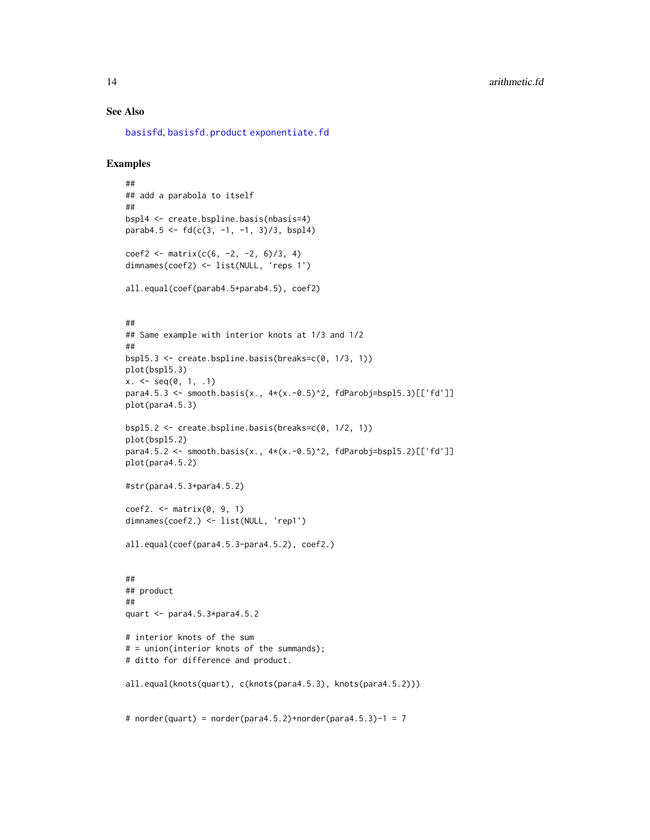#### See Also

[basisfd](#page-0-0), [basisfd.product](#page-22-1) [exponentiate.fd](#page-101-1)

```
##
## add a parabola to itself
##
bspl4 <- create.bspline.basis(nbasis=4)
parab4.5 <- fd(c(3, -1, -1, 3)/3, bsp14)coef2 <- matrix(c(6, -2, -2, 6)/3, 4)
dimnames(coef2) <- list(NULL, 'reps 1')
all.equal(coef(parab4.5+parab4.5), coef2)
##
## Same example with interior knots at 1/3 and 1/2
##
bspl5.3 \leq create.bspline.basis(breaks=c(0, 1/3, 1))
plot(bspl5.3)
x. < - seq(0, 1, .1)
para4.5.3 <- smooth.basis(x., 4*(x.-0.5)^2, fdParobj=bspl5.3)[['fd']]
plot(para4.5.3)
bsp15.2 \leq create.bspline.basis(breaks=c(0, 1/2, 1))
plot(bspl5.2)
para4.5.2 <- smooth.basis(x., 4*(x.-0.5)^2, fdParobj=bspl5.2)[['fd']]
plot(para4.5.2)
#str(para4.5.3+para4.5.2)
coef2. <- matrix(0, 9, 1)dimnames(coef2.) <- list(NULL, 'rep1')
all.equal(coef(para4.5.3-para4.5.2), coef2.)
##
## product
##
quart <- para4.5.3*para4.5.2
# interior knots of the sum
# = union(interior knots of the summands);
# ditto for difference and product.
all.equal(knots(quart), c(knots(para4.5.3), knots(para4.5.2)))
# norder(quart) = norder(para4.5.2)+norder(para4.5.3)-1 = 7
```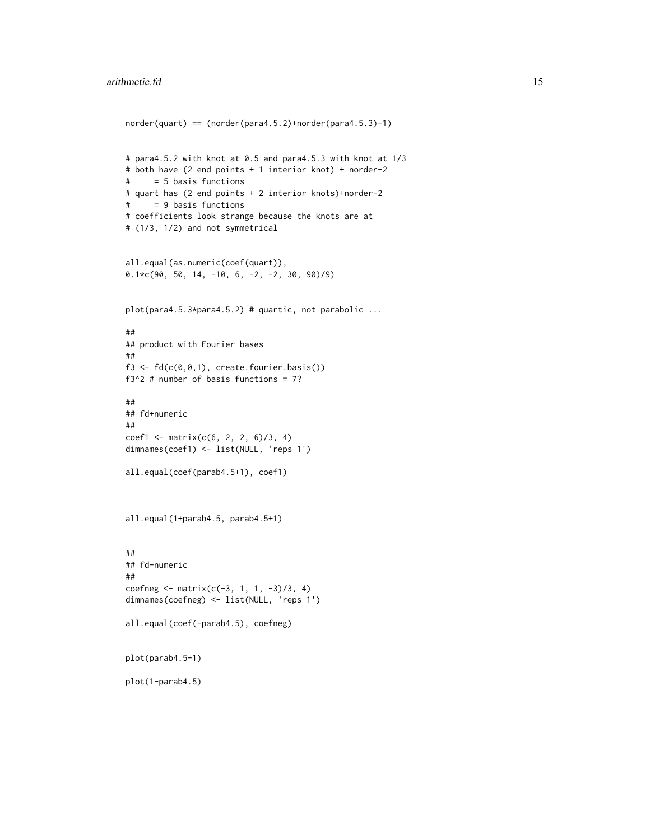```
norder(quart) == (norder(para4.5.2)+norder(para4.5.3)-1)
# para4.5.2 with knot at 0.5 and para4.5.3 with knot at 1/3
# both have (2 end points + 1 interior knot) + norder-2
# = 5 basis functions
# quart has (2 end points + 2 interior knots)+norder-2
# = 9 basis functions
# coefficients look strange because the knots are at
# (1/3, 1/2) and not symmetrical
all.equal(as.numeric(coef(quart)),
0.1*c(90, 50, 14, -10, 6, -2, -2, 30, 90)/9)
plot(para4.5.3*para4.5.2) # quartic, not parabolic ...
##
## product with Fourier bases
##
f3 \leftarrow fd(c(\emptyset, \emptyset, 1), create.fourier.basis())f3^2 # number of basis functions = 7?
##
## fd+numeric
##
coef1 <- matrix(c(6, 2, 2, 6)/3, 4)
dimnames(coef1) <- list(NULL, 'reps 1')
all.equal(coef(parab4.5+1), coef1)
all.equal(1+parab4.5, parab4.5+1)
##
## fd-numeric
##
coefneg <- matrix(c(-3, 1, 1, -3)/3, 4)
dimnames(coefneg) <- list(NULL, 'reps 1')
all.equal(coef(-parab4.5), coefneg)
plot(parab4.5-1)
plot(1-parab4.5)
```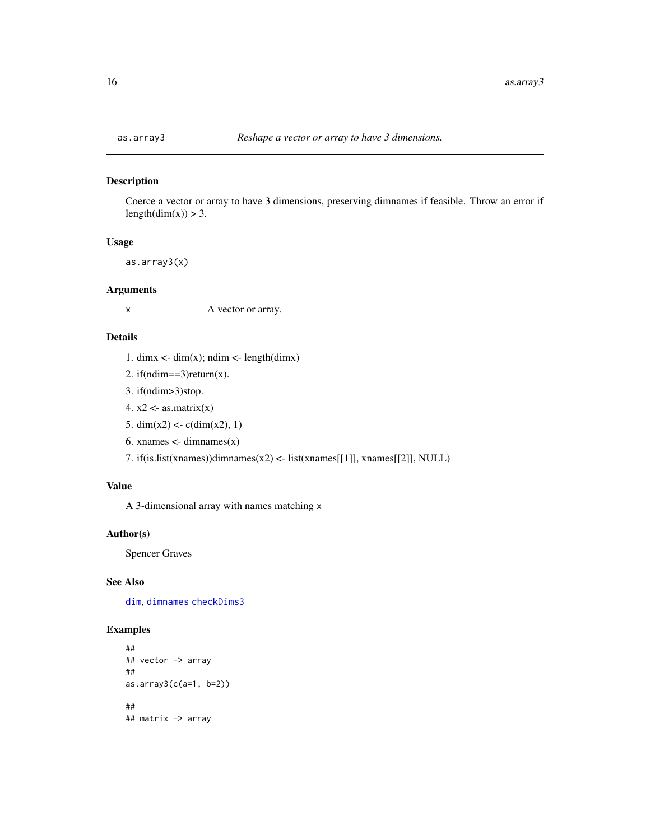### Description

Coerce a vector or array to have 3 dimensions, preserving dimnames if feasible. Throw an error if length(dim(x))  $>$  3.

### Usage

as.array3(x)

#### Arguments

x A vector or array.

### Details

1. dimx  $\lt$ - dim(x); ndim  $\lt$ - length(dimx)

- 2. if( $ndim==3$ ) $return(x)$ .
- 3. if(ndim>3)stop.
- 4.  $x2 \leq$  as. matrix(x)
- 5.  $\dim(x2) < -c(\dim(x2), 1)$
- 6. xnames  $\lt$  dimnames $(x)$
- 7. if(is.list(xnames))dimnames(x2) <- list(xnames[[1]], xnames[[2]], NULL)

### Value

A 3-dimensional array with names matching x

#### Author(s)

Spencer Graves

#### See Also

[dim](#page-0-0), [dimnames](#page-0-0) [checkDims3](#page-33-1)

```
##
## vector -> array
##
as.array3(c(a=1, b=2))
##
## matrix -> array
```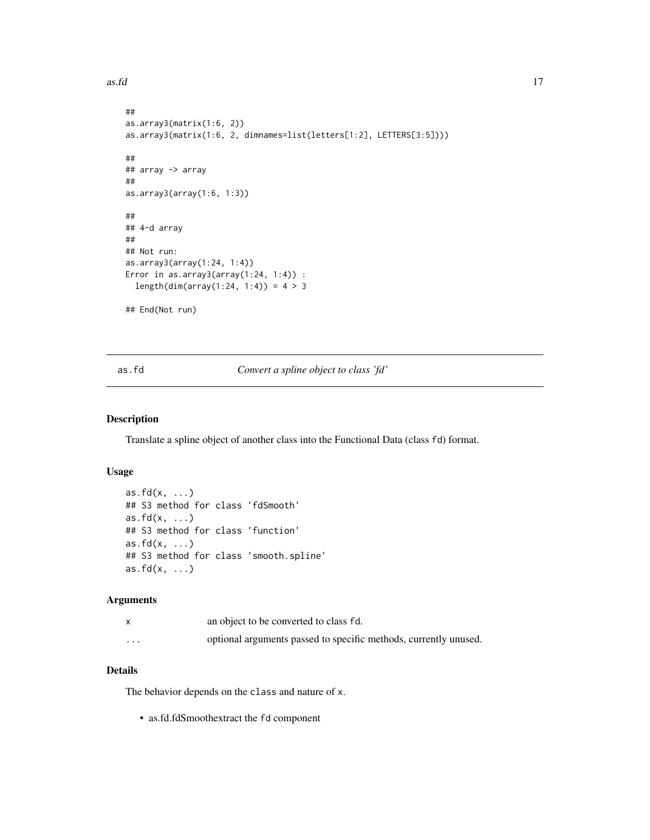<span id="page-16-0"></span> $\alpha$ s.fd  $\beta$  17

```
##
as.array3(matrix(1:6, 2))
as.array3(matrix(1:6, 2, dimnames=list(letters[1:2], LETTERS[3:5])))
##
## array -> array
##
as.array3(array(1:6, 1:3))
##
## 4-d array
##
## Not run:
as.array3(array(1:24, 1:4))
Error in as.array3(array(1:24, 1:4)) :
  length(dim(array(1:24, 1:4)) = 4 > 3## End(Not run)
```
## as.fd *Convert a spline object to class 'fd'*

### Description

Translate a spline object of another class into the Functional Data (class fd) format.

### Usage

```
as.fd(x, \ldots)## S3 method for class 'fdSmooth'
as.fd(x, \ldots)## S3 method for class 'function'
as.fd(x, \ldots)## S3 method for class 'smooth.spline'
as.fd(x, \ldots)
```
### Arguments

|          | an object to be converted to class fd.                           |
|----------|------------------------------------------------------------------|
| $\cdots$ | optional arguments passed to specific methods, currently unused. |

### Details

The behavior depends on the class and nature of x.

• as.fd.fdSmoothextract the fd component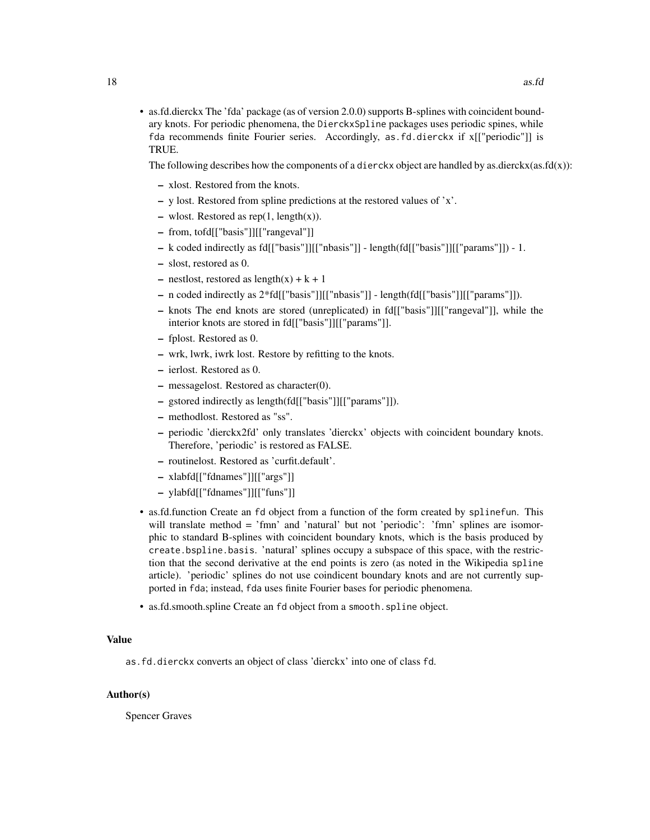• as.fd.dierckx The 'fda' package (as of version 2.0.0) supports B-splines with coincident boundary knots. For periodic phenomena, the DierckxSpline packages uses periodic spines, while fda recommends finite Fourier series. Accordingly, as.fd.dierckx if x[["periodic"]] is TRUE.

The following describes how the components of a dierckx object are handled by as.dierckx(as.fd(x)):

- xlost. Restored from the knots.
- $-$  y lost. Restored from spline predictions at the restored values of 'x'.
- wlost. Restored as  $rep(1, length(x))$ .
- from, tofd[["basis"]][["rangeval"]]
- k coded indirectly as fd[["basis"]][["nbasis"]] length(fd[["basis"]][["params"]]) 1.
- slost, restored as 0.
- $-$  nestlost, restored as length(x) + k + 1
- n coded indirectly as 2\*fd[["basis"]][["nbasis"]] length(fd[["basis"]][["params"]]).
- knots The end knots are stored (unreplicated) in fd[["basis"]][["rangeval"]], while the interior knots are stored in fd[["basis"]][["params"]].
- fplost. Restored as 0.
- wrk, lwrk, iwrk lost. Restore by refitting to the knots.
- ierlost. Restored as 0.
- messagelost. Restored as character(0).
- gstored indirectly as length(fd[["basis"]][["params"]]).
- methodlost. Restored as "ss".
- periodic 'dierckx2fd' only translates 'dierckx' objects with coincident boundary knots. Therefore, 'periodic' is restored as FALSE.
- routinelost. Restored as 'curfit.default'.
- xlabfd[["fdnames"]][["args"]]
- ylabfd[["fdnames"]][["funs"]]
- as.fd.function Create an fd object from a function of the form created by splinefun. This will translate method = 'fmn' and 'natural' but not 'periodic': 'fmn' splines are isomorphic to standard B-splines with coincident boundary knots, which is the basis produced by create.bspline.basis. 'natural' splines occupy a subspace of this space, with the restriction that the second derivative at the end points is zero (as noted in the Wikipedia spline article). 'periodic' splines do not use coindicent boundary knots and are not currently supported in fda; instead, fda uses finite Fourier bases for periodic phenomena.
- as.fd.smooth.spline Create an fd object from a smooth.spline object.

#### Value

as.fd.dierckx converts an object of class 'dierckx' into one of class fd.

#### Author(s)

Spencer Graves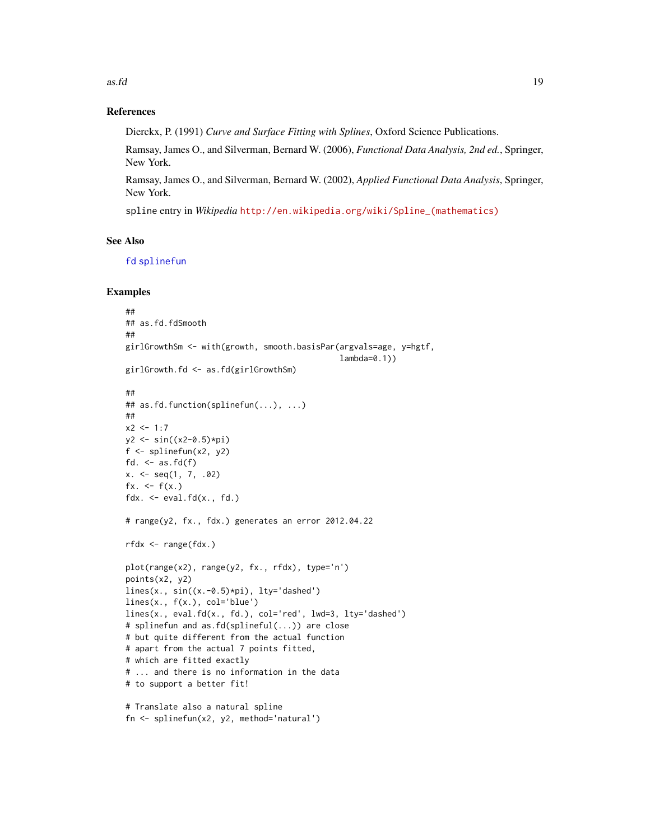#### $\alpha$ s.fd  $\beta$

### References

Dierckx, P. (1991) *Curve and Surface Fitting with Splines*, Oxford Science Publications.

Ramsay, James O., and Silverman, Bernard W. (2006), *Functional Data Analysis, 2nd ed.*, Springer, New York.

Ramsay, James O., and Silverman, Bernard W. (2002), *Applied Functional Data Analysis*, Springer, New York.

spline entry in *Wikipedia* [http://en.wikipedia.org/wiki/Spline\\_\(mathematics\)](http://en.wikipedia.org/wiki/Spline_(mathematics))

#### See Also

[fd](#page-0-0) [splinefun](#page-0-0)

```
##
## as.fd.fdSmooth
##
girlGrowthSm <- with(growth, smooth.basisPar(argvals=age, y=hgtf,
                                              lambda=0.1))
girlGrowth.fd <- as.fd(girlGrowthSm)
##
## as.fd.function(splinefun(...), ...)
##
x2 < -1:7y2 <- sin((x2-0.5)*pi)
f <- splinefun(x2, y2)
fd. \leftarrow as.fd(f)x. < - seq(1, 7, .02)
fx. \leftarrow f(x.)
fdx. \leq eval.fd(x., fd.)
# range(y2, fx., fdx.) generates an error 2012.04.22
rfdx <- range(fdx.)
plot(range(x2), range(y2, fx., rfdx), type='n')
points(x2, y2)
lines(x., sin((x.-0.5)*pi), lty='dashed')
lines(x., f(x.), col='blue')lines(x., eval.fd(x., fd.), col='red', lwd=3, lty='dashed')
# splinefun and as.fd(splineful(...)) are close
# but quite different from the actual function
# apart from the actual 7 points fitted,
# which are fitted exactly
# ... and there is no information in the data
# to support a better fit!
# Translate also a natural spline
fn <- splinefun(x2, y2, method='natural')
```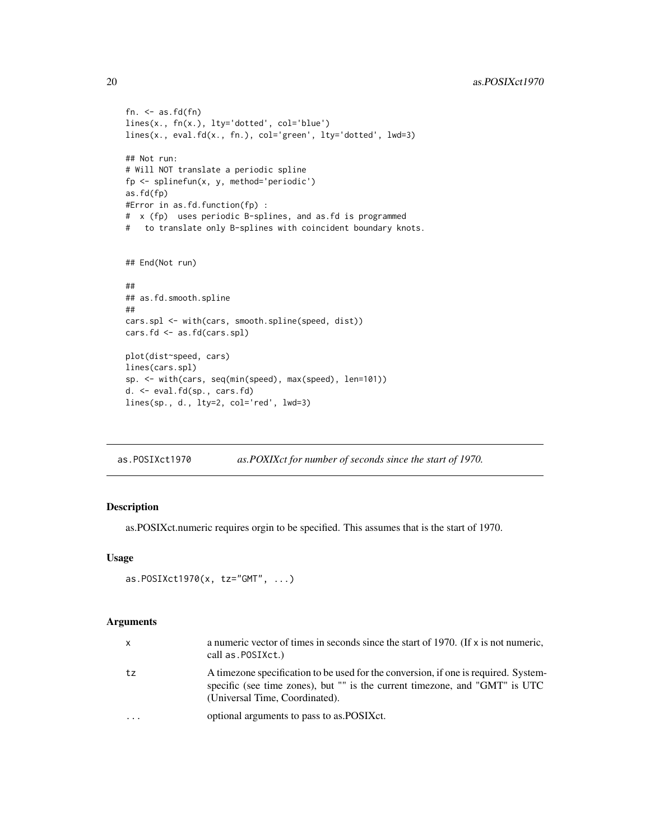```
fn. \leq as.fd(fn)
lines(x., fn(x.), lty='dotted', col='blue')
lines(x., eval.fd(x., fn.), col='green', lty='dotted', lwd=3)
## Not run:
# Will NOT translate a periodic spline
fp <- splinefun(x, y, method='periodic')
as.fd(fp)
#Error in as.fd.function(fp) :
# x (fp) uses periodic B-splines, and as.fd is programmed
# to translate only B-splines with coincident boundary knots.
## End(Not run)
##
## as.fd.smooth.spline
##
cars.spl <- with(cars, smooth.spline(speed, dist))
cars.fd <- as.fd(cars.spl)
plot(dist~speed, cars)
lines(cars.spl)
sp. <- with(cars, seq(min(speed), max(speed), len=101))
d. <- eval.fd(sp., cars.fd)
lines(sp., d., lty=2, col='red', lwd=3)
```

| as.POSIXct1970 | as.POXIXct for number of seconds since the start of 1970. |  |  |
|----------------|-----------------------------------------------------------|--|--|
|                |                                                           |  |  |

### Description

as.POSIXct.numeric requires orgin to be specified. This assumes that is the start of 1970.

#### Usage

```
as.POSIXct1970(x, tz="GMT", ...)
```
#### Arguments

| $\mathsf{x}$ | a numeric vector of times in seconds since the start of 1970. (If x is not numeric,<br>call as . POSIXct.)                                                                                           |
|--------------|------------------------------------------------------------------------------------------------------------------------------------------------------------------------------------------------------|
| tz           | A timezone specification to be used for the conversion, if one is required. System-<br>specific (see time zones), but "" is the current timezone, and "GMT" is UTC<br>(Universal Time, Coordinated). |
| $\cdots$     | optional arguments to pass to as. POSIX ct.                                                                                                                                                          |

<span id="page-19-0"></span>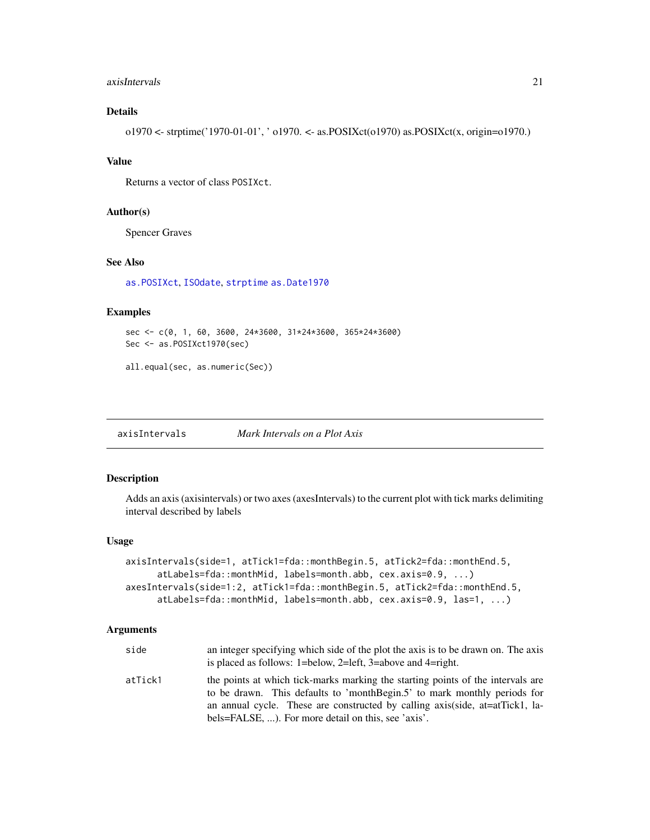#### <span id="page-20-0"></span>axisIntervals 21

### Details

o1970 <- strptime('1970-01-01', ' o1970. <- as.POSIXct(o1970) as.POSIXct(x, origin=o1970.)

#### Value

Returns a vector of class POSIXct.

#### Author(s)

Spencer Graves

### See Also

[as.POSIXct](#page-0-0), [ISOdate](#page-0-0), [strptime](#page-0-0) [as.Date1970](#page-0-0)

#### Examples

```
sec <- c(0, 1, 60, 3600, 24*3600, 31*24*3600, 365*24*3600)
Sec <- as.POSIXct1970(sec)
```
all.equal(sec, as.numeric(Sec))

axisIntervals *Mark Intervals on a Plot Axis*

### Description

Adds an axis (axisintervals) or two axes (axesIntervals) to the current plot with tick marks delimiting interval described by labels

### Usage

```
axisIntervals(side=1, atTick1=fda::monthBegin.5, atTick2=fda::monthEnd.5,
      atLabels=fda::monthMid, labels=month.abb, cex.axis=0.9, ...)
axesIntervals(side=1:2, atTick1=fda::monthBegin.5, atTick2=fda::monthEnd.5,
      atLabels=fda::monthMid, labels=month.abb, cex.axis=0.9, las=1, ...)
```
#### Arguments

| side    | an integer specifying which side of the plot the axis is to be drawn on. The axis<br>is placed as follows: 1=below, 2=left, 3=above and 4=right.                                                                                             |
|---------|----------------------------------------------------------------------------------------------------------------------------------------------------------------------------------------------------------------------------------------------|
| atTick1 | the points at which tick-marks marking the starting points of the intervals are<br>to be drawn. This defaults to 'month Begin.5' to mark monthly periods for<br>an annual cycle. These are constructed by calling axis side, at=atTick1, la- |
|         | bels=FALSE, ). For more detail on this, see 'axis'.                                                                                                                                                                                          |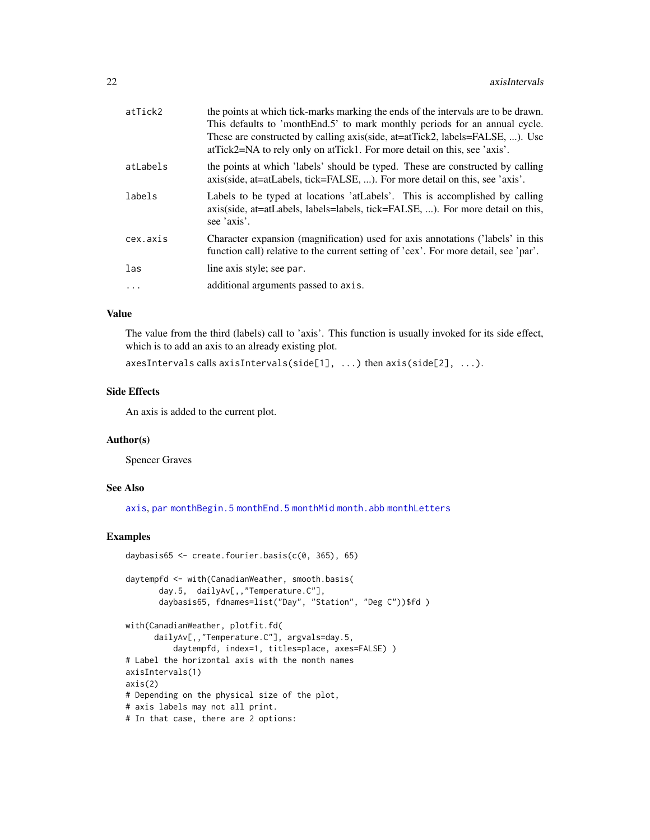| atTick2  | the points at which tick-marks marking the ends of the intervals are to be drawn.<br>This defaults to 'monthEnd.5' to mark monthly periods for an annual cycle.<br>These are constructed by calling axis (side, at=atTick2, labels=FALSE, ). Use<br>atTick2=NA to rely only on atTick1. For more detail on this, see 'axis'. |
|----------|------------------------------------------------------------------------------------------------------------------------------------------------------------------------------------------------------------------------------------------------------------------------------------------------------------------------------|
| atLabels | the points at which 'labels' should be typed. These are constructed by calling<br>axis (side, at = at Labels, tick=FALSE, ). For more detail on this, see 'axis'.                                                                                                                                                            |
| labels   | Labels to be typed at locations 'at Labels'. This is accomplished by calling<br>axis(side, at=atLabels, labels=labels, tick=FALSE, ). For more detail on this,<br>see 'axis'.                                                                                                                                                |
| cex.axis | Character expansion (magnification) used for axis annotations ('labels' in this<br>function call) relative to the current setting of 'cex'. For more detail, see 'par'.                                                                                                                                                      |
| las      | line axis style; see par.                                                                                                                                                                                                                                                                                                    |
| .        | additional arguments passed to axis.                                                                                                                                                                                                                                                                                         |
|          |                                                                                                                                                                                                                                                                                                                              |

### Value

The value from the third (labels) call to 'axis'. This function is usually invoked for its side effect, which is to add an axis to an already existing plot.

axesIntervals calls axisIntervals(side[1], ...) then axis(side[2], ...).

### Side Effects

An axis is added to the current plot.

#### Author(s)

Spencer Graves

### See Also

[axis](#page-0-0), [par](#page-0-0) [monthBegin.5](#page-75-1) [monthEnd.5](#page-75-1) [monthMid](#page-75-1) [month.abb](#page-0-0) [monthLetters](#page-75-1)

#### Examples

```
daytempfd <- with(CanadianWeather, smooth.basis(
      day.5, dailyAv[,,"Temperature.C"],
      daybasis65, fdnames=list("Day", "Station", "Deg C"))$fd )
with(CanadianWeather, plotfit.fd(
     dailyAv[,,"Temperature.C"], argvals=day.5,
         daytempfd, index=1, titles=place, axes=FALSE) )
# Label the horizontal axis with the month names
axisIntervals(1)
axis(2)
# Depending on the physical size of the plot,
# axis labels may not all print.
# In that case, there are 2 options:
```
daybasis65 <- create.fourier.basis(c(0, 365), 65)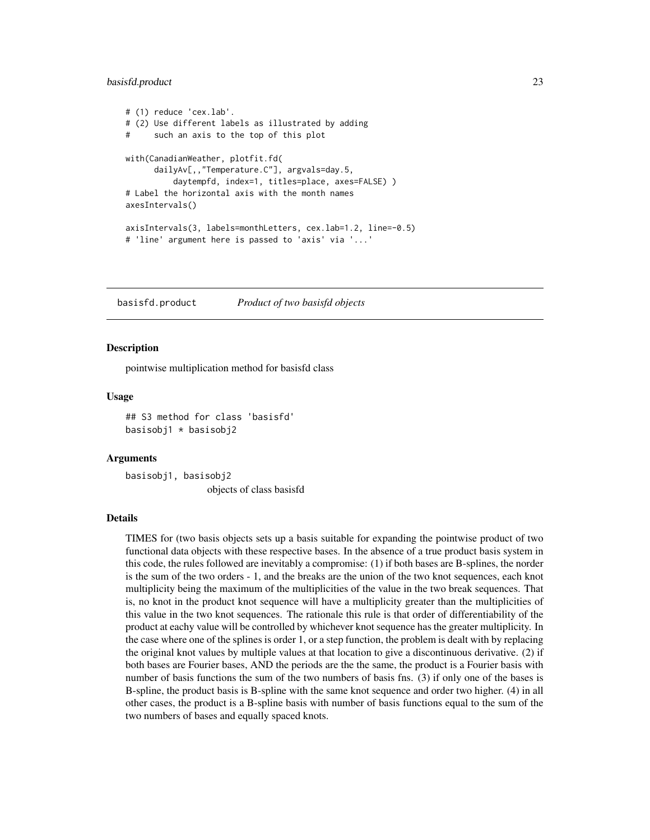#### <span id="page-22-0"></span>basisfd.product 23

```
# (1) reduce 'cex.lab'.
# (2) Use different labels as illustrated by adding
     such an axis to the top of this plot
with(CanadianWeather, plotfit.fd(
     dailyAv[,,"Temperature.C"], argvals=day.5,
          daytempfd, index=1, titles=place, axes=FALSE) )
# Label the horizontal axis with the month names
axesIntervals()
axisIntervals(3, labels=monthLetters, cex.lab=1.2, line=-0.5)
# 'line' argument here is passed to 'axis' via '...'
```
<span id="page-22-1"></span>basisfd.product *Product of two basisfd objects*

#### **Description**

pointwise multiplication method for basisfd class

#### Usage

## S3 method for class 'basisfd' basisobj1 \* basisobj2

#### Arguments

basisobj1, basisobj2 objects of class basisfd

### Details

TIMES for (two basis objects sets up a basis suitable for expanding the pointwise product of two functional data objects with these respective bases. In the absence of a true product basis system in this code, the rules followed are inevitably a compromise: (1) if both bases are B-splines, the norder is the sum of the two orders - 1, and the breaks are the union of the two knot sequences, each knot multiplicity being the maximum of the multiplicities of the value in the two break sequences. That is, no knot in the product knot sequence will have a multiplicity greater than the multiplicities of this value in the two knot sequences. The rationale this rule is that order of differentiability of the product at eachy value will be controlled by whichever knot sequence has the greater multiplicity. In the case where one of the splines is order 1, or a step function, the problem is dealt with by replacing the original knot values by multiple values at that location to give a discontinuous derivative. (2) if both bases are Fourier bases, AND the periods are the the same, the product is a Fourier basis with number of basis functions the sum of the two numbers of basis fns. (3) if only one of the bases is B-spline, the product basis is B-spline with the same knot sequence and order two higher. (4) in all other cases, the product is a B-spline basis with number of basis functions equal to the sum of the two numbers of bases and equally spaced knots.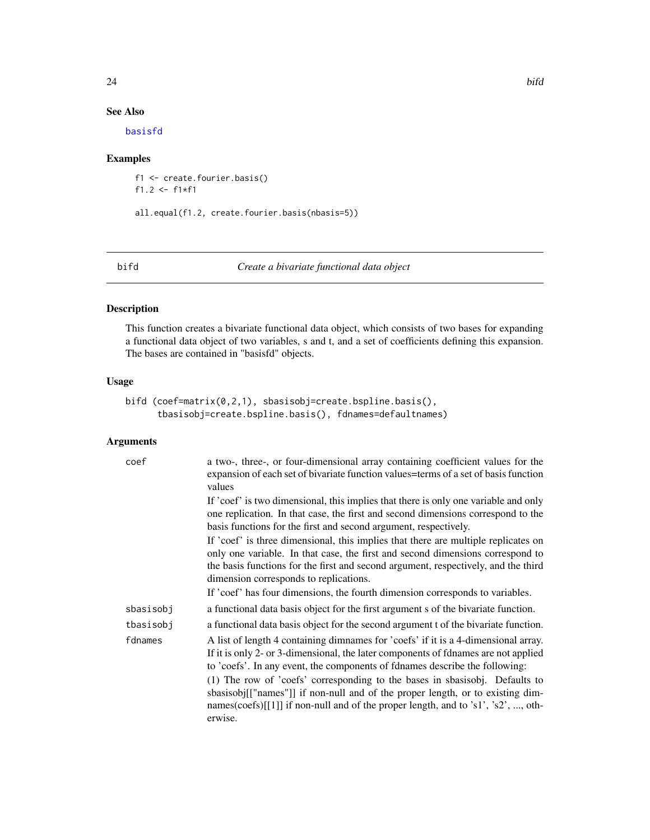### See Also

[basisfd](#page-0-0)

### Examples

f1 <- create.fourier.basis() f1.2  $<-$  f1 $*f1$ 

all.equal(f1.2, create.fourier.basis(nbasis=5))

bifd *Create a bivariate functional data object*

### Description

This function creates a bivariate functional data object, which consists of two bases for expanding a functional data object of two variables, s and t, and a set of coefficients defining this expansion. The bases are contained in "basisfd" objects.

### Usage

```
bifd (coef=matrix(0,2,1), sbasisobj=create.bspline.basis(),
      tbasisobj=create.bspline.basis(), fdnames=defaultnames)
```
### Arguments

| coef      | a two-, three-, or four-dimensional array containing coefficient values for the<br>expansion of each set of bivariate function values=terms of a set of basis function<br>values                                                                                                                                                                                                                                         |
|-----------|--------------------------------------------------------------------------------------------------------------------------------------------------------------------------------------------------------------------------------------------------------------------------------------------------------------------------------------------------------------------------------------------------------------------------|
|           | If 'coef' is two dimensional, this implies that there is only one variable and only<br>one replication. In that case, the first and second dimensions correspond to the<br>basis functions for the first and second argument, respectively.                                                                                                                                                                              |
|           | If 'coef' is three dimensional, this implies that there are multiple replicates on<br>only one variable. In that case, the first and second dimensions correspond to<br>the basis functions for the first and second argument, respectively, and the third<br>dimension corresponds to replications.                                                                                                                     |
|           | If 'coef' has four dimensions, the fourth dimension corresponds to variables.                                                                                                                                                                                                                                                                                                                                            |
| sbasisobj | a functional data basis object for the first argument s of the bivariate function.                                                                                                                                                                                                                                                                                                                                       |
| tbasisobj | a functional data basis object for the second argument t of the bivariate function.                                                                                                                                                                                                                                                                                                                                      |
| fdnames   | A list of length 4 containing dimnames for 'coefs' if it is a 4-dimensional array.<br>If it is only 2- or 3-dimensional, the later components of fdnames are not applied<br>to 'coefs'. In any event, the components of fdnames describe the following:<br>(1) The row of 'coefs' corresponding to the bases in sbasisobj. Defaults to<br>sbasisobj[["names"]] if non-null and of the proper length, or to existing dim- |
|           | names(coefs)[[1]] if non-null and of the proper length, and to 's1', 's2', , oth-<br>erwise.                                                                                                                                                                                                                                                                                                                             |

<span id="page-23-0"></span>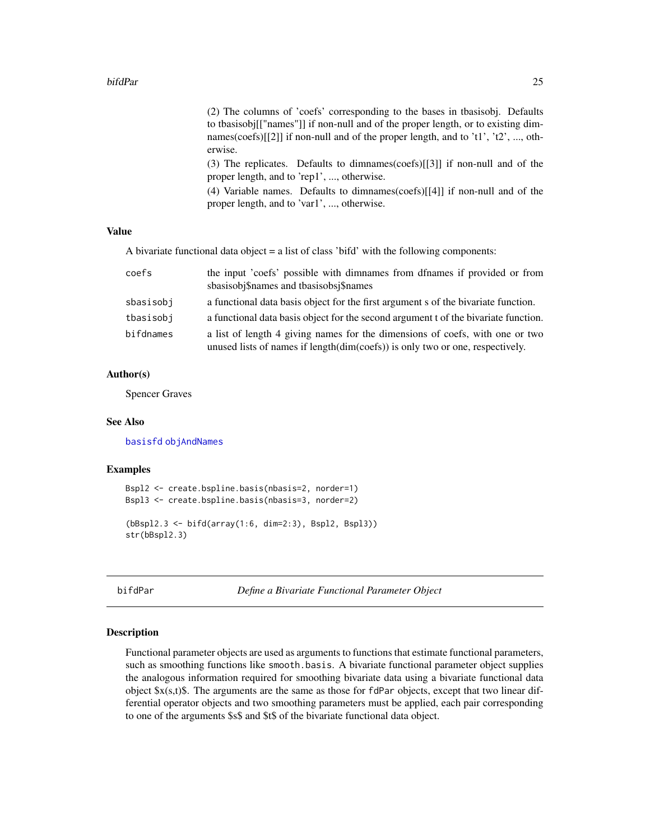<span id="page-24-0"></span>(2) The columns of 'coefs' corresponding to the bases in tbasisobj. Defaults to tbasisobj[["names"]] if non-null and of the proper length, or to existing dimnames(coefs)[[2]] if non-null and of the proper length, and to 't1', 't2', ..., otherwise.

(3) The replicates. Defaults to dimnames(coefs)[[3]] if non-null and of the proper length, and to 'rep1', ..., otherwise.

(4) Variable names. Defaults to dimnames(coefs)[[4]] if non-null and of the proper length, and to 'var1', ..., otherwise.

### Value

A bivariate functional data object = a list of class 'bifd' with the following components:

| coefs     | the input 'coefs' possible with dimnames from differences if provided or from       |
|-----------|-------------------------------------------------------------------------------------|
|           | sbasisobj\$names and tbasisobsj\$names                                              |
| sbasisobj | a functional data basis object for the first argument s of the bivariate function.  |
| tbasisobj | a functional data basis object for the second argument t of the bivariate function. |
| bifdnames | a list of length 4 giving names for the dimensions of coefs, with one or two        |
|           | unused lists of names if length(dim(coefs)) is only two or one, respectively.       |

### Author(s)

Spencer Graves

#### See Also

[basisfd](#page-0-0) [objAndNames](#page-177-1)

#### Examples

```
Bspl2 <- create.bspline.basis(nbasis=2, norder=1)
Bspl3 <- create.bspline.basis(nbasis=3, norder=2)
```
(bBspl2.3 <- bifd(array(1:6, dim=2:3), Bspl2, Bspl3)) str(bBspl2.3)

bifdPar *Define a Bivariate Functional Parameter Object*

#### Description

Functional parameter objects are used as arguments to functions that estimate functional parameters, such as smoothing functions like smooth.basis. A bivariate functional parameter object supplies the analogous information required for smoothing bivariate data using a bivariate functional data object  $(x, t)$ . The arguments are the same as those for fdPar objects, except that two linear differential operator objects and two smoothing parameters must be applied, each pair corresponding to one of the arguments \$s\$ and \$t\$ of the bivariate functional data object.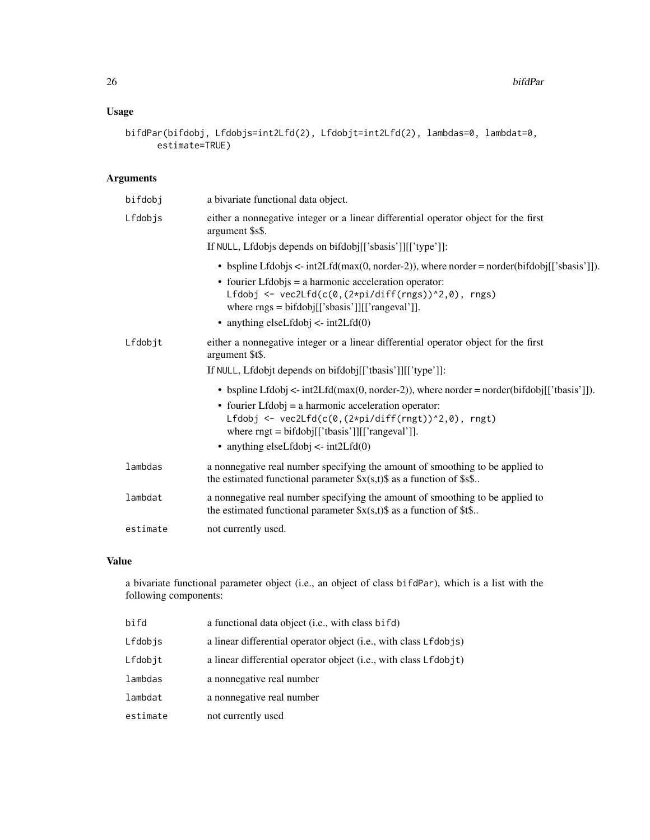### Usage

```
bifdPar(bifdobj, Lfdobjs=int2Lfd(2), Lfdobjt=int2Lfd(2), lambdas=0, lambdat=0,
      estimate=TRUE)
```
### Arguments

| bifdobj  | a bivariate functional data object.                                                                                                                                                                                                                                                           |
|----------|-----------------------------------------------------------------------------------------------------------------------------------------------------------------------------------------------------------------------------------------------------------------------------------------------|
| Lfdobjs  | either a nonnegative integer or a linear differential operator object for the first<br>argument \$s\$.                                                                                                                                                                                        |
|          | If NULL, Lfdobjs depends on bifdobj[['sbasis']][['type']]:                                                                                                                                                                                                                                    |
|          | • bspline Lfdobjs <- int2Lfd(max(0, norder-2)), where norder = norder(bifdobj[['sbasis']]).<br>• fourier Lfdobjs = a harmonic acceleration operator:<br>Lfdobj <- vec2Lfd(c(0,(2*pi/diff(rngs))^2,0), rngs)<br>where $rngs = bifdobj[['sbasis']]$ [['rangeval']].                             |
|          | • anything elseLfdobj $\leq$ - int2Lfd $(0)$                                                                                                                                                                                                                                                  |
| Lfdobjt  | either a nonnegative integer or a linear differential operator object for the first<br>argument \$t\$.                                                                                                                                                                                        |
|          | If NULL, Lfdobjt depends on bifdobj[['tbasis']][['type']]:                                                                                                                                                                                                                                    |
|          | • bspline Lfdobj <- int2Lfd(max(0, norder-2)), where norder = norder(bifdobj[['tbasis']]).<br>• fourier $Lfdobj = a harmonic acceleration operator$ :<br>Lfdobj <- vec2Lfd(c(0,(2*pi/diff(rngt))^2,0), rngt)<br>where $\text{rng}t = \text{bifdobj}[[\text{'tbasis'}]][[\text{'rangeval'}]].$ |
|          | • anything elseLfdobj $\leq$ - int2Lfd $(0)$                                                                                                                                                                                                                                                  |
| lambdas  | a nonnegative real number specifying the amount of smoothing to be applied to<br>the estimated functional parameter $(x(s,t)$ \$ as a function of \$s\$                                                                                                                                       |
| lambdat  | a nonnegative real number specifying the amount of smoothing to be applied to<br>the estimated functional parameter $(x(t), t)$ as a function of $x(t)$ .                                                                                                                                     |
| estimate | not currently used.                                                                                                                                                                                                                                                                           |

### Value

a bivariate functional parameter object (i.e., an object of class bifdPar), which is a list with the following components:

| bifd     | a functional data object (i.e., with class bifd)                 |
|----------|------------------------------------------------------------------|
| Lfdobis  | a linear differential operator object (i.e., with class Lfdobjs) |
| Lfdobit  | a linear differential operator object (i.e., with class Lfdobjt) |
| lambdas  | a nonnegative real number                                        |
| lambdat  | a nonnegative real number                                        |
| estimate | not currently used                                               |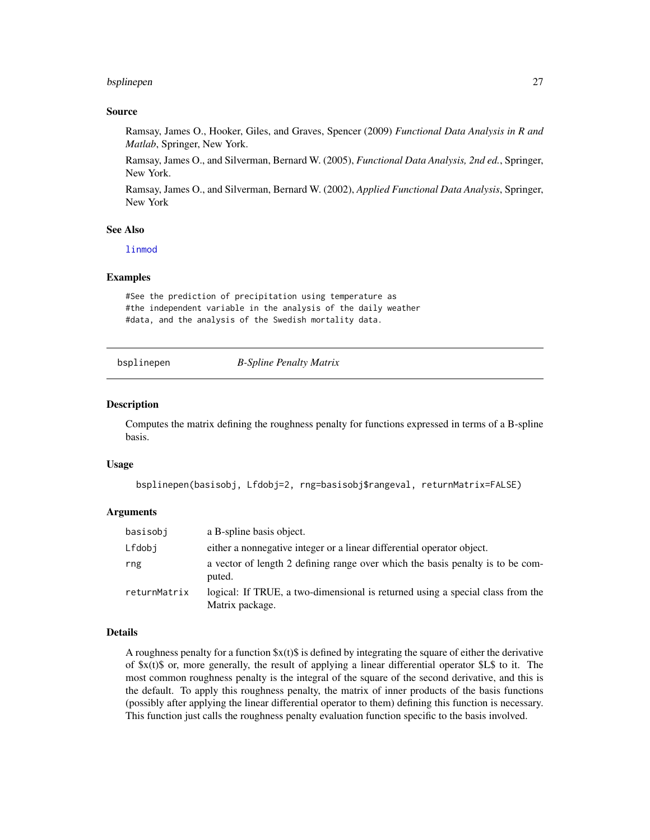#### <span id="page-26-0"></span>bsplinepen 27

#### Source

Ramsay, James O., Hooker, Giles, and Graves, Spencer (2009) *Functional Data Analysis in R and Matlab*, Springer, New York.

Ramsay, James O., and Silverman, Bernard W. (2005), *Functional Data Analysis, 2nd ed.*, Springer, New York.

Ramsay, James O., and Silverman, Bernard W. (2002), *Applied Functional Data Analysis*, Springer, New York

#### See Also

[linmod](#page-156-1)

#### Examples

#See the prediction of precipitation using temperature as #the independent variable in the analysis of the daily weather #data, and the analysis of the Swedish mortality data.

bsplinepen *B-Spline Penalty Matrix*

#### Description

Computes the matrix defining the roughness penalty for functions expressed in terms of a B-spline basis.

#### Usage

```
bsplinepen(basisobj, Lfdobj=2, rng=basisobj$rangeval, returnMatrix=FALSE)
```
#### Arguments

| basisobj     | a B-spline basis object.                                                                          |
|--------------|---------------------------------------------------------------------------------------------------|
| Lfdobj       | either a nonnegative integer or a linear differential operator object.                            |
| rng          | a vector of length 2 defining range over which the basis penalty is to be com-<br>puted.          |
| returnMatrix | logical: If TRUE, a two-dimensional is returned using a special class from the<br>Matrix package. |

#### Details

A roughness penalty for a function  $x(t)$  is defined by integrating the square of either the derivative of  $(x(t)$  or, more generally, the result of applying a linear differential operator  $L$ \$ to it. The most common roughness penalty is the integral of the square of the second derivative, and this is the default. To apply this roughness penalty, the matrix of inner products of the basis functions (possibly after applying the linear differential operator to them) defining this function is necessary. This function just calls the roughness penalty evaluation function specific to the basis involved.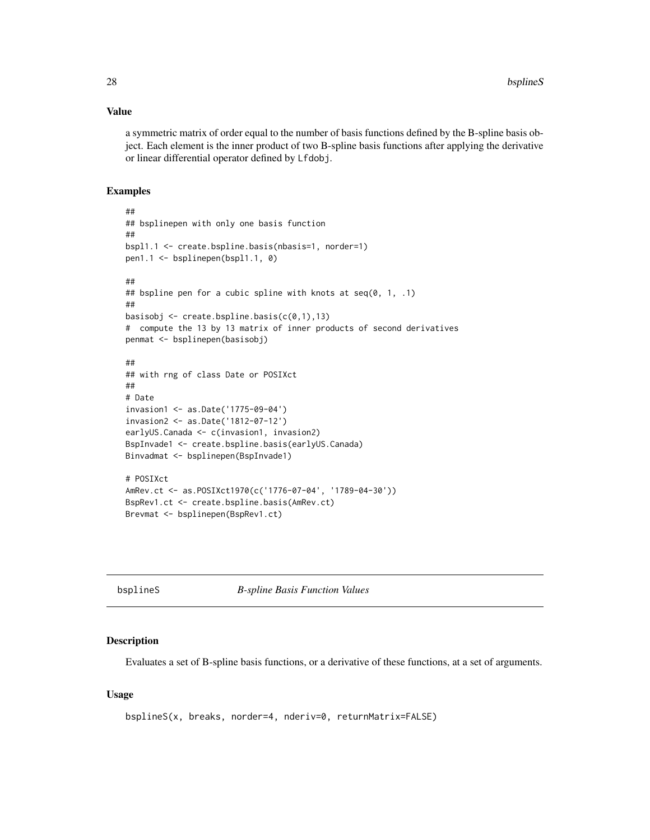#### <span id="page-27-0"></span>Value

a symmetric matrix of order equal to the number of basis functions defined by the B-spline basis object. Each element is the inner product of two B-spline basis functions after applying the derivative or linear differential operator defined by Lfdobj.

#### Examples

```
##
## bsplinepen with only one basis function
##
bspl1.1 <- create.bspline.basis(nbasis=1, norder=1)
pen1.1 <- bsplinepen(bspl1.1, 0)
##
## bspline pen for a cubic spline with knots at seq(0, 1, .1)
##
basisobj \leq create.bspline.basis(c(0,1),13)
# compute the 13 by 13 matrix of inner products of second derivatives
penmat <- bsplinepen(basisobj)
##
## with rng of class Date or POSIXct
##
# Date
invasion1 <- as.Date('1775-09-04')
invasion2 <- as.Date('1812-07-12')
earlyUS.Canada <- c(invasion1, invasion2)
BspInvade1 <- create.bspline.basis(earlyUS.Canada)
Binvadmat <- bsplinepen(BspInvade1)
# POSIXct
AmRev.ct <- as.POSIXct1970(c('1776-07-04', '1789-04-30'))
BspRev1.ct <- create.bspline.basis(AmRev.ct)
Brevmat <- bsplinepen(BspRev1.ct)
```
bsplineS *B-spline Basis Function Values*

#### Description

Evaluates a set of B-spline basis functions, or a derivative of these functions, at a set of arguments.

#### Usage

```
bsplineS(x, breaks, norder=4, nderiv=0, returnMatrix=FALSE)
```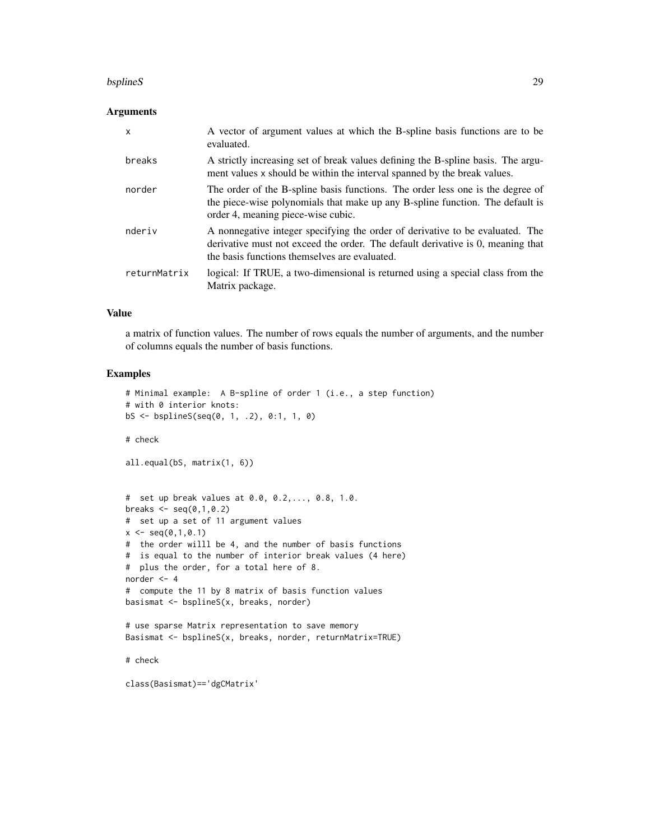#### bsplineS 29

### Arguments

| $\boldsymbol{\mathsf{x}}$ | A vector of argument values at which the B-spline basis functions are to be<br>evaluated.                                                                                                                         |
|---------------------------|-------------------------------------------------------------------------------------------------------------------------------------------------------------------------------------------------------------------|
| breaks                    | A strictly increasing set of break values defining the B-spline basis. The argu-<br>ment values x should be within the interval spanned by the break values.                                                      |
| norder                    | The order of the B-spline basis functions. The order less one is the degree of<br>the piece-wise polynomials that make up any B-spline function. The default is<br>order 4, meaning piece-wise cubic.             |
| nderiv                    | A nonnegative integer specifying the order of derivative to be evaluated. The<br>derivative must not exceed the order. The default derivative is 0, meaning that<br>the basis functions themselves are evaluated. |
| returnMatrix              | logical: If TRUE, a two-dimensional is returned using a special class from the<br>Matrix package.                                                                                                                 |

#### Value

a matrix of function values. The number of rows equals the number of arguments, and the number of columns equals the number of basis functions.

```
# Minimal example: A B-spline of order 1 (i.e., a step function)
# with 0 interior knots:
bS <- bsplineS(seq(0, 1, .2), 0:1, 1, 0)
# check
all.equal(bS, matrix(1, 6))
# set up break values at 0.0, 0.2,..., 0.8, 1.0.
breaks \leq seq(0,1,0.2)
# set up a set of 11 argument values
x \leq -\text{seq}(0,1,0.1)# the order willl be 4, and the number of basis functions
# is equal to the number of interior break values (4 here)
# plus the order, for a total here of 8.
norder <-4# compute the 11 by 8 matrix of basis function values
basismat <- bsplineS(x, breaks, norder)
# use sparse Matrix representation to save memory
Basismat <- bsplineS(x, breaks, norder, returnMatrix=TRUE)
# check
class(Basismat)=='dgCMatrix'
```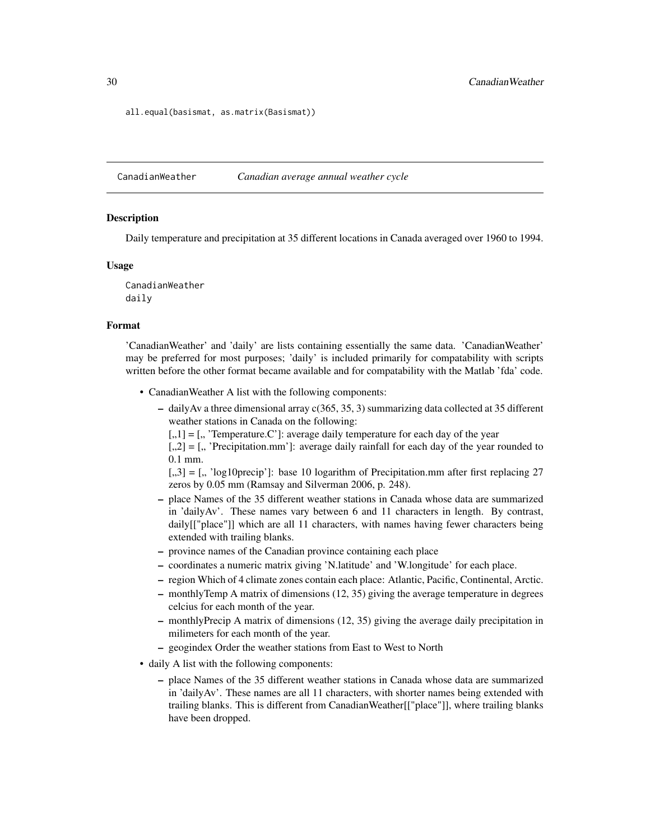all.equal(basismat, as.matrix(Basismat))

CanadianWeather *Canadian average annual weather cycle*

#### Description

Daily temperature and precipitation at 35 different locations in Canada averaged over 1960 to 1994.

#### Usage

CanadianWeather daily

### Format

'CanadianWeather' and 'daily' are lists containing essentially the same data. 'CanadianWeather' may be preferred for most purposes; 'daily' is included primarily for compatability with scripts written before the other format became available and for compatability with the Matlab 'fda' code.

- CanadianWeather A list with the following components:
	- dailyAv a three dimensional array c(365, 35, 3) summarizing data collected at 35 different weather stations in Canada on the following:
		- $[, 1] = [$ , 'Temperature.C']: average daily temperature for each day of the year
		- $[0,2] = [0, 1]$  'Precipitation.mm']: average daily rainfall for each day of the year rounded to 0.1 mm.

 $\left[.,3\right] = \left[.,\right]$  'log10precip']: base 10 logarithm of Precipitation.mm after first replacing 27 zeros by 0.05 mm (Ramsay and Silverman 2006, p. 248).

- place Names of the 35 different weather stations in Canada whose data are summarized in 'dailyAv'. These names vary between 6 and 11 characters in length. By contrast, daily[["place"]] which are all 11 characters, with names having fewer characters being extended with trailing blanks.
- province names of the Canadian province containing each place
- coordinates a numeric matrix giving 'N.latitude' and 'W.longitude' for each place.
- region Which of 4 climate zones contain each place: Atlantic, Pacific, Continental, Arctic.
- monthlyTemp A matrix of dimensions (12, 35) giving the average temperature in degrees celcius for each month of the year.
- monthlyPrecip A matrix of dimensions (12, 35) giving the average daily precipitation in milimeters for each month of the year.
- geogindex Order the weather stations from East to West to North
- daily A list with the following components:
	- place Names of the 35 different weather stations in Canada whose data are summarized in 'dailyAv'. These names are all 11 characters, with shorter names being extended with trailing blanks. This is different from CanadianWeather[["place"]], where trailing blanks have been dropped.

<span id="page-29-0"></span>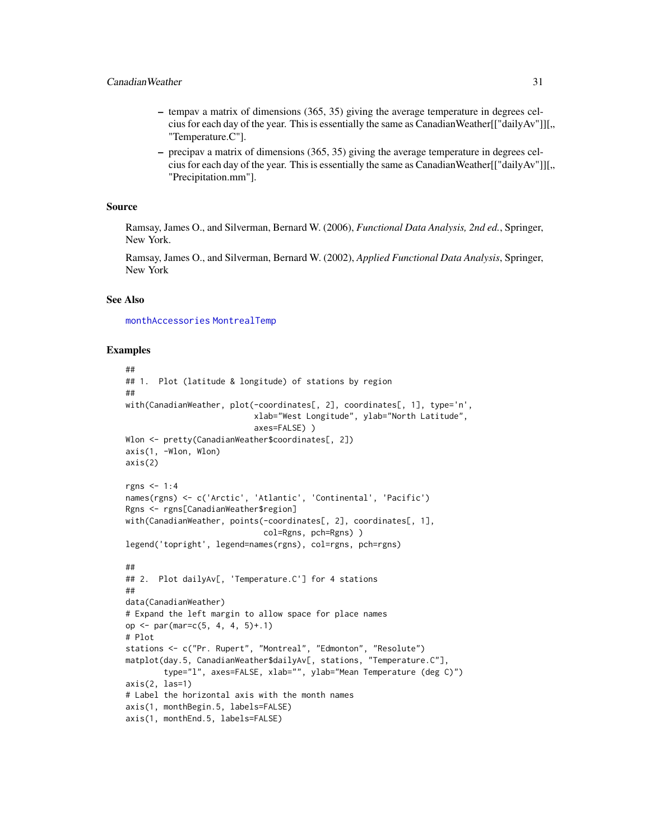### **Canadian Weather 31**

- tempav a matrix of dimensions (365, 35) giving the average temperature in degrees celcius for each day of the year. This is essentially the same as CanadianWeather $[[\text{dailyAv}]]|$ . "Temperature.C"].
- precipav a matrix of dimensions (365, 35) giving the average temperature in degrees celcius for each day of the year. This is essentially the same as CanadianWeather $[[\text{dailyAv}]]|$ , "Precipitation.mm"].

### Source

Ramsay, James O., and Silverman, Bernard W. (2006), *Functional Data Analysis, 2nd ed.*, Springer, New York.

Ramsay, James O., and Silverman, Bernard W. (2002), *Applied Functional Data Analysis*, Springer, New York

#### See Also

[monthAccessories](#page-75-1) [MontrealTemp](#page-174-1)

```
##
## 1. Plot (latitude & longitude) of stations by region
##
with(CanadianWeather, plot(-coordinates[, 2], coordinates[, 1], type='n',
                           xlab="West Longitude", ylab="North Latitude",
                           axes=FALSE) )
Wlon <- pretty(CanadianWeather$coordinates[, 2])
axis(1, -Wlon, Wlon)
axis(2)
rgns \leq -1:4names(rgns) <- c('Arctic', 'Atlantic', 'Continental', 'Pacific')
Rgns <- rgns[CanadianWeather$region]
with(CanadianWeather, points(-coordinates[, 2], coordinates[, 1],
                             col=Rgns, pch=Rgns) )
legend('topright', legend=names(rgns), col=rgns, pch=rgns)
##
## 2. Plot dailyAv[, 'Temperature.C'] for 4 stations
##
data(CanadianWeather)
# Expand the left margin to allow space for place names
op <- par(mar=c(5, 4, 4, 5)+.1)
# Plot
stations <- c("Pr. Rupert", "Montreal", "Edmonton", "Resolute")
matplot(day.5, CanadianWeather$dailyAv[, stations, "Temperature.C"],
        type="l", axes=FALSE, xlab="", ylab="Mean Temperature (deg C)")
axis(2, las=1)# Label the horizontal axis with the month names
axis(1, monthBegin.5, labels=FALSE)
axis(1, monthEnd.5, labels=FALSE)
```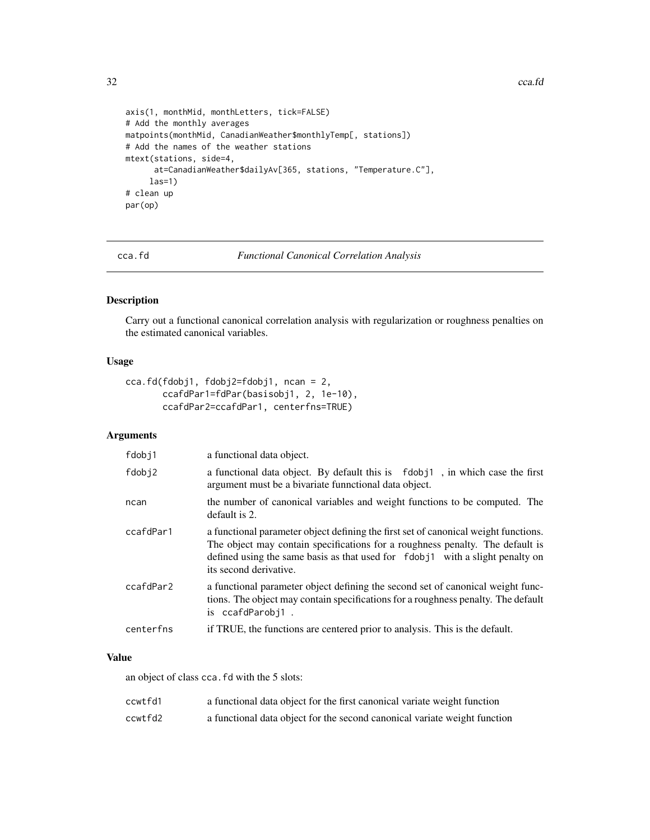```
axis(1, monthMid, monthLetters, tick=FALSE)
# Add the monthly averages
matpoints(monthMid, CanadianWeather$monthlyTemp[, stations])
# Add the names of the weather stations
mtext(stations, side=4,
      at=CanadianWeather$dailyAv[365, stations, "Temperature.C"],
     las=1)
# clean up
par(op)
```
cca.fd *Functional Canonical Correlation Analysis*

### Description

Carry out a functional canonical correlation analysis with regularization or roughness penalties on the estimated canonical variables.

### Usage

```
cca.fd(fdobj1, fdobj2=fdobj1, ncan = 2,
       ccafdPar1=fdPar(basisobj1, 2, 1e-10),
       ccafdPar2=ccafdPar1, centerfns=TRUE)
```
### Arguments

| fdobj1    | a functional data object.                                                                                                                                                                                                                                                       |
|-----------|---------------------------------------------------------------------------------------------------------------------------------------------------------------------------------------------------------------------------------------------------------------------------------|
| fdobj2    | a functional data object. By default this is fdobj1, in which case the first<br>argument must be a bivariate funnctional data object.                                                                                                                                           |
| ncan      | the number of canonical variables and weight functions to be computed. The<br>default is 2.                                                                                                                                                                                     |
| ccafdPar1 | a functional parameter object defining the first set of canonical weight functions.<br>The object may contain specifications for a roughness penalty. The default is<br>defined using the same basis as that used for fdob j with a slight penalty on<br>its second derivative. |
| ccafdPar2 | a functional parameter object defining the second set of canonical weight func-<br>tions. The object may contain specifications for a roughness penalty. The default<br>is ccafdParobil.                                                                                        |
| centerfns | if TRUE, the functions are centered prior to analysis. This is the default.                                                                                                                                                                                                     |

#### Value

an object of class cca.fd with the 5 slots:

| ccwtfd1 | a functional data object for the first canonical variate weight function  |
|---------|---------------------------------------------------------------------------|
| ccwtfd2 | a functional data object for the second canonical variate weight function |

<span id="page-31-0"></span>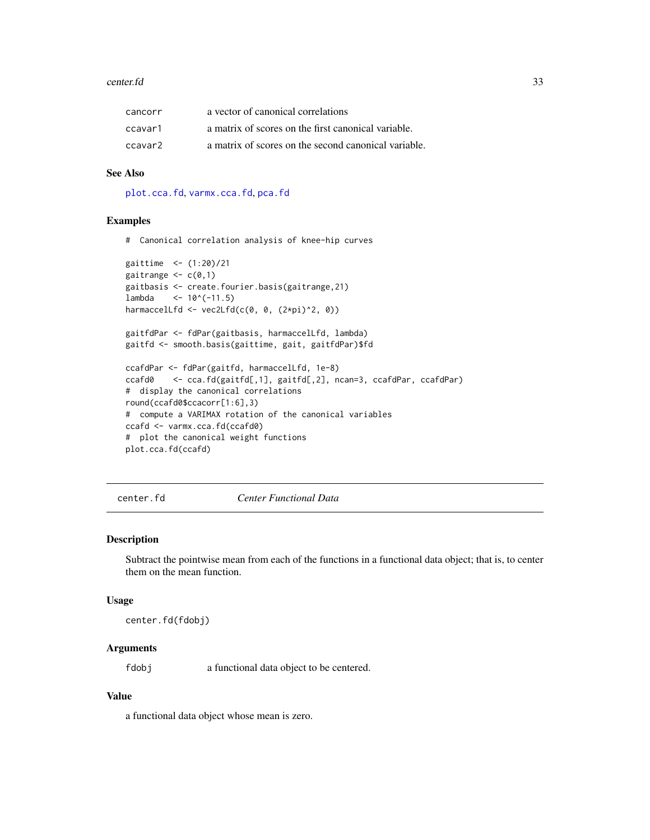#### <span id="page-32-0"></span>center.fd 33

| cancorr             | a vector of canonical correlations                   |
|---------------------|------------------------------------------------------|
| ccavar1             | a matrix of scores on the first canonical variable.  |
| ccavar <sub>2</sub> | a matrix of scores on the second canonical variable. |

### See Also

[plot.cca.fd](#page-193-1), [varmx.cca.fd](#page-283-1), [pca.fd](#page-180-1)

#### Examples

# Canonical correlation analysis of knee-hip curves

```
gaittime <- (1:20)/21
gaitrange \leq c(0,1)
gaitbasis <- create.fourier.basis(gaitrange,21)
lambda <- 10^(-11.5)
harmaccelLfd <- vec2Lfd(c(0, 0, (2*pi)^2, 0))
gaitfdPar <- fdPar(gaitbasis, harmaccelLfd, lambda)
gaitfd <- smooth.basis(gaittime, gait, gaitfdPar)$fd
ccafdPar <- fdPar(gaitfd, harmaccelLfd, 1e-8)
ccafd0 <- cca.fd(gaitfd[,1], gaitfd[,2], ncan=3, ccafdPar, ccafdPar)
# display the canonical correlations
round(ccafd0$ccacorr[1:6],3)
# compute a VARIMAX rotation of the canonical variables
ccafd <- varmx.cca.fd(ccafd0)
# plot the canonical weight functions
plot.cca.fd(ccafd)
```
center.fd *Center Functional Data*

#### Description

Subtract the pointwise mean from each of the functions in a functional data object; that is, to center them on the mean function.

### Usage

center.fd(fdobj)

### Arguments

fdobj a functional data object to be centered.

### Value

a functional data object whose mean is zero.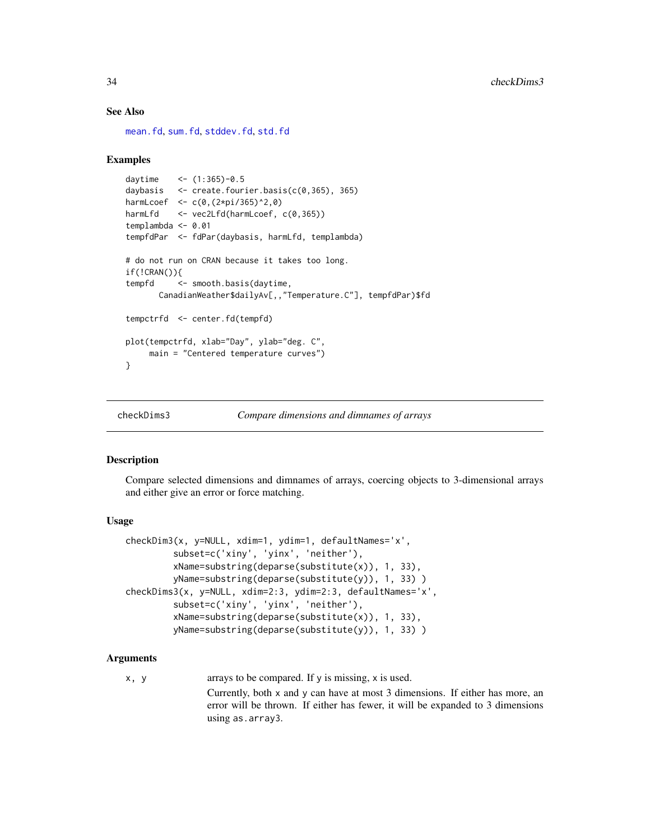#### See Also

[mean.fd](#page-168-1), [sum.fd](#page-271-1), [stddev.fd](#page-237-1), [std.fd](#page-237-1)

#### Examples

```
daytime <- (1:365)-0.5
daybasis <- create.fourier.basis(c(0,365), 365)
harmLcoef <- c(0,(2*pi/365)^2,0)
harmLfd <- vec2Lfd(harmLcoef, c(0,365))
templambda <- 0.01
tempfdPar <- fdPar(daybasis, harmLfd, templambda)
# do not run on CRAN because it takes too long.
if(!CRAN()){
tempfd <- smooth.basis(daytime,
      CanadianWeather$dailyAv[,,"Temperature.C"], tempfdPar)$fd
tempctrfd <- center.fd(tempfd)
plot(tempctrfd, xlab="Day", ylab="deg. C",
    main = "Centered temperature curves")
}
```
<span id="page-33-1"></span>

```
checkDims3 Compare dimensions and dimnames of arrays
```
### Description

Compare selected dimensions and dimnames of arrays, coercing objects to 3-dimensional arrays and either give an error or force matching.

#### Usage

```
checkDim3(x, y=NULL, xdim=1, ydim=1, defaultNames='x',
         subset=c('xiny', 'yinx', 'neither'),
         xName=substring(deparse(substitute(x)), 1, 33),
         yName=substring(deparse(substitute(y)), 1, 33) )
checkDims3(x, y=NULL, xdim=2:3, ydim=2:3, defaultNames='x',
         subset=c('xiny', 'yinx', 'neither'),
         xName=substring(deparse(substitute(x)), 1, 33),
         yName=substring(deparse(substitute(y)), 1, 33) )
```
#### Arguments

x, y arrays to be compared. If y is missing, x is used. Currently, both x and y can have at most 3 dimensions. If either has more, an error will be thrown. If either has fewer, it will be expanded to 3 dimensions using as.array3.

<span id="page-33-0"></span>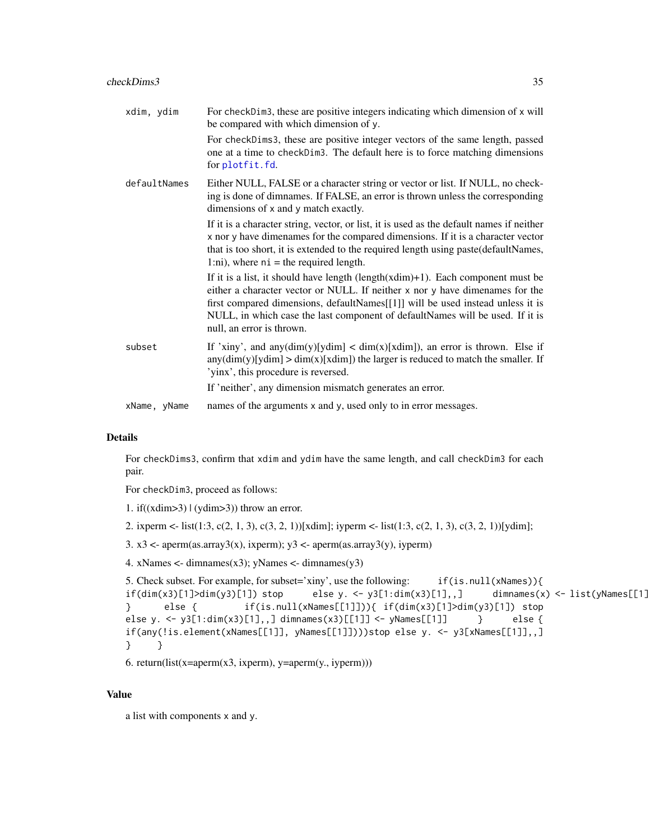| xdim, ydim   | For checkDim3, these are positive integers indicating which dimension of x will<br>be compared with which dimension of y.                                                                                                                                                                                                                                          |
|--------------|--------------------------------------------------------------------------------------------------------------------------------------------------------------------------------------------------------------------------------------------------------------------------------------------------------------------------------------------------------------------|
|              | For checkDims3, these are positive integer vectors of the same length, passed<br>one at a time to checkDim3. The default here is to force matching dimensions<br>for plotfit.fd.                                                                                                                                                                                   |
| defaultNames | Either NULL, FALSE or a character string or vector or list. If NULL, no check-<br>ing is done of dimnames. If FALSE, an error is thrown unless the corresponding<br>dimensions of x and y match exactly.                                                                                                                                                           |
|              | If it is a character string, vector, or list, it is used as the default names if neither<br>x nor y have dimenames for the compared dimensions. If it is a character vector<br>that is too short, it is extended to the required length using paste(defaultNames,<br>1:ni), where $ni =$ the required length.                                                      |
|              | If it is a list, it should have length $(lenath(xdim)+1)$ . Each component must be<br>either a character vector or NULL. If neither x nor y have dimenames for the<br>first compared dimensions, defaultNames[[1]] will be used instead unless it is<br>NULL, in which case the last component of defaultNames will be used. If it is<br>null, an error is thrown. |
| subset       | If 'xiny', and any( $dim(y)[ydim] < dim(x)[xdim])$ , an error is thrown. Else if<br>$any(dim(y)[ydim] > dim(x)[xdim])$ the larger is reduced to match the smaller. If<br>'yinx', this procedure is reversed.                                                                                                                                                       |
|              | If 'neither', any dimension mismatch generates an error.                                                                                                                                                                                                                                                                                                           |
| xName, yName | names of the arguments x and y, used only to in error messages.                                                                                                                                                                                                                                                                                                    |

### Details

For checkDims3, confirm that xdim and ydim have the same length, and call checkDim3 for each pair.

For checkDim3, proceed as follows:

1. if( $(xdim > 3)$   $(ydim > 3)$ ) throw an error.

2. ixperm <- list(1:3, c(2, 1, 3), c(3, 2, 1))[xdim]; iyperm <- list(1:3, c(2, 1, 3), c(3, 2, 1))[ydim];

3. x3 <- aperm(as.array3(x), ixperm);  $y3$  <- aperm(as.array3(y), iyperm)

4. xNames  $\lt$ - dimnames(x3); yNames  $\lt$ - dimnames(y3)

```
5. Check subset. For example, for subset='xiny', use the following: if(is.null(xNames)){
if(dim(x3)[1]\geq dim(y3)[1]) stop else y. <- y3[1:dim(x3)[1],,] dimnames(x) <- list(yNames[[1]
} else { if(is.null(xNames[[1]])){ if(dim(x3)[1]>dim(y3)[1]) stop
else y. <- y3[1:dim(x3)[1],,] dimnames(x3)[[1]] <- yNames[[1]] } else {
if(any(!is.element(xNames[[1]], yNames[[1]])))stop else y. <- y3[xNames[[1]],,]
} }
```
6. return(list(x=aperm(x3, ixperm), y=aperm(y., iyperm)))

### Value

a list with components x and y.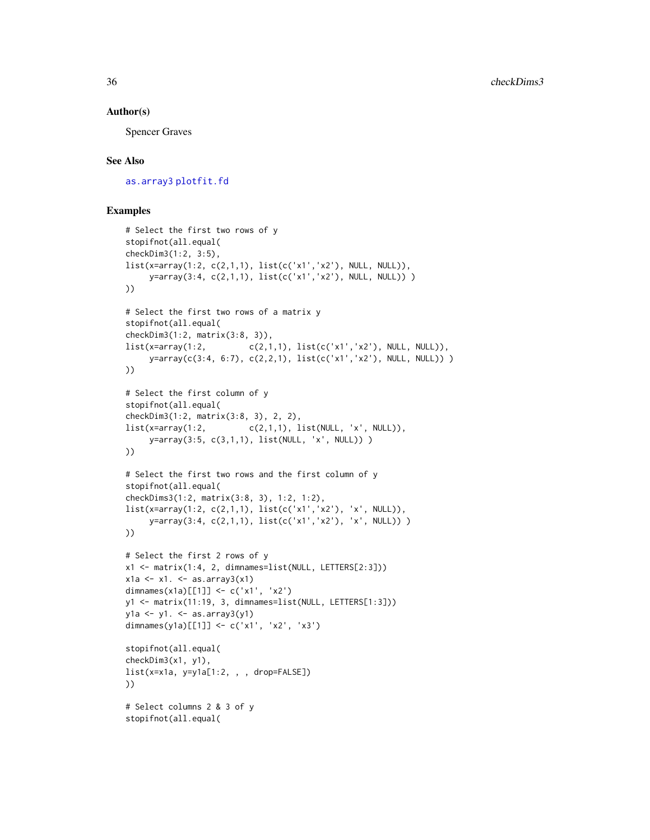#### Author(s)

Spencer Graves

### See Also

[as.array3](#page-15-1) [plotfit.fd](#page-204-1)

```
# Select the first two rows of y
stopifnot(all.equal(
checkDim3(1:2, 3:5),
list(x=array(1:2, c(2,1,1), list(c('x1','x2'), NULL, NULL)),
     y=array(3:4, c(2,1,1), list(c('x1','x2'), NULL, NULL)) )
))
# Select the first two rows of a matrix y
stopifnot(all.equal(
checkDim3(1:2, matrix(3:8, 3)),
list(x=array(1:2, c(2,1,1), list(c('x1','x2'), NULL, NULL)),
     y=array(c(3:4, 6:7), c(2,2,1), list(c('x1', 'x2'), NULL, NULL))))
# Select the first column of y
stopifnot(all.equal(
checkDim3(1:2, matrix(3:8, 3), 2, 2),
list(x=array(1:2, c(2,1,1), list(NULL, 'x', NULL)),y=array(3:5, c(3,1,1), list(NULL, 'x', NULL)) )
))
# Select the first two rows and the first column of y
stopifnot(all.equal(
checkDims3(1:2, matrix(3:8, 3), 1:2, 1:2),
list(x=array(1:2, c(2,1,1), list(c('x1','x2'), 'x', NULL)),
     y=array(3:4, c(2,1,1), list(c('x1','x2'), 'x', NULL)) )
))
# Select the first 2 rows of y
x1 <- matrix(1:4, 2, dimnames=list(NULL, LETTERS[2:3]))
x1a \leftarrow x1. \leftarrow as.array3(x1)dimnames(x1a)[[1]] <- c('x1', 'x2')
y1 <- matrix(11:19, 3, dimnames=list(NULL, LETTERS[1:3]))
y1a <- y1. <- as.array3(y1)
dimnames(y1a)[[1]] <- c('x1', 'x2', 'x3')
stopifnot(all.equal(
checkDim3(x1, y1),
list(x=x1a, y=y1a[1:2, , , drop=FALSE])
))
# Select columns 2 & 3 of y
stopifnot(all.equal(
```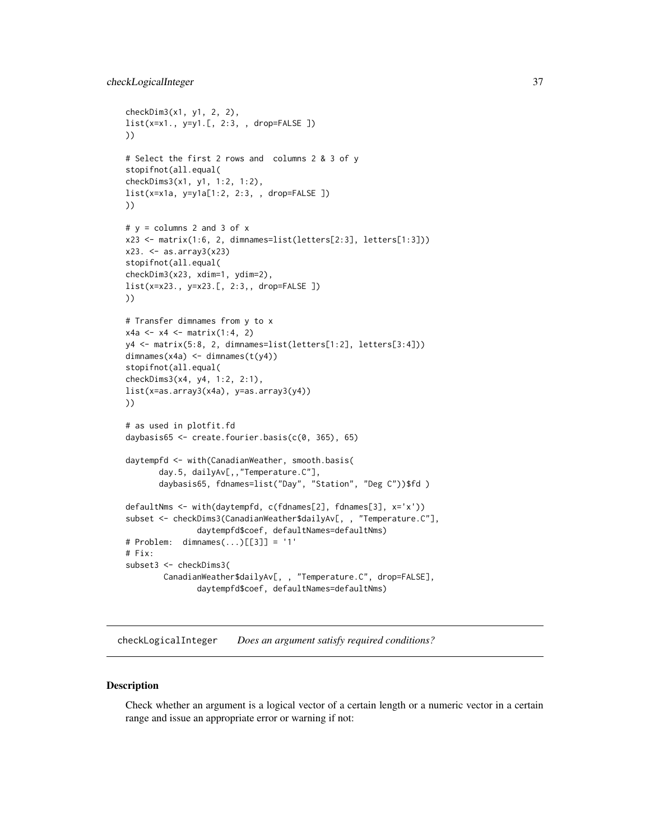```
checkDim3(x1, y1, 2, 2),
list(x=x1., y=y1.[, 2:3, , drop=FALSE ])
))
# Select the first 2 rows and columns 2 & 3 of y
stopifnot(all.equal(
checkDims3(x1, y1, 1:2, 1:2),
list(x=x1a, y=y1a[1:2, 2:3, , drop=FALSE ])
))
# y = columns 2 and 3 of x
x23 <- matrix(1:6, 2, dimnames=list(letters[2:3], letters[1:3]))
x23. < - as.array3(x23)
stopifnot(all.equal(
checkDim3(x23, xdim=1, ydim=2),
list(x=x23., y=x23.[, 2:3,, drop=FALSE ])
))
# Transfer dimnames from y to x
x4a \leq x4 \leq \text{matrix}(1:4, 2)y4 <- matrix(5:8, 2, dimnames=list(letters[1:2], letters[3:4]))
dimnames(x4a) <- dimnames(t(y4))
stopifnot(all.equal(
checkDims3(x4, y4, 1:2, 2:1),
list(x=as.array3(x4a), y=as.array3(y4))
))
# as used in plotfit.fd
daybasis65 <- create.fourier.basis(c(0, 365), 65)
daytempfd <- with(CanadianWeather, smooth.basis(
       day.5, dailyAv[,,"Temperature.C"],
       daybasis65, fdnames=list("Day", "Station", "Deg C"))$fd )
defaultNms <- with(daytempfd, c(fdnames[2], fdnames[3], x='x'))
subset <- checkDims3(CanadianWeather$dailyAv[, , "Temperature.C"],
               daytempfd$coef, defaultNames=defaultNms)
# Problem: dimnames(...)[[3]] = '1'
# Fix:
subset3 <- checkDims3(
        CanadianWeather$dailyAv[, , "Temperature.C", drop=FALSE],
               daytempfd$coef, defaultNames=defaultNms)
```
checkLogicalInteger *Does an argument satisfy required conditions?*

#### Description

Check whether an argument is a logical vector of a certain length or a numeric vector in a certain range and issue an appropriate error or warning if not: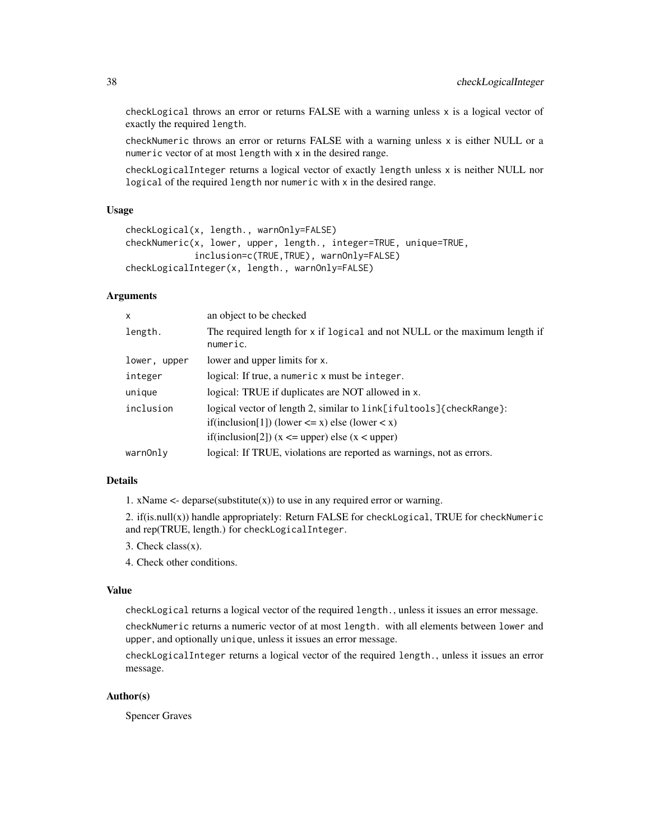checkLogical throws an error or returns FALSE with a warning unless x is a logical vector of exactly the required length.

checkNumeric throws an error or returns FALSE with a warning unless x is either NULL or a numeric vector of at most length with x in the desired range.

checkLogicalInteger returns a logical vector of exactly length unless x is neither NULL nor logical of the required length nor numeric with x in the desired range.

#### Usage

```
checkLogical(x, length., warnOnly=FALSE)
checkNumeric(x, lower, upper, length., integer=TRUE, unique=TRUE,
             inclusion=c(TRUE,TRUE), warnOnly=FALSE)
checkLogicalInteger(x, length., warnOnly=FALSE)
```
## Arguments

| an object to be checked                                                                |
|----------------------------------------------------------------------------------------|
| The required length for x if logical and not NULL or the maximum length if<br>numeric. |
| lower and upper limits for x.                                                          |
| logical: If true, a numeric x must be integer.                                         |
| logical: TRUE if duplicates are NOT allowed in x.                                      |
| logical vector of length 2, similar to link[ifultools]{checkRange}:                    |
| if(inclusion[1]) (lower $\leq x$ ) else (lower $\lt x$ )                               |
| if(inclusion[2]) $(x \leq upper)$ else $(x < upper)$                                   |
| logical: If TRUE, violations are reported as warnings, not as errors.                  |
|                                                                                        |

## Details

1. xName  $\leq$ -deparse(substitute(x)) to use in any required error or warning.

2. if(is.null(x)) handle appropriately: Return FALSE for checkLogical, TRUE for checkNumeric and rep(TRUE, length.) for checkLogicalInteger.

- 3. Check class $(x)$ .
- 4. Check other conditions.

## Value

checkLogical returns a logical vector of the required length., unless it issues an error message.

checkNumeric returns a numeric vector of at most length. with all elements between lower and upper, and optionally unique, unless it issues an error message.

checkLogicalInteger returns a logical vector of the required length., unless it issues an error message.

## Author(s)

Spencer Graves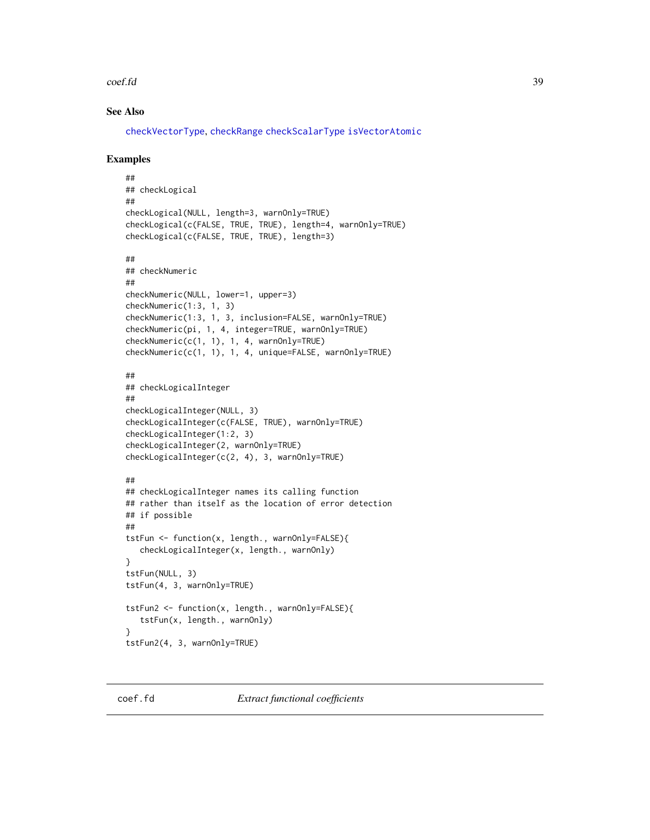coef.fd 39

## See Also

[checkVectorType](#page-0-0), [checkRange](#page-0-0) [checkScalarType](#page-0-0) [isVectorAtomic](#page-0-0)

## Examples

```
##
## checkLogical
##
checkLogical(NULL, length=3, warnOnly=TRUE)
checkLogical(c(FALSE, TRUE, TRUE), length=4, warnOnly=TRUE)
checkLogical(c(FALSE, TRUE, TRUE), length=3)
##
## checkNumeric
##
checkNumeric(NULL, lower=1, upper=3)
checkNumeric(1:3, 1, 3)
checkNumeric(1:3, 1, 3, inclusion=FALSE, warnOnly=TRUE)
checkNumeric(pi, 1, 4, integer=TRUE, warnOnly=TRUE)
checkNumeric(c(1, 1), 1, 4, warnOnly=TRUE)
checkNumeric(c(1, 1), 1, 4, unique=FALSE, warnOnly=TRUE)
##
## checkLogicalInteger
##
checkLogicalInteger(NULL, 3)
checkLogicalInteger(c(FALSE, TRUE), warnOnly=TRUE)
checkLogicalInteger(1:2, 3)
checkLogicalInteger(2, warnOnly=TRUE)
checkLogicalInteger(c(2, 4), 3, warnOnly=TRUE)
##
## checkLogicalInteger names its calling function
## rather than itself as the location of error detection
## if possible
##
tstFun <- function(x, length., warnOnly=FALSE){
   checkLogicalInteger(x, length., warnOnly)
}
tstFun(NULL, 3)
tstFun(4, 3, warnOnly=TRUE)
tstFun2 <- function(x, length., warnOnly=FALSE){
   tstFun(x, length., warnOnly)
}
tstFun2(4, 3, warnOnly=TRUE)
```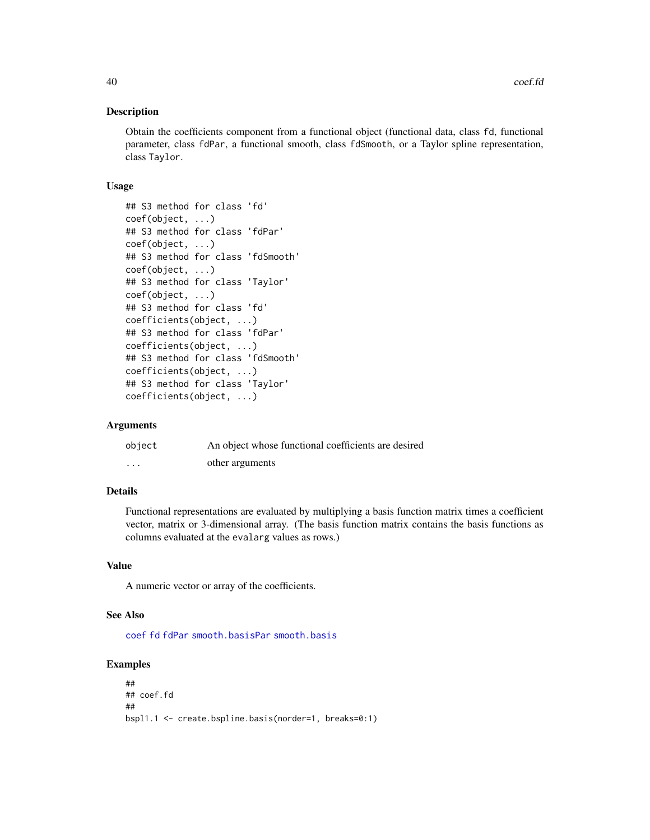#### **Description**

Obtain the coefficients component from a functional object (functional data, class fd, functional parameter, class fdPar, a functional smooth, class fdSmooth, or a Taylor spline representation, class Taylor.

#### Usage

```
## S3 method for class 'fd'
coef(object, ...)
## S3 method for class 'fdPar'
coef(object, ...)
## S3 method for class 'fdSmooth'
coef(object, ...)
## S3 method for class 'Taylor'
coef(object, ...)
## S3 method for class 'fd'
coefficients(object, ...)
## S3 method for class 'fdPar'
coefficients(object, ...)
## S3 method for class 'fdSmooth'
coefficients(object, ...)
## S3 method for class 'Taylor'
coefficients(object, ...)
```
#### Arguments

| object   | An object whose functional coefficients are desired |
|----------|-----------------------------------------------------|
| $\cdots$ | other arguments                                     |

## Details

Functional representations are evaluated by multiplying a basis function matrix times a coefficient vector, matrix or 3-dimensional array. (The basis function matrix contains the basis functions as columns evaluated at the evalarg values as rows.)

## Value

A numeric vector or array of the coefficients.

#### See Also

[coef](#page-0-0) [fd](#page-0-0) [fdPar](#page-111-0) [smooth.basisPar](#page-255-0) [smooth.basis](#page-240-0)

## Examples

```
##
## coef.fd
##
bspl1.1 <- create.bspline.basis(norder=1, breaks=0:1)
```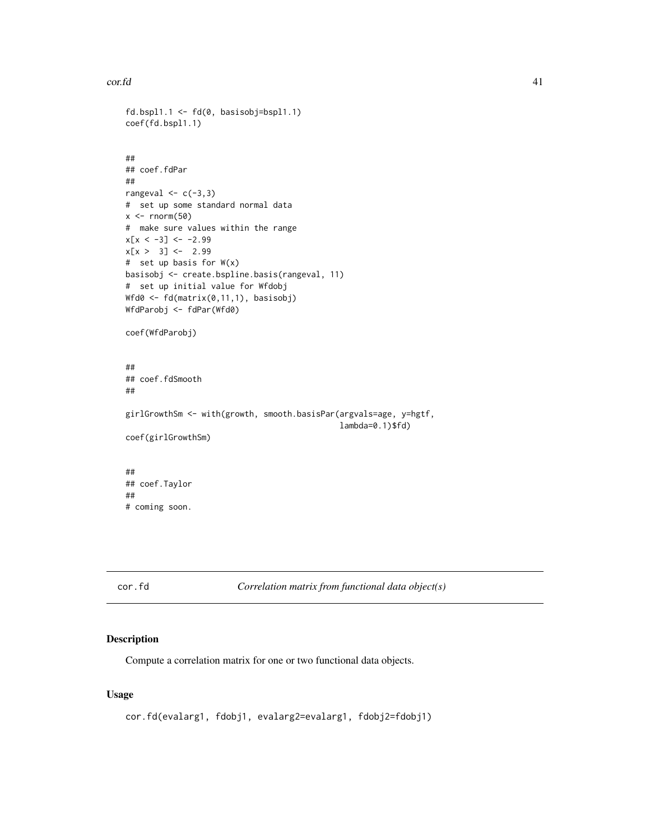#### $\epsilon$  cor.fd  $\epsilon$  41

```
fd.bsp11.1 \leftarrow fd(0, basisobj=bsp11.1)coef(fd.bspl1.1)
##
## coef.fdPar
##
rangeval \leq c(-3,3)# set up some standard normal data
x \le - rnorm(50)
# make sure values within the range
x[x < -3] < -2.99x[x > 3] < -2.99# set up basis for W(x)
basisobj <- create.bspline.basis(rangeval, 11)
# set up initial value for Wfdobj
Wfd0 <- fd(matrix(0,11,1), basisobj)
WfdParobj <- fdPar(Wfd0)
coef(WfdParobj)
##
## coef.fdSmooth
##
girlGrowthSm <- with(growth, smooth.basisPar(argvals=age, y=hgtf,
                                              lambda=0.1)$fd)
coef(girlGrowthSm)
##
## coef.Taylor
##
# coming soon.
```
cor.fd *Correlation matrix from functional data object(s)*

## Description

Compute a correlation matrix for one or two functional data objects.

## Usage

```
cor.fd(evalarg1, fdobj1, evalarg2=evalarg1, fdobj2=fdobj1)
```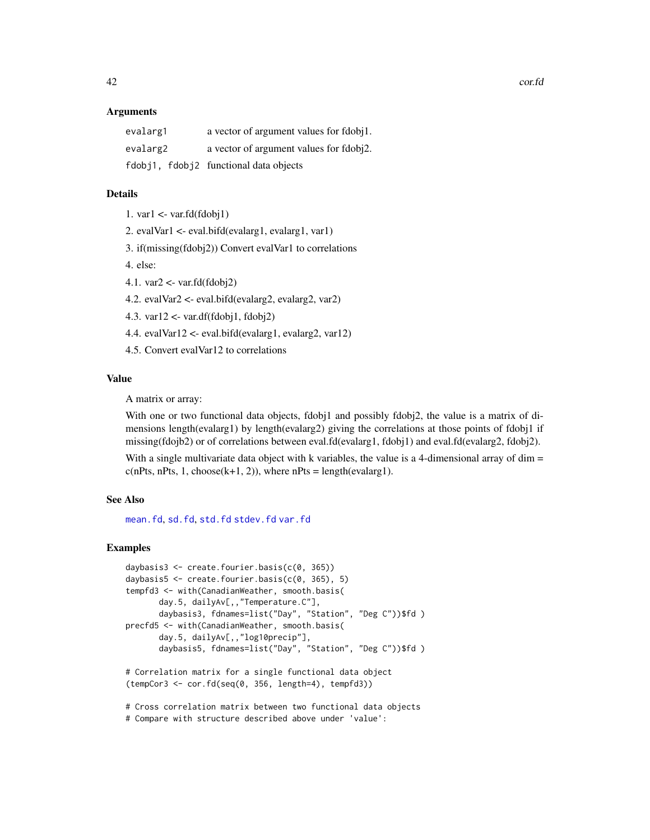#### Arguments

| evalarg1 | a vector of argument values for fdobi1. |
|----------|-----------------------------------------|
| evalarg2 | a vector of argument values for fdob.   |
|          | fdobj1, fdobj2 functional data objects  |

## Details

- 1. var $1 <$  var.fd $(fdobj1)$
- 2. evalVar1 <- eval.bifd(evalarg1, evalarg1, var1)
- 3. if(missing(fdobj2)) Convert evalVar1 to correlations

4. else:

- 4.1. var $2 <$  var.fd $(fdobj2)$
- 4.2. evalVar2 <- eval.bifd(evalarg2, evalarg2, var2)
- 4.3. var $12 \leq$  var.df(fdobj1, fdobj2)
- 4.4. evalVar12 <- eval.bifd(evalarg1, evalarg2, var12)
- 4.5. Convert evalVar12 to correlations

## Value

A matrix or array:

With one or two functional data objects, fdobj1 and possibly fdobj2, the value is a matrix of dimensions length(evalarg1) by length(evalarg2) giving the correlations at those points of fdobj1 if missing(fdojb2) or of correlations between eval.fd(evalarg1, fdobj1) and eval.fd(evalarg2, fdobj2).

With a single multivariate data object with k variables, the value is a 4-dimensional array of dim  $=$  $c(nPts, nPts, 1, choose(k+1, 2))$ , where  $nPts = length(evalarg1)$ .

## See Also

[mean.fd](#page-168-0), [sd.fd](#page-237-0), [std.fd](#page-237-1) [stdev.fd](#page-237-1) [var.fd](#page-280-0)

#### Examples

```
daybasis3 <- create.fourier.basis(c(0, 365))
daybasis5 <- create.fourier.basis(c(0, 365), 5)
tempfd3 <- with(CanadianWeather, smooth.basis(
      day.5, dailyAv[,,"Temperature.C"],
      daybasis3, fdnames=list("Day", "Station", "Deg C"))$fd )
precfd5 <- with(CanadianWeather, smooth.basis(
      day.5, dailyAv[,,"log10precip"],
      daybasis5, fdnames=list("Day", "Station", "Deg C"))$fd )
# Correlation matrix for a single functional data object
(tempCor3 <- cor.fd(seq(0, 356, length=4), tempfd3))
```
# Cross correlation matrix between two functional data objects

# Compare with structure described above under 'value':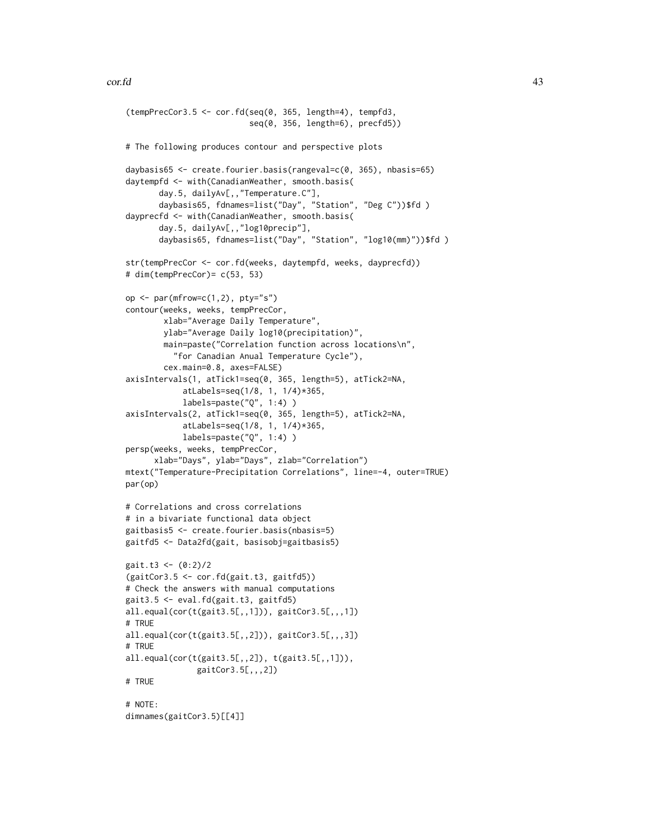#### $\frac{1}{43}$

```
(tempPrecCor3.5 <- cor.fd(seq(0, 365, length=4), tempfd3,
                          seq(0, 356, length=6), precfd5))
# The following produces contour and perspective plots
daybasis65 <- create.fourier.basis(rangeval=c(0, 365), nbasis=65)
daytempfd <- with(CanadianWeather, smooth.basis(
      day.5, dailyAv[,,"Temperature.C"],
      daybasis65, fdnames=list("Day", "Station", "Deg C"))$fd )
dayprecfd <- with(CanadianWeather, smooth.basis(
      day.5, dailyAv[,,"log10precip"],
      daybasis65, fdnames=list("Day", "Station", "log10(mm)"))$fd )
str(tempPrecCor <- cor.fd(weeks, daytempfd, weeks, dayprecfd))
# dim(tempPrecCor)= c(53, 53)
op <- par(mfrow=c(1,2), pty="s")
contour(weeks, weeks, tempPrecCor,
       xlab="Average Daily Temperature",
       ylab="Average Daily log10(precipitation)",
       main=paste("Correlation function across locations\n",
          "for Canadian Anual Temperature Cycle"),
       cex.main=0.8, axes=FALSE)
axisIntervals(1, atTick1=seq(0, 365, length=5), atTick2=NA,
            atLabels=seq(1/8, 1, 1/4)*365,
            labels=paste("Q", 1:4) )
axisIntervals(2, atTick1=seq(0, 365, length=5), atTick2=NA,
            atLabels=seq(1/8, 1, 1/4)*365,
            labels=paste("Q", 1:4) )
persp(weeks, weeks, tempPrecCor,
     xlab="Days", ylab="Days", zlab="Correlation")
mtext("Temperature-Precipitation Correlations", line=-4, outer=TRUE)
par(op)
# Correlations and cross correlations
# in a bivariate functional data object
gaitbasis5 <- create.fourier.basis(nbasis=5)
gaitfd5 <- Data2fd(gait, basisobj=gaitbasis5)
gait.t3 <- (0:2)/2(gaitCor3.5 <- cor.fd(gait.t3, gaitfd5))
# Check the answers with manual computations
gait3.5 <- eval.fd(gait.t3, gaitfd5)
all.equal(cor(t(gait3.5[,,1])), gaitCor3.5[,,,1])
# TRUE
all.equal(cor(t(gait3.5[,,2])), gaitCor3.5[,,,3])
# TRUE
all.equal(cor(t(gait3.5[,,2]), t(gait3.5[,,1])),
              gaitCor3.5[,,,2])
# TRUE
# NOTE:
dimnames(gaitCor3.5)[[4]]
```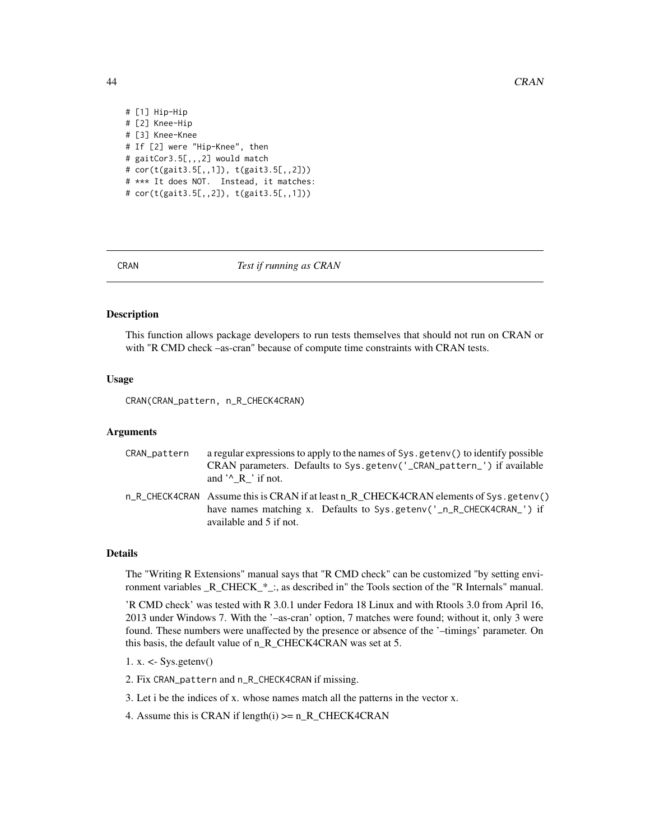# [1] Hip-Hip # [2] Knee-Hip # [3] Knee-Knee # If [2] were "Hip-Knee", then # gaitCor3.5[,,,2] would match # cor(t(gait3.5[,,1]), t(gait3.5[,,2])) # \*\*\* It does NOT. Instead, it matches: # cor(t(gait3.5[,,2]), t(gait3.5[,,1]))

CRAN *Test if running as CRAN*

## Description

This function allows package developers to run tests themselves that should not run on CRAN or with "R CMD check –as-cran" because of compute time constraints with CRAN tests.

#### Usage

CRAN(CRAN\_pattern, n\_R\_CHECK4CRAN)

## Arguments

| CRAN_pattern | a regular expressions to apply to the names of Sys. geteny () to identify possible<br>CRAN parameters. Defaults to Sys.geteny('_CRAN_pattern_') if available<br>and $\lambda$ R $\lambda$ if not. |
|--------------|---------------------------------------------------------------------------------------------------------------------------------------------------------------------------------------------------|
|              | n_R_CHECK4CRAN Assume this is CRAN if at least n R CHECK4CRAN elements of Sys. geteny()<br>have names matching x. Defaults to Sys.getenv('_n_R_CHECK4CRAN_') if<br>available and 5 if not.        |

#### Details

The "Writing R Extensions" manual says that "R CMD check" can be customized "by setting environment variables  $\mathbb{R}_{\mathbb{C}}$ CHECK\_\*\_:, as described in" the Tools section of the "R Internals" manual.

'R CMD check' was tested with R 3.0.1 under Fedora 18 Linux and with Rtools 3.0 from April 16, 2013 under Windows 7. With the '–as-cran' option, 7 matches were found; without it, only 3 were found. These numbers were unaffected by the presence or absence of the '–timings' parameter. On this basis, the default value of n\_R\_CHECK4CRAN was set at 5.

1. x. <- Sys.getenv()

- 2. Fix CRAN\_pattern and n\_R\_CHECK4CRAN if missing.
- 3. Let i be the indices of x. whose names match all the patterns in the vector x.
- 4. Assume this is CRAN if length $(i)$  >=  $n_R$ <sub>CHECK4CRAN</sub>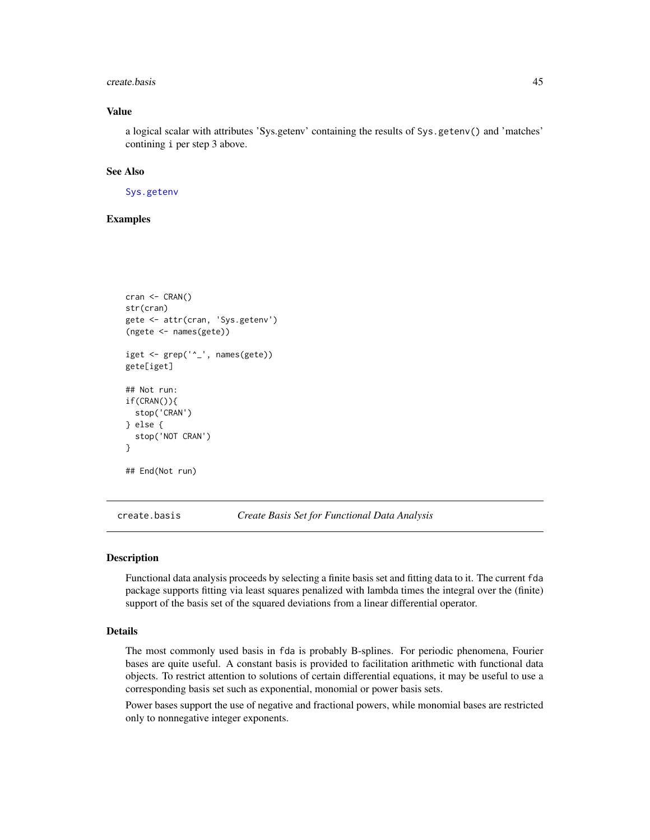#### create.basis 45

## Value

a logical scalar with attributes 'Sys.getenv' containing the results of Sys.getenv() and 'matches' contining i per step 3 above.

#### See Also

[Sys.getenv](#page-0-0)

## Examples

```
cran <- CRAN()
str(cran)
gete <- attr(cran, 'Sys.getenv')
(ngete <- names(gete))
iget <- grep('^_', names(gete))
gete[iget]
## Not run:
if(CRAN()){
 stop('CRAN')
} else {
 stop('NOT CRAN')
}
## End(Not run)
```
<span id="page-44-0"></span>create.basis *Create Basis Set for Functional Data Analysis*

#### Description

Functional data analysis proceeds by selecting a finite basis set and fitting data to it. The current fda package supports fitting via least squares penalized with lambda times the integral over the (finite) support of the basis set of the squared deviations from a linear differential operator.

## Details

The most commonly used basis in fda is probably B-splines. For periodic phenomena, Fourier bases are quite useful. A constant basis is provided to facilitation arithmetic with functional data objects. To restrict attention to solutions of certain differential equations, it may be useful to use a corresponding basis set such as exponential, monomial or power basis sets.

Power bases support the use of negative and fractional powers, while monomial bases are restricted only to nonnegative integer exponents.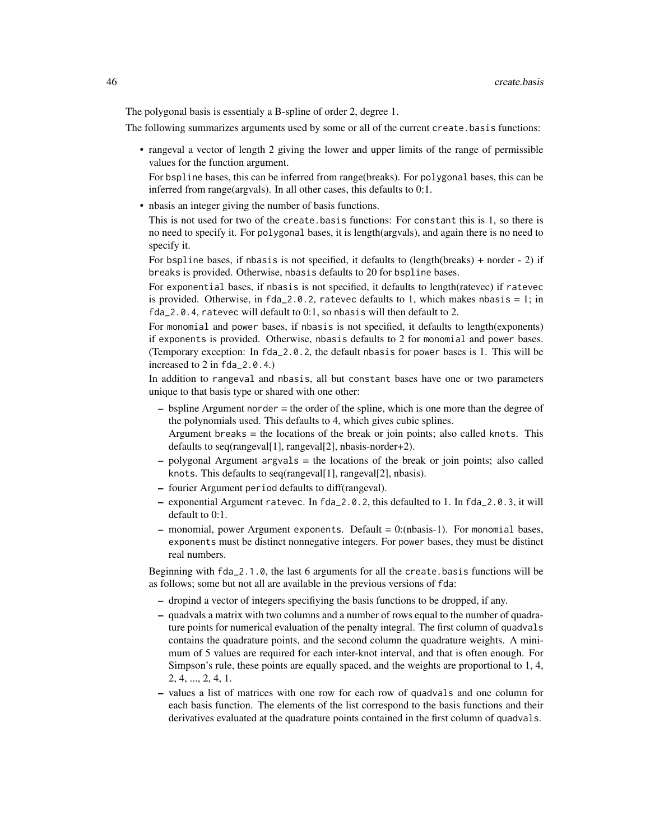The polygonal basis is essentialy a B-spline of order 2, degree 1.

The following summarizes arguments used by some or all of the current create.basis functions:

• rangeval a vector of length 2 giving the lower and upper limits of the range of permissible values for the function argument.

For bspline bases, this can be inferred from range(breaks). For polygonal bases, this can be inferred from range(argvals). In all other cases, this defaults to 0:1.

• nbasis an integer giving the number of basis functions.

This is not used for two of the create.basis functions: For constant this is 1, so there is no need to specify it. For polygonal bases, it is length(argvals), and again there is no need to specify it.

For bspline bases, if nbasis is not specified, it defaults to (length(breaks) + norder - 2) if breaks is provided. Otherwise, nbasis defaults to 20 for bspline bases.

For exponential bases, if nbasis is not specified, it defaults to length(ratevec) if ratevec is provided. Otherwise, in  $fda_2$ . 0.2, ratevec defaults to 1, which makes nbasis = 1; in fda\_2.0.4, ratevec will default to 0:1, so nbasis will then default to 2.

For monomial and power bases, if nbasis is not specified, it defaults to length(exponents) if exponents is provided. Otherwise, nbasis defaults to 2 for monomial and power bases. (Temporary exception: In fda\_2.0.2, the default nbasis for power bases is 1. This will be increased to 2 in fda\_2.0.4.)

In addition to rangeval and nbasis, all but constant bases have one or two parameters unique to that basis type or shared with one other:

- bspline Argument norder = the order of the spline, which is one more than the degree of the polynomials used. This defaults to 4, which gives cubic splines.
	- Argument breaks = the locations of the break or join points; also called knots. This defaults to seq(rangeval[1], rangeval[2], nbasis-norder+2).
- polygonal Argument argvals = the locations of the break or join points; also called knots. This defaults to seq(rangeval[1], rangeval[2], nbasis).
- fourier Argument period defaults to diff(rangeval).
- exponential Argument ratevec. In fda\_2.0.2, this defaulted to 1. In fda\_2.0.3, it will default to 0:1.
- $-$  monomial, power Argument exponents. Default  $= 0$ :(nbasis-1). For monomial bases, exponents must be distinct nonnegative integers. For power bases, they must be distinct real numbers.

Beginning with fda\_2.1.0, the last 6 arguments for all the create.basis functions will be as follows; some but not all are available in the previous versions of fda:

- dropind a vector of integers specifiying the basis functions to be dropped, if any.
- quadvals a matrix with two columns and a number of rows equal to the number of quadrature points for numerical evaluation of the penalty integral. The first column of quadvals contains the quadrature points, and the second column the quadrature weights. A minimum of 5 values are required for each inter-knot interval, and that is often enough. For Simpson's rule, these points are equally spaced, and the weights are proportional to 1, 4, 2, 4, ..., 2, 4, 1.
- values a list of matrices with one row for each row of quadvals and one column for each basis function. The elements of the list correspond to the basis functions and their derivatives evaluated at the quadrature points contained in the first column of quadvals.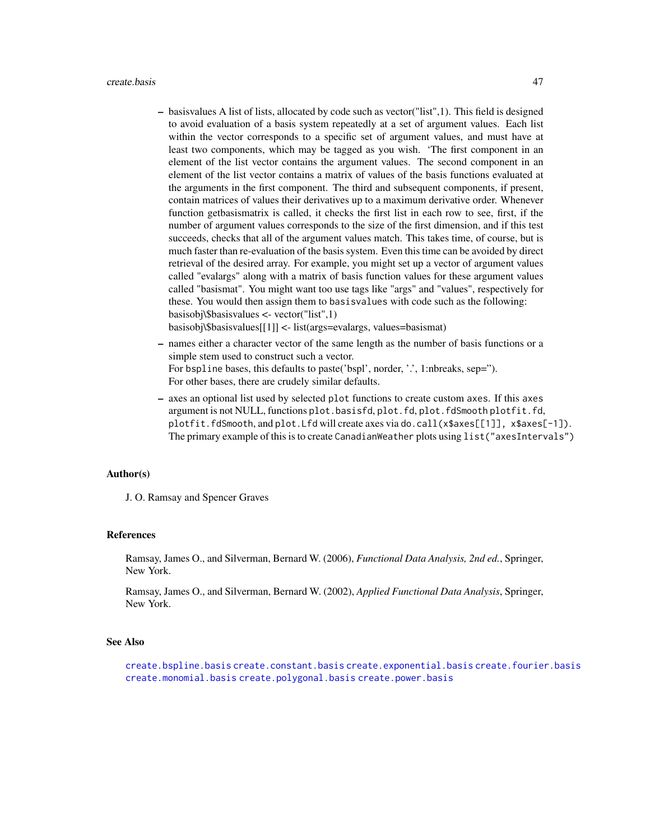#### create.basis 47

– basisvalues A list of lists, allocated by code such as vector("list",1). This field is designed to avoid evaluation of a basis system repeatedly at a set of argument values. Each list within the vector corresponds to a specific set of argument values, and must have at least two components, which may be tagged as you wish. 'The first component in an element of the list vector contains the argument values. The second component in an element of the list vector contains a matrix of values of the basis functions evaluated at the arguments in the first component. The third and subsequent components, if present, contain matrices of values their derivatives up to a maximum derivative order. Whenever function getbasismatrix is called, it checks the first list in each row to see, first, if the number of argument values corresponds to the size of the first dimension, and if this test succeeds, checks that all of the argument values match. This takes time, of course, but is much faster than re-evaluation of the basis system. Even this time can be avoided by direct retrieval of the desired array. For example, you might set up a vector of argument values called "evalargs" along with a matrix of basis function values for these argument values called "basismat". You might want too use tags like "args" and "values", respectively for these. You would then assign them to basisvalues with code such as the following: basisobj\\$basisvalues <- vector("list",1)

basisobj\\$basisvalues[[1]] <- list(args=evalargs, values=basismat)

- names either a character vector of the same length as the number of basis functions or a simple stem used to construct such a vector. For bspline bases, this defaults to paste ('bspl', norder, '.', 1:nbreaks, sep="). For other bases, there are crudely similar defaults.
- axes an optional list used by selected plot functions to create custom axes. If this axes argument is not NULL, functions plot.basisfd, plot.fd, plot.fdSmooth plotfit.fd, plotfit.fdSmooth, and plot.Lfd will create axes via do.call(x\$axes[[1]], x\$axes[-1]). The primary example of this is to create CanadianWeather plots using list("axesIntervals")

## Author(s)

J. O. Ramsay and Spencer Graves

#### References

Ramsay, James O., and Silverman, Bernard W. (2006), *Functional Data Analysis, 2nd ed.*, Springer, New York.

Ramsay, James O., and Silverman, Bernard W. (2002), *Applied Functional Data Analysis*, Springer, New York.

#### See Also

[create.bspline.basis](#page-47-0) [create.constant.basis](#page-51-0) [create.exponential.basis](#page-52-0) [create.fourier.basis](#page-54-0) [create.monomial.basis](#page-57-0) [create.polygonal.basis](#page-59-0) [create.power.basis](#page-61-0)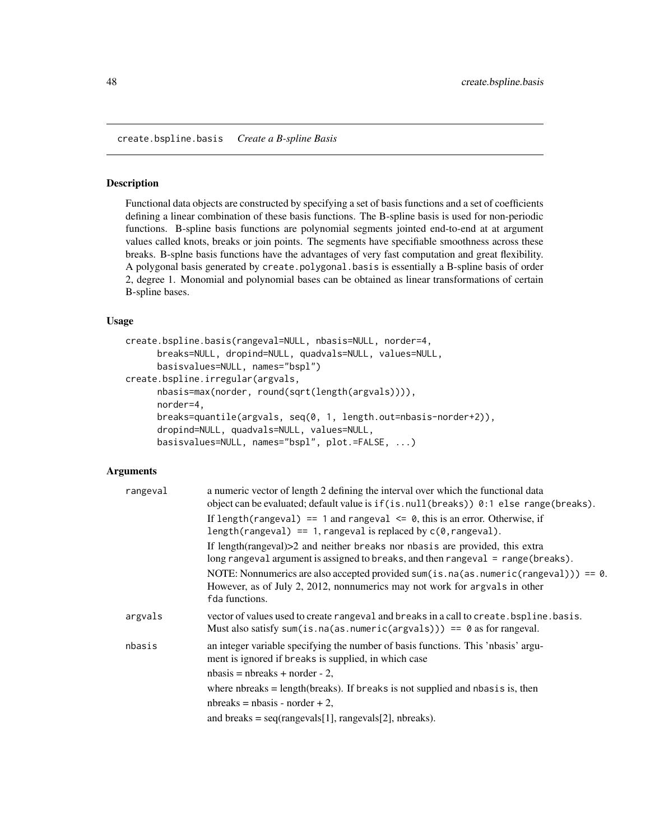<span id="page-47-0"></span>create.bspline.basis *Create a B-spline Basis*

#### Description

Functional data objects are constructed by specifying a set of basis functions and a set of coefficients defining a linear combination of these basis functions. The B-spline basis is used for non-periodic functions. B-spline basis functions are polynomial segments jointed end-to-end at at argument values called knots, breaks or join points. The segments have specifiable smoothness across these breaks. B-splne basis functions have the advantages of very fast computation and great flexibility. A polygonal basis generated by create.polygonal.basis is essentially a B-spline basis of order 2, degree 1. Monomial and polynomial bases can be obtained as linear transformations of certain B-spline bases.

#### Usage

```
create.bspline.basis(rangeval=NULL, nbasis=NULL, norder=4,
      breaks=NULL, dropind=NULL, quadvals=NULL, values=NULL,
      basisvalues=NULL, names="bspl")
create.bspline.irregular(argvals,
      nbasis=max(norder, round(sqrt(length(argvals)))),
      norder=4,
      breaks=quantile(argvals, seq(0, 1, length.out=nbasis-norder+2)),
      dropind=NULL, quadvals=NULL, values=NULL,
      basisvalues=NULL, names="bspl", plot.=FALSE, ...)
```

| a numeric vector of length 2 defining the interval over which the functional data<br>object can be evaluated; default value is $if(is.null(breaks)) 0:1 else range(breaks)$ .       |
|-------------------------------------------------------------------------------------------------------------------------------------------------------------------------------------|
| If length (rangeval) == 1 and rangeval $\leq$ 0, this is an error. Otherwise, if<br>length(rangeval) == 1, rangeval is replaced by $c(0, \text{rangeval})$ .                        |
| If length(rangeval)>2 and neither breaks nor nbasis are provided, this extra<br>long rangeval argument is assigned to breaks, and then rangeval $=$ range(breaks).                  |
| NOTE: Nonnumerics are also accepted provided sum(is.na(as.numeric(rangeval))) == 0.<br>However, as of July 2, 2012, nonnumerics may not work for argvals in other<br>fda functions. |
| vector of values used to create rangeval and breaks in a call to create. bspline. basis.<br>Must also satisfy sum(is.na(as.numeric(argvals))) == $\theta$ as for rangeval.          |
| an integer variable specifying the number of basis functions. This 'nbasis' argu-<br>ment is ignored if breaks is supplied, in which case                                           |
| $n basis = nbreaks + norder - 2$ ,                                                                                                                                                  |
| where $n$ h $\epsilon$ = length (breaks). If breaks is not supplied and $n$ h $\epsilon$ is, then                                                                                   |
| $nbreaks = nbasis - norder + 2$ ,                                                                                                                                                   |
| and breaks = $seq(rangevals[1]$ , rangevals[2], nbreaks).                                                                                                                           |
|                                                                                                                                                                                     |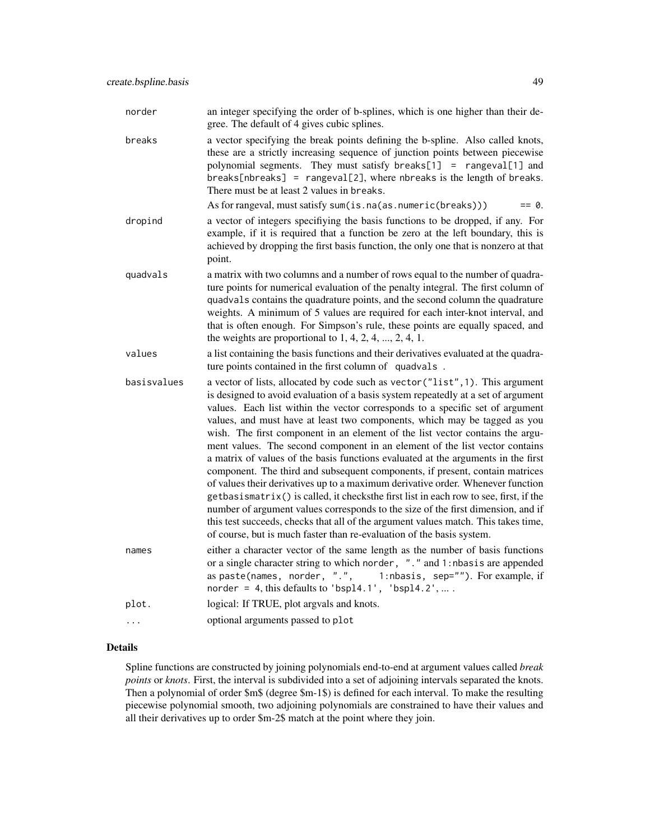| norder      | an integer specifying the order of b-splines, which is one higher than their de-<br>gree. The default of 4 gives cubic splines.                                                                                                                                                                                                                                                                                                                                                                                                                                                                                                                                                                                                                                                                                                                                                                                                                                                                                                                                                                        |
|-------------|--------------------------------------------------------------------------------------------------------------------------------------------------------------------------------------------------------------------------------------------------------------------------------------------------------------------------------------------------------------------------------------------------------------------------------------------------------------------------------------------------------------------------------------------------------------------------------------------------------------------------------------------------------------------------------------------------------------------------------------------------------------------------------------------------------------------------------------------------------------------------------------------------------------------------------------------------------------------------------------------------------------------------------------------------------------------------------------------------------|
| breaks      | a vector specifying the break points defining the b-spline. Also called knots,<br>these are a strictly increasing sequence of junction points between piecewise<br>polynomial segments. They must satisfy breaks[1] = rangeval[1] and<br>breaks[nbreaks] = $rangeval[2]$ , where nbreaks is the length of breaks.<br>There must be at least 2 values in breaks.                                                                                                                                                                                                                                                                                                                                                                                                                                                                                                                                                                                                                                                                                                                                        |
|             | As for rangeval, must satisfy sum(is.na(as.numeric(breaks)))<br>$== 0.$                                                                                                                                                                                                                                                                                                                                                                                                                                                                                                                                                                                                                                                                                                                                                                                                                                                                                                                                                                                                                                |
| dropind     | a vector of integers specifiying the basis functions to be dropped, if any. For<br>example, if it is required that a function be zero at the left boundary, this is<br>achieved by dropping the first basis function, the only one that is nonzero at that<br>point.                                                                                                                                                                                                                                                                                                                                                                                                                                                                                                                                                                                                                                                                                                                                                                                                                                   |
| quadvals    | a matrix with two columns and a number of rows equal to the number of quadra-<br>ture points for numerical evaluation of the penalty integral. The first column of<br>quadvals contains the quadrature points, and the second column the quadrature<br>weights. A minimum of 5 values are required for each inter-knot interval, and<br>that is often enough. For Simpson's rule, these points are equally spaced, and<br>the weights are proportional to $1, 4, 2, 4, \ldots, 2, 4, 1$ .                                                                                                                                                                                                                                                                                                                                                                                                                                                                                                                                                                                                              |
| values      | a list containing the basis functions and their derivatives evaluated at the quadra-<br>ture points contained in the first column of quadvals.                                                                                                                                                                                                                                                                                                                                                                                                                                                                                                                                                                                                                                                                                                                                                                                                                                                                                                                                                         |
| basisvalues | a vector of lists, allocated by code such as vector ("list", 1). This argument<br>is designed to avoid evaluation of a basis system repeatedly at a set of argument<br>values. Each list within the vector corresponds to a specific set of argument<br>values, and must have at least two components, which may be tagged as you<br>wish. The first component in an element of the list vector contains the argu-<br>ment values. The second component in an element of the list vector contains<br>a matrix of values of the basis functions evaluated at the arguments in the first<br>component. The third and subsequent components, if present, contain matrices<br>of values their derivatives up to a maximum derivative order. Whenever function<br>getbasismatrix() is called, it checks the first list in each row to see, first, if the<br>number of argument values corresponds to the size of the first dimension, and if<br>this test succeeds, checks that all of the argument values match. This takes time,<br>of course, but is much faster than re-evaluation of the basis system. |
| names       | either a character vector of the same length as the number of basis functions<br>or a single character string to which norder, "." and 1: nbasis are appended<br>as paste(names, norder, ".", 1:nbasis, sep=""). For example, if<br>norder = 4, this defaults to 'bspl4.1', 'bspl4.2',                                                                                                                                                                                                                                                                                                                                                                                                                                                                                                                                                                                                                                                                                                                                                                                                                 |
| plot.       | logical: If TRUE, plot argvals and knots.                                                                                                                                                                                                                                                                                                                                                                                                                                                                                                                                                                                                                                                                                                                                                                                                                                                                                                                                                                                                                                                              |
| .           | optional arguments passed to plot                                                                                                                                                                                                                                                                                                                                                                                                                                                                                                                                                                                                                                                                                                                                                                                                                                                                                                                                                                                                                                                                      |

# Details

Spline functions are constructed by joining polynomials end-to-end at argument values called *break points* or *knots*. First, the interval is subdivided into a set of adjoining intervals separated the knots. Then a polynomial of order \$m\$ (degree \$m-1\$) is defined for each interval. To make the resulting piecewise polynomial smooth, two adjoining polynomials are constrained to have their values and all their derivatives up to order \$m-2\$ match at the point where they join.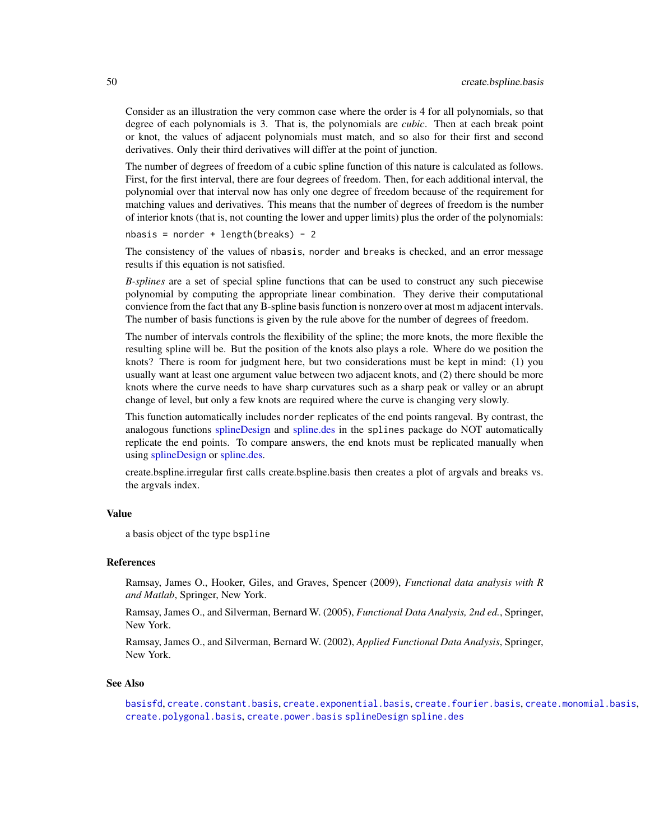Consider as an illustration the very common case where the order is 4 for all polynomials, so that degree of each polynomials is 3. That is, the polynomials are *cubic*. Then at each break point or knot, the values of adjacent polynomials must match, and so also for their first and second derivatives. Only their third derivatives will differ at the point of junction.

The number of degrees of freedom of a cubic spline function of this nature is calculated as follows. First, for the first interval, there are four degrees of freedom. Then, for each additional interval, the polynomial over that interval now has only one degree of freedom because of the requirement for matching values and derivatives. This means that the number of degrees of freedom is the number of interior knots (that is, not counting the lower and upper limits) plus the order of the polynomials:

```
nbasis = norder + length(breaks) - 2
```
The consistency of the values of nbasis, norder and breaks is checked, and an error message results if this equation is not satisfied.

*B-splines* are a set of special spline functions that can be used to construct any such piecewise polynomial by computing the appropriate linear combination. They derive their computational convience from the fact that any B-spline basis function is nonzero over at most m adjacent intervals. The number of basis functions is given by the rule above for the number of degrees of freedom.

The number of intervals controls the flexibility of the spline; the more knots, the more flexible the resulting spline will be. But the position of the knots also plays a role. Where do we position the knots? There is room for judgment here, but two considerations must be kept in mind: (1) you usually want at least one argument value between two adjacent knots, and (2) there should be more knots where the curve needs to have sharp curvatures such as a sharp peak or valley or an abrupt change of level, but only a few knots are required where the curve is changing very slowly.

This function automatically includes norder replicates of the end points rangeval. By contrast, the analogous functions [splineDesign](#page-0-0) and [spline.des](#page-0-0) in the splines package do NOT automatically replicate the end points. To compare answers, the end knots must be replicated manually when using [splineDesign](#page-0-0) or [spline.des.](#page-0-0)

create.bspline.irregular first calls create.bspline.basis then creates a plot of argvals and breaks vs. the argvals index.

## Value

a basis object of the type bspline

#### References

Ramsay, James O., Hooker, Giles, and Graves, Spencer (2009), *Functional data analysis with R and Matlab*, Springer, New York.

Ramsay, James O., and Silverman, Bernard W. (2005), *Functional Data Analysis, 2nd ed.*, Springer, New York.

Ramsay, James O., and Silverman, Bernard W. (2002), *Applied Functional Data Analysis*, Springer, New York.

#### See Also

[basisfd](#page-0-0), [create.constant.basis](#page-51-0), [create.exponential.basis](#page-52-0), [create.fourier.basis](#page-54-0), [create.monomial.basis](#page-57-0), [create.polygonal.basis](#page-59-0), [create.power.basis](#page-61-0) [splineDesign](#page-0-0) [spline.des](#page-0-0)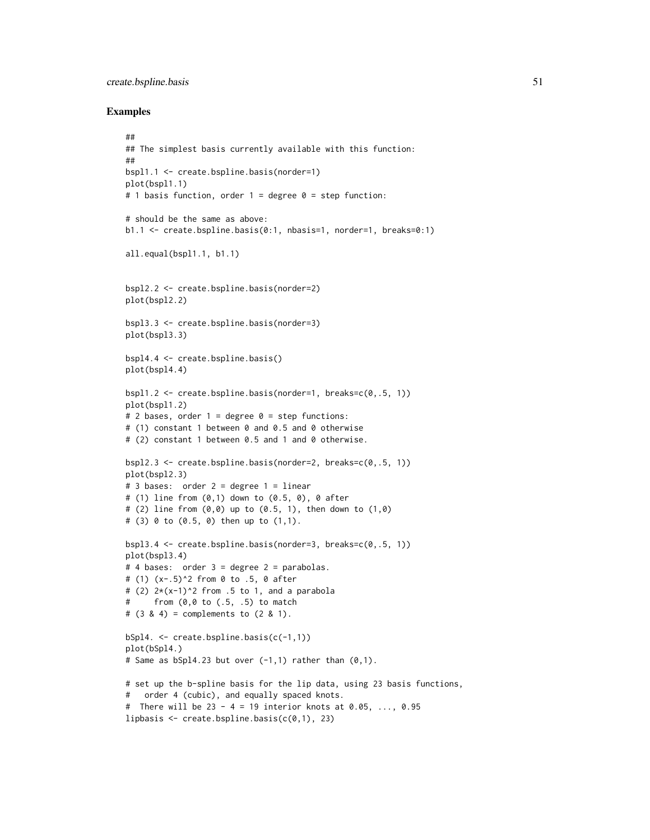## create.bspline.basis 51

#### Examples

##

```
## The simplest basis currently available with this function:
##
bspl1.1 <- create.bspline.basis(norder=1)
plot(bspl1.1)
# 1 basis function, order 1 = \text{degree } \theta = \text{step function}:
# should be the same as above:
b1.1 \leq create.bspline.basis(0:1, nbasis=1, norder=1, breaks=0:1)
all.equal(bspl1.1, b1.1)
bspl2.2 <- create.bspline.basis(norder=2)
plot(bspl2.2)
bspl3.3 <- create.bspline.basis(norder=3)
plot(bspl3.3)
bspl4.4 <- create.bspline.basis()
plot(bspl4.4)
bspl1.2 \leq create.bspline.basis(norder=1, breaks=c(0, .5, 1))
plot(bspl1.2)
# 2 bases, order 1 = \text{degree } \theta = \text{step functions}:# (1) constant 1 between 0 and 0.5 and 0 otherwise
# (2) constant 1 between 0.5 and 1 and 0 otherwise.
bspl2.3 <- create.bspline.basis(norder=2, breaks=c(0,.5, 1))
plot(bspl2.3)
# 3 bases: order 2 = degree 1 = linear
# (1) line from (0,1) down to (0.5, 0), 0 after
# (2) line from (0,0) up to (0.5, 1), then down to (1,0)
# (3) 0 to (0.5, 0) then up to (1,1).
bspl3.4 <- create.bspline.basis(norder=3, breaks=c(0,.5, 1))
plot(bspl3.4)
# 4 bases: order 3 = degree 2 = parabolas.
# (1) (x-.5)^2 from 0 to .5, 0 after
# (2) 2*(x-1)^2 from .5 to 1, and a parabola
# from (0,0 to (.5, .5) to match
# (3 & 4) = complements to (2 & 1).
bSpl4. \leq create.bspline.basis(c(-1,1))
plot(bSpl4.)
# Same as bSp14.23 but over (-1,1) rather than (0,1).
# set up the b-spline basis for the lip data, using 23 basis functions,
# order 4 (cubic), and equally spaced knots.
# There will be 23 - 4 = 19 interior knots at 0.05, ..., 0.95
lipbasis \leq create.bspline.basis(c(0,1), 23)
```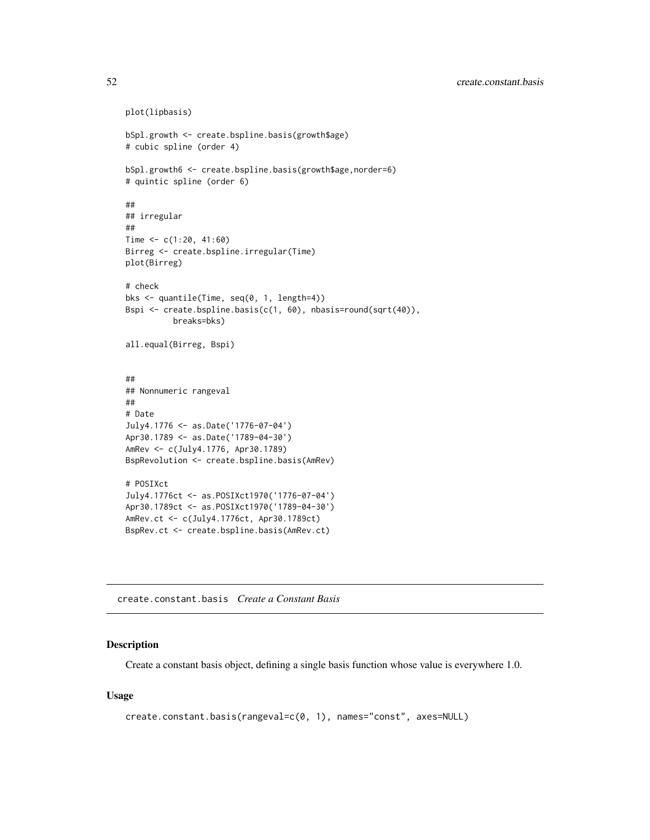```
plot(lipbasis)
bSpl.growth <- create.bspline.basis(growth$age)
# cubic spline (order 4)
bSpl.growth6 <- create.bspline.basis(growth$age,norder=6)
# quintic spline (order 6)
##
## irregular
##
Time <- c(1:20, 41:60)
Birreg <- create.bspline.irregular(Time)
plot(Birreg)
# check
bks <- quantile(Time, seq(0, 1, length=4))
Bspi <- create.bspline.basis(c(1, 60), nbasis=round(sqrt(40)),
          breaks=bks)
all.equal(Birreg, Bspi)
##
## Nonnumeric rangeval
##
# Date
July4.1776 <- as.Date('1776-07-04')
Apr30.1789 <- as.Date('1789-04-30')
AmRev <- c(July4.1776, Apr30.1789)
BspRevolution <- create.bspline.basis(AmRev)
# POSIXct
July4.1776ct <- as.POSIXct1970('1776-07-04')
Apr30.1789ct <- as.POSIXct1970('1789-04-30')
AmRev.ct <- c(July4.1776ct, Apr30.1789ct)
BspRev.ct <- create.bspline.basis(AmRev.ct)
```
<span id="page-51-0"></span>create.constant.basis *Create a Constant Basis*

#### Description

Create a constant basis object, defining a single basis function whose value is everywhere 1.0.

#### Usage

```
create.constant.basis(rangeval=c(0, 1), names="const", axes=NULL)
```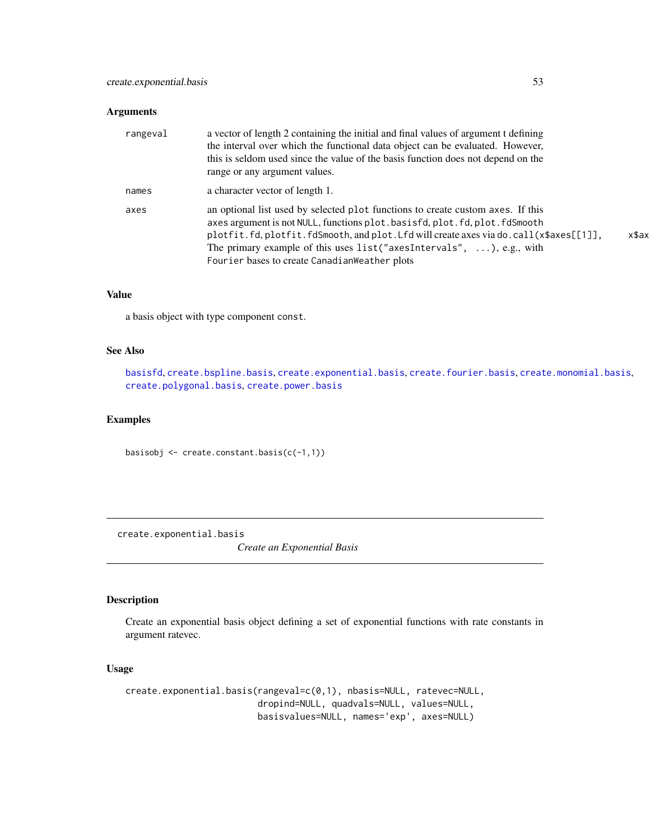## Arguments

| rangeval | a vector of length 2 containing the initial and final values of argument t defining<br>the interval over which the functional data object can be evaluated. However,<br>this is seldom used since the value of the basis function does not depend on the<br>range or any argument values.                                                                                                        |
|----------|--------------------------------------------------------------------------------------------------------------------------------------------------------------------------------------------------------------------------------------------------------------------------------------------------------------------------------------------------------------------------------------------------|
| names    | a character vector of length 1.                                                                                                                                                                                                                                                                                                                                                                  |
| axes     | an optional list used by selected plot functions to create custom axes. If this<br>axes argument is not NULL, functions plot.basisfd, plot.fd, plot.fdSmooth<br>plotfit.fd, plotfit.fdSmooth, and plot.Lfd will create axes via do.call(x\$axes[[1]],<br>x\$ax<br>The primary example of this uses $list("axesIntervals", \ldots), e.g., with$<br>Fourier bases to create Canadian Weather plots |

## Value

a basis object with type component const.

## See Also

[basisfd](#page-0-0), [create.bspline.basis](#page-47-0), [create.exponential.basis](#page-52-0), [create.fourier.basis](#page-54-0), [create.monomial.basis](#page-57-0), [create.polygonal.basis](#page-59-0), [create.power.basis](#page-61-0)

## Examples

basisobj <- create.constant.basis(c(-1,1))

<span id="page-52-0"></span>create.exponential.basis

*Create an Exponential Basis*

## Description

Create an exponential basis object defining a set of exponential functions with rate constants in argument ratevec.

#### Usage

```
create.exponential.basis(rangeval=c(0,1), nbasis=NULL, ratevec=NULL,
                         dropind=NULL, quadvals=NULL, values=NULL,
                         basisvalues=NULL, names='exp', axes=NULL)
```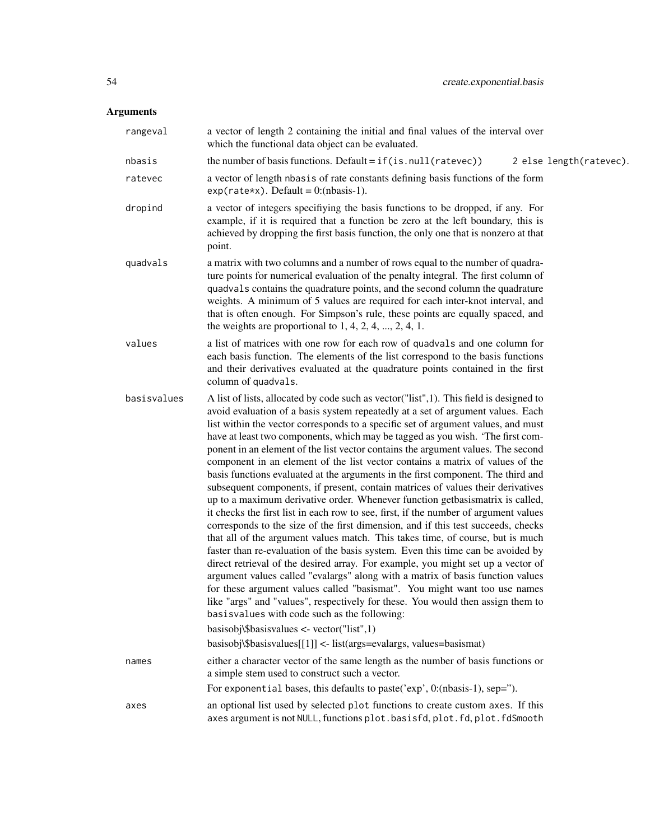| rangeval    | a vector of length 2 containing the initial and final values of the interval over<br>which the functional data object can be evaluated.                                                                                                                                                                                                                                                                                                                                                                                                                                                                                                                                                                                                                                                                                                                                                                                                                                                                                                                                                                                                                                                                                                                                                                                                                                                                                                                                                                                                                                                                                                                |
|-------------|--------------------------------------------------------------------------------------------------------------------------------------------------------------------------------------------------------------------------------------------------------------------------------------------------------------------------------------------------------------------------------------------------------------------------------------------------------------------------------------------------------------------------------------------------------------------------------------------------------------------------------------------------------------------------------------------------------------------------------------------------------------------------------------------------------------------------------------------------------------------------------------------------------------------------------------------------------------------------------------------------------------------------------------------------------------------------------------------------------------------------------------------------------------------------------------------------------------------------------------------------------------------------------------------------------------------------------------------------------------------------------------------------------------------------------------------------------------------------------------------------------------------------------------------------------------------------------------------------------------------------------------------------------|
| nbasis      | the number of basis functions. Default = $if(is.null(ratevec))$<br>2 else length(ratevec).                                                                                                                                                                                                                                                                                                                                                                                                                                                                                                                                                                                                                                                                                                                                                                                                                                                                                                                                                                                                                                                                                                                                                                                                                                                                                                                                                                                                                                                                                                                                                             |
| ratevec     | a vector of length nbasis of rate constants defining basis functions of the form<br>$exp(rate*x)$ . Default = 0:(nbasis-1).                                                                                                                                                                                                                                                                                                                                                                                                                                                                                                                                                                                                                                                                                                                                                                                                                                                                                                                                                                                                                                                                                                                                                                                                                                                                                                                                                                                                                                                                                                                            |
| dropind     | a vector of integers specifiying the basis functions to be dropped, if any. For<br>example, if it is required that a function be zero at the left boundary, this is<br>achieved by dropping the first basis function, the only one that is nonzero at that<br>point.                                                                                                                                                                                                                                                                                                                                                                                                                                                                                                                                                                                                                                                                                                                                                                                                                                                                                                                                                                                                                                                                                                                                                                                                                                                                                                                                                                                   |
| quadvals    | a matrix with two columns and a number of rows equal to the number of quadra-<br>ture points for numerical evaluation of the penalty integral. The first column of<br>quadvals contains the quadrature points, and the second column the quadrature<br>weights. A minimum of 5 values are required for each inter-knot interval, and<br>that is often enough. For Simpson's rule, these points are equally spaced, and<br>the weights are proportional to $1, 4, 2, 4, , 2, 4, 1$ .                                                                                                                                                                                                                                                                                                                                                                                                                                                                                                                                                                                                                                                                                                                                                                                                                                                                                                                                                                                                                                                                                                                                                                    |
| values      | a list of matrices with one row for each row of quadvals and one column for<br>each basis function. The elements of the list correspond to the basis functions<br>and their derivatives evaluated at the quadrature points contained in the first<br>column of quadvals.                                                                                                                                                                                                                                                                                                                                                                                                                                                                                                                                                                                                                                                                                                                                                                                                                                                                                                                                                                                                                                                                                                                                                                                                                                                                                                                                                                               |
| basisvalues | A list of lists, allocated by code such as vector("list", 1). This field is designed to<br>avoid evaluation of a basis system repeatedly at a set of argument values. Each<br>list within the vector corresponds to a specific set of argument values, and must<br>have at least two components, which may be tagged as you wish. 'The first com-<br>ponent in an element of the list vector contains the argument values. The second<br>component in an element of the list vector contains a matrix of values of the<br>basis functions evaluated at the arguments in the first component. The third and<br>subsequent components, if present, contain matrices of values their derivatives<br>up to a maximum derivative order. Whenever function getbasismatrix is called,<br>it checks the first list in each row to see, first, if the number of argument values<br>corresponds to the size of the first dimension, and if this test succeeds, checks<br>that all of the argument values match. This takes time, of course, but is much<br>faster than re-evaluation of the basis system. Even this time can be avoided by<br>direct retrieval of the desired array. For example, you might set up a vector of<br>argument values called "evalargs" along with a matrix of basis function values<br>for these argument values called "basismat". You might want too use names<br>like "args" and "values", respectively for these. You would then assign them to<br>basisvalues with code such as the following:<br>basisobj\\$basisvalues <- vector("list",1)<br>$basisobj\$ sbasisvalues $[[1]] \leq list(args = evalargs, values = basismat)$ |
| names       | either a character vector of the same length as the number of basis functions or<br>a simple stem used to construct such a vector.<br>For exponential bases, this defaults to paste('exp', 0:(nbasis-1), sep=").                                                                                                                                                                                                                                                                                                                                                                                                                                                                                                                                                                                                                                                                                                                                                                                                                                                                                                                                                                                                                                                                                                                                                                                                                                                                                                                                                                                                                                       |
| axes        | an optional list used by selected plot functions to create custom axes. If this<br>axes argument is not NULL, functions plot. basisfd, plot. fd, plot. fdSmooth                                                                                                                                                                                                                                                                                                                                                                                                                                                                                                                                                                                                                                                                                                                                                                                                                                                                                                                                                                                                                                                                                                                                                                                                                                                                                                                                                                                                                                                                                        |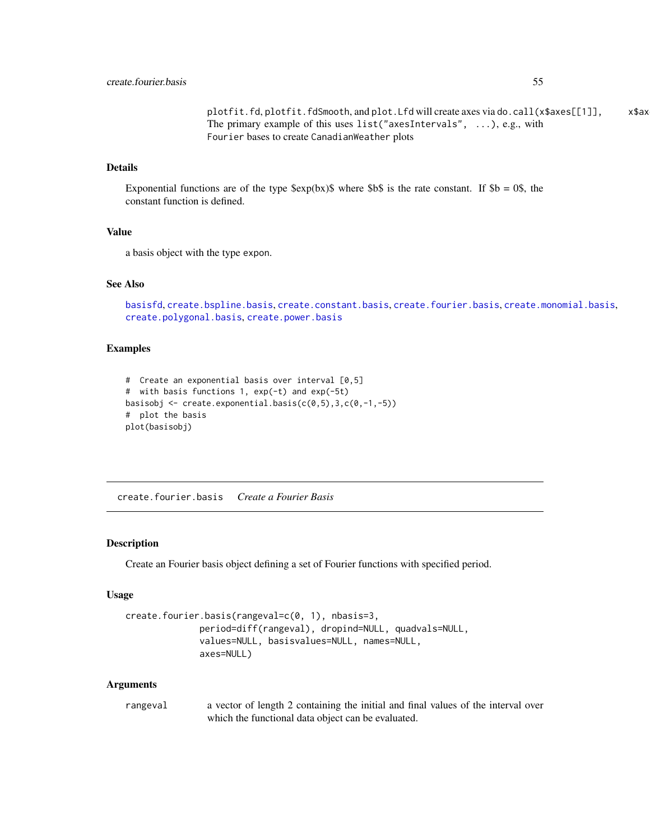plotfit.fd, plotfit.fdSmooth, and plot.Lfd will create axes via do.call(x\$axes[[1]], x\$ax The primary example of this uses list("axesIntervals", ...), e.g., with Fourier bases to create CanadianWeather plots

#### Details

Exponential functions are of the type  $\exp(bx)$  where  $b\$ is the rate constant. If  $b = 0$ , the constant function is defined.

## Value

a basis object with the type expon.

#### See Also

```
basisfd, create.bspline.basis, create.constant.basis, create.fourier.basis, create.monomial.basis,
create.polygonal.basis, create.power.basis
```
#### Examples

```
# Create an exponential basis over interval [0,5]
# with basis functions 1, exp(-t) and exp(-5t)
basisobj \leq create.exponential.basis(c(0,5),3,c(0,-1,-5))
# plot the basis
plot(basisobj)
```
<span id="page-54-0"></span>create.fourier.basis *Create a Fourier Basis*

## Description

Create an Fourier basis object defining a set of Fourier functions with specified period.

#### Usage

```
create.fourier.basis(rangeval=c(0, 1), nbasis=3,
              period=diff(rangeval), dropind=NULL, quadvals=NULL,
              values=NULL, basisvalues=NULL, names=NULL,
              axes=NULL)
```

```
rangeval a vector of length 2 containing the initial and final values of the interval over
                  which the functional data object can be evaluated.
```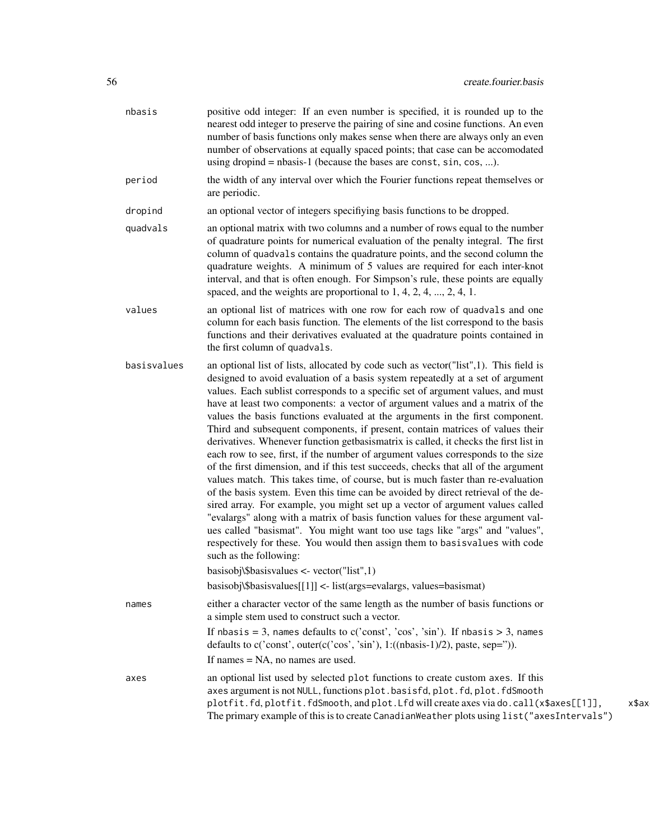| nbasis      | positive odd integer: If an even number is specified, it is rounded up to the<br>nearest odd integer to preserve the pairing of sine and cosine functions. An even<br>number of basis functions only makes sense when there are always only an even<br>number of observations at equally spaced points; that case can be accomodated<br>using dropind = $nbasis-1$ (because the bases are const, sin, cos, ).                                                                                                                                                                                                                                                                                                                                                                                                                                                                                                                                                                                                                                                                                                                                                                                                                                                                                                                                                                                                                                        |       |
|-------------|------------------------------------------------------------------------------------------------------------------------------------------------------------------------------------------------------------------------------------------------------------------------------------------------------------------------------------------------------------------------------------------------------------------------------------------------------------------------------------------------------------------------------------------------------------------------------------------------------------------------------------------------------------------------------------------------------------------------------------------------------------------------------------------------------------------------------------------------------------------------------------------------------------------------------------------------------------------------------------------------------------------------------------------------------------------------------------------------------------------------------------------------------------------------------------------------------------------------------------------------------------------------------------------------------------------------------------------------------------------------------------------------------------------------------------------------------|-------|
| period      | the width of any interval over which the Fourier functions repeat themselves or<br>are periodic.                                                                                                                                                                                                                                                                                                                                                                                                                                                                                                                                                                                                                                                                                                                                                                                                                                                                                                                                                                                                                                                                                                                                                                                                                                                                                                                                                     |       |
| dropind     | an optional vector of integers specifiying basis functions to be dropped.                                                                                                                                                                                                                                                                                                                                                                                                                                                                                                                                                                                                                                                                                                                                                                                                                                                                                                                                                                                                                                                                                                                                                                                                                                                                                                                                                                            |       |
| quadvals    | an optional matrix with two columns and a number of rows equal to the number<br>of quadrature points for numerical evaluation of the penalty integral. The first<br>column of quadvals contains the quadrature points, and the second column the<br>quadrature weights. A minimum of 5 values are required for each inter-knot<br>interval, and that is often enough. For Simpson's rule, these points are equally<br>spaced, and the weights are proportional to $1, 4, 2, 4, , 2, 4, 1$ .                                                                                                                                                                                                                                                                                                                                                                                                                                                                                                                                                                                                                                                                                                                                                                                                                                                                                                                                                          |       |
| values      | an optional list of matrices with one row for each row of quadvals and one<br>column for each basis function. The elements of the list correspond to the basis<br>functions and their derivatives evaluated at the quadrature points contained in<br>the first column of quadvals.                                                                                                                                                                                                                                                                                                                                                                                                                                                                                                                                                                                                                                                                                                                                                                                                                                                                                                                                                                                                                                                                                                                                                                   |       |
| basisvalues | an optional list of lists, allocated by code such as vector("list",1). This field is<br>designed to avoid evaluation of a basis system repeatedly at a set of argument<br>values. Each sublist corresponds to a specific set of argument values, and must<br>have at least two components: a vector of argument values and a matrix of the<br>values the basis functions evaluated at the arguments in the first component.<br>Third and subsequent components, if present, contain matrices of values their<br>derivatives. Whenever function getbasismatrix is called, it checks the first list in<br>each row to see, first, if the number of argument values corresponds to the size<br>of the first dimension, and if this test succeeds, checks that all of the argument<br>values match. This takes time, of course, but is much faster than re-evaluation<br>of the basis system. Even this time can be avoided by direct retrieval of the de-<br>sired array. For example, you might set up a vector of argument values called<br>"evalargs" along with a matrix of basis function values for these argument val-<br>ues called "basismat". You might want too use tags like "args" and "values",<br>respectively for these. You would then assign them to basisvalues with code<br>such as the following:<br>basisobj\\$basisvalues <- vector("list",1)<br>$basisobj\$ Sbasisvalues $[[1]] \leq list(args = evaluates, values = basismat)$ |       |
| names       | either a character vector of the same length as the number of basis functions or<br>a simple stem used to construct such a vector.                                                                                                                                                                                                                                                                                                                                                                                                                                                                                                                                                                                                                                                                                                                                                                                                                                                                                                                                                                                                                                                                                                                                                                                                                                                                                                                   |       |
|             | If nbasis = 3, names defaults to $c('const', 'cos', 'sin').$ If nbasis > 3, names<br>defaults to $c('const', outer(c('cos', 'sin'), 1:((nbasis-1)/2), paste, sep='))$ .<br>If names $= NA$ , no names are used.                                                                                                                                                                                                                                                                                                                                                                                                                                                                                                                                                                                                                                                                                                                                                                                                                                                                                                                                                                                                                                                                                                                                                                                                                                      |       |
| axes        | an optional list used by selected plot functions to create custom axes. If this<br>axes argument is not NULL, functions plot.basisfd, plot.fd, plot.fdSmooth<br>plotfit.fd, plotfit.fdSmooth, and plot.Lfd will create axes via do.call(x\$axes[[1]],<br>The primary example of this is to create CanadianWeather plots using list ("axesIntervals")                                                                                                                                                                                                                                                                                                                                                                                                                                                                                                                                                                                                                                                                                                                                                                                                                                                                                                                                                                                                                                                                                                 | x\$ax |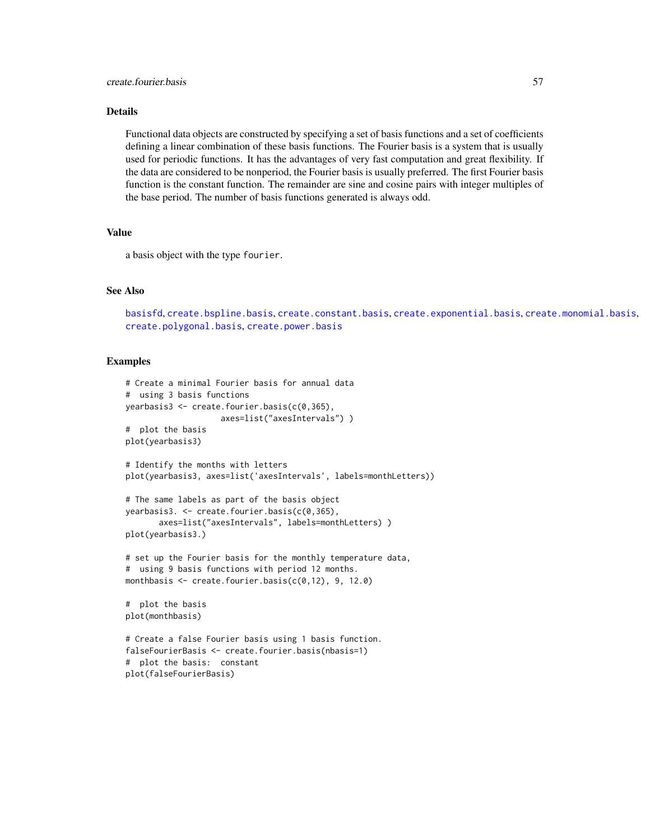## Details

Functional data objects are constructed by specifying a set of basis functions and a set of coefficients defining a linear combination of these basis functions. The Fourier basis is a system that is usually used for periodic functions. It has the advantages of very fast computation and great flexibility. If the data are considered to be nonperiod, the Fourier basis is usually preferred. The first Fourier basis function is the constant function. The remainder are sine and cosine pairs with integer multiples of the base period. The number of basis functions generated is always odd.

## Value

a basis object with the type fourier.

#### See Also

[basisfd](#page-0-0), [create.bspline.basis](#page-47-0), [create.constant.basis](#page-51-0), [create.exponential.basis](#page-52-0), [create.monomial.basis](#page-57-0), [create.polygonal.basis](#page-59-0), [create.power.basis](#page-61-0)

## Examples

```
# Create a minimal Fourier basis for annual data
# using 3 basis functions
yearbasis3 <- create.fourier.basis(c(0,365),
                    axes=list("axesIntervals") )
# plot the basis
plot(yearbasis3)
# Identify the months with letters
plot(yearbasis3, axes=list('axesIntervals', labels=monthLetters))
# The same labels as part of the basis object
yearbasis3. <- create.fourier.basis(c(0,365),
       axes=list("axesIntervals", labels=monthLetters) )
plot(yearbasis3.)
# set up the Fourier basis for the monthly temperature data,
# using 9 basis functions with period 12 months.
monthbasis \leq create.fourier.basis(c(0,12), 9, 12.0)
# plot the basis
plot(monthbasis)
# Create a false Fourier basis using 1 basis function.
falseFourierBasis <- create.fourier.basis(nbasis=1)
# plot the basis: constant
plot(falseFourierBasis)
```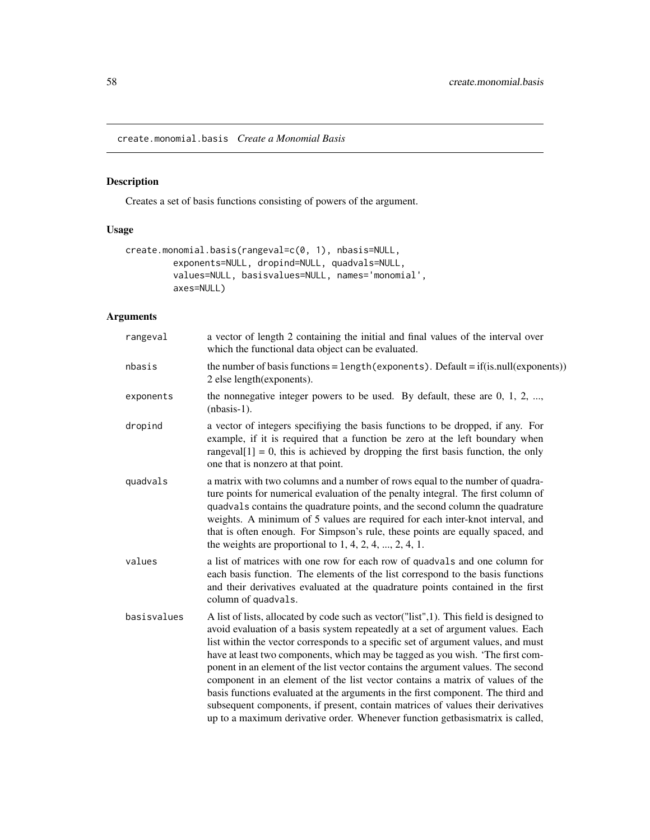<span id="page-57-0"></span>create.monomial.basis *Create a Monomial Basis*

# Description

Creates a set of basis functions consisting of powers of the argument.

## Usage

```
create.monomial.basis(rangeval=c(0, 1), nbasis=NULL,
        exponents=NULL, dropind=NULL, quadvals=NULL,
         values=NULL, basisvalues=NULL, names='monomial',
         axes=NULL)
```

| rangeval    | a vector of length 2 containing the initial and final values of the interval over<br>which the functional data object can be evaluated.                                                                                                                                                                                                                                                                                                                                                                                                                                                                                                                                                                                                                                         |
|-------------|---------------------------------------------------------------------------------------------------------------------------------------------------------------------------------------------------------------------------------------------------------------------------------------------------------------------------------------------------------------------------------------------------------------------------------------------------------------------------------------------------------------------------------------------------------------------------------------------------------------------------------------------------------------------------------------------------------------------------------------------------------------------------------|
| nbasis      | the number of basis functions = length (exponents). Default = if(is.null(exponents))<br>2 else length (exponents).                                                                                                                                                                                                                                                                                                                                                                                                                                                                                                                                                                                                                                                              |
| exponents   | the nonnegative integer powers to be used. By default, these are $0, 1, 2, \ldots$<br>$(n basis-1)$ .                                                                                                                                                                                                                                                                                                                                                                                                                                                                                                                                                                                                                                                                           |
| dropind     | a vector of integers specifiying the basis functions to be dropped, if any. For<br>example, if it is required that a function be zero at the left boundary when<br>rangeval $[1] = 0$ , this is achieved by dropping the first basis function, the only<br>one that is nonzero at that point.                                                                                                                                                                                                                                                                                                                                                                                                                                                                                   |
| quadvals    | a matrix with two columns and a number of rows equal to the number of quadra-<br>ture points for numerical evaluation of the penalty integral. The first column of<br>quadvals contains the quadrature points, and the second column the quadrature<br>weights. A minimum of 5 values are required for each inter-knot interval, and<br>that is often enough. For Simpson's rule, these points are equally spaced, and<br>the weights are proportional to $1, 4, 2, 4, , 2, 4, 1$ .                                                                                                                                                                                                                                                                                             |
| values      | a list of matrices with one row for each row of quadvals and one column for<br>each basis function. The elements of the list correspond to the basis functions<br>and their derivatives evaluated at the quadrature points contained in the first<br>column of quadvals.                                                                                                                                                                                                                                                                                                                                                                                                                                                                                                        |
| basisvalues | A list of lists, allocated by code such as vector ("list", 1). This field is designed to<br>avoid evaluation of a basis system repeatedly at a set of argument values. Each<br>list within the vector corresponds to a specific set of argument values, and must<br>have at least two components, which may be tagged as you wish. 'The first com-<br>ponent in an element of the list vector contains the argument values. The second<br>component in an element of the list vector contains a matrix of values of the<br>basis functions evaluated at the arguments in the first component. The third and<br>subsequent components, if present, contain matrices of values their derivatives<br>up to a maximum derivative order. Whenever function getbasismatrix is called, |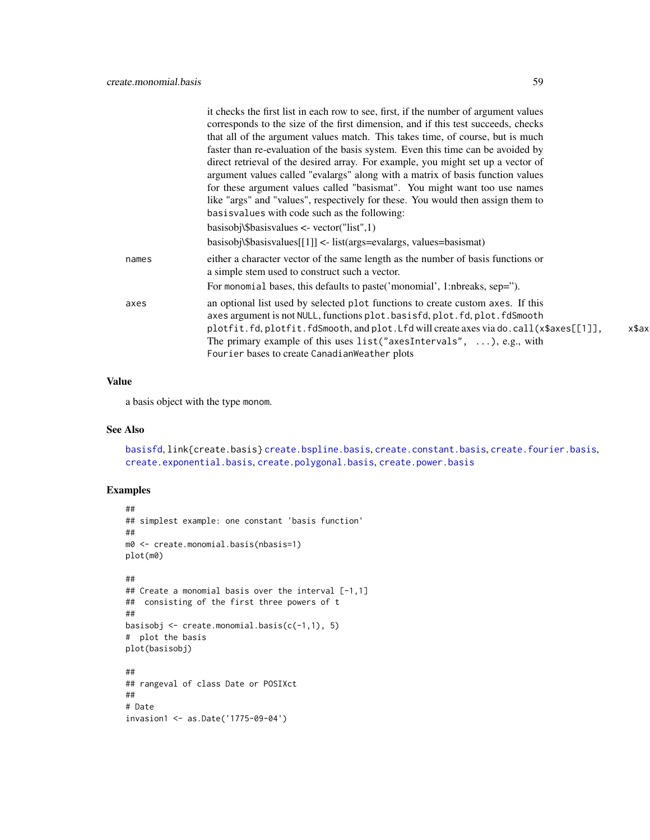|       | it checks the first list in each row to see, first, if the number of argument values                                                                         |       |
|-------|--------------------------------------------------------------------------------------------------------------------------------------------------------------|-------|
|       | corresponds to the size of the first dimension, and if this test succeeds, checks                                                                            |       |
|       | that all of the argument values match. This takes time, of course, but is much                                                                               |       |
|       | faster than re-evaluation of the basis system. Even this time can be avoided by                                                                              |       |
|       | direct retrieval of the desired array. For example, you might set up a vector of                                                                             |       |
|       | argument values called "evalargs" along with a matrix of basis function values                                                                               |       |
|       | for these argument values called "basismat". You might want too use names                                                                                    |       |
|       | like "args" and "values", respectively for these. You would then assign them to                                                                              |       |
|       | basisvalues with code such as the following:                                                                                                                 |       |
|       | $basisobj\$ $basisvalues \leftarrow vector("list", 1)$                                                                                                       |       |
|       | $basisobi\$ Basisvalues $[[1]] \leq list(args = evaluates, values = basismat)$                                                                               |       |
| names | either a character vector of the same length as the number of basis functions or<br>a simple stem used to construct such a vector.                           |       |
|       | For monomial bases, this defaults to paste ('monomial', 1:nbreaks, sep=").                                                                                   |       |
| axes  | an optional list used by selected plot functions to create custom axes. If this<br>axes argument is not NULL, functions plot.basisfd, plot.fd, plot.fdSmooth |       |
|       | plotfit.fd,plotfit.fdSmooth,andplot.Lfd will create axes via do.call(x\$axes[[1]],                                                                           | x\$ax |
|       | The primary example of this uses $list("axesIntervals", ,), e.g., with$                                                                                      |       |
|       | Fourier bases to create Canadian Weather plots                                                                                                               |       |

## Value

a basis object with the type monom.

## See Also

[basisfd](#page-0-0), link{create.basis} [create.bspline.basis](#page-47-0), [create.constant.basis](#page-51-0), [create.fourier.basis](#page-54-0), [create.exponential.basis](#page-52-0), [create.polygonal.basis](#page-59-0), [create.power.basis](#page-61-0)

## Examples

```
##
## simplest example: one constant 'basis function'
##
m0 <- create.monomial.basis(nbasis=1)
plot(m0)
##
## Create a monomial basis over the interval [-1,1]
## consisting of the first three powers of t
##
basisobj \leq create.monomial.basis(c(-1,1), 5)
# plot the basis
plot(basisobj)
##
## rangeval of class Date or POSIXct
##
# Date
invasion1 <- as.Date('1775-09-04')
```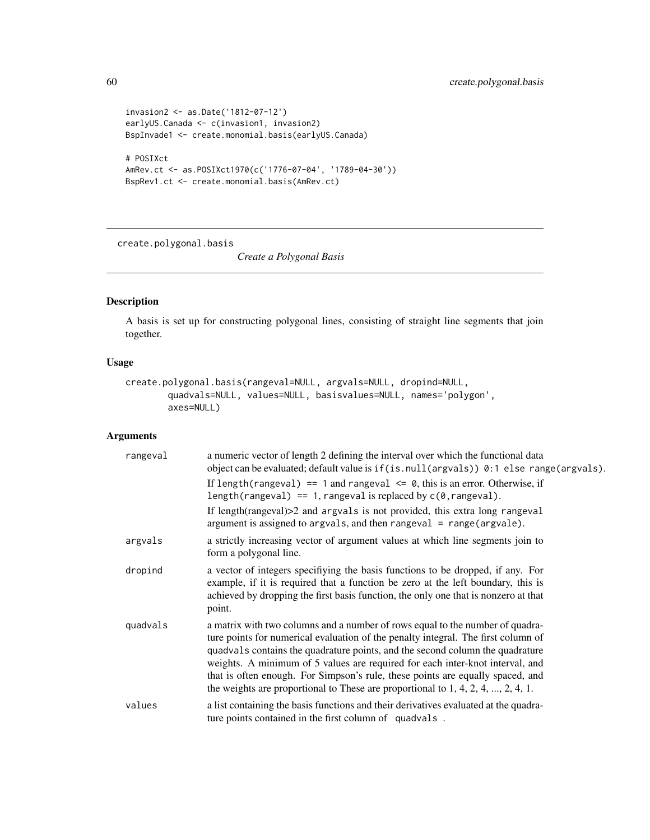```
invasion2 <- as.Date('1812-07-12')
earlyUS.Canada <- c(invasion1, invasion2)
BspInvade1 <- create.monomial.basis(earlyUS.Canada)
# POSIXct
AmRev.ct <- as.POSIXct1970(c('1776-07-04', '1789-04-30'))
BspRev1.ct <- create.monomial.basis(AmRev.ct)
```
<span id="page-59-0"></span>create.polygonal.basis

*Create a Polygonal Basis*

## Description

A basis is set up for constructing polygonal lines, consisting of straight line segments that join together.

## Usage

```
create.polygonal.basis(rangeval=NULL, argvals=NULL, dropind=NULL,
        quadvals=NULL, values=NULL, basisvalues=NULL, names='polygon',
        axes=NULL)
```

| rangeval | a numeric vector of length 2 defining the interval over which the functional data<br>object can be evaluated; default value is if (is.null(argvals)) 0:1 else range(argvals).                                                                                                                                                                                                                                                                                                                                 |
|----------|---------------------------------------------------------------------------------------------------------------------------------------------------------------------------------------------------------------------------------------------------------------------------------------------------------------------------------------------------------------------------------------------------------------------------------------------------------------------------------------------------------------|
|          | If length (rangeval) == 1 and rangeval $\leq \theta$ , this is an error. Otherwise, if<br>length(rangeval) == 1, rangeval is replaced by $c(0, rangeval)$ .                                                                                                                                                                                                                                                                                                                                                   |
|          | If length(rangeval)>2 and argvals is not provided, this extra long rangeval<br>argument is assigned to $argvals$ , and then rangeval = range( $argvale$ ).                                                                                                                                                                                                                                                                                                                                                    |
| argvals  | a strictly increasing vector of argument values at which line segments join to<br>form a polygonal line.                                                                                                                                                                                                                                                                                                                                                                                                      |
| dropind  | a vector of integers specifiying the basis functions to be dropped, if any. For<br>example, if it is required that a function be zero at the left boundary, this is<br>achieved by dropping the first basis function, the only one that is nonzero at that<br>point.                                                                                                                                                                                                                                          |
| quadvals | a matrix with two columns and a number of rows equal to the number of quadra-<br>ture points for numerical evaluation of the penalty integral. The first column of<br>quadvals contains the quadrature points, and the second column the quadrature<br>weights. A minimum of 5 values are required for each inter-knot interval, and<br>that is often enough. For Simpson's rule, these points are equally spaced, and<br>the weights are proportional to These are proportional to $1, 4, 2, 4, , 2, 4, 1$ . |
| values   | a list containing the basis functions and their derivatives evaluated at the quadra-<br>ture points contained in the first column of quadvals.                                                                                                                                                                                                                                                                                                                                                                |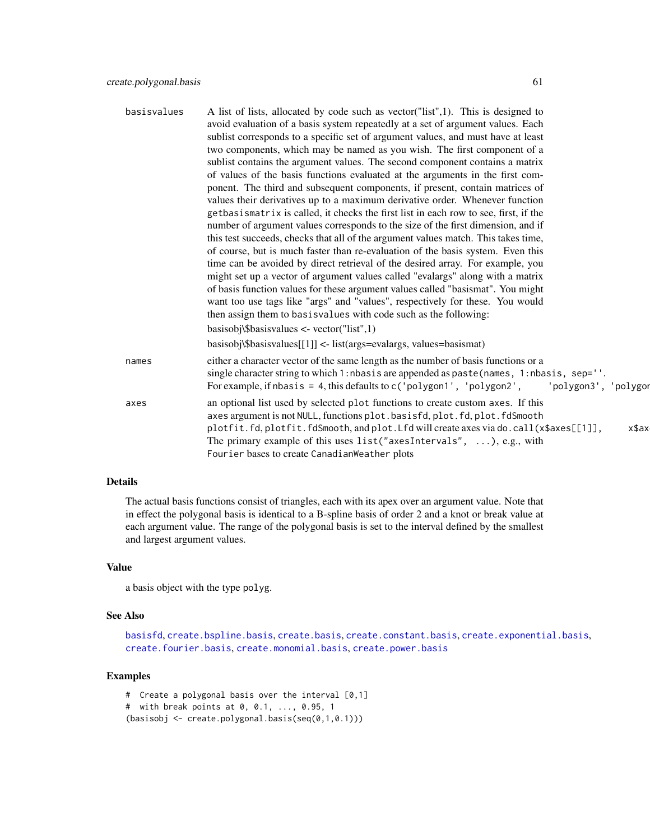| basisvalues | A list of lists, allocated by code such as vector("list",1). This is designed to<br>avoid evaluation of a basis system repeatedly at a set of argument values. Each<br>sublist corresponds to a specific set of argument values, and must have at least<br>two components, which may be named as you wish. The first component of a<br>sublist contains the argument values. The second component contains a matrix<br>of values of the basis functions evaluated at the arguments in the first com-<br>ponent. The third and subsequent components, if present, contain matrices of<br>values their derivatives up to a maximum derivative order. Whenever function<br>getbasismatrix is called, it checks the first list in each row to see, first, if the |
|-------------|--------------------------------------------------------------------------------------------------------------------------------------------------------------------------------------------------------------------------------------------------------------------------------------------------------------------------------------------------------------------------------------------------------------------------------------------------------------------------------------------------------------------------------------------------------------------------------------------------------------------------------------------------------------------------------------------------------------------------------------------------------------|
|             | number of argument values corresponds to the size of the first dimension, and if<br>this test succeeds, checks that all of the argument values match. This takes time,<br>of course, but is much faster than re-evaluation of the basis system. Even this<br>time can be avoided by direct retrieval of the desired array. For example, you<br>might set up a vector of argument values called "evalargs" along with a matrix<br>of basis function values for these argument values called "basismat". You might<br>want too use tags like "args" and "values", respectively for these. You would<br>then assign them to basisvalues with code such as the following:                                                                                        |
|             | $basisobj\$ sbasisvalues <- vector("list",1)<br>$basisobi\$ Basisvalues $[[1]] \leq list(args = evaluates, values = basismat)$                                                                                                                                                                                                                                                                                                                                                                                                                                                                                                                                                                                                                               |
| names       | either a character vector of the same length as the number of basis functions or a<br>single character string to which 1: nbasis are appended as paste (names, 1: nbasis, sep=''.<br>For example, if nbasis = 4, this defaults to $c('polygon1', 'polygon2',$<br>'polygon3', 'polygon                                                                                                                                                                                                                                                                                                                                                                                                                                                                        |
| axes        | an optional list used by selected plot functions to create custom axes. If this<br>axes argument is not NULL, functions plot.basisfd, plot.fd, plot.fdSmooth<br>plotfit.fd, plotfit.fdSmooth, and plot.Lfd will create axes via do.call(x\$axes[[1]],<br>x\$ax<br>The primary example of this uses $list("axesIntervals", ,), e.g., with$<br>Fourier bases to create CanadianWeather plots                                                                                                                                                                                                                                                                                                                                                                   |

## Details

The actual basis functions consist of triangles, each with its apex over an argument value. Note that in effect the polygonal basis is identical to a B-spline basis of order 2 and a knot or break value at each argument value. The range of the polygonal basis is set to the interval defined by the smallest and largest argument values.

## Value

a basis object with the type polyg.

## See Also

[basisfd](#page-0-0), [create.bspline.basis](#page-47-0), [create.basis](#page-44-0), [create.constant.basis](#page-51-0), [create.exponential.basis](#page-52-0), [create.fourier.basis](#page-54-0), [create.monomial.basis](#page-57-0), [create.power.basis](#page-61-0)

# Examples

# Create a polygonal basis over the interval [0,1] # with break points at 0, 0.1, ..., 0.95, 1 (basisobj <- create.polygonal.basis(seq(0,1,0.1)))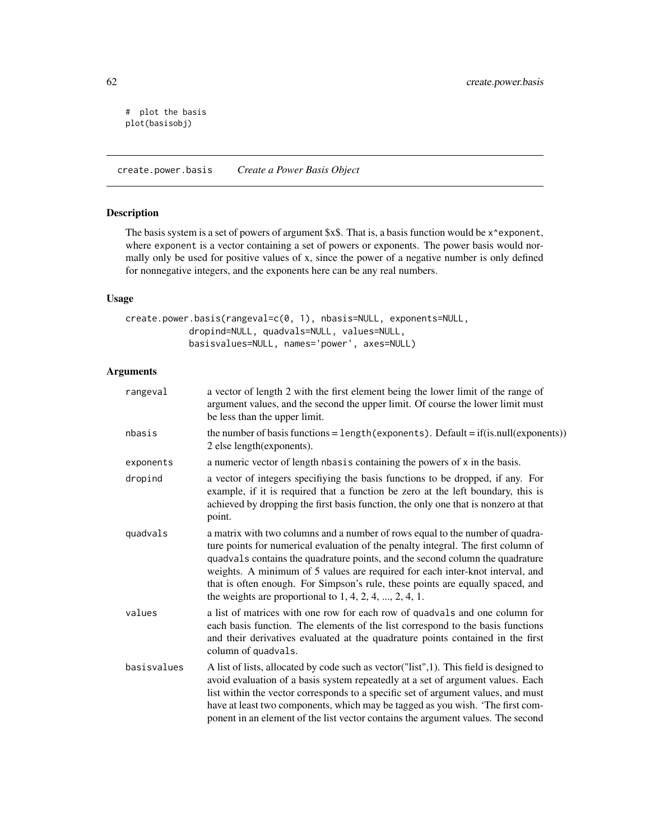# plot the basis plot(basisobj)

<span id="page-61-0"></span>create.power.basis *Create a Power Basis Object*

## Description

The basis system is a set of powers of argument \$x\$. That is, a basis function would be x^exponent, where exponent is a vector containing a set of powers or exponents. The power basis would normally only be used for positive values of x, since the power of a negative number is only defined for nonnegative integers, and the exponents here can be any real numbers.

## Usage

```
create.power.basis(rangeval=c(0, 1), nbasis=NULL, exponents=NULL,
            dropind=NULL, quadvals=NULL, values=NULL,
            basisvalues=NULL, names='power', axes=NULL)
```

| rangeval    | a vector of length 2 with the first element being the lower limit of the range of<br>argument values, and the second the upper limit. Of course the lower limit must<br>be less than the upper limit.                                                                                                                                                                                                                                                                                     |
|-------------|-------------------------------------------------------------------------------------------------------------------------------------------------------------------------------------------------------------------------------------------------------------------------------------------------------------------------------------------------------------------------------------------------------------------------------------------------------------------------------------------|
| nbasis      | the number of basis functions = $length(exponents)$ . Default = if(is.null(exponents))<br>2 else length(exponents).                                                                                                                                                                                                                                                                                                                                                                       |
| exponents   | a numeric vector of length nbasis containing the powers of x in the basis.                                                                                                                                                                                                                                                                                                                                                                                                                |
| dropind     | a vector of integers specifiying the basis functions to be dropped, if any. For<br>example, if it is required that a function be zero at the left boundary, this is<br>achieved by dropping the first basis function, the only one that is nonzero at that<br>point.                                                                                                                                                                                                                      |
| quadvals    | a matrix with two columns and a number of rows equal to the number of quadra-<br>ture points for numerical evaluation of the penalty integral. The first column of<br>quadvals contains the quadrature points, and the second column the quadrature<br>weights. A minimum of 5 values are required for each inter-knot interval, and<br>that is often enough. For Simpson's rule, these points are equally spaced, and<br>the weights are proportional to $1, 4, 2, 4, \ldots, 2, 4, 1$ . |
| values      | a list of matrices with one row for each row of quadvals and one column for<br>each basis function. The elements of the list correspond to the basis functions<br>and their derivatives evaluated at the quadrature points contained in the first<br>column of quadvals.                                                                                                                                                                                                                  |
| basisvalues | A list of lists, allocated by code such as vector("list", 1). This field is designed to<br>avoid evaluation of a basis system repeatedly at a set of argument values. Each<br>list within the vector corresponds to a specific set of argument values, and must<br>have at least two components, which may be tagged as you wish. 'The first com-<br>ponent in an element of the list vector contains the argument values. The second                                                     |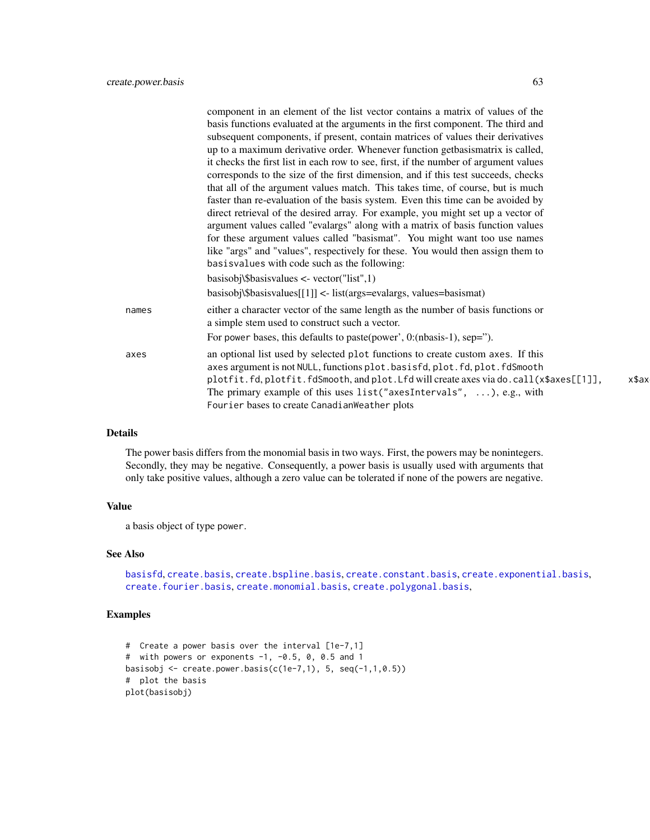|       | component in an element of the list vector contains a matrix of values of the                                                                                         |       |
|-------|-----------------------------------------------------------------------------------------------------------------------------------------------------------------------|-------|
|       | basis functions evaluated at the arguments in the first component. The third and                                                                                      |       |
|       | subsequent components, if present, contain matrices of values their derivatives                                                                                       |       |
|       | up to a maximum derivative order. Whenever function getbasismatrix is called,                                                                                         |       |
|       | it checks the first list in each row to see, first, if the number of argument values                                                                                  |       |
|       | corresponds to the size of the first dimension, and if this test succeeds, checks                                                                                     |       |
|       | that all of the argument values match. This takes time, of course, but is much                                                                                        |       |
|       | faster than re-evaluation of the basis system. Even this time can be avoided by                                                                                       |       |
|       | direct retrieval of the desired array. For example, you might set up a vector of                                                                                      |       |
|       | argument values called "evalargs" along with a matrix of basis function values                                                                                        |       |
|       | for these argument values called "basismat". You might want too use names                                                                                             |       |
|       | like "args" and "values", respectively for these. You would then assign them to                                                                                       |       |
|       | basisvalues with code such as the following:                                                                                                                          |       |
|       | $basisobj\$ sbasisvalues <- vector("list",1)                                                                                                                          |       |
|       | $basisobi\$ 8basisvalues[[1]] \leq list(args = evaluates, values = basismat)                                                                                          |       |
| names | either a character vector of the same length as the number of basis functions or                                                                                      |       |
|       | a simple stem used to construct such a vector.                                                                                                                        |       |
|       | For power bases, this defaults to paste (power', $0:(n basis-1)$ , $sep='')$ .                                                                                        |       |
| axes  | an optional list used by selected plot functions to create custom axes. If this<br>axes argument is not NULL, functions plot.basisfd, plot.fd, plot.fdSmooth          |       |
|       | plotfit.fd, plotfit.fdSmooth, and plot.Lfd will create axes via do.call(x\$axes[[1]],<br>The primary example of this uses $list("axesIntervals", \ldots), e.g., with$ | x\$ax |
|       | Fourier bases to create CanadianWeather plots                                                                                                                         |       |
|       |                                                                                                                                                                       |       |

# Details

The power basis differs from the monomial basis in two ways. First, the powers may be nonintegers. Secondly, they may be negative. Consequently, a power basis is usually used with arguments that only take positive values, although a zero value can be tolerated if none of the powers are negative.

## Value

a basis object of type power.

## See Also

[basisfd](#page-0-0), [create.basis](#page-44-0), [create.bspline.basis](#page-47-0), [create.constant.basis](#page-51-0), [create.exponential.basis](#page-52-0), [create.fourier.basis](#page-54-0), [create.monomial.basis](#page-57-0), [create.polygonal.basis](#page-59-0),

## Examples

```
# Create a power basis over the interval [1e-7,1]
# with powers or exponents -1, -0.5, 0, 0.5 and 1
basisobj <- create.power.basis(c(1e-7,1), 5, seq(-1,1,0.5))
# plot the basis
plot(basisobj)
```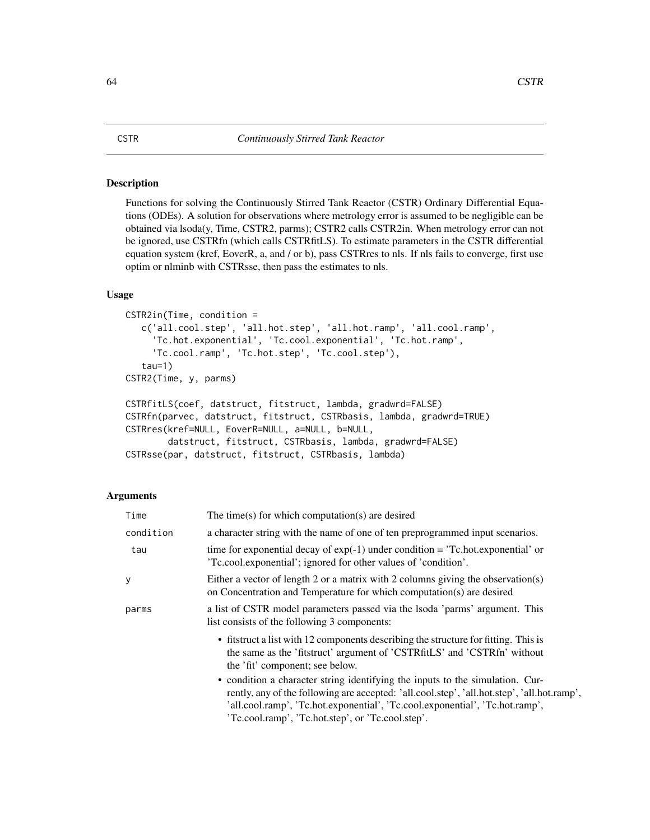## Description

Functions for solving the Continuously Stirred Tank Reactor (CSTR) Ordinary Differential Equations (ODEs). A solution for observations where metrology error is assumed to be negligible can be obtained via lsoda(y, Time, CSTR2, parms); CSTR2 calls CSTR2in. When metrology error can not be ignored, use CSTRfn (which calls CSTRfitLS). To estimate parameters in the CSTR differential equation system (kref, EoverR, a, and / or b), pass CSTRres to nls. If nls fails to converge, first use optim or nlminb with CSTRsse, then pass the estimates to nls.

## Usage

```
CSTR2in(Time, condition =
   c('all.cool.step', 'all.hot.step', 'all.hot.ramp', 'all.cool.ramp',
     'Tc.hot.exponential', 'Tc.cool.exponential', 'Tc.hot.ramp',
     'Tc.cool.ramp', 'Tc.hot.step', 'Tc.cool.step'),
   tau=1)
CSTR2(Time, y, parms)
CSTRfitLS(coef, datstruct, fitstruct, lambda, gradwrd=FALSE)
CSTRfn(parvec, datstruct, fitstruct, CSTRbasis, lambda, gradwrd=TRUE)
CSTRres(kref=NULL, EoverR=NULL, a=NULL, b=NULL,
```

```
datstruct, fitstruct, CSTRbasis, lambda, gradwrd=FALSE)
CSTRsse(par, datstruct, fitstruct, CSTRbasis, lambda)
```

| Time      | The time(s) for which computation(s) are desired                                                                                                                                                                                                                                                                  |
|-----------|-------------------------------------------------------------------------------------------------------------------------------------------------------------------------------------------------------------------------------------------------------------------------------------------------------------------|
| condition | a character string with the name of one of ten preprogrammed input scenarios.                                                                                                                                                                                                                                     |
| tau       | time for exponential decay of $exp(-1)$ under condition = $T_c$ . hot. exponential or<br>'Tc.cool.exponential'; ignored for other values of 'condition'.                                                                                                                                                          |
| У         | Either a vector of length 2 or a matrix with 2 columns giving the observation(s)<br>on Concentration and Temperature for which computation(s) are desired                                                                                                                                                         |
| parms     | a list of CSTR model parameters passed via the Isoda 'parms' argument. This<br>list consists of the following 3 components:                                                                                                                                                                                       |
|           | • fitstruct a list with 12 components describing the structure for fitting. This is<br>the same as the 'fitstruct' argument of 'CSTRfitLS' and 'CSTRfn' without<br>the 'fit' component; see below.                                                                                                                |
|           | • condition a character string identifying the inputs to the simulation. Cur-<br>rently, any of the following are accepted: 'all.cool.step', 'all.hot.step', 'all.hot.ramp',<br>'all.cool.ramp', 'Tc.hot.exponential', 'Tc.cool.exponential', 'Tc.hot.ramp',<br>'Tc.cool.ramp', 'Tc.hot.step', or 'Tc.cool.step'. |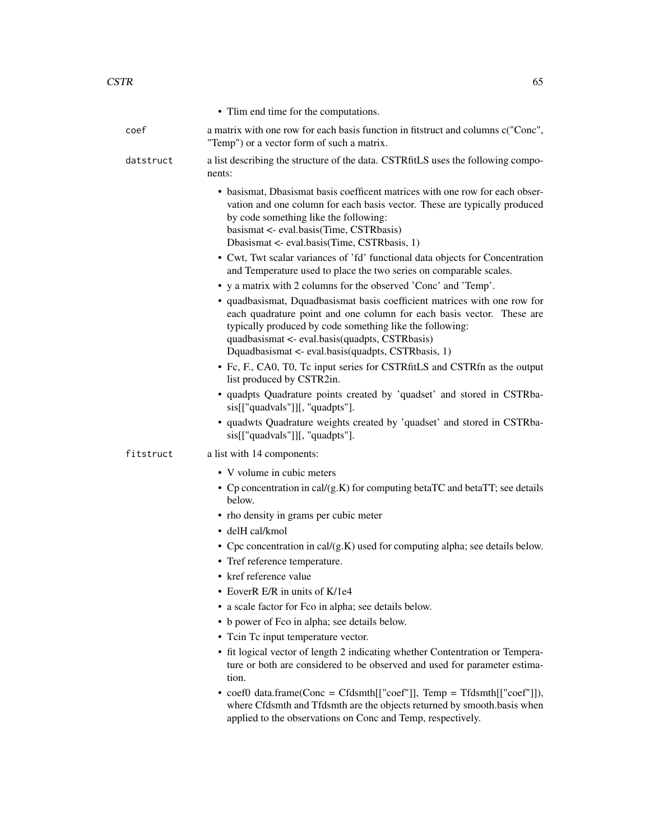|           | • Tlim end time for the computations.                                                                                                                                                                                                                                                                                  |
|-----------|------------------------------------------------------------------------------------------------------------------------------------------------------------------------------------------------------------------------------------------------------------------------------------------------------------------------|
| coef      | a matrix with one row for each basis function in fitstruct and columns c("Conc",<br>"Temp") or a vector form of such a matrix.                                                                                                                                                                                         |
| datstruct | a list describing the structure of the data. CSTRfitLS uses the following compo-<br>nents:                                                                                                                                                                                                                             |
|           | • basismat, Dbasismat basis coefficent matrices with one row for each obser-<br>vation and one column for each basis vector. These are typically produced<br>by code something like the following:<br>basismat <- eval.basis(Time, CSTRbasis)<br>Dbasismat <- eval.basis(Time, CSTRbasis, 1)                           |
|           | • Cwt, Twt scalar variances of 'fd' functional data objects for Concentration<br>and Temperature used to place the two series on comparable scales.                                                                                                                                                                    |
|           | • y a matrix with 2 columns for the observed 'Conc' and 'Temp'.                                                                                                                                                                                                                                                        |
|           | • quadbasismat, Dquadbasismat basis coefficient matrices with one row for<br>each quadrature point and one column for each basis vector. These are<br>typically produced by code something like the following:<br>quadbasismat <- eval.basis(quadpts, CSTRbasis)<br>Dquadbasismat <- eval.basis(quadpts, CSTRbasis, 1) |
|           | • Fc, F., CA0, T0, Tc input series for CSTRfitLS and CSTRfn as the output<br>list produced by CSTR2in.                                                                                                                                                                                                                 |
|           | · quadpts Quadrature points created by 'quadset' and stored in CSTRba-<br>sis[["quadvals"]][, "quadpts"].                                                                                                                                                                                                              |
|           | • quadwts Quadrature weights created by 'quadset' and stored in CSTRba-<br>sis[["quadvals"]][, "quadpts"].                                                                                                                                                                                                             |
| fitstruct | a list with 14 components:                                                                                                                                                                                                                                                                                             |
|           | • V volume in cubic meters                                                                                                                                                                                                                                                                                             |
|           | • Cp concentration in cal/(g.K) for computing betaTC and betaTT; see details<br>below.                                                                                                                                                                                                                                 |
|           | • rho density in grams per cubic meter                                                                                                                                                                                                                                                                                 |
|           | • delH cal/kmol                                                                                                                                                                                                                                                                                                        |
|           | • Cpc concentration in cal/ $(g.K)$ used for computing alpha; see details below.                                                                                                                                                                                                                                       |
|           | • Tref reference temperature.                                                                                                                                                                                                                                                                                          |
|           | • kref reference value                                                                                                                                                                                                                                                                                                 |
|           | • EoverR E/R in units of K/1e4                                                                                                                                                                                                                                                                                         |
|           | • a scale factor for Fco in alpha; see details below.                                                                                                                                                                                                                                                                  |
|           | • b power of Fco in alpha; see details below.                                                                                                                                                                                                                                                                          |
|           | • Tcin Tc input temperature vector.                                                                                                                                                                                                                                                                                    |
|           | • fit logical vector of length 2 indicating whether Contentration or Tempera-<br>ture or both are considered to be observed and used for parameter estima-<br>tion.                                                                                                                                                    |
|           | $cos\theta$ data frame(Cone = Cfdemth $Uncos\theta$ ) Temp = Tfdemth $Uncos\theta$ )                                                                                                                                                                                                                                   |

• coef0 data.frame(Conc = Cfdsmth[["coef"]], Temp = Tfdsmth[["coef"]]), where Cfdsmth and Tfdsmth are the objects returned by smooth.basis when applied to the observations on Conc and Temp, respectively.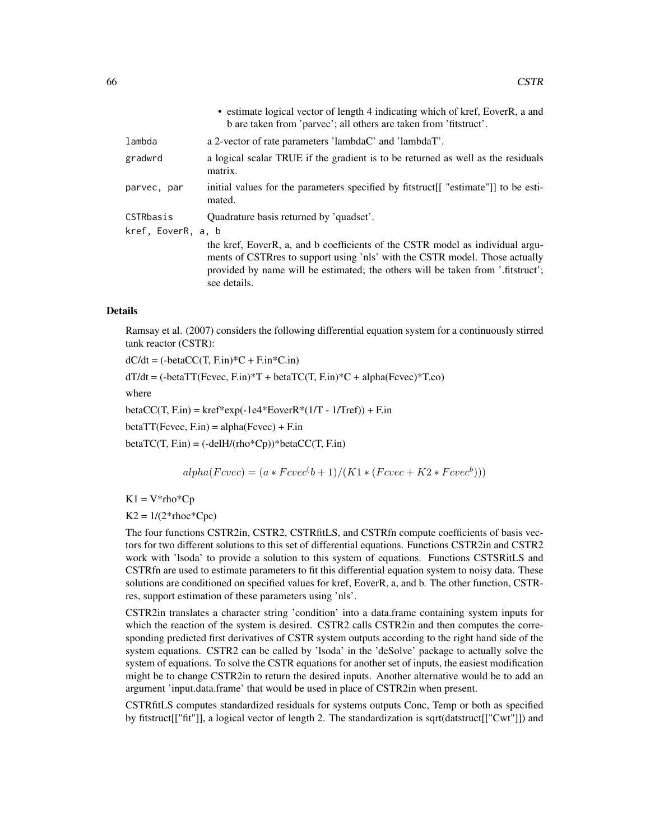|                    | • estimate logical vector of length 4 indicating which of kref, EoverR, a and<br>b are taken from 'parvec'; all others are taken from 'fitstruct'.                                                                                                              |
|--------------------|-----------------------------------------------------------------------------------------------------------------------------------------------------------------------------------------------------------------------------------------------------------------|
| lambda             | a 2-vector of rate parameters 'lambdaC' and 'lambdaT'.                                                                                                                                                                                                          |
| gradwrd            | a logical scalar TRUE if the gradient is to be returned as well as the residuals<br>matrix.                                                                                                                                                                     |
| parvec, par        | initial values for the parameters specified by fitstruct [Testimate"] to be esti-<br>mated.                                                                                                                                                                     |
| CSTRbasis          | Quadrature basis returned by 'quadset'.                                                                                                                                                                                                                         |
| kref, EoverR, a, b |                                                                                                                                                                                                                                                                 |
|                    | the kref, EoverR, a, and b coefficients of the CSTR model as individual argu-<br>ments of CSTRres to support using 'nls' with the CSTR model. Those actually<br>provided by name will be estimated; the others will be taken from '.fitstruct';<br>see details. |

#### Details

Ramsay et al. (2007) considers the following differential equation system for a continuously stirred tank reactor (CSTR):

 $dC/dt = (-betaCC(T, F.in)*C + Fin*C.in)$ 

 $dT/dt = (-betaTT(Fcvec, F.in)*T + betaTC(T, F.in)*C + alpha(Fcvec)*T.co)$ 

where

betaCC(T, F.in) =  $kref*exp(-1e4*EoverR*(1/T - 1/Tref)) + F.in$ 

 $betaTT(Fcvec, F.in) = alpha(Fcvec) + F.in$ 

 $betaTC(T, F.in) = (-delH/(rho*Cp))*betaCC(T, F.in)$ 

 $alpha(Fcvec) = (a * Fcvec^b + 1)/(K1 * (Fcvec + K2 * Fcvec^b)))$ 

 $K1 = V^*rho^*Cp$ 

 $K2 = 1/(2*rho*Cpc)$ 

The four functions CSTR2in, CSTR2, CSTRfitLS, and CSTRfn compute coefficients of basis vectors for two different solutions to this set of differential equations. Functions CSTR2in and CSTR2 work with 'lsoda' to provide a solution to this system of equations. Functions CSTSRitLS and CSTRfn are used to estimate parameters to fit this differential equation system to noisy data. These solutions are conditioned on specified values for kref, EoverR, a, and b. The other function, CSTRres, support estimation of these parameters using 'nls'.

CSTR2in translates a character string 'condition' into a data.frame containing system inputs for which the reaction of the system is desired. CSTR2 calls CSTR2in and then computes the corresponding predicted first derivatives of CSTR system outputs according to the right hand side of the system equations. CSTR2 can be called by 'lsoda' in the 'deSolve' package to actually solve the system of equations. To solve the CSTR equations for another set of inputs, the easiest modification might be to change CSTR2in to return the desired inputs. Another alternative would be to add an argument 'input.data.frame' that would be used in place of CSTR2in when present.

CSTRfitLS computes standardized residuals for systems outputs Conc, Temp or both as specified by fitstruct[["fit"]], a logical vector of length 2. The standardization is sqrt(datstruct[["Cwt"]]) and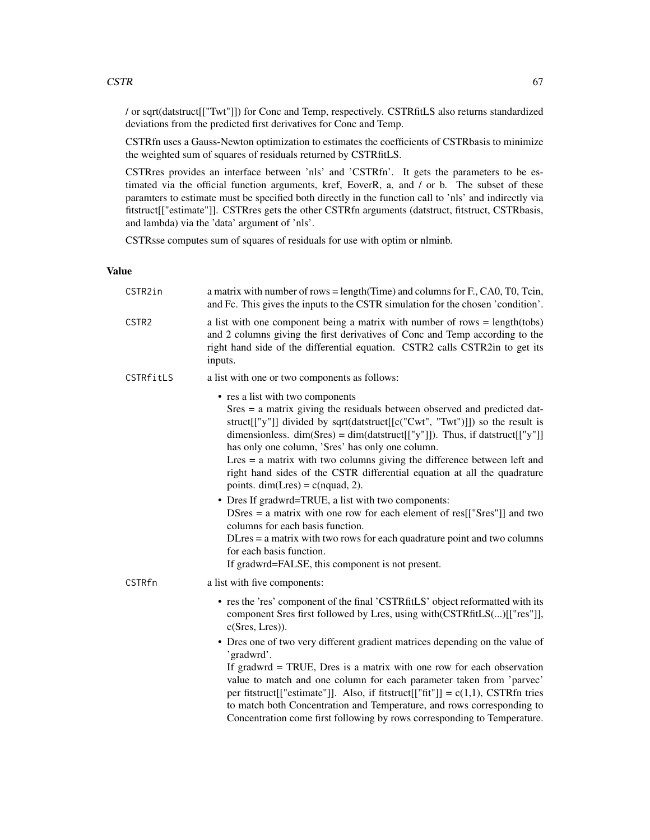/ or sqrt(datstruct[["Twt"]]) for Conc and Temp, respectively. CSTRfitLS also returns standardized deviations from the predicted first derivatives for Conc and Temp.

CSTRfn uses a Gauss-Newton optimization to estimates the coefficients of CSTRbasis to minimize the weighted sum of squares of residuals returned by CSTRfitLS.

CSTRres provides an interface between 'nls' and 'CSTRfn'. It gets the parameters to be estimated via the official function arguments, kref, EoverR, a, and / or b. The subset of these paramters to estimate must be specified both directly in the function call to 'nls' and indirectly via fitstruct[["estimate"]]. CSTRres gets the other CSTRfn arguments (datstruct, fitstruct, CSTRbasis, and lambda) via the 'data' argument of 'nls'.

CSTRsse computes sum of squares of residuals for use with optim or nlminb.

#### Value

| CSTR2in   | a matrix with number of rows = length (Time) and columns for $F1$ , CA0, T0, Tcin,<br>and Fc. This gives the inputs to the CSTR simulation for the chosen 'condition'.                                                                                                                                                                                                                                                                                                                                                                                                                                                                                                                                                                                                                                                                                                      |
|-----------|-----------------------------------------------------------------------------------------------------------------------------------------------------------------------------------------------------------------------------------------------------------------------------------------------------------------------------------------------------------------------------------------------------------------------------------------------------------------------------------------------------------------------------------------------------------------------------------------------------------------------------------------------------------------------------------------------------------------------------------------------------------------------------------------------------------------------------------------------------------------------------|
| CSTR2     | a list with one component being a matrix with number of rows $=$ length(tobs)<br>and 2 columns giving the first derivatives of Conc and Temp according to the<br>right hand side of the differential equation. CSTR2 calls CSTR2in to get its<br>inputs.                                                                                                                                                                                                                                                                                                                                                                                                                                                                                                                                                                                                                    |
| CSTRfitLS | a list with one or two components as follows:                                                                                                                                                                                                                                                                                                                                                                                                                                                                                                                                                                                                                                                                                                                                                                                                                               |
|           | • res a list with two components<br>$Sres = a$ matrix giving the residuals between observed and predicted dat-<br>struct[["y"]] divided by sqrt(datstruct[[c("Cwt", "Twt")]]) so the result is<br>dimensionless. $dim(Sres) = dim(datastruct[["y"]).$ Thus, if datstruct $[["y"]$<br>has only one column, 'Sres' has only one column.<br>Lres $=$ a matrix with two columns giving the difference between left and<br>right hand sides of the CSTR differential equation at all the quadrature<br>points. $dim(Lres) = c(nquad, 2)$ .<br>• Dres If gradwrd=TRUE, a list with two components:<br>$DSres = a$ matrix with one row for each element of res[["Sres"]] and two<br>columns for each basis function.<br>$DLres = a$ matrix with two rows for each quadrature point and two columns<br>for each basis function.<br>If gradwrd=FALSE, this component is not present. |
| CSTRfn    | a list with five components:                                                                                                                                                                                                                                                                                                                                                                                                                                                                                                                                                                                                                                                                                                                                                                                                                                                |
|           | • res the 'res' component of the final 'CSTRfitLS' object reformatted with its<br>component Sres first followed by Lres, using with(CSTRfitLS()[["res"]],<br>c(Sres, Lres)).                                                                                                                                                                                                                                                                                                                                                                                                                                                                                                                                                                                                                                                                                                |
|           | • Dres one of two very different gradient matrices depending on the value of<br>'gradwrd'.<br>If gradwrd = TRUE, Dres is a matrix with one row for each observation<br>value to match and one column for each parameter taken from 'parvec'<br>per fitstruct[["estimate"]]. Also, if fitstruct[["fit"]] = $c(1,1)$ , CSTRfn tries<br>to match both Concentration and Temperature, and rows corresponding to<br>Concentration come first following by rows corresponding to Temperature.                                                                                                                                                                                                                                                                                                                                                                                     |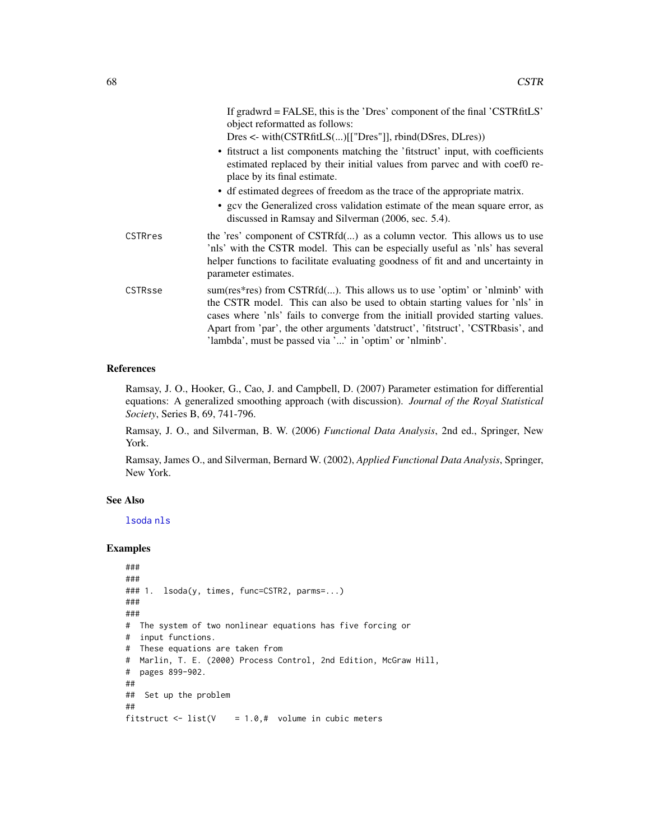|                | If gradwrd = FALSE, this is the 'Dres' component of the final 'CSTRfitLS'<br>object reformatted as follows:<br>$Dres \leftarrow with(CSTRfitLS()[["Dres"]], rbind(DSres, DLres))$                                                                                                                                                                                                            |
|----------------|----------------------------------------------------------------------------------------------------------------------------------------------------------------------------------------------------------------------------------------------------------------------------------------------------------------------------------------------------------------------------------------------|
|                | • fitstruct a list components matching the 'fitstruct' input, with coefficients<br>estimated replaced by their initial values from parvec and with coef0 re-<br>place by its final estimate.                                                                                                                                                                                                 |
|                | • df estimated degrees of freedom as the trace of the appropriate matrix.<br>• gcv the Generalized cross validation estimate of the mean square error, as<br>discussed in Ramsay and Silverman (2006, sec. 5.4).                                                                                                                                                                             |
| <b>CSTRres</b> | the 'res' component of $CSTRfd$ ) as a column vector. This allows us to use<br>'nls' with the CSTR model. This can be especially useful as 'nls' has several<br>helper functions to facilitate evaluating goodness of fit and and uncertainty in<br>parameter estimates.                                                                                                                     |
| CSTRsse        | sum(res*res) from CSTRfd(). This allows us to use 'optim' or 'nlminb' with<br>the CSTR model. This can also be used to obtain starting values for 'nls' in<br>cases where 'nls' fails to converge from the initiall provided starting values.<br>Apart from 'par', the other arguments 'datstruct', 'fitstruct', 'CSTRbasis', and<br>'lambda', must be passed via '' in 'optim' or 'nlminb'. |

## References

Ramsay, J. O., Hooker, G., Cao, J. and Campbell, D. (2007) Parameter estimation for differential equations: A generalized smoothing approach (with discussion). *Journal of the Royal Statistical Society*, Series B, 69, 741-796.

Ramsay, J. O., and Silverman, B. W. (2006) *Functional Data Analysis*, 2nd ed., Springer, New York.

Ramsay, James O., and Silverman, Bernard W. (2002), *Applied Functional Data Analysis*, Springer, New York.

## See Also

[lsoda](#page-0-0) [nls](#page-0-0)

## Examples

```
###
###
### 1. lsoda(y, times, func=CSTR2, parms=...)
###
###
# The system of two nonlinear equations has five forcing or
# input functions.
# These equations are taken from
# Marlin, T. E. (2000) Process Control, 2nd Edition, McGraw Hill,
# pages 899-902.
##
## Set up the problem
##
fitstruct <- list(V = 1.0,# volume in cubic meters
```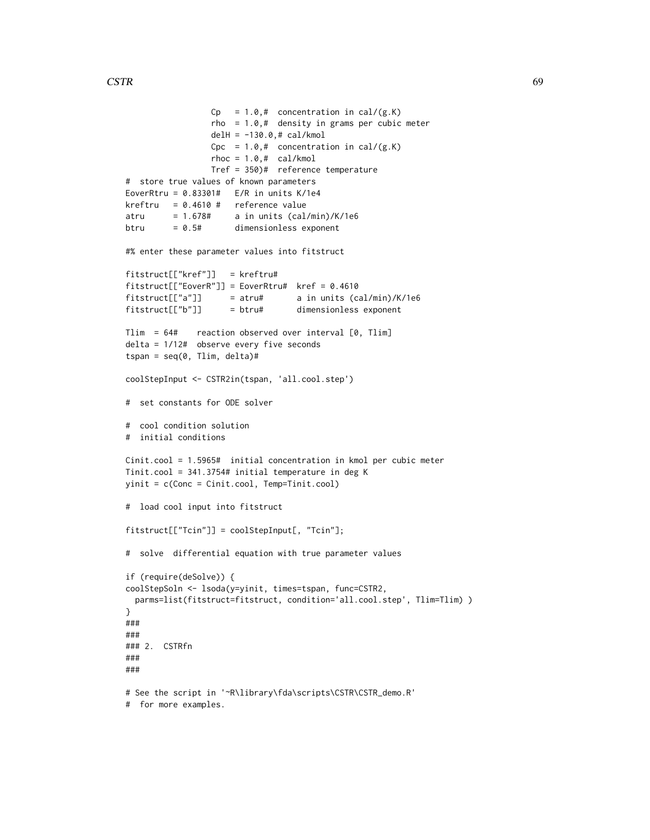```
Cp = 1.0, # concentration in cal/(g.K)
                 rho = 1.0, # density in grams per cubic meter
                 delH = -130.0, # cal/kmolCpc = 1.0, # concentration in cal/(g.K)rhoc = 1.0, # cal/kmolTref = 350)# reference temperature
# store true values of known parameters
EoverRtru = 0.83301# E/R in units K/1e4
kreftru = 0.4610 # reference value
atru = 1.678# a in units \frac{cal/min}{K/1e6}btru = 0.5# dimensionless exponent
#% enter these parameter values into fitstruct
fitstruct[["kref"]] = kreftru#
fitstruct[["EoverR"]] = EoverRtru# kref = 0.4610
firstruct[["a"]] = atru# a in units (cal/min)/K/1e6fitstruct[["b"]] = btru# dimensionless exponent
Tlim = 64# reaction observed over interval [0, Tlim]
delta = 1/12# observe every five seconds
tspan = seq(0, 1im, delta)#
coolStepInput <- CSTR2in(tspan, 'all.cool.step')
# set constants for ODE solver
# cool condition solution
# initial conditions
Cinit.cool = 1.5965# initial concentration in kmol per cubic meter
Tinit.cool = 341.3754# initial temperature in deg K
yinit = c(Conc = Cinit.cool, Temp=Tinit.cool)
# load cool input into fitstruct
fitstruct[["Tcin"]] = coolStepInput[, "Tcin"];
# solve differential equation with true parameter values
if (require(deSolve)) {
coolStepSoln <- lsoda(y=yinit, times=tspan, func=CSTR2,
 parms=list(fitstruct=fitstruct, condition='all.cool.step', Tlim=Tlim) )
}
###
###
### 2. CSTRfn
###
###
# See the script in '~R\library\fda\scripts\CSTR\CSTR_demo.R'
# for more examples.
```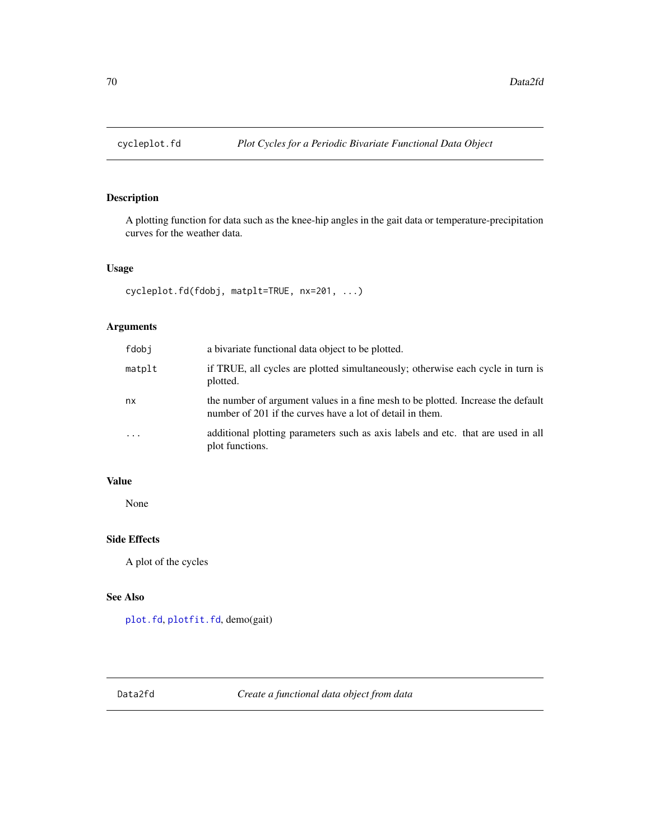## Description

A plotting function for data such as the knee-hip angles in the gait data or temperature-precipitation curves for the weather data.

## Usage

```
cycleplot.fd(fdobj, matplt=TRUE, nx=201, ...)
```
# Arguments

| fdobj  | a bivariate functional data object to be plotted.                                                                                             |
|--------|-----------------------------------------------------------------------------------------------------------------------------------------------|
| matplt | if TRUE, all cycles are plotted simultaneously; otherwise each cycle in turn is<br>plotted.                                                   |
| nx     | the number of argument values in a fine mesh to be plotted. Increase the default<br>number of 201 if the curves have a lot of detail in them. |
| .      | additional plotting parameters such as axis labels and etc. that are used in all<br>plot functions.                                           |

# Value

None

# Side Effects

A plot of the cycles

## See Also

[plot.fd](#page-194-0), [plotfit.fd](#page-204-0), demo(gait)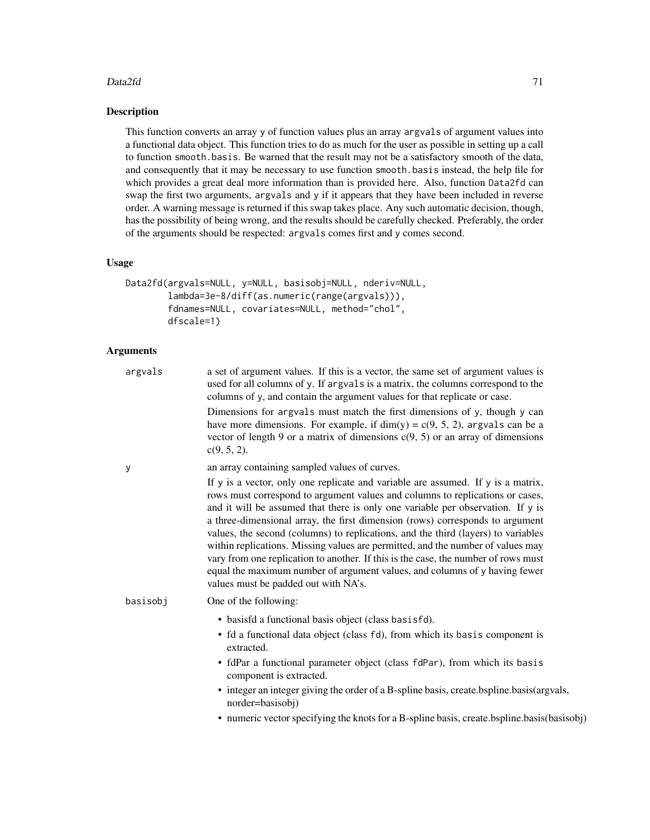#### $Data2fd$  71

## Description

This function converts an array y of function values plus an array argvals of argument values into a functional data object. This function tries to do as much for the user as possible in setting up a call to function smooth.basis. Be warned that the result may not be a satisfactory smooth of the data, and consequently that it may be necessary to use function smooth.basis instead, the help file for which provides a great deal more information than is provided here. Also, function Data2fd can swap the first two arguments, argvals and y if it appears that they have been included in reverse order. A warning message is returned if this swap takes place. Any such automatic decision, though, has the possibility of being wrong, and the results should be carefully checked. Preferably, the order of the arguments should be respected: argvals comes first and y comes second.

#### Usage

```
Data2fd(argvals=NULL, y=NULL, basisobj=NULL, nderiv=NULL,
       lambda=3e-8/diff(as.numeric(range(argvals))),
       fdnames=NULL, covariates=NULL, method="chol",
       dfscale=1)
```

| argvals  | a set of argument values. If this is a vector, the same set of argument values is<br>used for all columns of y. If argvals is a matrix, the columns correspond to the<br>columns of y, and contain the argument values for that replicate or case.                                                                                                                                                                                                                                                                                                                                                                                                                                                                        |
|----------|---------------------------------------------------------------------------------------------------------------------------------------------------------------------------------------------------------------------------------------------------------------------------------------------------------------------------------------------------------------------------------------------------------------------------------------------------------------------------------------------------------------------------------------------------------------------------------------------------------------------------------------------------------------------------------------------------------------------------|
|          | Dimensions for argvals must match the first dimensions of y, though y can<br>have more dimensions. For example, if $dim(y) = c(9, 5, 2)$ , argvals can be a<br>vector of length 9 or a matrix of dimensions $c(9, 5)$ or an array of dimensions<br>$c(9, 5, 2)$ .                                                                                                                                                                                                                                                                                                                                                                                                                                                         |
| У        | an array containing sampled values of curves.                                                                                                                                                                                                                                                                                                                                                                                                                                                                                                                                                                                                                                                                             |
|          | If y is a vector, only one replicate and variable are assumed. If y is a matrix,<br>rows must correspond to argument values and columns to replications or cases,<br>and it will be assumed that there is only one variable per observation. If y is<br>a three-dimensional array, the first dimension (rows) corresponds to argument<br>values, the second (columns) to replications, and the third (layers) to variables<br>within replications. Missing values are permitted, and the number of values may<br>vary from one replication to another. If this is the case, the number of rows must<br>equal the maximum number of argument values, and columns of y having fewer<br>values must be padded out with NA's. |
| basisobj | One of the following:                                                                                                                                                                                                                                                                                                                                                                                                                                                                                                                                                                                                                                                                                                     |
|          | • basisfd a functional basis object (class basisfd).                                                                                                                                                                                                                                                                                                                                                                                                                                                                                                                                                                                                                                                                      |
|          | • fd a functional data object (class fd), from which its basis component is<br>extracted.                                                                                                                                                                                                                                                                                                                                                                                                                                                                                                                                                                                                                                 |
|          | • fdPar a functional parameter object (class fdPar), from which its basis<br>component is extracted.                                                                                                                                                                                                                                                                                                                                                                                                                                                                                                                                                                                                                      |
|          | • integer an integer giving the order of a B-spline basis, create.bspline.basis(argvals,<br>norder=basisobj)                                                                                                                                                                                                                                                                                                                                                                                                                                                                                                                                                                                                              |
|          | rumente vector encatring the knots for a D culing hoste speaks bouling hoste(hostes                                                                                                                                                                                                                                                                                                                                                                                                                                                                                                                                                                                                                                       |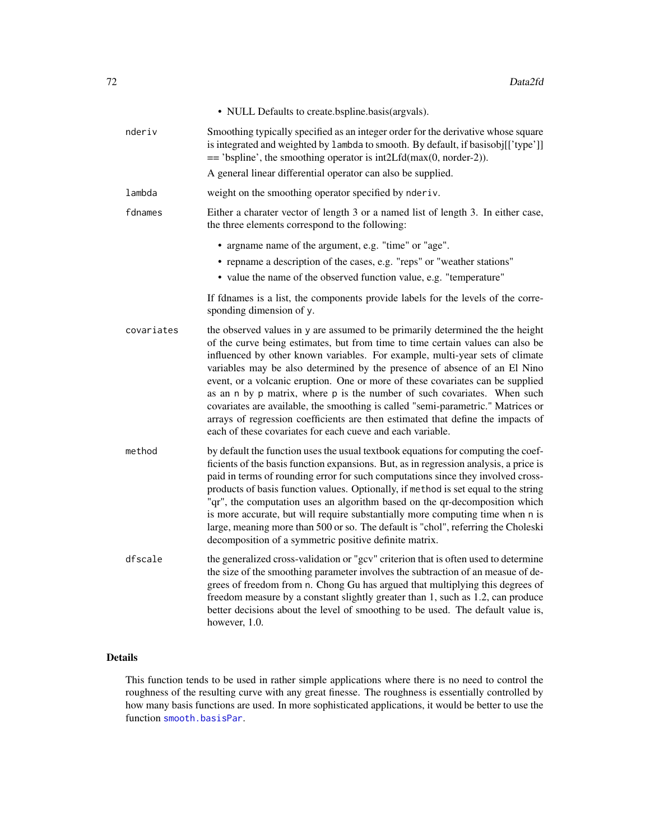|            | • NULL Defaults to create.bspline.basis(argvals).                                                                                                                                                                                                                                                                                                                                                                                                                                                                                                                                                                                                                                                                                |
|------------|----------------------------------------------------------------------------------------------------------------------------------------------------------------------------------------------------------------------------------------------------------------------------------------------------------------------------------------------------------------------------------------------------------------------------------------------------------------------------------------------------------------------------------------------------------------------------------------------------------------------------------------------------------------------------------------------------------------------------------|
| nderiv     | Smoothing typically specified as an integer order for the derivative whose square<br>is integrated and weighted by lambda to smooth. By default, if basisobj[['type']]<br>$==$ 'bspline', the smoothing operator is int2Lfd(max(0, norder-2)).                                                                                                                                                                                                                                                                                                                                                                                                                                                                                   |
|            | A general linear differential operator can also be supplied.                                                                                                                                                                                                                                                                                                                                                                                                                                                                                                                                                                                                                                                                     |
| lambda     | weight on the smoothing operator specified by nderiv.                                                                                                                                                                                                                                                                                                                                                                                                                                                                                                                                                                                                                                                                            |
| fdnames    | Either a charater vector of length 3 or a named list of length 3. In either case,<br>the three elements correspond to the following:                                                                                                                                                                                                                                                                                                                                                                                                                                                                                                                                                                                             |
|            | • argname name of the argument, e.g. "time" or "age".                                                                                                                                                                                                                                                                                                                                                                                                                                                                                                                                                                                                                                                                            |
|            | • repname a description of the cases, e.g. "reps" or "weather stations"                                                                                                                                                                                                                                                                                                                                                                                                                                                                                                                                                                                                                                                          |
|            | • value the name of the observed function value, e.g. "temperature"                                                                                                                                                                                                                                                                                                                                                                                                                                                                                                                                                                                                                                                              |
|            | If fdnames is a list, the components provide labels for the levels of the corre-<br>sponding dimension of y.                                                                                                                                                                                                                                                                                                                                                                                                                                                                                                                                                                                                                     |
| covariates | the observed values in y are assumed to be primarily determined the the height<br>of the curve being estimates, but from time to time certain values can also be<br>influenced by other known variables. For example, multi-year sets of climate<br>variables may be also determined by the presence of absence of an El Nino<br>event, or a volcanic eruption. One or more of these covariates can be supplied<br>as an n by p matrix, where p is the number of such covariates. When such<br>covariates are available, the smoothing is called "semi-parametric." Matrices or<br>arrays of regression coefficients are then estimated that define the impacts of<br>each of these covariates for each cueve and each variable. |
| method     | by default the function uses the usual textbook equations for computing the coef-<br>ficients of the basis function expansions. But, as in regression analysis, a price is<br>paid in terms of rounding error for such computations since they involved cross-<br>products of basis function values. Optionally, if method is set equal to the string<br>"qr", the computation uses an algorithm based on the qr-decomposition which<br>is more accurate, but will require substantially more computing time when n is<br>large, meaning more than 500 or so. The default is "chol", referring the Choleski<br>decomposition of a symmetric positive definite matrix.                                                            |
| dfscale    | the generalized cross-validation or "gcv" criterion that is often used to determine<br>the size of the smoothing parameter involves the subtraction of an measue of de-<br>grees of freedom from n. Chong Gu has argued that multiplying this degrees of<br>freedom measure by a constant slightly greater than 1, such as 1.2, can produce<br>better decisions about the level of smoothing to be used. The default value is,<br>however, 1.0.                                                                                                                                                                                                                                                                                  |

# Details

This function tends to be used in rather simple applications where there is no need to control the roughness of the resulting curve with any great finesse. The roughness is essentially controlled by how many basis functions are used. In more sophisticated applications, it would be better to use the function [smooth.basisPar](#page-255-0).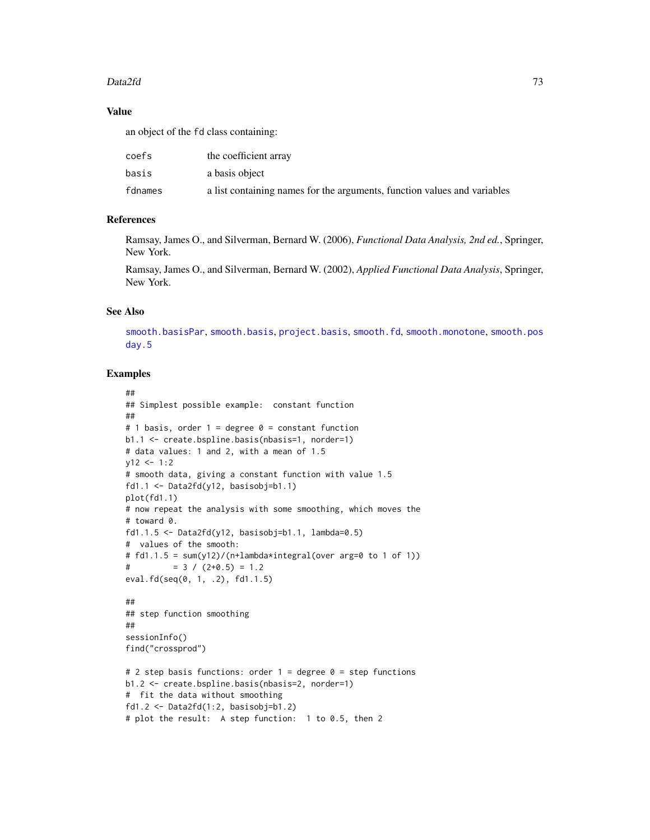## $Data2fd$  73

# Value

an object of the fd class containing:

| coefs   | the coefficient array                                                    |
|---------|--------------------------------------------------------------------------|
| basis   | a basis object                                                           |
| fdnames | a list containing names for the arguments, function values and variables |

# References

Ramsay, James O., and Silverman, Bernard W. (2006), *Functional Data Analysis, 2nd ed.*, Springer, New York.

Ramsay, James O., and Silverman, Bernard W. (2002), *Applied Functional Data Analysis*, Springer, New York.

# See Also

[smooth.basisPar](#page-255-0), [smooth.basis](#page-240-0), [project.basis](#page-221-0), [smooth.fd](#page-260-0), [smooth.monotone](#page-264-0), [smooth.pos](#page-268-0) [day.5](#page-75-0)

```
##
## Simplest possible example: constant function
##
# 1 basis, order 1 = \text{degree } \theta = \text{constant function}b1.1 <- create.bspline.basis(nbasis=1, norder=1)
# data values: 1 and 2, with a mean of 1.5
y12 <- 1:2
# smooth data, giving a constant function with value 1.5
fd1.1 <- Data2fd(y12, basisobj=b1.1)
plot(fd1.1)
# now repeat the analysis with some smoothing, which moves the
# toward 0.
fd1.1.5 \leq Data2fd(y12, basisobj=b1.1, lambda=0.5)
# values of the smooth:
# fd1.1.5 = sum(y12)/(n+lambda*integral(over arg=0 to 1 of 1))
\# = 3 / (2+0.5) = 1.2
eval.fd(seq(0, 1, .2), fd1.1.5)
##
## step function smoothing
##
sessionInfo()
find("crossprod")
# 2 step basis functions: order 1 = degree 0 = step functions
b1.2 <- create.bspline.basis(nbasis=2, norder=1)
# fit the data without smoothing
fd1.2 \leftarrow Data2fd(1:2, basisobj=b1.2)
# plot the result: A step function: 1 to 0.5, then 2
```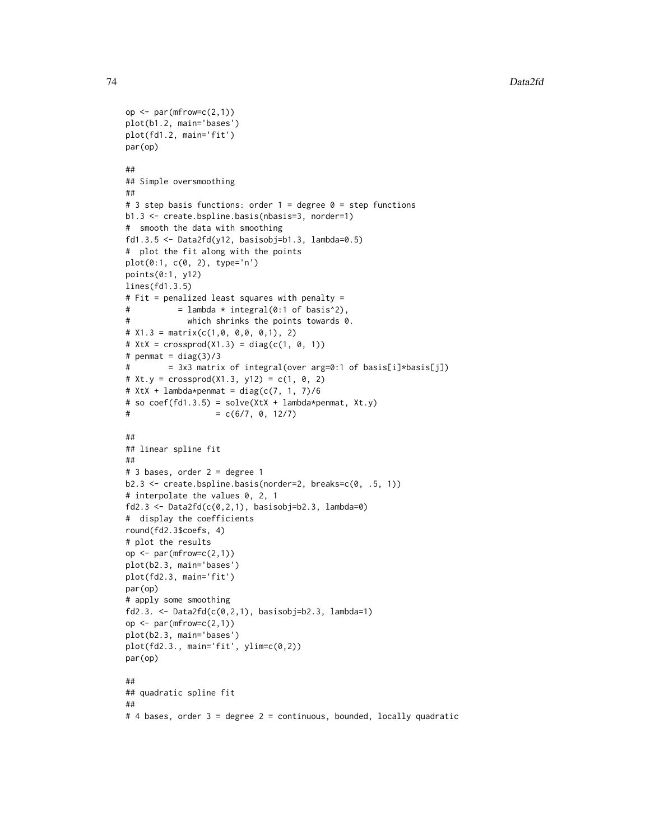```
op \leq par(mfrow=c(2,1))
plot(b1.2, main='bases')
plot(fd1.2, main='fit')
par(op)
##
## Simple oversmoothing
##
# 3 step basis functions: order 1 = \text{degree } \theta = \text{step} functions
b1.3 <- create.bspline.basis(nbasis=3, norder=1)
# smooth the data with smoothing
fd1.3.5 <- Data2fd(y12, basisobj=b1.3, lambda=0.5)
# plot the fit along with the points
plot(0:1, c(0, 2), type='n')
points(0:1, y12)
lines(fd1.3.5)
# Fit = penalized least squares with penalty =
# = lambda * integral(0:1 of basis^2),
# which shrinks the points towards 0.
# X1.3 = matrix(c(1, 0, 0, 0, 0, 1), 2)# XtX = crossprod(X1.3) = diag(c(1, 0, 1))
# penmat = diag(3)/3# = 3x3 matrix of integral(over arg=0:1 of basis[i]*basis[j])
# Xt.y = crossprod(X1.3, y12) = c(1, 0, 2)# XtX + lambda*penmat = diag(c(7, 1, 7)/6
# so coef(fd1.3.5) = solve(XtX + lambda*pennat, Xt.y)# \qquad = c(6/7, 0, 12/7)##
## linear spline fit
##
# 3 bases, order 2 = degree 1
b2.3 \leftarrow \text{create.bsplit}.basis(norder=2, breaks=c(0, .5, 1))
# interpolate the values 0, 2, 1
fd2.3 \leftarrow Data2fd(c(0,2,1), basisobj=b2.3, lambda=0)# display the coefficients
round(fd2.3$coefs, 4)
# plot the results
op \leq par(mfrow=c(2,1))
plot(b2.3, main='bases')
plot(fd2.3, main='fit')
par(op)
# apply some smoothing
fd2.3. <- Data2fd(c(0, 2, 1), basisobj=b2.3, lambda=1)op \leq par(mfrow=c(2,1))
plot(b2.3, main='bases')
plot(fd2.3., main='fit', ylim=c(0,2))
par(op)
##
## quadratic spline fit
##
# 4 bases, order 3 = degree 2 = continuous, bounded, locally quadratic
```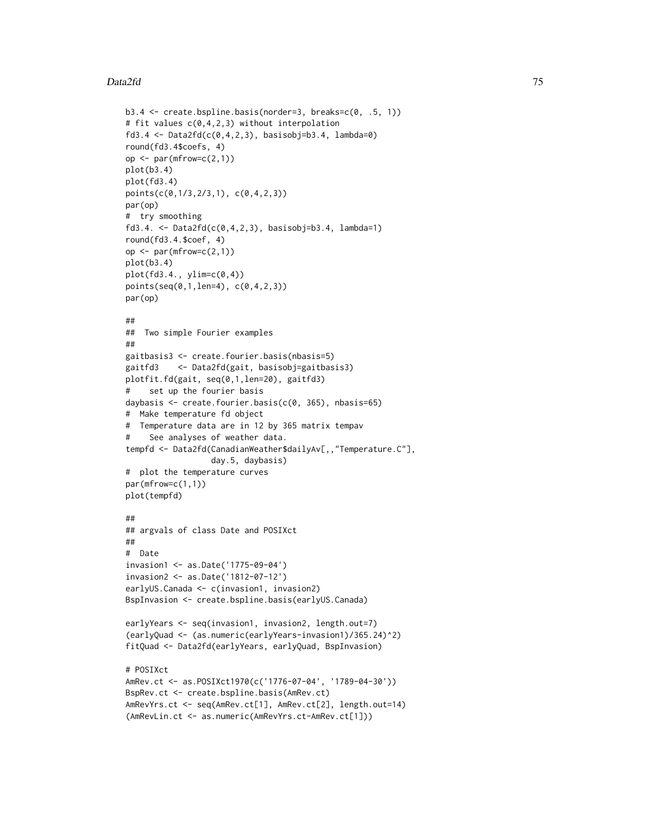## $Data2fd$  75

```
b3.4 \leftarrow create.bspline.basis(norder=3, breaks=c(0, .5, 1))
# fit values c(0,4,2,3) without interpolation
fd3.4 <- Data2fd(c(0,4,2,3), basisobj= b3.4, lambda=0)round(fd3.4$coefs, 4)
op \leq par(mfrow=c(2,1))
plot(b3.4)
plot(fd3.4)
points(c(0,1/3,2/3,1), c(0,4,2,3))
par(op)
# try smoothing
fd3.4. <- Data2fd(c(0,4,2,3), basisobj=b3.4, lambda=1)round(fd3.4.$coef, 4)
op \leq par(mfrow=c(2,1))
plot(b3.4)
plot(fd3.4., ylim=c(0,4))
points(seq(0,1,len=4), c(0,4,2,3))
par(op)
##
## Two simple Fourier examples
##
gaitbasis3 <- create.fourier.basis(nbasis=5)
gaitfd3 <- Data2fd(gait, basisobj=gaitbasis3)
plotfit.fd(gait, seq(0,1,len=20), gaitfd3)
# set up the fourier basis
daybasis <- create.fourier.basis(c(0, 365), nbasis=65)
# Make temperature fd object
# Temperature data are in 12 by 365 matrix tempav
# See analyses of weather data.
tempfd <- Data2fd(CanadianWeather$dailyAv[,,"Temperature.C"],
                  day.5, daybasis)
# plot the temperature curves
par(mfrow=c(1,1))
plot(tempfd)
##
## argvals of class Date and POSIXct
##
# Date
invasion1 <- as.Date('1775-09-04')
invasion2 <- as.Date('1812-07-12')
earlyUS.Canada <- c(invasion1, invasion2)
BspInvasion <- create.bspline.basis(earlyUS.Canada)
earlyYears <- seq(invasion1, invasion2, length.out=7)
(earlyQuad <- (as.numeric(earlyYears-invasion1)/365.24)^2)
fitQuad <- Data2fd(earlyYears, earlyQuad, BspInvasion)
# POSIXct
AmRev.ct <- as.POSIXct1970(c('1776-07-04', '1789-04-30'))
BspRev.ct <- create.bspline.basis(AmRev.ct)
AmRevYrs.ct <- seq(AmRev.ct[1], AmRev.ct[2], length.out=14)
(AmRevLin.ct <- as.numeric(AmRevYrs.ct-AmRev.ct[1]))
```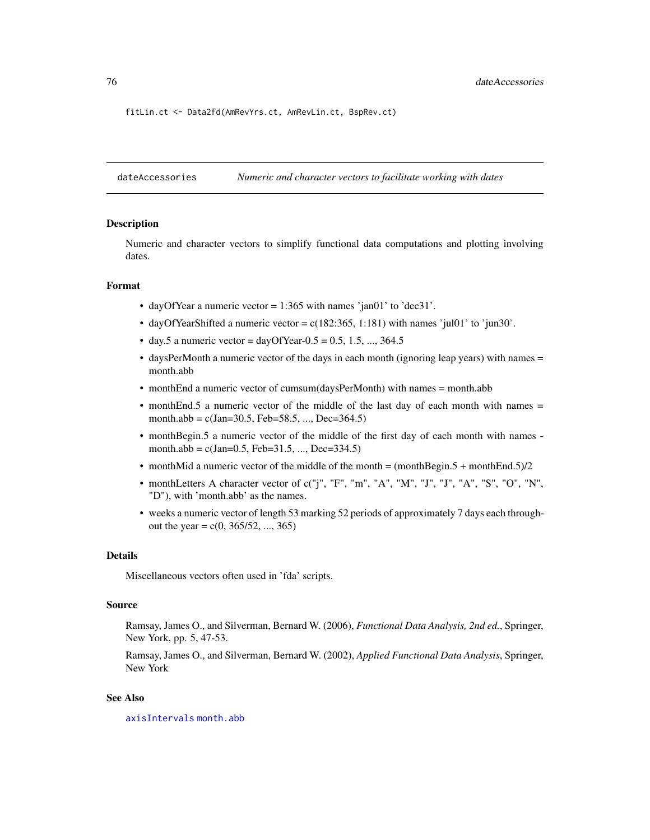fitLin.ct <- Data2fd(AmRevYrs.ct, AmRevLin.ct, BspRev.ct)

dateAccessories *Numeric and character vectors to facilitate working with dates*

#### <span id="page-75-0"></span>**Description**

Numeric and character vectors to simplify functional data computations and plotting involving dates.

# Format

- dayOfYear a numeric vector = 1:365 with names 'jan01' to 'dec31'.
- dayOfYearShifted a numeric vector =  $c(182:365, 1:181)$  with names 'jul01' to 'jun30'.
- day.5 a numeric vector = dayOfYear- $0.5 = 0.5, 1.5, ..., 364.5$
- daysPerMonth a numeric vector of the days in each month (ignoring leap years) with names = month.abb
- monthEnd a numeric vector of cumsum(daysPerMonth) with names = month.abb
- monthEnd.5 a numeric vector of the middle of the last day of each month with names = month.abb =  $c$ (Jan=30.5, Feb=58.5, ..., Dec=364.5)
- monthBegin.5 a numeric vector of the middle of the first day of each month with names month.abb =  $c$ (Jan=0.5, Feb=31.5, ..., Dec=334.5)
- monthMid a numeric vector of the middle of the month =  $(monthBegin.5 + monthEnd.5)/2$
- monthLetters A character vector of c("j", "F", "m", "A", "M", "J", "J", "A", "S", "O", "N", "D"), with 'month.abb' as the names.
- weeks a numeric vector of length 53 marking 52 periods of approximately 7 days each throughout the year =  $c(0, 365/52, ..., 365)$

#### Details

Miscellaneous vectors often used in 'fda' scripts.

#### Source

Ramsay, James O., and Silverman, Bernard W. (2006), *Functional Data Analysis, 2nd ed.*, Springer, New York, pp. 5, 47-53.

Ramsay, James O., and Silverman, Bernard W. (2002), *Applied Functional Data Analysis*, Springer, New York

## See Also

[axisIntervals](#page-20-0) [month.abb](#page-0-0)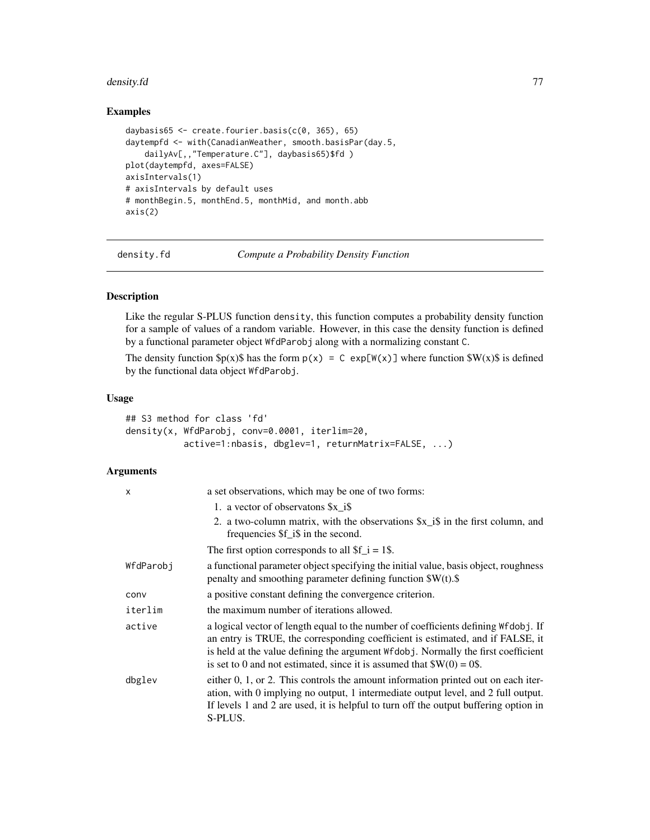#### density.fd **77**

# Examples

```
daybasis65 <- create.fourier.basis(c(0, 365), 65)
daytempfd <- with(CanadianWeather, smooth.basisPar(day.5,
    dailyAv[,,"Temperature.C"], daybasis65)$fd )
plot(daytempfd, axes=FALSE)
axisIntervals(1)
# axisIntervals by default uses
# monthBegin.5, monthEnd.5, monthMid, and month.abb
axis(2)
```
density.fd *Compute a Probability Density Function*

# Description

Like the regular S-PLUS function density, this function computes a probability density function for a sample of values of a random variable. However, in this case the density function is defined by a functional parameter object WfdParobj along with a normalizing constant C.

The density function  $\phi(x)$  has the form  $p(x) = C \exp[W(x)]$  where function  $W(x)$  is defined by the functional data object WfdParobj.

#### Usage

```
## S3 method for class 'fd'
density(x, WfdParobj, conv=0.0001, iterlim=20,
           active=1:nbasis, dbglev=1, returnMatrix=FALSE, ...)
```
# Arguments

| $\mathsf{x}$ | a set observations, which may be one of two forms:                                                                                                                                                                                                                                                                                  |  |
|--------------|-------------------------------------------------------------------------------------------------------------------------------------------------------------------------------------------------------------------------------------------------------------------------------------------------------------------------------------|--|
|              | 1. a vector of observatons \$x i\$                                                                                                                                                                                                                                                                                                  |  |
|              | 2. a two-column matrix, with the observations $x_i$ is in the first column, and<br>frequencies \$f_i\$ in the second.                                                                                                                                                                                                               |  |
|              | The first option corresponds to all $f_i = 1$ .                                                                                                                                                                                                                                                                                     |  |
| WfdParobi    | a functional parameter object specifying the initial value, basis object, roughness<br>penalty and smoothing parameter defining function \$W(t).\$                                                                                                                                                                                  |  |
| conv         | a positive constant defining the convergence criterion.                                                                                                                                                                                                                                                                             |  |
| iterlim      | the maximum number of iterations allowed.                                                                                                                                                                                                                                                                                           |  |
| active       | a logical vector of length equal to the number of coefficients defining Wfdobj. If<br>an entry is TRUE, the corresponding coefficient is estimated, and if FALSE, it<br>is held at the value defining the argument Wfdobj. Normally the first coefficient<br>is set to 0 and not estimated, since it is assumed that $W(0) = 0$ \$. |  |
| dbglev       | either 0, 1, or 2. This controls the amount information printed out on each iter-<br>ation, with 0 implying no output, 1 intermediate output level, and 2 full output.<br>If levels 1 and 2 are used, it is helpful to turn off the output buffering option in<br>S-PLUS.                                                           |  |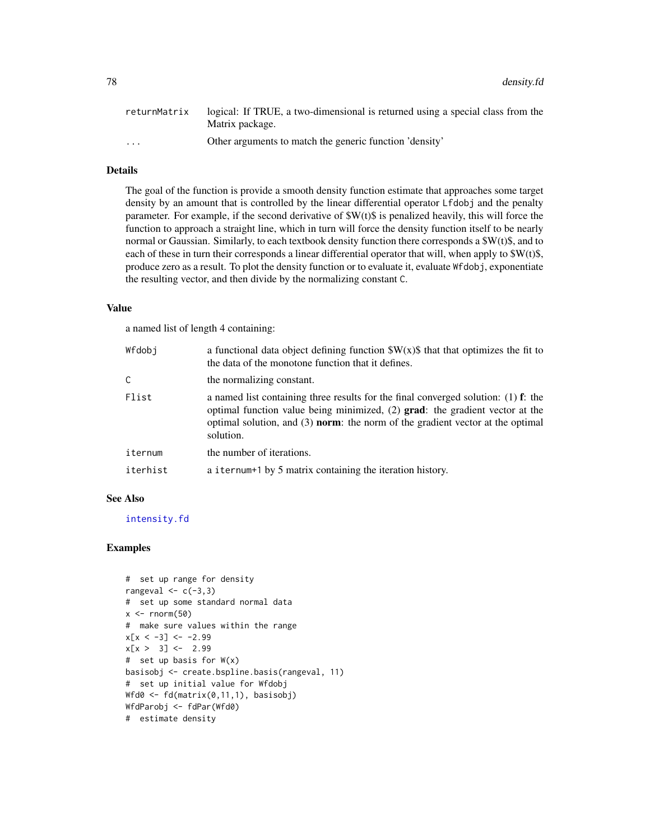78 density.fd

| returnMatrix         | logical: If TRUE, a two-dimensional is returned using a special class from the<br>Matrix package. |
|----------------------|---------------------------------------------------------------------------------------------------|
| $\ddot{\phantom{0}}$ | Other arguments to match the generic function 'density'                                           |

# Details

The goal of the function is provide a smooth density function estimate that approaches some target density by an amount that is controlled by the linear differential operator Lfdobj and the penalty parameter. For example, if the second derivative of  $W(t)$  is penalized heavily, this will force the function to approach a straight line, which in turn will force the density function itself to be nearly normal or Gaussian. Similarly, to each textbook density function there corresponds a \$W(t)\$, and to each of these in turn their corresponds a linear differential operator that will, when apply to  $W(t)\$ , produce zero as a result. To plot the density function or to evaluate it, evaluate Wfdobj, exponentiate the resulting vector, and then divide by the normalizing constant C.

## Value

a named list of length 4 containing:

| Wfdobj   | a functional data object defining function $W(x)$ \$ that that optimizes the fit to<br>the data of the monotone function that it defines.                                                                                                                                |
|----------|--------------------------------------------------------------------------------------------------------------------------------------------------------------------------------------------------------------------------------------------------------------------------|
| C        | the normalizing constant.                                                                                                                                                                                                                                                |
| Flist    | a named list containing three results for the final converged solution: (1) $f$ : the<br>optimal function value being minimized, $(2)$ grad: the gradient vector at the<br>optimal solution, and $(3)$ norm: the norm of the gradient vector at the optimal<br>solution. |
| iternum  | the number of iterations.                                                                                                                                                                                                                                                |
| iterhist | a iternum + 1 by 5 matrix containing the iteration history.                                                                                                                                                                                                              |

#### See Also

[intensity.fd](#page-143-0)

```
# set up range for density
rangeval \leq c(-3,3)# set up some standard normal data
x \le - rnorm(50)
# make sure values within the range
x[x < -3] < -2.99x[x > 3] < -2.99# set up basis for W(x)
basisobj <- create.bspline.basis(rangeval, 11)
# set up initial value for Wfdobj
Wfd0 <- fd(matrix(0,11,1), basisobj)
WfdParobj <- fdPar(Wfd0)
# estimate density
```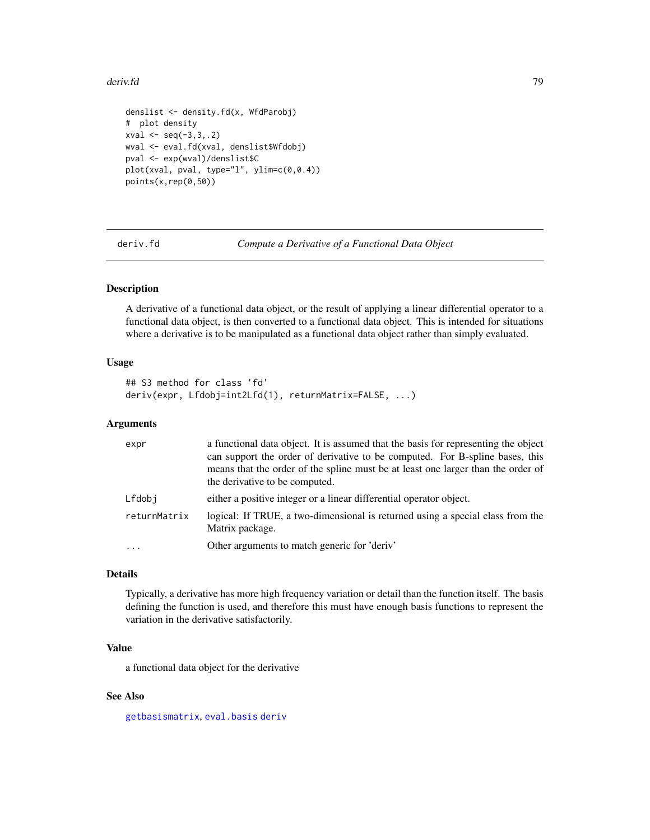#### deriv.fd **79**

```
denslist <- density.fd(x, WfdParobj)
# plot density
xval \leftarrow seq(-3, 3, .2)wval <- eval.fd(xval, denslist$Wfdobj)
pval <- exp(wval)/denslist$C
plot(xval, pval, type="l", ylim=c(0,0.4))
points(x,rep(0,50))
```
deriv.fd *Compute a Derivative of a Functional Data Object*

# Description

A derivative of a functional data object, or the result of applying a linear differential operator to a functional data object, is then converted to a functional data object. This is intended for situations where a derivative is to be manipulated as a functional data object rather than simply evaluated.

## Usage

```
## S3 method for class 'fd'
deriv(expr, Lfdobj=int2Lfd(1), returnMatrix=FALSE, ...)
```
# Arguments

| expr         | a functional data object. It is assumed that the basis for representing the object<br>can support the order of derivative to be computed. For B-spline bases, this<br>means that the order of the spline must be at least one larger than the order of<br>the derivative to be computed. |
|--------------|------------------------------------------------------------------------------------------------------------------------------------------------------------------------------------------------------------------------------------------------------------------------------------------|
| Lfdobi       | either a positive integer or a linear differential operator object.                                                                                                                                                                                                                      |
| returnMatrix | logical: If TRUE, a two-dimensional is returned using a special class from the<br>Matrix package.                                                                                                                                                                                        |
| $\cdots$     | Other arguments to match generic for 'deriv'                                                                                                                                                                                                                                             |

#### Details

Typically, a derivative has more high frequency variation or detail than the function itself. The basis defining the function is used, and therefore this must have enough basis functions to represent the variation in the derivative satisfactorily.

# Value

a functional data object for the derivative

# See Also

[getbasismatrix](#page-134-0), [eval.basis](#page-87-0) [deriv](#page-0-0)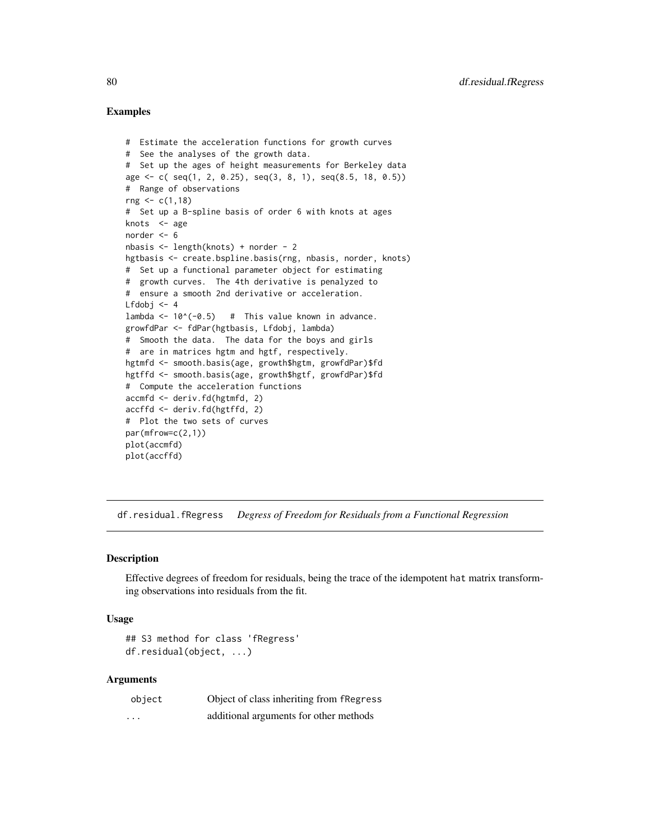# Examples

```
# Estimate the acceleration functions for growth curves
# See the analyses of the growth data.
# Set up the ages of height measurements for Berkeley data
age <- c( seq(1, 2, 0.25), seq(3, 8, 1), seq(8.5, 18, 0.5))
# Range of observations
rng \leq c(1,18)# Set up a B-spline basis of order 6 with knots at ages
knots <- age
norder <- 6
nbasis <- length(knots) + norder - 2
hgtbasis <- create.bspline.basis(rng, nbasis, norder, knots)
# Set up a functional parameter object for estimating
# growth curves. The 4th derivative is penalyzed to
# ensure a smooth 2nd derivative or acceleration.
Lfdobj <-4lambda <- 10^(-0.5) # This value known in advance.
growfdPar <- fdPar(hgtbasis, Lfdobj, lambda)
# Smooth the data. The data for the boys and girls
# are in matrices hgtm and hgtf, respectively.
hgtmfd <- smooth.basis(age, growth$hgtm, growfdPar)$fd
hgtffd <- smooth.basis(age, growth$hgtf, growfdPar)$fd
# Compute the acceleration functions
accmfd <- deriv.fd(hgtmfd, 2)
accffd <- deriv.fd(hgtffd, 2)
# Plot the two sets of curves
par(mfrow=c(2,1))
plot(accmfd)
plot(accffd)
```
df.residual.fRegress *Degress of Freedom for Residuals from a Functional Regression*

## Description

Effective degrees of freedom for residuals, being the trace of the idempotent hat matrix transforming observations into residuals from the fit.

#### Usage

```
## S3 method for class 'fRegress'
df.residual(object, ...)
```
#### Arguments

| object               | Object of class inheriting from fRegress |
|----------------------|------------------------------------------|
| $\ddot{\phantom{0}}$ | additional arguments for other methods   |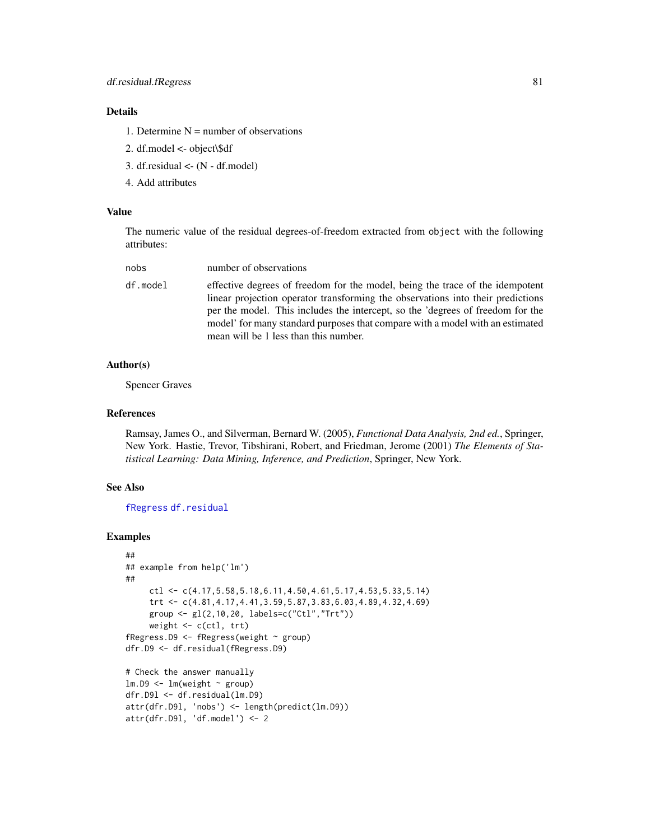# df.residual.fRegress 81

# Details

- 1. Determine  $N =$  number of observations
- 2. df.model <- object\\$df
- 3. df.residual <- (N df.model)
- 4. Add attributes

# Value

The numeric value of the residual degrees-of-freedom extracted from object with the following attributes:

| nobs     | number of observations                                                          |
|----------|---------------------------------------------------------------------------------|
| df.model | effective degrees of freedom for the model, being the trace of the idempotent   |
|          | linear projection operator transforming the observations into their predictions |
|          | per the model. This includes the intercept, so the 'degrees of freedom for the  |
|          | model' for many standard purposes that compare with a model with an estimated   |
|          | mean will be 1 less than this number.                                           |

# Author(s)

Spencer Graves

# References

Ramsay, James O., and Silverman, Bernard W. (2005), *Functional Data Analysis, 2nd ed.*, Springer, New York. Hastie, Trevor, Tibshirani, Robert, and Friedman, Jerome (2001) *The Elements of Statistical Learning: Data Mining, Inference, and Prediction*, Springer, New York.

# See Also

[fRegress](#page-120-0) [df.residual](#page-0-0)

```
##
## example from help('lm')
##
    ctl <- c(4.17,5.58,5.18,6.11,4.50,4.61,5.17,4.53,5.33,5.14)
     trt <- c(4.81,4.17,4.41,3.59,5.87,3.83,6.03,4.89,4.32,4.69)
     group <- gl(2,10,20, labels=c("Ctl","Trt"))
    weight <- c(ctl, trt)
fRegress.D9 <- fRegress(weight ~ group)
dfr.D9 <- df.residual(fRegress.D9)
# Check the answer manually
lm.D9 \leq -lm(weight \sim group)dfr.D9l <- df.residual(lm.D9)
attr(dfr.D9l, 'nobs') <- length(predict(lm.D9))
attr(dfr.D9l, 'df.model') <- 2
```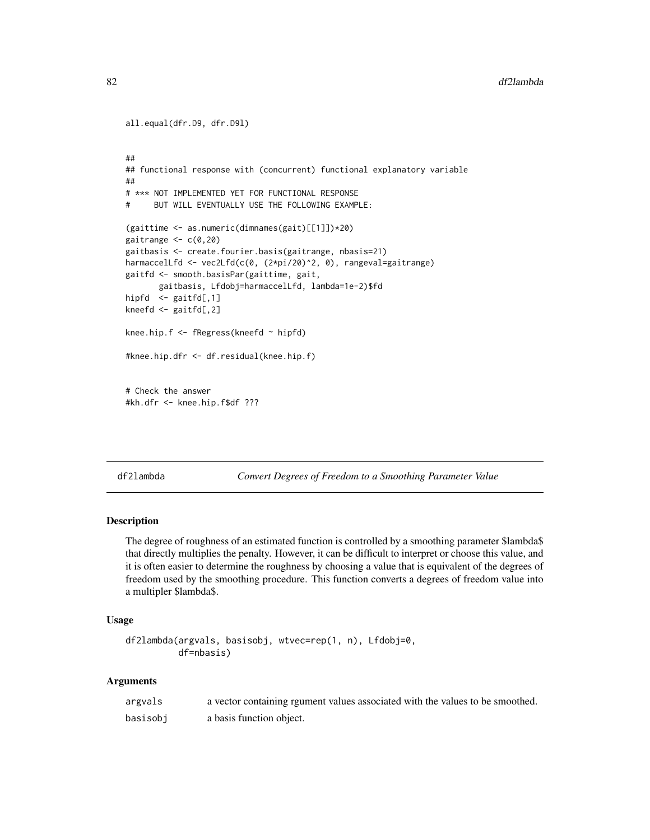```
all.equal(dfr.D9, dfr.D9l)
##
## functional response with (concurrent) functional explanatory variable
##
# *** NOT IMPLEMENTED YET FOR FUNCTIONAL RESPONSE
# BUT WILL EVENTUALLY USE THE FOLLOWING EXAMPLE:
(gaittime <- as.numeric(dimnames(gait)[[1]])*20)
gaitrange <-c(0,20)gaitbasis <- create.fourier.basis(gaitrange, nbasis=21)
harmaccelLfd <- vec2Lfd(c(0, (2*pi/20)^2, 0), rangeval=gaitrange)
gaitfd <- smooth.basisPar(gaittime, gait,
      gaitbasis, Lfdobj=harmaccelLfd, lambda=1e-2)$fd
hipfd <- gaitfd[,1]
kneefd <- gaitfd[,2]
knee.hip.f <- fRegress(kneefd ~ hipfd)
#knee.hip.dfr <- df.residual(knee.hip.f)
# Check the answer
#kh.dfr <- knee.hip.f$df ???
```
df2lambda *Convert Degrees of Freedom to a Smoothing Parameter Value*

## Description

The degree of roughness of an estimated function is controlled by a smoothing parameter \$lambda\$ that directly multiplies the penalty. However, it can be difficult to interpret or choose this value, and it is often easier to determine the roughness by choosing a value that is equivalent of the degrees of freedom used by the smoothing procedure. This function converts a degrees of freedom value into a multipler \$lambda\$.

#### Usage

```
df2lambda(argvals, basisobj, wtvec=rep(1, n), Lfdobj=0,
          df=nbasis)
```
# Arguments

| argvals  | a vector containing rgument values associated with the values to be smoothed. |
|----------|-------------------------------------------------------------------------------|
| basisobj | a basis function object.                                                      |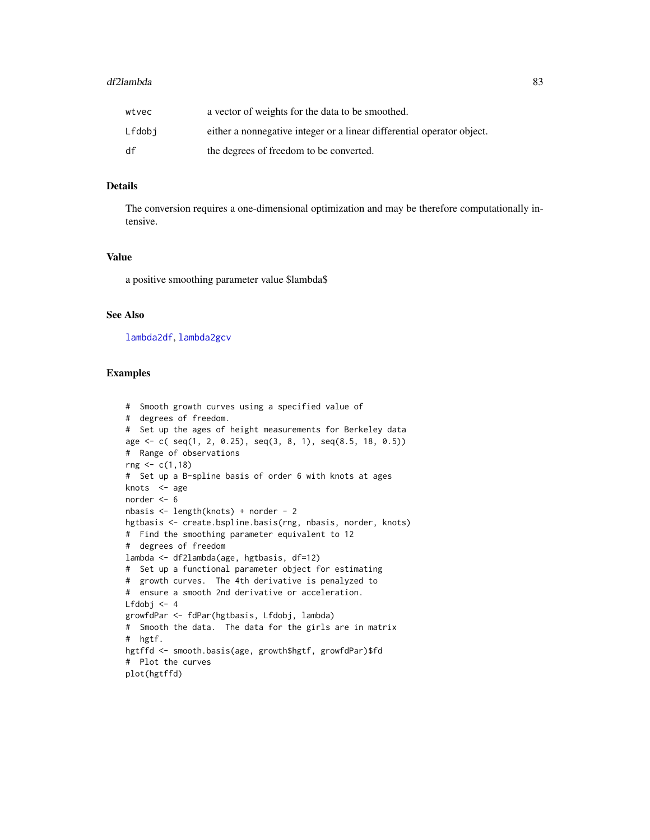#### df2lambda 83

| wtvec  | a vector of weights for the data to be smoothed.                       |
|--------|------------------------------------------------------------------------|
| Lfdobi | either a nonnegative integer or a linear differential operator object. |
| df     | the degrees of freedom to be converted.                                |

# Details

The conversion requires a one-dimensional optimization and may be therefore computationally intensive.

# Value

a positive smoothing parameter value \$lambda\$

# See Also

[lambda2df](#page-149-0), [lambda2gcv](#page-150-0)

```
# Smooth growth curves using a specified value of
# degrees of freedom.
# Set up the ages of height measurements for Berkeley data
age <- c( seq(1, 2, 0.25), seq(3, 8, 1), seq(8.5, 18, 0.5))
# Range of observations
rng < -c(1,18)# Set up a B-spline basis of order 6 with knots at ages
knots <- age
norder <- 6
nbasis <- length(knots) + norder - 2
hgtbasis <- create.bspline.basis(rng, nbasis, norder, knots)
# Find the smoothing parameter equivalent to 12
# degrees of freedom
lambda <- df2lambda(age, hgtbasis, df=12)
# Set up a functional parameter object for estimating
# growth curves. The 4th derivative is penalyzed to
# ensure a smooth 2nd derivative or acceleration.
Lfdobj \leq -4growfdPar <- fdPar(hgtbasis, Lfdobj, lambda)
# Smooth the data. The data for the girls are in matrix
# hgtf.
hgtffd <- smooth.basis(age, growth$hgtf, growfdPar)$fd
# Plot the curves
plot(hgtffd)
```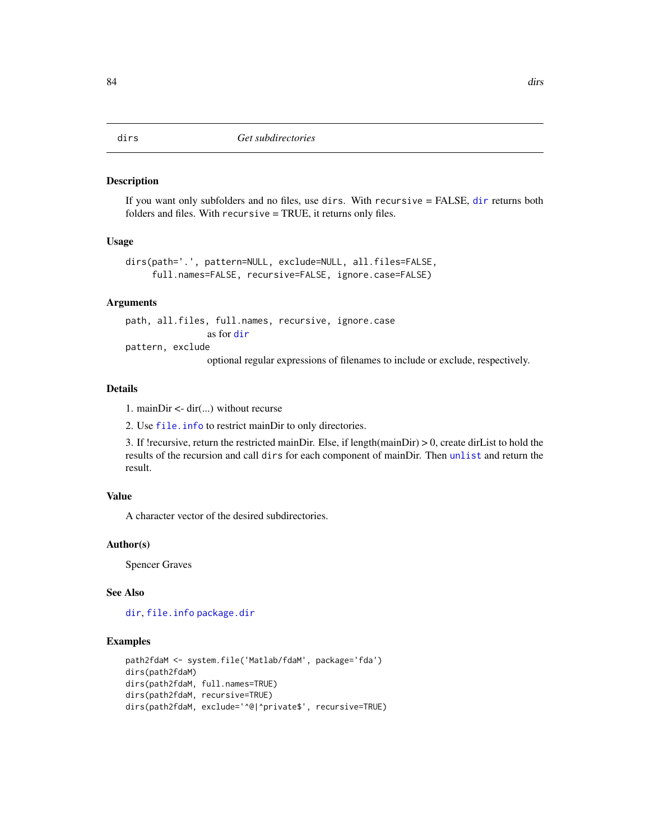## Description

If you want only subfolders and no files, use dirs. With recursive = FALSE, [dir](#page-0-0) returns both folders and files. With recursive = TRUE, it returns only files.

## Usage

```
dirs(path='.', pattern=NULL, exclude=NULL, all.files=FALSE,
     full.names=FALSE, recursive=FALSE, ignore.case=FALSE)
```
# Arguments

path, all.files, ful[l.na](#page-0-0)mes, recursive, ignore.case as for dir pattern, exclude

optional regular expressions of filenames to include or exclude, respectively.

## Details

1. mainDir <- dir(...) without recurse

2. Use [file.info](#page-0-0) to restrict mainDir to only directories.

3. If !recursive, return the restricted mainDir. Else, if length(mainDir) > 0, create dirList to hold the results of the recursion and call dirs for each component of mainDir. Then [unlist](#page-0-0) and return the result.

# Value

A character vector of the desired subdirectories.

#### Author(s)

Spencer Graves

## See Also

[dir](#page-0-0), [file.info](#page-0-0) [package.dir](#page-0-0)

```
path2fdaM <- system.file('Matlab/fdaM', package='fda')
dirs(path2fdaM)
dirs(path2fdaM, full.names=TRUE)
dirs(path2fdaM, recursive=TRUE)
dirs(path2fdaM, exclude='^@|^private$', recursive=TRUE)
```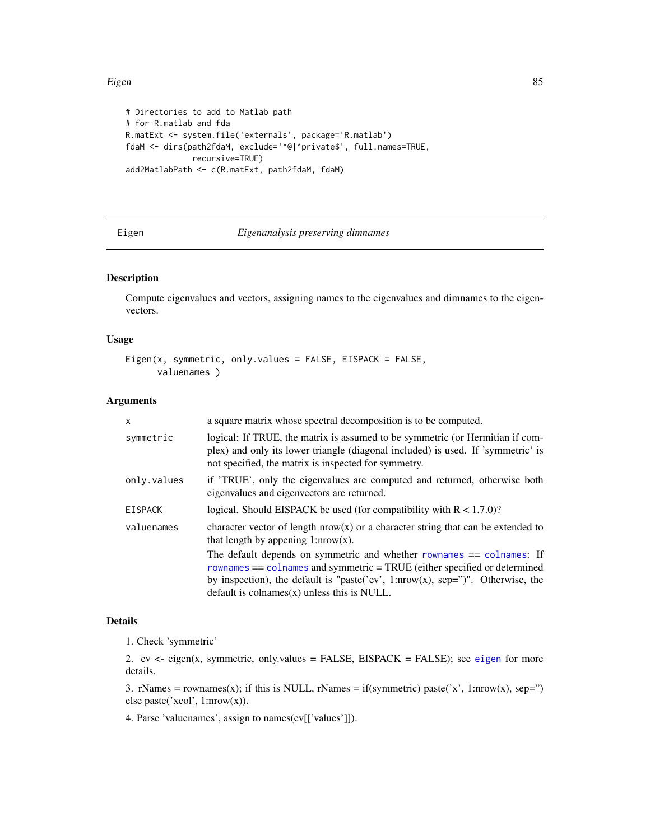#### Eigen 1855 - Stein Broadwaren en de Stein Broadwaren 1865 - Stein Broadwaren 1865 - Stein Broadwaren 1865 - St

```
# Directories to add to Matlab path
# for R.matlab and fda
R.matExt <- system.file('externals', package='R.matlab')
fdaM <- dirs(path2fdaM, exclude='^@|^private$', full.names=TRUE,
              recursive=TRUE)
add2MatlabPath <- c(R.matExt, path2fdaM, fdaM)
```
Eigen *Eigenanalysis preserving dimnames*

# Description

Compute eigenvalues and vectors, assigning names to the eigenvalues and dimnames to the eigenvectors.

# Usage

```
Eigen(x, symmetric, only.values = FALSE, EISPACK = FALSE,
      valuenames )
```
## Arguments

| $\mathsf{x}$   | a square matrix whose spectral decomposition is to be computed.                                                                                                                                                           |  |
|----------------|---------------------------------------------------------------------------------------------------------------------------------------------------------------------------------------------------------------------------|--|
| symmetric      | logical: If TRUE, the matrix is assumed to be symmetric (or Hermitian if com-<br>plex) and only its lower triangle (diagonal included) is used. If 'symmetric' is<br>not specified, the matrix is inspected for symmetry. |  |
| only.values    | if 'TRUE', only the eigenvalues are computed and returned, otherwise both<br>eigenvalues and eigenvectors are returned.                                                                                                   |  |
| <b>EISPACK</b> | logical. Should EISPACK be used (for compatibility with $R < 1.7.0$ )?                                                                                                                                                    |  |
| valuenames     | character vector of length $nrow(x)$ or a character string that can be extended to<br>that length by appening $1: nrow(x)$ .                                                                                              |  |
|                | The default depends on symmetric and whether rownames == colnames: If<br>rownames == colnames and symmetric = TRUE (either specified or determined                                                                        |  |
|                | by inspection), the default is "paste('ev', $1: nrow(x)$ , sep=")". Otherwise, the<br>$default$ is colnames $(x)$ unless this is NULL.                                                                                    |  |

#### Details

1. Check 'symmetric'

2. ev  $\leq$  [eigen](#page-0-0)(x, symmetric, only.values = FALSE, EISPACK = FALSE); see eigen for more details.

3. rNames = rownames(x); if this is NULL, rNames = if(symmetric) paste('x', 1:nrow(x), sep=") else paste('xcol', 1:nrow(x)).

4. Parse 'valuenames', assign to names(ev[['values']]).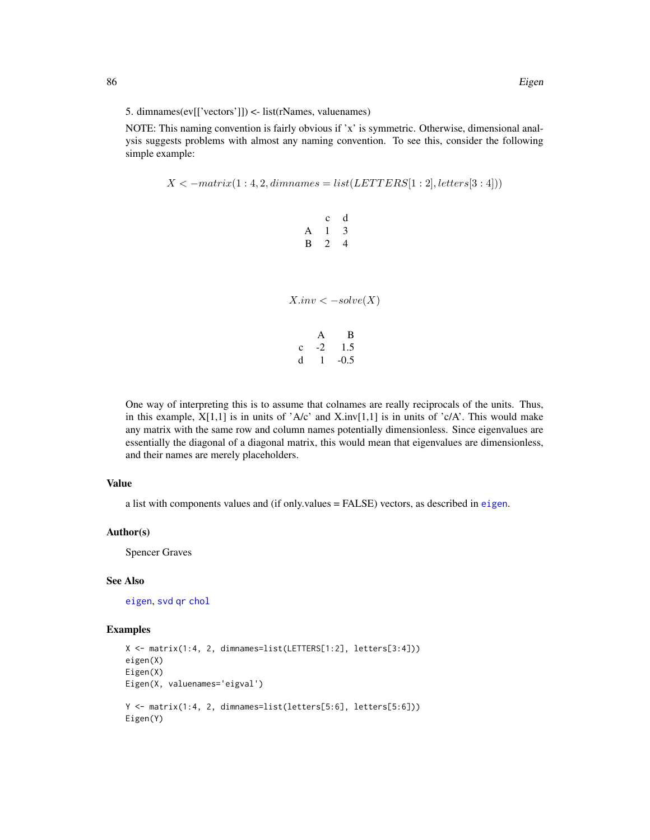## 5. dimnames(ev[['vectors']]) <- list(rNames, valuenames)

NOTE: This naming convention is fairly obvious if 'x' is symmetric. Otherwise, dimensional analysis suggests problems with almost any naming convention. To see this, consider the following simple example:

$$
X < -matrix(1:4,2, dimnames = list(LETTERS[1:2], letters[3:4]))
$$

|   | с            | d |
|---|--------------|---|
| A | $\mathbf{1}$ | 3 |
| B | 2            | 4 |
|   |              |   |

```
X.inv < -solve(X)
```

```
A B
c -2 1.5
d 1 -0.5
```
One way of interpreting this is to assume that colnames are really reciprocals of the units. Thus, in this example,  $X[1,1]$  is in units of 'A/c' and X.inv[1,1] is in units of 'c/A'. This would make any matrix with the same row and column names potentially dimensionless. Since eigenvalues are essentially the diagonal of a diagonal matrix, this would mean that eigenvalues are dimensionless, and their names are merely placeholders.

# Value

a list with components values and (if only.values = FALSE) vectors, as described in [eigen](#page-0-0).

## Author(s)

Spencer Graves

# See Also

[eigen](#page-0-0), [svd](#page-0-0) [qr](#page-0-0) [chol](#page-0-0)

```
X <- matrix(1:4, 2, dimnames=list(LETTERS[1:2], letters[3:4]))
eigen(X)
Eigen(X)
Eigen(X, valuenames='eigval')
Y <- matrix(1:4, 2, dimnames=list(letters[5:6], letters[5:6]))
Eigen(Y)
```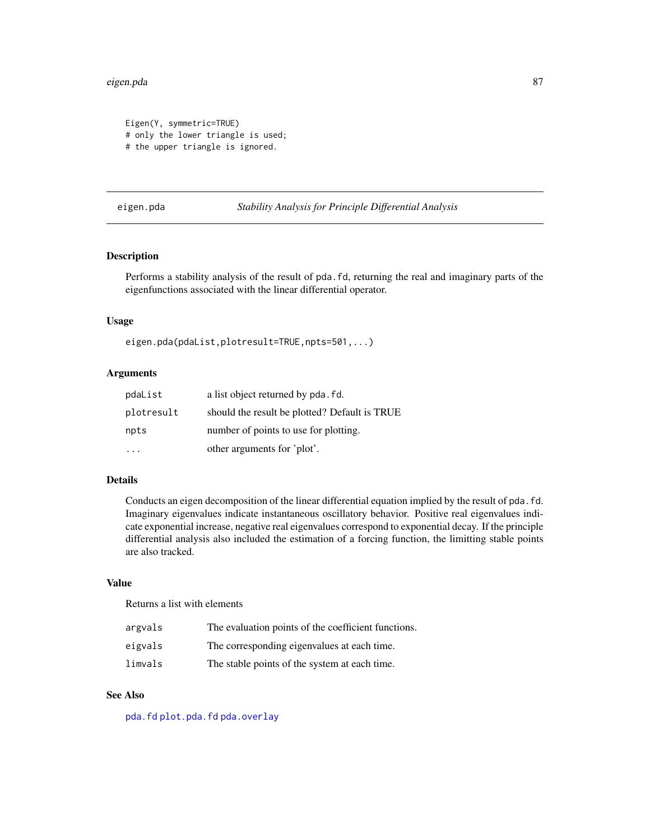#### eigen.pda 87

```
Eigen(Y, symmetric=TRUE)
# only the lower triangle is used;
# the upper triangle is ignored.
```
## eigen.pda *Stability Analysis for Principle Differential Analysis*

# Description

Performs a stability analysis of the result of pda.fd, returning the real and imaginary parts of the eigenfunctions associated with the linear differential operator.

# Usage

```
eigen.pda(pdaList,plotresult=TRUE,npts=501,...)
```
# Arguments

| pdaList    | a list object returned by pda. fd.            |
|------------|-----------------------------------------------|
| plotresult | should the result be plotted? Default is TRUE |
| npts       | number of points to use for plotting.         |
|            | other arguments for 'plot'.                   |

# Details

Conducts an eigen decomposition of the linear differential equation implied by the result of pda.fd. Imaginary eigenvalues indicate instantaneous oscillatory behavior. Positive real eigenvalues indicate exponential increase, negative real eigenvalues correspond to exponential decay. If the principle differential analysis also included the estimation of a forcing function, the limitting stable points are also tracked.

# Value

Returns a list with elements

| argvals | The evaluation points of the coefficient functions. |
|---------|-----------------------------------------------------|
| eigvals | The corresponding eigenvalues at each time.         |
| limvals | The stable points of the system at each time.       |

# See Also

[pda.fd](#page-181-0) [plot.pda.fd](#page-201-0) [pda.overlay](#page-188-0)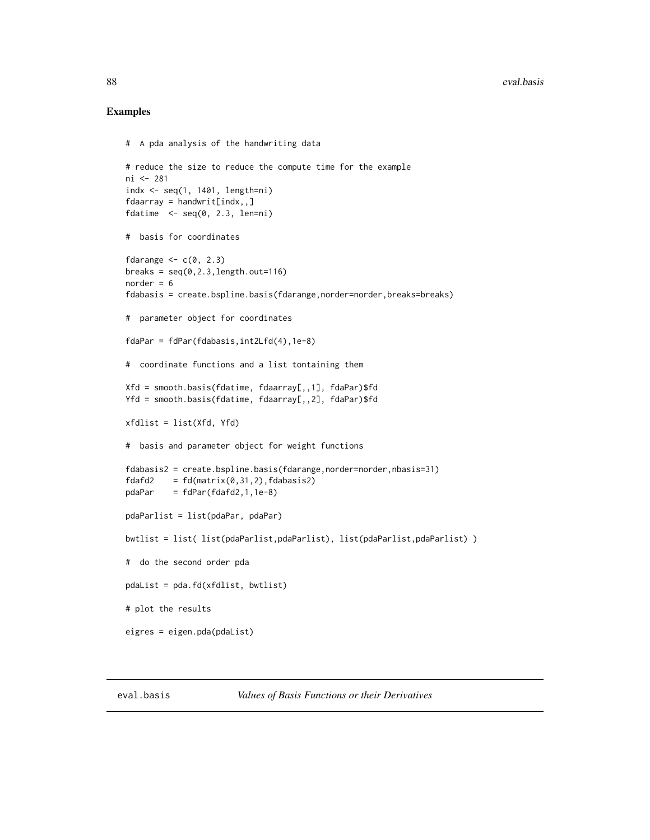```
# A pda analysis of the handwriting data
# reduce the size to reduce the compute time for the example
ni <- 281
indx <- seq(1, 1401, length=ni)
fdaarray = \text{handwrit}[indx,,]
fdatime \leq seq(0, 2.3, len=ni)
# basis for coordinates
fdarange \leq -c(0, 2.3)breaks = seq(0, 2.3, length.out=116)norder = 6fdabasis = create.bspline.basis(fdarange,norder=norder,breaks=breaks)
# parameter object for coordinates
fdaPar = fdPar(fdabasis, int2Lfd(4), 1e-8)# coordinate functions and a list tontaining them
Xfd = smooth.basis(fdatime, fdaarray[,,1], fdaPar)$fd
Yfd = smooth.basis(fdatime, fdaarray[,,2], fdaPar)$fd
xfdlist = list(Xfd, Yfd)
# basis and parameter object for weight functions
fdabasis2 = create.bspline.basis(fdarange,norder=norder,nbasis=31)
fdafd2 = fd(matrix(0,31,2),fdabasis2)pdaPar = f dPar(f da f d2, 1, 1e-8)pdaParlist = list(pdaPar, pdaPar)
bwtlist = list( list(pdaParlist,pdaParlist), list(pdaParlist,pdaParlist) )
# do the second order pda
pdaList = pda.fd(xfdlist, bwtlist)
# plot the results
eigres = eigen.pda(pdaList)
```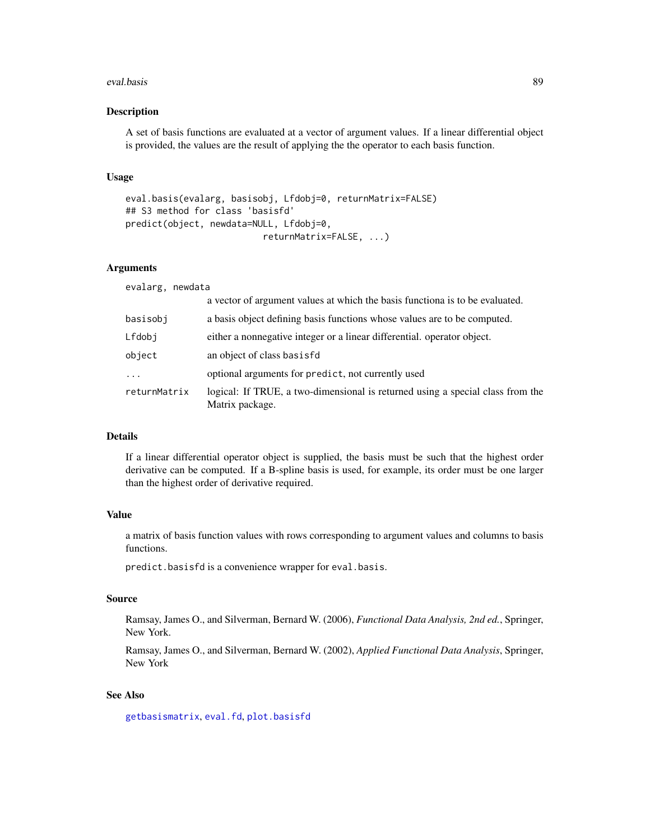#### eval.basis 89

## Description

A set of basis functions are evaluated at a vector of argument values. If a linear differential object is provided, the values are the result of applying the the operator to each basis function.

#### Usage

```
eval.basis(evalarg, basisobj, Lfdobj=0, returnMatrix=FALSE)
## S3 method for class 'basisfd'
predict(object, newdata=NULL, Lfdobj=0,
                          returnMatrix=FALSE, ...)
```
## Arguments

| evalarg, newdata |                                                                                                   |
|------------------|---------------------------------------------------------------------------------------------------|
|                  | a vector of argument values at which the basis functional is to be evaluated.                     |
| basisobj         | a basis object defining basis functions whose values are to be computed.                          |
| Lfdobj           | either a nonnegative integer or a linear differential. operator object.                           |
| object           | an object of class basisfd                                                                        |
|                  | optional arguments for predict, not currently used                                                |
| returnMatrix     | logical: If TRUE, a two-dimensional is returned using a special class from the<br>Matrix package. |

## Details

If a linear differential operator object is supplied, the basis must be such that the highest order derivative can be computed. If a B-spline basis is used, for example, its order must be one larger than the highest order of derivative required.

#### Value

a matrix of basis function values with rows corresponding to argument values and columns to basis functions.

predict.basisfd is a convenience wrapper for eval.basis.

#### Source

Ramsay, James O., and Silverman, Bernard W. (2006), *Functional Data Analysis, 2nd ed.*, Springer, New York.

Ramsay, James O., and Silverman, Bernard W. (2002), *Applied Functional Data Analysis*, Springer, New York

# See Also

[getbasismatrix](#page-134-0), [eval.fd](#page-92-0), [plot.basisfd](#page-192-0)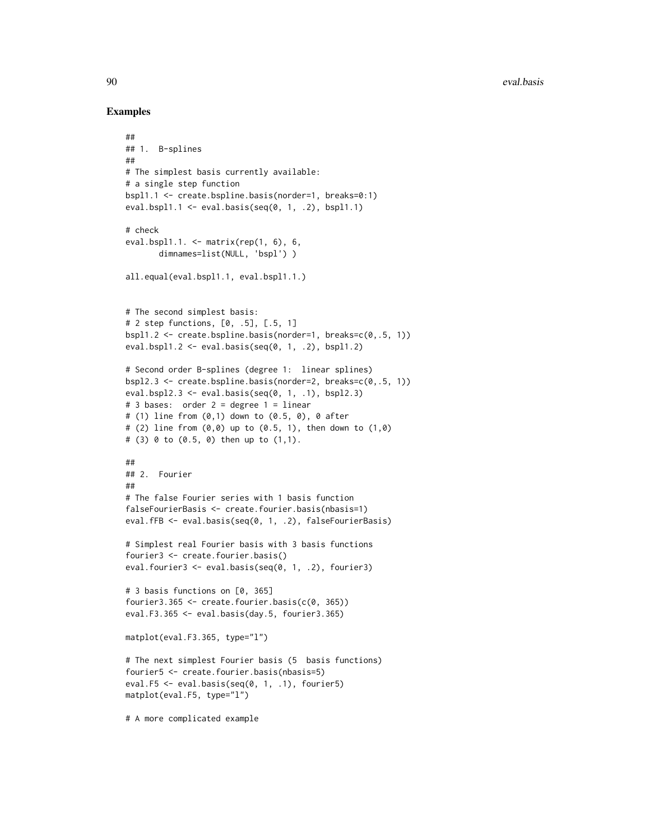```
##
## 1. B-splines
##
# The simplest basis currently available:
# a single step function
bspl1.1 <- create.bspline.basis(norder=1, breaks=0:1)
eval.bspl1.1 \leq eval.basis(seq(0, 1, .2), bspl1.1)
# check
eval.bspl1.1. <- matrix(rep(1, 6), 6,
       dimnames=list(NULL, 'bspl') )
all.equal(eval.bspl1.1, eval.bspl1.1.)
# The second simplest basis:
# 2 step functions, [0, .5], [.5, 1]
bspl1.2 \leq create.bspline.basis(norder=1, breaks=c(0, .5, 1))
eval.bspl1.2 \leq eval.basis(seq(0, 1, .2), bspl1.2)
# Second order B-splines (degree 1: linear splines)
bspl2.3 <- create.bspline.basis(norder=2, breaks=c(0,.5, 1))
eval.bspl2.3 \leq eval.basis(seq(0, 1, .1), bspl2.3)
# 3 bases: order 2 = degree 1 = linear
# (1) line from (0,1) down to (0.5, 0), 0 after
# (2) line from (0,0) up to (0.5, 1), then down to (1,0)
# (3) 0 to (0.5, 0) then up to (1,1).
##
## 2. Fourier
##
# The false Fourier series with 1 basis function
falseFourierBasis <- create.fourier.basis(nbasis=1)
eval.fFB <- eval.basis(seq(0, 1, .2), falseFourierBasis)
# Simplest real Fourier basis with 3 basis functions
fourier3 <- create.fourier.basis()
eval.fourier3 <- eval.basis(seq(0, 1, .2), fourier3)
# 3 basis functions on [0, 365]
fourier3.365 <- create.fourier.basis(c(0, 365))
eval.F3.365 <- eval.basis(day.5, fourier3.365)
matplot(eval.F3.365, type="l")
# The next simplest Fourier basis (5 basis functions)
fourier5 <- create.fourier.basis(nbasis=5)
eval.F5 \leq eval.basis(seq(0, 1, .1), fourier5)
matplot(eval.F5, type="l")
# A more complicated example
```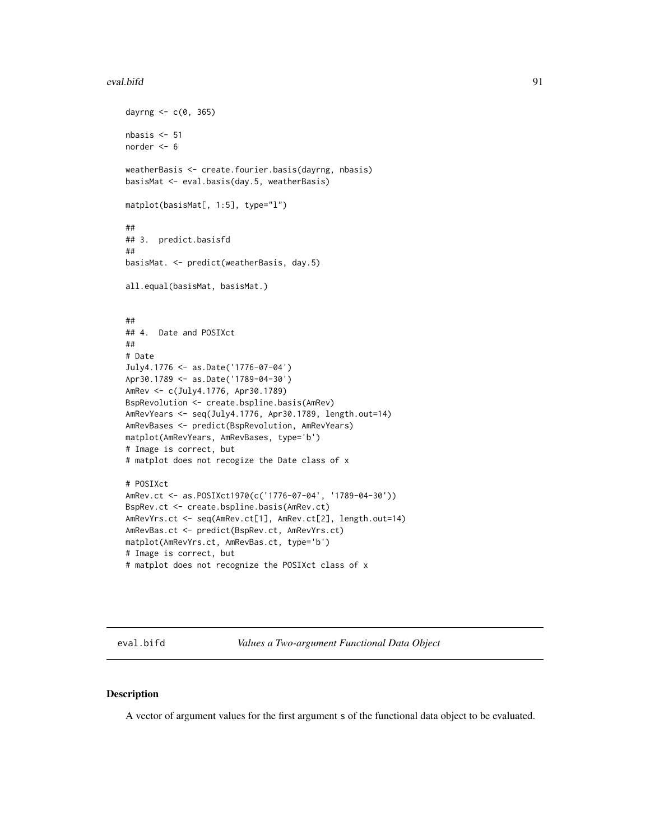#### eval.bifd 91

```
dayrng <- c(0, 365)
nbasis <- 51
norder <- 6
weatherBasis <- create.fourier.basis(dayrng, nbasis)
basisMat <- eval.basis(day.5, weatherBasis)
matplot(basisMat[, 1:5], type="l")
##
## 3. predict.basisfd
##
basisMat. <- predict(weatherBasis, day.5)
all.equal(basisMat, basisMat.)
##
## 4. Date and POSIXct
##
# Date
July4.1776 <- as.Date('1776-07-04')
Apr30.1789 <- as.Date('1789-04-30')
AmRev <- c(July4.1776, Apr30.1789)
BspRevolution <- create.bspline.basis(AmRev)
AmRevYears <- seq(July4.1776, Apr30.1789, length.out=14)
AmRevBases <- predict(BspRevolution, AmRevYears)
matplot(AmRevYears, AmRevBases, type='b')
# Image is correct, but
# matplot does not recogize the Date class of x
# POSIXct
AmRev.ct <- as.POSIXct1970(c('1776-07-04', '1789-04-30'))
BspRev.ct <- create.bspline.basis(AmRev.ct)
AmRevYrs.ct <- seq(AmRev.ct[1], AmRev.ct[2], length.out=14)
AmRevBas.ct <- predict(BspRev.ct, AmRevYrs.ct)
matplot(AmRevYrs.ct, AmRevBas.ct, type='b')
# Image is correct, but
# matplot does not recognize the POSIXct class of x
```
<span id="page-90-0"></span>eval.bifd *Values a Two-argument Functional Data Object*

## Description

A vector of argument values for the first argument s of the functional data object to be evaluated.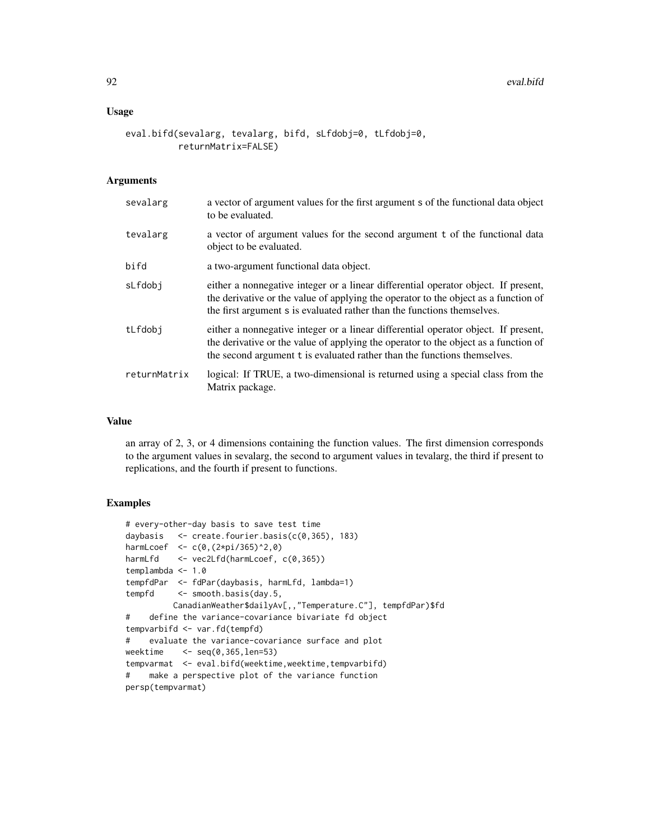## Usage

```
eval.bifd(sevalarg, tevalarg, bifd, sLfdobj=0, tLfdobj=0,
          returnMatrix=FALSE)
```
# Arguments

| sevalarg     | a vector of argument values for the first argument s of the functional data object<br>to be evaluated.                                                                                                                                                |
|--------------|-------------------------------------------------------------------------------------------------------------------------------------------------------------------------------------------------------------------------------------------------------|
| tevalarg     | a vector of argument values for the second argument t of the functional data<br>object to be evaluated.                                                                                                                                               |
| bifd         | a two-argument functional data object.                                                                                                                                                                                                                |
| sLfdobi      | either a nonnegative integer or a linear differential operator object. If present,<br>the derivative or the value of applying the operator to the object as a function of<br>the first argument s is evaluated rather than the functions themselves.  |
| tLfdobi      | either a nonnegative integer or a linear differential operator object. If present,<br>the derivative or the value of applying the operator to the object as a function of<br>the second argument t is evaluated rather than the functions themselves. |
| returnMatrix | logical: If TRUE, a two-dimensional is returned using a special class from the<br>Matrix package.                                                                                                                                                     |

# Value

an array of 2, 3, or 4 dimensions containing the function values. The first dimension corresponds to the argument values in sevalarg, the second to argument values in tevalarg, the third if present to replications, and the fourth if present to functions.

```
# every-other-day basis to save test time
daybasis <- create.fourier.basis(c(0,365), 183)
harmLcoef <- c(0,(2*pi/365)^2,0)
harmLfd <- vec2Lfd(harmLcoef, c(0,365))
templambda <- 1.0
tempfdPar <- fdPar(daybasis, harmLfd, lambda=1)
tempfd <- smooth.basis(day.5,
         CanadianWeather$dailyAv[,,"Temperature.C"], tempfdPar)$fd
# define the variance-covariance bivariate fd object
tempvarbifd <- var.fd(tempfd)
# evaluate the variance-covariance surface and plot
weektime <- seq(0,365,len=53)
tempvarmat <- eval.bifd(weektime,weektime,tempvarbifd)
# make a perspective plot of the variance function
persp(tempvarmat)
```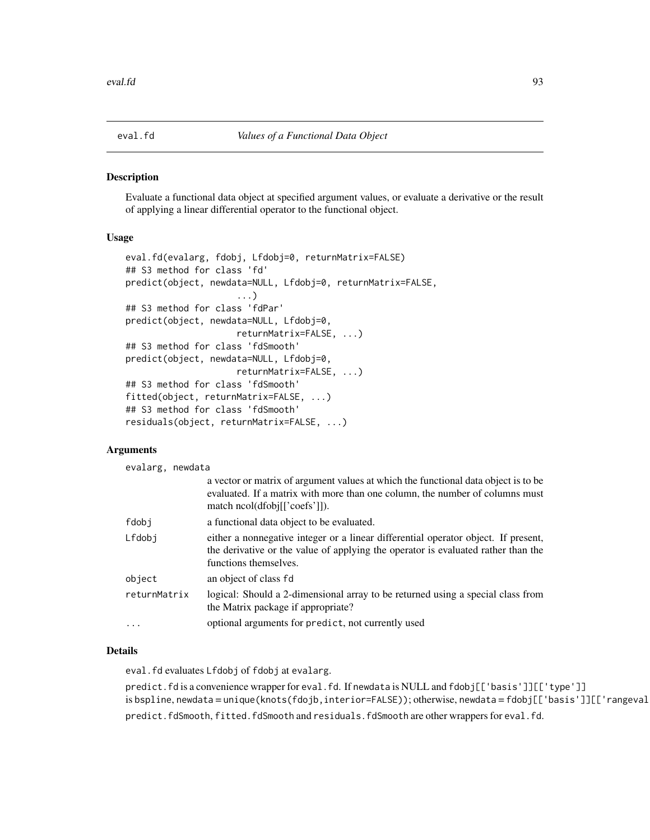<span id="page-92-0"></span>

#### Description

Evaluate a functional data object at specified argument values, or evaluate a derivative or the result of applying a linear differential operator to the functional object.

#### Usage

```
eval.fd(evalarg, fdobj, Lfdobj=0, returnMatrix=FALSE)
## S3 method for class 'fd'
predict(object, newdata=NULL, Lfdobj=0, returnMatrix=FALSE,
                     ...)
## S3 method for class 'fdPar'
predict(object, newdata=NULL, Lfdobj=0,
                     returnMatrix=FALSE, ...)
## S3 method for class 'fdSmooth'
predict(object, newdata=NULL, Lfdobj=0,
                     returnMatrix=FALSE, ...)
## S3 method for class 'fdSmooth'
fitted(object, returnMatrix=FALSE, ...)
## S3 method for class 'fdSmooth'
residuals(object, returnMatrix=FALSE, ...)
```
## Arguments

evalarg, newdata

|              | a vector or matrix of argument values at which the functional data object is to be<br>evaluated. If a matrix with more than one column, the number of columns must<br>match ncol(dfobj[['coefs']]). |
|--------------|-----------------------------------------------------------------------------------------------------------------------------------------------------------------------------------------------------|
| fdobj        | a functional data object to be evaluated.                                                                                                                                                           |
| Lfdobj       | either a nonnegative integer or a linear differential operator object. If present,<br>the derivative or the value of applying the operator is evaluated rather than the<br>functions themselves.    |
| object       | an object of class fd                                                                                                                                                                               |
| returnMatrix | logical: Should a 2-dimensional array to be returned using a special class from<br>the Matrix package if appropriate?                                                                               |
| $\ddots$ .   | optional arguments for predict, not currently used                                                                                                                                                  |
|              |                                                                                                                                                                                                     |

## Details

eval.fd evaluates Lfdobj of fdobj at evalarg.

predict.fd is a convenience wrapper for eval.fd. If newdata is NULL and fdobj[['basis']][['type']] is bspline, newdata = unique(knots(fdojb,interior=FALSE)); otherwise, newdata = fdobj[['basis']][['rangeval predict.fdSmooth, fitted.fdSmooth and residuals.fdSmooth are other wrappers for eval.fd.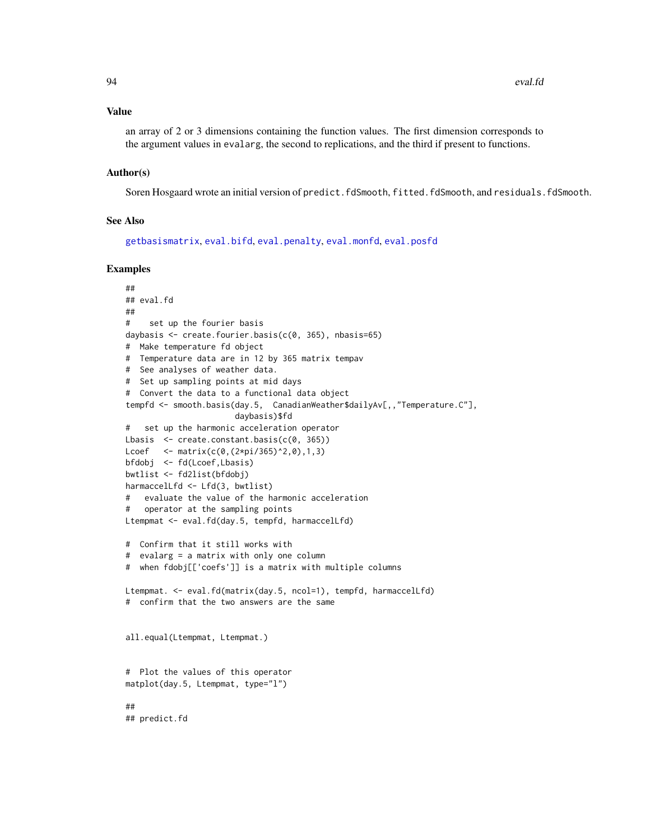#### Value

an array of 2 or 3 dimensions containing the function values. The first dimension corresponds to the argument values in evalarg, the second to replications, and the third if present to functions.

#### Author(s)

Soren Hosgaard wrote an initial version of predict.fdSmooth, fitted.fdSmooth, and residuals.fdSmooth.

## See Also

[getbasismatrix](#page-134-0), [eval.bifd](#page-90-0), [eval.penalty](#page-97-0), [eval.monfd](#page-95-0), [eval.posfd](#page-98-0)

```
##
## eval.fd
##
# set up the fourier basis
daybasis \leq create.fourier.basis(c(0, 365), nbasis=65)
# Make temperature fd object
# Temperature data are in 12 by 365 matrix tempav
# See analyses of weather data.
# Set up sampling points at mid days
# Convert the data to a functional data object
tempfd <- smooth.basis(day.5, CanadianWeather$dailyAv[,,"Temperature.C"],
                      daybasis)$fd
# set up the harmonic acceleration operator
Lbasis <- create.constant.basis(c(0, 365))
Lcoef \leq matrix(c(0,(2*pi/365)^2,0),1,3)
bfdobj <- fd(Lcoef,Lbasis)
bwtlist <- fd2list(bfdobj)
harmaccelLfd <- Lfd(3, bwtlist)
# evaluate the value of the harmonic acceleration
# operator at the sampling points
Ltempmat <- eval.fd(day.5, tempfd, harmaccelLfd)
# Confirm that it still works with
# evalarg = a matrix with only one column
# when fdobj[['coefs']] is a matrix with multiple columns
Ltempmat. <- eval.fd(matrix(day.5, ncol=1), tempfd, harmaccelLfd)
# confirm that the two answers are the same
all.equal(Ltempmat, Ltempmat.)
# Plot the values of this operator
matplot(day.5, Ltempmat, type="l")
##
## predict.fd
```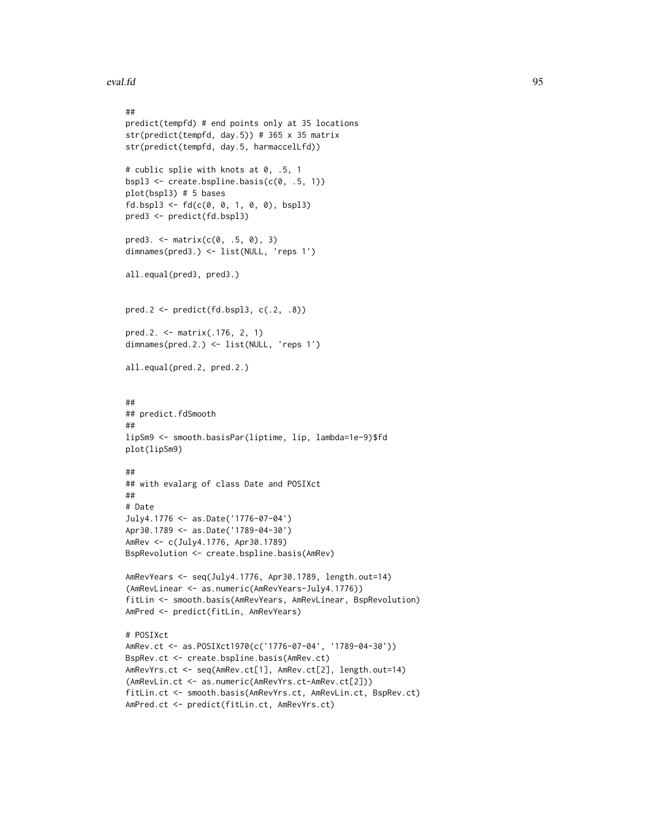```
eval.fd 95
```

```
##
predict(tempfd) # end points only at 35 locations
str(predict(tempfd, day.5)) # 365 x 35 matrix
str(predict(tempfd, day.5, harmaccelLfd))
# cublic splie with knots at 0, .5, 1
bspl3 \leq create.bspline.basis(c(0, .5, 1))
plot(bspl3) # 5 bases
fd.bsp13 \leq-fd(c(0, 0, 1, 0, 0), bsp13)pred3 <- predict(fd.bspl3)
pred3. <- matrix(c(0, .5, 0), 3)
dimnames(pred3.) <- list(NULL, 'reps 1')
all.equal(pred3, pred3.)
pred.2 <- predict(fd.bspl3, c(.2, .8))
pred.2. <- matrix(.176, 2, 1)
dimnames(pred.2.) <- list(NULL, 'reps 1')
all.equal(pred.2, pred.2.)
##
## predict.fdSmooth
##
lipSm9 <- smooth.basisPar(liptime, lip, lambda=1e-9)$fd
plot(lipSm9)
##
## with evalarg of class Date and POSIXct
##
# Date
July4.1776 <- as.Date('1776-07-04')
Apr30.1789 <- as.Date('1789-04-30')
AmRev <- c(July4.1776, Apr30.1789)
BspRevolution <- create.bspline.basis(AmRev)
AmRevYears <- seq(July4.1776, Apr30.1789, length.out=14)
(AmRevLinear <- as.numeric(AmRevYears-July4.1776))
fitLin <- smooth.basis(AmRevYears, AmRevLinear, BspRevolution)
AmPred <- predict(fitLin, AmRevYears)
# POSIXct
AmRev.ct <- as.POSIXct1970(c('1776-07-04', '1789-04-30'))
BspRev.ct <- create.bspline.basis(AmRev.ct)
AmRevYrs.ct <- seq(AmRev.ct[1], AmRev.ct[2], length.out=14)
(AmRevLin.ct <- as.numeric(AmRevYrs.ct-AmRev.ct[2]))
fitLin.ct <- smooth.basis(AmRevYrs.ct, AmRevLin.ct, BspRev.ct)
AmPred.ct <- predict(fitLin.ct, AmRevYrs.ct)
```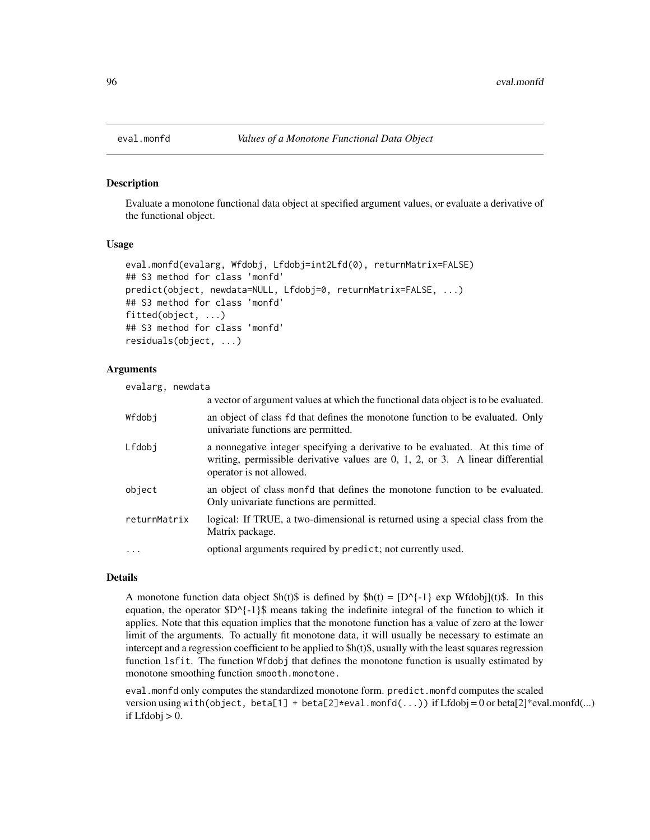<span id="page-95-0"></span>

#### Description

Evaluate a monotone functional data object at specified argument values, or evaluate a derivative of the functional object.

## Usage

```
eval.monfd(evalarg, Wfdobj, Lfdobj=int2Lfd(0), returnMatrix=FALSE)
## S3 method for class 'monfd'
predict(object, newdata=NULL, Lfdobj=0, returnMatrix=FALSE, ...)
## S3 method for class 'monfd'
fitted(object, ...)
## S3 method for class 'monfd'
residuals(object, ...)
```
# Arguments

| evalarg, newdata |                                                                                                                                                                                                    |
|------------------|----------------------------------------------------------------------------------------------------------------------------------------------------------------------------------------------------|
|                  | a vector of argument values at which the functional data object is to be evaluated.                                                                                                                |
| Wfdobj           | an object of class fd that defines the monotone function to be evaluated. Only<br>univariate functions are permitted.                                                                              |
| Lfdobi           | a nonnegative integer specifying a derivative to be evaluated. At this time of<br>writing, permissible derivative values are $0, 1, 2,$ or $3$ . A linear differential<br>operator is not allowed. |
| object           | an object of class monfd that defines the monotone function to be evaluated.<br>Only univariate functions are permitted.                                                                           |
| returnMatrix     | logical: If TRUE, a two-dimensional is returned using a special class from the<br>Matrix package.                                                                                                  |
| $\cdots$         | optional arguments required by predict; not currently used.                                                                                                                                        |

# Details

A monotone function data object  $h(t)$  is defined by  $h(t) = [D^{\wedge}(-1)]$  exp Wfdobj](t)\$. In this equation, the operator  $D^{(1)}$  smeans taking the indefinite integral of the function to which it applies. Note that this equation implies that the monotone function has a value of zero at the lower limit of the arguments. To actually fit monotone data, it will usually be necessary to estimate an intercept and a regression coefficient to be applied to \$h(t)\$, usually with the least squares regression function lsfit. The function Wfdobj that defines the monotone function is usually estimated by monotone smoothing function smooth.monotone.

eval.monfd only computes the standardized monotone form. predict.monfd computes the scaled version using with(object, beta[1] + beta[2]\*eval.monfd(...)) if Lfdobj = 0 or beta[2]\*eval.monfd(...) if  $Lfdobj > 0$ .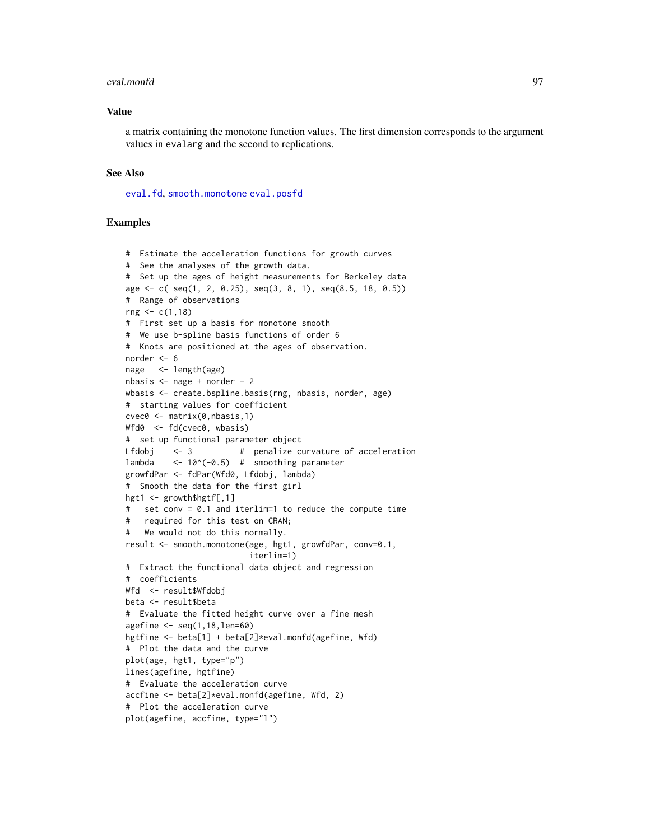#### eval.monfd 97

# Value

a matrix containing the monotone function values. The first dimension corresponds to the argument values in evalarg and the second to replications.

# See Also

[eval.fd](#page-92-0), [smooth.monotone](#page-264-0) [eval.posfd](#page-98-0)

```
# Estimate the acceleration functions for growth curves
# See the analyses of the growth data.
# Set up the ages of height measurements for Berkeley data
age <- c( seq(1, 2, 0.25), seq(3, 8, 1), seq(8.5, 18, 0.5))
# Range of observations
rng < -c(1,18)# First set up a basis for monotone smooth
# We use b-spline basis functions of order 6
# Knots are positioned at the ages of observation.
norder <- 6
nage <- length(age)
nbasis <- nage + norder - 2
wbasis <- create.bspline.basis(rng, nbasis, norder, age)
# starting values for coefficient
cvec0 <- matrix(0,nbasis,1)
Wfd0 <- fd(cvec0, wbasis)
# set up functional parameter object
Lfdobj \leq 3 # penalize curvature of acceleration
lambda \leq -10 (-0.5) # smoothing parameter
growfdPar <- fdPar(Wfd0, Lfdobj, lambda)
# Smooth the data for the first girl
hgt1 <- growth$hgtf[,1]
# set conv = 0.1 and iterlim=1 to reduce the compute time
# required for this test on CRAN;
# We would not do this normally.
result <- smooth.monotone(age, hgt1, growfdPar, conv=0.1,
                         iterlim=1)
# Extract the functional data object and regression
# coefficients
Wfd <- result$Wfdobj
beta <- result$beta
# Evaluate the fitted height curve over a fine mesh
agefine \leq seq(1,18, len=60)
hgtfine <- beta[1] + beta[2]*eval.monfd(agefine, Wfd)
# Plot the data and the curve
plot(age, hgt1, type="p")
lines(agefine, hgtfine)
# Evaluate the acceleration curve
accfine <- beta[2]*eval.monfd(agefine, Wfd, 2)
# Plot the acceleration curve
plot(agefine, accfine, type="l")
```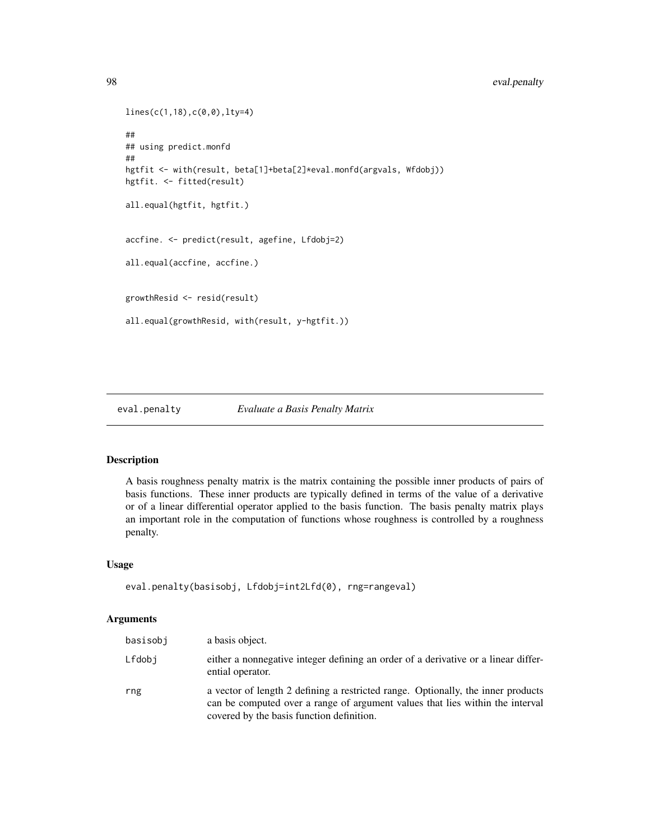# 98 eval.penalty

```
lines(c(1,18),c(0,0),lty=4)
##
## using predict.monfd
##
hgtfit <- with(result, beta[1]+beta[2]*eval.monfd(argvals, Wfdobj))
hgtfit. <- fitted(result)
all.equal(hgtfit, hgtfit.)
accfine. <- predict(result, agefine, Lfdobj=2)
all.equal(accfine, accfine.)
growthResid <- resid(result)
all.equal(growthResid, with(result, y-hgtfit.))
```
<span id="page-97-0"></span>eval.penalty *Evaluate a Basis Penalty Matrix*

## Description

A basis roughness penalty matrix is the matrix containing the possible inner products of pairs of basis functions. These inner products are typically defined in terms of the value of a derivative or of a linear differential operator applied to the basis function. The basis penalty matrix plays an important role in the computation of functions whose roughness is controlled by a roughness penalty.

## Usage

```
eval.penalty(basisobj, Lfdobj=int2Lfd(0), rng=rangeval)
```
## Arguments

| basisobj | a basis object.                                                                                                                                                                                                |
|----------|----------------------------------------------------------------------------------------------------------------------------------------------------------------------------------------------------------------|
| Lfdobi   | either a nonnegative integer defining an order of a derivative or a linear differ-<br>ential operator.                                                                                                         |
| rng      | a vector of length 2 defining a restricted range. Optionally, the inner products<br>can be computed over a range of argument values that lies within the interval<br>covered by the basis function definition. |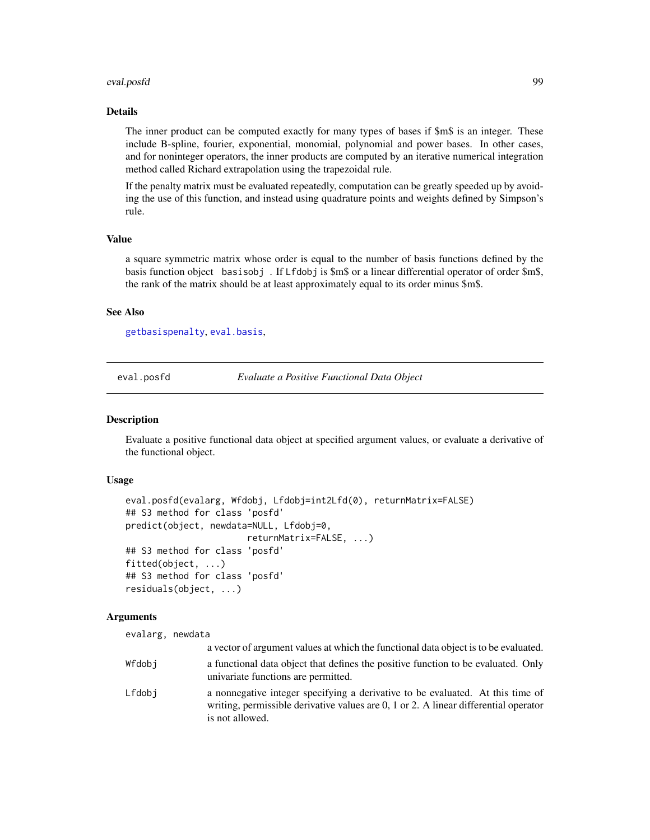#### eval.posfd 99

# Details

The inner product can be computed exactly for many types of bases if \$m\$ is an integer. These include B-spline, fourier, exponential, monomial, polynomial and power bases. In other cases, and for noninteger operators, the inner products are computed by an iterative numerical integration method called Richard extrapolation using the trapezoidal rule.

If the penalty matrix must be evaluated repeatedly, computation can be greatly speeded up by avoiding the use of this function, and instead using quadrature points and weights defined by Simpson's rule.

# Value

a square symmetric matrix whose order is equal to the number of basis functions defined by the basis function object basisobj . If Lfdobj is \$m\$ or a linear differential operator of order \$m\$, the rank of the matrix should be at least approximately equal to its order minus \$m\$.

#### See Also

[getbasispenalty](#page-135-0), [eval.basis](#page-87-0),

<span id="page-98-0"></span>eval.posfd *Evaluate a Positive Functional Data Object*

#### **Description**

Evaluate a positive functional data object at specified argument values, or evaluate a derivative of the functional object.

#### Usage

```
eval.posfd(evalarg, Wfdobj, Lfdobj=int2Lfd(0), returnMatrix=FALSE)
## S3 method for class 'posfd'
predict(object, newdata=NULL, Lfdobj=0,
                       returnMatrix=FALSE, ...)
## S3 method for class 'posfd'
fitted(object, ...)
## S3 method for class 'posfd'
residuals(object, ...)
```
## **Arguments**

evalarg, newdata

|        | a vector of argument values at which the functional data object is to be evaluated.                                                                                                       |
|--------|-------------------------------------------------------------------------------------------------------------------------------------------------------------------------------------------|
| Wfdobi | a functional data object that defines the positive function to be evaluated. Only<br>univariate functions are permitted.                                                                  |
| Lfdobi | a nonnegative integer specifying a derivative to be evaluated. At this time of<br>writing, permissible derivative values are 0, 1 or 2. A linear differential operator<br>is not allowed. |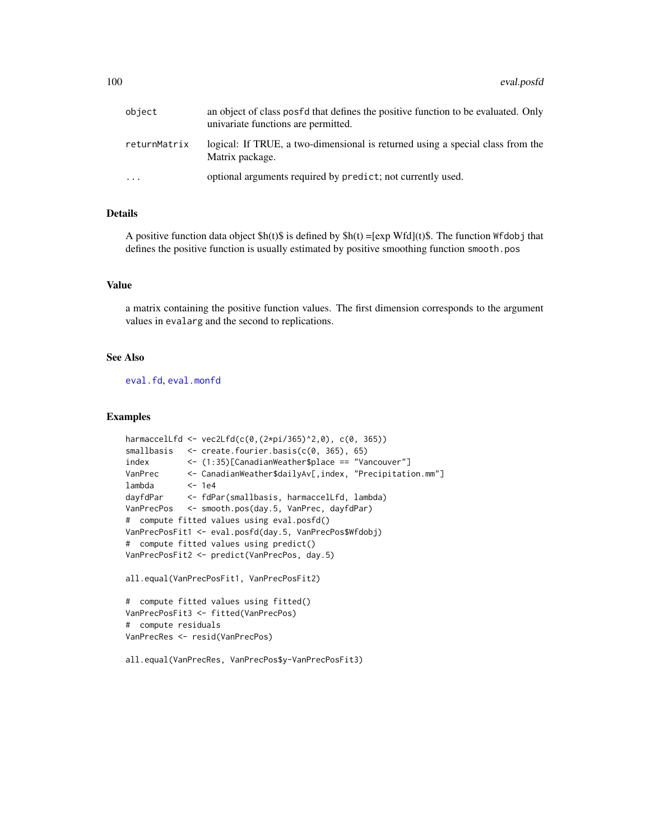| object       | an object of class posfd that defines the positive function to be evaluated. Only<br>univariate functions are permitted. |
|--------------|--------------------------------------------------------------------------------------------------------------------------|
| returnMatrix | logical: If TRUE, a two-dimensional is returned using a special class from the<br>Matrix package.                        |
| $\ddotsc$    | optional arguments required by predict; not currently used.                                                              |

# Details

A positive function data object  $h(t)$  is defined by  $h(t) = [exp Wfd](t)$ . The function Wfdobj that defines the positive function is usually estimated by positive smoothing function smooth.pos

# Value

a matrix containing the positive function values. The first dimension corresponds to the argument values in evalarg and the second to replications.

#### See Also

[eval.fd](#page-92-0), [eval.monfd](#page-95-0)

#### Examples

```
harmaccelLfd <- vec2Lfd(c(0,(2*pi/365)^2,0), c(0, 365))
smallbasis <- create.fourier.basis(c(0, 365), 65)
index <- (1:35)[CanadianWeather$place == "Vancouver"]
VanPrec <- CanadianWeather$dailyAv[,index, "Precipitation.mm"]
lambda <- 1e4
dayfdPar <- fdPar(smallbasis, harmaccelLfd, lambda)
VanPrecPos <- smooth.pos(day.5, VanPrec, dayfdPar)
# compute fitted values using eval.posfd()
VanPrecPosFit1 <- eval.posfd(day.5, VanPrecPos$Wfdobj)
# compute fitted values using predict()
VanPrecPosFit2 <- predict(VanPrecPos, day.5)
all.equal(VanPrecPosFit1, VanPrecPosFit2)
# compute fitted values using fitted()
VanPrecPosFit3 <- fitted(VanPrecPos)
# compute residuals
VanPrecRes <- resid(VanPrecPos)
```
all.equal(VanPrecRes, VanPrecPos\$y-VanPrecPosFit3)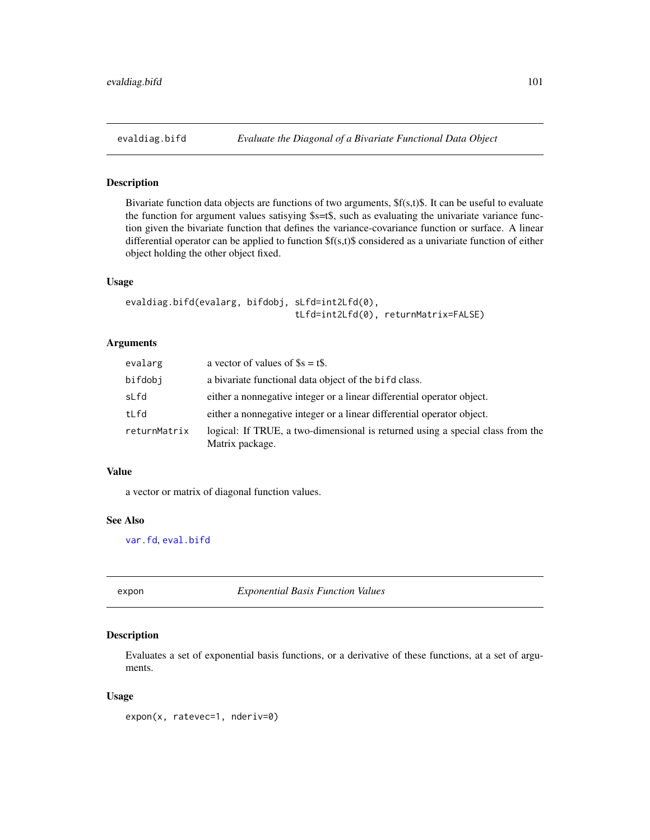## Description

Bivariate function data objects are functions of two arguments, \$f(s,t)\$. It can be useful to evaluate the function for argument values satisying \$s=t\$, such as evaluating the univariate variance function given the bivariate function that defines the variance-covariance function or surface. A linear differential operator can be applied to function  $f(s,t)$  considered as a univariate function of either object holding the other object fixed.

#### Usage

```
evaldiag.bifd(evalarg, bifdobj, sLfd=int2Lfd(0),
                                tLfd=int2Lfd(0), returnMatrix=FALSE)
```
# Arguments

| evalarg      | a vector of values of $s = t$ .                                                                   |
|--------------|---------------------------------------------------------------------------------------------------|
| bifdobi      | a bivariate functional data object of the bifd class.                                             |
| sLfd         | either a nonnegative integer or a linear differential operator object.                            |
| tLfd         | either a nonnegative integer or a linear differential operator object.                            |
| returnMatrix | logical: If TRUE, a two-dimensional is returned using a special class from the<br>Matrix package. |

# Value

a vector or matrix of diagonal function values.

# See Also

[var.fd](#page-280-0), [eval.bifd](#page-90-0)

<span id="page-100-0"></span>expon *Exponential Basis Function Values*

## Description

Evaluates a set of exponential basis functions, or a derivative of these functions, at a set of arguments.

#### Usage

expon(x, ratevec=1, nderiv=0)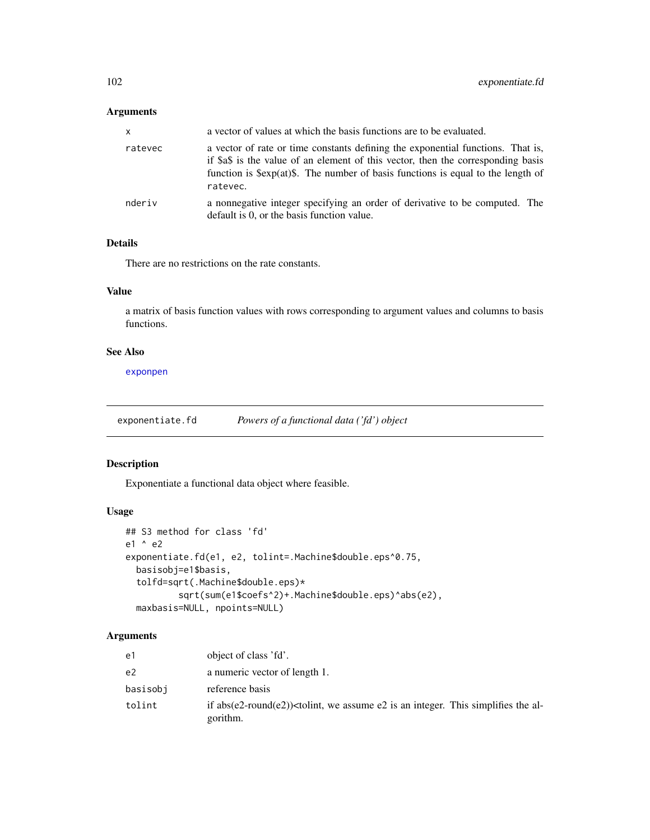# Arguments

| x       | a vector of values at which the basis functions are to be evaluated.                                                                                                                                                                                                 |
|---------|----------------------------------------------------------------------------------------------------------------------------------------------------------------------------------------------------------------------------------------------------------------------|
| ratevec | a vector of rate or time constants defining the exponential functions. That is,<br>if \$a\$ is the value of an element of this vector, then the corresponding basis<br>function is $\exp(at)\$ . The number of basis functions is equal to the length of<br>ratevec. |
| nderiv  | a nonnegative integer specifying an order of derivative to be computed. The<br>default is 0, or the basis function value.                                                                                                                                            |

# Details

There are no restrictions on the rate constants.

# Value

a matrix of basis function values with rows corresponding to argument values and columns to basis functions.

# See Also

[exponpen](#page-104-0)

exponentiate.fd *Powers of a functional data ('fd') object*

# Description

Exponentiate a functional data object where feasible.

# Usage

```
## S3 method for class 'fd'
e1 ^ e2
exponentiate.fd(e1, e2, tolint=.Machine$double.eps^0.75,
 basisobj=e1$basis,
  tolfd=sqrt(.Machine$double.eps)*
          sqrt(sum(e1$coefs^2)+.Machine$double.eps)^abs(e2),
 maxbasis=NULL, npoints=NULL)
```
# Arguments

| e1             | object of class 'fd'.                                                                                                                 |
|----------------|---------------------------------------------------------------------------------------------------------------------------------------|
| e <sub>2</sub> | a numeric vector of length 1.                                                                                                         |
| basisobj       | reference basis                                                                                                                       |
| tolint         | if abs(e2-round(e2)) <tolint, al-<br="" an="" assume="" e2="" integer.="" is="" simplifies="" the="" this="" we="">gorithm.</tolint,> |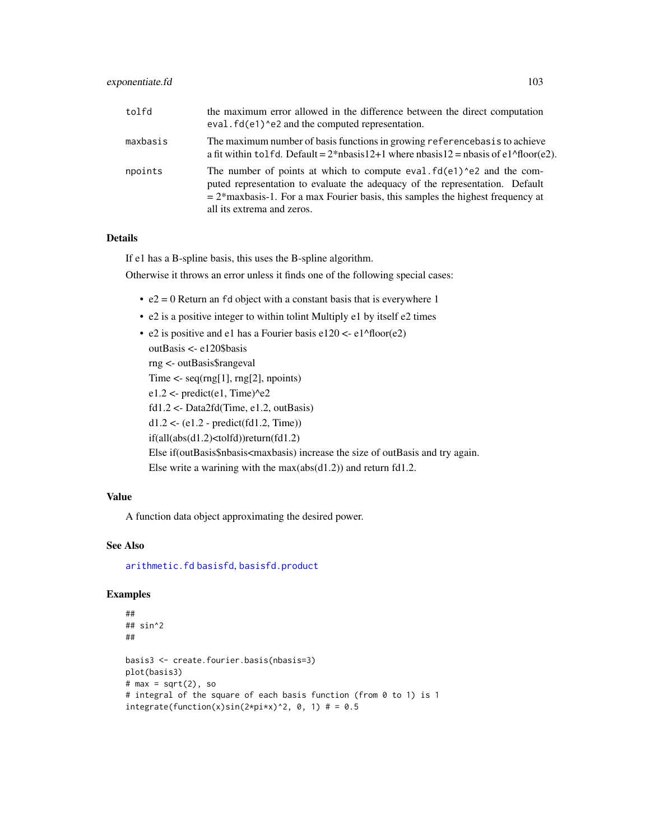| tolfd    | the maximum error allowed in the difference between the direct computation<br>eval. fd(e1) selected the computed representation.                                                                                                                                            |
|----------|-----------------------------------------------------------------------------------------------------------------------------------------------------------------------------------------------------------------------------------------------------------------------------|
| maxbasis | The maximum number of basis functions in growing reference basis to achieve<br>a fit within to lfd. Default = $2*$ nbasis12+1 where nbasis12 = nbasis of e1 $\text{·floor}(e2)$ .                                                                                           |
| npoints  | The number of points at which to compute eval. $fd(e1)^{e}$ and the com-<br>puted representation to evaluate the adequacy of the representation. Default<br>$= 2*$ maxbasis-1. For a max Fourier basis, this samples the highest frequency at<br>all its extrema and zeros. |

# Details

If e1 has a B-spline basis, this uses the B-spline algorithm.

Otherwise it throws an error unless it finds one of the following special cases:

- $e^2 = 0$  Return an fd object with a constant basis that is everywhere 1
- e2 is a positive integer to within tolint Multiply e1 by itself e2 times

• e2 is positive and e1 has a Fourier basis e120 <- e1^floor(e2) outBasis <- e120\$basis rng <- outBasis\$rangeval Time <- seq(rng[1], rng[2], npoints)  $e1.2 <$ - predict( $e1$ , Time) $\textdegree$ e2 fd1.2 <- Data2fd(Time, e1.2, outBasis)  $d1.2 < (e1.2 - predict(fd1.2, Time))$ if(all(abs(d1.2)<tolfd))return(fd1.2) Else if(outBasis\$nbasis<maxbasis) increase the size of outBasis and try again. Else write a warining with the  $max(abs(d1.2))$  and return fd1.2.

# Value

A function data object approximating the desired power.

# See Also

[arithmetic.fd](#page-12-0) [basisfd](#page-0-0), [basisfd.product](#page-22-0)

```
##
## sin^2
##
basis3 <- create.fourier.basis(nbasis=3)
plot(basis3)
# max = sqrt(2), so
# integral of the square of each basis function (from 0 to 1) is 1
integrate(function(x)sin(2*pi*x)^2, 0, 1) # = 0.5
```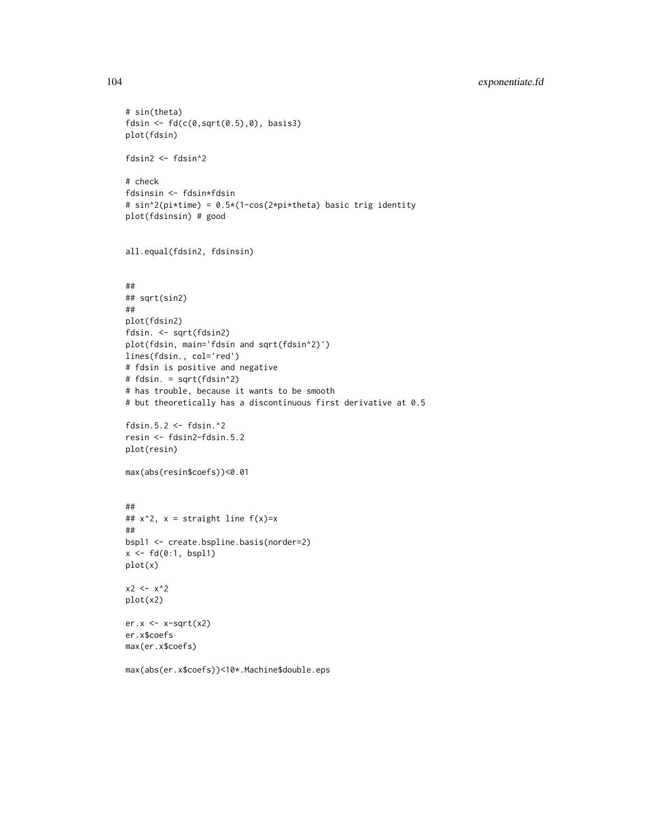```
# sin(theta)
fdsin \leq fd(c(0,sqrt(0.5),0), basis3)
plot(fdsin)
fdsin2 <- fdsin^2
# check
fdsinsin <- fdsin*fdsin
# sin^2(pi*time) = 0.5*(1-cos(2*pi*theta) basic trig identity
plot(fdsinsin) # good
all.equal(fdsin2, fdsinsin)
##
## sqrt(sin2)
##
plot(fdsin2)
fdsin. <- sqrt(fdsin2)
plot(fdsin, main='fdsin and sqrt(fdsin^2)')
lines(fdsin., col='red')
# fdsin is positive and negative
# fdsin. = sqrt(fdsin^2)
# has trouble, because it wants to be smooth
# but theoretically has a discontinuous first derivative at 0.5
fdsin.5.2 \leftarrow fdsin.^2
resin <- fdsin2-fdsin.5.2
plot(resin)
max(abs(resin$coefs))<0.01
##
## x^2, x = straight line f(x)=x##
bspl1 <- create.bspline.basis(norder=2)
x \leftarrow fd(0:1, bsp11)plot(x)
x2 < - x^2plot(x2)
er.x \leftarrow x-sqrt(x2)er.x$coefs
max(er.x$coefs)
max(abs(er.x$coefs))<10*.Machine$double.eps
```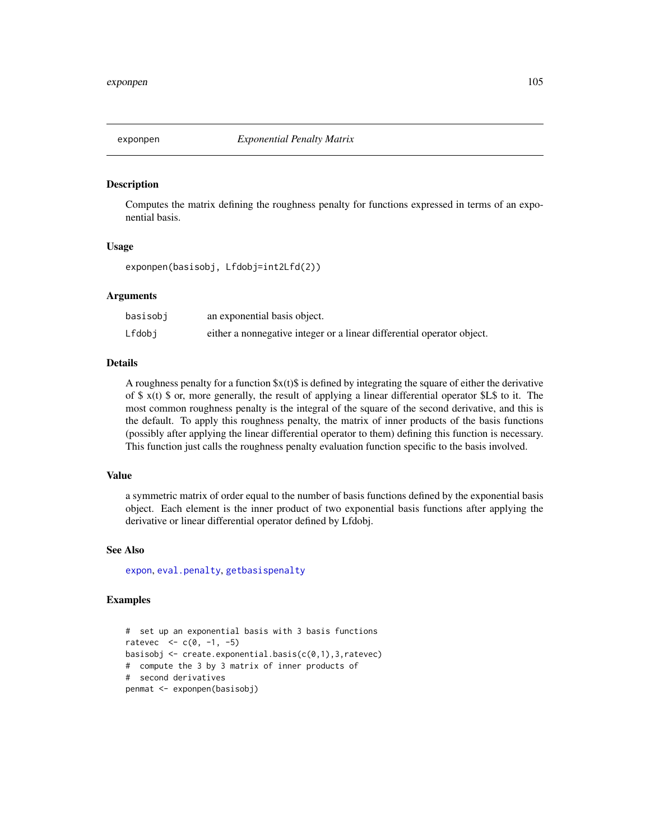<span id="page-104-0"></span>

# Description

Computes the matrix defining the roughness penalty for functions expressed in terms of an exponential basis.

#### Usage

exponpen(basisobj, Lfdobj=int2Lfd(2))

## Arguments

| basisobi | an exponential basis object.                                           |
|----------|------------------------------------------------------------------------|
| Lfdobj   | either a nonnegative integer or a linear differential operator object. |

# Details

A roughness penalty for a function  $(x(t)$  is defined by integrating the square of either the derivative of \$ x(t) \$ or, more generally, the result of applying a linear differential operator \$L\$ to it. The most common roughness penalty is the integral of the square of the second derivative, and this is the default. To apply this roughness penalty, the matrix of inner products of the basis functions (possibly after applying the linear differential operator to them) defining this function is necessary. This function just calls the roughness penalty evaluation function specific to the basis involved.

## Value

a symmetric matrix of order equal to the number of basis functions defined by the exponential basis object. Each element is the inner product of two exponential basis functions after applying the derivative or linear differential operator defined by Lfdobj.

# See Also

[expon](#page-100-0), [eval.penalty](#page-97-0), [getbasispenalty](#page-135-0)

```
# set up an exponential basis with 3 basis functions
ratevec <-c(0, -1, -5)basisobj \leq create.exponential.basis(c(0,1), 3, ratevec)
# compute the 3 by 3 matrix of inner products of
# second derivatives
penmat <- exponpen(basisobj)
```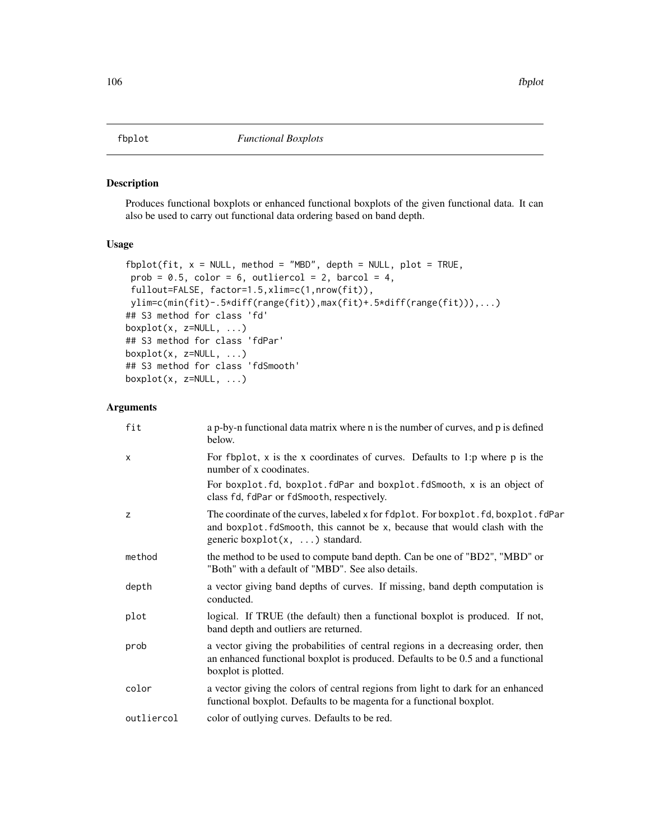# Description

Produces functional boxplots or enhanced functional boxplots of the given functional data. It can also be used to carry out functional data ordering based on band depth.

# Usage

```
fpplot(fit, x = NULL, method = "MBD", depth = NULL, plot = TRUE,prob = 0.5, color = 6, outliercol = 2, barcol = 4,
fullout=FALSE, factor=1.5,xlim=c(1,nrow(fit)),
ylim=c(min(fit)-.5*diff(range(fit)),max(fit)+.5*diff(range(fit))),...)
## S3 method for class 'fd'
boxplot(x, z=NULL, ...)## S3 method for class 'fdPar'
boxplot(x, z=NULL, ...)## S3 method for class 'fdSmooth'
boxplot(x, z=NULL, ...)
```
# Arguments

| fit          | a p-by-n functional data matrix where n is the number of curves, and p is defined<br>below.                                                                                                         |
|--------------|-----------------------------------------------------------------------------------------------------------------------------------------------------------------------------------------------------|
| $\mathsf{x}$ | For fbplot, x is the x coordinates of curves. Defaults to 1:p where $p$ is the<br>number of x coodinates.                                                                                           |
|              | For boxplot. fd, boxplot. fdPar and boxplot. fdSmooth, x is an object of<br>class fd, fdPar or fdSmooth, respectively.                                                                              |
| z            | The coordinate of the curves, labeled x for fdplot. For boxplot. fd, boxplot. fdPar<br>and boxplot. fdSmooth, this cannot be x, because that would clash with the<br>generic boxplot(x, ) standard. |
| method       | the method to be used to compute band depth. Can be one of "BD2", "MBD" or<br>"Both" with a default of "MBD". See also details.                                                                     |
| depth        | a vector giving band depths of curves. If missing, band depth computation is<br>conducted.                                                                                                          |
| plot         | logical. If TRUE (the default) then a functional boxplot is produced. If not,<br>band depth and outliers are returned.                                                                              |
| prob         | a vector giving the probabilities of central regions in a decreasing order, then<br>an enhanced functional boxplot is produced. Defaults to be 0.5 and a functional<br>boxplot is plotted.          |
| color        | a vector giving the colors of central regions from light to dark for an enhanced<br>functional boxplot. Defaults to be magenta for a functional boxplot.                                            |
| outliercol   | color of outlying curves. Defaults to be red.                                                                                                                                                       |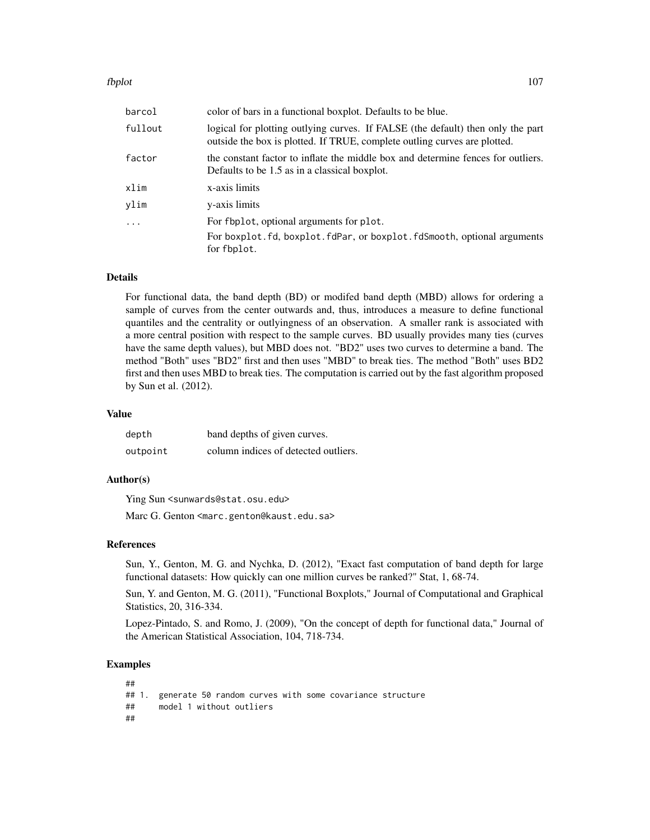#### fbplot that the contract of the contract of the contract of the contract of the contract of the contract of the contract of the contract of the contract of the contract of the contract of the contract of the contract of th

| barcol   | color of bars in a functional boxplot. Defaults to be blue.                                                                                                  |  |
|----------|--------------------------------------------------------------------------------------------------------------------------------------------------------------|--|
| fullout  | logical for plotting outlying curves. If FALSE (the default) then only the part<br>outside the box is plotted. If TRUE, complete outling curves are plotted. |  |
| factor   | the constant factor to inflate the middle box and determine fences for outliers.<br>Defaults to be 1.5 as in a classical boxplot.                            |  |
| xlim     | x-axis limits                                                                                                                                                |  |
| vlim     | y-axis limits                                                                                                                                                |  |
| $\ddots$ | For fbplot, optional arguments for plot.                                                                                                                     |  |
|          | For boxplot. fd, boxplot. fdPar, or boxplot. fdSmooth, optional arguments<br>for fbplot.                                                                     |  |

#### Details

For functional data, the band depth (BD) or modifed band depth (MBD) allows for ordering a sample of curves from the center outwards and, thus, introduces a measure to define functional quantiles and the centrality or outlyingness of an observation. A smaller rank is associated with a more central position with respect to the sample curves. BD usually provides many ties (curves have the same depth values), but MBD does not. "BD2" uses two curves to determine a band. The method "Both" uses "BD2" first and then uses "MBD" to break ties. The method "Both" uses BD2 first and then uses MBD to break ties. The computation is carried out by the fast algorithm proposed by Sun et al. (2012).

#### Value

| depth    | band depths of given curves.         |
|----------|--------------------------------------|
| outpoint | column indices of detected outliers. |

# Author(s)

Ying Sun <sunwards@stat.osu.edu>

Marc G. Genton <marc.genton@kaust.edu.sa>

# References

Sun, Y., Genton, M. G. and Nychka, D. (2012), "Exact fast computation of band depth for large functional datasets: How quickly can one million curves be ranked?" Stat, 1, 68-74.

Sun, Y. and Genton, M. G. (2011), "Functional Boxplots," Journal of Computational and Graphical Statistics, 20, 316-334.

Lopez-Pintado, S. and Romo, J. (2009), "On the concept of depth for functional data," Journal of the American Statistical Association, 104, 718-734.

#### Examples

## ## 1. generate 50 random curves with some covariance structure ## model 1 without outliers ##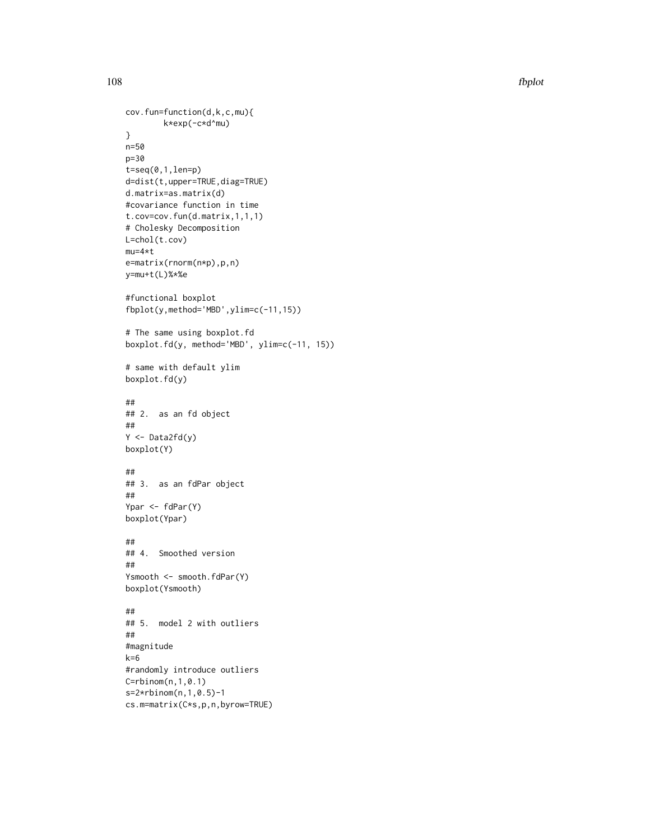```
cov.fun=function(d,k,c,mu){
       k*exp(-c*d^mu)
}
n=50
p=30
t=seq(0,1,len=p)
d=dist(t,upper=TRUE,diag=TRUE)
d.matrix=as.matrix(d)
#covariance function in time
t.cov=cov.fun(d.matrix,1,1,1)
# Cholesky Decomposition
L=chol(t.cov)
mu=4*t
e=matrix(rnorm(n*p),p,n)
y=mu+t(L)%*%e
#functional boxplot
fbplot(y,method='MBD',ylim=c(-11,15))
# The same using boxplot.fd
boxplot.fd(y, method='MBD', ylim=c(-11, 15))
# same with default ylim
boxplot.fd(y)
##
## 2. as an fd object
##
Y <- Data2fd(y)
boxplot(Y)
##
## 3. as an fdPar object
##
Ypar <- fdPar(Y)
boxplot(Ypar)
##
## 4. Smoothed version
##
Ysmooth <- smooth.fdPar(Y)
boxplot(Ysmooth)
##
## 5. model 2 with outliers
##
#magnitude
k=6
#randomly introduce outliers
C=rbinom(n,1,0.1)
s=2*rbinom(n,1,0.5)-1
cs.m=matrix(C*s,p,n,byrow=TRUE)
```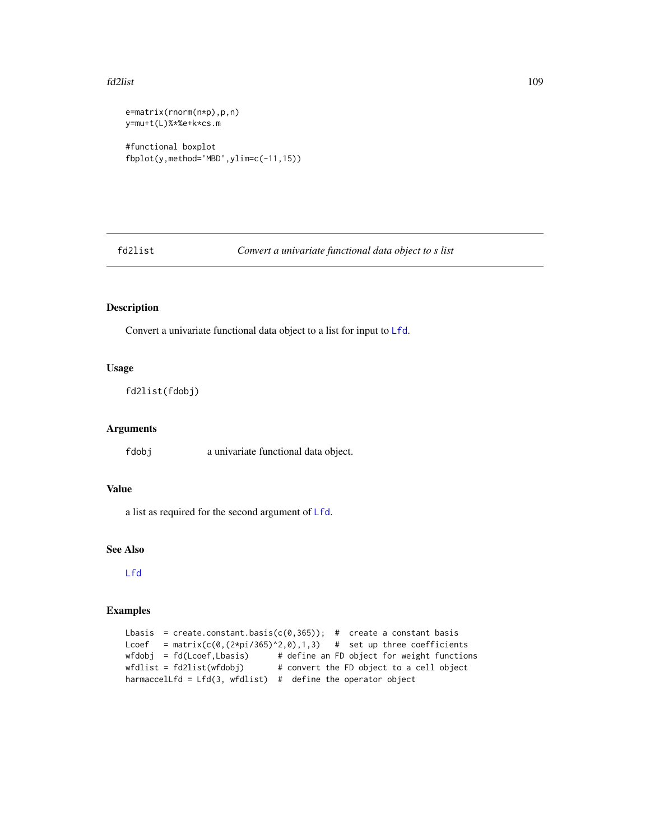#### fd2list 109

```
e=matrix(rnorm(n*p),p,n)
y=mu+t(L)%*%e+k*cs.m
#functional boxplot
fbplot(y,method='MBD',ylim=c(-11,15))
```
fd2list *Convert a univariate functional data object to s list*

# Description

Convert a univariate functional data object to a list for input to [Lfd](#page-154-0).

## Usage

fd2list(fdobj)

## Arguments

fdobj a univariate functional data object.

# Value

a list as required for the second argument of [Lfd](#page-154-0).

#### See Also

[Lfd](#page-154-0)

## Examples

```
Lbasis = create.constant.basis(c(0,365)); # create a constant basis
Lcoef = matrix(c(0, (2*pi/365)^2, 0), 1, 3) # set up three coefficients
wfdobj = fd(Lcoef,Lbasis) # define an FD object for weight functions
wfdlist = fd2list(wfdobj) # convert the FD object to a cell object
harmaccelLfd = Lfd(3, wfdlist) # define the operator object
```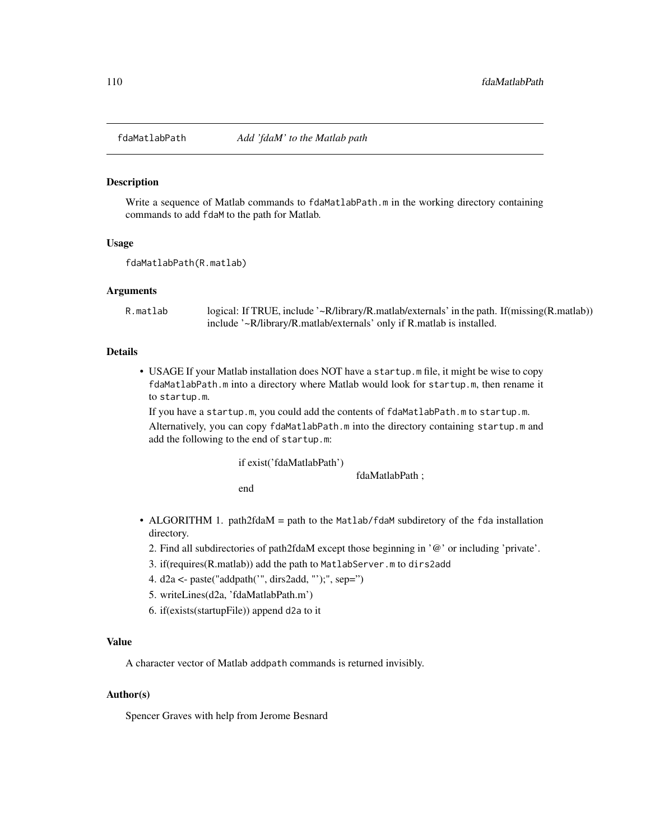#### Description

Write a sequence of Matlab commands to fdaMatlabPath.m in the working directory containing commands to add fdaM to the path for Matlab.

## Usage

```
fdaMatlabPath(R.matlab)
```
#### Arguments

| R.matlab | logical: If TRUE, include '~R/library/R.matlab/externals' in the path. If(missing(R.matlab)) |
|----------|----------------------------------------------------------------------------------------------|
|          | include '~R/library/R.matlab/externals' only if R.matlab is installed.                       |

# Details

• USAGE If your Matlab installation does NOT have a startup. m file, it might be wise to copy fdaMatlabPath.m into a directory where Matlab would look for startup.m, then rename it to startup.m.

If you have a startup.m, you could add the contents of fdaMatlabPath.m to startup.m. Alternatively, you can copy fdaMatlabPath.m into the directory containing startup.m and add the following to the end of startup.m:

if exist('fdaMatlabPath')

fdaMatlabPath ;

end

- ALGORITHM 1. path2fdaM = path to the Matlab/fdaM subdiretory of the fda installation directory.
	- 2. Find all subdirectories of path2fdaM except those beginning in '@' or including 'private'.
	- 3. if(requires(R.matlab)) add the path to MatlabServer.m to dirs2add
	- 4. d2a <- paste("addpath('", dirs2add, "');", sep=")
	- 5. writeLines(d2a, 'fdaMatlabPath.m')
	- 6. if(exists(startupFile)) append d2a to it

# Value

A character vector of Matlab addpath commands is returned invisibly.

# Author(s)

Spencer Graves with help from Jerome Besnard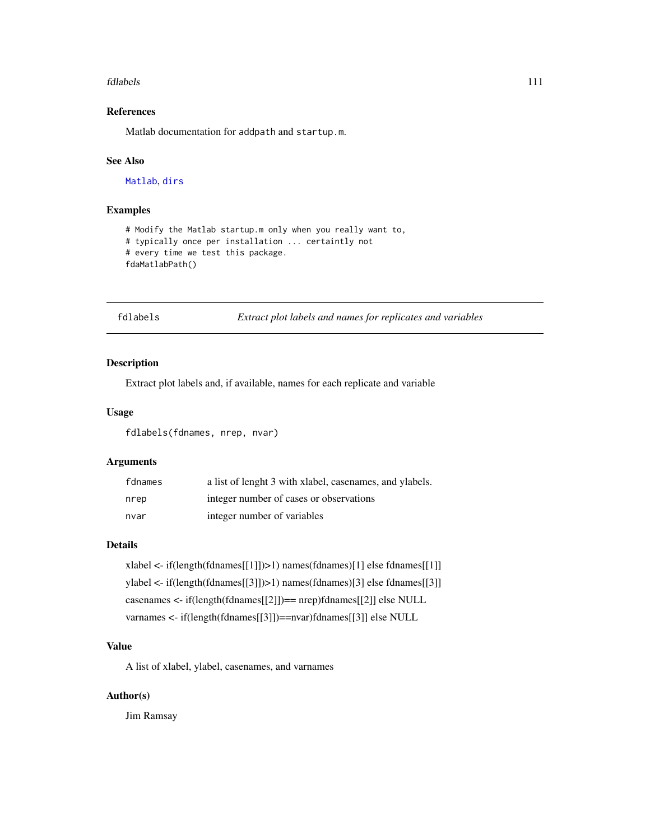#### fdlabels 111

# References

Matlab documentation for addpath and startup.m.

## See Also

[Matlab](#page-0-0), [dirs](#page-83-0)

# Examples

```
# Modify the Matlab startup.m only when you really want to,
# typically once per installation ... certaintly not
# every time we test this package.
fdaMatlabPath()
```
## fdlabels *Extract plot labels and names for replicates and variables*

## Description

Extract plot labels and, if available, names for each replicate and variable

#### Usage

fdlabels(fdnames, nrep, nvar)

# Arguments

| fdnames | a list of lenght 3 with xlabel, casenames, and ylabels. |
|---------|---------------------------------------------------------|
| nrep    | integer number of cases or observations                 |
| nvar    | integer number of variables                             |

## Details

xlabel <- if(length(fdnames[[1]])>1) names(fdnames)[1] else fdnames[[1]] ylabel <- if(length(fdnames[[3]])>1) names(fdnames)[3] else fdnames[[3]] casenames <- if(length(fdnames[[2]])== nrep)fdnames[[2]] else NULL varnames <- if(length(fdnames[[3]])==nvar)fdnames[[3]] else NULL

# Value

A list of xlabel, ylabel, casenames, and varnames

# Author(s)

Jim Ramsay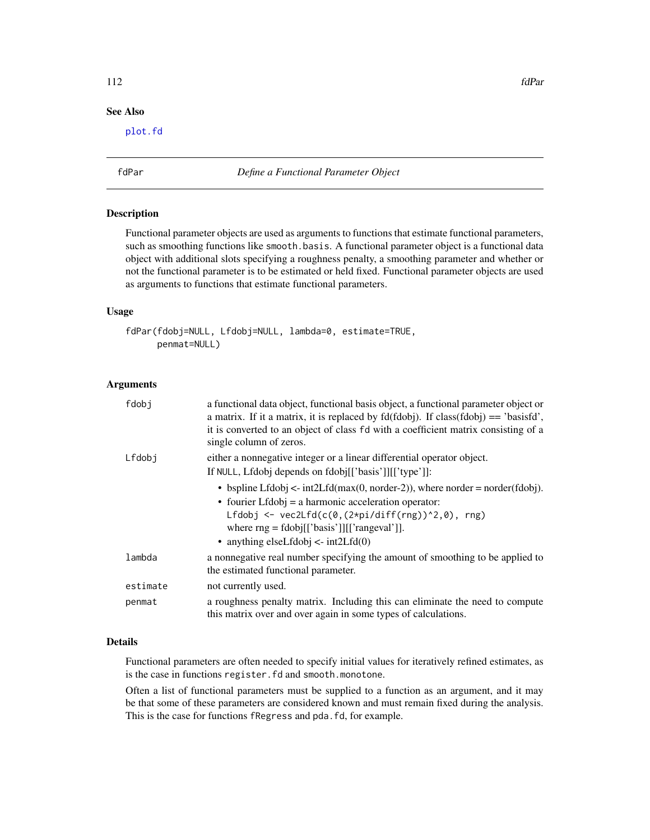# See Also

[plot.fd](#page-194-0)

fdPar *Define a Functional Parameter Object*

## Description

Functional parameter objects are used as arguments to functions that estimate functional parameters, such as smoothing functions like smooth.basis. A functional parameter object is a functional data object with additional slots specifying a roughness penalty, a smoothing parameter and whether or not the functional parameter is to be estimated or held fixed. Functional parameter objects are used as arguments to functions that estimate functional parameters.

## Usage

```
fdPar(fdobj=NULL, Lfdobj=NULL, lambda=0, estimate=TRUE,
     penmat=NULL)
```
# Arguments

| fdobi    | a functional data object, functional basis object, a functional parameter object or<br>a matrix. If it a matrix, it is replaced by $fd(fdobj)$ . If class( $fdobj$ ) == 'basisfd',<br>it is converted to an object of class fd with a coefficient matrix consisting of a<br>single column of zeros.      |
|----------|----------------------------------------------------------------------------------------------------------------------------------------------------------------------------------------------------------------------------------------------------------------------------------------------------------|
| Lfdobi   | either a nonnegative integer or a linear differential operator object.<br>If NULL, Lfdobj depends on fdobj[['basis']][['type']]:                                                                                                                                                                         |
|          | • bspline Lfdobj $\leq$ - int2Lfd(max(0, norder-2)), where norder = norder(fdobj).<br>• fourier $Lfdobj = a harmonic acceleration operator$ :<br>Lfdobj <- $vec2Lfd(c(0, (2*pi/diff(rng))^2, 0)$ , rng)<br>where $rng = fdobj[['basis']][['rangeval']].$<br>• anything elseLfdobj $\leq$ - int2Lfd $(0)$ |
| lambda   | a nonnegative real number specifying the amount of smoothing to be applied to<br>the estimated functional parameter.                                                                                                                                                                                     |
| estimate | not currently used.                                                                                                                                                                                                                                                                                      |
| penmat   | a roughness penalty matrix. Including this can eliminate the need to compute<br>this matrix over and over again in some types of calculations.                                                                                                                                                           |

## Details

Functional parameters are often needed to specify initial values for iteratively refined estimates, as is the case in functions register.fd and smooth.monotone.

Often a list of functional parameters must be supplied to a function as an argument, and it may be that some of these parameters are considered known and must remain fixed during the analysis. This is the case for functions fRegress and pda.fd, for example.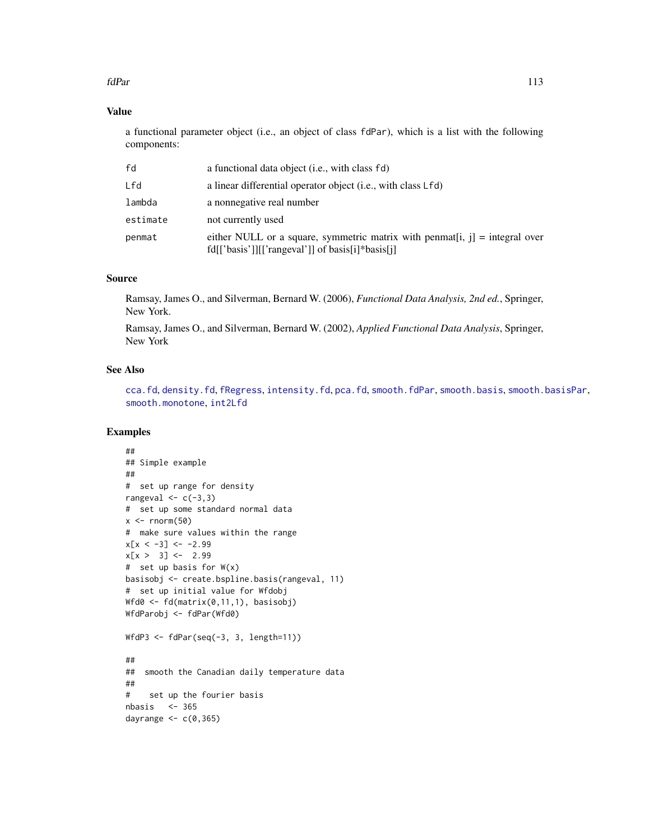## fdPar 113

# Value

a functional parameter object (i.e., an object of class fdPar), which is a list with the following components:

| fd       | a functional data object (i.e., with class fd)                                                                                     |
|----------|------------------------------------------------------------------------------------------------------------------------------------|
| Lfd      | a linear differential operator object (i.e., with class Lfd)                                                                       |
| lambda   | a nonnegative real number                                                                                                          |
| estimate | not currently used                                                                                                                 |
| penmat   | either NULL or a square, symmetric matrix with penmat $[i, j]$ = integral over<br>fd[['basis']][['rangeval']] of basis[i]*basis[j] |

## Source

Ramsay, James O., and Silverman, Bernard W. (2006), *Functional Data Analysis, 2nd ed.*, Springer, New York.

Ramsay, James O., and Silverman, Bernard W. (2002), *Applied Functional Data Analysis*, Springer, New York

# See Also

[cca.fd](#page-31-0), [density.fd](#page-76-0), [fRegress](#page-120-0), [intensity.fd](#page-143-0), [pca.fd](#page-180-0), [smooth.fdPar](#page-262-0), [smooth.basis](#page-240-0), [smooth.basisPar](#page-255-0), [smooth.monotone](#page-264-0), [int2Lfd](#page-142-0)

# Examples

```
##
## Simple example
##
# set up range for density
rangeval \leq c(-3,3)# set up some standard normal data
x < - rnorm(50)
# make sure values within the range
x[x < -3] < -2.99x[x > 3] < -2.99# set up basis for W(x)
basisobj <- create.bspline.basis(rangeval, 11)
# set up initial value for Wfdobj
Wfd0 <- fd(matrix(0,11,1), basisobj)
WfdParobj <- fdPar(Wfd0)
WfdP3 \leftarrow fdPar(seq(-3, 3, length=11))##
## smooth the Canadian daily temperature data
##
# set up the fourier basis
nbasis <- 365
dayrange \leq -c(0,365)
```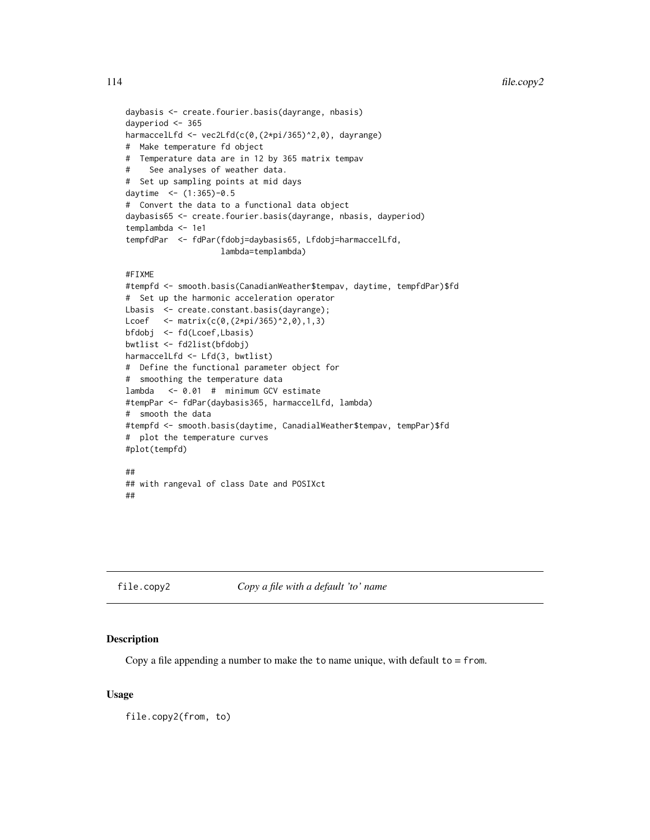```
daybasis <- create.fourier.basis(dayrange, nbasis)
dayperiod <- 365
harmaccelLfd <- vec2Lfd(c(0,(2*pi/365)^2,0), dayrange)
# Make temperature fd object
# Temperature data are in 12 by 365 matrix tempav
# See analyses of weather data.
# Set up sampling points at mid days
daytime <- (1:365)-0.5
# Convert the data to a functional data object
daybasis65 <- create.fourier.basis(dayrange, nbasis, dayperiod)
templambda <- 1e1
tempfdPar <- fdPar(fdobj=daybasis65, Lfdobj=harmaccelLfd,
                    lambda=templambda)
#FIXME
#tempfd <- smooth.basis(CanadianWeather$tempav, daytime, tempfdPar)$fd
# Set up the harmonic acceleration operator
Lbasis <- create.constant.basis(dayrange);
Lcoef <- matrix(c(0,(2*pi/365)^2,0),1,3)
bfdobj <- fd(Lcoef,Lbasis)
bwtlist <- fd2list(bfdobj)
harmaccelLfd <- Lfd(3, bwtlist)
# Define the functional parameter object for
# smoothing the temperature data
lambda <- 0.01 # minimum GCV estimate
#tempPar <- fdPar(daybasis365, harmaccelLfd, lambda)
# smooth the data
#tempfd <- smooth.basis(daytime, CanadialWeather$tempav, tempPar)$fd
# plot the temperature curves
#plot(tempfd)
##
## with rangeval of class Date and POSIXct
##
```
file.copy2 *Copy a file with a default 'to' name*

## Description

Copy a file appending a number to make the to name unique, with default to  $=$  from.

#### Usage

file.copy2(from, to)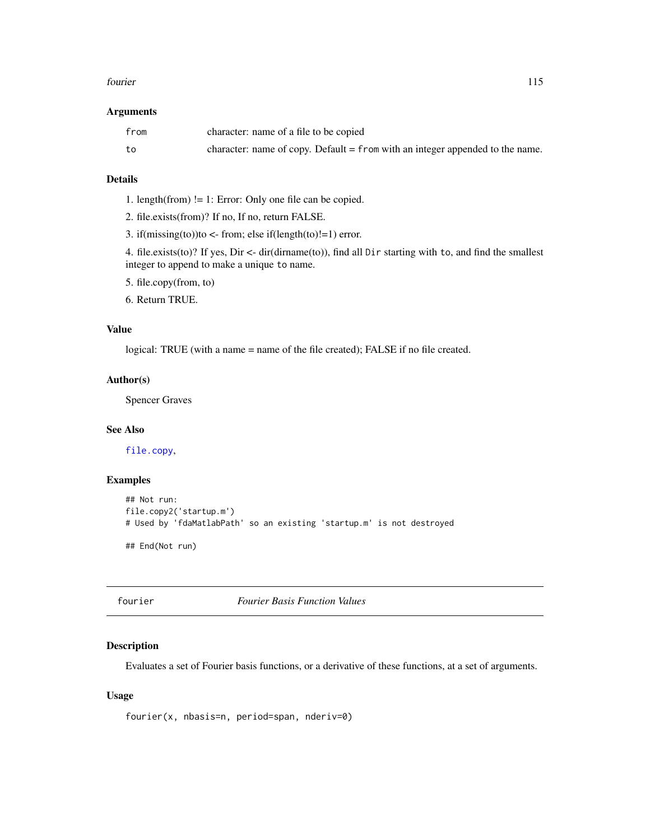#### fourier that the contract of the contract of the contract of the contract of the contract of the contract of the contract of the contract of the contract of the contract of the contract of the contract of the contract of t

#### Arguments

| from | character: name of a file to be copied                                          |
|------|---------------------------------------------------------------------------------|
| to   | character: name of copy. Default $=$ from with an integer appended to the name. |

## Details

- 1. length(from) != 1: Error: Only one file can be copied.
- 2. file.exists(from)? If no, If no, return FALSE.
- 3. if(missing(to))to  $\le$  from; else if(length(to)!=1) error.

4. file.exists(to)? If yes, Dir <- dir(dirname(to)), find all Dir starting with to, and find the smallest integer to append to make a unique to name.

5. file.copy(from, to)

6. Return TRUE.

### Value

logical: TRUE (with a name = name of the file created); FALSE if no file created.

#### Author(s)

Spencer Graves

# See Also

[file.copy](#page-0-0),

## Examples

```
## Not run:
file.copy2('startup.m')
# Used by 'fdaMatlabPath' so an existing 'startup.m' is not destroyed
```
## End(Not run)

<span id="page-114-0"></span>fourier *Fourier Basis Function Values*

# Description

Evaluates a set of Fourier basis functions, or a derivative of these functions, at a set of arguments.

# Usage

fourier(x, nbasis=n, period=span, nderiv=0)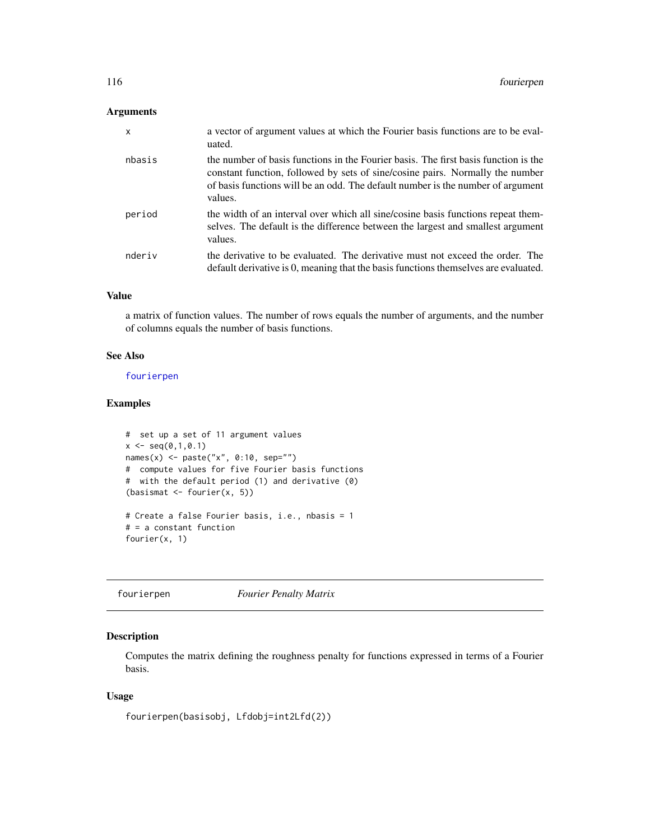# Arguments

| $\mathsf{x}$ | a vector of argument values at which the Fourier basis functions are to be eval-<br>uated.                                                                                                                                                                         |
|--------------|--------------------------------------------------------------------------------------------------------------------------------------------------------------------------------------------------------------------------------------------------------------------|
| nbasis       | the number of basis functions in the Fourier basis. The first basis function is the<br>constant function, followed by sets of sine/cosine pairs. Normally the number<br>of basis functions will be an odd. The default number is the number of argument<br>values. |
| period       | the width of an interval over which all sine/cosine basis functions repeat them-<br>selves. The default is the difference between the largest and smallest argument<br>values.                                                                                     |
| nderiv       | the derivative to be evaluated. The derivative must not exceed the order. The<br>default derivative is 0, meaning that the basis functions themselves are evaluated.                                                                                               |

# Value

a matrix of function values. The number of rows equals the number of arguments, and the number of columns equals the number of basis functions.

# See Also

[fourierpen](#page-115-0)

# Examples

```
# set up a set of 11 argument values
x \leq -\text{seq}(0,1,0.1)names(x) <- paste("x", 0:10, sep="")
# compute values for five Fourier basis functions
# with the default period (1) and derivative (0)
(basismat <- fourier(x, 5))
# Create a false Fourier basis, i.e., nbasis = 1
# = a constant function
fourier(x, 1)
```
<span id="page-115-0"></span>fourierpen *Fourier Penalty Matrix*

## Description

Computes the matrix defining the roughness penalty for functions expressed in terms of a Fourier basis.

# Usage

```
fourierpen(basisobj, Lfdobj=int2Lfd(2))
```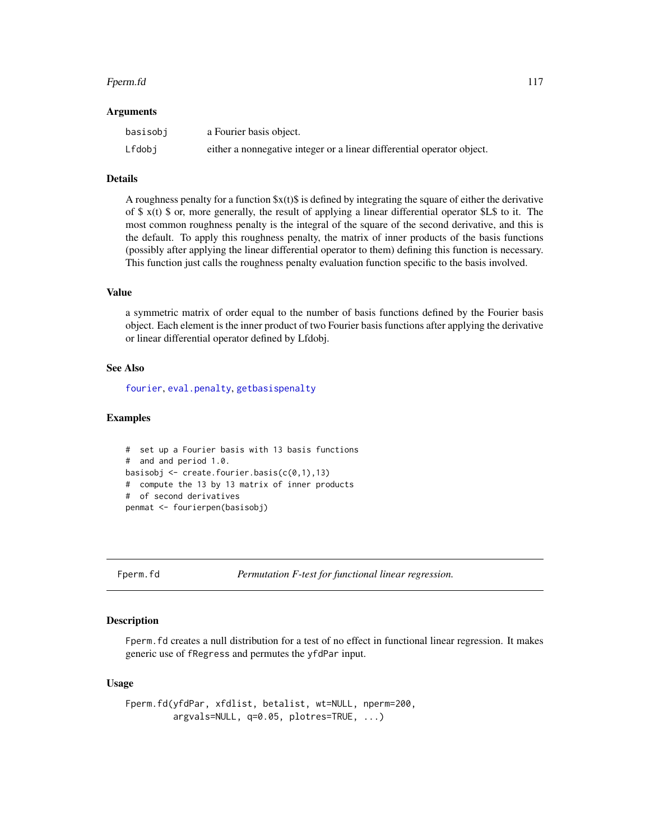#### Fperm.fd 117

#### Arguments

| basisobj | a Fourier basis object.                                                |
|----------|------------------------------------------------------------------------|
| Lfdobi   | either a nonnegative integer or a linear differential operator object. |

## Details

A roughness penalty for a function  $(x(t)$  is defined by integrating the square of either the derivative of  $\frac{1}{2}$  x(t)  $\frac{1}{2}$  or, more generally, the result of applying a linear differential operator  $\frac{1}{2}$  to it. The most common roughness penalty is the integral of the square of the second derivative, and this is the default. To apply this roughness penalty, the matrix of inner products of the basis functions (possibly after applying the linear differential operator to them) defining this function is necessary. This function just calls the roughness penalty evaluation function specific to the basis involved.

# Value

a symmetric matrix of order equal to the number of basis functions defined by the Fourier basis object. Each element is the inner product of two Fourier basis functions after applying the derivative or linear differential operator defined by Lfdobj.

# See Also

[fourier](#page-114-0), [eval.penalty](#page-97-0), [getbasispenalty](#page-135-0)

## Examples

```
# set up a Fourier basis with 13 basis functions
# and and period 1.0.
basisobj \leq create.fourier.basis(c(0,1),13)
# compute the 13 by 13 matrix of inner products
# of second derivatives
penmat <- fourierpen(basisobj)
```
Fperm.fd *Permutation F-test for functional linear regression.*

## Description

Fperm.fd creates a null distribution for a test of no effect in functional linear regression. It makes generic use of fRegress and permutes the yfdPar input.

#### Usage

```
Fperm.fd(yfdPar, xfdlist, betalist, wt=NULL, nperm=200,
         argvals=NULL, q=0.05, plotres=TRUE, ...)
```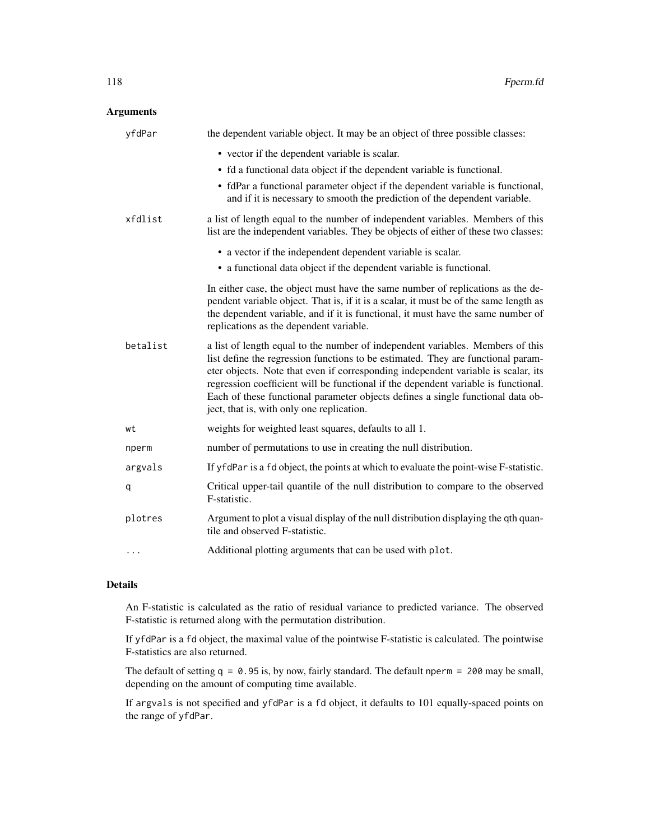# Arguments

| yfdPar   | the dependent variable object. It may be an object of three possible classes:                                                                                                                                                                                                                                                                                                                                                                                                 |
|----------|-------------------------------------------------------------------------------------------------------------------------------------------------------------------------------------------------------------------------------------------------------------------------------------------------------------------------------------------------------------------------------------------------------------------------------------------------------------------------------|
|          | • vector if the dependent variable is scalar.<br>• It a functional data object if the dependent variable is functional.<br>• fdPar a functional parameter object if the dependent variable is functional,<br>and if it is necessary to smooth the prediction of the dependent variable.                                                                                                                                                                                       |
| xfdlist  | a list of length equal to the number of independent variables. Members of this<br>list are the independent variables. They be objects of either of these two classes:                                                                                                                                                                                                                                                                                                         |
|          | • a vector if the independent dependent variable is scalar.<br>• a functional data object if the dependent variable is functional.                                                                                                                                                                                                                                                                                                                                            |
|          | In either case, the object must have the same number of replications as the de-<br>pendent variable object. That is, if it is a scalar, it must be of the same length as<br>the dependent variable, and if it is functional, it must have the same number of<br>replications as the dependent variable.                                                                                                                                                                       |
| betalist | a list of length equal to the number of independent variables. Members of this<br>list define the regression functions to be estimated. They are functional param-<br>eter objects. Note that even if corresponding independent variable is scalar, its<br>regression coefficient will be functional if the dependent variable is functional.<br>Each of these functional parameter objects defines a single functional data ob-<br>ject, that is, with only one replication. |
| wt       | weights for weighted least squares, defaults to all 1.                                                                                                                                                                                                                                                                                                                                                                                                                        |
| nperm    | number of permutations to use in creating the null distribution.                                                                                                                                                                                                                                                                                                                                                                                                              |
| argvals  | If yfdPar is a fd object, the points at which to evaluate the point-wise F-statistic.                                                                                                                                                                                                                                                                                                                                                                                         |
| q        | Critical upper-tail quantile of the null distribution to compare to the observed<br>F-statistic.                                                                                                                                                                                                                                                                                                                                                                              |
| plotres  | Argument to plot a visual display of the null distribution displaying the qth quan-<br>tile and observed F-statistic.                                                                                                                                                                                                                                                                                                                                                         |
| $\cdots$ | Additional plotting arguments that can be used with plot.                                                                                                                                                                                                                                                                                                                                                                                                                     |

# Details

An F-statistic is calculated as the ratio of residual variance to predicted variance. The observed F-statistic is returned along with the permutation distribution.

If yfdPar is a fd object, the maximal value of the pointwise F-statistic is calculated. The pointwise F-statistics are also returned.

The default of setting  $q = 0.95$  is, by now, fairly standard. The default nperm = 200 may be small, depending on the amount of computing time available.

If argvals is not specified and yfdPar is a fd object, it defaults to 101 equally-spaced points on the range of yfdPar.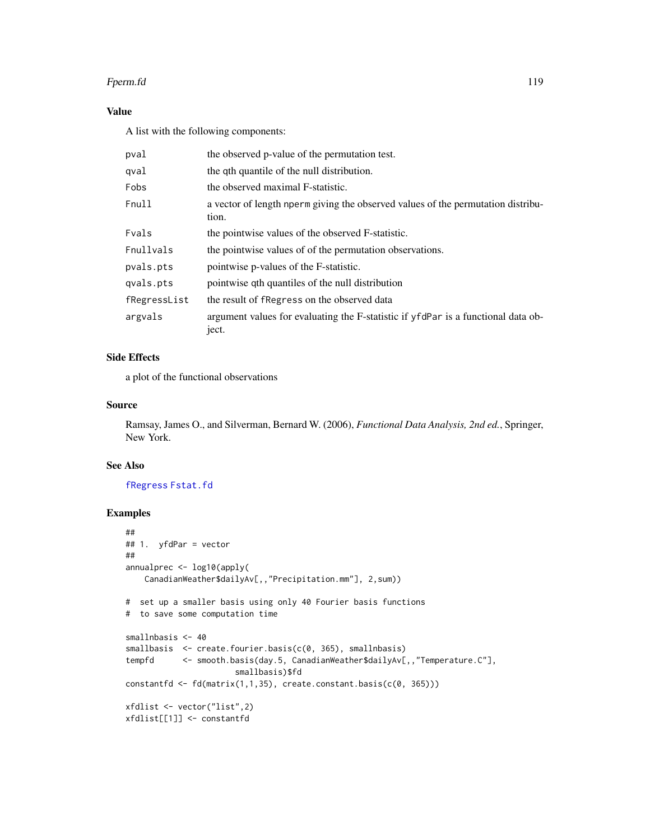## Fperm.fd 119

# Value

A list with the following components:

| pval         | the observed p-value of the permutation test.                                              |
|--------------|--------------------------------------------------------------------------------------------|
| qval         | the qth quantile of the null distribution.                                                 |
| Fobs         | the observed maximal F-statistic.                                                          |
| Fnull        | a vector of length nperm giving the observed values of the permutation distribu-<br>tion.  |
| Fvals        | the pointwise values of the observed F-statistic.                                          |
| Fnullvals    | the pointwise values of of the permutation observations.                                   |
| pvals.pts    | pointwise p-values of the F-statistic.                                                     |
| qvals.pts    | pointwise qth quantiles of the null distribution                                           |
| fRegressList | the result of fregress on the observed data                                                |
| argvals      | argument values for evaluating the F-statistic if yfdPar is a functional data ob-<br>ject. |

# Side Effects

a plot of the functional observations

#### Source

Ramsay, James O., and Silverman, Bernard W. (2006), *Functional Data Analysis, 2nd ed.*, Springer, New York.

## See Also

[fRegress](#page-120-0) [Fstat.fd](#page-131-0)

# Examples

```
##
## 1. yfdPar = vector
##
annualprec <- log10(apply(
    CanadianWeather$dailyAv[,,"Precipitation.mm"], 2,sum))
# set up a smaller basis using only 40 Fourier basis functions
# to save some computation time
smallnbasis <- 40
smallbasis <- create.fourier.basis(c(0, 365), smallnbasis)
tempfd <- smooth.basis(day.5, CanadianWeather$dailyAv[,,"Temperature.C"],
                      smallbasis)$fd
constantfd \leq fd(matrix(1,1,35), create.constant.basis(c(0, 365)))
xfdlist <- vector("list",2)
xfdlist[[1]] <- constantfd
```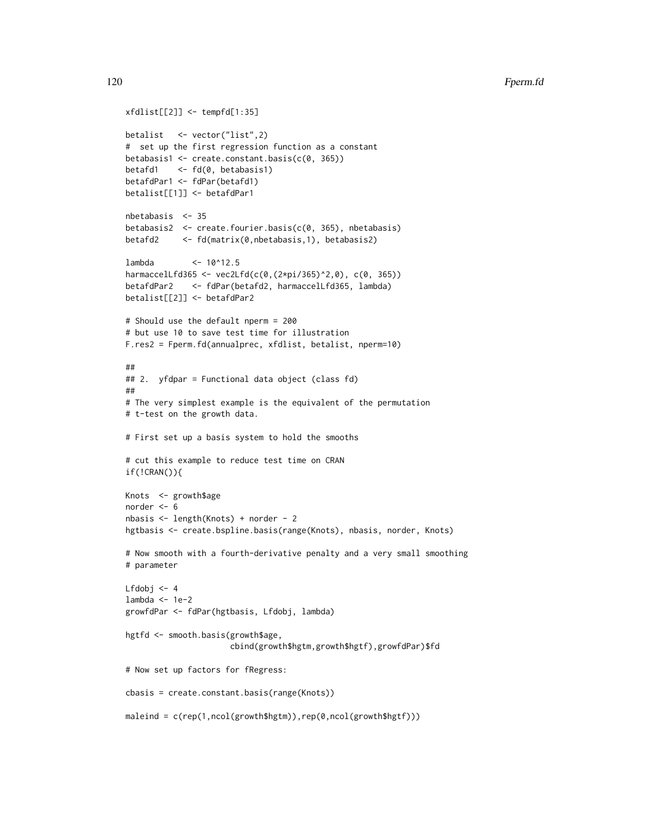```
xfdlist[[2]] <- tempfd[1:35]
betalist <- vector("list",2)
# set up the first regression function as a constant
betabasis1 <- create.constant.basis(c(0, 365))
betafd1 <- fd(0, betabasis1)
betafdPar1 <- fdPar(betafd1)
betalist[[1]] <- betafdPar1
nbetabasis <- 35
betabasis2 <- create.fourier.basis(c(0, 365), nbetabasis)
betafd2 <- fd(matrix(0,nbetabasis,1), betabasis2)
lambda <- 10^12.5
harmaccelLfd365 <- vec2Lfd(c(0,(2*pi/365)^2,0), c(0, 365))
betafdPar2 <- fdPar(betafd2, harmaccelLfd365, lambda)
betalist[[2]] <- betafdPar2
# Should use the default nperm = 200
# but use 10 to save test time for illustration
F.res2 = Fperm.fd(annualprec, xfdlist, betalist, nperm=10)
##
## 2. yfdpar = Functional data object (class fd)
##
# The very simplest example is the equivalent of the permutation
# t-test on the growth data.
# First set up a basis system to hold the smooths
# cut this example to reduce test time on CRAN
if(!CRAN()){
Knots <- growth$age
norder <- 6
nbasis <- length(Knots) + norder - 2
hgtbasis <- create.bspline.basis(range(Knots), nbasis, norder, Knots)
# Now smooth with a fourth-derivative penalty and a very small smoothing
# parameter
Lfdobj <- 4
lambda < - 1e-2growfdPar <- fdPar(hgtbasis, Lfdobj, lambda)
hgtfd <- smooth.basis(growth$age,
                     cbind(growth$hgtm,growth$hgtf),growfdPar)$fd
# Now set up factors for fRegress:
cbasis = create.constant.basis(range(Knots))
maleind = c(rep(1,ncol(growth$hgtm)),rep(0,ncol(growth$hgtf)))
```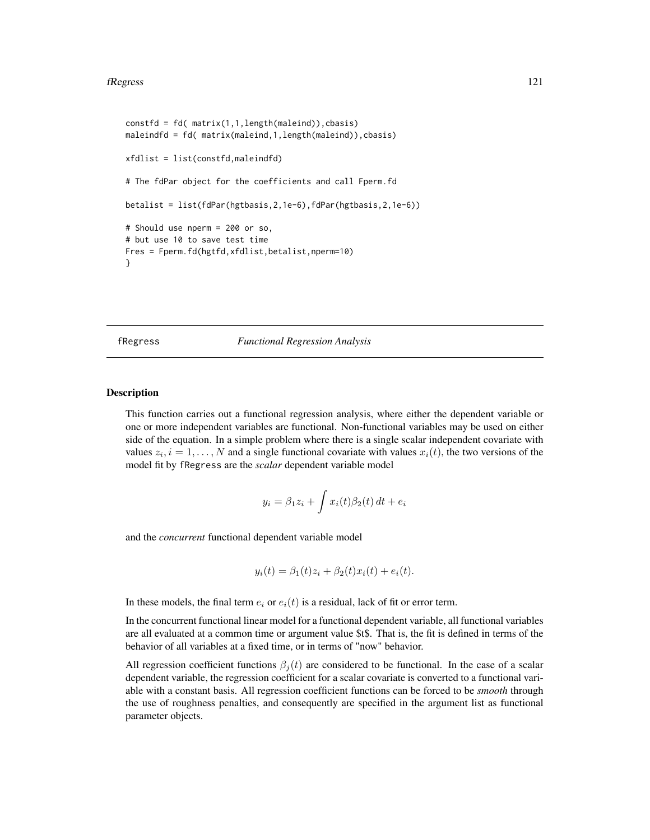#### fRegress 121

```
constfd = fd( matrix(1,1,length(maleind)),cbasis)
maleindfd = fd( matrix(maleind,1,length(maleind)),cbasis)
xfdlist = list(constfd,maleindfd)
# The fdPar object for the coefficients and call Fperm.fd
betalist = list(fdPar(hgtbasis,2,1e-6),fdPar(hgtbasis,2,1e-6))
# Should use nperm = 200 or so,
# but use 10 to save test time
Fres = Fperm.fd(hgtfd,xfdlist,betalist,nperm=10)
}
```
<span id="page-120-0"></span>fRegress *Functional Regression Analysis*

## <span id="page-120-1"></span>**Description**

This function carries out a functional regression analysis, where either the dependent variable or one or more independent variables are functional. Non-functional variables may be used on either side of the equation. In a simple problem where there is a single scalar independent covariate with values  $z_i$ ,  $i = 1, ..., N$  and a single functional covariate with values  $x_i(t)$ , the two versions of the model fit by fRegress are the *scalar* dependent variable model

$$
y_i = \beta_1 z_i + \int x_i(t)\beta_2(t) dt + e_i
$$

and the *concurrent* functional dependent variable model

$$
y_i(t) = \beta_1(t)z_i + \beta_2(t)x_i(t) + e_i(t).
$$

In these models, the final term  $e_i$  or  $e_i(t)$  is a residual, lack of fit or error term.

In the concurrent functional linear model for a functional dependent variable, all functional variables are all evaluated at a common time or argument value \$t\$. That is, the fit is defined in terms of the behavior of all variables at a fixed time, or in terms of "now" behavior.

All regression coefficient functions  $\beta_i(t)$  are considered to be functional. In the case of a scalar dependent variable, the regression coefficient for a scalar covariate is converted to a functional variable with a constant basis. All regression coefficient functions can be forced to be *smooth* through the use of roughness penalties, and consequently are specified in the argument list as functional parameter objects.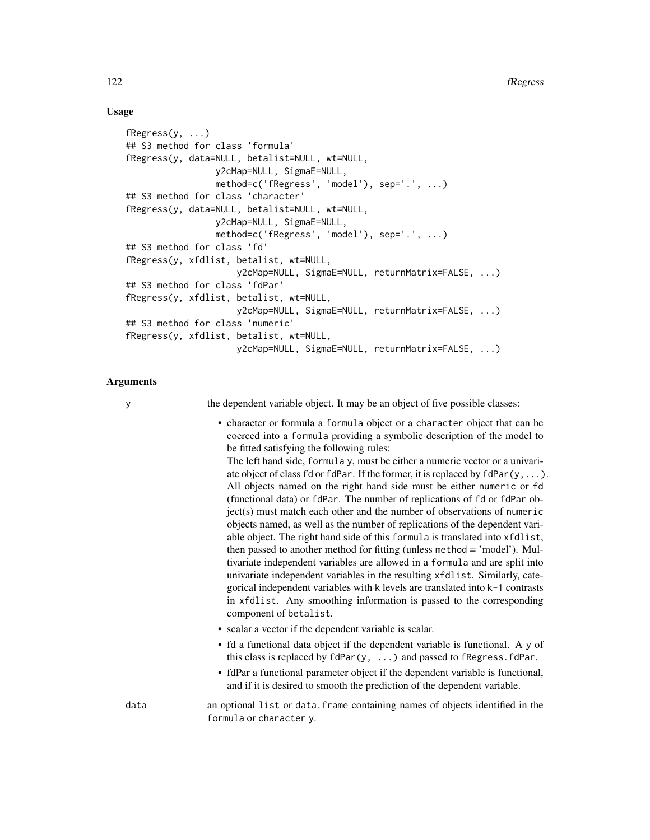## Usage

```
fRegress(y, ...)
## S3 method for class 'formula'
fRegress(y, data=NULL, betalist=NULL, wt=NULL,
                 y2cMap=NULL, SigmaE=NULL,
                 method=c('fRegress', 'model'), sep='.', ...)
## S3 method for class 'character'
fRegress(y, data=NULL, betalist=NULL, wt=NULL,
                 y2cMap=NULL, SigmaE=NULL,
                 method=c('fRegress', 'model'), sep='.', ...)
## S3 method for class 'fd'
fRegress(y, xfdlist, betalist, wt=NULL,
                     y2cMap=NULL, SigmaE=NULL, returnMatrix=FALSE, ...)
## S3 method for class 'fdPar'
fRegress(y, xfdlist, betalist, wt=NULL,
                     y2cMap=NULL, SigmaE=NULL, returnMatrix=FALSE, ...)
## S3 method for class 'numeric'
fRegress(y, xfdlist, betalist, wt=NULL,
                     y2cMap=NULL, SigmaE=NULL, returnMatrix=FALSE, ...)
```
#### Arguments

y the dependent variable object. It may be an object of five possible classes:

• character or formula a formula object or a character object that can be coerced into a formula providing a symbolic description of the model to be fitted satisfying the following rules:

The left hand side, formula y, must be either a numeric vector or a univariate object of class fd or fdPar. If the former, it is replaced by fdPar( $y$ , ...). All objects named on the right hand side must be either numeric or fd (functional data) or fdPar. The number of replications of fd or fdPar object(s) must match each other and the number of observations of numeric objects named, as well as the number of replications of the dependent variable object. The right hand side of this formula is translated into xfdlist, then passed to another method for fitting (unless method = 'model'). Multivariate independent variables are allowed in a formula and are split into univariate independent variables in the resulting xfdlist. Similarly, categorical independent variables with k levels are translated into k-1 contrasts in xfdlist. Any smoothing information is passed to the corresponding component of betalist.

- scalar a vector if the dependent variable is scalar.
- fd a functional data object if the dependent variable is functional. A y of this class is replaced by  $fdPar(y, \ldots)$  and passed to  $fRegress.fdPar$ .
- fdPar a functional parameter object if the dependent variable is functional, and if it is desired to smooth the prediction of the dependent variable.
- data an optional list or data.frame containing names of objects identified in the formula or character y.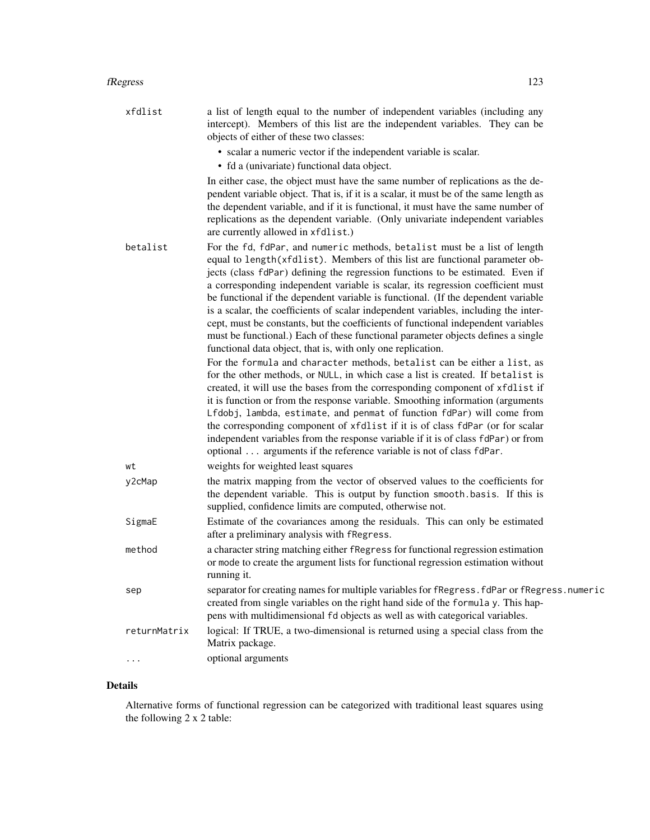#### fRegress 123

| xfdlist      | a list of length equal to the number of independent variables (including any<br>intercept). Members of this list are the independent variables. They can be<br>objects of either of these two classes:                                                                                                                                                                                                                                                                                                                                                                                                                                                                                                                                                                                                                                                                                                                                                                                                                                                                                                                                                                                                                                                                                                                                                                                                      |
|--------------|-------------------------------------------------------------------------------------------------------------------------------------------------------------------------------------------------------------------------------------------------------------------------------------------------------------------------------------------------------------------------------------------------------------------------------------------------------------------------------------------------------------------------------------------------------------------------------------------------------------------------------------------------------------------------------------------------------------------------------------------------------------------------------------------------------------------------------------------------------------------------------------------------------------------------------------------------------------------------------------------------------------------------------------------------------------------------------------------------------------------------------------------------------------------------------------------------------------------------------------------------------------------------------------------------------------------------------------------------------------------------------------------------------------|
|              | • scalar a numeric vector if the independent variable is scalar.                                                                                                                                                                                                                                                                                                                                                                                                                                                                                                                                                                                                                                                                                                                                                                                                                                                                                                                                                                                                                                                                                                                                                                                                                                                                                                                                            |
|              | • fd a (univariate) functional data object.                                                                                                                                                                                                                                                                                                                                                                                                                                                                                                                                                                                                                                                                                                                                                                                                                                                                                                                                                                                                                                                                                                                                                                                                                                                                                                                                                                 |
|              | In either case, the object must have the same number of replications as the de-<br>pendent variable object. That is, if it is a scalar, it must be of the same length as<br>the dependent variable, and if it is functional, it must have the same number of<br>replications as the dependent variable. (Only univariate independent variables<br>are currently allowed in xfdlist.)                                                                                                                                                                                                                                                                                                                                                                                                                                                                                                                                                                                                                                                                                                                                                                                                                                                                                                                                                                                                                        |
| betalist     | For the fd, fdPar, and numeric methods, betalist must be a list of length<br>equal to length(xfdlist). Members of this list are functional parameter ob-<br>jects (class fdPar) defining the regression functions to be estimated. Even if<br>a corresponding independent variable is scalar, its regression coefficient must<br>be functional if the dependent variable is functional. (If the dependent variable<br>is a scalar, the coefficients of scalar independent variables, including the inter-<br>cept, must be constants, but the coefficients of functional independent variables<br>must be functional.) Each of these functional parameter objects defines a single<br>functional data object, that is, with only one replication.<br>For the formula and character methods, betalist can be either a list, as<br>for the other methods, or NULL, in which case a list is created. If betalist is<br>created, it will use the bases from the corresponding component of xfdlist if<br>it is function or from the response variable. Smoothing information (arguments<br>Lfdobj, lambda, estimate, and penmat of function fdPar) will come from<br>the corresponding component of xfdlist if it is of class fdPar (or for scalar<br>independent variables from the response variable if it is of class fdPar) or from<br>optional  arguments if the reference variable is not of class fdPar. |
| wt           | weights for weighted least squares                                                                                                                                                                                                                                                                                                                                                                                                                                                                                                                                                                                                                                                                                                                                                                                                                                                                                                                                                                                                                                                                                                                                                                                                                                                                                                                                                                          |
| y2cMap       | the matrix mapping from the vector of observed values to the coefficients for<br>the dependent variable. This is output by function smooth.basis. If this is<br>supplied, confidence limits are computed, otherwise not.                                                                                                                                                                                                                                                                                                                                                                                                                                                                                                                                                                                                                                                                                                                                                                                                                                                                                                                                                                                                                                                                                                                                                                                    |
| SigmaE       | Estimate of the covariances among the residuals. This can only be estimated<br>after a preliminary analysis with fRegress.                                                                                                                                                                                                                                                                                                                                                                                                                                                                                                                                                                                                                                                                                                                                                                                                                                                                                                                                                                                                                                                                                                                                                                                                                                                                                  |
| method       | a character string matching either fRegress for functional regression estimation<br>or mode to create the argument lists for functional regression estimation without<br>running it.                                                                                                                                                                                                                                                                                                                                                                                                                                                                                                                                                                                                                                                                                                                                                                                                                                                                                                                                                                                                                                                                                                                                                                                                                        |
| sep          | separator for creating names for multiple variables for fRegress. fdPar or fRegress. numeric<br>created from single variables on the right hand side of the formula y. This hap-<br>pens with multidimensional fd objects as well as with categorical variables.                                                                                                                                                                                                                                                                                                                                                                                                                                                                                                                                                                                                                                                                                                                                                                                                                                                                                                                                                                                                                                                                                                                                            |
| returnMatrix | logical: If TRUE, a two-dimensional is returned using a special class from the<br>Matrix package.                                                                                                                                                                                                                                                                                                                                                                                                                                                                                                                                                                                                                                                                                                                                                                                                                                                                                                                                                                                                                                                                                                                                                                                                                                                                                                           |
| .            | optional arguments                                                                                                                                                                                                                                                                                                                                                                                                                                                                                                                                                                                                                                                                                                                                                                                                                                                                                                                                                                                                                                                                                                                                                                                                                                                                                                                                                                                          |

# Details

Alternative forms of functional regression can be categorized with traditional least squares using the following 2 x 2 table: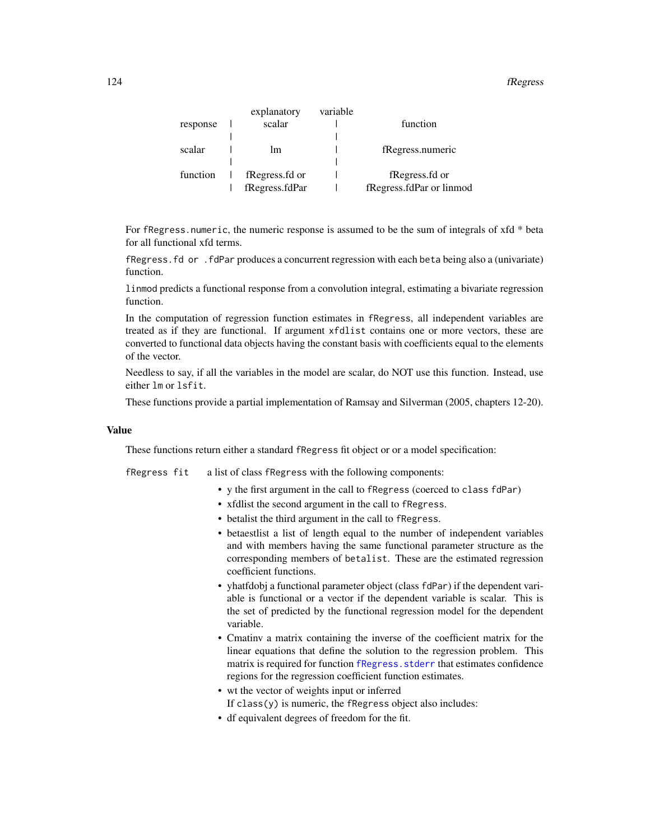#### 124 fRegress

| explanatory    | variable |                          |
|----------------|----------|--------------------------|
| scalar         |          | function                 |
|                |          |                          |
| Im             |          | fRegress.numeric         |
|                |          |                          |
| fRegress.fd or |          | fRegress.fd or           |
| fRegress.fdPar |          | fRegress.fdPar or linmod |
|                |          |                          |

For fRegress.numeric, the numeric response is assumed to be the sum of integrals of xfd \* beta for all functional xfd terms.

fRegress.fd or .fdPar produces a concurrent regression with each beta being also a (univariate) function.

linmod predicts a functional response from a convolution integral, estimating a bivariate regression function.

In the computation of regression function estimates in fRegress, all independent variables are treated as if they are functional. If argument xfdlist contains one or more vectors, these are converted to functional data objects having the constant basis with coefficients equal to the elements of the vector.

Needless to say, if all the variables in the model are scalar, do NOT use this function. Instead, use either lm or lsfit.

These functions provide a partial implementation of Ramsay and Silverman (2005, chapters 12-20).

#### Value

These functions return either a standard fRegress fit object or or a model specification:

fRegress fit a list of class fRegress with the following components:

- y the first argument in the call to fRegress (coerced to class fdPar)
- xfdlist the second argument in the call to fRegress.
- betalist the third argument in the call to fRegress.
- betaestlist a list of length equal to the number of independent variables and with members having the same functional parameter structure as the corresponding members of betalist. These are the estimated regression coefficient functions.
- yhatfdobj a functional parameter object (class fdPar) if the dependent variable is functional or a vector if the dependent variable is scalar. This is the set of predicted by the functional regression model for the dependent variable.
- Cmatinv a matrix containing the inverse of the coefficient matrix for the linear equations that define the solution to the regression problem. This matrix is required for function [fRegress.stderr](#page-130-0) that estimates confidence regions for the regression coefficient function estimates.
- wt the vector of weights input or inferred If class(y) is numeric, the fRegress object also includes:
- df equivalent degrees of freedom for the fit.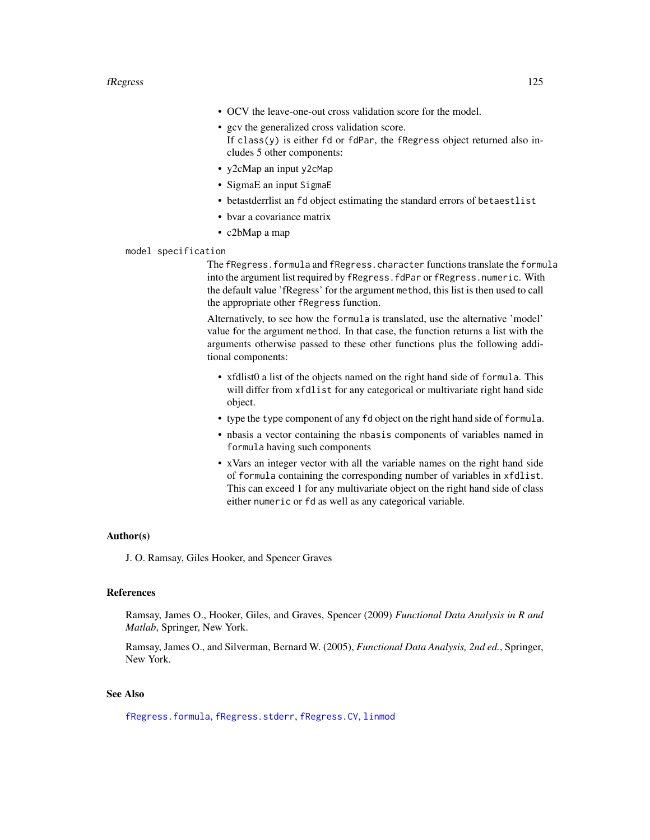#### fRegress and the state of the state of the state of the state of the state of the state of the state of the state of the state of the state of the state of the state of the state of the state of the state of the state of t

- OCV the leave-one-out cross validation score for the model.
- gcv the generalized cross validation score. If class(y) is either  $f$ d or  $f$ dPar, the fRegress object returned also includes 5 other components:
- y2cMap an input y2cMap
- SigmaE an input SigmaE
- betastderrlist an fd object estimating the standard errors of betaestlist
- bvar a covariance matrix
- c2bMap a map
- model specification

The fRegress.formula and fRegress.character functions translate the formula into the argument list required by fRegress.fdPar or fRegress.numeric. With the default value 'fRegress' for the argument method, this list is then used to call the appropriate other fRegress function.

Alternatively, to see how the formula is translated, use the alternative 'model' value for the argument method. In that case, the function returns a list with the arguments otherwise passed to these other functions plus the following additional components:

- xfdlist0 a list of the objects named on the right hand side of formula. This will differ from xfdlist for any categorical or multivariate right hand side object.
- type the type component of any fd object on the right hand side of formula.
- nbasis a vector containing the nbasis components of variables named in formula having such components
- xVars an integer vector with all the variable names on the right hand side of formula containing the corresponding number of variables in xfdlist. This can exceed 1 for any multivariate object on the right hand side of class either numeric or fd as well as any categorical variable.

# Author(s)

J. O. Ramsay, Giles Hooker, and Spencer Graves

### References

Ramsay, James O., Hooker, Giles, and Graves, Spencer (2009) *Functional Data Analysis in R and Matlab*, Springer, New York.

Ramsay, James O., and Silverman, Bernard W. (2005), *Functional Data Analysis, 2nd ed.*, Springer, New York.

#### See Also

[fRegress.formula](#page-120-1), [fRegress.stderr](#page-130-0), [fRegress.CV](#page-129-0), [linmod](#page-156-0)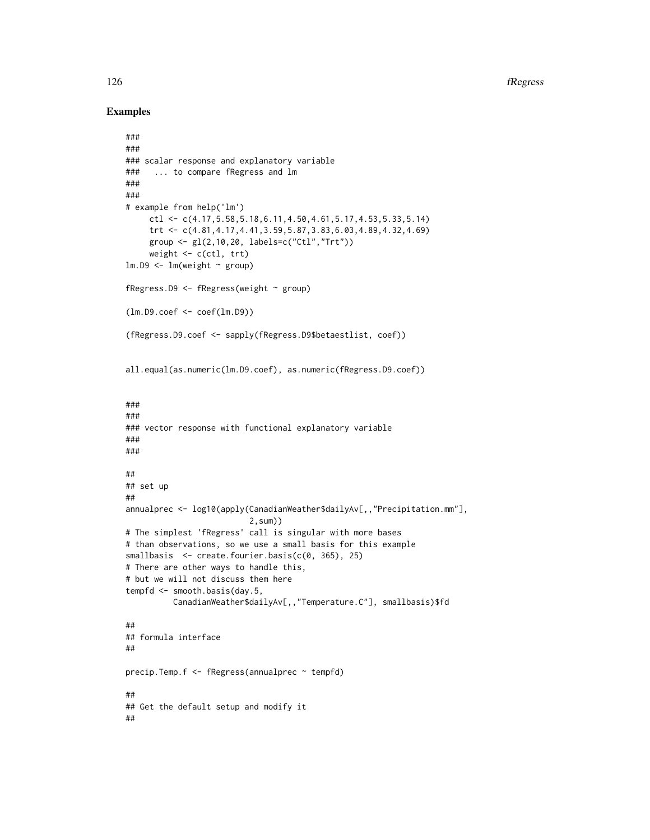## Examples

###

```
###
### scalar response and explanatory variable
### ... to compare fRegress and lm
###
###
# example from help('lm')
     ctl <- c(4.17,5.58,5.18,6.11,4.50,4.61,5.17,4.53,5.33,5.14)
     trt <- c(4.81,4.17,4.41,3.59,5.87,3.83,6.03,4.89,4.32,4.69)
     group <- gl(2,10,20, labels=c("Ctl","Trt"))
     weight <- c(ctl, trt)
lm.D9 \leq lm(weight \sim group)fRegress.D9 <- fRegress(weight ~ group)
(lm.D9.coef <- coef(lm.D9))
(fRegress.D9.coef <- sapply(fRegress.D9$betaestlist, coef))
all.equal(as.numeric(lm.D9.coef), as.numeric(fRegress.D9.coef))
###
###
### vector response with functional explanatory variable
###
###
##
## set up
##
annualprec <- log10(apply(CanadianWeather$dailyAv[,,"Precipitation.mm"],
                          2,sum))
# The simplest 'fRegress' call is singular with more bases
# than observations, so we use a small basis for this example
smallbasis <- create.fourier.basis(c(0, 365), 25)
# There are other ways to handle this,
# but we will not discuss them here
tempfd <- smooth.basis(day.5,
          CanadianWeather$dailyAv[,,"Temperature.C"], smallbasis)$fd
##
## formula interface
##
precip.Temp.f <- fRegress(annualprec ~ tempfd)
##
## Get the default setup and modify it
##
```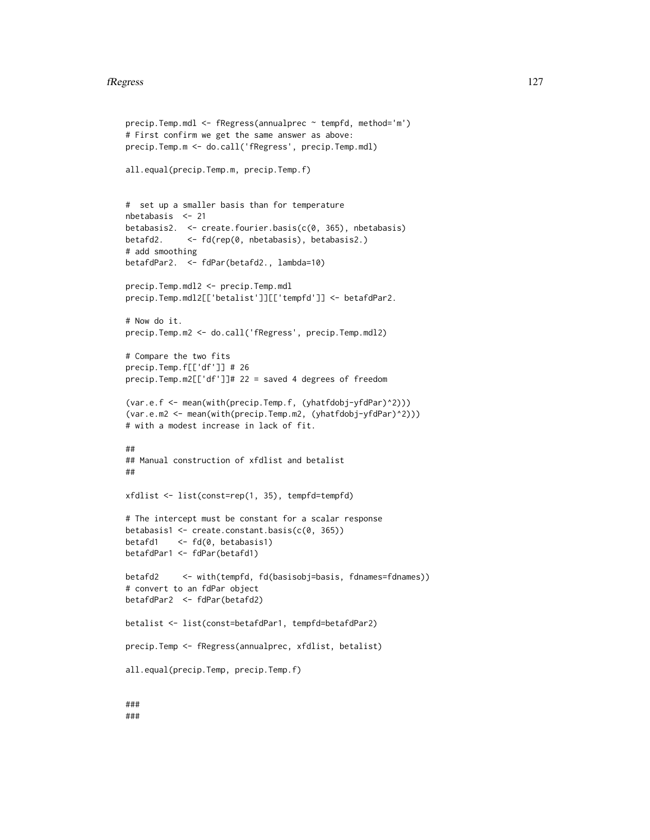```
precip.Temp.mdl <- fRegress(annualprec ~ tempfd, method='m')
# First confirm we get the same answer as above:
precip.Temp.m <- do.call('fRegress', precip.Temp.mdl)
all.equal(precip.Temp.m, precip.Temp.f)
# set up a smaller basis than for temperature
nbetabasis <- 21
betabasis2. <- create.fourier.basis(c(0, 365), nbetabasis)
betafd2. <- fd(rep(0, nbetabasis), betabasis2.)
# add smoothing
betafdPar2. <- fdPar(betafd2., lambda=10)
precip.Temp.mdl2 <- precip.Temp.mdl
precip.Temp.mdl2[['betalist']][['tempfd']] <- betafdPar2.
# Now do it.
precip.Temp.m2 <- do.call('fRegress', precip.Temp.mdl2)
# Compare the two fits
precip.Temp.f[['df']] # 26
precip.Temp.m2[['df']]# 22 = saved 4 degrees of freedom
(var.e.f <- mean(with(precip.Temp.f, (yhatfdobj-yfdPar)^2)))
(var.e.m2 <- mean(with(precip.Temp.m2, (yhatfdobj-yfdPar)^2)))
# with a modest increase in lack of fit.
##
## Manual construction of xfdlist and betalist
##
xfdlist <- list(const=rep(1, 35), tempfd=tempfd)
# The intercept must be constant for a scalar response
betabasis1 <- create.constant.basis(c(0, 365))
betafd1 <- fd(0, betabasis1)
betafdPar1 <- fdPar(betafd1)
betafd2 <- with(tempfd, fd(basisobj=basis, fdnames=fdnames))
# convert to an fdPar object
betafdPar2 <- fdPar(betafd2)
betalist <- list(const=betafdPar1, tempfd=betafdPar2)
precip.Temp <- fRegress(annualprec, xfdlist, betalist)
all.equal(precip.Temp, precip.Temp.f)
###
```
###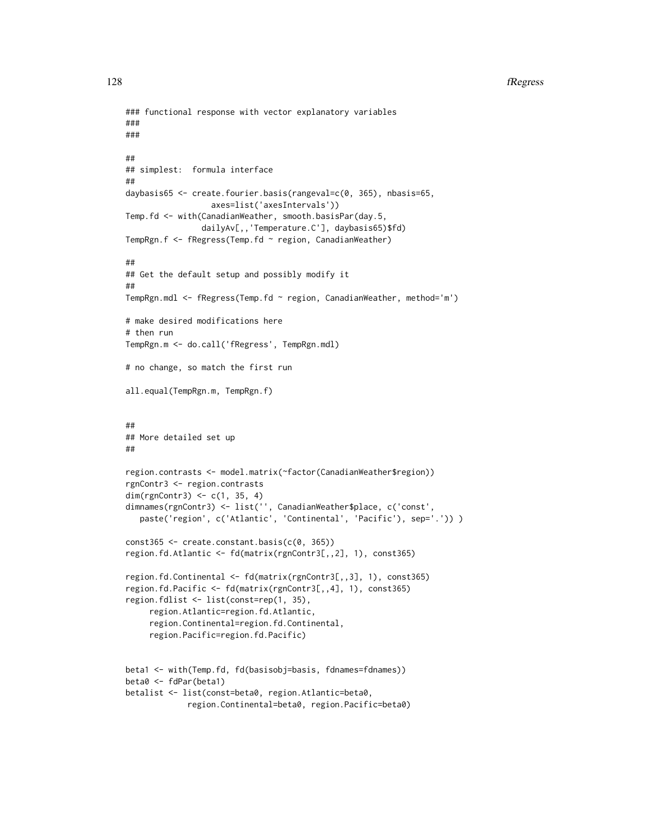```
### functional response with vector explanatory variables
###
###
##
## simplest: formula interface
##
daybasis65 <- create.fourier.basis(rangeval=c(0, 365), nbasis=65,
                  axes=list('axesIntervals'))
Temp.fd <- with(CanadianWeather, smooth.basisPar(day.5,
                dailyAv[,,'Temperature.C'], daybasis65)$fd)
TempRgn.f <- fRegress(Temp.fd ~ region, CanadianWeather)
##
## Get the default setup and possibly modify it
##
TempRgn.mdl <- fRegress(Temp.fd ~ region, CanadianWeather, method='m')
# make desired modifications here
# then run
TempRgn.m <- do.call('fRegress', TempRgn.mdl)
# no change, so match the first run
all.equal(TempRgn.m, TempRgn.f)
##
## More detailed set up
##
region.contrasts <- model.matrix(~factor(CanadianWeather$region))
rgnContr3 <- region.contrasts
dim(rgnContr3) <- c(1, 35, 4)
dimnames(rgnContr3) <- list('', CanadianWeather$place, c('const',
  paste('region', c('Atlantic', 'Continental', 'Pacific'), sep='.')) )
const365 <- create.constant.basis(c(0, 365))
region.fd.Atlantic <- fd(matrix(rgnContr3[,,2], 1), const365)
region.fd.Continental <- fd(matrix(rgnContr3[,,3], 1), const365)
region.fd.Pacific <- fd(matrix(rgnContr3[,,4], 1), const365)
region.fdlist <- list(const=rep(1, 35),
     region.Atlantic=region.fd.Atlantic,
     region.Continental=region.fd.Continental,
     region.Pacific=region.fd.Pacific)
beta1 <- with(Temp.fd, fd(basisobj=basis, fdnames=fdnames))
beta0 <- fdPar(beta1)
betalist <- list(const=beta0, region.Atlantic=beta0,
             region.Continental=beta0, region.Pacific=beta0)
```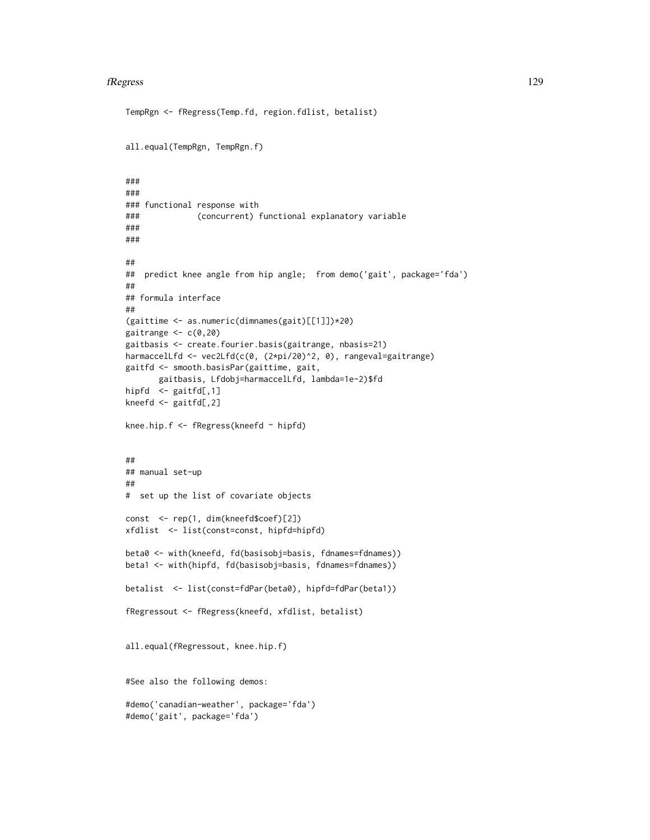#### fRegress and the set of the set of the set of the set of the set of the set of the set of the set of the set of the set of the set of the set of the set of the set of the set of the set of the set of the set of the set of

```
TempRgn <- fRegress(Temp.fd, region.fdlist, betalist)
all.equal(TempRgn, TempRgn.f)
###
###
### functional response with
### (concurrent) functional explanatory variable
###
###
##
## predict knee angle from hip angle; from demo('gait', package='fda')
##
## formula interface
##
(gaittime <- as.numeric(dimnames(gait)[[1]])*20)
gaitrange \leq c(0,20)
gaitbasis <- create.fourier.basis(gaitrange, nbasis=21)
harmaccelLfd <- vec2Lfd(c(0, (2*pi/20)^2, 0), rangeval=gaitrange)
gaitfd <- smooth.basisPar(gaittime, gait,
       gaitbasis, Lfdobj=harmaccelLfd, lambda=1e-2)$fd
hipfd <- gaitfd[,1]
kneefd <- gaitfd[,2]
knee.hip.f <- fRegress(kneefd ~ hipfd)
##
## manual set-up
##
# set up the list of covariate objects
const <- rep(1, dim(kneefd$coef)[2])
xfdlist <- list(const=const, hipfd=hipfd)
beta0 <- with(kneefd, fd(basisobj=basis, fdnames=fdnames))
beta1 <- with(hipfd, fd(basisobj=basis, fdnames=fdnames))
betalist <- list(const=fdPar(beta0), hipfd=fdPar(beta1))
fRegressout <- fRegress(kneefd, xfdlist, betalist)
all.equal(fRegressout, knee.hip.f)
#See also the following demos:
#demo('canadian-weather', package='fda')
#demo('gait', package='fda')
```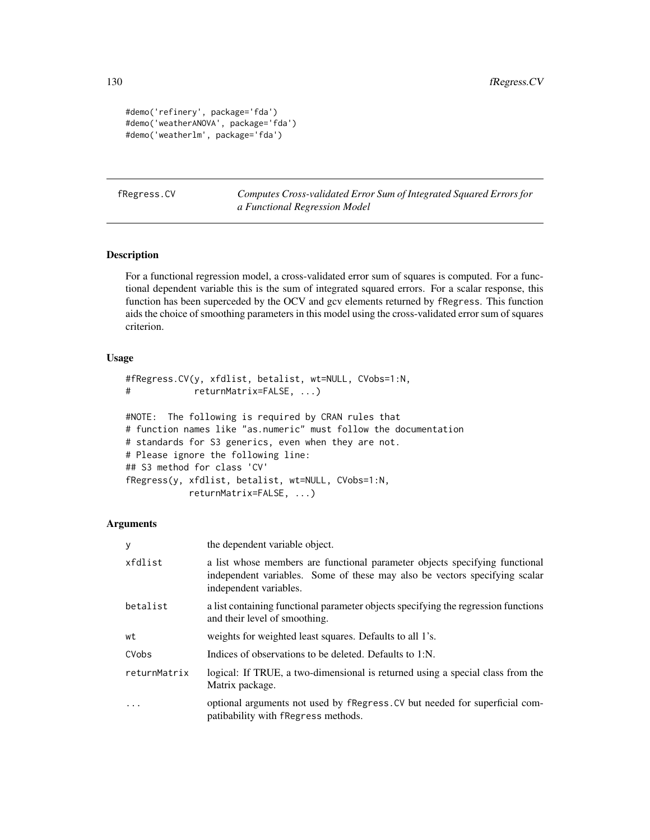```
#demo('refinery', package='fda')
#demo('weatherANOVA', package='fda')
#demo('weatherlm', package='fda')
```
<span id="page-129-0"></span>fRegress.CV *Computes Cross-validated Error Sum of Integrated Squared Errors for a Functional Regression Model*

## Description

For a functional regression model, a cross-validated error sum of squares is computed. For a functional dependent variable this is the sum of integrated squared errors. For a scalar response, this function has been superceded by the OCV and gcv elements returned by fRegress. This function aids the choice of smoothing parameters in this model using the cross-validated error sum of squares criterion.

#### Usage

```
#fRegress.CV(y, xfdlist, betalist, wt=NULL, CVobs=1:N,
# returnMatrix=FALSE, ...)
#NOTE: The following is required by CRAN rules that
# function names like "as.numeric" must follow the documentation
# standards for S3 generics, even when they are not.
# Please ignore the following line:
## S3 method for class 'CV'
fRegress(y, xfdlist, betalist, wt=NULL, CVobs=1:N,
           returnMatrix=FALSE, ...)
```

| y            | the dependent variable object.                                                                                                                                                      |
|--------------|-------------------------------------------------------------------------------------------------------------------------------------------------------------------------------------|
| xfdlist      | a list whose members are functional parameter objects specifying functional<br>independent variables. Some of these may also be vectors specifying scalar<br>independent variables. |
| betalist     | a list containing functional parameter objects specifying the regression functions<br>and their level of smoothing.                                                                 |
| wt           | weights for weighted least squares. Defaults to all 1's.                                                                                                                            |
| CVobs        | Indices of observations to be deleted. Defaults to 1:N.                                                                                                                             |
| returnMatrix | logical: If TRUE, a two-dimensional is returned using a special class from the<br>Matrix package.                                                                                   |
| $\cdot$      | optional arguments not used by fRegress. CV but needed for superficial com-<br>patibability with fRegress methods.                                                                  |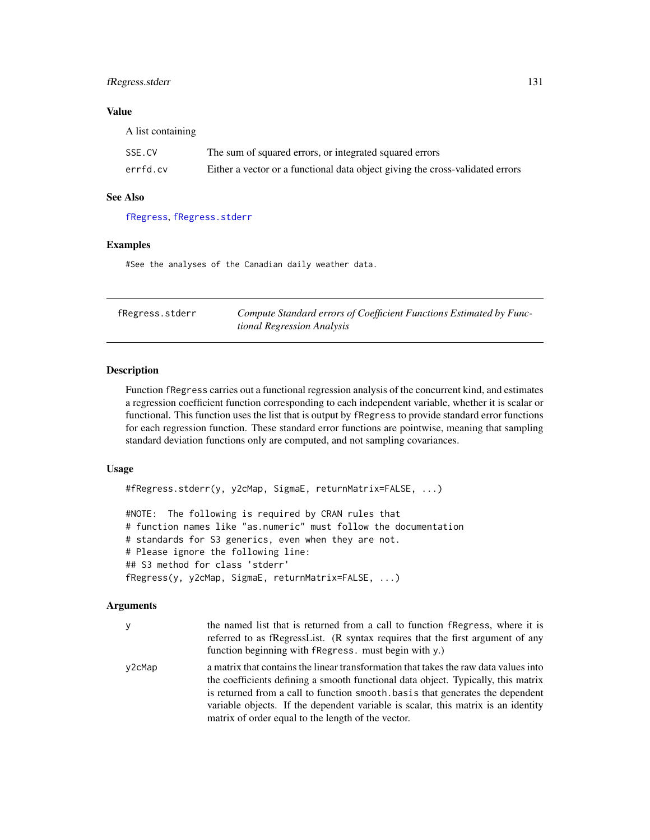# fRegress.stderr 131

## Value

A list containing

| SSE.CV   | The sum of squared errors, or integrated squared errors                       |
|----------|-------------------------------------------------------------------------------|
| errfd.cv | Either a vector or a functional data object giving the cross-validated errors |

# See Also

[fRegress](#page-120-0), [fRegress.stderr](#page-130-0)

## Examples

#See the analyses of the Canadian daily weather data.

<span id="page-130-0"></span>

| fRegress.stderr | Compute Standard errors of Coefficient Functions Estimated by Func- |
|-----------------|---------------------------------------------------------------------|
|                 | tional Regression Analysis                                          |

# Description

Function fRegress carries out a functional regression analysis of the concurrent kind, and estimates a regression coefficient function corresponding to each independent variable, whether it is scalar or functional. This function uses the list that is output by fRegress to provide standard error functions for each regression function. These standard error functions are pointwise, meaning that sampling standard deviation functions only are computed, and not sampling covariances.

#### Usage

#fRegress.stderr(y, y2cMap, SigmaE, returnMatrix=FALSE, ...) #NOTE: The following is required by CRAN rules that # function names like "as.numeric" must follow the documentation # standards for S3 generics, even when they are not. # Please ignore the following line: ## S3 method for class 'stderr'

fRegress(y, y2cMap, SigmaE, returnMatrix=FALSE, ...)

| у      | the named list that is returned from a call to function fregress, where it is<br>referred to as fRegressList. (R syntax requires that the first argument of any<br>function beginning with fRegress. must begin with y.)                                                                                                                                                                               |
|--------|--------------------------------------------------------------------------------------------------------------------------------------------------------------------------------------------------------------------------------------------------------------------------------------------------------------------------------------------------------------------------------------------------------|
| y2cMap | a matrix that contains the linear transformation that takes the raw data values into<br>the coefficients defining a smooth functional data object. Typically, this matrix<br>is returned from a call to function smooth, basis that generates the dependent<br>variable objects. If the dependent variable is scalar, this matrix is an identity<br>matrix of order equal to the length of the vector. |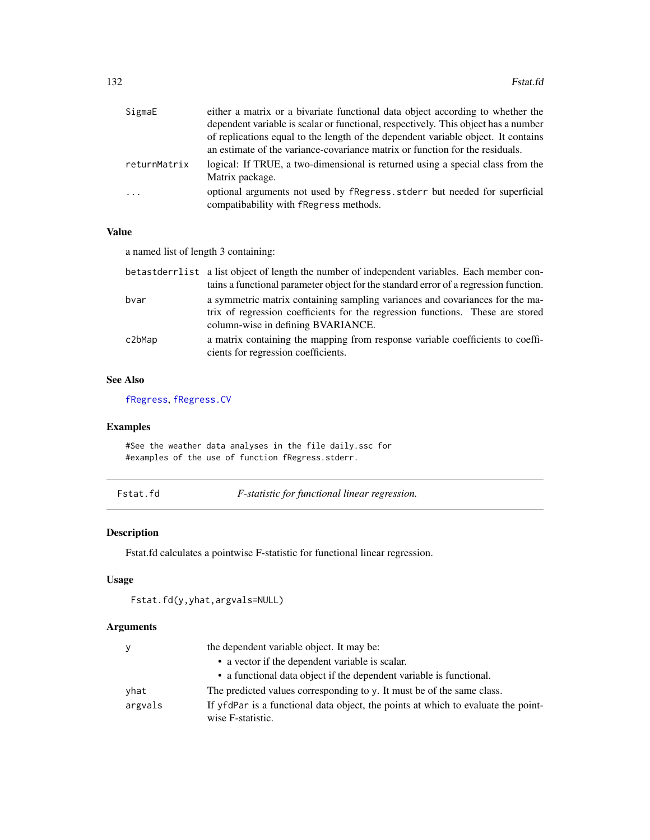| SigmaE       | either a matrix or a bivariate functional data object according to whether the                                       |
|--------------|----------------------------------------------------------------------------------------------------------------------|
|              | dependent variable is scalar or functional, respectively. This object has a number                                   |
|              | of replications equal to the length of the dependent variable object. It contains                                    |
|              | an estimate of the variance-covariance matrix or function for the residuals.                                         |
| returnMatrix | logical: If TRUE, a two-dimensional is returned using a special class from the                                       |
|              | Matrix package.                                                                                                      |
| $\ddots$ .   | optional arguments not used by fRegress. stder rbut needed for superficial<br>compatibability with fRegress methods. |

## Value

a named list of length 3 containing:

|        | betastderrlist a list object of length the number of independent variables. Each member con-                         |
|--------|----------------------------------------------------------------------------------------------------------------------|
|        | tains a functional parameter object for the standard error of a regression function.                                 |
| bvar   | a symmetric matrix containing sampling variances and covariances for the ma-                                         |
|        | trix of regression coefficients for the regression functions. These are stored<br>column-wise in defining BVARIANCE. |
| c2bMap | a matrix containing the mapping from response variable coefficients to coeffi-                                       |
|        | cients for regression coefficients.                                                                                  |

# See Also

[fRegress](#page-120-0), [fRegress.CV](#page-129-0)

# Examples

#See the weather data analyses in the file daily.ssc for #examples of the use of function fRegress.stderr.

<span id="page-131-0"></span>Fstat.fd *F-statistic for functional linear regression.*

# Description

Fstat.fd calculates a pointwise F-statistic for functional linear regression.

# Usage

```
Fstat.fd(y,yhat,argvals=NULL)
```

| ٧       | the dependent variable object. It may be:                                         |
|---------|-----------------------------------------------------------------------------------|
|         | • a vector if the dependent variable is scalar.                                   |
|         | • a functional data object if the dependent variable is functional.               |
| yhat    | The predicted values corresponding to y. It must be of the same class.            |
| argvals | If yfdPar is a functional data object, the points at which to evaluate the point- |
|         | wise F-statistic.                                                                 |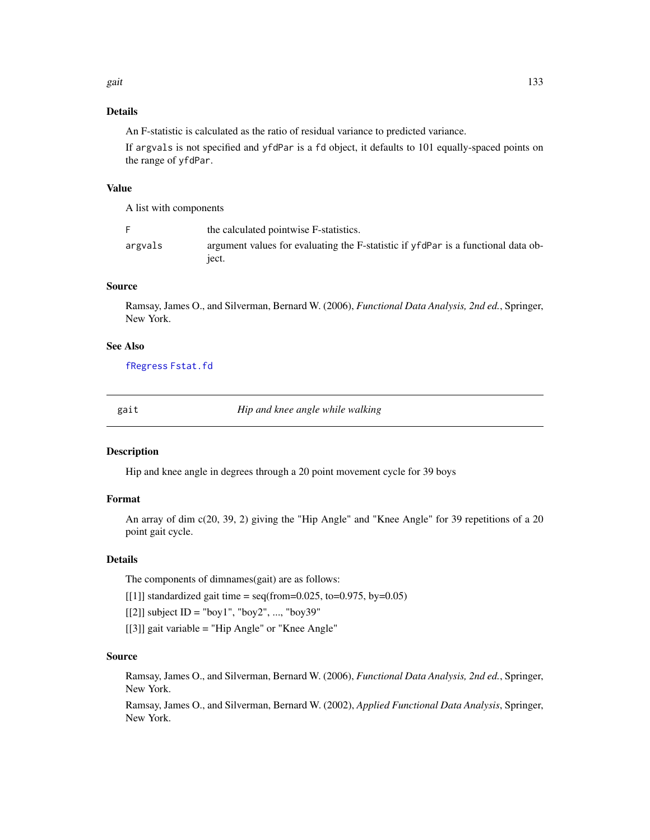# Details

An F-statistic is calculated as the ratio of residual variance to predicted variance.

If argvals is not specified and yfdPar is a fd object, it defaults to 101 equally-spaced points on the range of yfdPar.

# Value

A list with components

|         | the calculated pointwise F-statistics.                                                     |
|---------|--------------------------------------------------------------------------------------------|
| argvals | argument values for evaluating the F-statistic if yfdPar is a functional data ob-<br>iect. |

# Source

Ramsay, James O., and Silverman, Bernard W. (2006), *Functional Data Analysis, 2nd ed.*, Springer, New York.

## See Also

[fRegress](#page-120-0) [Fstat.fd](#page-131-0)

gait *Hip and knee angle while walking*

## Description

Hip and knee angle in degrees through a 20 point movement cycle for 39 boys

# Format

An array of dim c(20, 39, 2) giving the "Hip Angle" and "Knee Angle" for 39 repetitions of a 20 point gait cycle.

# Details

The components of dimnames(gait) are as follows:

- [[1]] standardized gait time = seq(from=0.025, to=0.975, by=0.05)
- [[2]] subject  $ID = "boy1", "boy2", ..., "boy39"$
- [[3]] gait variable = "Hip Angle" or "Knee Angle"

#### Source

Ramsay, James O., and Silverman, Bernard W. (2006), *Functional Data Analysis, 2nd ed.*, Springer, New York.

Ramsay, James O., and Silverman, Bernard W. (2002), *Applied Functional Data Analysis*, Springer, New York.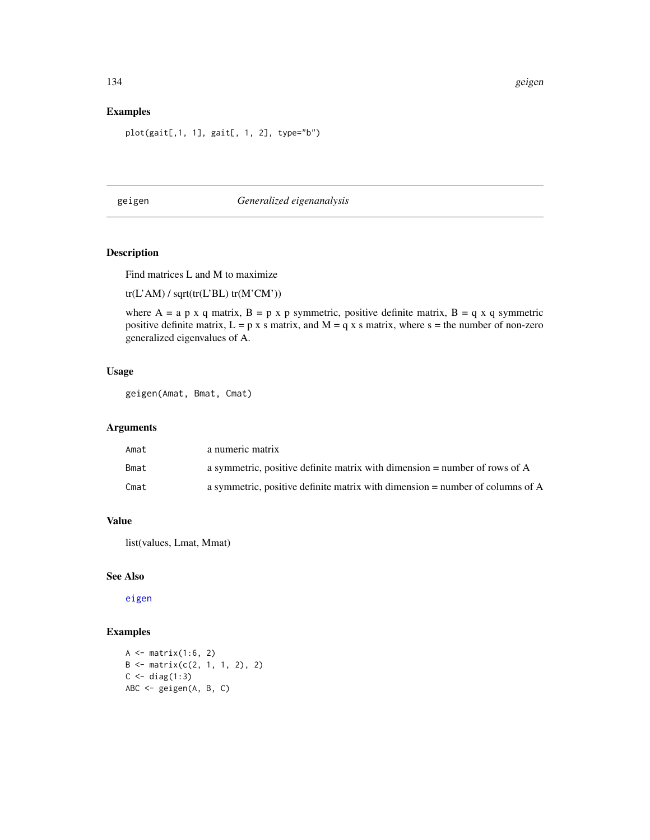# Examples

```
plot(gait[,1, 1], gait[, 1, 2], type="b")
```
## geigen *Generalized eigenanalysis*

## Description

Find matrices L and M to maximize

 $tr(L'AM)$  / sqrt $(tr(L'BL)$   $tr(M'CM'))$ 

where A = a p x q matrix, B = p x p symmetric, positive definite matrix, B = q x q symmetric positive definite matrix,  $L = p \times s$  matrix, and  $M = q \times s$  matrix, where  $s =$  the number of non-zero generalized eigenvalues of A.

## Usage

```
geigen(Amat, Bmat, Cmat)
```
# Arguments

| Amat | a numeric matrix                                                              |
|------|-------------------------------------------------------------------------------|
| Bmat | a symmetric, positive definite matrix with dimension = number of rows of A    |
| Cmat | a symmetric, positive definite matrix with dimension = number of columns of A |

# Value

list(values, Lmat, Mmat)

## See Also

[eigen](#page-0-0)

# Examples

```
A \leftarrow matrix(1:6, 2)B \leftarrow matrix(c(2, 1, 1, 2), 2)C \leftarrow diag(1:3)ABC <- geigen(A, B, C)
```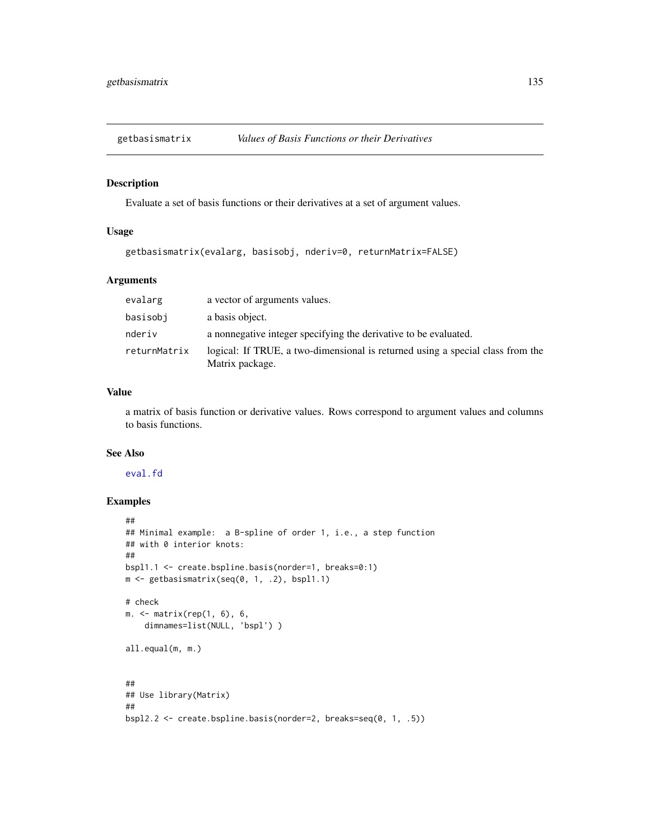# Description

Evaluate a set of basis functions or their derivatives at a set of argument values.

## Usage

getbasismatrix(evalarg, basisobj, nderiv=0, returnMatrix=FALSE)

# Arguments

| evalarg      | a vector of arguments values.                                                                     |
|--------------|---------------------------------------------------------------------------------------------------|
| basisobj     | a basis object.                                                                                   |
| nderiv       | a nonnegative integer specifying the derivative to be evaluated.                                  |
| returnMatrix | logical: If TRUE, a two-dimensional is returned using a special class from the<br>Matrix package. |

# Value

a matrix of basis function or derivative values. Rows correspond to argument values and columns to basis functions.

## See Also

[eval.fd](#page-92-0)

# Examples

```
##
## Minimal example: a B-spline of order 1, i.e., a step function
## with 0 interior knots:
##
bspl1.1 <- create.bspline.basis(norder=1, breaks=0:1)
m \leq getbasismatrix(seq(0, 1, .2), bspl1.1)
# check
m. <- matrix(rep(1, 6), 6,
    dimnames=list(NULL, 'bspl') )
all.equal(m, m.)
##
## Use library(Matrix)
##
bspl2.2 <- create.bspline.basis(norder=2, breaks=seq(0, 1, .5))
```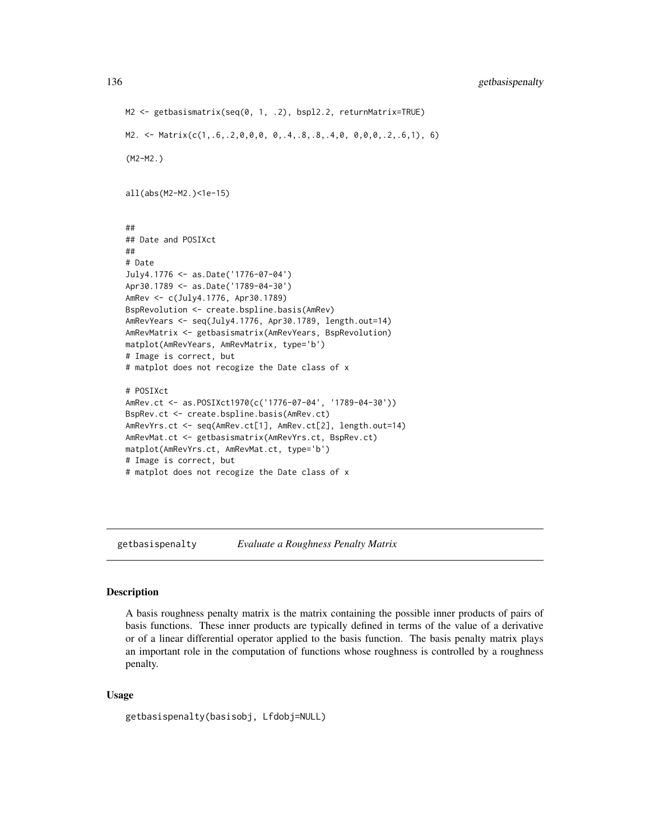```
M2 <- getbasismatrix(seq(0, 1, .2), bspl2.2, returnMatrix=TRUE)
M2. <- Matrix(c(1,.6,.2,0,0,0, 0,.4,.8,.8,.4,0, 0,0,0,.2,.6,1), 6)
(M2-M2.)
all(abs(M2-M2.)<1e-15)
##
## Date and POSIXct
##
# Date
July4.1776 <- as.Date('1776-07-04')
Apr30.1789 <- as.Date('1789-04-30')
AmRev <- c(July4.1776, Apr30.1789)
BspRevolution <- create.bspline.basis(AmRev)
AmRevYears <- seq(July4.1776, Apr30.1789, length.out=14)
AmRevMatrix <- getbasismatrix(AmRevYears, BspRevolution)
matplot(AmRevYears, AmRevMatrix, type='b')
# Image is correct, but
# matplot does not recogize the Date class of x
# POSIXct
AmRev.ct <- as.POSIXct1970(c('1776-07-04', '1789-04-30'))
BspRev.ct <- create.bspline.basis(AmRev.ct)
AmRevYrs.ct <- seq(AmRev.ct[1], AmRev.ct[2], length.out=14)
AmRevMat.ct <- getbasismatrix(AmRevYrs.ct, BspRev.ct)
matplot(AmRevYrs.ct, AmRevMat.ct, type='b')
# Image is correct, but
# matplot does not recogize the Date class of x
```
<span id="page-135-0"></span>getbasispenalty *Evaluate a Roughness Penalty Matrix*

### Description

A basis roughness penalty matrix is the matrix containing the possible inner products of pairs of basis functions. These inner products are typically defined in terms of the value of a derivative or of a linear differential operator applied to the basis function. The basis penalty matrix plays an important role in the computation of functions whose roughness is controlled by a roughness penalty.

#### Usage

```
getbasispenalty(basisobj, Lfdobj=NULL)
```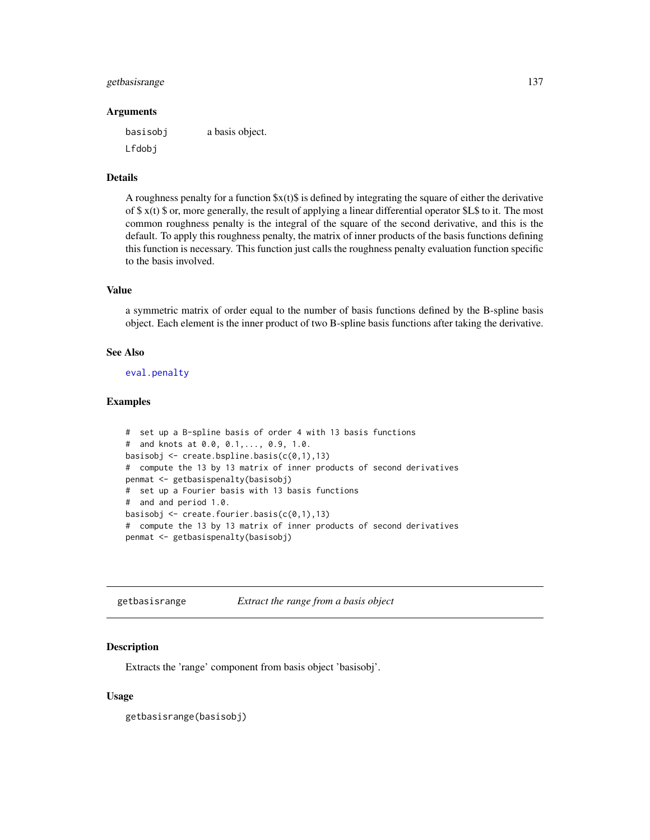## getbasisrange 137

#### Arguments

basisobj a basis object. Lfdobj

## Details

A roughness penalty for a function  $(x(t)$  is defined by integrating the square of either the derivative of  $\$x(t)$   $\$$  or, more generally, the result of applying a linear differential operator  $\$L\$$  to it. The most common roughness penalty is the integral of the square of the second derivative, and this is the default. To apply this roughness penalty, the matrix of inner products of the basis functions defining this function is necessary. This function just calls the roughness penalty evaluation function specific to the basis involved.

#### Value

a symmetric matrix of order equal to the number of basis functions defined by the B-spline basis object. Each element is the inner product of two B-spline basis functions after taking the derivative.

#### See Also

[eval.penalty](#page-97-0)

# Examples

```
# set up a B-spline basis of order 4 with 13 basis functions
# and knots at 0.0, 0.1,..., 0.9, 1.0.
basisobj \leq create.bspline.basis(c(0,1),13)
# compute the 13 by 13 matrix of inner products of second derivatives
penmat <- getbasispenalty(basisobj)
# set up a Fourier basis with 13 basis functions
# and and period 1.0.
basisobj \leq create.fourier.basis(c(0,1),13)
# compute the 13 by 13 matrix of inner products of second derivatives
penmat <- getbasispenalty(basisobj)
```
getbasisrange *Extract the range from a basis object*

# Description

Extracts the 'range' component from basis object 'basisobj'.

#### Usage

getbasisrange(basisobj)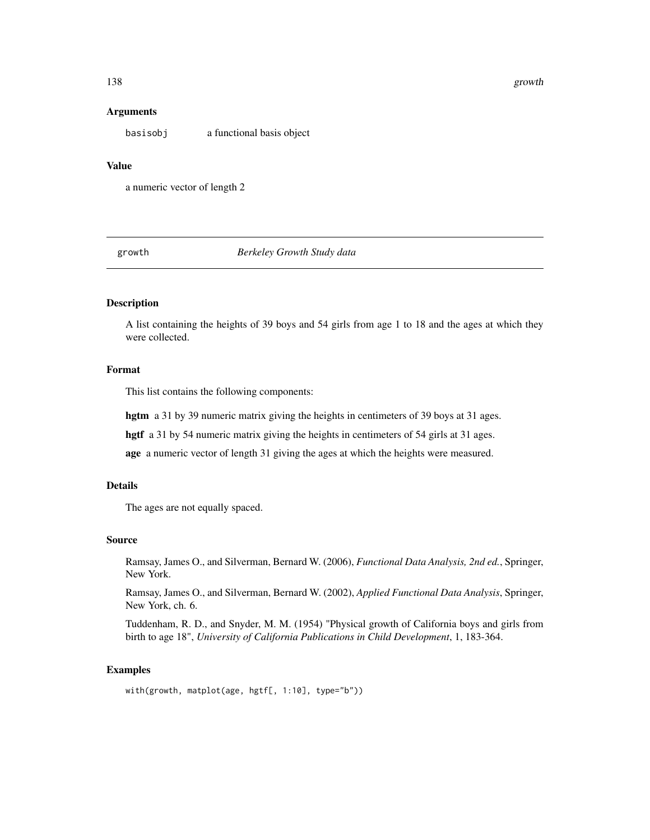#### 138 growth and the contract of the contract of the contract of the contract of the contract of the contract of the contract of the contract of the contract of the contract of the contract of the contract of the contract of

#### Arguments

basisobj a functional basis object

## Value

a numeric vector of length 2

## growth *Berkeley Growth Study data*

# Description

A list containing the heights of 39 boys and 54 girls from age 1 to 18 and the ages at which they were collected.

#### Format

This list contains the following components:

hgtm a 31 by 39 numeric matrix giving the heights in centimeters of 39 boys at 31 ages.

hgtf a 31 by 54 numeric matrix giving the heights in centimeters of 54 girls at 31 ages.

age a numeric vector of length 31 giving the ages at which the heights were measured.

# Details

The ages are not equally spaced.

#### Source

Ramsay, James O., and Silverman, Bernard W. (2006), *Functional Data Analysis, 2nd ed.*, Springer, New York.

Ramsay, James O., and Silverman, Bernard W. (2002), *Applied Functional Data Analysis*, Springer, New York, ch. 6.

Tuddenham, R. D., and Snyder, M. M. (1954) "Physical growth of California boys and girls from birth to age 18", *University of California Publications in Child Development*, 1, 183-364.

## Examples

with(growth, matplot(age, hgtf[, 1:10], type="b"))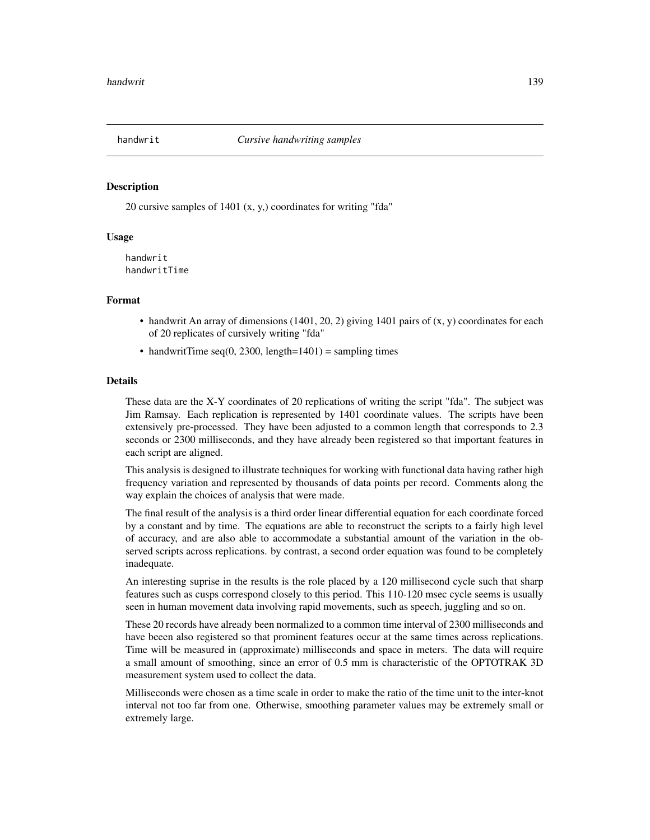## Description

20 cursive samples of 1401 (x, y,) coordinates for writing "fda"

#### Usage

handwrit handwritTime

# Format

- handwrit An array of dimensions  $(1401, 20, 2)$  giving 1401 pairs of  $(x, y)$  coordinates for each of 20 replicates of cursively writing "fda"
- handwritTime seq(0, 2300, length= $1401$ ) = sampling times

## Details

These data are the X-Y coordinates of 20 replications of writing the script "fda". The subject was Jim Ramsay. Each replication is represented by 1401 coordinate values. The scripts have been extensively pre-processed. They have been adjusted to a common length that corresponds to 2.3 seconds or 2300 milliseconds, and they have already been registered so that important features in each script are aligned.

This analysis is designed to illustrate techniques for working with functional data having rather high frequency variation and represented by thousands of data points per record. Comments along the way explain the choices of analysis that were made.

The final result of the analysis is a third order linear differential equation for each coordinate forced by a constant and by time. The equations are able to reconstruct the scripts to a fairly high level of accuracy, and are also able to accommodate a substantial amount of the variation in the observed scripts across replications. by contrast, a second order equation was found to be completely inadequate.

An interesting suprise in the results is the role placed by a 120 millisecond cycle such that sharp features such as cusps correspond closely to this period. This 110-120 msec cycle seems is usually seen in human movement data involving rapid movements, such as speech, juggling and so on.

These 20 records have already been normalized to a common time interval of 2300 milliseconds and have beeen also registered so that prominent features occur at the same times across replications. Time will be measured in (approximate) milliseconds and space in meters. The data will require a small amount of smoothing, since an error of 0.5 mm is characteristic of the OPTOTRAK 3D measurement system used to collect the data.

Milliseconds were chosen as a time scale in order to make the ratio of the time unit to the inter-knot interval not too far from one. Otherwise, smoothing parameter values may be extremely small or extremely large.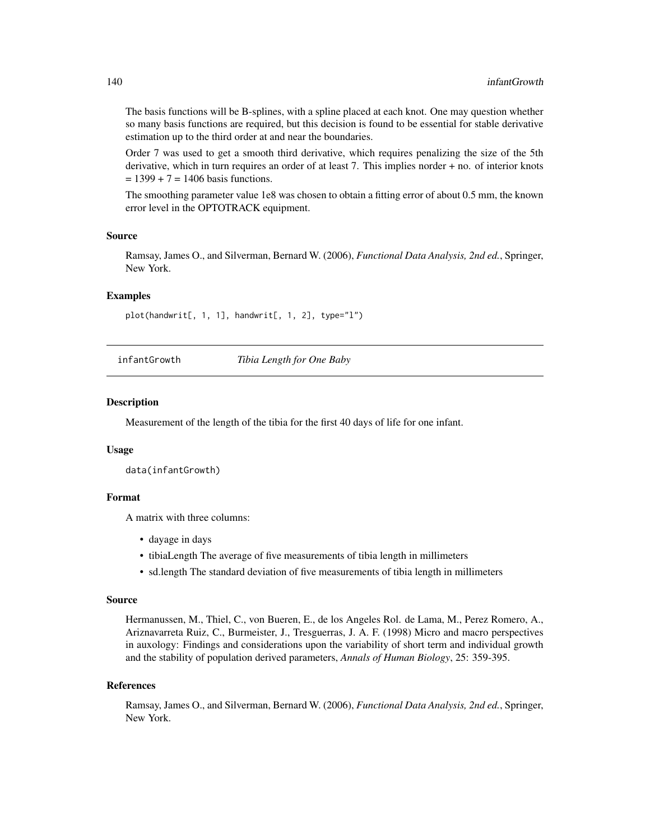The basis functions will be B-splines, with a spline placed at each knot. One may question whether so many basis functions are required, but this decision is found to be essential for stable derivative estimation up to the third order at and near the boundaries.

Order 7 was used to get a smooth third derivative, which requires penalizing the size of the 5th derivative, which in turn requires an order of at least 7. This implies norder + no. of interior knots  $= 1399 + 7 = 1406$  basis functions.

The smoothing parameter value 1e8 was chosen to obtain a fitting error of about 0.5 mm, the known error level in the OPTOTRACK equipment.

#### Source

Ramsay, James O., and Silverman, Bernard W. (2006), *Functional Data Analysis, 2nd ed.*, Springer, New York.

#### Examples

plot(handwrit[, 1, 1], handwrit[, 1, 2], type="l")

infantGrowth *Tibia Length for One Baby*

#### Description

Measurement of the length of the tibia for the first 40 days of life for one infant.

#### Usage

data(infantGrowth)

#### Format

A matrix with three columns:

- dayage in days
- tibiaLength The average of five measurements of tibia length in millimeters
- sd.length The standard deviation of five measurements of tibia length in millimeters

#### Source

Hermanussen, M., Thiel, C., von Bueren, E., de los Angeles Rol. de Lama, M., Perez Romero, A., Ariznavarreta Ruiz, C., Burmeister, J., Tresguerras, J. A. F. (1998) Micro and macro perspectives in auxology: Findings and considerations upon the variability of short term and individual growth and the stability of population derived parameters, *Annals of Human Biology*, 25: 359-395.

#### References

Ramsay, James O., and Silverman, Bernard W. (2006), *Functional Data Analysis, 2nd ed.*, Springer, New York.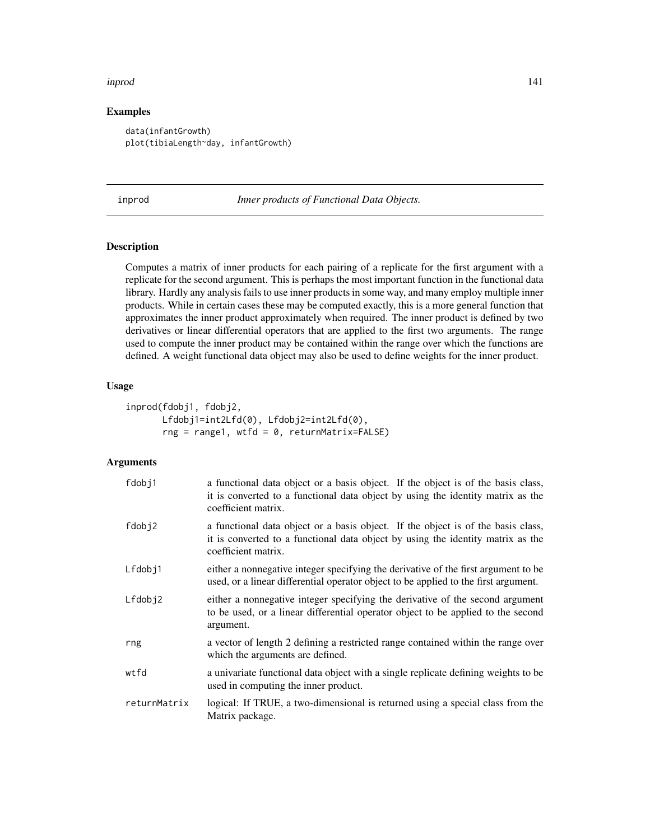#### inprod 141

## Examples

data(infantGrowth) plot(tibiaLength~day, infantGrowth)

inprod *Inner products of Functional Data Objects.*

## Description

Computes a matrix of inner products for each pairing of a replicate for the first argument with a replicate for the second argument. This is perhaps the most important function in the functional data library. Hardly any analysis fails to use inner products in some way, and many employ multiple inner products. While in certain cases these may be computed exactly, this is a more general function that approximates the inner product approximately when required. The inner product is defined by two derivatives or linear differential operators that are applied to the first two arguments. The range used to compute the inner product may be contained within the range over which the functions are defined. A weight functional data object may also be used to define weights for the inner product.

## Usage

inprod(fdobj1, fdobj2, Lfdobj1=int2Lfd(0), Lfdobj2=int2Lfd(0),  $rng = range1, wtfd = 0, returnMatrix=FALSE)$ 

| fdobj1       | a functional data object or a basis object. If the object is of the basis class,<br>it is converted to a functional data object by using the identity matrix as the<br>coefficient matrix. |
|--------------|--------------------------------------------------------------------------------------------------------------------------------------------------------------------------------------------|
| fdobj2       | a functional data object or a basis object. If the object is of the basis class,<br>it is converted to a functional data object by using the identity matrix as the<br>coefficient matrix. |
| Lfdobj1      | either a nonnegative integer specifying the derivative of the first argument to be<br>used, or a linear differential operator object to be applied to the first argument.                  |
| Lfdobj2      | either a nonnegative integer specifying the derivative of the second argument<br>to be used, or a linear differential operator object to be applied to the second<br>argument.             |
| rng          | a vector of length 2 defining a restricted range contained within the range over<br>which the arguments are defined.                                                                       |
| wtfd         | a univariate functional data object with a single replicate defining weights to be<br>used in computing the inner product.                                                                 |
| returnMatrix | logical: If TRUE, a two-dimensional is returned using a special class from the<br>Matrix package.                                                                                          |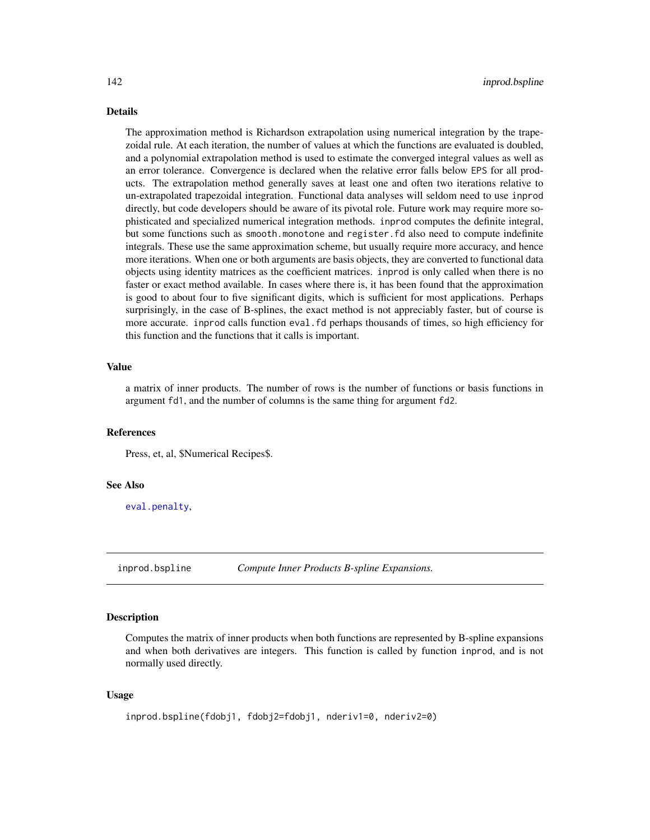# Details

The approximation method is Richardson extrapolation using numerical integration by the trapezoidal rule. At each iteration, the number of values at which the functions are evaluated is doubled, and a polynomial extrapolation method is used to estimate the converged integral values as well as an error tolerance. Convergence is declared when the relative error falls below EPS for all products. The extrapolation method generally saves at least one and often two iterations relative to un-extrapolated trapezoidal integration. Functional data analyses will seldom need to use inprod directly, but code developers should be aware of its pivotal role. Future work may require more sophisticated and specialized numerical integration methods. inprod computes the definite integral, but some functions such as smooth.monotone and register.fd also need to compute indefinite integrals. These use the same approximation scheme, but usually require more accuracy, and hence more iterations. When one or both arguments are basis objects, they are converted to functional data objects using identity matrices as the coefficient matrices. inprod is only called when there is no faster or exact method available. In cases where there is, it has been found that the approximation is good to about four to five significant digits, which is sufficient for most applications. Perhaps surprisingly, in the case of B-splines, the exact method is not appreciably faster, but of course is more accurate. inprod calls function eval.fd perhaps thousands of times, so high efficiency for this function and the functions that it calls is important.

# Value

a matrix of inner products. The number of rows is the number of functions or basis functions in argument fd1, and the number of columns is the same thing for argument fd2.

# References

Press, et, al, \$Numerical Recipes\$.

## See Also

[eval.penalty](#page-97-0),

inprod.bspline *Compute Inner Products B-spline Expansions.*

#### **Description**

Computes the matrix of inner products when both functions are represented by B-spline expansions and when both derivatives are integers. This function is called by function inprod, and is not normally used directly.

## Usage

```
inprod.bspline(fdobj1, fdobj2=fdobj1, nderiv1=0, nderiv2=0)
```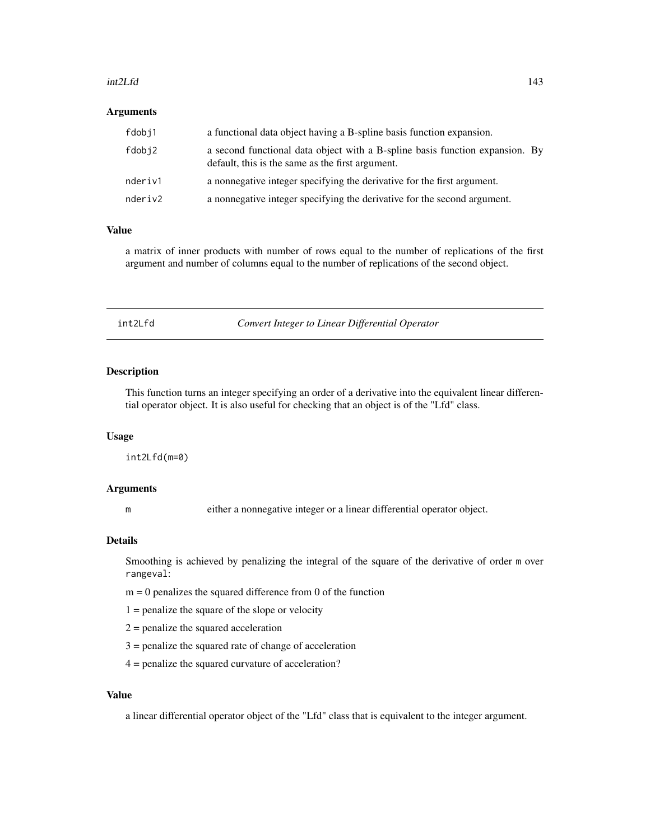#### int2Lfd 143

## **Arguments**

| fdobj1  | a functional data object having a B-spline basis function expansion.                                                             |
|---------|----------------------------------------------------------------------------------------------------------------------------------|
| fdobj2  | a second functional data object with a B-spline basis function expansion. By<br>default, this is the same as the first argument. |
| nderiv1 | a nonnegative integer specifying the derivative for the first argument.                                                          |
| nderiv2 | a nonnegative integer specifying the derivative for the second argument.                                                         |

# Value

a matrix of inner products with number of rows equal to the number of replications of the first argument and number of columns equal to the number of replications of the second object.

<span id="page-142-0"></span>int2Lfd *Convert Integer to Linear Differential Operator*

#### Description

This function turns an integer specifying an order of a derivative into the equivalent linear differential operator object. It is also useful for checking that an object is of the "Lfd" class.

## Usage

int2Lfd(m=0)

## **Arguments**

m either a nonnegative integer or a linear differential operator object.

#### Details

Smoothing is achieved by penalizing the integral of the square of the derivative of order m over rangeval:

 $m = 0$  penalizes the squared difference from 0 of the function

 $1$  = penalize the square of the slope or velocity

 $2$  = penalize the squared acceleration

3 = penalize the squared rate of change of acceleration

4 = penalize the squared curvature of acceleration?

# Value

a linear differential operator object of the "Lfd" class that is equivalent to the integer argument.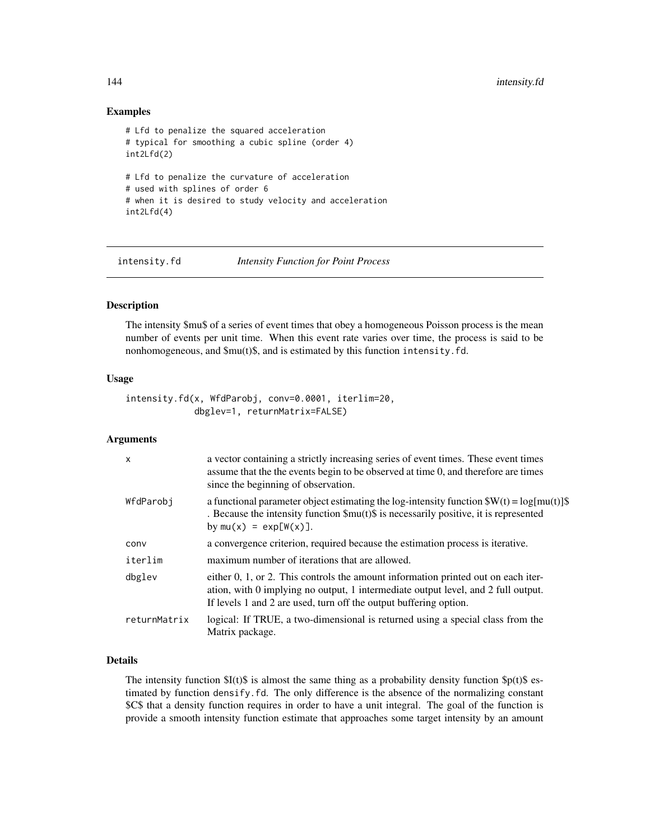## Examples

```
# Lfd to penalize the squared acceleration
# typical for smoothing a cubic spline (order 4)
int2Lfd(2)
# Lfd to penalize the curvature of acceleration
# used with splines of order 6
# when it is desired to study velocity and acceleration
int2Lfd(4)
```
<span id="page-143-0"></span>

intensity.fd *Intensity Function for Point Process*

## Description

The intensity \$mu\$ of a series of event times that obey a homogeneous Poisson process is the mean number of events per unit time. When this event rate varies over time, the process is said to be nonhomogeneous, and \$mu(t)\$, and is estimated by this function intensity.fd.

# Usage

```
intensity.fd(x, WfdParobj, conv=0.0001, iterlim=20,
             dbglev=1, returnMatrix=FALSE)
```
## Arguments

| $\mathsf{x}$ | a vector containing a strictly increasing series of event times. These event times<br>assume that the the events begin to be observed at time 0, and therefore are times<br>since the beginning of observation.                                |
|--------------|------------------------------------------------------------------------------------------------------------------------------------------------------------------------------------------------------------------------------------------------|
| WfdParobj    | a functional parameter object estimating the log-intensity function $W(t) = \log[\text{mu}(t)]\$<br>. Because the intensity function $\text{Smu}(t)\$ \$ is necessarily positive, it is represented<br>by $mu(x) = exp[W(x)].$                 |
| conv         | a convergence criterion, required because the estimation process is iterative.                                                                                                                                                                 |
| iterlim      | maximum number of iterations that are allowed.                                                                                                                                                                                                 |
| dbglev       | either $0, 1$ , or 2. This controls the amount information printed out on each iter-<br>ation, with 0 implying no output, 1 intermediate output level, and 2 full output.<br>If levels 1 and 2 are used, turn off the output buffering option. |
| returnMatrix | logical: If TRUE, a two-dimensional is returned using a special class from the<br>Matrix package.                                                                                                                                              |

## Details

The intensity function  $$I(t)$$ \$ is almost the same thing as a probability density function  $$p(t)$$ \$ estimated by function densify.fd. The only difference is the absence of the normalizing constant \$C\$ that a density function requires in order to have a unit integral. The goal of the function is provide a smooth intensity function estimate that approaches some target intensity by an amount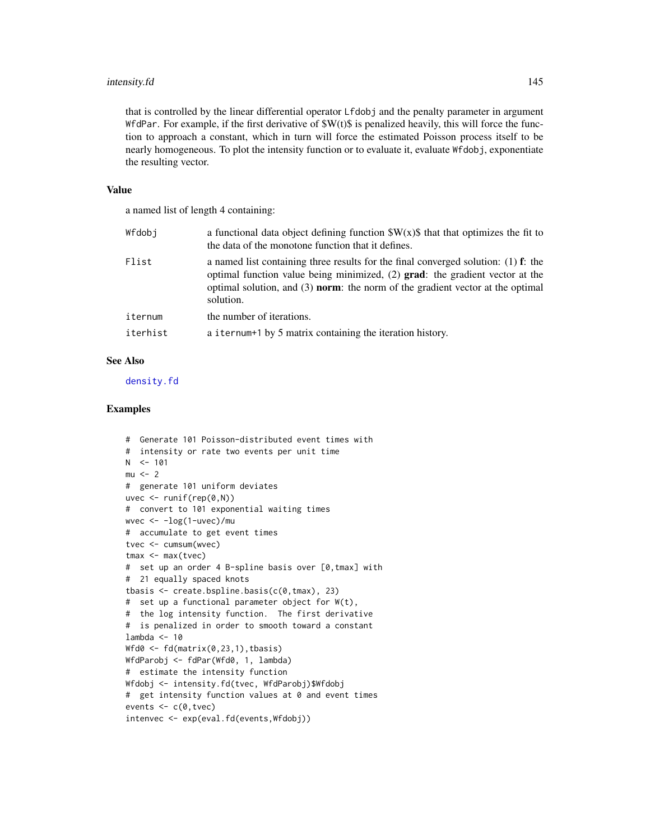# intensity.fd 145

that is controlled by the linear differential operator Lfdobj and the penalty parameter in argument WfdPar. For example, if the first derivative of  $W(t)\$  is penalized heavily, this will force the function to approach a constant, which in turn will force the estimated Poisson process itself to be nearly homogeneous. To plot the intensity function or to evaluate it, evaluate Wfdobj, exponentiate the resulting vector.

#### Value

a named list of length 4 containing:

| Wfdobj   | a functional data object defining function $W(x)$ that that optimizes the fit to<br>the data of the monotone function that it defines.                                                                                                                                   |
|----------|--------------------------------------------------------------------------------------------------------------------------------------------------------------------------------------------------------------------------------------------------------------------------|
| Flist    | a named list containing three results for the final converged solution: (1) $f$ : the<br>optimal function value being minimized, $(2)$ grad: the gradient vector at the<br>optimal solution, and $(3)$ norm: the norm of the gradient vector at the optimal<br>solution. |
| iternum  | the number of iterations.                                                                                                                                                                                                                                                |
| iterhist | a iternum + 1 by 5 matrix containing the iteration history.                                                                                                                                                                                                              |

### See Also

[density.fd](#page-76-0)

## Examples

```
# Generate 101 Poisson-distributed event times with
# intensity or rate two events per unit time
N < -101mu < - 2# generate 101 uniform deviates
uvec \le runif(rep(0,N))
# convert to 101 exponential waiting times
wvec <- -log(1-uvec)/mu
# accumulate to get event times
tvec <- cumsum(wvec)
tmax <- max(tvec)
# set up an order 4 B-spline basis over [0,tmax] with
# 21 equally spaced knots
tbasis <- create.bspline.basis(c(0,tmax), 23)
# set up a functional parameter object for W(t),
# the log intensity function. The first derivative
# is penalized in order to smooth toward a constant
lambda < -10Wfd0 \leftarrow fd(matrix(0, 23, 1), t basis)WfdParobj <- fdPar(Wfd0, 1, lambda)
# estimate the intensity function
Wfdobj <- intensity.fd(tvec, WfdParobj)$Wfdobj
# get intensity function values at 0 and event times
events <- c(0,tvec)
intenvec <- exp(eval.fd(events,Wfdobj))
```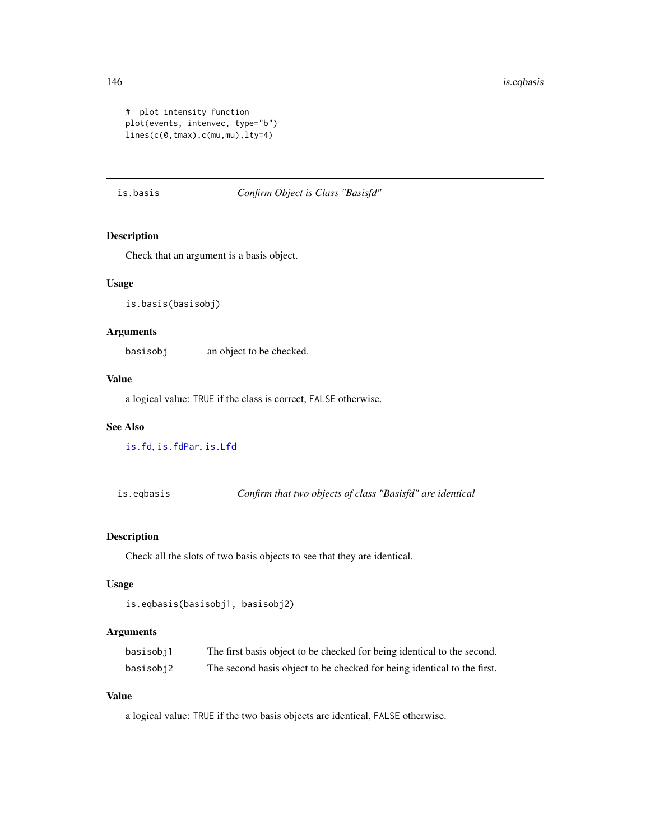```
# plot intensity function
plot(events, intenvec, type="b")
lines(c(0,tmax),c(mu,mu),lty=4)
```
# <span id="page-145-0"></span>is.basis *Confirm Object is Class "Basisfd"*

# Description

Check that an argument is a basis object.

#### Usage

is.basis(basisobj)

## Arguments

basisobj an object to be checked.

# Value

a logical value: TRUE if the class is correct, FALSE otherwise.

### See Also

[is.fd](#page-146-0), [is.fdPar](#page-146-1), [is.Lfd](#page-147-0)

is.eqbasis *Confirm that two objects of class "Basisfd" are identical*

# Description

Check all the slots of two basis objects to see that they are identical.

# Usage

```
is.eqbasis(basisobj1, basisobj2)
```
#### Arguments

| basisobj1 | The first basis object to be checked for being identical to the second. |
|-----------|-------------------------------------------------------------------------|
| basisobj2 | The second basis object to be checked for being identical to the first. |

# Value

a logical value: TRUE if the two basis objects are identical, FALSE otherwise.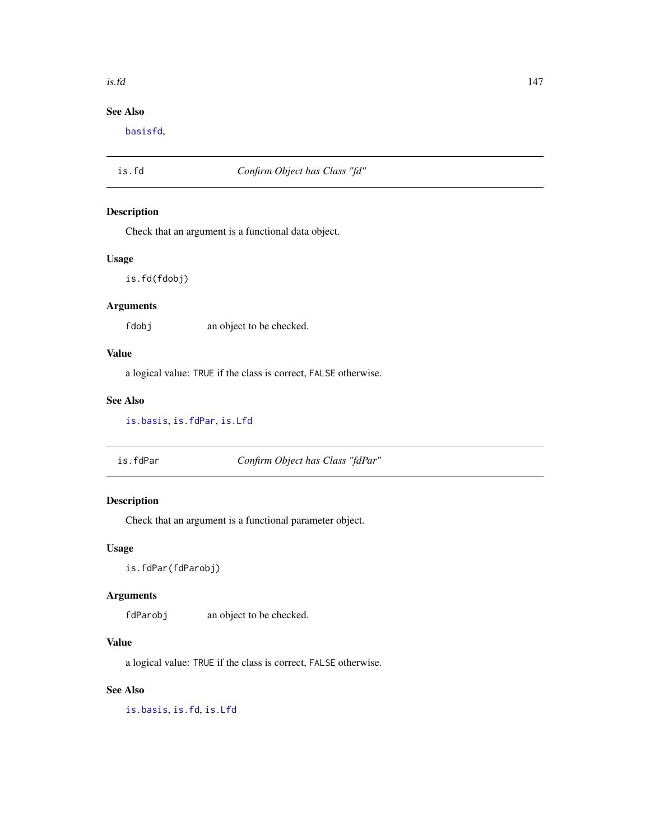#### is.fd 147

# See Also

[basisfd](#page-0-0),

# <span id="page-146-0"></span>is.fd *Confirm Object has Class "fd"*

# Description

Check that an argument is a functional data object.

# Usage

is.fd(fdobj)

# Arguments

fdobj an object to be checked.

# Value

a logical value: TRUE if the class is correct, FALSE otherwise.

# See Also

[is.basis](#page-145-0), [is.fdPar](#page-146-1), [is.Lfd](#page-147-0)

<span id="page-146-1"></span>is.fdPar *Confirm Object has Class "fdPar"*

# Description

Check that an argument is a functional parameter object.

# Usage

is.fdPar(fdParobj)

## Arguments

fdParobj an object to be checked.

# Value

a logical value: TRUE if the class is correct, FALSE otherwise.

# See Also

[is.basis](#page-145-0), [is.fd](#page-146-0), [is.Lfd](#page-147-0)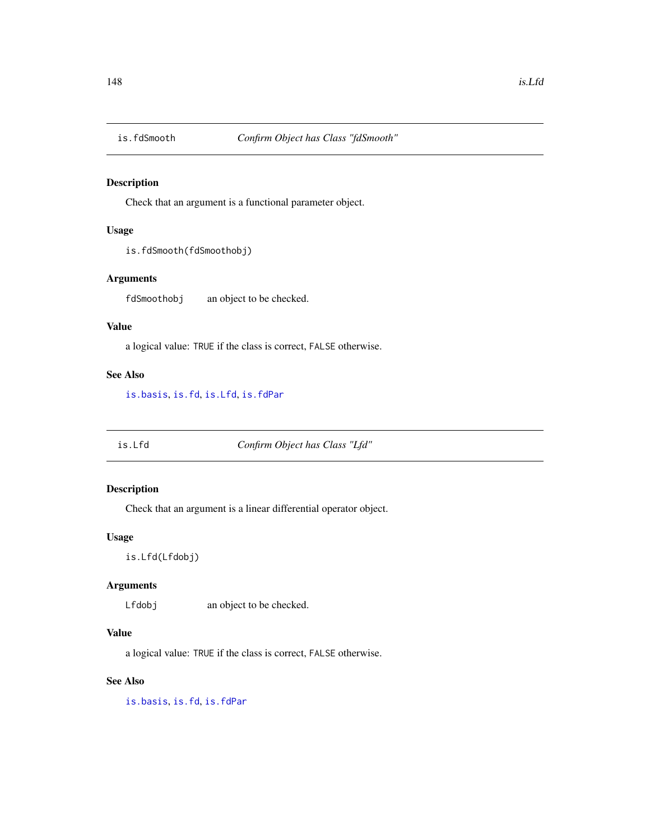# Description

Check that an argument is a functional parameter object.

# Usage

```
is.fdSmooth(fdSmoothobj)
```
# Arguments

fdSmoothobj an object to be checked.

# Value

a logical value: TRUE if the class is correct, FALSE otherwise.

# See Also

[is.basis](#page-145-0), [is.fd](#page-146-0), [is.Lfd](#page-147-0), [is.fdPar](#page-146-1)

<span id="page-147-0"></span>is.Lfd *Confirm Object has Class "Lfd"*

# Description

Check that an argument is a linear differential operator object.

# Usage

is.Lfd(Lfdobj)

# Arguments

Lfdobj an object to be checked.

# Value

a logical value: TRUE if the class is correct, FALSE otherwise.

# See Also

[is.basis](#page-145-0), [is.fd](#page-146-0), [is.fdPar](#page-146-1)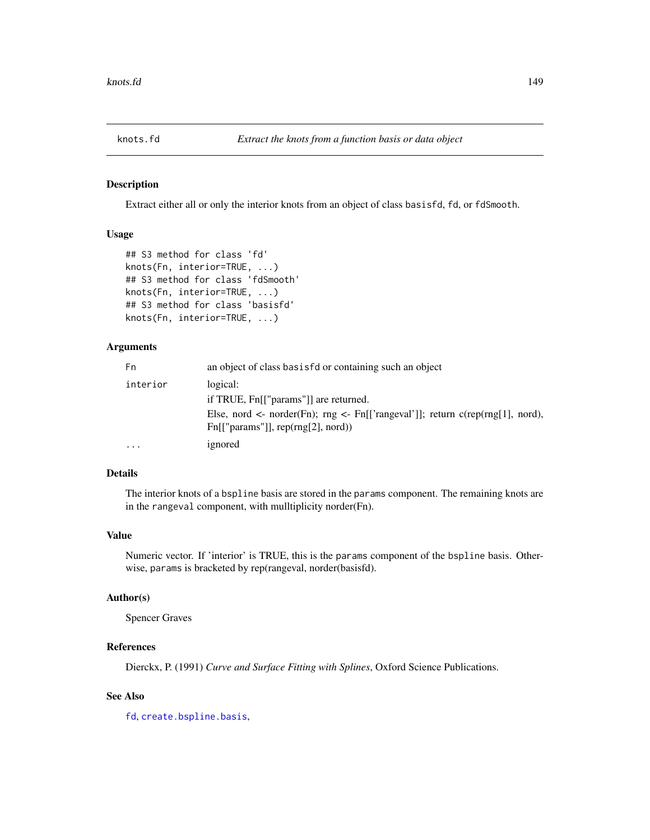#### Description

Extract either all or only the interior knots from an object of class basisfd, fd, or fdSmooth.

# Usage

```
## S3 method for class 'fd'
knots(Fn, interior=TRUE, ...)
## S3 method for class 'fdSmooth'
knots(Fn, interior=TRUE, ...)
## S3 method for class 'basisfd'
knots(Fn, interior=TRUE, ...)
```
## Arguments

| Fn        | an object of class basisfd or containing such an object                                                                   |
|-----------|---------------------------------------------------------------------------------------------------------------------------|
| interior  | logical:<br>if TRUE, Fn[["params"]] are returned.                                                                         |
|           | Else, nord <- norder(Fn); rng <- Fn[['rangeval']]; return $c$ (rep(rng[1], nord),<br>$Fn[["params"]$ , rep(rng[2], nord)) |
| $\ddotsc$ | ignored                                                                                                                   |

# Details

The interior knots of a bspline basis are stored in the params component. The remaining knots are in the rangeval component, with mulltiplicity norder(Fn).

#### Value

Numeric vector. If 'interior' is TRUE, this is the params component of the bspline basis. Otherwise, params is bracketed by rep(rangeval, norder(basisfd).

#### Author(s)

Spencer Graves

# References

Dierckx, P. (1991) *Curve and Surface Fitting with Splines*, Oxford Science Publications.

## See Also

[fd](#page-0-0), [create.bspline.basis](#page-47-0),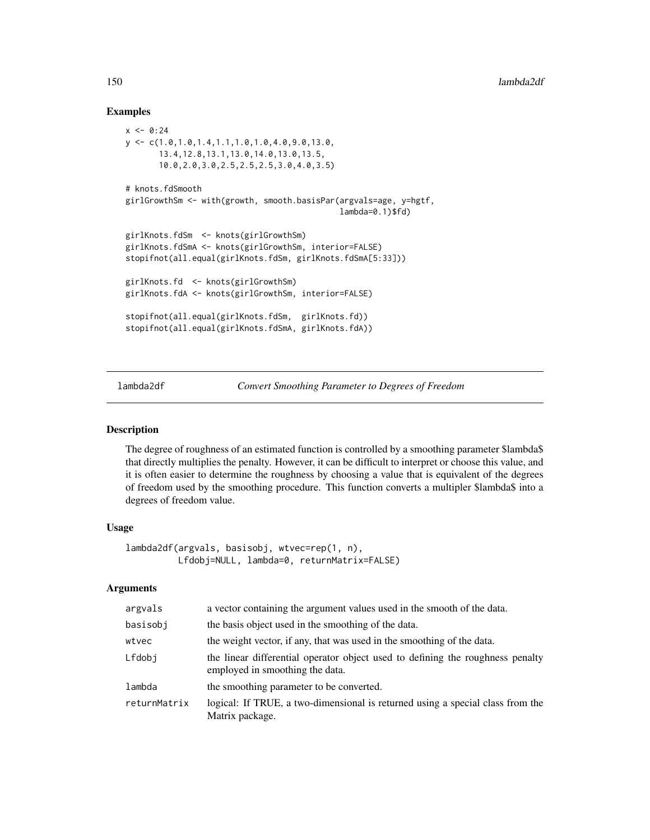### Examples

```
x < -0.24y \leftarrow c(1.0, 1.0, 1.4, 1.1, 1.0, 1.0, 4.0, 9.0, 13.0,13.4,12.8,13.1,13.0,14.0,13.0,13.5,
       10.0,2.0,3.0,2.5,2.5,2.5,3.0,4.0,3.5)
# knots.fdSmooth
girlGrowthSm <- with(growth, smooth.basisPar(argvals=age, y=hgtf,
                                              lambda=0.1)$fd)
girlKnots.fdSm <- knots(girlGrowthSm)
girlKnots.fdSmA <- knots(girlGrowthSm, interior=FALSE)
stopifnot(all.equal(girlKnots.fdSm, girlKnots.fdSmA[5:33]))
girlKnots.fd <- knots(girlGrowthSm)
girlKnots.fdA <- knots(girlGrowthSm, interior=FALSE)
stopifnot(all.equal(girlKnots.fdSm, girlKnots.fd))
stopifnot(all.equal(girlKnots.fdSmA, girlKnots.fdA))
```
lambda2df *Convert Smoothing Parameter to Degrees of Freedom*

## Description

The degree of roughness of an estimated function is controlled by a smoothing parameter \$lambda\$ that directly multiplies the penalty. However, it can be difficult to interpret or choose this value, and it is often easier to determine the roughness by choosing a value that is equivalent of the degrees of freedom used by the smoothing procedure. This function converts a multipler \$lambda\$ into a degrees of freedom value.

#### Usage

```
lambda2df(argvals, basisobj, wtvec=rep(1, n),
         Lfdobj=NULL, lambda=0, returnMatrix=FALSE)
```
# Arguments

| argvals      | a vector containing the argument values used in the smooth of the data.                                           |
|--------------|-------------------------------------------------------------------------------------------------------------------|
| basisobj     | the basis object used in the smoothing of the data.                                                               |
| wtvec        | the weight vector, if any, that was used in the smoothing of the data.                                            |
| Lfdobi       | the linear differential operator object used to defining the roughness penalty<br>employed in smoothing the data. |
| lambda       | the smoothing parameter to be converted.                                                                          |
| returnMatrix | logical: If TRUE, a two-dimensional is returned using a special class from the<br>Matrix package.                 |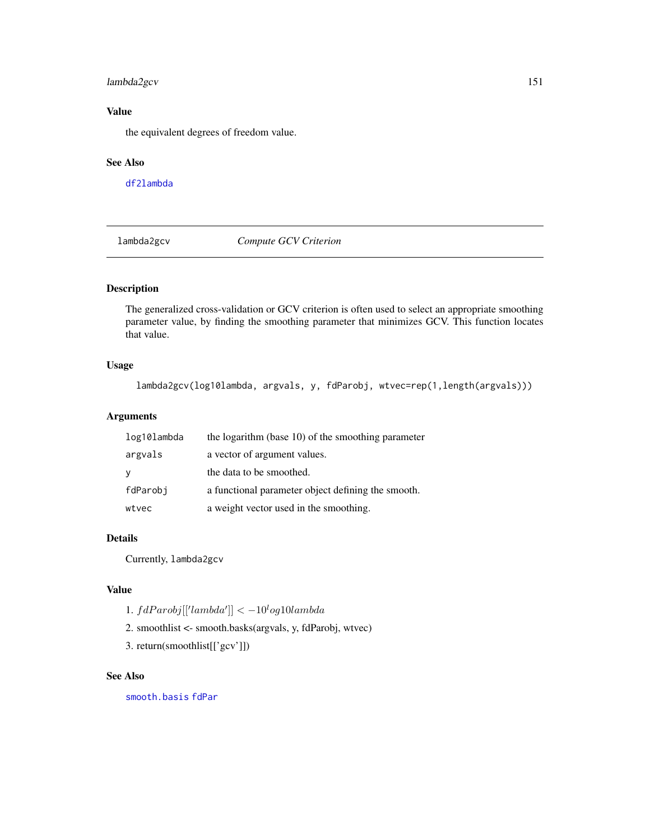# lambda2gcv 151

# Value

the equivalent degrees of freedom value.

# See Also

[df2lambda](#page-81-0)

lambda2gcv *Compute GCV Criterion*

# Description

The generalized cross-validation or GCV criterion is often used to select an appropriate smoothing parameter value, by finding the smoothing parameter that minimizes GCV. This function locates that value.

# Usage

lambda2gcv(log10lambda, argvals, y, fdParobj, wtvec=rep(1,length(argvals)))

# Arguments

| log10lambda | the logarithm (base 10) of the smoothing parameter |
|-------------|----------------------------------------------------|
| argvals     | a vector of argument values.                       |
| y           | the data to be smoothed.                           |
| fdParobi    | a functional parameter object defining the smooth. |
| wtvec       | a weight vector used in the smoothing.             |

# Details

Currently, lambda2gcv

# Value

- 1.  $fdParobj[['lambda']] < -10^log10lambdaabda$
- 2. smoothlist <- smooth.basks(argvals, y, fdParobj, wtvec)
- 3. return(smoothlist[['gcv']])

# See Also

[smooth.basis](#page-240-0) [fdPar](#page-111-0)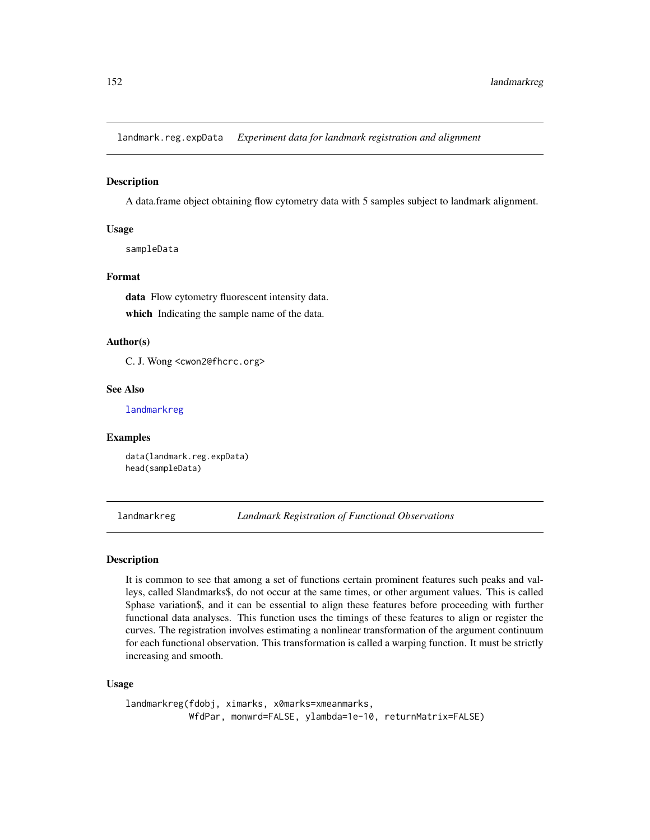landmark.reg.expData *Experiment data for landmark registration and alignment*

#### Description

A data.frame object obtaining flow cytometry data with 5 samples subject to landmark alignment.

### Usage

sampleData

## Format

data Flow cytometry fluorescent intensity data. which Indicating the sample name of the data.

#### Author(s)

C. J. Wong <cwon2@fhcrc.org>

#### See Also

[landmarkreg](#page-151-0)

# Examples

```
data(landmark.reg.expData)
head(sampleData)
```
<span id="page-151-0"></span>landmarkreg *Landmark Registration of Functional Observations*

## Description

It is common to see that among a set of functions certain prominent features such peaks and valleys, called \$landmarks\$, do not occur at the same times, or other argument values. This is called \$phase variation\$, and it can be essential to align these features before proceeding with further functional data analyses. This function uses the timings of these features to align or register the curves. The registration involves estimating a nonlinear transformation of the argument continuum for each functional observation. This transformation is called a warping function. It must be strictly increasing and smooth.

#### Usage

```
landmarkreg(fdobj, ximarks, x0marks=xmeanmarks,
           WfdPar, monwrd=FALSE, ylambda=1e-10, returnMatrix=FALSE)
```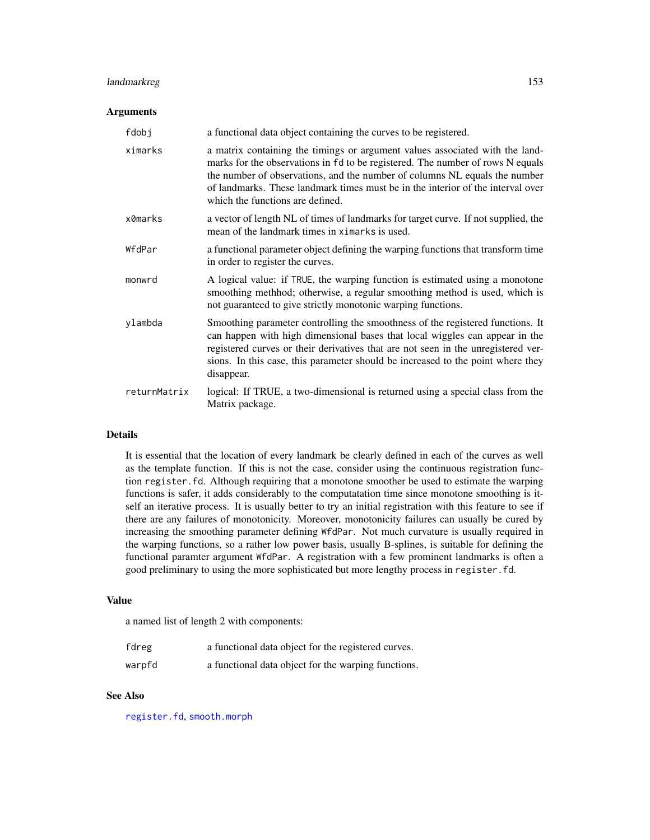## landmarkreg 153

### Arguments

| fdobj        | a functional data object containing the curves to be registered.                                                                                                                                                                                                                                                                                                    |
|--------------|---------------------------------------------------------------------------------------------------------------------------------------------------------------------------------------------------------------------------------------------------------------------------------------------------------------------------------------------------------------------|
| ximarks      | a matrix containing the timings or argument values associated with the land-<br>marks for the observations in fd to be registered. The number of rows N equals<br>the number of observations, and the number of columns NL equals the number<br>of landmarks. These landmark times must be in the interior of the interval over<br>which the functions are defined. |
| x0marks      | a vector of length NL of times of landmarks for target curve. If not supplied, the<br>mean of the landmark times in ximarks is used.                                                                                                                                                                                                                                |
| WfdPar       | a functional parameter object defining the warping functions that transform time<br>in order to register the curves.                                                                                                                                                                                                                                                |
| monwrd       | A logical value: if TRUE, the warping function is estimated using a monotone<br>smoothing methhod; otherwise, a regular smoothing method is used, which is<br>not guaranteed to give strictly monotonic warping functions.                                                                                                                                          |
| ylambda      | Smoothing parameter controlling the smoothness of the registered functions. It<br>can happen with high dimensional bases that local wiggles can appear in the<br>registered curves or their derivatives that are not seen in the unregistered ver-<br>sions. In this case, this parameter should be increased to the point where they<br>disappear.                 |
| returnMatrix | logical: If TRUE, a two-dimensional is returned using a special class from the<br>Matrix package.                                                                                                                                                                                                                                                                   |

# Details

It is essential that the location of every landmark be clearly defined in each of the curves as well as the template function. If this is not the case, consider using the continuous registration function register.fd. Although requiring that a monotone smoother be used to estimate the warping functions is safer, it adds considerably to the computatation time since monotone smoothing is itself an iterative process. It is usually better to try an initial registration with this feature to see if there are any failures of monotonicity. Moreover, monotonicity failures can usually be cured by increasing the smoothing parameter defining WfdPar. Not much curvature is usually required in the warping functions, so a rather low power basis, usually B-splines, is suitable for defining the functional paramter argument WfdPar. A registration with a few prominent landmarks is often a good preliminary to using the more sophisticated but more lengthy process in register.fd.

# Value

a named list of length 2 with components:

| fdreg  | a functional data object for the registered curves. |
|--------|-----------------------------------------------------|
| warpfd | a functional data object for the warping functions. |

# See Also

[register.fd](#page-227-0), [smooth.morph](#page-267-0)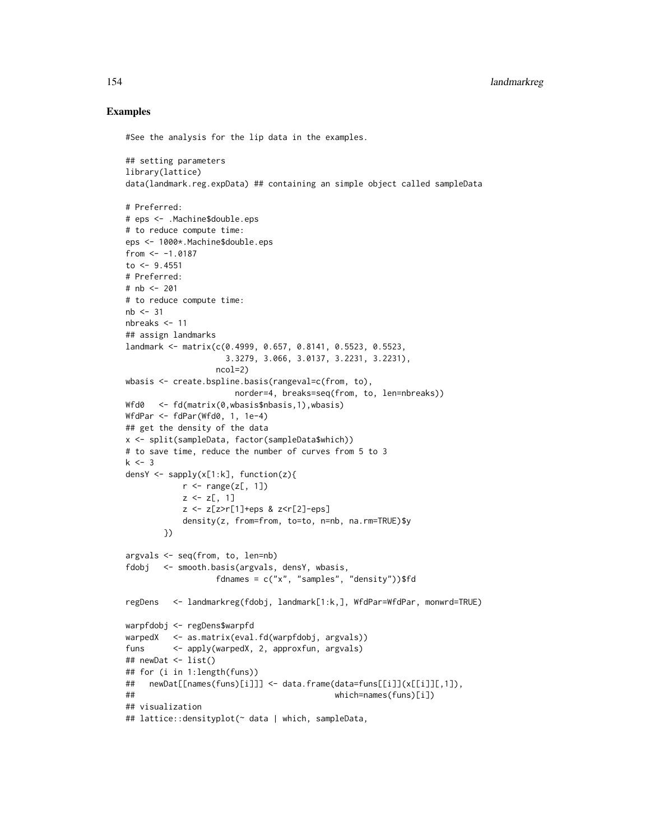## Examples

#See the analysis for the lip data in the examples.

```
## setting parameters
library(lattice)
data(landmark.reg.expData) ## containing an simple object called sampleData
# Preferred:
# eps <- .Machine$double.eps
# to reduce compute time:
eps <- 1000*.Machine$double.eps
from <-1.0187to <-9.4551# Preferred:
# nb <- 201
# to reduce compute time:
nb < -31nbreaks <- 11
## assign landmarks
landmark <- matrix(c(0.4999, 0.657, 0.8141, 0.5523, 0.5523,
                    3.3279, 3.066, 3.0137, 3.2231, 3.2231),
                  ncol=2)
wbasis <- create.bspline.basis(rangeval=c(from, to),
                      norder=4, breaks=seq(from, to, len=nbreaks))
Wfd0 <- fd(matrix(0,wbasis$nbasis,1),wbasis)
WfdPar <- fdPar(Wfd0, 1, 1e-4)
## get the density of the data
x <- split(sampleData, factor(sampleData$which))
# to save time, reduce the number of curves from 5 to 3
k < -3densY <- sapply(x[1:k], function(z){
           r \leq r range(z[, 1])
           z \le z, 1]
           z <- z[z>r[1]+eps & z<r[2]-eps]
           density(z, from=from, to=to, n=nb, na.rm=TRUE)$y
       })
argvals <- seq(from, to, len=nb)
fdobj <- smooth.basis(argvals, densY, wbasis,
                  fdnames = c("x", "samples", "density")$fd
regDens <- landmarkreg(fdobj, landmark[1:k,], WfdPar=WfdPar, monwrd=TRUE)
warpfdobj <- regDens$warpfd
warpedX <- as.matrix(eval.fd(warpfdobj, argvals))
funs <- apply(warpedX, 2, approxfun, argvals)
## newDat <- list()
## for (i in 1:length(funs))
## newDat[[names(funs)[i]]] <- data.frame(data=funs[[i]](x[[i]][,1]),
## which=names(funs)[i])
## visualization
## lattice::densityplot(~ data | which, sampleData,
```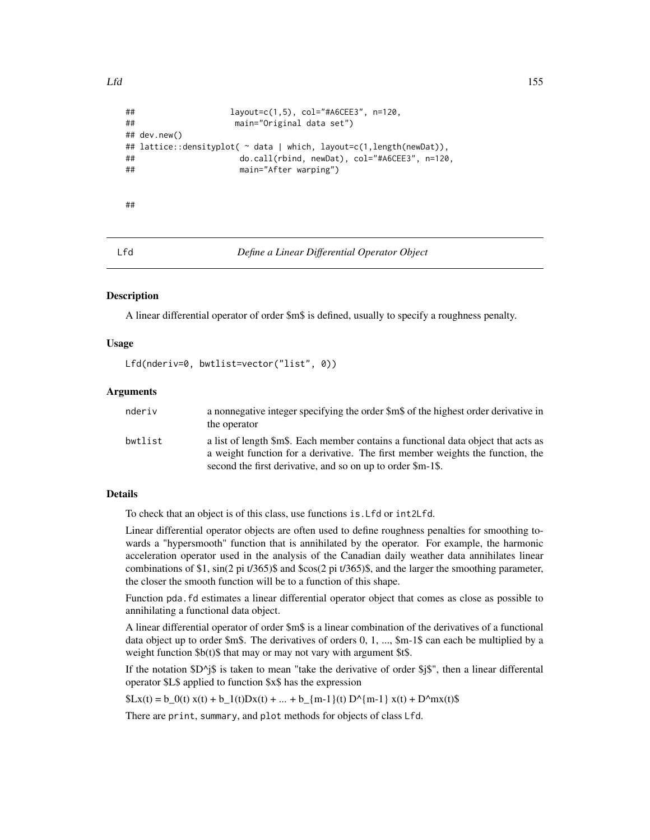```
## layout=c(1,5), col="#A6CEE3", n=120,
## main="Original data set")
## dev.new()
## lattice::densityplot( ~ data | which, layout=c(1,length(newDat)),
## do.call(rbind, newDat), col="#A6CEE3", n=120,
## main="After warping")
```
##

# Lfd *Define a Linear Differential Operator Object*

### Description

A linear differential operator of order \$m\$ is defined, usually to specify a roughness penalty.

#### Usage

Lfd(nderiv=0, bwtlist=vector("list", 0))

#### Arguments

| nderiv  | a nonnegative integer specifying the order \$m\$ of the highest order derivative in<br>the operator                                                                  |
|---------|----------------------------------------------------------------------------------------------------------------------------------------------------------------------|
| bwtlist | a list of length \$m\$. Each member contains a functional data object that acts as<br>a weight function for a derivative. The first member weights the function, the |
|         | second the first derivative, and so on up to order \$m-1\$.                                                                                                          |

# Details

To check that an object is of this class, use functions is.Lfd or int2Lfd.

Linear differential operator objects are often used to define roughness penalties for smoothing towards a "hypersmooth" function that is annihilated by the operator. For example, the harmonic acceleration operator used in the analysis of the Canadian daily weather data annihilates linear combinations of \$1, sin(2 pi t/365)\$ and \$cos(2 pi t/365)\$, and the larger the smoothing parameter, the closer the smooth function will be to a function of this shape.

Function pda.fd estimates a linear differential operator object that comes as close as possible to annihilating a functional data object.

A linear differential operator of order \$m\$ is a linear combination of the derivatives of a functional data object up to order \$m\$. The derivatives of orders 0, 1, ..., \$m-1\$ can each be multiplied by a weight function  $b(t)$  that may or may not vary with argument \$t\$.

If the notation  $D^{\wedge}$  is taken to mean "take the derivative of order  $\frac{1}{2}$ ", then a linear differental operator \$L\$ applied to function \$x\$ has the expression

 $SLx(t) = b_0(t) x(t) + b_1(t)Dx(t) + ... + b_{m-1}(t) D^{m-1} x(t) + D^{m-1} x(t)$ 

There are print, summary, and plot methods for objects of class Lfd.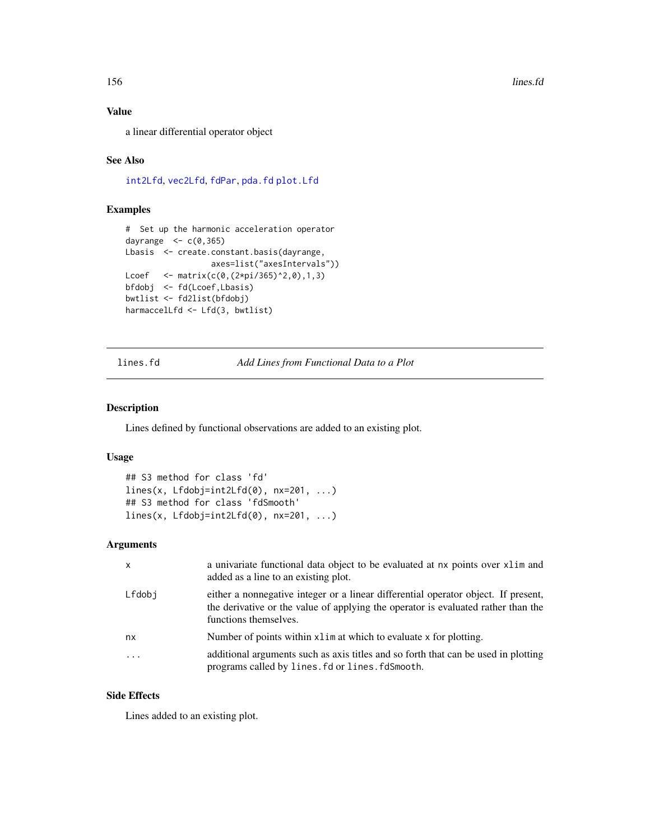# Value

a linear differential operator object

# See Also

[int2Lfd](#page-142-0), [vec2Lfd](#page-284-0), [fdPar](#page-111-0), [pda.fd](#page-181-0) [plot.Lfd](#page-197-0)

# Examples

```
# Set up the harmonic acceleration operator
dayrange \leq \leq \in (0, 365)Lbasis <- create.constant.basis(dayrange,
                  axes=list("axesIntervals"))
Lcoef <- matrix(c(0,(2*pi/365)^2,0),1,3)
bfdobj <- fd(Lcoef,Lbasis)
bwtlist <- fd2list(bfdobj)
harmaccelLfd <- Lfd(3, bwtlist)
```
# lines.fd *Add Lines from Functional Data to a Plot*

# Description

Lines defined by functional observations are added to an existing plot.

# Usage

```
## S3 method for class 'fd'
lines(x, Lfdobj=int2Lf d(0), nx=201, ...)
## S3 method for class 'fdSmooth'
lines(x, Lfdobj=int2Lfd(0), nx=201, ...)
```
# Arguments

| $\mathsf{x}$ | a univariate functional data object to be evaluated at nx points over x1 im and<br>added as a line to an existing plot.                                                                          |
|--------------|--------------------------------------------------------------------------------------------------------------------------------------------------------------------------------------------------|
| Lfdobi       | either a nonnegative integer or a linear differential operator object. If present,<br>the derivative or the value of applying the operator is evaluated rather than the<br>functions themselves. |
| nx           | Number of points within x1 im at which to evaluate x for plotting.                                                                                                                               |
| .            | additional arguments such as axis titles and so forth that can be used in plotting<br>programs called by lines. fd or lines. fdSmooth.                                                           |

# Side Effects

Lines added to an existing plot.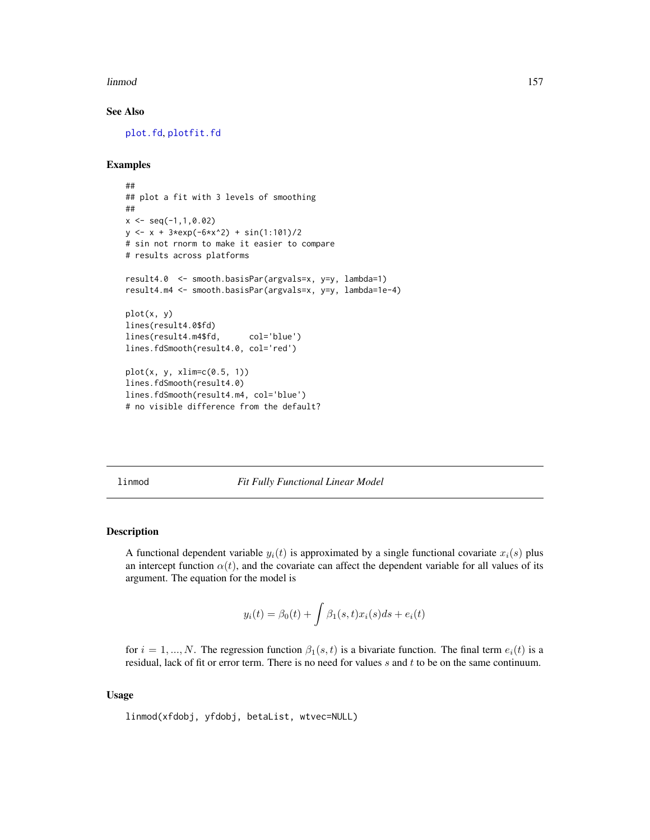#### linmod the contract of the contract of the contract of the contract of the contract of the contract of the contract of the contract of the contract of the contract of the contract of the contract of the contract of the con

# See Also

[plot.fd](#page-194-0), [plotfit.fd](#page-204-0)

#### Examples

```
##
## plot a fit with 3 levels of smoothing
##
x \leq -\text{seq}(-1, 1, 0.02)y \le -x + 3*exp(-6*x^2) + sin(1:101)/2# sin not rnorm to make it easier to compare
# results across platforms
result4.0 <- smooth.basisPar(argvals=x, y=y, lambda=1)
result4.m4 <- smooth.basisPar(argvals=x, y=y, lambda=1e-4)
plot(x, y)
lines(result4.0$fd)
lines(result4.m4$fd, col='blue')
lines.fdSmooth(result4.0, col='red')
plot(x, y, xlim=c(0.5, 1))lines.fdSmooth(result4.0)
lines.fdSmooth(result4.m4, col='blue')
# no visible difference from the default?
```
linmod *Fit Fully Functional Linear Model*

### **Description**

A functional dependent variable  $y_i(t)$  is approximated by a single functional covariate  $x_i(s)$  plus an intercept function  $\alpha(t)$ , and the covariate can affect the dependent variable for all values of its argument. The equation for the model is

$$
y_i(t) = \beta_0(t) + \int \beta_1(s, t) x_i(s) ds + e_i(t)
$$

for  $i = 1, ..., N$ . The regression function  $\beta_1(s, t)$  is a bivariate function. The final term  $e_i(t)$  is a residual, lack of fit or error term. There is no need for values s and t to be on the same continuum.

# Usage

linmod(xfdobj, yfdobj, betaList, wtvec=NULL)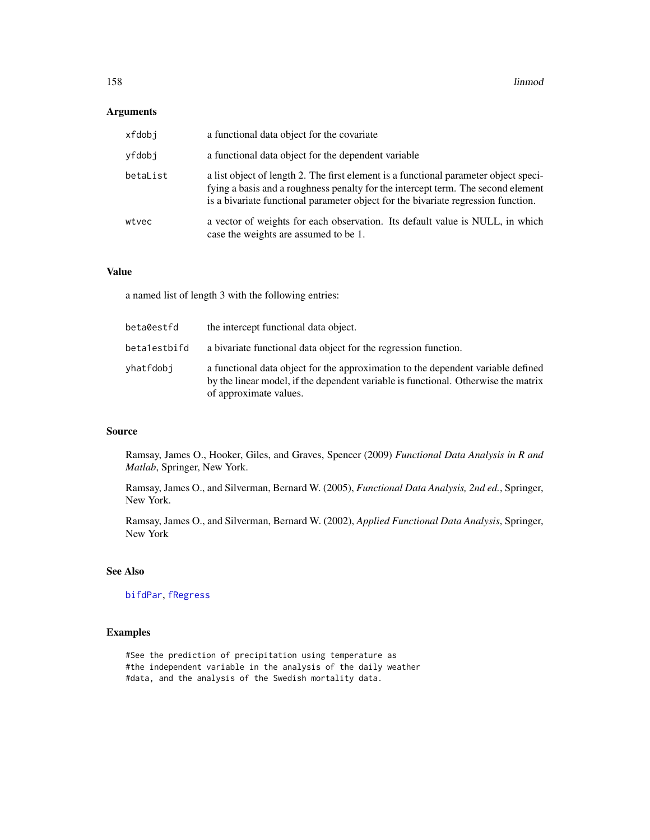# Arguments

| xfdobj   | a functional data object for the covariate                                                                                                                                                                                                                    |
|----------|---------------------------------------------------------------------------------------------------------------------------------------------------------------------------------------------------------------------------------------------------------------|
| yfdobj   | a functional data object for the dependent variable                                                                                                                                                                                                           |
| betaList | a list object of length 2. The first element is a functional parameter object speci-<br>fying a basis and a roughness penalty for the intercept term. The second element<br>is a bivariate functional parameter object for the bivariate regression function. |
| wtvec    | a vector of weights for each observation. Its default value is NULL, in which<br>case the weights are assumed to be 1.                                                                                                                                        |

#### Value

a named list of length 3 with the following entries:

| beta0estfd   | the intercept functional data object.                                                                                                                                                            |
|--------------|--------------------------------------------------------------------------------------------------------------------------------------------------------------------------------------------------|
| beta1estbifd | a bivariate functional data object for the regression function.                                                                                                                                  |
| yhatfdobi    | a functional data object for the approximation to the dependent variable defined<br>by the linear model, if the dependent variable is functional. Otherwise the matrix<br>of approximate values. |

# Source

Ramsay, James O., Hooker, Giles, and Graves, Spencer (2009) *Functional Data Analysis in R and Matlab*, Springer, New York.

Ramsay, James O., and Silverman, Bernard W. (2005), *Functional Data Analysis, 2nd ed.*, Springer, New York.

Ramsay, James O., and Silverman, Bernard W. (2002), *Applied Functional Data Analysis*, Springer, New York

# See Also

[bifdPar](#page-24-0), [fRegress](#page-120-0)

# Examples

#See the prediction of precipitation using temperature as #the independent variable in the analysis of the daily weather #data, and the analysis of the Swedish mortality data.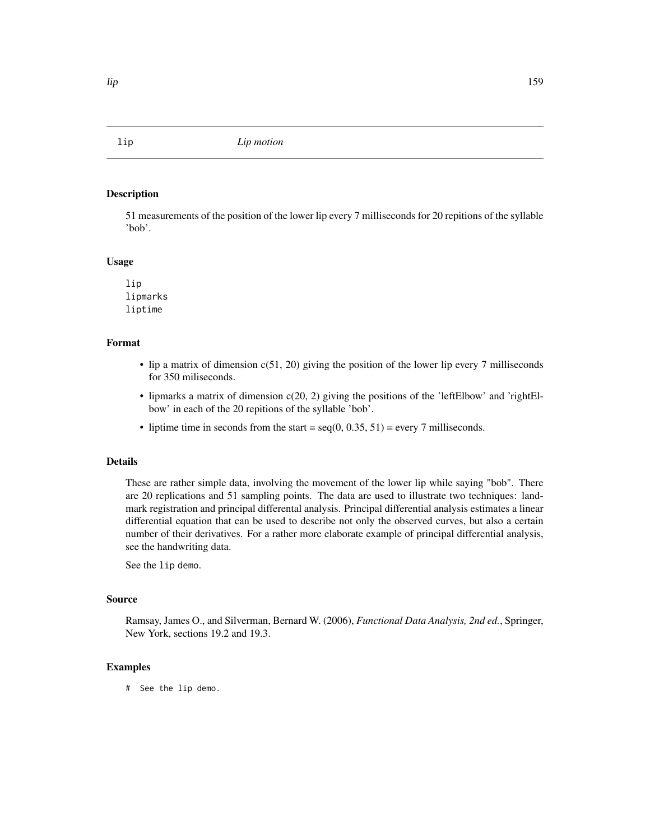# Description

51 measurements of the position of the lower lip every 7 milliseconds for 20 repitions of the syllable 'bob'.

#### Usage

lip lipmarks liptime

# Format

- lip a matrix of dimension c(51, 20) giving the position of the lower lip every 7 milliseconds for 350 miliseconds.
- lipmarks a matrix of dimension c(20, 2) giving the positions of the 'leftElbow' and 'rightElbow' in each of the 20 repitions of the syllable 'bob'.
- liptime time in seconds from the start =  $seq(0, 0.35, 51)$  = every 7 milliseconds.

# Details

These are rather simple data, involving the movement of the lower lip while saying "bob". There are 20 replications and 51 sampling points. The data are used to illustrate two techniques: landmark registration and principal differental analysis. Principal differential analysis estimates a linear differential equation that can be used to describe not only the observed curves, but also a certain number of their derivatives. For a rather more elaborate example of principal differential analysis, see the handwriting data.

See the lip demo.

## Source

Ramsay, James O., and Silverman, Bernard W. (2006), *Functional Data Analysis, 2nd ed.*, Springer, New York, sections 19.2 and 19.3.

#### Examples

# See the lip demo.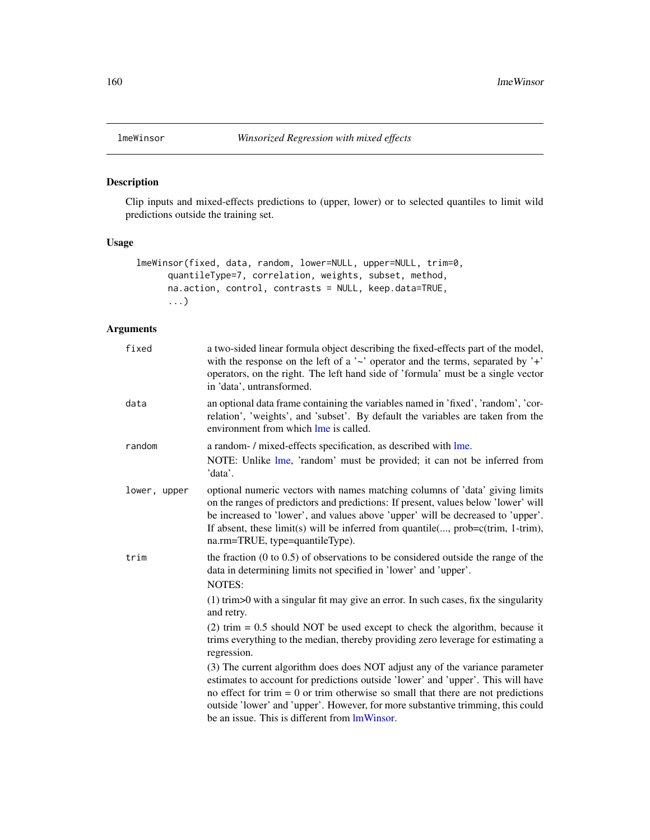<span id="page-159-0"></span>

# Description

Clip inputs and mixed-effects predictions to (upper, lower) or to selected quantiles to limit wild predictions outside the training set.

# Usage

```
lmeWinsor(fixed, data, random, lower=NULL, upper=NULL, trim=0,
     quantileType=7, correlation, weights, subset, method,
     na.action, control, contrasts = NULL, keep.data=TRUE,
      ...)
```
# Arguments

| fixed        | a two-sided linear formula object describing the fixed-effects part of the model,<br>with the response on the left of a ' $\sim$ ' operator and the terms, separated by ' $+$ '<br>operators, on the right. The left hand side of 'formula' must be a single vector<br>in 'data', untransformed.                                                                                                             |
|--------------|--------------------------------------------------------------------------------------------------------------------------------------------------------------------------------------------------------------------------------------------------------------------------------------------------------------------------------------------------------------------------------------------------------------|
| data         | an optional data frame containing the variables named in 'fixed', 'random', 'cor-<br>relation', 'weights', and 'subset'. By default the variables are taken from the<br>environment from which lme is called.                                                                                                                                                                                                |
| random       | a random- / mixed-effects specification, as described with lme.                                                                                                                                                                                                                                                                                                                                              |
|              | NOTE: Unlike Ime, 'random' must be provided; it can not be inferred from<br>'data'.                                                                                                                                                                                                                                                                                                                          |
| lower, upper | optional numeric vectors with names matching columns of 'data' giving limits<br>on the ranges of predictors and predictions: If present, values below 'lower' will<br>be increased to 'lower', and values above 'upper' will be decreased to 'upper'.<br>If absent, these $limit(s)$ will be inferred from quantile(, $prob = c(t \, \text{rim}, \, 1 \, \text{-trim})$ ,<br>na.rm=TRUE, type=quantileType). |
| trim         | the fraction $(0 \text{ to } 0.5)$ of observations to be considered outside the range of the<br>data in determining limits not specified in 'lower' and 'upper'.                                                                                                                                                                                                                                             |
|              | NOTES:                                                                                                                                                                                                                                                                                                                                                                                                       |
|              | $(1)$ trim $>0$ with a singular fit may give an error. In such cases, fix the singularity<br>and retry.                                                                                                                                                                                                                                                                                                      |
|              | $(2)$ trim = 0.5 should NOT be used except to check the algorithm, because it<br>trims everything to the median, thereby providing zero leverage for estimating a<br>regression.                                                                                                                                                                                                                             |
|              | (3) The current algorithm does does NOT adjust any of the variance parameter<br>estimates to account for predictions outside 'lower' and 'upper'. This will have<br>no effect for trim $= 0$ or trim otherwise so small that there are not predictions<br>outside 'lower' and 'upper'. However, for more substantive trimming, this could<br>be an issue. This is different from lmWinsor.                   |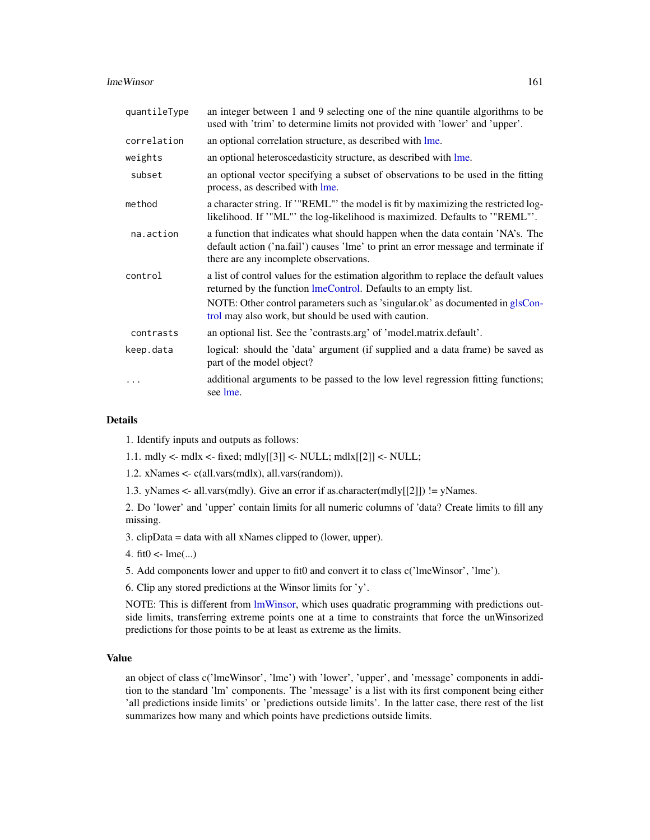lmeWinsor 161

| quantileType | an integer between 1 and 9 selecting one of the nine quantile algorithms to be<br>used with 'trim' to determine limits not provided with 'lower' and 'upper'.                                                                           |
|--------------|-----------------------------------------------------------------------------------------------------------------------------------------------------------------------------------------------------------------------------------------|
| correlation  | an optional correlation structure, as described with lme.                                                                                                                                                                               |
| weights      | an optional heteroscedasticity structure, as described with lme.                                                                                                                                                                        |
| subset       | an optional vector specifying a subset of observations to be used in the fitting<br>process, as described with lme.                                                                                                                     |
| method       | a character string. If "'REML"' the model is fit by maximizing the restricted log-<br>likelihood. If '"ML"' the log-likelihood is maximized. Defaults to '"REML"'.                                                                      |
| na.action    | a function that indicates what should happen when the data contain 'NA's. The<br>default action ('na.fail') causes 'lme' to print an error message and terminate if<br>there are any incomplete observations.                           |
| control      | a list of control values for the estimation algorithm to replace the default values<br>returned by the function lmeControl. Defaults to an empty list.<br>NOTE: Other control parameters such as 'singular.ok' as documented in glsCon- |
|              | trol may also work, but should be used with caution.                                                                                                                                                                                    |
| contrasts    | an optional list. See the 'contrasts.arg' of 'model.matrix.default'.                                                                                                                                                                    |
| keep.data    | logical: should the 'data' argument (if supplied and a data frame) be saved as<br>part of the model object?                                                                                                                             |
|              | additional arguments to be passed to the low level regression fitting functions;<br>see lme.                                                                                                                                            |

# Details

1. Identify inputs and outputs as follows:

1.1. mdly <- mdlx <- fixed; mdly[[3]] <- NULL; mdlx[[2]] <- NULL;

1.2. xNames <- c(all.vars(mdlx), all.vars(random)).

1.3. yNames <- all.vars(mdly). Give an error if as.character(mdly[[2]]) != yNames.

2. Do 'lower' and 'upper' contain limits for all numeric columns of 'data? Create limits to fill any missing.

3. clipData = data with all xNames clipped to (lower, upper).

4. fit $0 <$ - lme $(...)$ 

5. Add components lower and upper to fit0 and convert it to class c('lmeWinsor', 'lme').

6. Clip any stored predictions at the Winsor limits for 'y'.

NOTE: This is different from [lmWinsor,](#page-161-0) which uses quadratic programming with predictions outside limits, transferring extreme points one at a time to constraints that force the unWinsorized predictions for those points to be at least as extreme as the limits.

#### Value

an object of class c('lmeWinsor', 'lme') with 'lower', 'upper', and 'message' components in addition to the standard 'lm' components. The 'message' is a list with its first component being either 'all predictions inside limits' or 'predictions outside limits'. In the latter case, there rest of the list summarizes how many and which points have predictions outside limits.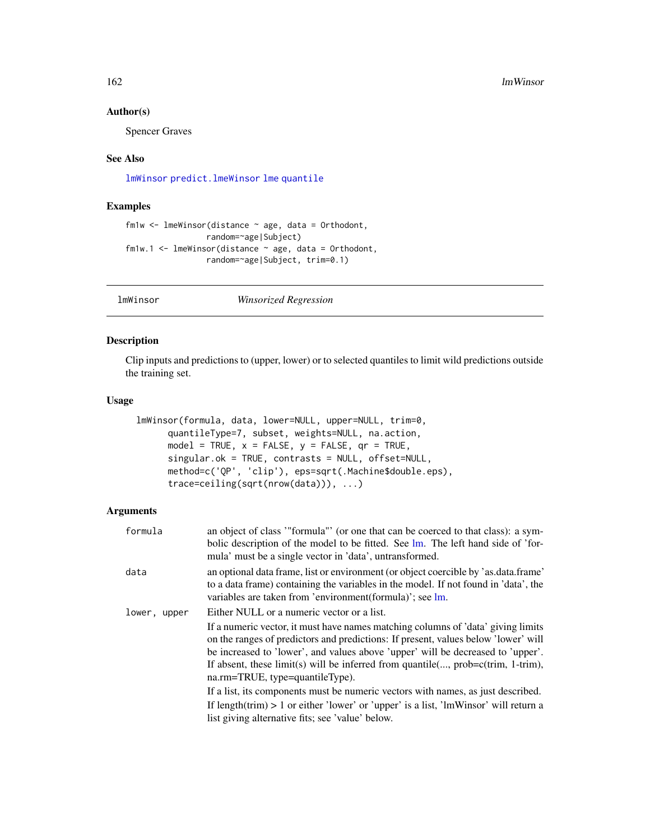# Author(s)

Spencer Graves

# See Also

[lmWinsor](#page-161-0) [predict.lmeWinsor](#page-217-0) [lme](#page-0-0) [quantile](#page-0-0)

# Examples

```
fm1w \leq lmeWinsor(distance \sim age, data = Orthodont,
                  random=~age|Subject)
fm1w.1 \leq 1meWinsor(distance \sim age, data = Orthodont,
                  random=~age|Subject, trim=0.1)
```
<span id="page-161-0"></span>

lmWinsor *Winsorized Regression*

# Description

Clip inputs and predictions to (upper, lower) or to selected quantiles to limit wild predictions outside the training set.

#### Usage

```
lmWinsor(formula, data, lower=NULL, upper=NULL, trim=0,
     quantileType=7, subset, weights=NULL, na.action,
     model = TRUE, x = FALSE, y = FALSE, qr = TRUE,
     singular.ok = TRUE, contrasts = NULL, offset=NULL,
     method=c('QP', 'clip'), eps=sqrt(.Machine$double.eps),
     trace=ceiling(sqrt(nrow(data))), ...)
```
## Arguments

| formula      | an object of class "formula" (or one that can be coerced to that class): a sym-<br>bolic description of the model to be fitted. See lm. The left hand side of 'for-<br>mula' must be a single vector in 'data', untransformed.                                                                                                                                                                                                                                                                                                                                                                                                                                        |
|--------------|-----------------------------------------------------------------------------------------------------------------------------------------------------------------------------------------------------------------------------------------------------------------------------------------------------------------------------------------------------------------------------------------------------------------------------------------------------------------------------------------------------------------------------------------------------------------------------------------------------------------------------------------------------------------------|
| data         | an optional data frame, list or environment (or object coercible by 'as.data.frame'<br>to a data frame) containing the variables in the model. If not found in 'data', the<br>variables are taken from 'environment(formula)'; see lm.                                                                                                                                                                                                                                                                                                                                                                                                                                |
| lower, upper | Either NULL or a numeric vector or a list.<br>If a numeric vector, it must have names matching columns of 'data' giving limits<br>on the ranges of predictors and predictions: If present, values below 'lower' will<br>be increased to 'lower', and values above 'upper' will be decreased to 'upper'.<br>If absent, these limit(s) will be inferred from quantile(, $prob = c$ (trim, 1-trim),<br>na.rm=TRUE, type=quantileType).<br>If a list, its components must be numeric vectors with names, as just described.<br>If length(trim) $> 1$ or either 'lower' or 'upper' is a list, 'lmWinsor' will return a<br>list giving alternative fits; see 'value' below. |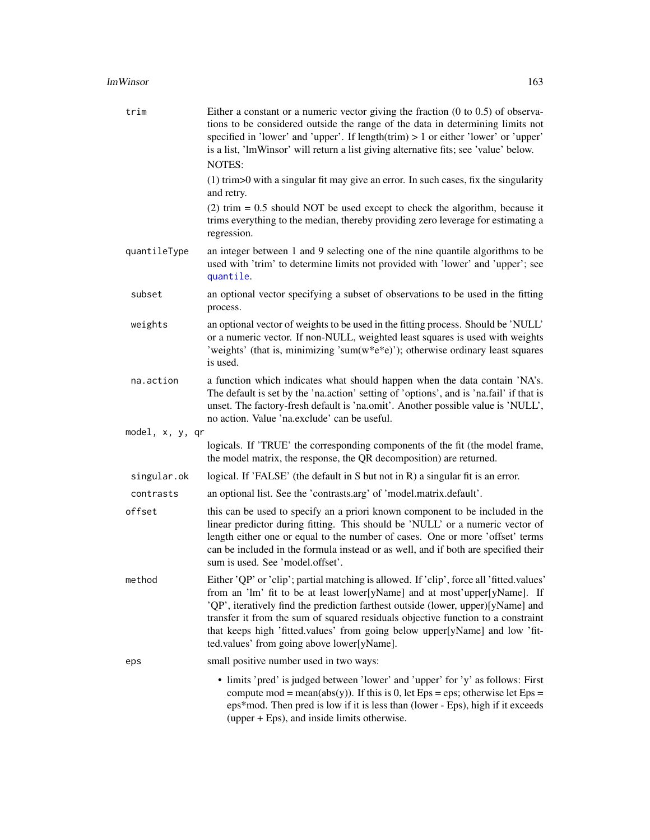#### lmWinsor 163

| trim            | Either a constant or a numeric vector giving the fraction $(0 \text{ to } 0.5)$ of observa-<br>tions to be considered outside the range of the data in determining limits not<br>specified in 'lower' and 'upper'. If $length(trim) > 1$ or either 'lower' or 'upper'<br>is a list, 'lmWinsor' will return a list giving alternative fits; see 'value' below.<br>NOTES:                                                                                                    |
|-----------------|----------------------------------------------------------------------------------------------------------------------------------------------------------------------------------------------------------------------------------------------------------------------------------------------------------------------------------------------------------------------------------------------------------------------------------------------------------------------------|
|                 | $(1)$ trim > 0 with a singular fit may give an error. In such cases, fix the singularity<br>and retry.                                                                                                                                                                                                                                                                                                                                                                     |
|                 | $(2)$ trim = 0.5 should NOT be used except to check the algorithm, because it<br>trims everything to the median, thereby providing zero leverage for estimating a<br>regression.                                                                                                                                                                                                                                                                                           |
| quantileType    | an integer between 1 and 9 selecting one of the nine quantile algorithms to be<br>used with 'trim' to determine limits not provided with 'lower' and 'upper'; see<br>quantile.                                                                                                                                                                                                                                                                                             |
| subset          | an optional vector specifying a subset of observations to be used in the fitting<br>process.                                                                                                                                                                                                                                                                                                                                                                               |
| weights         | an optional vector of weights to be used in the fitting process. Should be 'NULL'<br>or a numeric vector. If non-NULL, weighted least squares is used with weights<br>'weights' (that is, minimizing 'sum(w*e*e)'); otherwise ordinary least squares<br>is used.                                                                                                                                                                                                           |
| na.action       | a function which indicates what should happen when the data contain 'NA's.<br>The default is set by the 'na.action' setting of 'options', and is 'na.fail' if that is<br>unset. The factory-fresh default is 'na.omit'. Another possible value is 'NULL',<br>no action. Value 'na.exclude' can be useful.                                                                                                                                                                  |
| model, x, y, qr |                                                                                                                                                                                                                                                                                                                                                                                                                                                                            |
|                 | logicals. If 'TRUE' the corresponding components of the fit (the model frame,<br>the model matrix, the response, the QR decomposition) are returned.                                                                                                                                                                                                                                                                                                                       |
| singular.ok     | logical. If 'FALSE' (the default in S but not in R) a singular fit is an error.                                                                                                                                                                                                                                                                                                                                                                                            |
| contrasts       | an optional list. See the 'contrasts.arg' of 'model.matrix.default'.                                                                                                                                                                                                                                                                                                                                                                                                       |
| offset          | this can be used to specify an a priori known component to be included in the<br>linear predictor during fitting. This should be 'NULL' or a numeric vector of<br>length either one or equal to the number of cases. One or more 'offset' terms<br>can be included in the formula instead or as well, and if both are specified their<br>sum is used. See 'model.offset'.                                                                                                  |
| method          | Either 'QP' or 'clip'; partial matching is allowed. If 'clip', force all 'fitted.values'<br>from an 'lm' fit to be at least lower[yName] and at most'upper[yName]. If<br>'QP', iteratively find the prediction farthest outside (lower, upper)[yName] and<br>transfer it from the sum of squared residuals objective function to a constraint<br>that keeps high 'fitted.values' from going below upper[yName] and low 'fit-<br>ted.values' from going above lower[yName]. |
| eps             | small positive number used in two ways:                                                                                                                                                                                                                                                                                                                                                                                                                                    |
|                 | • limits 'pred' is judged between 'lower' and 'upper' for 'y' as follows: First<br>compute mod = mean(abs(y)). If this is 0, let Eps = eps; otherwise let Eps =<br>eps*mod. Then pred is low if it is less than (lower - Eps), high if it exceeds<br>(upper + Eps), and inside limits otherwise.                                                                                                                                                                           |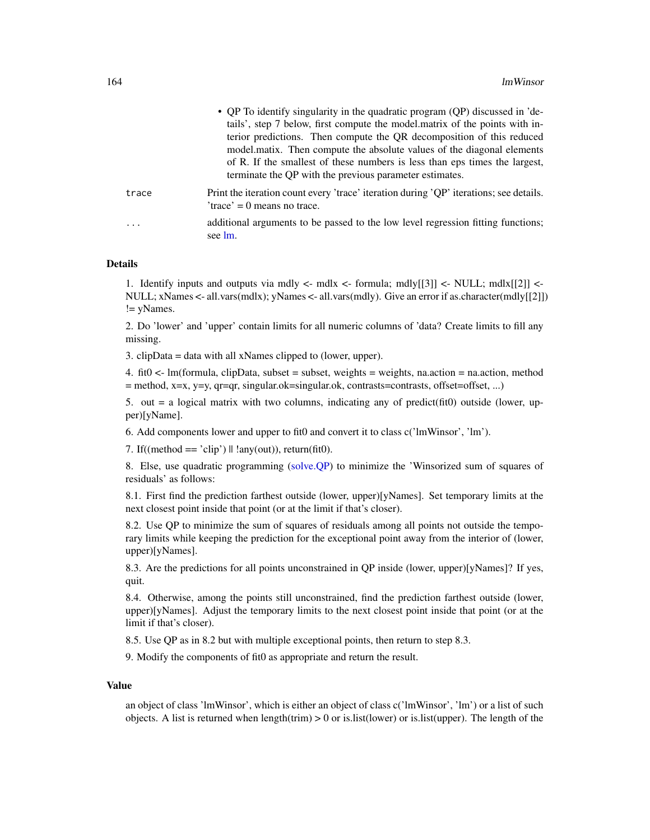|          | • QP To identify singularity in the quadratic program (QP) discussed in 'de-<br>tails', step 7 below, first compute the model matrix of the points with in-                                                                                                                              |
|----------|------------------------------------------------------------------------------------------------------------------------------------------------------------------------------------------------------------------------------------------------------------------------------------------|
|          | terior predictions. Then compute the QR decomposition of this reduced<br>model.matix. Then compute the absolute values of the diagonal elements<br>of R. If the smallest of these numbers is less than eps times the largest,<br>terminate the QP with the previous parameter estimates. |
| trace    | Print the iteration count every 'trace' iteration during 'QP' iterations; see details.<br>'trace' = $0$ means no trace.                                                                                                                                                                  |
| $\ddots$ | additional arguments to be passed to the low level regression fitting functions;<br>see lm.                                                                                                                                                                                              |

# Details

1. Identify inputs and outputs via mdly  $\lt$ - mdlx  $\lt$ - formula; mdly[[3]]  $\lt$ - NULL; mdlx[[2]]  $\lt$ -NULL; xNames <- all.vars(mdlx); yNames <- all.vars(mdly). Give an error if as.character(mdly[[2]]) != yNames.

2. Do 'lower' and 'upper' contain limits for all numeric columns of 'data? Create limits to fill any missing.

3. clipData = data with all xNames clipped to (lower, upper).

4. fit0 <- lm(formula, clipData, subset = subset, weights = weights, na.action = na.action, method = method, x=x, y=y, qr=qr, singular.ok=singular.ok, contrasts=contrasts, offset=offset, ...)

5. out  $=$  a logical matrix with two columns, indicating any of predict(fit0) outside (lower, upper)[yName].

6. Add components lower and upper to fit0 and convert it to class c('lmWinsor', 'lm').

7. If((method == 'clip')  $\parallel$  !any(out)), return(fit0).

8. Else, use quadratic programming [\(solve.QP\)](#page-0-0) to minimize the 'Winsorized sum of squares of residuals' as follows:

8.1. First find the prediction farthest outside (lower, upper)[yNames]. Set temporary limits at the next closest point inside that point (or at the limit if that's closer).

8.2. Use QP to minimize the sum of squares of residuals among all points not outside the temporary limits while keeping the prediction for the exceptional point away from the interior of (lower, upper)[yNames].

8.3. Are the predictions for all points unconstrained in QP inside (lower, upper)[yNames]? If yes, quit.

8.4. Otherwise, among the points still unconstrained, find the prediction farthest outside (lower, upper)[yNames]. Adjust the temporary limits to the next closest point inside that point (or at the limit if that's closer).

8.5. Use QP as in 8.2 but with multiple exceptional points, then return to step 8.3.

9. Modify the components of fit0 as appropriate and return the result.

#### Value

an object of class 'lmWinsor', which is either an object of class c('lmWinsor', 'lm') or a list of such objects. A list is returned when length $(trim) > 0$  or is.list $(lower)$  or is.list $(lupper)$ . The length of the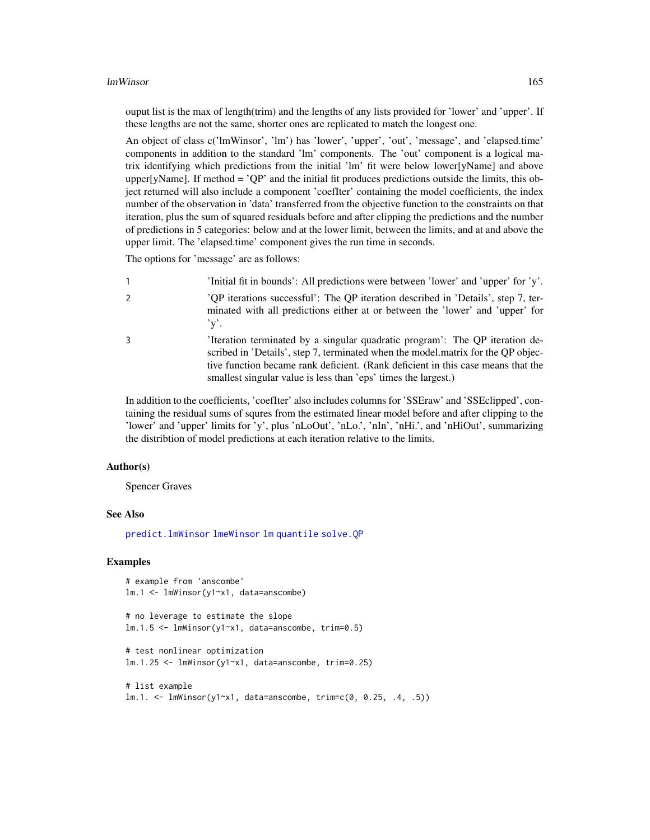#### lmWinsor 165

ouput list is the max of length(trim) and the lengths of any lists provided for 'lower' and 'upper'. If these lengths are not the same, shorter ones are replicated to match the longest one.

An object of class c('lmWinsor', 'lm') has 'lower', 'upper', 'out', 'message', and 'elapsed.time' components in addition to the standard 'lm' components. The 'out' component is a logical matrix identifying which predictions from the initial 'lm' fit were below lower[yName] and above upper[yName]. If method  $=$  'QP' and the initial fit produces predictions outside the limits, this object returned will also include a component 'coefIter' containing the model coefficients, the index number of the observation in 'data' transferred from the objective function to the constraints on that iteration, plus the sum of squared residuals before and after clipping the predictions and the number of predictions in 5 categories: below and at the lower limit, between the limits, and at and above the upper limit. The 'elapsed.time' component gives the run time in seconds.

The options for 'message' are as follows:

| $\mathbf{1}$   | Initial fit in bounds': All predictions were between 'lower' and 'upper' for 'y'.                                                                                                                                                                                                                                      |
|----------------|------------------------------------------------------------------------------------------------------------------------------------------------------------------------------------------------------------------------------------------------------------------------------------------------------------------------|
| $\overline{2}$ | 'QP iterations successful': The QP iteration described in 'Details', step 7, ter-<br>minated with all predictions either at or between the 'lower' and 'upper' for<br>v'.                                                                                                                                              |
| 3              | 'Iteration terminated by a singular quadratic program': The QP iteration de-<br>scribed in 'Details', step 7, terminated when the model matrix for the QP objec-<br>tive function became rank deficient. (Rank deficient in this case means that the<br>smallest singular value is less than 'eps' times the largest.) |

In addition to the coefficients, 'coefIter' also includes columns for 'SSEraw' and 'SSEclipped', containing the residual sums of squres from the estimated linear model before and after clipping to the 'lower' and 'upper' limits for 'y', plus 'nLoOut', 'nLo.', 'nIn', 'nHi.', and 'nHiOut', summarizing the distribtion of model predictions at each iteration relative to the limits.

### Author(s)

Spencer Graves

## See Also

[predict.lmWinsor](#page-219-0) [lmeWinsor](#page-159-0) [lm](#page-0-0) [quantile](#page-0-0) [solve.QP](#page-0-0)

#### Examples

```
# example from 'anscombe'
lm.1 <- lmWinsor(y1~x1, data=anscombe)
# no leverage to estimate the slope
lm.1.5 <- lmWinsor(y1~x1, data=anscombe, trim=0.5)
# test nonlinear optimization
lm.1.25 <- lmWinsor(y1~x1, data=anscombe, trim=0.25)
# list example
lm.1. <- lmWinsor(y1~x1, data=anscombe, trim=c(0, 0.25, .4, .5))
```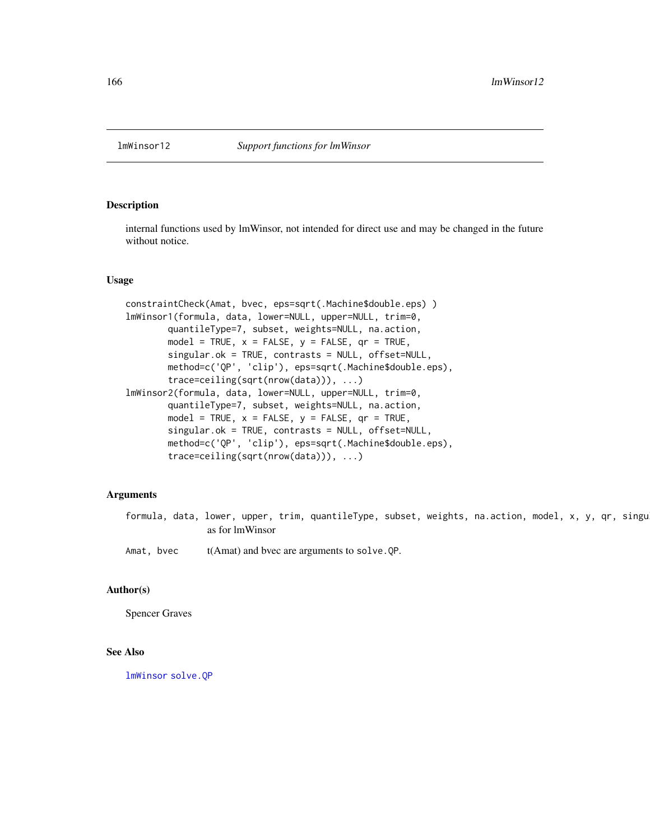#### Description

internal functions used by lmWinsor, not intended for direct use and may be changed in the future without notice.

## Usage

```
constraintCheck(Amat, bvec, eps=sqrt(.Machine$double.eps) )
lmWinsor1(formula, data, lower=NULL, upper=NULL, trim=0,
       quantileType=7, subset, weights=NULL, na.action,
       model = TRUE, x = FALSE, y = FALSE, qr = TRUE,
       singular.ok = TRUE, contrasts = NULL, offset=NULL,
       method=c('QP', 'clip'), eps=sqrt(.Machine$double.eps),
       trace=ceiling(sqrt(nrow(data))), ...)
lmWinsor2(formula, data, lower=NULL, upper=NULL, trim=0,
       quantileType=7, subset, weights=NULL, na.action,
       model = TRUE, x = FALSE, y = FALSE, qr = TRUE,
       singular.ok = TRUE, contrasts = NULL, offset=NULL,
       method=c('QP', 'clip'), eps=sqrt(.Machine$double.eps),
        trace=ceiling(sqrt(nrow(data))), ...)
```
## Arguments

formula, data, lower, upper, trim, quantileType, subset, weights, na.action, model, x, y, qr, singu as for lmWinsor

Amat, bvec  $t(Amat)$  and bvec are arguments to solve.QP.

## Author(s)

Spencer Graves

## See Also

[lmWinsor](#page-161-0) [solve.QP](#page-0-0)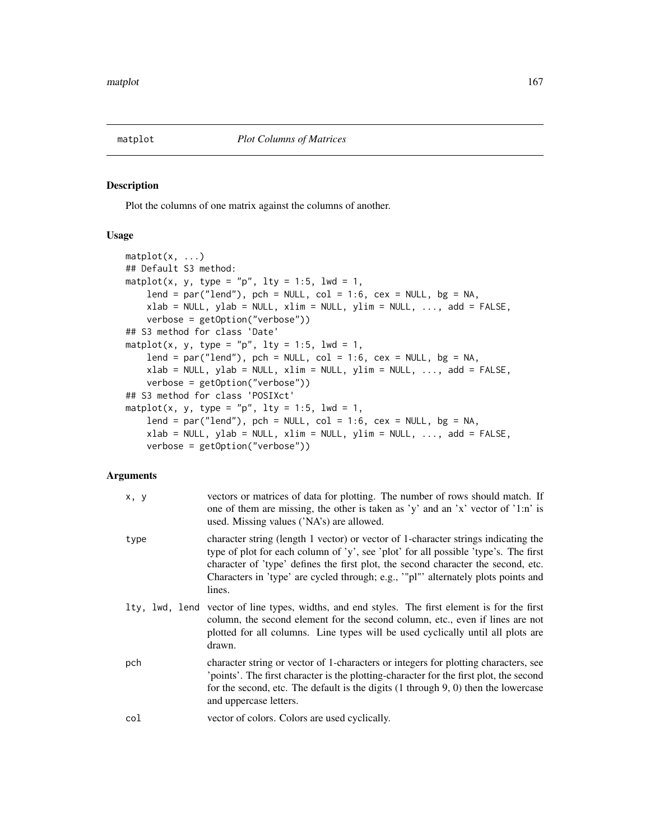<span id="page-166-0"></span>

# Description

Plot the columns of one matrix against the columns of another.

#### Usage

```
matplot(x, ...)
## Default S3 method:
matplot(x, y, type = "p", lty = 1:5, lwd = 1,
    lend = par("lend"), pch = NULL, col = 1:6, cex = NULL, bg = NA,
    xlab = NULL, ylab = NULL, xlim = NULL, ylim = NULL, ..., add = FALSE,
    verbose = getOption("verbose"))
## S3 method for class 'Date'
matplot(x, y, type = "p", lty = 1:5, lwd = 1,
    lend = par("lend"), pch = NULL, col = 1:6, cex = NULL, bg = NA,
    xlab = NULL, ylab = NULL, xlim = NULL, ylim = NULL, ..., add = FALSE,
    verbose = getOption("verbose"))
## S3 method for class 'POSIXct'
matplot(x, y, type = "p", lty = 1:5, lwd = 1,
    lend = par("lend"), pch = NULL, col = 1:6, cex = NULL, bg = NA,xlab = NULL, ylab = NULL, xlim = NULL, ylim = NULL, ..., add = FALSE,
    verbose = getOption("verbose"))
```
## Arguments

| x, y | vectors or matrices of data for plotting. The number of rows should match. If<br>one of them are missing, the other is taken as 'y' and an 'x' vector of '1:n' is<br>used. Missing values ('NA's) are allowed.                                                                                                                                                |
|------|---------------------------------------------------------------------------------------------------------------------------------------------------------------------------------------------------------------------------------------------------------------------------------------------------------------------------------------------------------------|
| type | character string (length 1 vector) or vector of 1-character strings indicating the<br>type of plot for each column of 'y', see 'plot' for all possible 'type's. The first<br>character of 'type' defines the first plot, the second character the second, etc.<br>Characters in 'type' are cycled through; e.g., "pl"' alternately plots points and<br>lines. |
|      | 1ty, 1wd, 1end vector of line types, widths, and end styles. The first element is for the first<br>column, the second element for the second column, etc., even if lines are not<br>plotted for all columns. Line types will be used cyclically until all plots are<br>drawn.                                                                                 |
| pch  | character string or vector of 1-characters or integers for plotting characters, see<br>'points'. The first character is the plotting-character for the first plot, the second<br>for the second, etc. The default is the digits $(1$ through $9, 0)$ then the lowercase<br>and uppercase letters.                                                             |
| col  | vector of colors. Colors are used cyclically.                                                                                                                                                                                                                                                                                                                 |
|      |                                                                                                                                                                                                                                                                                                                                                               |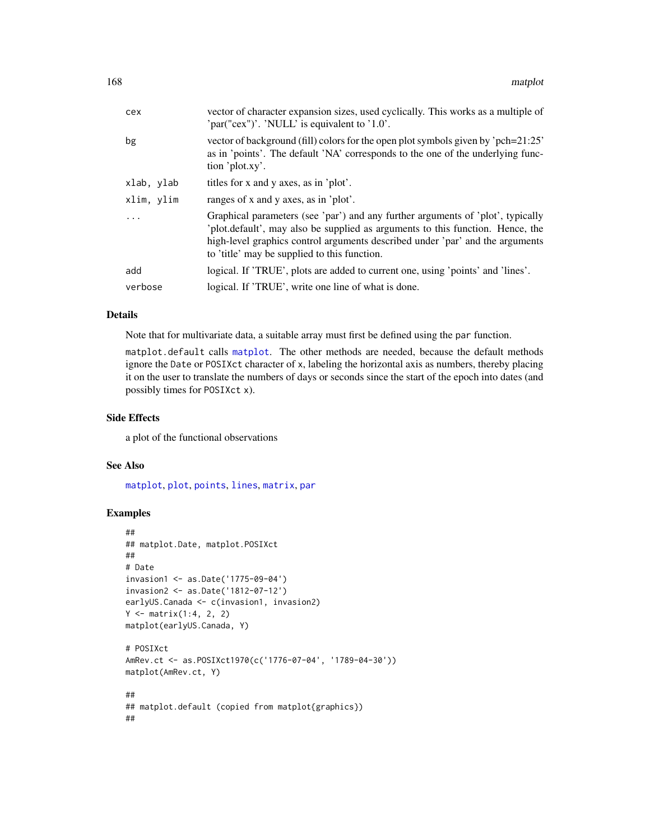| cex        | vector of character expansion sizes, used cyclically. This works as a multiple of<br>'par("cex")'. 'NULL' is equivalent to '1.0'.                                                                                                                                                                  |
|------------|----------------------------------------------------------------------------------------------------------------------------------------------------------------------------------------------------------------------------------------------------------------------------------------------------|
| bg         | vector of background (fill) colors for the open plot symbols given by 'pch=21:25'<br>as in 'points'. The default 'NA' corresponds to the one of the underlying func-<br>tion 'plot.xy'.                                                                                                            |
| xlab, ylab | titles for x and y axes, as in 'plot'.                                                                                                                                                                                                                                                             |
| xlim, ylim | ranges of x and y axes, as in 'plot'.                                                                                                                                                                                                                                                              |
| .          | Graphical parameters (see 'par') and any further arguments of 'plot', typically<br>'plot.default', may also be supplied as arguments to this function. Hence, the<br>high-level graphics control arguments described under 'par' and the arguments<br>to 'title' may be supplied to this function. |
| add        | logical. If 'TRUE', plots are added to current one, using 'points' and 'lines'.                                                                                                                                                                                                                    |
| verbose    | logical. If 'TRUE', write one line of what is done.                                                                                                                                                                                                                                                |
|            |                                                                                                                                                                                                                                                                                                    |

# Details

Note that for multivariate data, a suitable array must first be defined using the par function.

matplot.default calls [matplot](#page-166-0). The other methods are needed, because the default methods ignore the Date or POSIXct character of x, labeling the horizontal axis as numbers, thereby placing it on the user to translate the numbers of days or seconds since the start of the epoch into dates (and possibly times for POSIXct x).

# Side Effects

a plot of the functional observations

# See Also

[matplot](#page-166-0), [plot](#page-0-0), [points](#page-0-0), [lines](#page-0-0), [matrix](#page-0-0), [par](#page-0-0)

# Examples

```
##
## matplot.Date, matplot.POSIXct
##
# Date
invasion1 <- as.Date('1775-09-04')
invasion2 <- as.Date('1812-07-12')
earlyUS.Canada <- c(invasion1, invasion2)
Y <- matrix(1:4, 2, 2)
matplot(earlyUS.Canada, Y)
# POSIXct
AmRev.ct <- as.POSIXct1970(c('1776-07-04', '1789-04-30'))
matplot(AmRev.ct, Y)
##
## matplot.default (copied from matplot{graphics})
##
```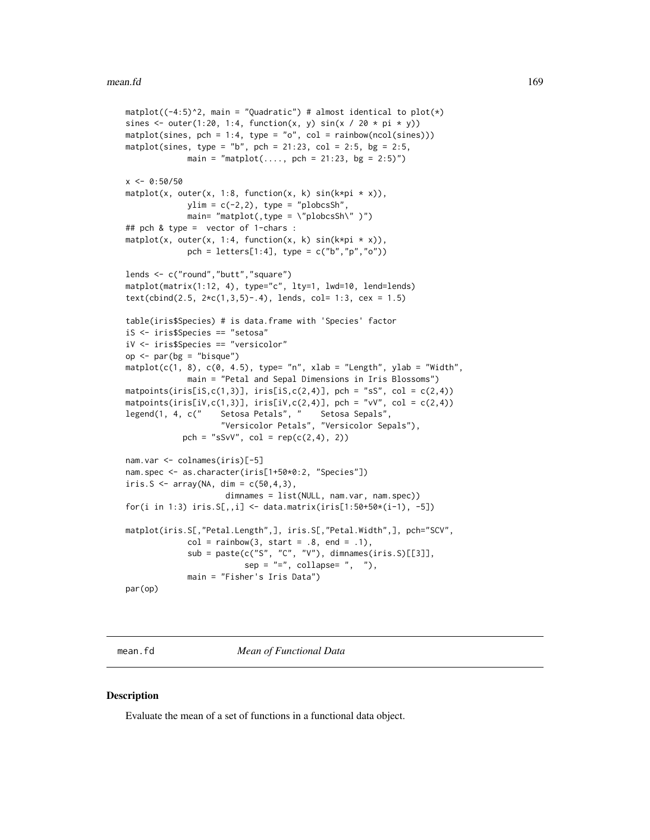```
matplot((-4:5)^2, main = "Quadratic") # almost identical to plot(*)
sines \le outer(1:20, 1:4, function(x, y) sin(x / 20 \star pi \star y))
matplot(sines, pch = 1:4, type = "o", col = rainbow(ncol(sines)))
matplot(sines, type = "b", pch = 21:23, col = 2:5, bg = 2:5,
             main = "matplot(...., pch = 21:23, bg = 2:5)")
x < -0.50/50matplot(x, outer(x, 1:8, function(x, k) sin(k * pi * x)),
             ylim = c(-2, 2), type = "plobcsSh",
             main= "matplot(,type = \lq"plobcsSh\" )")
## pch & type = vector of 1-chars :
matplot(x, outer(x, 1:4, function(x, k) sin(k * pi * x)),
             pch = letters[1:4], type = c("b", "p", "o"))
lends <- c("round","butt","square")
matplot(matrix(1:12, 4), type="c", lty=1, lwd=10, lend=lends)
text(cbind(2.5, 2*c(1,3,5)-.4), lends, col= 1:3, cex = 1.5)table(iris$Species) # is data.frame with 'Species' factor
iS <- iris$Species == "setosa"
iV <- iris$Species == "versicolor"
op <- par(bg = "bisque")
matplot(c(1, 8), c(0, 4.5), type= "n", xlab = "Length", ylab = "Width",
             main = "Petal and Sepal Dimensions in Iris Blossoms")
matpoints(iris[iS,c(1,3)], iris[iS,c(2,4)], pch = "sS", col = c(2,4))
matpoints(iris[iV,c(1,3)], iris[iV,c(2,4)], pch = "vV", col = c(2,4))
legend(1, 4, c(" Setosa Petals", " Setosa Sepals",
                    "Versicolor Petals", "Versicolor Sepals"),
            pch = "sSvV", col = rep(c(2,4), 2))nam.var <- colnames(iris)[-5]
nam.spec <- as.character(iris[1+50*0:2, "Species"])
iris.S \leq \arctan(NA, \dim = c(50, 4, 3),dimnames = list(NULL, nam.var, nam.spec))
for(i in 1:3) iris.S[, i] < - data.matrix(iris[1:50+50*(i-1), -5])matplot(iris.S[,"Petal.Length",], iris.S[,"Petal.Width",], pch="SCV",
             col = rainbow(3, start = .8, end = .1),sub = paste(c("S", "C", "V"), dimnames(iris.S)[[3]],sep = "='', collapse = ", "),main = "Fisher's Iris Data")
par(op)
```
mean.fd *Mean of Functional Data*

#### Description

Evaluate the mean of a set of functions in a functional data object.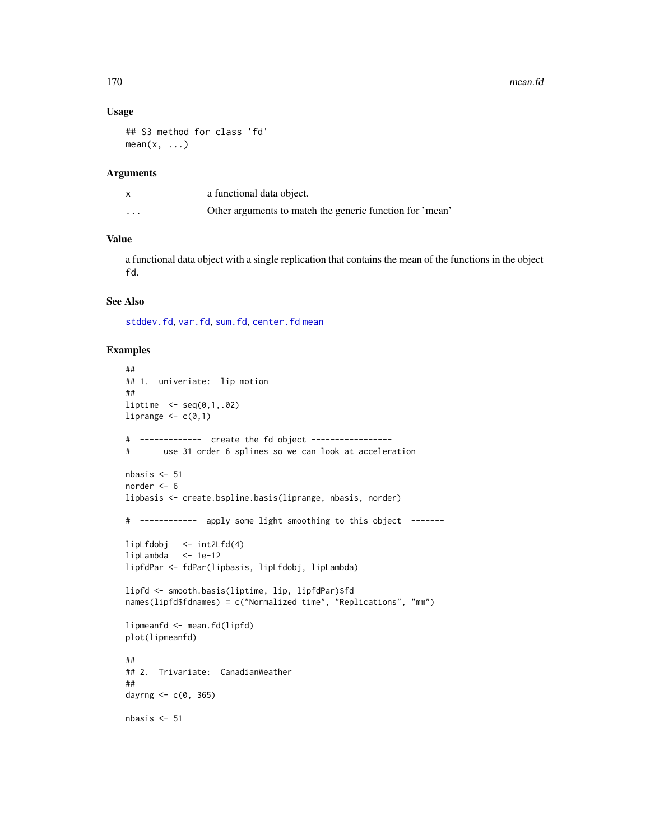# Usage

```
## S3 method for class 'fd'
mean(x, \ldots)
```
### Arguments

|          | a functional data object.                                |
|----------|----------------------------------------------------------|
| $\cdots$ | Other arguments to match the generic function for 'mean' |

# Value

a functional data object with a single replication that contains the mean of the functions in the object fd.

# See Also

[stddev.fd](#page-237-0), [var.fd](#page-280-0), [sum.fd](#page-271-0), [center.fd](#page-32-0) [mean](#page-0-0)

## Examples

```
##
## 1. univeriate: lip motion
##
liptime \leq seq(0,1,.02)
liprange \leq c(0,1)# ------------- create the fd object -----------------
# use 31 order 6 splines so we can look at acceleration
nbasis <- 51
norder <- 6
lipbasis <- create.bspline.basis(liprange, nbasis, norder)
# ------------ apply some light smoothing to this object -------
lipLfdobj <- int2Lfd(4)
lipLambda <- 1e-12
lipfdPar <- fdPar(lipbasis, lipLfdobj, lipLambda)
lipfd <- smooth.basis(liptime, lip, lipfdPar)$fd
names(lipfd$fdnames) = c("Normalized time", "Replications", "mm")
lipmeanfd <- mean.fd(lipfd)
plot(lipmeanfd)
##
## 2. Trivariate: CanadianWeather
##
dayrng <- c(0, 365)
nbasis <- 51
```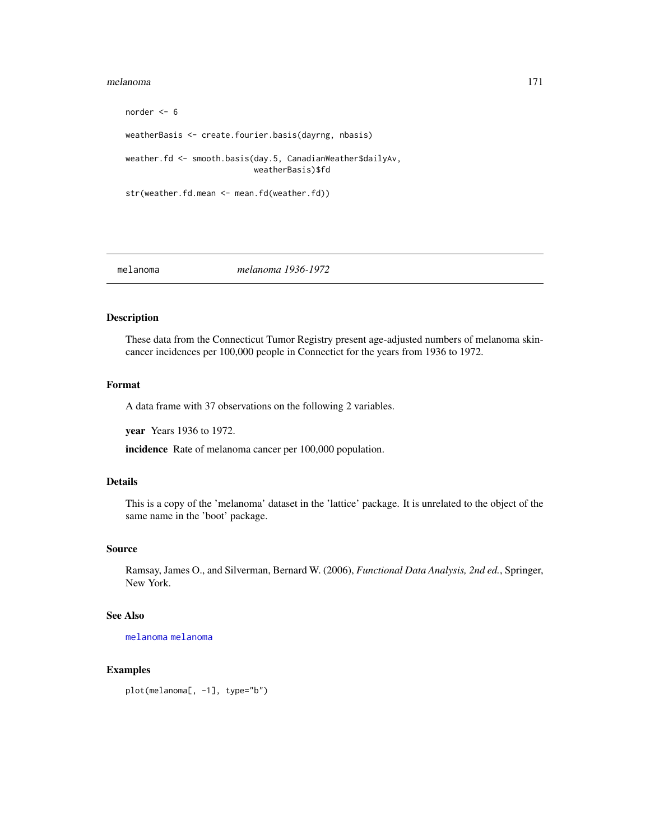#### melanoma 171

```
norder <- 6
weatherBasis <- create.fourier.basis(dayrng, nbasis)
weather.fd <- smooth.basis(day.5, CanadianWeather$dailyAv,
                           weatherBasis)$fd
str(weather.fd.mean <- mean.fd(weather.fd))
```
<span id="page-170-0"></span>

melanoma *melanoma 1936-1972*

# Description

These data from the Connecticut Tumor Registry present age-adjusted numbers of melanoma skincancer incidences per 100,000 people in Connectict for the years from 1936 to 1972.

# Format

A data frame with 37 observations on the following 2 variables.

year Years 1936 to 1972.

incidence Rate of melanoma cancer per 100,000 population.

#### Details

This is a copy of the 'melanoma' dataset in the 'lattice' package. It is unrelated to the object of the same name in the 'boot' package.

#### Source

Ramsay, James O., and Silverman, Bernard W. (2006), *Functional Data Analysis, 2nd ed.*, Springer, New York.

#### See Also

[melanoma](#page-170-0) [melanoma](#page-170-0)

#### Examples

plot(melanoma[, -1], type="b")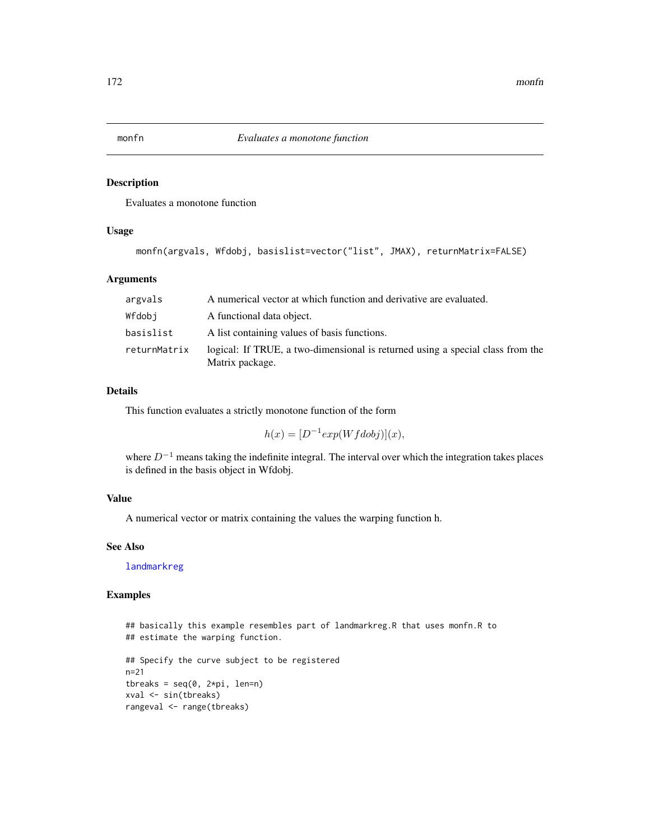# Description

Evaluates a monotone function

### Usage

```
monfn(argvals, Wfdobj, basislist=vector("list", JMAX), returnMatrix=FALSE)
```
# Arguments

| argvals      | A numerical vector at which function and derivative are evaluated.                                |
|--------------|---------------------------------------------------------------------------------------------------|
| Wfdobi       | A functional data object.                                                                         |
| basislist    | A list containing values of basis functions.                                                      |
| returnMatrix | logical: If TRUE, a two-dimensional is returned using a special class from the<br>Matrix package. |

# Details

This function evaluates a strictly monotone function of the form

 $h(x) = [D^{-1}exp(Wf dobj)](x),$ 

where  $D^{-1}$  means taking the indefinite integral. The interval over which the integration takes places is defined in the basis object in Wfdobj.

## Value

A numerical vector or matrix containing the values the warping function h.

### See Also

[landmarkreg](#page-151-0)

# Examples

```
## basically this example resembles part of landmarkreg.R that uses monfn.R to
## estimate the warping function.
```

```
## Specify the curve subject to be registered
n=21
tbreaks = seq(0, 2*pi, len=n)xval <- sin(tbreaks)
rangeval <- range(tbreaks)
```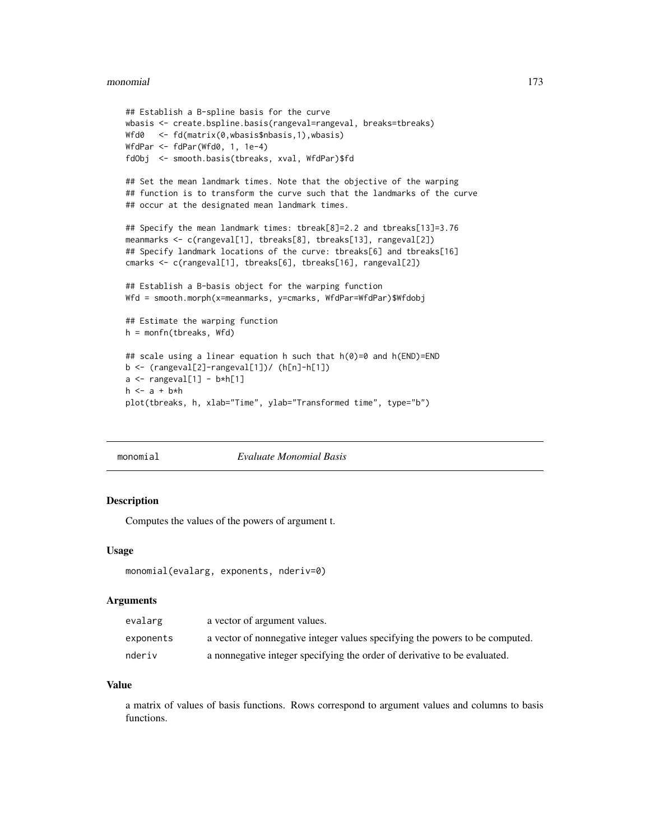#### monomial and the contract of the contract of the contract of the contract of the contract of the contract of the contract of the contract of the contract of the contract of the contract of the contract of the contract of t

```
## Establish a B-spline basis for the curve
wbasis <- create.bspline.basis(rangeval=rangeval, breaks=tbreaks)
Wfd0 <- fd(matrix(0,wbasis$nbasis,1),wbasis)
WfdPar <- fdPar(Wfd0, 1, 1e-4)
fdObj <- smooth.basis(tbreaks, xval, WfdPar)$fd
## Set the mean landmark times. Note that the objective of the warping
## function is to transform the curve such that the landmarks of the curve
## occur at the designated mean landmark times.
## Specify the mean landmark times: tbreak[8]=2.2 and tbreaks[13]=3.76
meanmarks <- c(rangeval[1], tbreaks[8], tbreaks[13], rangeval[2])
## Specify landmark locations of the curve: tbreaks[6] and tbreaks[16]
cmarks <- c(rangeval[1], tbreaks[6], tbreaks[16], rangeval[2])
## Establish a B-basis object for the warping function
Wfd = smooth.morph(x=meanmarks, y=cmarks, WfdPar=WfdPar)$Wfdobj
## Estimate the warping function
h = monfn(tbreaks, Wfd)
## scale using a linear equation h such that h(0)=0 and h(END)=END
b <- (rangeval[2]-rangeval[1])/ (h[n]-h[1])
a \leftarrow rangeval[1] - b * h[1]h \leftarrow a + b * hplot(tbreaks, h, xlab="Time", ylab="Transformed time", type="b")
```
monomial *Evaluate Monomial Basis*

# Description

Computes the values of the powers of argument t.

#### Usage

```
monomial(evalarg, exponents, nderiv=0)
```
#### Arguments

| evalarg   | a vector of argument values.                                                 |
|-----------|------------------------------------------------------------------------------|
| exponents | a vector of nonnegative integer values specifying the powers to be computed. |
| nderiv    | a nonnegative integer specifying the order of derivative to be evaluated.    |

#### Value

a matrix of values of basis functions. Rows correspond to argument values and columns to basis functions.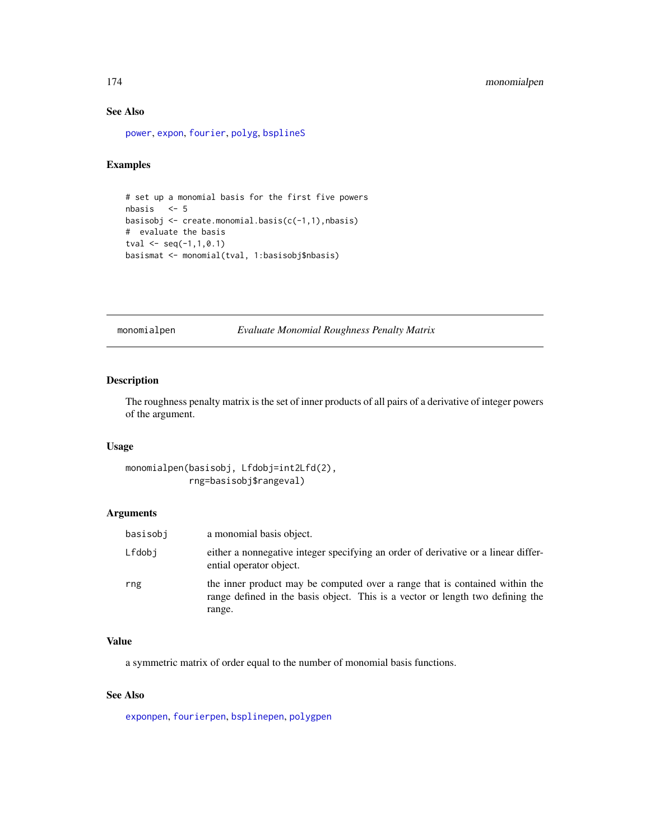# See Also

[power](#page-0-0), [expon](#page-100-0), [fourier](#page-114-0), [polyg](#page-210-0), [bsplineS](#page-27-0)

# Examples

```
# set up a monomial basis for the first five powers
nbasis <- 5
basisobj <- create.monomial.basis(c(-1,1),nbasis)
# evaluate the basis
tval \leq seq(-1,1,0.1)
basismat <- monomial(tval, 1:basisobj$nbasis)
```
monomialpen *Evaluate Monomial Roughness Penalty Matrix*

# Description

The roughness penalty matrix is the set of inner products of all pairs of a derivative of integer powers of the argument.

#### Usage

```
monomialpen(basisobj, Lfdobj=int2Lfd(2),
            rng=basisobj$rangeval)
```
# Arguments

| basisobj | a monomial basis object.                                                                                                                                                |
|----------|-------------------------------------------------------------------------------------------------------------------------------------------------------------------------|
| Lfdobj   | either a nonnegative integer specifying an order of derivative or a linear differ-<br>ential operator object.                                                           |
| rng      | the inner product may be computed over a range that is contained within the<br>range defined in the basis object. This is a vector or length two defining the<br>range. |

# Value

a symmetric matrix of order equal to the number of monomial basis functions.

# See Also

[exponpen](#page-104-0), [fourierpen](#page-115-0), [bsplinepen](#page-26-0), [polygpen](#page-211-0)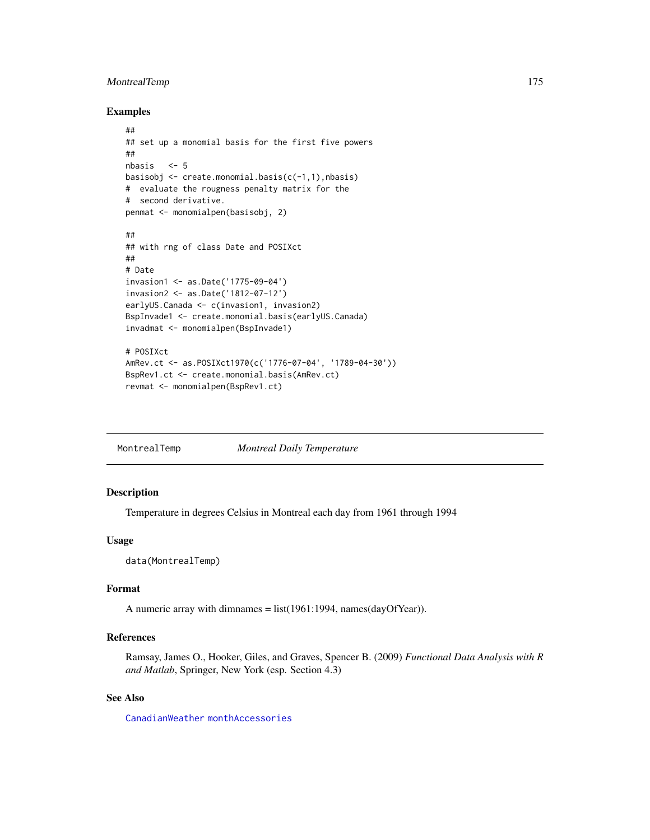# MontrealTemp 175

#### Examples

```
##
## set up a monomial basis for the first five powers
##
nbasis <- 5
basisobj <- create.monomial.basis(c(-1,1),nbasis)
# evaluate the rougness penalty matrix for the
# second derivative.
penmat <- monomialpen(basisobj, 2)
##
## with rng of class Date and POSIXct
##
# Date
invasion1 <- as.Date('1775-09-04')
invasion2 <- as.Date('1812-07-12')
earlyUS.Canada <- c(invasion1, invasion2)
BspInvade1 <- create.monomial.basis(earlyUS.Canada)
invadmat <- monomialpen(BspInvade1)
# POSIXct
AmRev.ct <- as.POSIXct1970(c('1776-07-04', '1789-04-30'))
BspRev1.ct <- create.monomial.basis(AmRev.ct)
revmat <- monomialpen(BspRev1.ct)
```
MontrealTemp *Montreal Daily Temperature*

# Description

Temperature in degrees Celsius in Montreal each day from 1961 through 1994

## Usage

data(MontrealTemp)

# Format

A numeric array with dimnames =  $list(1961:1994, names(dayOfYear))$ .

# References

Ramsay, James O., Hooker, Giles, and Graves, Spencer B. (2009) *Functional Data Analysis with R and Matlab*, Springer, New York (esp. Section 4.3)

## See Also

[CanadianWeather](#page-29-0) [monthAccessories](#page-75-0)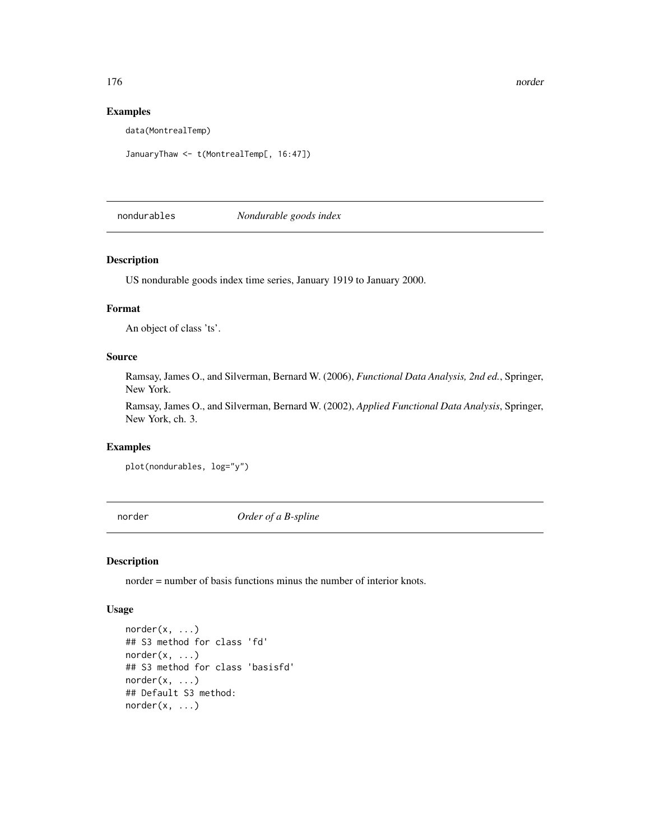## Examples

data(MontrealTemp)

```
JanuaryThaw <- t(MontrealTemp[, 16:47])
```
nondurables *Nondurable goods index*

### Description

US nondurable goods index time series, January 1919 to January 2000.

## Format

An object of class 'ts'.

# Source

Ramsay, James O., and Silverman, Bernard W. (2006), *Functional Data Analysis, 2nd ed.*, Springer, New York.

Ramsay, James O., and Silverman, Bernard W. (2002), *Applied Functional Data Analysis*, Springer, New York, ch. 3.

## Examples

plot(nondurables, log="y")

norder *Order of a B-spline*

# Description

norder = number of basis functions minus the number of interior knots.

### Usage

```
norder(x, ...)
## S3 method for class 'fd'
norder(x, \ldots)## S3 method for class 'basisfd'
norder(x, \ldots)## Default S3 method:
norder(x, ...)
```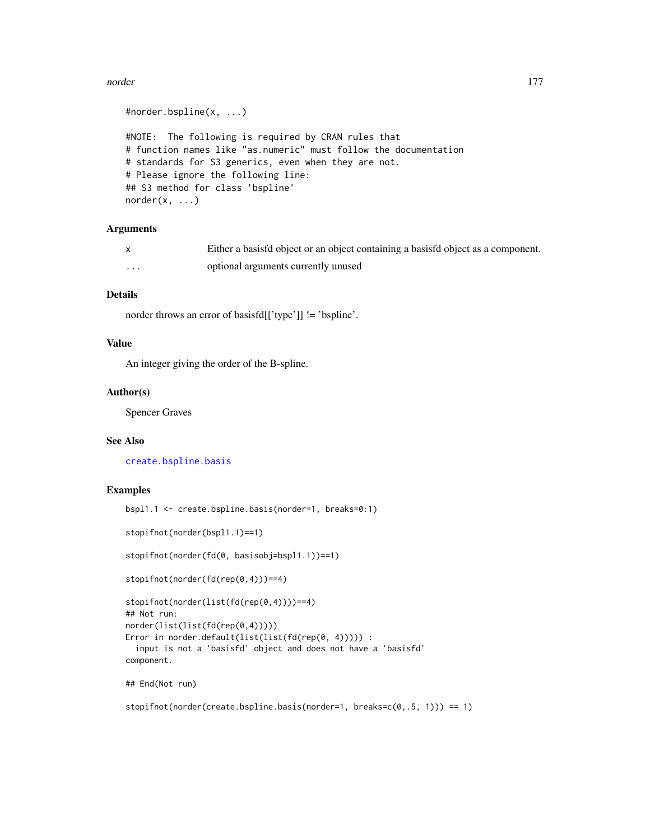#### norder the contract of the contract of the contract of the contract of the contract of the contract of the contract of the contract of the contract of the contract of the contract of the contract of the contract of the con

```
#norder.bspline(x, ...)
#NOTE: The following is required by CRAN rules that
# function names like "as.numeric" must follow the documentation
# standards for S3 generics, even when they are not.
# Please ignore the following line:
## S3 method for class 'bspline'
norder(x, \ldots)
```
## Arguments

|   | Either a basisf object or an object containing a basisf object as a component. |
|---|--------------------------------------------------------------------------------|
| . | optional arguments currently unused                                            |

# Details

norder throws an error of basisfd[['type']] != 'bspline'.

## Value

An integer giving the order of the B-spline.

# Author(s)

Spencer Graves

### See Also

[create.bspline.basis](#page-47-0)

#### Examples

bspl1.1 <- create.bspline.basis(norder=1, breaks=0:1)

stopifnot(norder(bspl1.1)==1)

stopifnot(norder(fd(0, basisobj=bspl1.1))==1)

stopifnot(norder(fd(rep(0,4)))==4)

```
stopifnot(norder(list(fd(rep(0,4))))==4)
## Not run:
norder(list(list(fd(rep(0,4)))))
Error in norder.default(list(list(fd(rep(0, 4))))) :
  input is not a 'basisfd' object and does not have a 'basisfd'
component.
## End(Not run)
```
stopifnot(norder(create.bspline.basis(norder=1, breaks=c(0,.5, 1))) == 1)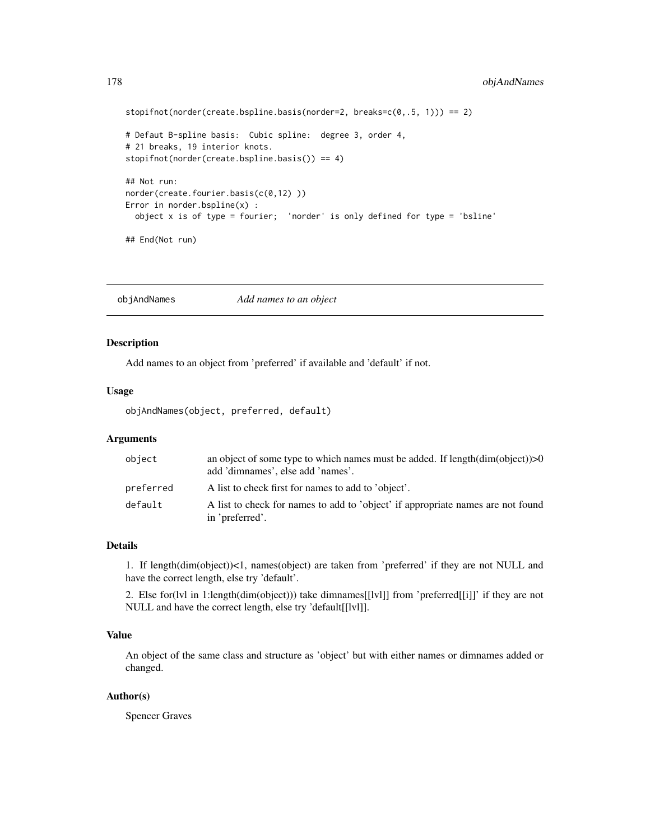```
stopifnot(norder(create.bspline.basis(norder=2, breaks=c(0,.5, 1))) == 2)
# Defaut B-spline basis: Cubic spline: degree 3, order 4,
# 21 breaks, 19 interior knots.
stopifnot(norder(create.bspline.basis()) == 4)
## Not run:
norder(create.fourier.basis(c(0,12) ))
Error in norder.bspline(x) :
  object x is of type = fourier; 'norder' is only defined for type = 'bsline'
## End(Not run)
```
objAndNames *Add names to an object*

# Description

Add names to an object from 'preferred' if available and 'default' if not.

# Usage

objAndNames(object, preferred, default)

# Arguments

| object    | an object of some type to which names must be added. If length $(\dim(\text{object}))>0$<br>add 'dimnames', else add 'names'. |
|-----------|-------------------------------------------------------------------------------------------------------------------------------|
| preferred | A list to check first for names to add to 'object'.                                                                           |
| default   | A list to check for names to add to 'object' if appropriate names are not found<br>in 'preferred'.                            |

# Details

1. If length(dim(object))<1, names(object) are taken from 'preferred' if they are not NULL and have the correct length, else try 'default'.

2. Else for(lvl in 1:length(dim(object))) take dimnames[[lvl]] from 'preferred[[i]]' if they are not NULL and have the correct length, else try 'default[[lvl]].

# Value

An object of the same class and structure as 'object' but with either names or dimnames added or changed.

## Author(s)

Spencer Graves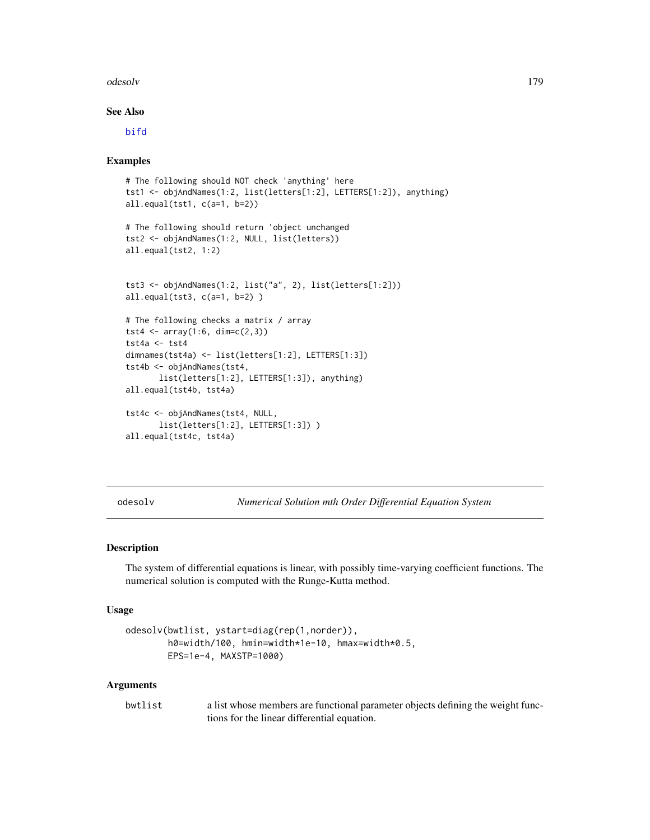#### odesolv 179

# See Also

[bifd](#page-23-0)

# Examples

```
# The following should NOT check 'anything' here
tst1 <- objAndNames(1:2, list(letters[1:2], LETTERS[1:2]), anything)
all.equal(tst1, c(a=1, b=2))
# The following should return 'object unchanged
tst2 <- objAndNames(1:2, NULL, list(letters))
all.equal(tst2, 1:2)
tst3 <- objAndNames(1:2, list("a", 2), list(letters[1:2]))
all.equal(tst3, c(a=1, b=2) )
# The following checks a matrix / array
tst4 <- array(1:6, dim=c(2,3))tst4a <- tst4
dimnames(tst4a) <- list(letters[1:2], LETTERS[1:3])
tst4b <- objAndNames(tst4,
      list(letters[1:2], LETTERS[1:3]), anything)
all.equal(tst4b, tst4a)
tst4c <- objAndNames(tst4, NULL,
      list(letters[1:2], LETTERS[1:3]) )
all.equal(tst4c, tst4a)
```
odesolv *Numerical Solution mth Order Differential Equation System*

# Description

The system of differential equations is linear, with possibly time-varying coefficient functions. The numerical solution is computed with the Runge-Kutta method.

### Usage

```
odesolv(bwtlist, ystart=diag(rep(1,norder)),
       h0=width/100, hmin=width*1e-10, hmax=width*0.5,
       EPS=1e-4, MAXSTP=1000)
```
#### Arguments

| bwtlist | a list whose members are functional parameter objects defining the weight func- |
|---------|---------------------------------------------------------------------------------|
|         | tions for the linear differential equation.                                     |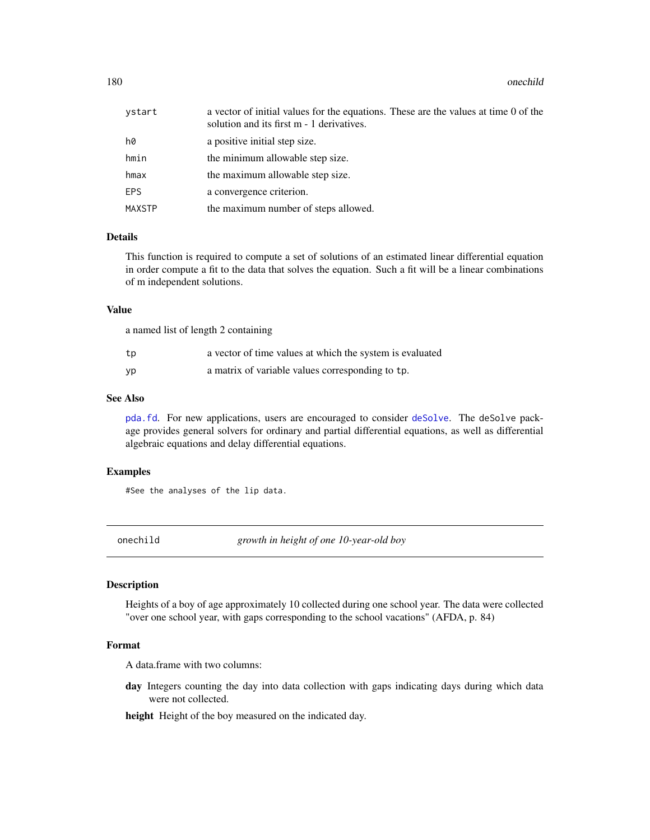| vstart | a vector of initial values for the equations. These are the values at time 0 of the<br>solution and its first m - 1 derivatives. |
|--------|----------------------------------------------------------------------------------------------------------------------------------|
| h0     | a positive initial step size.                                                                                                    |
| hmin   | the minimum allowable step size.                                                                                                 |
| hmax   | the maximum allowable step size.                                                                                                 |
| EPS    | a convergence criterion.                                                                                                         |
| MAXSTP | the maximum number of steps allowed.                                                                                             |
|        |                                                                                                                                  |

# Details

This function is required to compute a set of solutions of an estimated linear differential equation in order compute a fit to the data that solves the equation. Such a fit will be a linear combinations of m independent solutions.

# Value

a named list of length 2 containing

| tp | a vector of time values at which the system is evaluated |
|----|----------------------------------------------------------|
| уp | a matrix of variable values corresponding to tp.         |

[pda.fd](#page-181-0). For new applications, users are encouraged to consider [deSolve](#page-0-0). The deSolve package provides general solvers for ordinary and partial differential equations, as well as differential algebraic equations and delay differential equations.

# Examples

See Also

#See the analyses of the lip data.

onechild *growth in height of one 10-year-old boy*

#### Description

Heights of a boy of age approximately 10 collected during one school year. The data were collected "over one school year, with gaps corresponding to the school vacations" (AFDA, p. 84)

#### Format

A data.frame with two columns:

day Integers counting the day into data collection with gaps indicating days during which data were not collected.

height Height of the boy measured on the indicated day.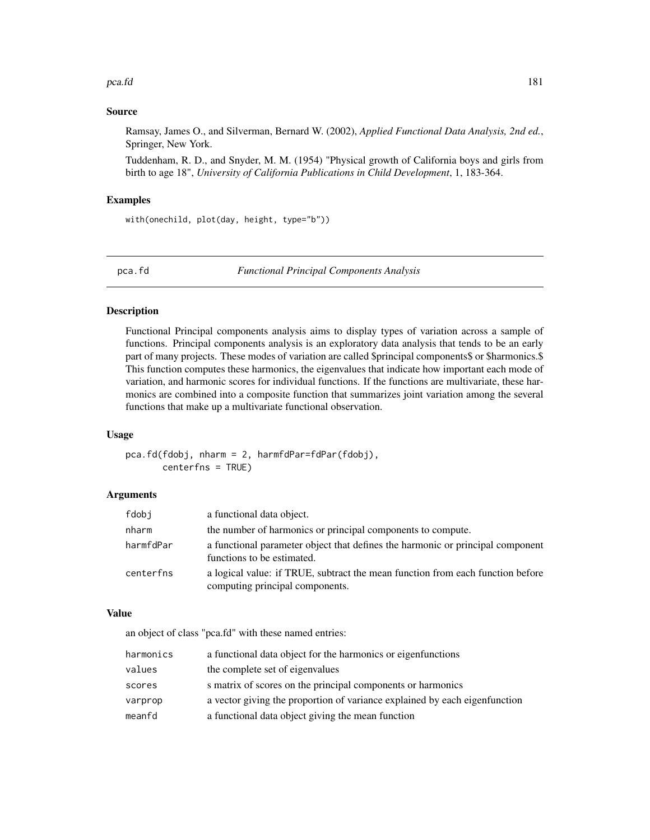#### pca.fd 181

## Source

Ramsay, James O., and Silverman, Bernard W. (2002), *Applied Functional Data Analysis, 2nd ed.*, Springer, New York.

Tuddenham, R. D., and Snyder, M. M. (1954) "Physical growth of California boys and girls from birth to age 18", *University of California Publications in Child Development*, 1, 183-364.

## Examples

with(onechild, plot(day, height, type="b"))

<span id="page-180-0"></span>pca.fd *Functional Principal Components Analysis*

## **Description**

Functional Principal components analysis aims to display types of variation across a sample of functions. Principal components analysis is an exploratory data analysis that tends to be an early part of many projects. These modes of variation are called \$principal components\$ or \$harmonics.\$ This function computes these harmonics, the eigenvalues that indicate how important each mode of variation, and harmonic scores for individual functions. If the functions are multivariate, these harmonics are combined into a composite function that summarizes joint variation among the several functions that make up a multivariate functional observation.

## Usage

pca.fd(fdobj, nharm = 2, harmfdPar=fdPar(fdobj), centerfns = TRUE)

## Arguments

| fdobj     | a functional data object.                                                                                         |
|-----------|-------------------------------------------------------------------------------------------------------------------|
| nharm     | the number of harmonics or principal components to compute.                                                       |
| harmfdPar | a functional parameter object that defines the harmonic or principal component<br>functions to be estimated.      |
| centerfns | a logical value: if TRUE, subtract the mean function from each function before<br>computing principal components. |

# Value

an object of class "pca.fd" with these named entries:

| harmonics | a functional data object for the harmonics or eigenfunctions               |
|-----------|----------------------------------------------------------------------------|
| values    | the complete set of eigenvalues                                            |
| scores    | s matrix of scores on the principal components or harmonics                |
| varprop   | a vector giving the proportion of variance explained by each eigenfunction |
| meanfd    | a functional data object giving the mean function                          |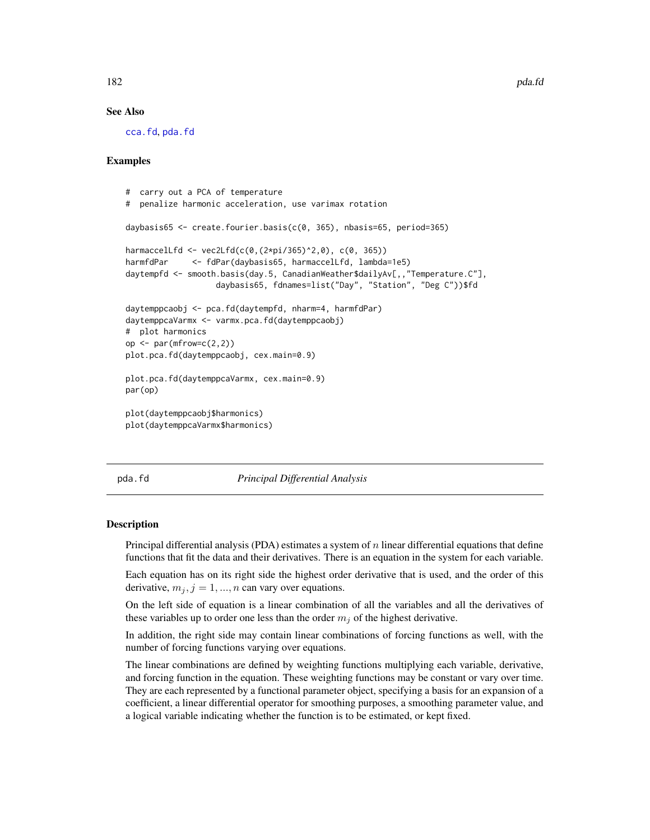## See Also

[cca.fd](#page-31-0), [pda.fd](#page-181-0)

#### Examples

```
# carry out a PCA of temperature
# penalize harmonic acceleration, use varimax rotation
daybasis65 <- create.fourier.basis(c(0, 365), nbasis=65, period=365)
harmaccelLfd <- vec2Lfd(c(0,(2*pi/365)^2,0), c(0, 365))
harmfdPar <- fdPar(daybasis65, harmaccelLfd, lambda=1e5)
daytempfd <- smooth.basis(day.5, CanadianWeather$dailyAv[,,"Temperature.C"],
                   daybasis65, fdnames=list("Day", "Station", "Deg C"))$fd
daytemppcaobj <- pca.fd(daytempfd, nharm=4, harmfdPar)
daytemppcaVarmx <- varmx.pca.fd(daytemppcaobj)
# plot harmonics
op \leq par(mfrow=c(2,2))
plot.pca.fd(daytemppcaobj, cex.main=0.9)
plot.pca.fd(daytemppcaVarmx, cex.main=0.9)
par(op)
plot(daytemppcaobj$harmonics)
plot(daytemppcaVarmx$harmonics)
```
<span id="page-181-0"></span>

pda.fd *Principal Differential Analysis*

#### **Description**

Principal differential analysis (PDA) estimates a system of  $n$  linear differential equations that define functions that fit the data and their derivatives. There is an equation in the system for each variable.

Each equation has on its right side the highest order derivative that is used, and the order of this derivative,  $m_j$ ,  $j = 1, ..., n$  can vary over equations.

On the left side of equation is a linear combination of all the variables and all the derivatives of these variables up to order one less than the order  $m_i$  of the highest derivative.

In addition, the right side may contain linear combinations of forcing functions as well, with the number of forcing functions varying over equations.

The linear combinations are defined by weighting functions multiplying each variable, derivative, and forcing function in the equation. These weighting functions may be constant or vary over time. They are each represented by a functional parameter object, specifying a basis for an expansion of a coefficient, a linear differential operator for smoothing purposes, a smoothing parameter value, and a logical variable indicating whether the function is to be estimated, or kept fixed.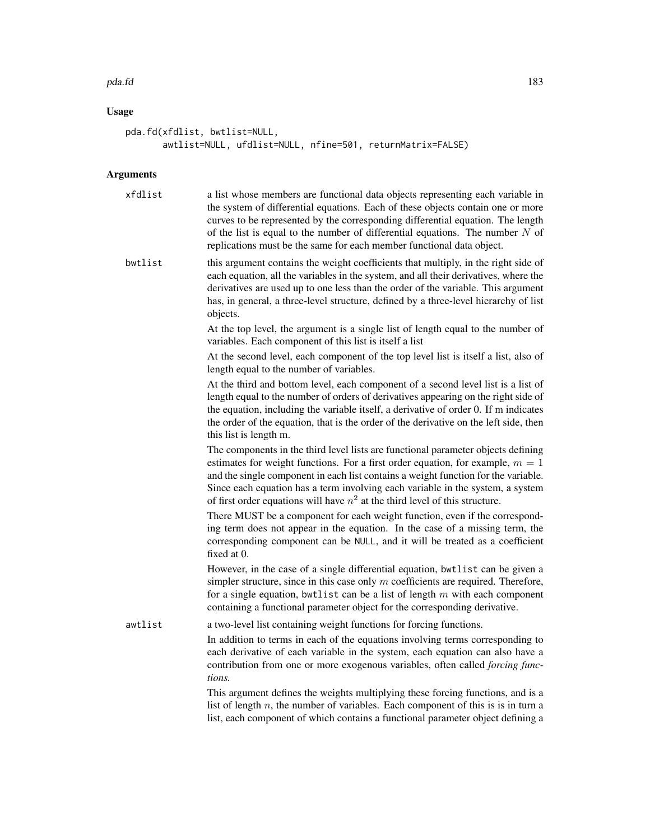#### pda.fd 183

# Usage

```
pda.fd(xfdlist, bwtlist=NULL,
       awtlist=NULL, ufdlist=NULL, nfine=501, returnMatrix=FALSE)
```
# Arguments

| xfdlist | a list whose members are functional data objects representing each variable in<br>the system of differential equations. Each of these objects contain one or more<br>curves to be represented by the corresponding differential equation. The length<br>of the list is equal to the number of differential equations. The number $N$ of<br>replications must be the same for each member functional data object.                |
|---------|---------------------------------------------------------------------------------------------------------------------------------------------------------------------------------------------------------------------------------------------------------------------------------------------------------------------------------------------------------------------------------------------------------------------------------|
| bwtlist | this argument contains the weight coefficients that multiply, in the right side of<br>each equation, all the variables in the system, and all their derivatives, where the<br>derivatives are used up to one less than the order of the variable. This argument<br>has, in general, a three-level structure, defined by a three-level hierarchy of list<br>objects.                                                             |
|         | At the top level, the argument is a single list of length equal to the number of<br>variables. Each component of this list is itself a list                                                                                                                                                                                                                                                                                     |
|         | At the second level, each component of the top level list is itself a list, also of<br>length equal to the number of variables.                                                                                                                                                                                                                                                                                                 |
|         | At the third and bottom level, each component of a second level list is a list of<br>length equal to the number of orders of derivatives appearing on the right side of<br>the equation, including the variable itself, a derivative of order 0. If m indicates<br>the order of the equation, that is the order of the derivative on the left side, then<br>this list is length m.                                              |
|         | The components in the third level lists are functional parameter objects defining<br>estimates for weight functions. For a first order equation, for example, $m = 1$<br>and the single component in each list contains a weight function for the variable.<br>Since each equation has a term involving each variable in the system, a system<br>of first order equations will have $n^2$ at the third level of this structure. |
|         | There MUST be a component for each weight function, even if the correspond-<br>ing term does not appear in the equation. In the case of a missing term, the<br>corresponding component can be NULL, and it will be treated as a coefficient<br>fixed at 0.                                                                                                                                                                      |
|         | However, in the case of a single differential equation, bwtlist can be given a<br>simpler structure, since in this case only $m$ coefficients are required. Therefore,<br>for a single equation, bwtlist can be a list of length $m$ with each component<br>containing a functional parameter object for the corresponding derivative.                                                                                          |
| awtlist | a two-level list containing weight functions for forcing functions.                                                                                                                                                                                                                                                                                                                                                             |
|         | In addition to terms in each of the equations involving terms corresponding to<br>each derivative of each variable in the system, each equation can also have a<br>contribution from one or more exogenous variables, often called forcing func-<br>tions.                                                                                                                                                                      |
|         | This argument defines the weights multiplying these forcing functions, and is a<br>list of length $n$ , the number of variables. Each component of this is is in turn a<br>list, each component of which contains a functional parameter object defining a                                                                                                                                                                      |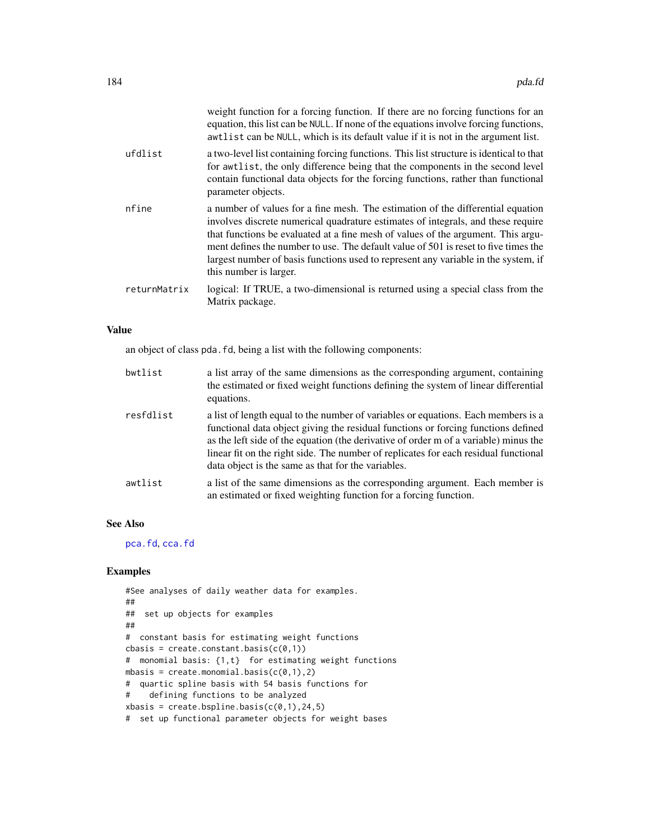|              | weight function for a forcing function. If there are no forcing functions for an<br>equation, this list can be NULL. If none of the equations involve forcing functions,<br>awtlist can be NULL, which is its default value if it is not in the argument list.                                                                                                                                                                                                 |
|--------------|----------------------------------------------------------------------------------------------------------------------------------------------------------------------------------------------------------------------------------------------------------------------------------------------------------------------------------------------------------------------------------------------------------------------------------------------------------------|
| ufdlist      | a two-level list containing forcing functions. This list structure is identical to that<br>for awtlist, the only difference being that the components in the second level<br>contain functional data objects for the forcing functions, rather than functional<br>parameter objects.                                                                                                                                                                           |
| nfine        | a number of values for a fine mesh. The estimation of the differential equation<br>involves discrete numerical quadrature estimates of integrals, and these require<br>that functions be evaluated at a fine mesh of values of the argument. This argu-<br>ment defines the number to use. The default value of 501 is reset to five times the<br>largest number of basis functions used to represent any variable in the system, if<br>this number is larger. |
| returnMatrix | logical: If TRUE, a two-dimensional is returned using a special class from the<br>Matrix package.                                                                                                                                                                                                                                                                                                                                                              |
|              |                                                                                                                                                                                                                                                                                                                                                                                                                                                                |

## Value

an object of class pda. fd, being a list with the following components:

| bwtlist   | a list array of the same dimensions as the corresponding argument, containing<br>the estimated or fixed weight functions defining the system of linear differential<br>equations.                                                                                                                                                                                                                           |
|-----------|-------------------------------------------------------------------------------------------------------------------------------------------------------------------------------------------------------------------------------------------------------------------------------------------------------------------------------------------------------------------------------------------------------------|
| resfdlist | a list of length equal to the number of variables or equations. Each members is a<br>functional data object giving the residual functions or forcing functions defined<br>as the left side of the equation (the derivative of order m of a variable) minus the<br>linear fit on the right side. The number of replicates for each residual functional<br>data object is the same as that for the variables. |
| awtlist   | a list of the same dimensions as the corresponding argument. Each member is<br>an estimated or fixed weighting function for a forcing function.                                                                                                                                                                                                                                                             |

## See Also

[pca.fd](#page-180-0), [cca.fd](#page-31-0)

```
#See analyses of daily weather data for examples.
##
## set up objects for examples
##
# constant basis for estimating weight functions
cbasis = create.constant.basis(c(0,1))
# monomial basis: {1,t} for estimating weight functions
mbasis = create.monomial.basis(c(0,1),2)# quartic spline basis with 54 basis functions for
# defining functions to be analyzed
x basis = create.bsplit. basis(c(0,1), 24, 5)# set up functional parameter objects for weight bases
```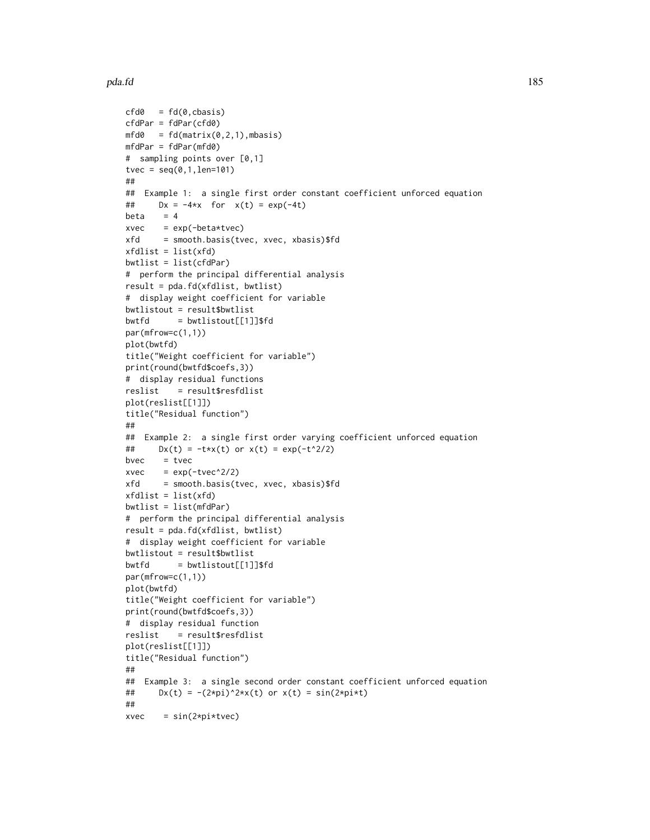## pda.fd 185

```
cfd0 = fd(0, \text{chasis})cfdPar = fdPar(cfd0)mfd0 = fd(matrix(0,2,1), mbasis)mfdPar = fdPar(mfd0)
# sampling points over [0,1]
tvec = seq(0, 1, len=101)##
## Example 1: a single first order constant coefficient unforced equation
## Dx = -4*x for x(t) = exp(-4t)beta = 4xvec = exp(-beta * tvec)xfd = smooth.basis(tvec, xvec, xbasis)$fd
xfdlist = list(xfd)
bwtlist = list(cfdPar)
# perform the principal differential analysis
result = pda.fd(xfdlist, bwtlist)
# display weight coefficient for variable
bwtlistout = result$bwtlist
bwtfd = bwtlistout[[1]]$fd
par(mfrow=c(1,1))
plot(bwtfd)
title("Weight coefficient for variable")
print(round(bwtfd$coefs,3))
# display residual functions
reslist = result$resfdlist
plot(reslist[[1]])
title("Residual function")
##
## Example 2: a single first order varying coefficient unforced equation
## Dx(t) = -t*x(t) or x(t) = exp(-t^2/2)bvec = tvecxvec = exp(-tvec^2/2)xfd = smooth.basis(tvec, xvec, xbasis)$fd
xfdlist = list(xfd)
bwtlist = list(mfdPar)
# perform the principal differential analysis
result = pda.fd(xfdlist, bwtlist)
# display weight coefficient for variable
bwtlistout = result$bwtlist
bwtfd = bwtlistout[[1]]$fd
par(mfrow=c(1,1))
plot(bwtfd)
title("Weight coefficient for variable")
print(round(bwtfd$coefs,3))
# display residual function
reslist = result$resfdlist
plot(reslist[[1]])
title("Residual function")
##
## Example 3: a single second order constant coefficient unforced equation
## Dx(t) = -(2*pi)^2*x(t) or x(t) = sin(2*pi*t)##
xvec = sin(2*pi*tree)
```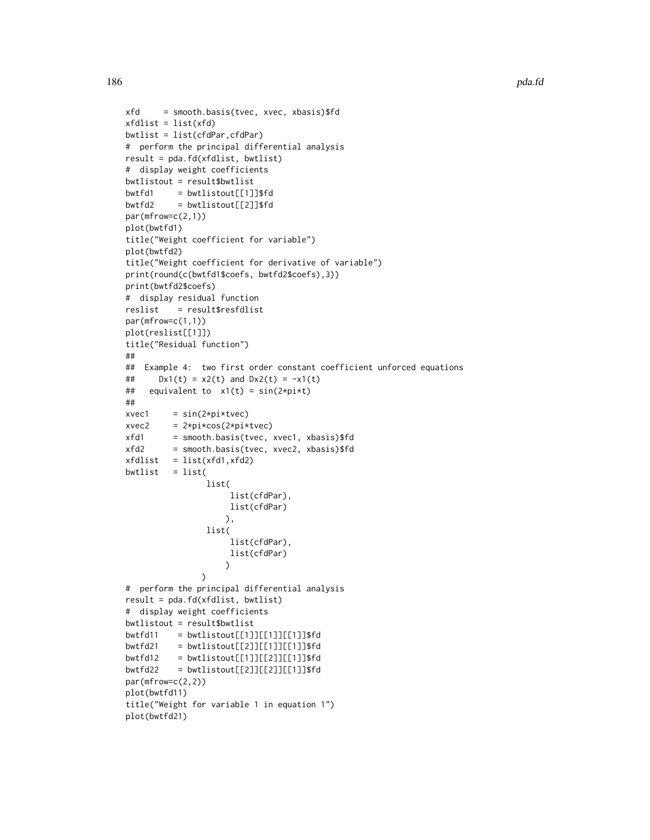```
xfd = smooth.basis(tvec, xvec, xbasis)$fd
xfdlist = list(xfd)bwtlist = list(cfdPar,cfdPar)
# perform the principal differential analysis
result = pda.fd(xfdlist, bwtlist)
# display weight coefficients
bwtlistout = result$bwtlist
bwtfd1 = bwtlistout[[1]]$fd
bwtfd2 = bwtlistout[[2]]$fd
par(mfrow=c(2,1))
plot(bwtfd1)
title("Weight coefficient for variable")
plot(bwtfd2)
title("Weight coefficient for derivative of variable")
print(round(c(bwtfd1$coefs, bwtfd2$coefs),3))
print(bwtfd2$coefs)
# display residual function
reslist = result$resfdlist
par(mfrow=c(1,1))
plot(reslist[[1]])
title("Residual function")
##
## Example 4: two first order constant coefficient unforced equations
## Dx1(t) = x2(t) and Dx2(t) = -x1(t)## equivalent to x1(t) = sin(2*pi*t)
##
xvec1 = sin(2*pi*tree)xvec2 = 2*pi*cos(2*pi*tree)xfd1 = smooth.basis(tvec, xvec1, xbasis)$fd
xfd2 = smooth.basis(tvec, xvec2, xbasis)$fd
xfdlist = list(xfd1,xfd2)
bwtlist = list(list(
                     list(cfdPar),
                    list(cfdPar)
                    ),
                list(
                     list(cfdPar),
                     list(cfdPar)
                    )
               \lambda# perform the principal differential analysis
result = pda.fd(xfdlist, bwtlist)
# display weight coefficients
bwtlistout = result$bwtlist
bwtfd11 = bwtlistout[[1]][[1]][[1]]$fdbwtfd21 = bwtlistout[[2]][[1]][[1]]$fdbwtfd12 = bwtlistout[[1]][[2]][[1]]$fdbwtfd22 = bwtlistout[[2]][[2]][[1]]$fdpar(mfrow=c(2,2))
plot(bwtfd11)
title("Weight for variable 1 in equation 1")
plot(bwtfd21)
```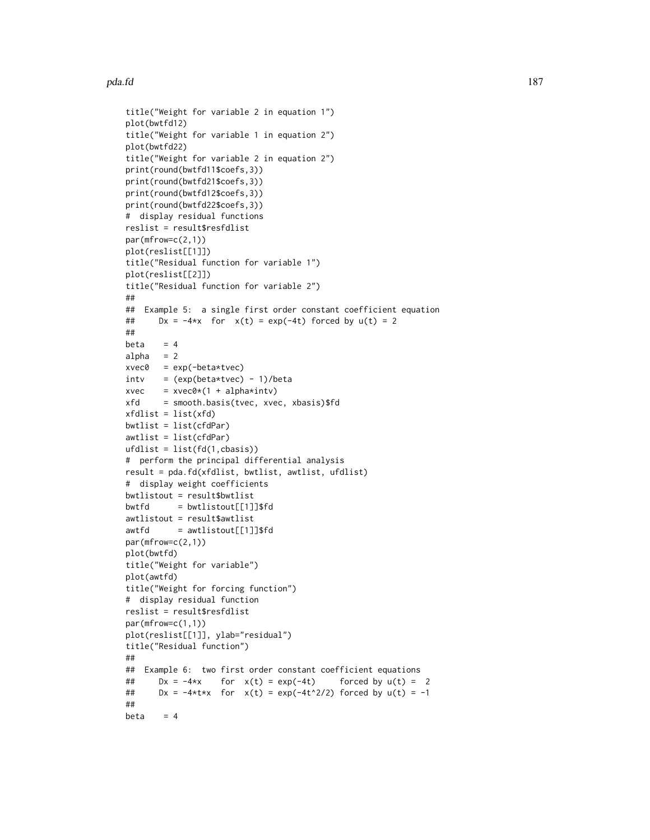#### pda.fd 187

```
title("Weight for variable 2 in equation 1")
plot(bwtfd12)
title("Weight for variable 1 in equation 2")
plot(bwtfd22)
title("Weight for variable 2 in equation 2")
print(round(bwtfd11$coefs,3))
print(round(bwtfd21$coefs,3))
print(round(bwtfd12$coefs,3))
print(round(bwtfd22$coefs,3))
# display residual functions
reslist = result$resfdlist
par(mfrow=c(2,1))
plot(reslist[[1]])
title("Residual function for variable 1")
plot(reslist[[2]])
title("Residual function for variable 2")
##
## Example 5: a single first order constant coefficient equation
## Dx = -4*x for x(t) = exp(-4t) forced by u(t) = 2##
beta = 4alpha = 2xvec0 = exp(-beta * tvec)intv = (exp(beta*tree) - 1)/betaxvec = xvec0*(1 + alpha*intv)xfd = smooth.basis(tvec, xvec, xbasis)$fd
xfdlist = list(xfd)
bwtlist = list(cfdPar)
awtlist = list(cfdPar)
ufdlist = list(fd(1,cbasis))
# perform the principal differential analysis
result = pda.fd(xfdlist, bwtlist, awtlist, ufdlist)
# display weight coefficients
bwtlistout = result$bwtlist
bwtfd = bwtlistout[[1]]$fd
awtlistout = result$awtlist
awtfd = awtlistout[[1]]$fd
par(mfrow=c(2,1))
plot(bwtfd)
title("Weight for variable")
plot(awtfd)
title("Weight for forcing function")
# display residual function
reslist = result$resfdlist
par(mfrow=c(1,1))
plot(reslist[[1]], ylab="residual")
title("Residual function")
##
## Example 6: two first order constant coefficient equations<br>## Dx = -4*x for x(t) = exp(-4t) forced by u(t) = 2## Dx = -4*x for x(t) = exp(-4t)## Dx = -4*t*x for x(t) = exp(-4t^2/2) forced by u(t) = -1##
beta = 4
```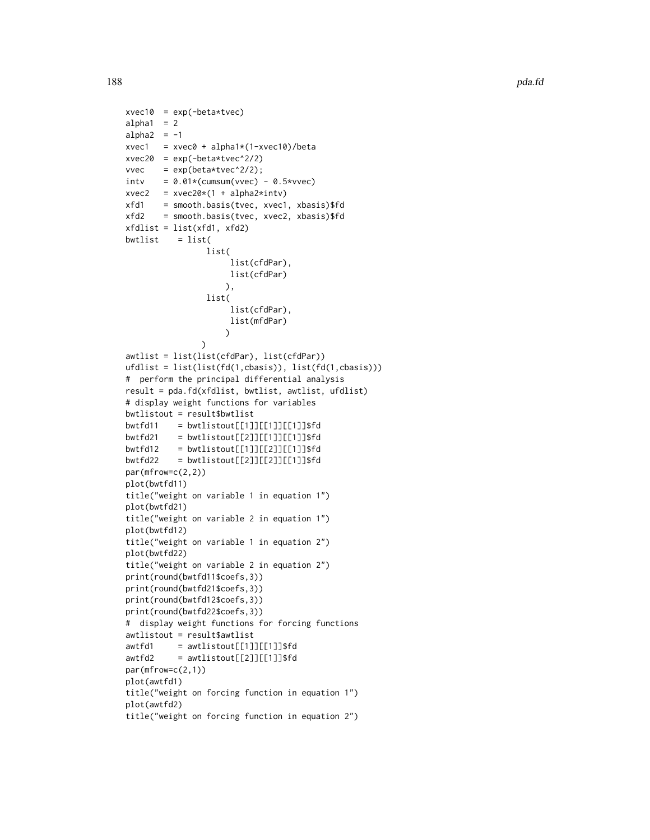```
xvec10 = exp(-beta * tvec)alpha1 = 2alpha2 = -1xvec1 = xvec0 + alpha1*(1-xvec10)/betaxvec20 = exp(-beta * tvec^2/2)vvec = exp(beta*tree^2/2);intv = 0.01*(cumsum(vvec) - 0.5*vvec)xvec2 = xvec20*(1 + alpha2*intv)xfd1 = smooth.basis(tvec, xvec1, xbasis)$fd
xfd2 = smooth.basis(tvec, xvec2, xbasis)$fd
xfdlist = list(xfd1, xfd2)
bwtlist = list(list(
                     list(cfdPar),
                     list(cfdPar)
                    ),
                list(
                     list(cfdPar),
                     list(mfdPar)
                    )
               )
awtlist = list(list(cfdPar), list(cfdPar))
ufdlist = list(list(fd(1,cbasis)), list(fd(1,cbasis)))
# perform the principal differential analysis
result = pda.fd(xfdlist, bwtlist, awtlist, ufdlist)
# display weight functions for variables
bwtlistout = result$bwtlist
bwtfd11 = bwtlistout[[1]][[1]][[1]]$fdbwtfd21 = bwtlistout[[2]][[1]][[1]]$fdbwtfd12 = bwtlistout[[1]][[2]][[1]]$fdbwtfd22 = bwtlistout[[2]][[2]][[1]]$fdpar(mfrow=c(2,2))
plot(bwtfd11)
title("weight on variable 1 in equation 1")
plot(bwtfd21)
title("weight on variable 2 in equation 1")
plot(bwtfd12)
title("weight on variable 1 in equation 2")
plot(bwtfd22)
title("weight on variable 2 in equation 2")
print(round(bwtfd11$coefs,3))
print(round(bwtfd21$coefs,3))
print(round(bwtfd12$coefs,3))
print(round(bwtfd22$coefs,3))
# display weight functions for forcing functions
awtlistout = result$awtlist
awtfd1 = awtlistout[[1]][[1]]$fd
awtfd2 = awtlistout[[2]][[1]]$fd
par(mfrow=c(2,1))
plot(awtfd1)
title("weight on forcing function in equation 1")
plot(awtfd2)
title("weight on forcing function in equation 2")
```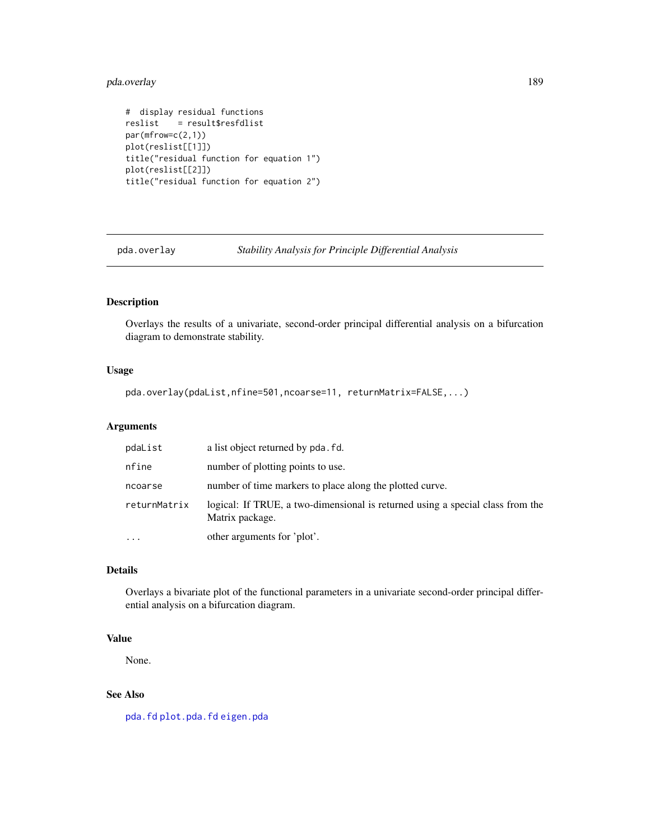# pda.overlay 189

```
# display residual functions
reslist = result$resfdlist
par(mfrow=c(2,1))
plot(reslist[[1]])
title("residual function for equation 1")
plot(reslist[[2]])
title("residual function for equation 2")
```
pda.overlay *Stability Analysis for Principle Differential Analysis*

# Description

Overlays the results of a univariate, second-order principal differential analysis on a bifurcation diagram to demonstrate stability.

# Usage

```
pda.overlay(pdaList,nfine=501,ncoarse=11, returnMatrix=FALSE,...)
```
# Arguments

| pdaList      | a list object returned by pda. fd.                                                                |
|--------------|---------------------------------------------------------------------------------------------------|
| nfine        | number of plotting points to use.                                                                 |
| ncoarse      | number of time markers to place along the plotted curve.                                          |
| returnMatrix | logical: If TRUE, a two-dimensional is returned using a special class from the<br>Matrix package. |
| $\ddotsc$    | other arguments for 'plot'.                                                                       |

# Details

Overlays a bivariate plot of the functional parameters in a univariate second-order principal differential analysis on a bifurcation diagram.

## Value

None.

# See Also

[pda.fd](#page-181-0) [plot.pda.fd](#page-201-0) [eigen.pda](#page-86-0)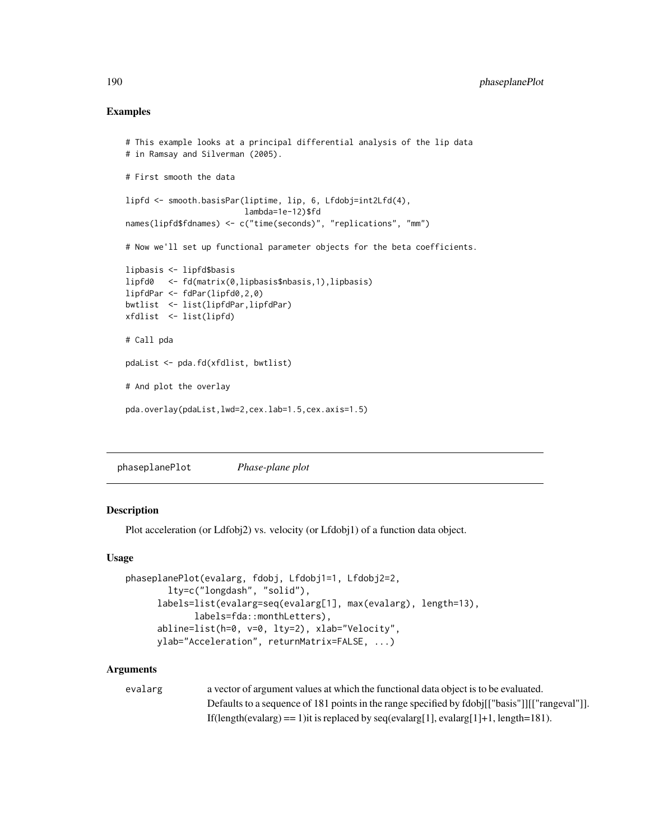## Examples

```
# This example looks at a principal differential analysis of the lip data
# in Ramsay and Silverman (2005).
# First smooth the data
lipfd <- smooth.basisPar(liptime, lip, 6, Lfdobj=int2Lfd(4),
                         lambda=1e-12)$fd
names(lipfd$fdnames) <- c("time(seconds)", "replications", "mm")
# Now we'll set up functional parameter objects for the beta coefficients.
lipbasis <- lipfd$basis
lipfd0 <- fd(matrix(0,lipbasis$nbasis,1),lipbasis)
lipfdPar <- fdPar(lipfd0,2,0)
bwtlist <- list(lipfdPar,lipfdPar)
xfdlist <- list(lipfd)
# Call pda
pdaList <- pda.fd(xfdlist, bwtlist)
# And plot the overlay
pda.overlay(pdaList,lwd=2,cex.lab=1.5,cex.axis=1.5)
```
phaseplanePlot *Phase-plane plot*

## **Description**

Plot acceleration (or Ldfobj2) vs. velocity (or Lfdobj1) of a function data object.

## Usage

```
phaseplanePlot(evalarg, fdobj, Lfdobj1=1, Lfdobj2=2,
       lty=c("longdash", "solid"),
     labels=list(evalarg=seq(evalarg[1], max(evalarg), length=13),
             labels=fda::monthLetters),
     abline=list(h=0, v=0, lty=2), xlab="Velocity",
     ylab="Acceleration", returnMatrix=FALSE, ...)
```
## Arguments

```
evalarg a vector of argument values at which the functional data object is to be evaluated.
                   Defaults to a sequence of 181 points in the range specified by fdobj[["basis"]][["rangeval"]].
                   If(length(evalarg) == 1)it is replaced by seq(evalarg[1], evalarg[1]+1, length=181).
```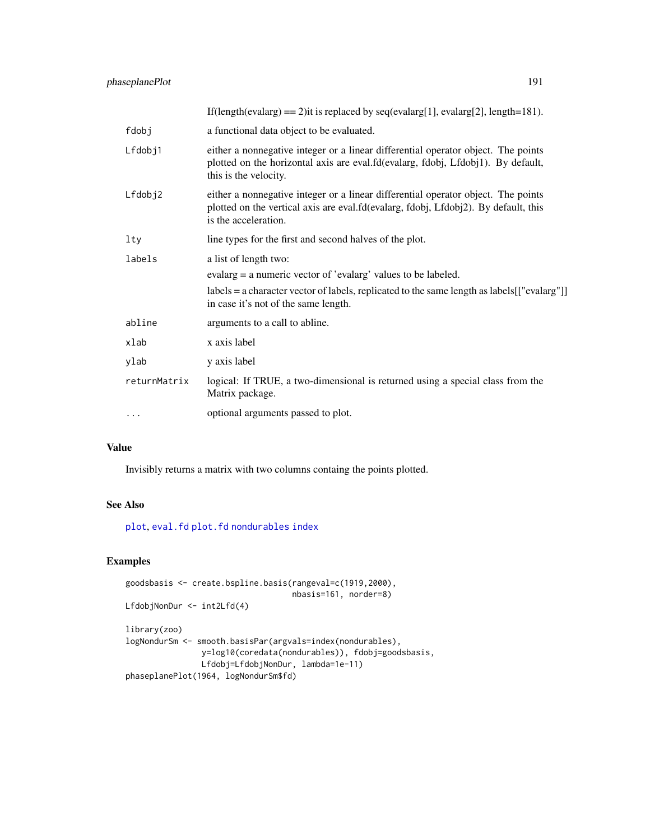|         | If(length(evalarg) = = 2) it is replaced by seq(evalarg[1], evalarg[2], length=181).                                                                                                             |
|---------|--------------------------------------------------------------------------------------------------------------------------------------------------------------------------------------------------|
| fdobi   | a functional data object to be evaluated.                                                                                                                                                        |
| Lfdobj1 | either a nonnegative integer or a linear differential operator object. The points<br>plotted on the horizontal axis are eval.fd(evalarg, fdobj, Lfdobj1). By default,<br>this is the velocity.   |
| Lfdobj2 | either a nonnegative integer or a linear differential operator object. The points<br>plotted on the vertical axis are eval.fd(evalarg, fdobj, Lfdobj2). By default, this<br>is the acceleration. |
| ltv     | line types for the first and second halves of the plot.                                                                                                                                          |
| labels  | a list of length two:                                                                                                                                                                            |
|         | evalarg = a numeric vector of 'evalarg' values to be labeled.                                                                                                                                    |
|         | $labels = a character vector of labels, replicated to the same length as labels[["evalarg"]$<br>in case it's not of the same length.                                                             |
| abline  | arguments to a call to abline.                                                                                                                                                                   |

| abline       | arguments to a call to abline.                                                                    |
|--------------|---------------------------------------------------------------------------------------------------|
| xlab         | x axis label                                                                                      |
| ylab         | y axis label                                                                                      |
| returnMatrix | logical: If TRUE, a two-dimensional is returned using a special class from the<br>Matrix package. |
| .            | optional arguments passed to plot.                                                                |

## Value

Invisibly returns a matrix with two columns containg the points plotted.

# See Also

[plot](#page-0-0), [eval.fd](#page-92-0) [plot.fd](#page-194-0) [nondurables](#page-175-0) [index](#page-0-0)

```
goodsbasis <- create.bspline.basis(rangeval=c(1919,2000),
                                   nbasis=161, norder=8)
LfdobjNonDur <- int2Lfd(4)
library(zoo)
logNondurSm <- smooth.basisPar(argvals=index(nondurables),
                y=log10(coredata(nondurables)), fdobj=goodsbasis,
                Lfdobj=LfdobjNonDur, lambda=1e-11)
```

```
phaseplanePlot(1964, logNondurSm$fd)
```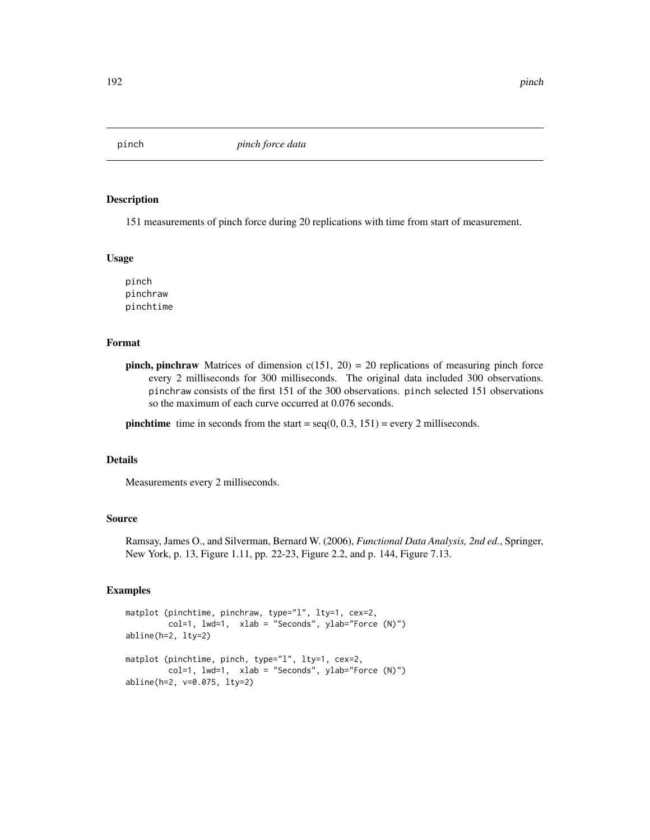# Description

151 measurements of pinch force during 20 replications with time from start of measurement.

## Usage

pinch pinchraw pinchtime

# Format

**pinch, pinchraw** Matrices of dimension  $c(151, 20) = 20$  replications of measuring pinch force every 2 milliseconds for 300 milliseconds. The original data included 300 observations. pinchraw consists of the first 151 of the 300 observations. pinch selected 151 observations so the maximum of each curve occurred at 0.076 seconds.

**pinchtime** time in seconds from the start =  $seq(0, 0.3, 151)$  = every 2 milliseconds.

## Details

Measurements every 2 milliseconds.

## Source

Ramsay, James O., and Silverman, Bernard W. (2006), *Functional Data Analysis, 2nd ed.*, Springer, New York, p. 13, Figure 1.11, pp. 22-23, Figure 2.2, and p. 144, Figure 7.13.

```
matplot (pinchtime, pinchraw, type="l", lty=1, cex=2,
        col=1, lwd=1, xlab = "Seconds", ylab='Force (N)")abline(h=2, lty=2)
matplot (pinchtime, pinch, type="l", lty=1, cex=2,
        col=1, lwd=1, xlab = "Seconds", ylab="Force (N)")
abline(h=2, v=0.075, lty=2)
```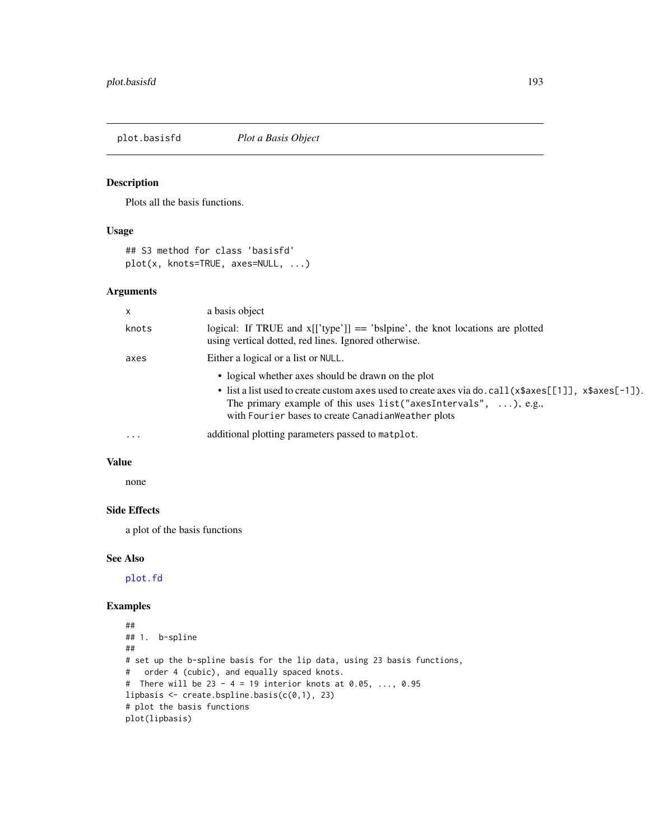# Description

Plots all the basis functions.

# Usage

## S3 method for class 'basisfd' plot(x, knots=TRUE, axes=NULL, ...)

# Arguments

| X        | a basis object                                                                                                                                                                                                                                                                                                  |
|----------|-----------------------------------------------------------------------------------------------------------------------------------------------------------------------------------------------------------------------------------------------------------------------------------------------------------------|
| knots    | logical: If TRUE and $x[[\text{type'}]] == \text{'bslpine'}$ , the knot locations are plotted<br>using vertical dotted, red lines. Ignored otherwise.                                                                                                                                                           |
| axes     | Either a logical or a list or NULL.                                                                                                                                                                                                                                                                             |
|          | • logical whether axes should be drawn on the plot<br>• list a list used to create custom axes used to create axes via do. call $(x\frac{2}{3})$ , $x\frac{2}{3}$ axes [-1]).<br>The primary example of this uses $list("axesIntervals", \ldots), e.g.,$<br>with Fourier bases to create Canadian Weather plots |
| $\cdots$ | additional plotting parameters passed to matplot.                                                                                                                                                                                                                                                               |

# Value

none

# Side Effects

a plot of the basis functions

## See Also

[plot.fd](#page-194-0)

```
##
## 1. b-spline
##
# set up the b-spline basis for the lip data, using 23 basis functions,
# order 4 (cubic), and equally spaced knots.
# There will be 23 - 4 = 19 interior knots at 0.05, ..., 0.95
lipbasis <- create.bspline.basis(c(0,1), 23)
# plot the basis functions
plot(lipbasis)
```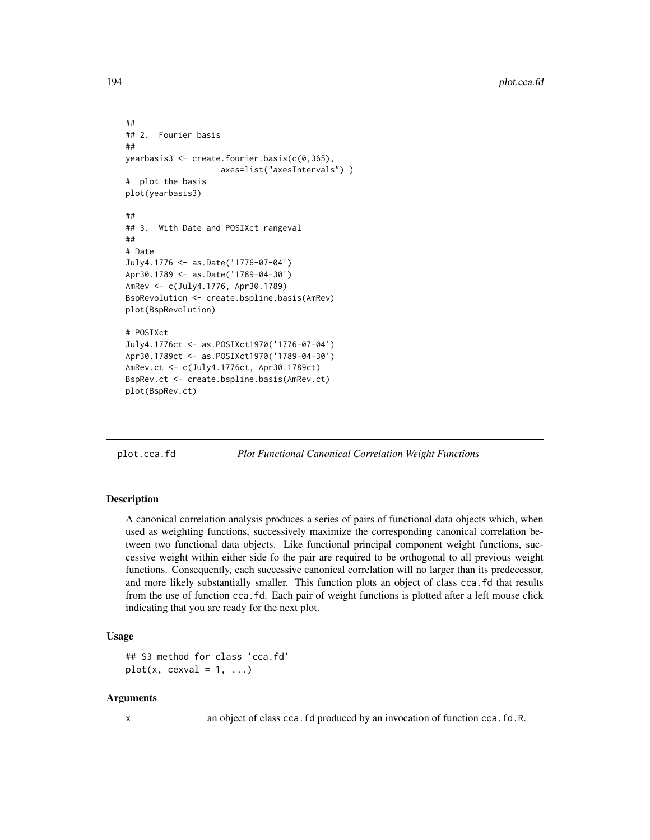```
##
## 2. Fourier basis
##
yearbasis3 <- create.fourier.basis(c(0,365),
                    axes=list("axesIntervals") )
# plot the basis
plot(yearbasis3)
##
## 3. With Date and POSIXct rangeval
##
# Date
July4.1776 <- as.Date('1776-07-04')
Apr30.1789 <- as.Date('1789-04-30')
AmRev <- c(July4.1776, Apr30.1789)
BspRevolution <- create.bspline.basis(AmRev)
plot(BspRevolution)
# POSIXct
July4.1776ct <- as.POSIXct1970('1776-07-04')
Apr30.1789ct <- as.POSIXct1970('1789-04-30')
AmRev.ct <- c(July4.1776ct, Apr30.1789ct)
BspRev.ct <- create.bspline.basis(AmRev.ct)
plot(BspRev.ct)
```
plot.cca.fd *Plot Functional Canonical Correlation Weight Functions*

## Description

A canonical correlation analysis produces a series of pairs of functional data objects which, when used as weighting functions, successively maximize the corresponding canonical correlation between two functional data objects. Like functional principal component weight functions, successive weight within either side fo the pair are required to be orthogonal to all previous weight functions. Consequently, each successive canonical correlation will no larger than its predecessor, and more likely substantially smaller. This function plots an object of class cca.fd that results from the use of function cca.fd. Each pair of weight functions is plotted after a left mouse click indicating that you are ready for the next plot.

# Usage

```
## S3 method for class 'cca.fd'
plot(x, cexval = 1, ...)
```
## Arguments

x an object of class cca.fd produced by an invocation of function cca.fd.R.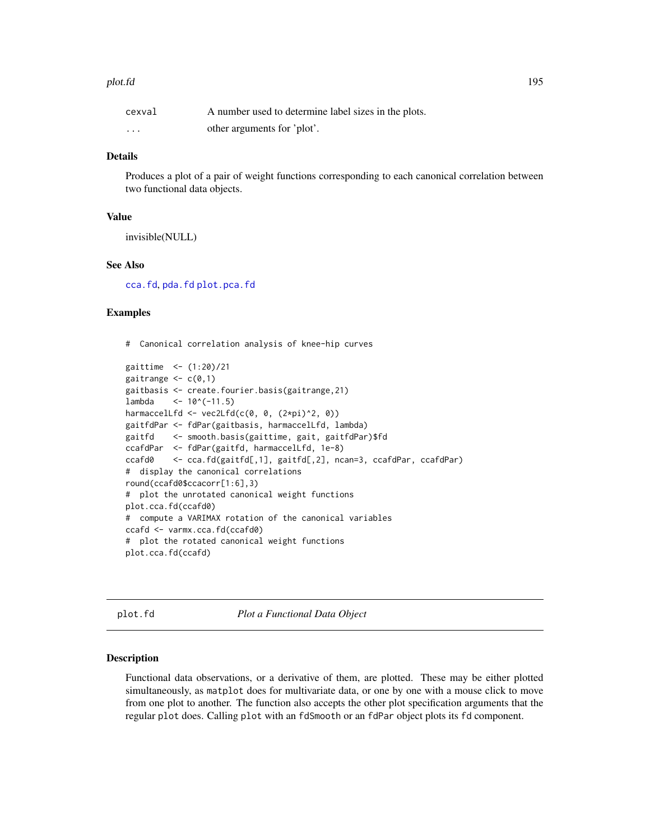#### plot.fd the contract of the contract of the contract of the contract of the contract of the contract of the contract of the contract of the contract of the contract of the contract of the contract of the contract of the co

| cexval            | A number used to determine label sizes in the plots. |
|-------------------|------------------------------------------------------|
| $\cdot\cdot\cdot$ | other arguments for 'plot'.                          |

#### Details

Produces a plot of a pair of weight functions corresponding to each canonical correlation between two functional data objects.

# Value

invisible(NULL)

#### See Also

[cca.fd](#page-31-0), [pda.fd](#page-181-0) [plot.pca.fd](#page-200-0)

## Examples

# Canonical correlation analysis of knee-hip curves

```
gaittime <- (1:20)/21
gaitrange \leq c(0,1)gaitbasis <- create.fourier.basis(gaitrange,21)
lambda <- 10^(-11.5)
harmaccelLfd <- vec2Lfd(c(0, 0, (2*pi)^2, 0))
gaitfdPar <- fdPar(gaitbasis, harmaccelLfd, lambda)
gaitfd <- smooth.basis(gaittime, gait, gaitfdPar)$fd
ccafdPar <- fdPar(gaitfd, harmaccelLfd, 1e-8)
ccafd0 <- cca.fd(gaitfd[,1], gaitfd[,2], ncan=3, ccafdPar, ccafdPar)
# display the canonical correlations
round(ccafd0$ccacorr[1:6],3)
# plot the unrotated canonical weight functions
plot.cca.fd(ccafd0)
# compute a VARIMAX rotation of the canonical variables
ccafd <- varmx.cca.fd(ccafd0)
# plot the rotated canonical weight functions
plot.cca.fd(ccafd)
```
<span id="page-194-0"></span>plot.fd *Plot a Functional Data Object*

## <span id="page-194-1"></span>Description

Functional data observations, or a derivative of them, are plotted. These may be either plotted simultaneously, as matplot does for multivariate data, or one by one with a mouse click to move from one plot to another. The function also accepts the other plot specification arguments that the regular plot does. Calling plot with an fdSmooth or an fdPar object plots its fd component.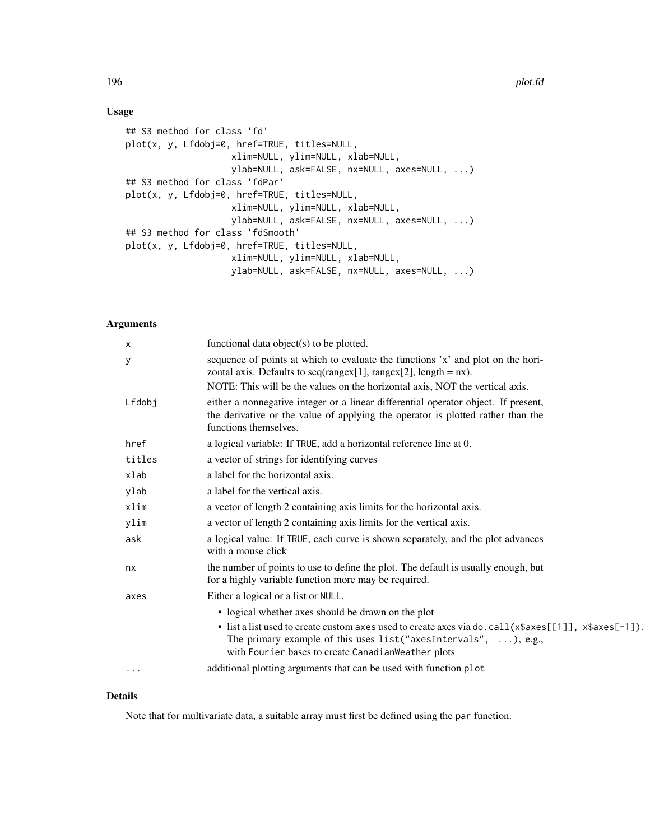## Usage

```
## S3 method for class 'fd'
plot(x, y, Lfdobj=0, href=TRUE, titles=NULL,
                    xlim=NULL, ylim=NULL, xlab=NULL,
                    ylab=NULL, ask=FALSE, nx=NULL, axes=NULL, ...)
## S3 method for class 'fdPar'
plot(x, y, Lfdobj=0, href=TRUE, titles=NULL,
                    xlim=NULL, ylim=NULL, xlab=NULL,
                    ylab=NULL, ask=FALSE, nx=NULL, axes=NULL, ...)
## S3 method for class 'fdSmooth'
plot(x, y, Lfdobj=0, href=TRUE, titles=NULL,
                    xlim=NULL, ylim=NULL, xlab=NULL,
                    ylab=NULL, ask=FALSE, nx=NULL, axes=NULL, ...)
```
## Arguments

| $\times$ | functional data object(s) to be plotted.                                                                                                                                                                                                            |
|----------|-----------------------------------------------------------------------------------------------------------------------------------------------------------------------------------------------------------------------------------------------------|
| У        | sequence of points at which to evaluate the functions 'x' and plot on the hori-<br>zontal axis. Defaults to $seq(rangex[1], rangex[2], length = nx)$ .                                                                                              |
|          | NOTE: This will be the values on the horizontal axis, NOT the vertical axis.                                                                                                                                                                        |
| Lfdobi   | either a nonnegative integer or a linear differential operator object. If present,<br>the derivative or the value of applying the operator is plotted rather than the<br>functions themselves.                                                      |
| href     | a logical variable: If TRUE, add a horizontal reference line at 0.                                                                                                                                                                                  |
| titles   | a vector of strings for identifying curves                                                                                                                                                                                                          |
| xlab     | a label for the horizontal axis.                                                                                                                                                                                                                    |
| ylab     | a label for the vertical axis.                                                                                                                                                                                                                      |
| xlim     | a vector of length 2 containing axis limits for the horizontal axis.                                                                                                                                                                                |
| ylim     | a vector of length 2 containing axis limits for the vertical axis.                                                                                                                                                                                  |
| ask      | a logical value: If TRUE, each curve is shown separately, and the plot advances<br>with a mouse click                                                                                                                                               |
| nx       | the number of points to use to define the plot. The default is usually enough, but<br>for a highly variable function more may be required.                                                                                                          |
| axes     | Either a logical or a list or NULL.                                                                                                                                                                                                                 |
|          | • logical whether axes should be drawn on the plot                                                                                                                                                                                                  |
|          | • list a list used to create custom axes used to create axes via do. call $(x\frac{2}{\sqrt{1}}), x\frac{2}{\sqrt{1}})$ .<br>The primary example of this uses $list("axesIntervals", , e.g.,$<br>with Fourier bases to create CanadianWeather plots |
| $\cdots$ | additional plotting arguments that can be used with function plot                                                                                                                                                                                   |
|          |                                                                                                                                                                                                                                                     |

# Details

Note that for multivariate data, a suitable array must first be defined using the par function.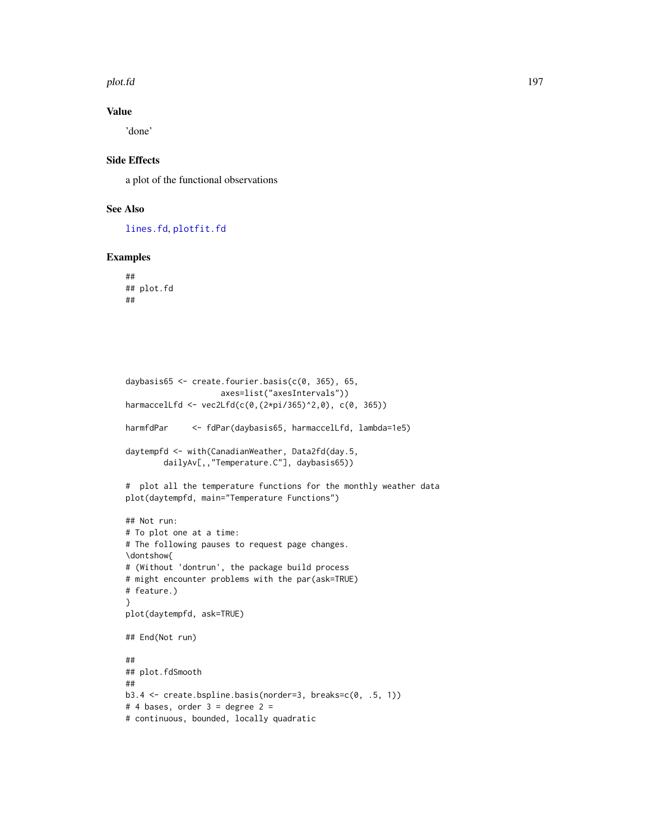plot.fd the contract of the contract of the contract of the contract of the contract of the contract of the contract of the contract of the contract of the contract of the contract of the contract of the contract of the co

## Value

'done'

# Side Effects

a plot of the functional observations

# See Also

[lines.fd](#page-155-0), [plotfit.fd](#page-204-0)

# Examples

## ## plot.fd ##

```
daybasis65 <- create.fourier.basis(c(0, 365), 65,
                    axes=list("axesIntervals"))
harmaccelLfd <- vec2Lfd(c(0,(2*pi/365)^2,0), c(0, 365))
harmfdPar <- fdPar(daybasis65, harmaccelLfd, lambda=1e5)
daytempfd <- with(CanadianWeather, Data2fd(day.5,
        dailyAv[,,"Temperature.C"], daybasis65))
# plot all the temperature functions for the monthly weather data
plot(daytempfd, main="Temperature Functions")
## Not run:
# To plot one at a time:
# The following pauses to request page changes.
\dontshow{
# (Without 'dontrun', the package build process
# might encounter problems with the par(ask=TRUE)
# feature.)
}
plot(daytempfd, ask=TRUE)
## End(Not run)
##
## plot.fdSmooth
##
b3.4 <- create.bspline.basis(norder=3, breaks=c(0, .5, 1))
# 4 bases, order 3 = \text{degree } 2 =# continuous, bounded, locally quadratic
```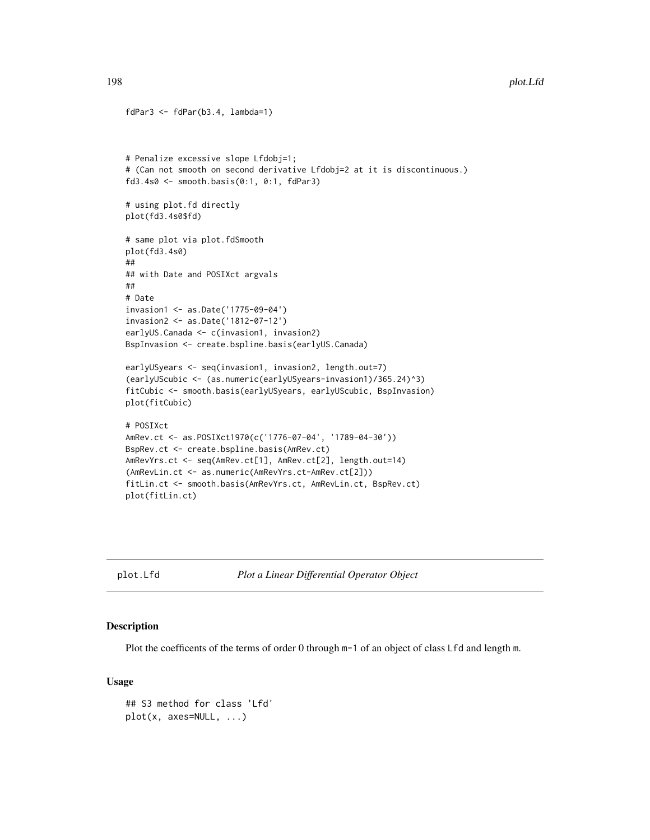```
fdPar3 <- fdPar(b3.4, lambda=1)
# Penalize excessive slope Lfdobj=1;
# (Can not smooth on second derivative Lfdobj=2 at it is discontinuous.)
fd3.4s0 <- smooth.basis(0:1, 0:1, fdPar3)
# using plot.fd directly
plot(fd3.4s0$fd)
# same plot via plot.fdSmooth
plot(fd3.4s0)
##
## with Date and POSIXct argvals
##
# Date
invasion1 <- as.Date('1775-09-04')
invasion2 <- as.Date('1812-07-12')
earlyUS.Canada <- c(invasion1, invasion2)
BspInvasion <- create.bspline.basis(earlyUS.Canada)
earlyUSyears <- seq(invasion1, invasion2, length.out=7)
(earlyUScubic <- (as.numeric(earlyUSyears-invasion1)/365.24)^3)
fitCubic <- smooth.basis(earlyUSyears, earlyUScubic, BspInvasion)
plot(fitCubic)
# POSIXct
AmRev.ct <- as.POSIXct1970(c('1776-07-04', '1789-04-30'))
BspRev.ct <- create.bspline.basis(AmRev.ct)
AmRevYrs.ct <- seq(AmRev.ct[1], AmRev.ct[2], length.out=14)
(AmRevLin.ct <- as.numeric(AmRevYrs.ct-AmRev.ct[2]))
fitLin.ct <- smooth.basis(AmRevYrs.ct, AmRevLin.ct, BspRev.ct)
plot(fitLin.ct)
```
plot.Lfd *Plot a Linear Differential Operator Object*

## Description

Plot the coefficents of the terms of order 0 through m-1 of an object of class Lfd and length m.

### Usage

```
## S3 method for class 'Lfd'
plot(x, axes=NULL, ...)
```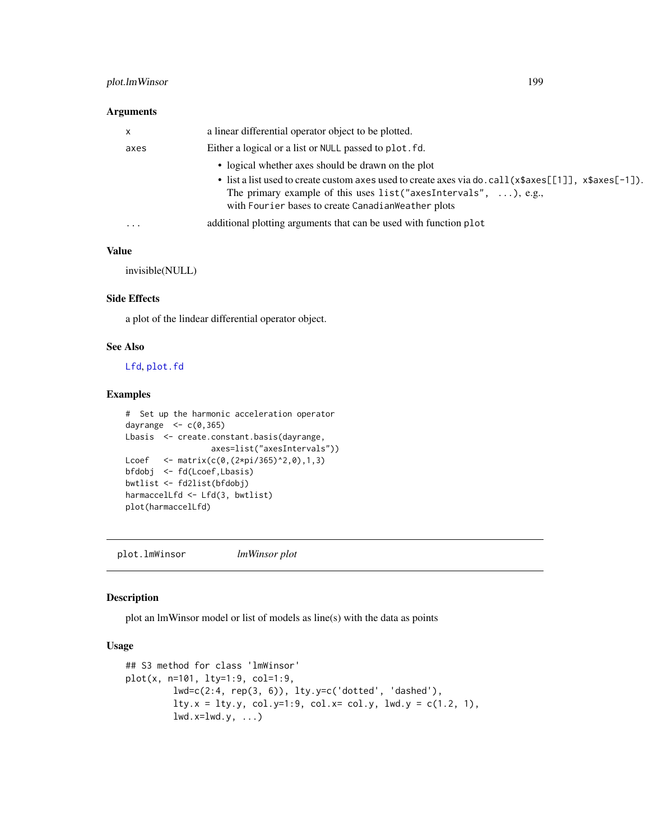# plot.lmWinsor 199

## Arguments

| X         | a linear differential operator object to be plotted.                                                                                                                                                                                                                                                      |
|-----------|-----------------------------------------------------------------------------------------------------------------------------------------------------------------------------------------------------------------------------------------------------------------------------------------------------------|
| axes      | Either a logical or a list or NULL passed to plot. fd.                                                                                                                                                                                                                                                    |
|           | • logical whether axes should be drawn on the plot<br>• list a list used to create custom axes used to create axes via do. call $(x\frac{2}{\sqrt{1}}), x\frac{2}{\sqrt{1}})$ .<br>The primary example of this uses $list("axesIntervals", , e.g.,$<br>with Fourier bases to create CanadianWeather plots |
| $\ddotsc$ | additional plotting arguments that can be used with function plot                                                                                                                                                                                                                                         |

## Value

invisible(NULL)

## Side Effects

a plot of the lindear differential operator object.

# See Also

[Lfd](#page-154-0), [plot.fd](#page-194-0)

## Examples

```
# Set up the harmonic acceleration operator
dayrange \leq -c(0,365)Lbasis <- create.constant.basis(dayrange,
                  axes=list("axesIntervals"))
Lcoef \leq matrix(c(0,(2*pi/365)^2,0),1,3)
bfdobj <- fd(Lcoef,Lbasis)
bwtlist <- fd2list(bfdobj)
harmaccelLfd <- Lfd(3, bwtlist)
plot(harmaccelLfd)
```
plot.lmWinsor *lmWinsor plot*

## Description

plot an lmWinsor model or list of models as line(s) with the data as points

## Usage

```
## S3 method for class 'lmWinsor'
plot(x, n=101, lty=1:9, col=1:9,
        lwd=c(2:4, rep(3, 6)), lty.y=c('dotted', 'dashed'),
         lty.x = lty.y, col.y=1:9, col.x= col.y, lwd.y = c(1.2, 1),lwd.x=lwd.y, ...
```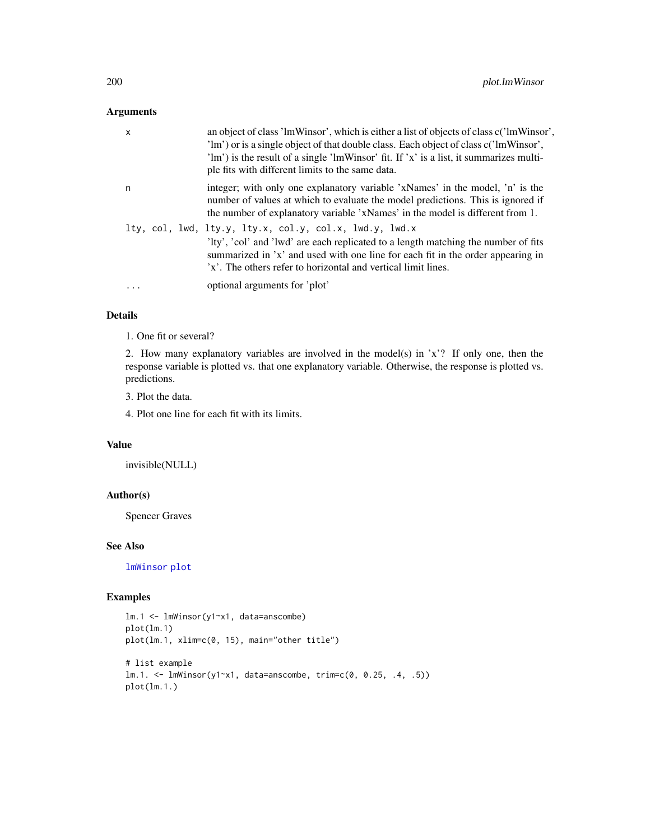## Arguments

| X |          | an object of class 'lmWinsor', which is either a list of objects of class c('lmWinsor',<br>'lm') or is a single object of that double class. Each object of class c('lmWinsor',<br>'lm') is the result of a single 'lmWinsor' fit. If 'x' is a list, it summarizes multi-<br>ple fits with different limits to the same data. |
|---|----------|-------------------------------------------------------------------------------------------------------------------------------------------------------------------------------------------------------------------------------------------------------------------------------------------------------------------------------|
| n |          | integer; with only one explanatory variable 'xNames' in the model, 'n' is the<br>number of values at which to evaluate the model predictions. This is ignored if<br>the number of explanatory variable 'xNames' in the model is different from 1.                                                                             |
|   |          | lty, col, lwd, lty.y, lty.x, col.y, col.x, lwd.y, lwd.x<br>'lty', 'col' and 'lwd' are each replicated to a length matching the number of fits<br>summarized in 'x' and used with one line for each fit in the order appearing in<br>'x'. The others refer to horizontal and vertical limit lines.                             |
|   | $\cdots$ | optional arguments for 'plot'                                                                                                                                                                                                                                                                                                 |

# Details

1. One fit or several?

2. How many explanatory variables are involved in the model(s) in  $x$ ? If only one, then the response variable is plotted vs. that one explanatory variable. Otherwise, the response is plotted vs. predictions.

3. Plot the data.

4. Plot one line for each fit with its limits.

# Value

invisible(NULL)

# Author(s)

Spencer Graves

## See Also

[lmWinsor](#page-161-0) [plot](#page-0-0)

```
lm.1 <- lmWinsor(y1~x1, data=anscombe)
plot(lm.1)
plot(lm.1, xlim=c(0, 15), main="other title")
```

```
# list example
lm.1. <- lmWinsor(y1~x1, data=anscombe, trim=c(0, 0.25, .4, .5))
plot(lm.1.)
```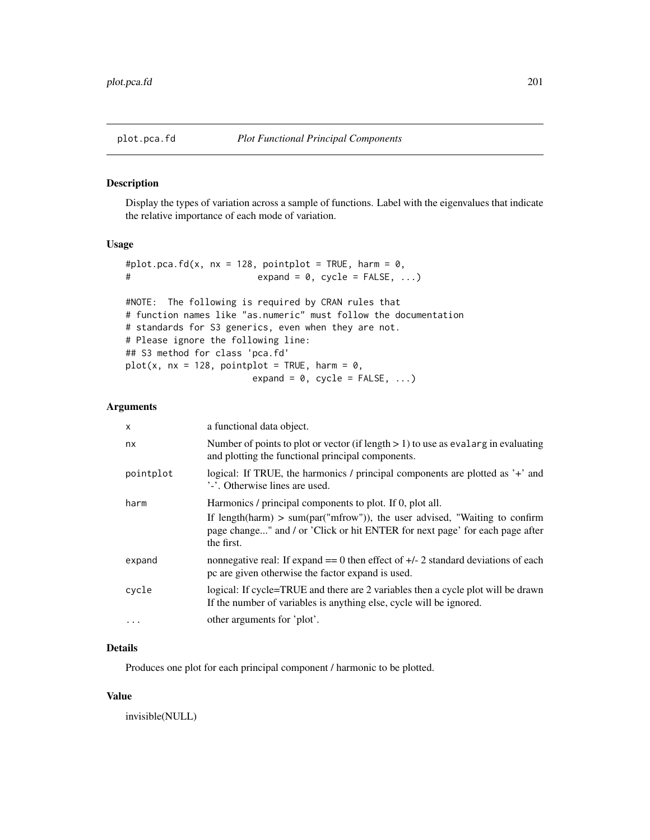<span id="page-200-0"></span>

## Description

Display the types of variation across a sample of functions. Label with the eigenvalues that indicate the relative importance of each mode of variation.

# Usage

```
#plot.pca.fd(x, nx = 128, pointplot = TRUE, harm = 0,
# expand = 0, cycle = FALSE, ...)
```

```
#NOTE: The following is required by CRAN rules that
# function names like "as.numeric" must follow the documentation
# standards for S3 generics, even when they are not.
# Please ignore the following line:
## S3 method for class 'pca.fd'
plot(x, nx = 128, pointplot = TRUE, harm = 0,expand = 0, cycle = FALSE, ...)
```
# Arguments

| $\times$  | a functional data object.                                                                                                                                                                                                               |
|-----------|-----------------------------------------------------------------------------------------------------------------------------------------------------------------------------------------------------------------------------------------|
| nx        | Number of points to plot or vector (if length $> 1$ ) to use as evalarg in evaluating<br>and plotting the functional principal components.                                                                                              |
| pointplot | logical: If TRUE, the harmonics / principal components are plotted as '+' and<br>'-'. Otherwise lines are used.                                                                                                                         |
| harm      | Harmonics / principal components to plot. If 0, plot all.<br>If length(harm) $>$ sum(par("mfrow")), the user advised, "Waiting to confirm<br>page change" and / or 'Click or hit ENTER for next page' for each page after<br>the first. |
| expand    | nonnegative real: If expand $== 0$ then effect of $+/- 2$ standard deviations of each<br>pc are given otherwise the factor expand is used.                                                                                              |
| cycle     | logical: If cycle=TRUE and there are 2 variables then a cycle plot will be drawn<br>If the number of variables is anything else, cycle will be ignored.                                                                                 |
| $\cdots$  | other arguments for 'plot'.                                                                                                                                                                                                             |

## Details

Produces one plot for each principal component / harmonic to be plotted.

#### Value

invisible(NULL)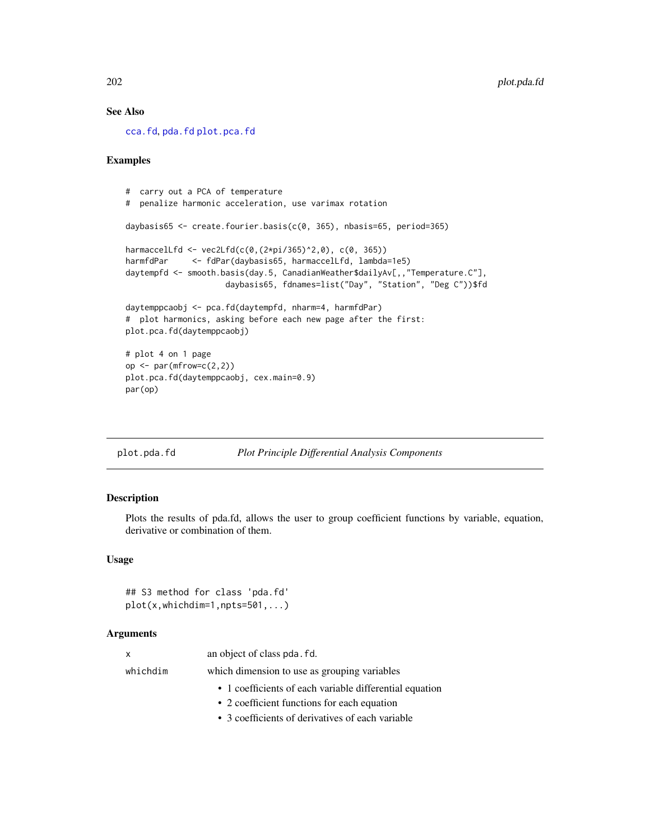# See Also

[cca.fd](#page-31-0), [pda.fd](#page-181-0) [plot.pca.fd](#page-200-0)

# Examples

```
# carry out a PCA of temperature
# penalize harmonic acceleration, use varimax rotation
daybasis65 <- create.fourier.basis(c(0, 365), nbasis=65, period=365)
harmaccelLfd <- vec2Lfd(c(0,(2*pi/365)^2,0), c(0, 365))
harmfdPar <- fdPar(daybasis65, harmaccelLfd, lambda=1e5)
daytempfd <- smooth.basis(day.5, CanadianWeather$dailyAv[,,"Temperature.C"],
                    daybasis65, fdnames=list("Day", "Station", "Deg C"))$fd
daytemppcaobj <- pca.fd(daytempfd, nharm=4, harmfdPar)
# plot harmonics, asking before each new page after the first:
plot.pca.fd(daytemppcaobj)
# plot 4 on 1 page
op <- par(mfrow=c(2,2))
plot.pca.fd(daytemppcaobj, cex.main=0.9)
par(op)
```
# <span id="page-201-0"></span>plot.pda.fd *Plot Principle Differential Analysis Components*

## Description

Plots the results of pda.fd, allows the user to group coefficient functions by variable, equation, derivative or combination of them.

# Usage

```
## S3 method for class 'pda.fd'
plot(x,whichdim=1,npts=501,...)
```
#### Arguments

| $\mathsf{X}$ | an object of class pda. fd.                             |
|--------------|---------------------------------------------------------|
| whichdim     | which dimension to use as grouping variables            |
|              | • 1 coefficients of each variable differential equation |
|              | • 2 coefficient functions for each equation             |

• 3 coefficients of derivatives of each variable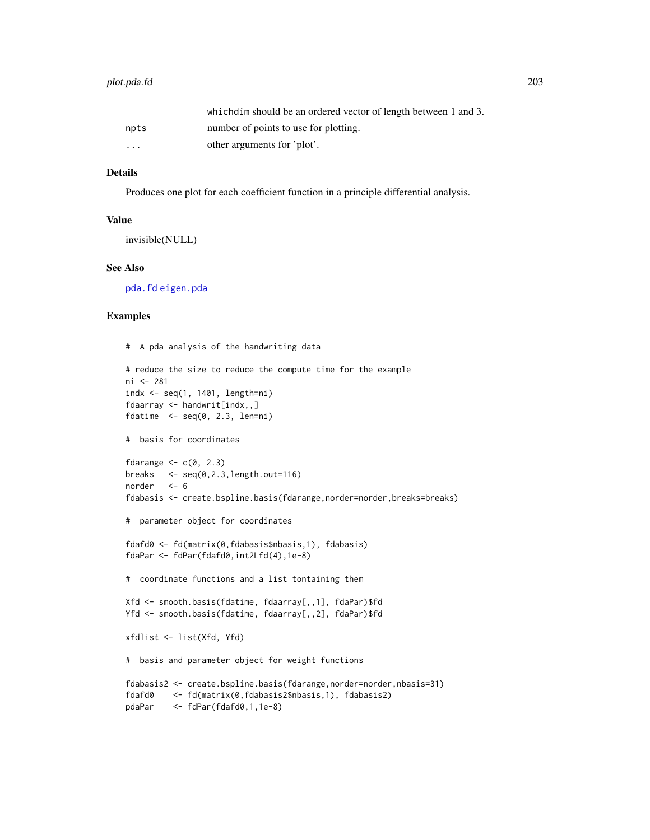|                         | whichdim should be an ordered vector of length between 1 and 3. |
|-------------------------|-----------------------------------------------------------------|
| npts                    | number of points to use for plotting.                           |
| $\cdot$ $\cdot$ $\cdot$ | other arguments for 'plot'.                                     |

#### Details

Produces one plot for each coefficient function in a principle differential analysis.

## Value

invisible(NULL)

#### See Also

[pda.fd](#page-181-0) [eigen.pda](#page-86-0)

```
# A pda analysis of the handwriting data
# reduce the size to reduce the compute time for the example
ni <- 281
indx <- seq(1, 1401, length=ni)
fdaarray <- handwrit[indx,,]
fdatime \leq seq(0, 2.3, len=ni)
# basis for coordinates
fdarange <-c(0, 2.3)breaks \leftarrow seq(0, 2.3,length.out=116)
norder <- 6
fdabasis <- create.bspline.basis(fdarange,norder=norder,breaks=breaks)
# parameter object for coordinates
fdafd0 <- fd(matrix(0,fdabasis$nbasis,1), fdabasis)
fdaPar <- fdPar(fdafd0,int2Lfd(4),1e-8)
# coordinate functions and a list tontaining them
Xfd <- smooth.basis(fdatime, fdaarray[,,1], fdaPar)$fd
Yfd <- smooth.basis(fdatime, fdaarray[,,2], fdaPar)$fd
xfdlist <- list(Xfd, Yfd)
# basis and parameter object for weight functions
fdabasis2 <- create.bspline.basis(fdarange,norder=norder,nbasis=31)
fdafd0 <- fd(matrix(0,fdabasis2$nbasis,1), fdabasis2)
pdaPar <- fdPar(fdafd0,1,1e-8)
```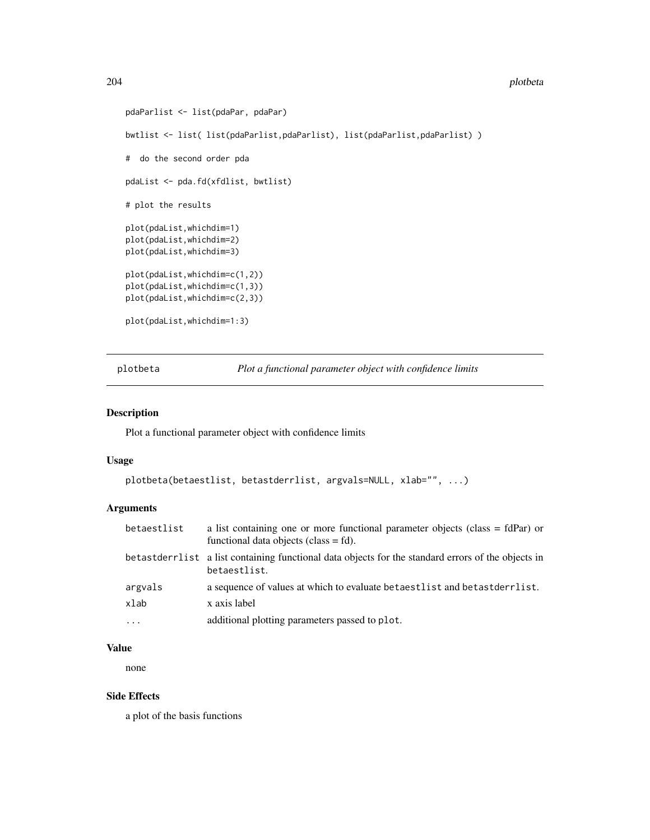#### 204 plotbeta

```
pdaParlist <- list(pdaPar, pdaPar)
bwtlist <- list( list(pdaParlist,pdaParlist), list(pdaParlist,pdaParlist) )
# do the second order pda
pdaList <- pda.fd(xfdlist, bwtlist)
# plot the results
plot(pdaList,whichdim=1)
plot(pdaList,whichdim=2)
plot(pdaList,whichdim=3)
plot(pdaList,whichdim=c(1,2))
plot(pdaList,whichdim=c(1,3))
plot(pdaList,whichdim=c(2,3))
plot(pdaList,whichdim=1:3)
```
plotbeta *Plot a functional parameter object with confidence limits*

# Description

Plot a functional parameter object with confidence limits

## Usage

```
plotbeta(betaestlist, betastderrlist, argvals=NULL, xlab="", ...)
```
# Arguments

| betaestlist | a list containing one or more functional parameter objects (class $= f dP$ ar) or<br>functional data objects (class $=$ fd). |
|-------------|------------------------------------------------------------------------------------------------------------------------------|
|             | betastderrlist a list containing functional data objects for the standard errors of the objects in<br>betaestlist.           |
| argvals     | a sequence of values at which to evaluate betaestlist and betastderrlist.                                                    |
| xlab        | x axis label                                                                                                                 |
| $\cdots$    | additional plotting parameters passed to plot.                                                                               |

# Value

none

# Side Effects

a plot of the basis functions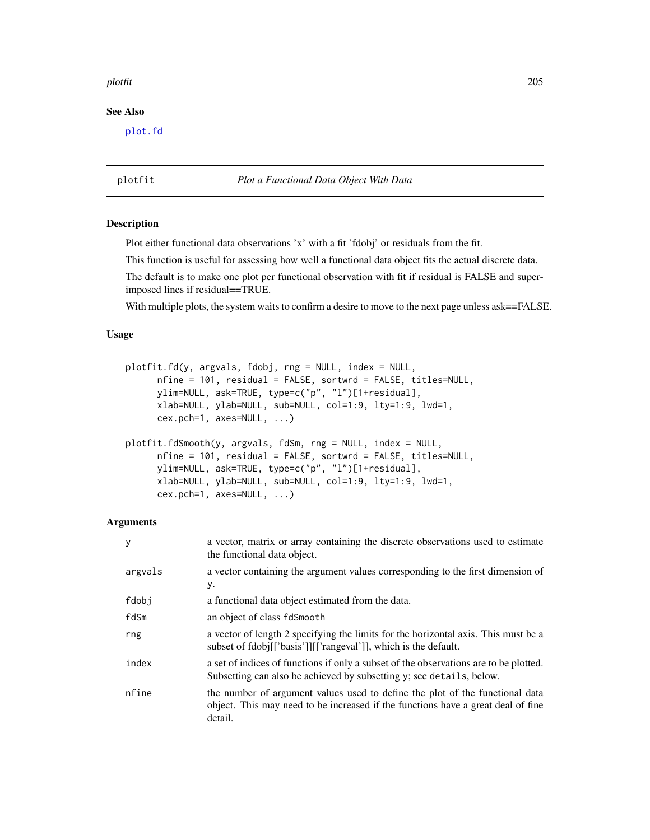#### plotfit 205

### See Also

[plot.fd](#page-194-0)

plotfit *Plot a Functional Data Object With Data*

#### <span id="page-204-0"></span>Description

Plot either functional data observations 'x' with a fit 'fdobj' or residuals from the fit.

This function is useful for assessing how well a functional data object fits the actual discrete data.

The default is to make one plot per functional observation with fit if residual is FALSE and superimposed lines if residual==TRUE.

With multiple plots, the system waits to confirm a desire to move to the next page unless ask==FALSE.

## Usage

```
plotfit.fd(y, argvals, fdobj, rng = NULL, index = NULL,
     nfine = 101, residual = FALSE, sortwrd = FALSE, titles=NULL,
     ylim=NULL, ask=TRUE, type=c("p", "l")[1+residual],
     xlab=NULL, ylab=NULL, sub=NULL, col=1:9, lty=1:9, lwd=1,
     cex.pch=1, axes=NULL, ...)
plotfit.fdSmooth(y, argvals, fdSm, rng = NULL, index = NULL,
     nfine = 101, residual = FALSE, sortwrd = FALSE, titles=NULL,
     ylim=NULL, ask=TRUE, type=c("p", "l")[1+residual],
     xlab=NULL, ylab=NULL, sub=NULL, col=1:9, lty=1:9, lwd=1,
     cex.pch=1, axes=NULL, ...)
```
## Arguments

| У       | a vector, matrix or array containing the discrete observations used to estimate<br>the functional data object.                                                              |
|---------|-----------------------------------------------------------------------------------------------------------------------------------------------------------------------------|
| argvals | a vector containing the argument values corresponding to the first dimension of<br>у.                                                                                       |
| fdobj   | a functional data object estimated from the data.                                                                                                                           |
| fdSm    | an object of class fdSmooth                                                                                                                                                 |
| rng     | a vector of length 2 specifying the limits for the horizontal axis. This must be a<br>subset of fdobilitions if if it is the default.                                       |
| index   | a set of indices of functions if only a subset of the observations are to be plotted.<br>Subsetting can also be achieved by subsetting y; see details, below.               |
| nfine   | the number of argument values used to define the plot of the functional data<br>object. This may need to be increased if the functions have a great deal of fine<br>detail. |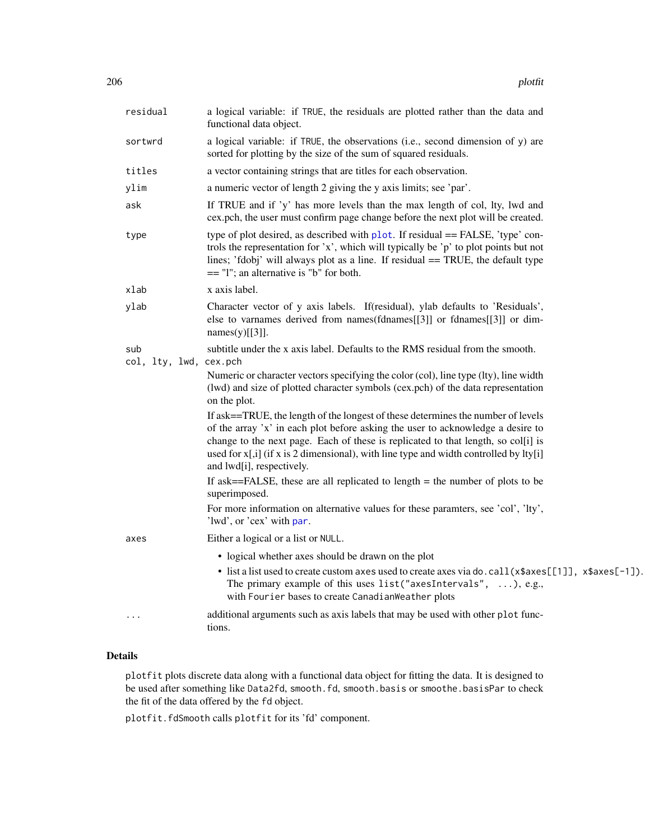| residual                      | a logical variable: if TRUE, the residuals are plotted rather than the data and<br>functional data object.                                                                                                                                                                                                                                                                                                                                                                                                                                                                                                                                                                                                                                                                                                                                                                             |
|-------------------------------|----------------------------------------------------------------------------------------------------------------------------------------------------------------------------------------------------------------------------------------------------------------------------------------------------------------------------------------------------------------------------------------------------------------------------------------------------------------------------------------------------------------------------------------------------------------------------------------------------------------------------------------------------------------------------------------------------------------------------------------------------------------------------------------------------------------------------------------------------------------------------------------|
| sortwrd                       | a logical variable: if TRUE, the observations (i.e., second dimension of y) are<br>sorted for plotting by the size of the sum of squared residuals.                                                                                                                                                                                                                                                                                                                                                                                                                                                                                                                                                                                                                                                                                                                                    |
| titles                        | a vector containing strings that are titles for each observation.                                                                                                                                                                                                                                                                                                                                                                                                                                                                                                                                                                                                                                                                                                                                                                                                                      |
| ylim                          | a numeric vector of length 2 giving the y axis limits; see 'par'.                                                                                                                                                                                                                                                                                                                                                                                                                                                                                                                                                                                                                                                                                                                                                                                                                      |
| ask                           | If TRUE and if 'y' has more levels than the max length of col, lty, lwd and<br>cex.pch, the user must confirm page change before the next plot will be created.                                                                                                                                                                                                                                                                                                                                                                                                                                                                                                                                                                                                                                                                                                                        |
| type                          | type of plot desired, as described with plot. If residual == FALSE, 'type' con-<br>trols the representation for 'x', which will typically be 'p' to plot points but not<br>lines; 'fdobj' will always plot as a line. If residual == TRUE, the default type<br>$==$ "1"; an alternative is "b" for both.                                                                                                                                                                                                                                                                                                                                                                                                                                                                                                                                                                               |
| xlab                          | x axis label.                                                                                                                                                                                                                                                                                                                                                                                                                                                                                                                                                                                                                                                                                                                                                                                                                                                                          |
| ylab                          | Character vector of y axis labels. If(residual), ylab defaults to 'Residuals',<br>else to varnames derived from names(fdnames[[3]] or fdnames[[3]] or dim-<br>names(y)[[3]].                                                                                                                                                                                                                                                                                                                                                                                                                                                                                                                                                                                                                                                                                                           |
| sub<br>col, lty, lwd, cex.pch | subtitle under the x axis label. Defaults to the RMS residual from the smooth.<br>Numeric or character vectors specifying the color (col), line type (lty), line width<br>(lwd) and size of plotted character symbols (cex.pch) of the data representation<br>on the plot.<br>If ask==TRUE, the length of the longest of these determines the number of levels<br>of the array 'x' in each plot before asking the user to acknowledge a desire to<br>change to the next page. Each of these is replicated to that length, so col[i] is<br>used for x[,i] (if x is 2 dimensional), with line type and width controlled by lty[i]<br>and lwd[i], respectively.<br>If ask= $=$ FALSE, these are all replicated to length $=$ the number of plots to be<br>superimposed.<br>For more information on alternative values for these paramters, see 'col', 'lty',<br>'lwd', or 'cex' with par. |
| axes                          | Either a logical or a list or NULL.<br>• logical whether axes should be drawn on the plot<br>• list a list used to create custom axes used to create axes via do. call(x\$axes[[1]], x\$axes[-1]).<br>The primary example of this uses list("axesIntervals", ), e.g.,<br>with Fourier bases to create CanadianWeather plots                                                                                                                                                                                                                                                                                                                                                                                                                                                                                                                                                            |
| $\cdots$                      | additional arguments such as axis labels that may be used with other plot func-<br>tions.                                                                                                                                                                                                                                                                                                                                                                                                                                                                                                                                                                                                                                                                                                                                                                                              |

# Details

plotfit plots discrete data along with a functional data object for fitting the data. It is designed to be used after something like Data2fd, smooth.fd, smooth.basis or smoothe.basisPar to check the fit of the data offered by the fd object.

plotfit.fdSmooth calls plotfit for its 'fd' component.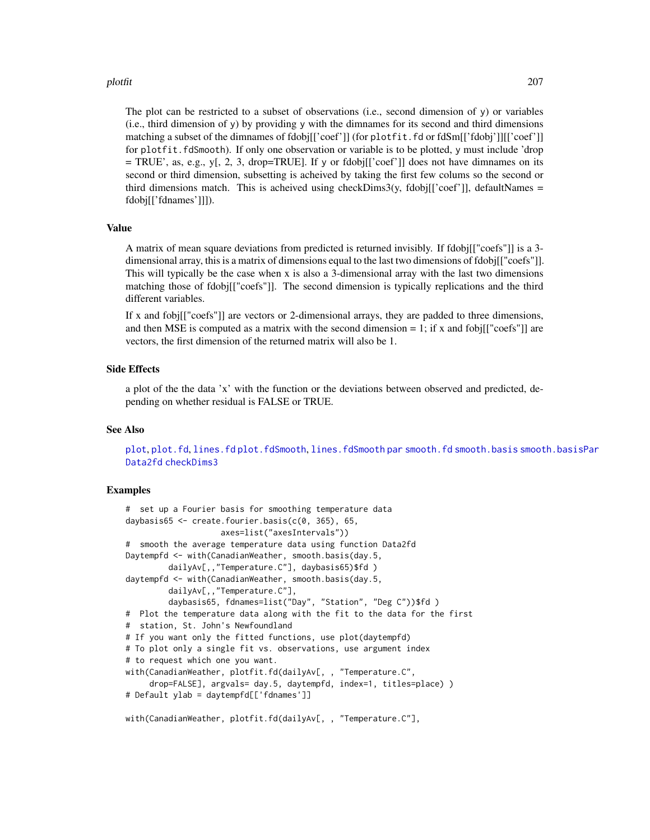plotfit 207

The plot can be restricted to a subset of observations (i.e., second dimension of y) or variables (i.e., third dimension of y) by providing y with the dimnames for its second and third dimensions matching a subset of the dimnames of fdobj[['coef']] (for plotfit.fd or fdSm[['fdobj']][['coef']] for plotfit.fdSmooth). If only one observation or variable is to be plotted, y must include 'drop  $=$  TRUE', as, e.g., y[, 2, 3, drop=TRUE]. If y or fdobj[['coef']] does not have dimnames on its second or third dimension, subsetting is acheived by taking the first few colums so the second or third dimensions match. This is acheived using checkDims3(y, fdobj[['coef']], defaultNames = fdobj[['fdnames']]]).

## Value

A matrix of mean square deviations from predicted is returned invisibly. If fdobj[["coefs"]] is a 3 dimensional array, this is a matrix of dimensions equal to the last two dimensions of fdobj[["coefs"]]. This will typically be the case when x is also a 3-dimensional array with the last two dimensions matching those of fdobj[["coefs"]]. The second dimension is typically replications and the third different variables.

If x and fobj[["coefs"]] are vectors or 2-dimensional arrays, they are padded to three dimensions, and then MSE is computed as a matrix with the second dimension  $= 1$ ; if x and fobj[["coefs"]] are vectors, the first dimension of the returned matrix will also be 1.

# Side Effects

a plot of the the data 'x' with the function or the deviations between observed and predicted, depending on whether residual is FALSE or TRUE.

#### See Also

[plot](#page-0-0), [plot.fd](#page-194-0), [lines.fd](#page-155-0) [plot.fdSmooth](#page-194-1), [lines.fdSmooth](#page-155-1) [par](#page-0-0) [smooth.fd](#page-260-0) [smooth.basis](#page-240-0) [smooth.basisPar](#page-255-0) [Data2fd](#page-69-0) [checkDims3](#page-33-0)

```
# set up a Fourier basis for smoothing temperature data
daybasis65 <- create.fourier.basis(c(0, 365), 65,
                   axes=list("axesIntervals"))
# smooth the average temperature data using function Data2fd
Daytempfd <- with(CanadianWeather, smooth.basis(day.5,
        dailyAv[,,"Temperature.C"], daybasis65)$fd )
daytempfd <- with(CanadianWeather, smooth.basis(day.5,
        dailyAv[,,"Temperature.C"],
        daybasis65, fdnames=list("Day", "Station", "Deg C"))$fd )
# Plot the temperature data along with the fit to the data for the first
# station, St. John's Newfoundland
# If you want only the fitted functions, use plot(daytempfd)
# To plot only a single fit vs. observations, use argument index
# to request which one you want.
with(CanadianWeather, plotfit.fd(dailyAv[, , "Temperature.C",
    drop=FALSE], argvals= day.5, daytempfd, index=1, titles=place) )
# Default ylab = daytempfd[['fdnames']]
with(CanadianWeather, plotfit.fd(dailyAv[, , "Temperature.C"],
```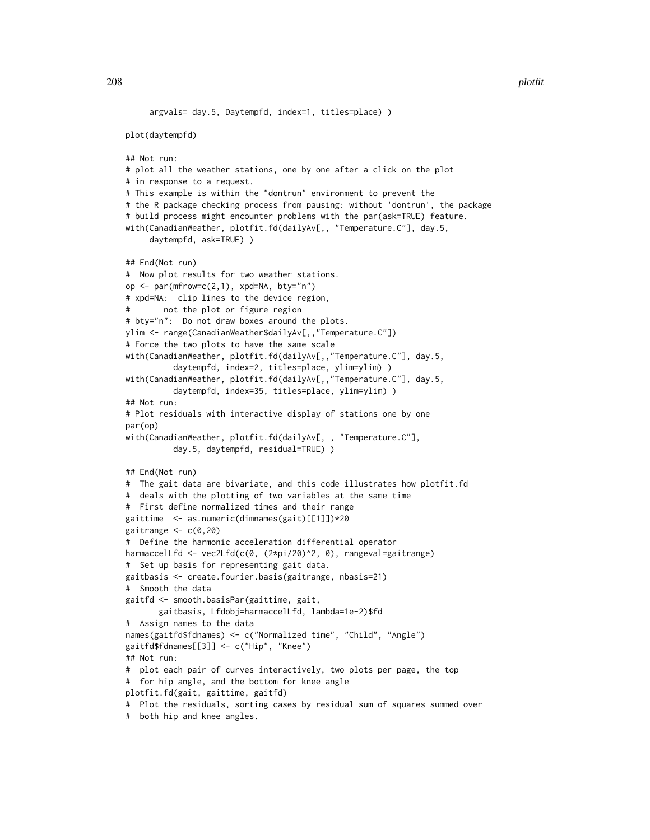```
argvals= day.5, Daytempfd, index=1, titles=place) )
plot(daytempfd)
## Not run:
# plot all the weather stations, one by one after a click on the plot
# in response to a request.
# This example is within the "dontrun" environment to prevent the
# the R package checking process from pausing: without 'dontrun', the package
# build process might encounter problems with the par(ask=TRUE) feature.
with(CanadianWeather, plotfit.fd(dailyAv[,, "Temperature.C"], day.5,
     daytempfd, ask=TRUE) )
## End(Not run)
# Now plot results for two weather stations.
op <- par(mfrow=c(2,1), xpd=NA, bty="n")
# xpd=NA: clip lines to the device region,
# not the plot or figure region
# bty="n": Do not draw boxes around the plots.
ylim <- range(CanadianWeather$dailyAv[,,"Temperature.C"])
# Force the two plots to have the same scale
with(CanadianWeather, plotfit.fd(dailyAv[,,"Temperature.C"], day.5,
          daytempfd, index=2, titles=place, ylim=ylim) )
with(CanadianWeather, plotfit.fd(dailyAv[,,"Temperature.C"], day.5,
          daytempfd, index=35, titles=place, ylim=ylim) )
## Not run:
# Plot residuals with interactive display of stations one by one
par(op)
with(CanadianWeather, plotfit.fd(dailyAv[, , "Temperature.C"],
          day.5, daytempfd, residual=TRUE) )
## End(Not run)
# The gait data are bivariate, and this code illustrates how plotfit.fd
# deals with the plotting of two variables at the same time
# First define normalized times and their range
gaittime <- as.numeric(dimnames(gait)[[1]])*20
gaitrange \leq c(0,20)
# Define the harmonic acceleration differential operator
harmaccelLfd <- vec2Lfd(c(0, (2*pi/20)^2, 0), rangeval=gaitrange)
# Set up basis for representing gait data.
gaitbasis <- create.fourier.basis(gaitrange, nbasis=21)
# Smooth the data
gaitfd <- smooth.basisPar(gaittime, gait,
       gaitbasis, Lfdobj=harmaccelLfd, lambda=1e-2)$fd
# Assign names to the data
names(gaitfd$fdnames) <- c("Normalized time", "Child", "Angle")
gaitfd$fdnames[[3]] <- c("Hip", "Knee")
## Not run:
# plot each pair of curves interactively, two plots per page, the top
# for hip angle, and the bottom for knee angle
plotfit.fd(gait, gaittime, gaitfd)
# Plot the residuals, sorting cases by residual sum of squares summed over
```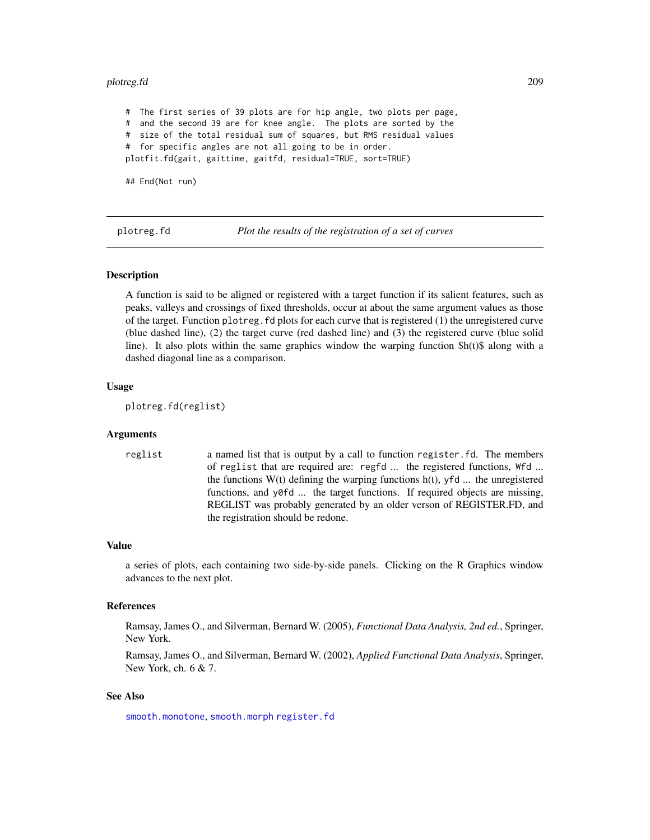#### plotreg.fd 209

# The first series of 39 plots are for hip angle, two plots per page, # and the second 39 are for knee angle. The plots are sorted by the # size of the total residual sum of squares, but RMS residual values # for specific angles are not all going to be in order. plotfit.fd(gait, gaittime, gaitfd, residual=TRUE, sort=TRUE) ## End(Not run)

plotreg.fd *Plot the results of the registration of a set of curves*

## Description

A function is said to be aligned or registered with a target function if its salient features, such as peaks, valleys and crossings of fixed thresholds, occur at about the same argument values as those of the target. Function plotreg.fd plots for each curve that is registered (1) the unregistered curve (blue dashed line), (2) the target curve (red dashed line) and (3) the registered curve (blue solid line). It also plots within the same graphics window the warping function  $h(t)$ \$ along with a dashed diagonal line as a comparison.

## Usage

plotreg.fd(reglist)

#### Arguments

reglist a named list that is output by a call to function register.fd. The members of reglist that are required are: regfd ... the registered functions, Wfd ... the functions  $W(t)$  defining the warping functions  $h(t)$ , yfd ... the unregistered functions, and y0fd ... the target functions. If required objects are missing, REGLIST was probably generated by an older verson of REGISTER.FD, and the registration should be redone.

#### Value

a series of plots, each containing two side-by-side panels. Clicking on the R Graphics window advances to the next plot.

#### References

Ramsay, James O., and Silverman, Bernard W. (2005), *Functional Data Analysis, 2nd ed.*, Springer, New York.

Ramsay, James O., and Silverman, Bernard W. (2002), *Applied Functional Data Analysis*, Springer, New York, ch. 6 & 7.

#### See Also

[smooth.monotone](#page-264-0), [smooth.morph](#page-267-0) [register.fd](#page-227-0)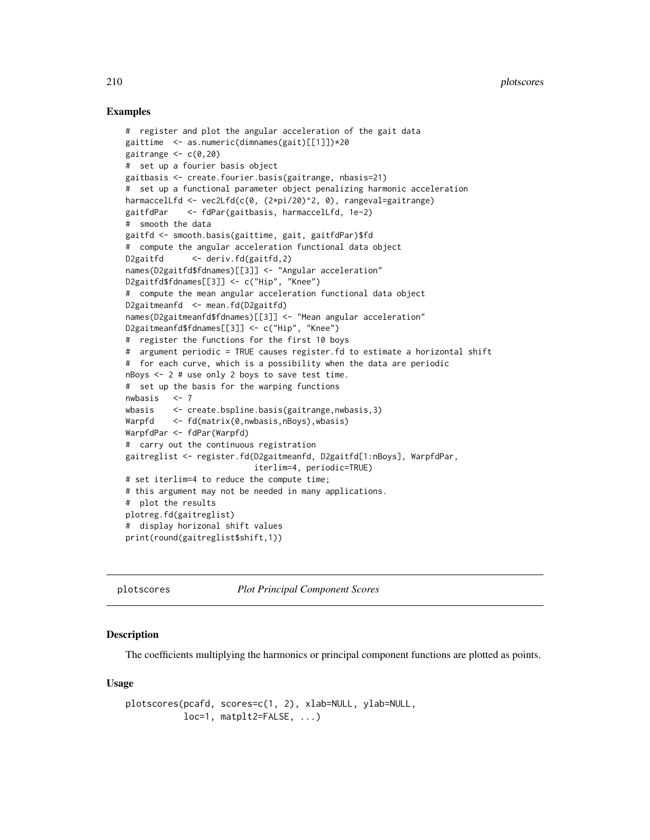### Examples

```
# register and plot the angular acceleration of the gait data
gaittime <- as.numeric(dimnames(gait)[[1]])*20
gaitrange \leq c(0, 20)# set up a fourier basis object
gaitbasis <- create.fourier.basis(gaitrange, nbasis=21)
# set up a functional parameter object penalizing harmonic acceleration
harmaccelLfd <- vec2Lfd(c(0, (2*pi/20)^2, 0), rangeval=gaitrange)
gaitfdPar <- fdPar(gaitbasis, harmaccelLfd, 1e-2)
# smooth the data
gaitfd <- smooth.basis(gaittime, gait, gaitfdPar)$fd
# compute the angular acceleration functional data object
D2gaitfd <- deriv.fd(gaitfd,2)
names(D2gaitfd$fdnames)[[3]] <- "Angular acceleration"
D2gaitfd$fdnames[[3]] <- c("Hip", "Knee")
# compute the mean angular acceleration functional data object
D2gaitmeanfd <- mean.fd(D2gaitfd)
names(D2gaitmeanfd$fdnames)[[3]] <- "Mean angular acceleration"
D2gaitmeanfd$fdnames[[3]] <- c("Hip", "Knee")
# register the functions for the first 10 boys
# argument periodic = TRUE causes register.fd to estimate a horizontal shift
# for each curve, which is a possibility when the data are periodic
nBoys <- 2 # use only 2 boys to save test time.
# set up the basis for the warping functions
nwbasis <- 7
wbasis <- create.bspline.basis(gaitrange,nwbasis,3)
Warpfd <- fd(matrix(0,nwbasis,nBoys),wbasis)
WarpfdPar <- fdPar(Warpfd)
# carry out the continuous registration
gaitreglist <- register.fd(D2gaitmeanfd, D2gaitfd[1:nBoys], WarpfdPar,
                          iterlim=4, periodic=TRUE)
# set iterlim=4 to reduce the compute time;
# this argument may not be needed in many applications.
# plot the results
plotreg.fd(gaitreglist)
# display horizonal shift values
print(round(gaitreglist$shift,1))
```
plotscores *Plot Principal Component Scores*

## Description

The coefficients multiplying the harmonics or principal component functions are plotted as points.

## Usage

```
plotscores(pcafd, scores=c(1, 2), xlab=NULL, ylab=NULL,
           loc=1, matplt2=FALSE, ...)
```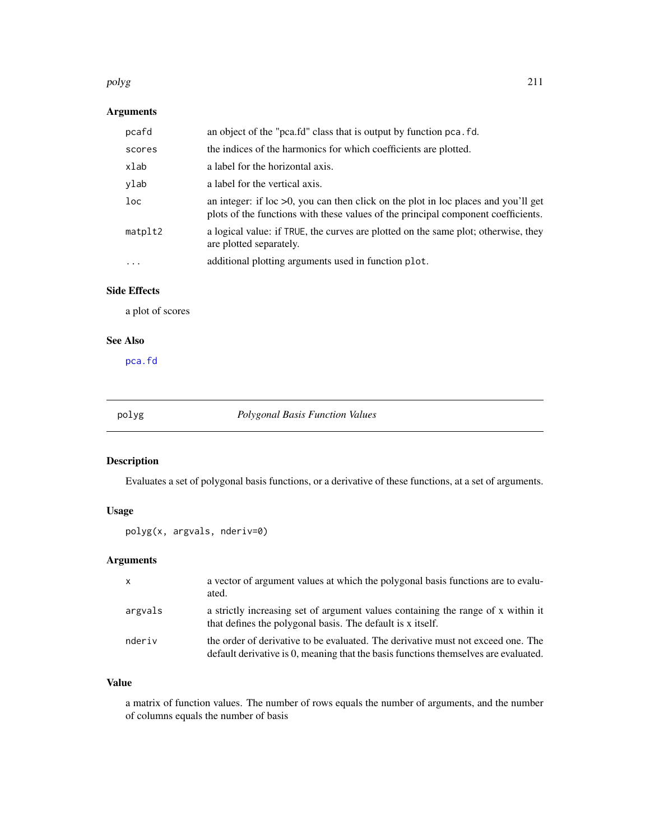#### polyg 211

# Arguments

| pcafd    | an object of the "pca.fd" class that is output by function pca.fd.                                                                                                         |
|----------|----------------------------------------------------------------------------------------------------------------------------------------------------------------------------|
| scores   | the indices of the harmonics for which coefficients are plotted.                                                                                                           |
| xlab     | a label for the horizontal axis.                                                                                                                                           |
| ylab     | a label for the vertical axis.                                                                                                                                             |
| $1$ oc   | an integer: if loc $>0$ , you can then click on the plot in loc places and you'll get<br>plots of the functions with these values of the principal component coefficients. |
| matplt2  | a logical value: if TRUE, the curves are plotted on the same plot; otherwise, they<br>are plotted separately.                                                              |
| $\cdots$ | additional plotting arguments used in function plot.                                                                                                                       |

## Side Effects

a plot of scores

# See Also

[pca.fd](#page-180-0)

<span id="page-210-0"></span>polyg *Polygonal Basis Function Values*

# Description

Evaluates a set of polygonal basis functions, or a derivative of these functions, at a set of arguments.

# Usage

polyg(x, argvals, nderiv=0)

# Arguments

| X       | a vector of argument values at which the polygonal basis functions are to evalu-<br>ated.                                                                               |
|---------|-------------------------------------------------------------------------------------------------------------------------------------------------------------------------|
| argvals | a strictly increasing set of argument values containing the range of x within it<br>that defines the polygonal basis. The default is x itself.                          |
| nderiv  | the order of derivative to be evaluated. The derivative must not exceed one. The<br>default derivative is 0, meaning that the basis functions themselves are evaluated. |

# Value

a matrix of function values. The number of rows equals the number of arguments, and the number of columns equals the number of basis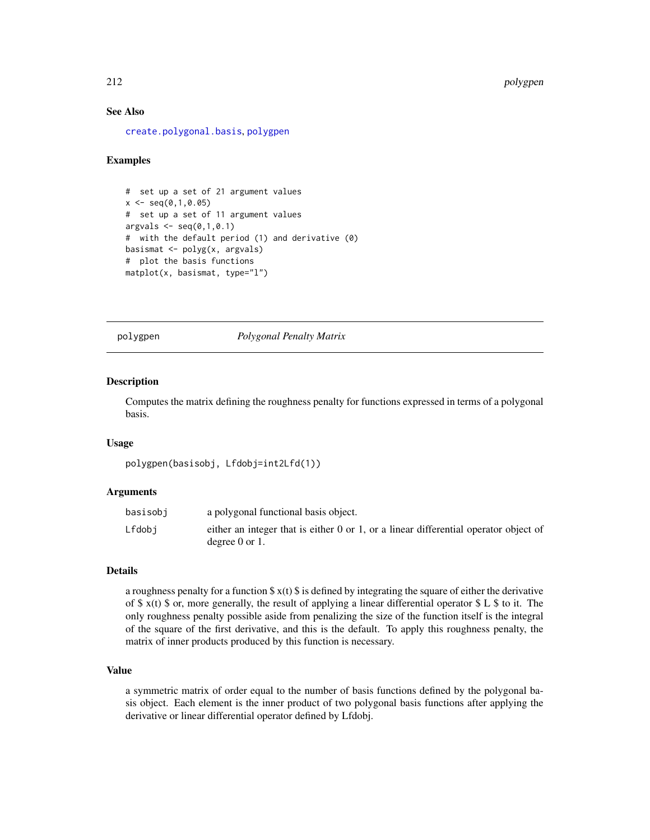# See Also

[create.polygonal.basis](#page-59-0), [polygpen](#page-211-0)

## Examples

```
# set up a set of 21 argument values
x \leq -\text{seq}(0,1,0.05)# set up a set of 11 argument values
argvals \leftarrow seq(0, 1, 0.1)# with the default period (1) and derivative (0)
basismat <- polyg(x, argvals)
# plot the basis functions
matplot(x, basismat, type="l")
```
<span id="page-211-0"></span>polygpen *Polygonal Penalty Matrix*

#### Description

Computes the matrix defining the roughness penalty for functions expressed in terms of a polygonal basis.

#### Usage

```
polygpen(basisobj, Lfdobj=int2Lfd(1))
```
#### Arguments

| basisobi | a polygonal functional basis object.                                                                        |
|----------|-------------------------------------------------------------------------------------------------------------|
| Lfdobi   | either an integer that is either 0 or 1, or a linear differential operator object of<br>degree $0$ or $1$ . |

## Details

a roughness penalty for a function  $\oint x(t) \oint s$  is defined by integrating the square of either the derivative of  $\$ x(t) \$ or, more generally, the result of applying a linear differential operator  $\$ L \$ to it. The$$ only roughness penalty possible aside from penalizing the size of the function itself is the integral of the square of the first derivative, and this is the default. To apply this roughness penalty, the matrix of inner products produced by this function is necessary.

# Value

a symmetric matrix of order equal to the number of basis functions defined by the polygonal basis object. Each element is the inner product of two polygonal basis functions after applying the derivative or linear differential operator defined by Lfdobj.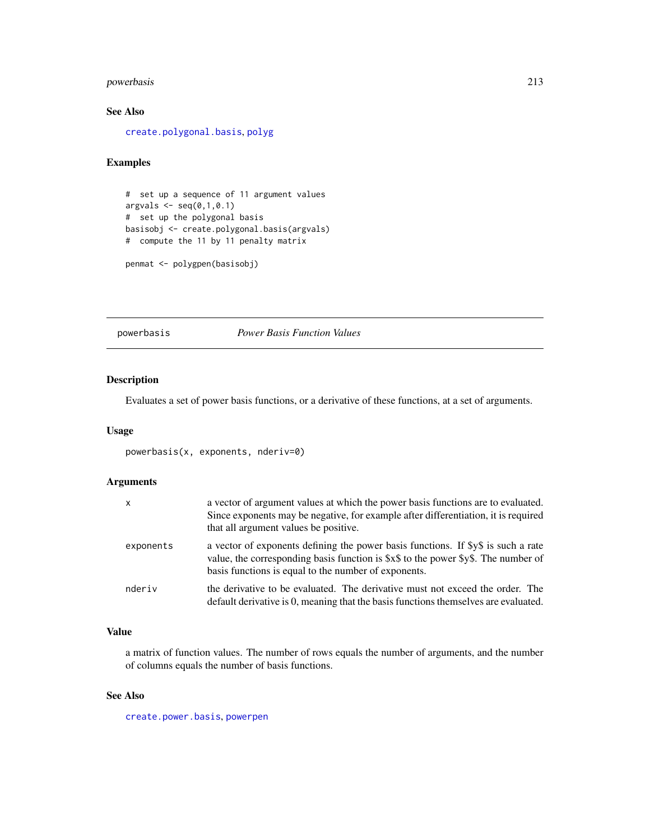# powerbasis 213

# See Also

[create.polygonal.basis](#page-59-0), [polyg](#page-210-0)

# Examples

```
# set up a sequence of 11 argument values
argvals \leq seq(0,1,0.1)
# set up the polygonal basis
basisobj <- create.polygonal.basis(argvals)
# compute the 11 by 11 penalty matrix
```

```
penmat <- polygpen(basisobj)
```
<span id="page-212-0"></span>powerbasis *Power Basis Function Values*

## Description

Evaluates a set of power basis functions, or a derivative of these functions, at a set of arguments.

## Usage

```
powerbasis(x, exponents, nderiv=0)
```
## Arguments

| $\mathsf{x}$ | a vector of argument values at which the power basis functions are to evaluated.<br>Since exponents may be negative, for example after differentiation, it is required<br>that all argument values be positive.                  |
|--------------|----------------------------------------------------------------------------------------------------------------------------------------------------------------------------------------------------------------------------------|
| exponents    | a vector of exponents defining the power basis functions. If \$y\$ is such a rate<br>value, the corresponding basis function is $x \$ to the power $y \$ . The number of<br>basis functions is equal to the number of exponents. |
| nderiv       | the derivative to be evaluated. The derivative must not exceed the order. The<br>default derivative is 0, meaning that the basis functions themselves are evaluated.                                                             |

# Value

a matrix of function values. The number of rows equals the number of arguments, and the number of columns equals the number of basis functions.

# See Also

[create.power.basis](#page-61-0), [powerpen](#page-213-0)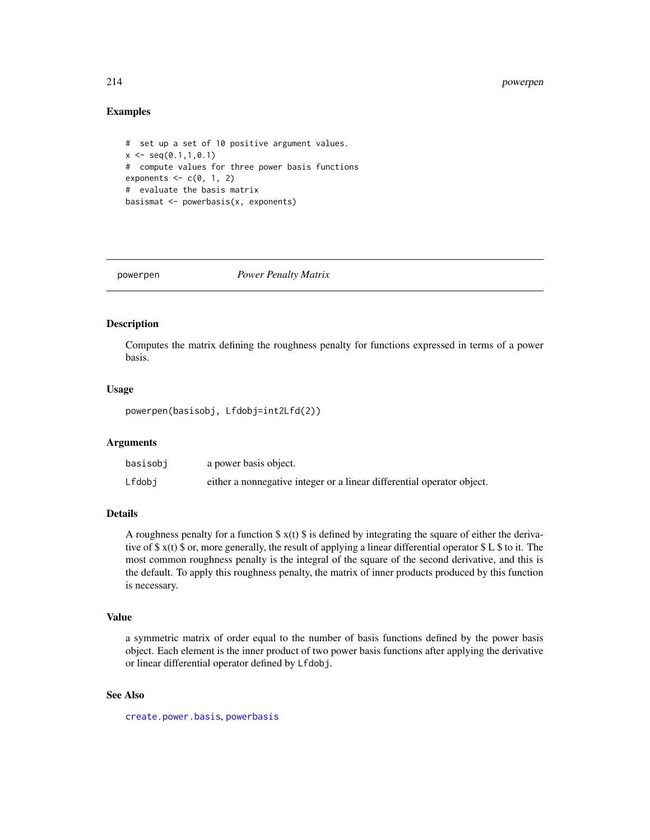#### 214 powerpen

## Examples

```
# set up a set of 10 positive argument values.
x \leq -\text{seq}(0.1, 1, 0.1)# compute values for three power basis functions
exponents \leq c(0, 1, 2)# evaluate the basis matrix
basismat <- powerbasis(x, exponents)
```
<span id="page-213-0"></span>

powerpen *Power Penalty Matrix*

## Description

Computes the matrix defining the roughness penalty for functions expressed in terms of a power basis.

## Usage

powerpen(basisobj, Lfdobj=int2Lfd(2))

## Arguments

| basisobi | a power basis object.                                                  |
|----------|------------------------------------------------------------------------|
| Lfdobi   | either a nonnegative integer or a linear differential operator object. |

# Details

A roughness penalty for a function  $\frac{1}{x}(t) \$  is defined by integrating the square of either the derivative of  $\frac{1}{2}$  x(t)  $\frac{1}{2}$  or, more generally, the result of applying a linear differential operator  $\frac{1}{2}$  L  $\frac{1}{2}$  to it. The most common roughness penalty is the integral of the square of the second derivative, and this is the default. To apply this roughness penalty, the matrix of inner products produced by this function is necessary.

## Value

a symmetric matrix of order equal to the number of basis functions defined by the power basis object. Each element is the inner product of two power basis functions after applying the derivative or linear differential operator defined by Lfdobj.

# See Also

[create.power.basis](#page-61-0), [powerbasis](#page-212-0)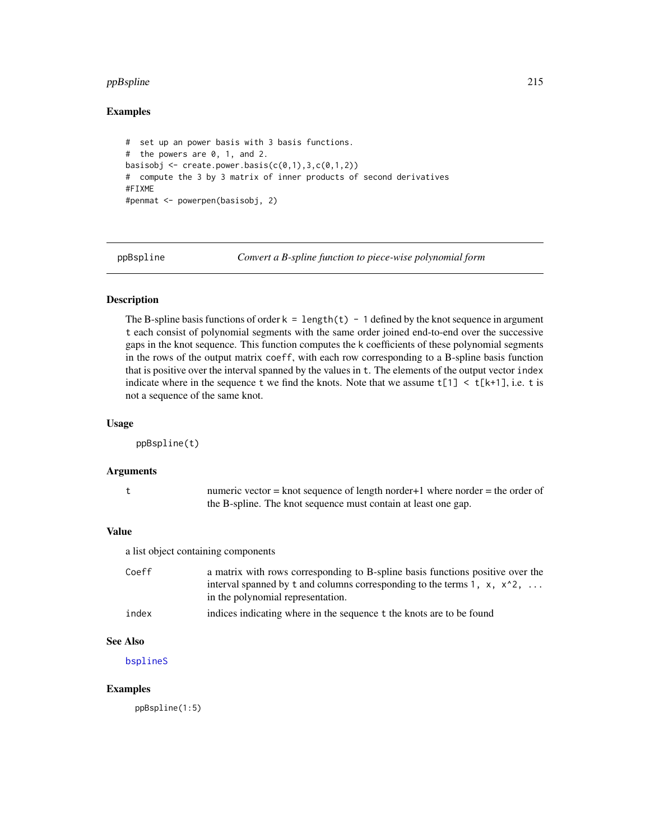#### ppBspline 215

# Examples

```
# set up an power basis with 3 basis functions.
# the powers are 0, 1, and 2.
basisobj \leq create.power.basis(c(0,1), 3, c(0,1,2))
# compute the 3 by 3 matrix of inner products of second derivatives
#FIXME
#penmat <- powerpen(basisobj, 2)
```
ppBspline *Convert a B-spline function to piece-wise polynomial form*

## Description

The B-spline basis functions of order  $k = length(t) - 1$  defined by the knot sequence in argument t each consist of polynomial segments with the same order joined end-to-end over the successive gaps in the knot sequence. This function computes the k coefficients of these polynomial segments in the rows of the output matrix coeff, with each row corresponding to a B-spline basis function that is positive over the interval spanned by the values in t. The elements of the output vector index indicate where in the sequence t we find the knots. Note that we assume  $t[1] < t[k+1]$ , i.e. t is not a sequence of the same knot.

## Usage

ppBspline(t)

# Arguments

| numeric vector = knot sequence of length norder +1 where norder = the order of |
|--------------------------------------------------------------------------------|
| the B-spline. The knot sequence must contain at least one gap.                 |

# Value

a list object containing components

| Coeff | a matrix with rows corresponding to B-spline basis functions positive over the<br>interval spanned by t and columns corresponding to the terms 1, $x, x^2, \ldots$ |
|-------|--------------------------------------------------------------------------------------------------------------------------------------------------------------------|
|       | in the polynomial representation.                                                                                                                                  |
| index | indices indicating where in the sequence t the knots are to be found                                                                                               |

## See Also

[bsplineS](#page-27-0)

# Examples

ppBspline(1:5)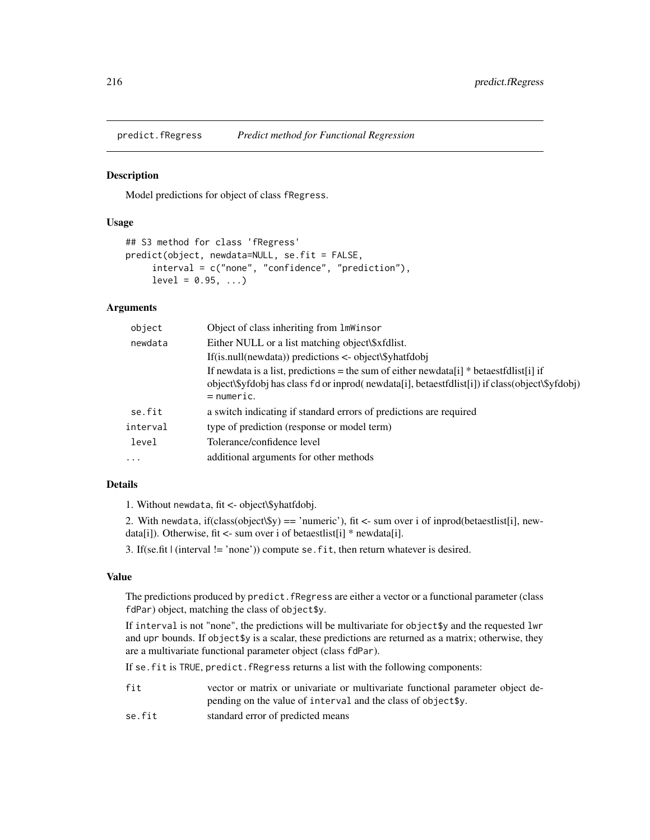## Description

Model predictions for object of class fRegress.

## Usage

```
## S3 method for class 'fRegress'
predict(object, newdata=NULL, se.fit = FALSE,
     interval = c("none", "confidence", "prediction"),
     level = 0.95, ...
```
# Arguments

| object   | Object of class inheriting from 1mWinsor                                                                                                                                                                   |
|----------|------------------------------------------------------------------------------------------------------------------------------------------------------------------------------------------------------------|
| newdata  | Either NULL or a list matching object\\$xfdlist.                                                                                                                                                           |
|          | If(is.null(newdata)) predictions $\langle -\rangle$ object\\$yhatfdobj                                                                                                                                     |
|          | If newdata is a list, predictions = the sum of either newdata [i] * betaestfdlist [i] if<br>object\\$yfdobj has class fd or inprod(newdata[i], betaestfdlist[i]) if class(object\\$yfdobj)<br>$=$ numeric. |
| se.fit   | a switch indicating if standard errors of predictions are required                                                                                                                                         |
| interval | type of prediction (response or model term)                                                                                                                                                                |
| level    | Tolerance/confidence level                                                                                                                                                                                 |
| .        | additional arguments for other methods                                                                                                                                                                     |
|          |                                                                                                                                                                                                            |

# Details

1. Without newdata, fit <- object\\$yhatfdobj.

2. With newdata, if(class(object\\$y) == 'numeric'), fit <- sum over i of inprod(betaestlist[i], newdata[i]). Otherwise, fit <- sum over i of betaestlist[i] \* newdata[i].

3. If(se.fit  $|$  (interval  $|=$  'none')) compute se. fit, then return whatever is desired.

# Value

The predictions produced by predict.fRegress are either a vector or a functional parameter (class fdPar) object, matching the class of object\$y.

If interval is not "none", the predictions will be multivariate for object\$y and the requested lwr and upr bounds. If object\$y is a scalar, these predictions are returned as a matrix; otherwise, they are a multivariate functional parameter object (class fdPar).

If se.fit is TRUE, predict.fRegress returns a list with the following components:

- fit vector or matrix or univariate or multivariate functional parameter object depending on the value of interval and the class of object\$y.
- se.fit standard error of predicted means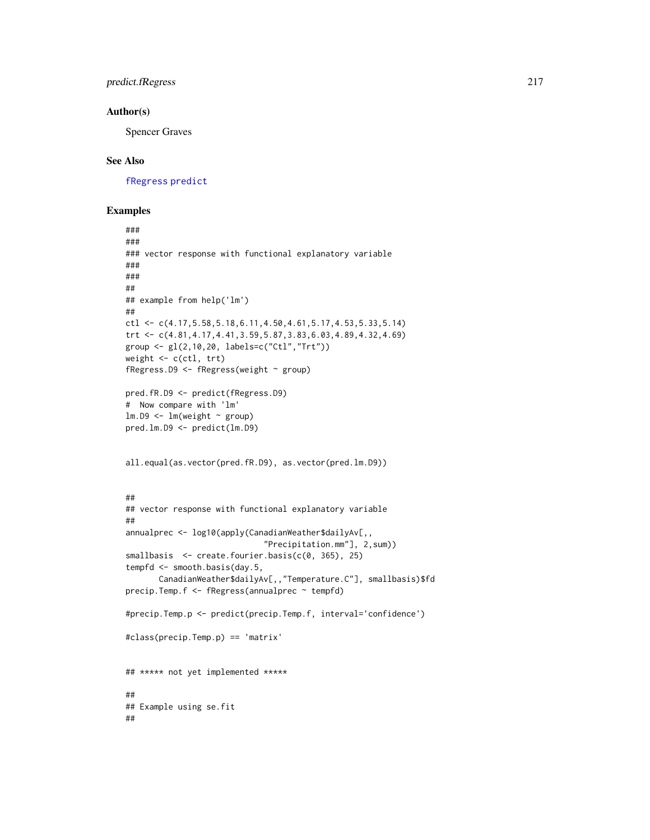# predict.fRegress 217

# Author(s)

Spencer Graves

### See Also

[fRegress](#page-120-0) [predict](#page-0-0)

```
###
###
### vector response with functional explanatory variable
###
###
##
## example from help('lm')
##
ctl <- c(4.17,5.58,5.18,6.11,4.50,4.61,5.17,4.53,5.33,5.14)
trt <- c(4.81,4.17,4.41,3.59,5.87,3.83,6.03,4.89,4.32,4.69)
group <- gl(2,10,20, labels=c("Ctl","Trt"))
weight <- c(ctl, trt)
fRegress.D9 <- fRegress(weight ~ group)
pred.fR.D9 <- predict(fRegress.D9)
# Now compare with 'lm'
lm.D9 \leq lm(weight \sim group)pred.lm.D9 <- predict(lm.D9)
all.equal(as.vector(pred.fR.D9), as.vector(pred.lm.D9))
##
## vector response with functional explanatory variable
##
annualprec <- log10(apply(CanadianWeather$dailyAv[,,
                             "Precipitation.mm"], 2,sum))
smallbasis <- create.fourier.basis(c(0, 365), 25)
tempfd <- smooth.basis(day.5,
       CanadianWeather$dailyAv[,,"Temperature.C"], smallbasis)$fd
precip.Temp.f <- fRegress(annualprec ~ tempfd)
#precip.Temp.p <- predict(precip.Temp.f, interval='confidence')
#class(precip.Temp.p) == 'matrix'
## ***** not yet implemented *****
##
## Example using se.fit
##
```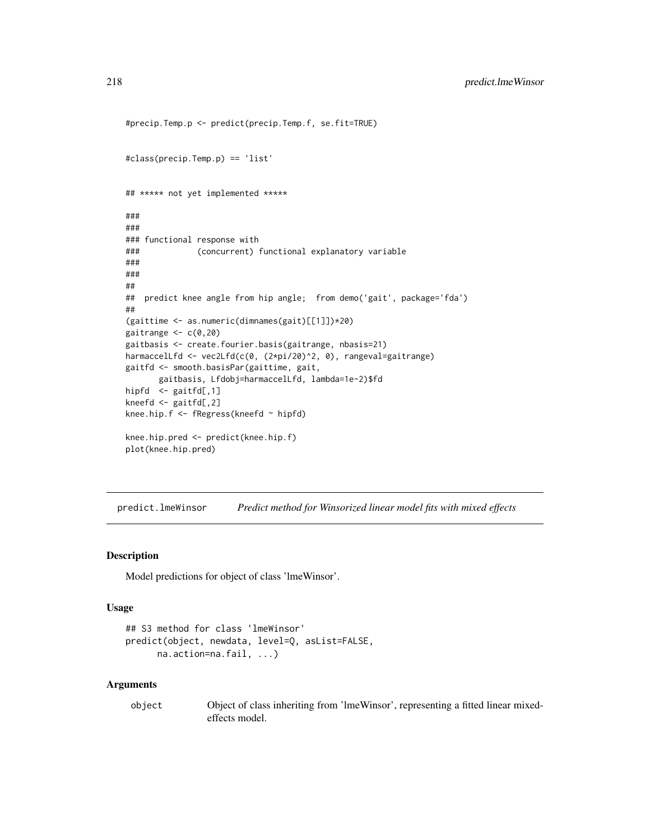```
#precip.Temp.p <- predict(precip.Temp.f, se.fit=TRUE)
#class(precip.Temp.p) == 'list'
## ***** not yet implemented *****
###
###
### functional response with
### (concurrent) functional explanatory variable
###
###
##
## predict knee angle from hip angle; from demo('gait', package='fda')
##
(gaittime <- as.numeric(dimnames(gait)[[1]])*20)
gaitrange \leq c(0,20)
gaitbasis <- create.fourier.basis(gaitrange, nbasis=21)
harmaccelLfd <- vec2Lfd(c(0, (2*pi/20)^2, 0), rangeval=gaitrange)
gaitfd <- smooth.basisPar(gaittime, gait,
       gaitbasis, Lfdobj=harmaccelLfd, lambda=1e-2)$fd
hipfd <- gaitfd[,1]
kneefd <- gaitfd[,2]
knee.hip.f <- fRegress(kneefd ~ hipfd)
knee.hip.pred <- predict(knee.hip.f)
plot(knee.hip.pred)
```
predict.lmeWinsor *Predict method for Winsorized linear model fits with mixed effects*

# Description

Model predictions for object of class 'lmeWinsor'.

#### Usage

```
## S3 method for class 'lmeWinsor'
predict(object, newdata, level=Q, asList=FALSE,
      na.action=na.fail, ...)
```
### Arguments

object Object of class inheriting from 'lmeWinsor', representing a fitted linear mixedeffects model.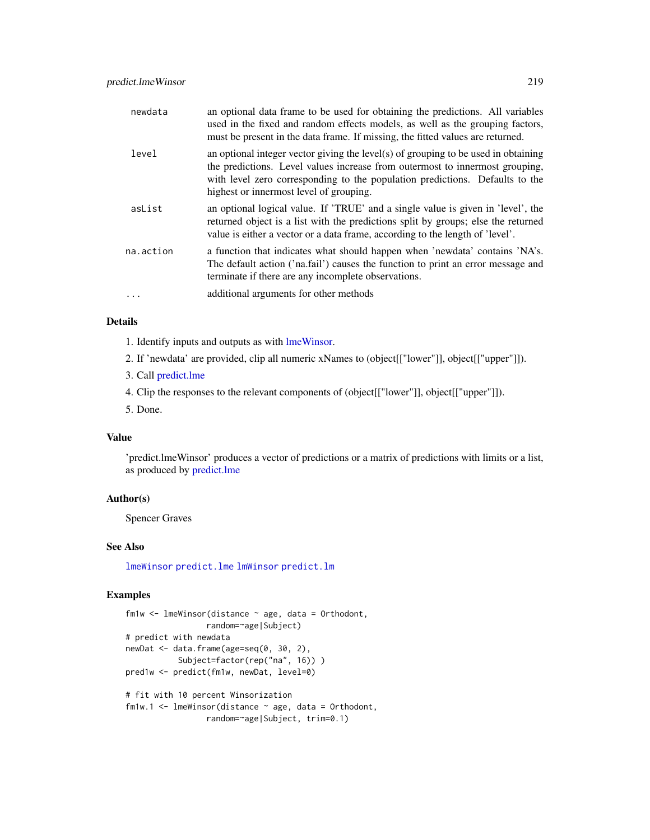| newdata   | an optional data frame to be used for obtaining the predictions. All variables<br>used in the fixed and random effects models, as well as the grouping factors,<br>must be present in the data frame. If missing, the fitted values are returned.                                             |
|-----------|-----------------------------------------------------------------------------------------------------------------------------------------------------------------------------------------------------------------------------------------------------------------------------------------------|
| level     | an optional integer vector giving the level(s) of grouping to be used in obtaining<br>the predictions. Level values increase from outermost to innermost grouping,<br>with level zero corresponding to the population predictions. Defaults to the<br>highest or innermost level of grouping. |
| asList    | an optional logical value. If 'TRUE' and a single value is given in 'level', the<br>returned object is a list with the predictions split by groups; else the returned<br>value is either a vector or a data frame, according to the length of 'level'.                                        |
| na.action | a function that indicates what should happen when 'newdata' contains 'NA's.<br>The default action ('na.fail') causes the function to print an error message and<br>terminate if there are any incomplete observations.                                                                        |
| $\cdots$  | additional arguments for other methods                                                                                                                                                                                                                                                        |

# Details

- 1. Identify inputs and outputs as with [lmeWinsor.](#page-159-0)
- 2. If 'newdata' are provided, clip all numeric xNames to (object[["lower"]], object[["upper"]]).
- 3. Call [predict.lme](#page-0-0)
- 4. Clip the responses to the relevant components of (object[["lower"]], object[["upper"]]).
- 5. Done.

# Value

'predict.lmeWinsor' produces a vector of predictions or a matrix of predictions with limits or a list, as produced by [predict.lme](#page-0-0)

### Author(s)

Spencer Graves

#### See Also

[lmeWinsor](#page-159-0) [predict.lme](#page-0-0) [lmWinsor](#page-161-0) [predict.lm](#page-0-0)

```
fm1w <- lmeWinsor(distance \sim age, data = Orthodont,
                 random=~age|Subject)
# predict with newdata
newDat <- data.frame(age=seq(0, 30, 2),
           Subject=factor(rep("na", 16)) )
pred1w <- predict(fm1w, newDat, level=0)
# fit with 10 percent Winsorization
fmlw.1 \leftarrow lmeWinsor(distance \sim age, data = Orthodont,
                 random=~age|Subject, trim=0.1)
```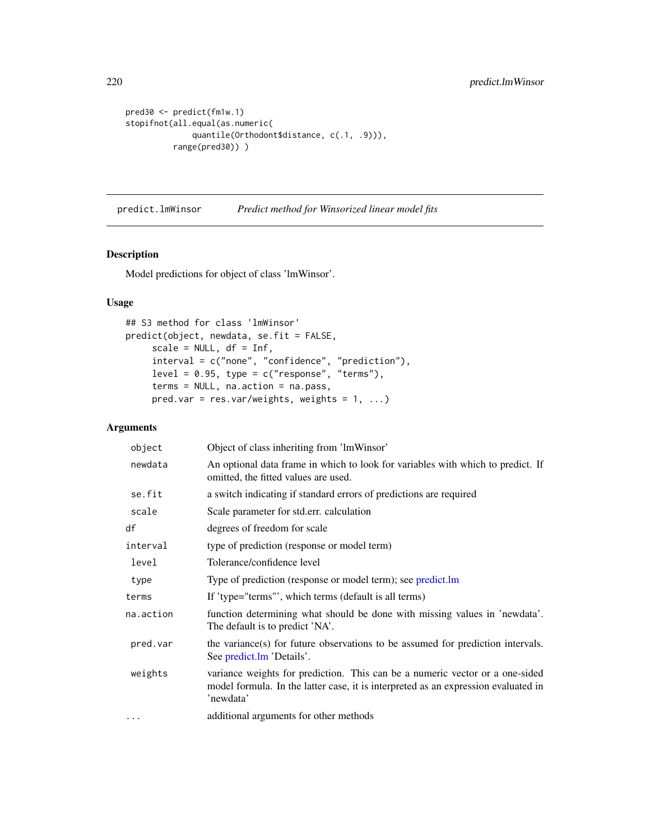```
pred30 <- predict(fm1w.1)
stopifnot(all.equal(as.numeric(
              quantile(Orthodont$distance, c(.1, .9))),
          range(pred30)) )
```
predict.lmWinsor *Predict method for Winsorized linear model fits*

# Description

Model predictions for object of class 'lmWinsor'.

# Usage

```
## S3 method for class 'lmWinsor'
predict(object, newdata, se.fit = FALSE,
     scale = NULL, df = Inf,interval = c("none", "confidence", "prediction"),
    level = 0.95, type = c("response", "terms"),terms = NULL, na.action = na.pass,
     pred.var = res.var/weights, weights = 1, ...)
```
# Arguments

| object    | Object of class inheriting from 'lmWinsor'                                                                                                                                      |
|-----------|---------------------------------------------------------------------------------------------------------------------------------------------------------------------------------|
| newdata   | An optional data frame in which to look for variables with which to predict. If<br>omitted, the fitted values are used.                                                         |
| se.fit    | a switch indicating if standard errors of predictions are required                                                                                                              |
| scale     | Scale parameter for std.err. calculation                                                                                                                                        |
| df        | degrees of freedom for scale                                                                                                                                                    |
| interval  | type of prediction (response or model term)                                                                                                                                     |
| level     | Tolerance/confidence level                                                                                                                                                      |
| type      | Type of prediction (response or model term); see predict.lm                                                                                                                     |
| terms     | If 'type="terms"', which terms (default is all terms)                                                                                                                           |
| na.action | function determining what should be done with missing values in 'newdata'.<br>The default is to predict 'NA'.                                                                   |
| pred.var  | the variance(s) for future observations to be assumed for prediction intervals.<br>See predict.lm 'Details'.                                                                    |
| weights   | variance weights for prediction. This can be a numeric vector or a one-sided<br>model formula. In the latter case, it is interpreted as an expression evaluated in<br>'newdata' |
| .         | additional arguments for other methods                                                                                                                                          |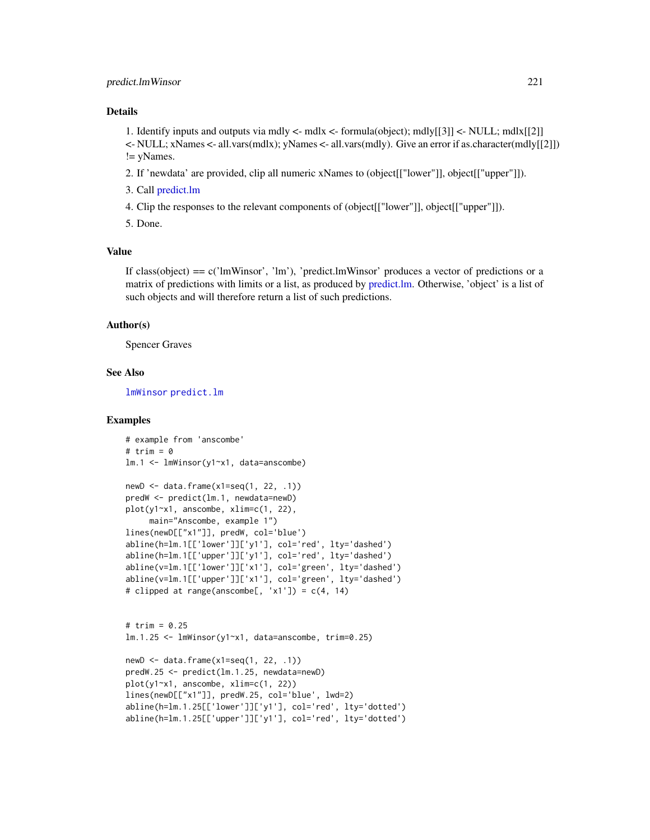# predict.lmWinsor 221

#### Details

1. Identify inputs and outputs via mdly <- mdlx <- formula(object); mdly[[3]] <- NULL; mdlx[[2]] <- NULL; xNames <- all.vars(mdlx); yNames <- all.vars(mdly). Give an error if as.character(mdly[[2]]) != yNames.

- 2. If 'newdata' are provided, clip all numeric xNames to (object[["lower"]], object[["upper"]]).
- 3. Call [predict.lm](#page-0-0)
- 4. Clip the responses to the relevant components of (object[["lower"]], object[["upper"]]).
- 5. Done.

#### Value

If class(object) ==  $c('lmWinsor', 'lm'), 'predict.lmWinsor' produces a vector of predictions or a$ matrix of predictions with limits or a list, as produced by [predict.lm.](#page-0-0) Otherwise, 'object' is a list of such objects and will therefore return a list of such predictions.

#### Author(s)

Spencer Graves

### See Also

[lmWinsor](#page-161-0) [predict.lm](#page-0-0)

```
# example from 'anscombe'
# trim = 0lm.1 <- lmWinsor(y1~x1, data=anscombe)
newD <- data.frame(x1=seq(1, 22, .1))
predW <- predict(lm.1, newdata=newD)
plot(y1~x1, anscombe, xlim=c(1, 22),
     main="Anscombe, example 1")
lines(newD[["x1"]], predW, col='blue')
abline(h=lm.1[['lower']]['y1'], col='red', lty='dashed')
abline(h=lm.1[['upper']]['y1'], col='red', lty='dashed')
abline(v=lm.1[['lower']]['x1'], col='green', lty='dashed')
abline(v=lm.1[['upper']]['x1'], col='green', lty='dashed')
# clipped at range(anscombe[, 'x1']) = c(4, 14)# trim = 0.25lm.1.25 <- lmWinsor(y1~x1, data=anscombe, trim=0.25)
newD <- data.frame(x1=seq(1, 22, .1))
predW.25 <- predict(lm.1.25, newdata=newD)
plot(y1~x1, anscombe, xlim=c(1, 22))
lines(newD[["x1"]], predW.25, col='blue', lwd=2)
abline(h=lm.1.25[['lower']]['y1'], col='red', lty='dotted')
abline(h=lm.1.25[['upper']]['y1'], col='red', lty='dotted')
```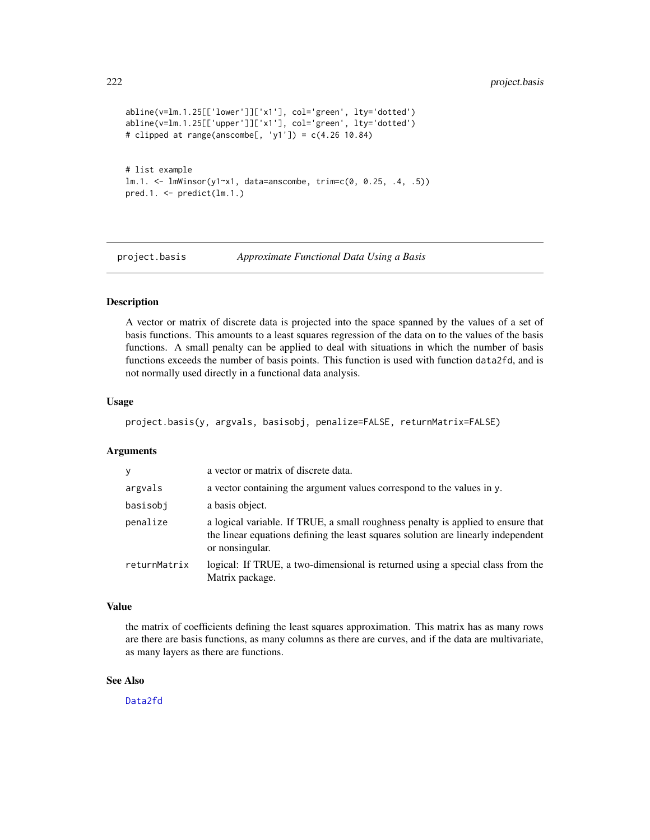```
abline(v=lm.1.25[['lower']]['x1'], col='green', lty='dotted')
abline(v=lm.1.25[['upper']]['x1'], col='green', lty='dotted')
# clipped at range(anscombe[, 'y1']) = c(4.26 10.84)
# list example
lm.1. <- lmWinsor(y1~x1, data=anscombe, trim=c(0, 0.25, .4, .5))
pred.1. <- predict(lm.1.)
```
<span id="page-221-0"></span>project.basis *Approximate Functional Data Using a Basis*

### Description

A vector or matrix of discrete data is projected into the space spanned by the values of a set of basis functions. This amounts to a least squares regression of the data on to the values of the basis functions. A small penalty can be applied to deal with situations in which the number of basis functions exceeds the number of basis points. This function is used with function data2fd, and is not normally used directly in a functional data analysis.

# Usage

project.basis(y, argvals, basisobj, penalize=FALSE, returnMatrix=FALSE)

#### Arguments

| V            | a vector or matrix of discrete data.                                                                                                                                                     |
|--------------|------------------------------------------------------------------------------------------------------------------------------------------------------------------------------------------|
| argvals      | a vector containing the argument values correspond to the values in y.                                                                                                                   |
| basisobj     | a basis object.                                                                                                                                                                          |
| penalize     | a logical variable. If TRUE, a small roughness penalty is applied to ensure that<br>the linear equations defining the least squares solution are linearly independent<br>or nonsingular. |
| returnMatrix | logical: If TRUE, a two-dimensional is returned using a special class from the<br>Matrix package.                                                                                        |

#### Value

the matrix of coefficients defining the least squares approximation. This matrix has as many rows are there are basis functions, as many columns as there are curves, and if the data are multivariate, as many layers as there are functions.

#### See Also

[Data2fd](#page-69-0)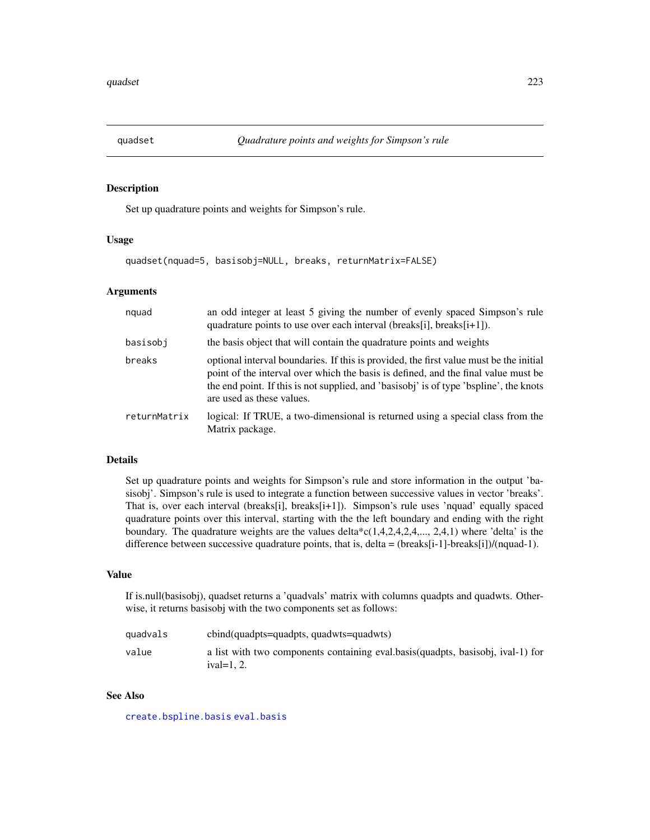# Description

Set up quadrature points and weights for Simpson's rule.

### Usage

quadset(nquad=5, basisobj=NULL, breaks, returnMatrix=FALSE)

# Arguments

| nguad        | an odd integer at least 5 giving the number of evenly spaced Simpson's rule<br>quadrature points to use over each interval (breaks[i], breaks[i+1]).                                                                                                                                                |
|--------------|-----------------------------------------------------------------------------------------------------------------------------------------------------------------------------------------------------------------------------------------------------------------------------------------------------|
| basisobj     | the basis object that will contain the quadrature points and weights                                                                                                                                                                                                                                |
| breaks       | optional interval boundaries. If this is provided, the first value must be the initial<br>point of the interval over which the basis is defined, and the final value must be<br>the end point. If this is not supplied, and 'basisobj' is of type 'bspline', the knots<br>are used as these values. |
| returnMatrix | logical: If TRUE, a two-dimensional is returned using a special class from the<br>Matrix package.                                                                                                                                                                                                   |

# Details

Set up quadrature points and weights for Simpson's rule and store information in the output 'basisobj'. Simpson's rule is used to integrate a function between successive values in vector 'breaks'. That is, over each interval (breaks[i], breaks[i+1]). Simpson's rule uses 'nquad' equally spaced quadrature points over this interval, starting with the the left boundary and ending with the right boundary. The quadrature weights are the values delta $\text{*c}(1,4,2,4,2,4,..., 2,4,1)$  where 'delta' is the difference between successive quadrature points, that is, delta =  $(breaks[i-1]-breaks[i])/(nquad-1)$ .

### Value

If is.null(basisobj), quadset returns a 'quadvals' matrix with columns quadpts and quadwts. Otherwise, it returns basisobj with the two components set as follows:

| quadvals | $cbind(quad) = quadpts, quadwts = quadwts)$                                                       |
|----------|---------------------------------------------------------------------------------------------------|
| value    | a list with two components containing eval.basis(quadpts, basisobj, ival-1) for<br>ival= $1, 2$ . |

# See Also

[create.bspline.basis](#page-47-0) [eval.basis](#page-87-0)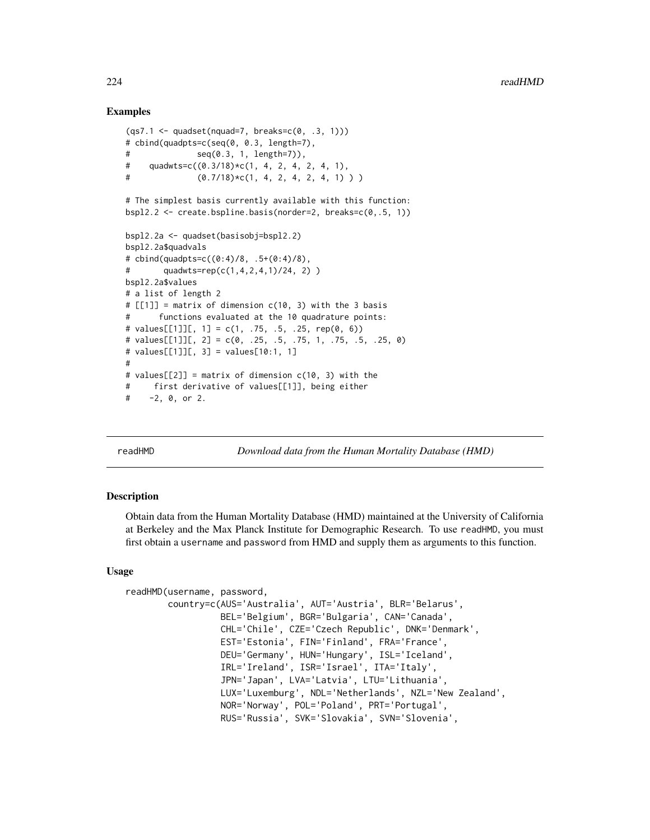## Examples

```
(qs7.1 \leq \text{quadset}(nquad=7, breaks=c(0, .3, 1)))# cbind(quadpts=c(seq(0, 0.3, length=7),
# seq(0.3, 1, length=7)),
# quadwts=c((0.3/18)*c(1, 4, 2, 4, 2, 4, 1),
\# (0.7/18)*c(1, 4, 2, 4, 2, 4, 1) )
# The simplest basis currently available with this function:
bspl2.2 \leq create.bspline.basis(norder=2, breaks=c(0, .5, 1))
bspl2.2a <- quadset(basisobj=bspl2.2)
bspl2.2a$quadvals
# cbind(quadpts=c((0:4)/8, .5+(0:4)/8),
# quadwts=rep(c(1,4,2,4,1)/24, 2) )
bspl2.2a$values
# a list of length 2
# [[1]] = matrix of dimension c(10, 3) with the 3 basis
# functions evaluated at the 10 quadrature points:
# values[[1]][, 1] = c(1, .75, .5, .25, rep(0, 6))
# values[[1]][, 2] = c(0, .25, .5, .75, 1, .75, .5, .25, 0)
# values[[1]][, 3] = values[10:1, 1]
#
# values[[2]] = matrix of dimension c(10, 3) with the
# first derivative of values[[1]], being either
# -2, 0, or 2.
```
readHMD *Download data from the Human Mortality Database (HMD)*

### Description

Obtain data from the Human Mortality Database (HMD) maintained at the University of California at Berkeley and the Max Planck Institute for Demographic Research. To use readHMD, you must first obtain a username and password from HMD and supply them as arguments to this function.

#### Usage

```
readHMD(username, password,
       country=c(AUS='Australia', AUT='Austria', BLR='Belarus',
                  BEL='Belgium', BGR='Bulgaria', CAN='Canada',
                  CHL='Chile', CZE='Czech Republic', DNK='Denmark',
                  EST='Estonia', FIN='Finland', FRA='France',
                  DEU='Germany', HUN='Hungary', ISL='Iceland',
                  IRL='Ireland', ISR='Israel', ITA='Italy',
                  JPN='Japan', LVA='Latvia', LTU='Lithuania',
                  LUX='Luxemburg', NDL='Netherlands', NZL='New Zealand',
                  NOR='Norway', POL='Poland', PRT='Portugal',
                  RUS='Russia', SVK='Slovakia', SVN='Slovenia',
```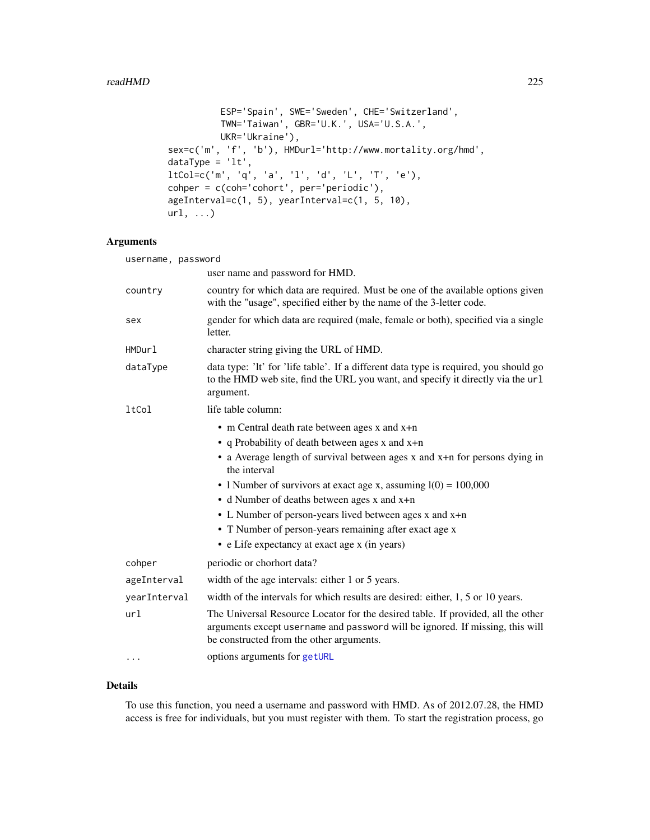### readHMD 225

```
ESP='Spain', SWE='Sweden', CHE='Switzerland',
          TWN='Taiwan', GBR='U.K.', USA='U.S.A.',
          UKR='Ukraine'),
sex=c('m', 'f', 'b'), HMDurl='http://www.mortality.org/hmd',
dataType = 'lt',
ltCol=c('m', 'q', 'a', 'l', 'd', 'L', 'T', 'e'),
cohper = c(coh='cohort', per='periodic'),
ageInterval=c(1, 5), yearInterval=c(1, 5, 10),
url, ...)
```
# Arguments

| username, password |                                                                                                                                                                                                               |
|--------------------|---------------------------------------------------------------------------------------------------------------------------------------------------------------------------------------------------------------|
|                    | user name and password for HMD.                                                                                                                                                                               |
| country            | country for which data are required. Must be one of the available options given<br>with the "usage", specified either by the name of the 3-letter code.                                                       |
| sex                | gender for which data are required (male, female or both), specified via a single<br>letter.                                                                                                                  |
| HMDurl             | character string giving the URL of HMD.                                                                                                                                                                       |
| dataType           | data type: 'lt' for 'life table'. If a different data type is required, you should go<br>to the HMD web site, find the URL you want, and specify it directly via the url<br>argument.                         |
| ltCol              | life table column:                                                                                                                                                                                            |
|                    | $\bullet$ m Central death rate between ages x and x+n                                                                                                                                                         |
|                    | • q Probability of death between ages x and x+n                                                                                                                                                               |
|                    | • a Average length of survival between ages x and x+n for persons dying in<br>the interval                                                                                                                    |
|                    | • 1 Number of survivors at exact age x, assuming $l(0) = 100,000$                                                                                                                                             |
|                    | • d Number of deaths between ages x and x+n                                                                                                                                                                   |
|                    | • L Number of person-years lived between ages x and x+n                                                                                                                                                       |
|                    | • T Number of person-years remaining after exact age x                                                                                                                                                        |
|                    | • e Life expectancy at exact age x (in years)                                                                                                                                                                 |
| cohper             | periodic or chorhort data?                                                                                                                                                                                    |
| ageInterval        | width of the age intervals: either 1 or 5 years.                                                                                                                                                              |
| yearInterval       | width of the intervals for which results are desired: either, 1, 5 or 10 years.                                                                                                                               |
| url                | The Universal Resource Locator for the desired table. If provided, all the other<br>arguments except username and password will be ignored. If missing, this will<br>be constructed from the other arguments. |
| $\cdots$           | options arguments for getURL                                                                                                                                                                                  |

### Details

To use this function, you need a username and password with HMD. As of 2012.07.28, the HMD access is free for individuals, but you must register with them. To start the registration process, go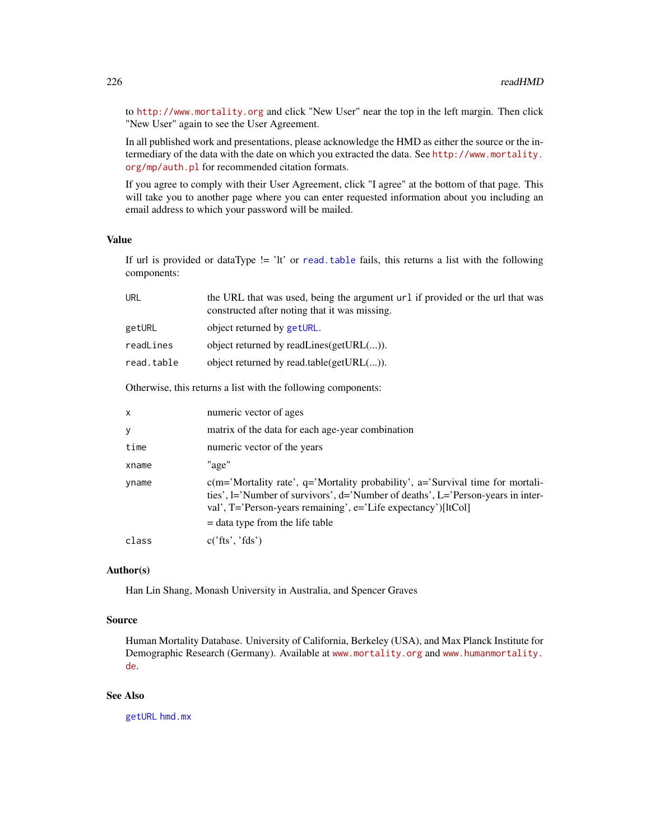to <http://www.mortality.org> and click "New User" near the top in the left margin. Then click "New User" again to see the User Agreement.

In all published work and presentations, please acknowledge the HMD as either the source or the intermediary of the data with the date on which you extracted the data. See [http://www.mortality.](http://www.mortality.org/mp/auth.pl) [org/mp/auth.pl](http://www.mortality.org/mp/auth.pl) for recommended citation formats.

If you agree to comply with their User Agreement, click "I agree" at the bottom of that page. This will take you to another page where you can enter requested information about you including an email address to which your password will be mailed.

## Value

If url is provided or dataType  $!=$  'lt' or [read.table](#page-0-0) fails, this returns a list with the following components:

| URL        | the URL that was used, being the argument url if provided or the url that was<br>constructed after noting that it was missing. |
|------------|--------------------------------------------------------------------------------------------------------------------------------|
| getURL     | object returned by getURL.                                                                                                     |
| readLines  | object returned by readLines $(getURL())$ .                                                                                    |
| read.table | object returned by read.table( $getURL()$ ).                                                                                   |
|            |                                                                                                                                |

Otherwise, this returns a list with the following components:

| $\mathsf{x}$ | numeric vector of ages                                                                                                                                                                                                                                                    |
|--------------|---------------------------------------------------------------------------------------------------------------------------------------------------------------------------------------------------------------------------------------------------------------------------|
| y            | matrix of the data for each age-year combination                                                                                                                                                                                                                          |
| time         | numeric vector of the years                                                                                                                                                                                                                                               |
| xname        | "age"                                                                                                                                                                                                                                                                     |
| yname        | $c(m=$ Mortality rate', q='Mortality probability', a='Survival time for mortali-<br>ties', l='Number of survivors', d='Number of deaths', L='Person-years in inter-<br>val', T='Person-years remaining', e='Life expectancy')[ltCol]<br>$=$ data type from the life table |
|              |                                                                                                                                                                                                                                                                           |
| class        | c('fts', 'fds')                                                                                                                                                                                                                                                           |

### Author(s)

Han Lin Shang, Monash University in Australia, and Spencer Graves

#### Source

Human Mortality Database. University of California, Berkeley (USA), and Max Planck Institute for Demographic Research (Germany). Available at <www.mortality.org> and [www.humanmortality.](www.humanmortality.de) [de](www.humanmortality.de).

# See Also

[getURL](#page-0-0) [hmd.mx](#page-0-0)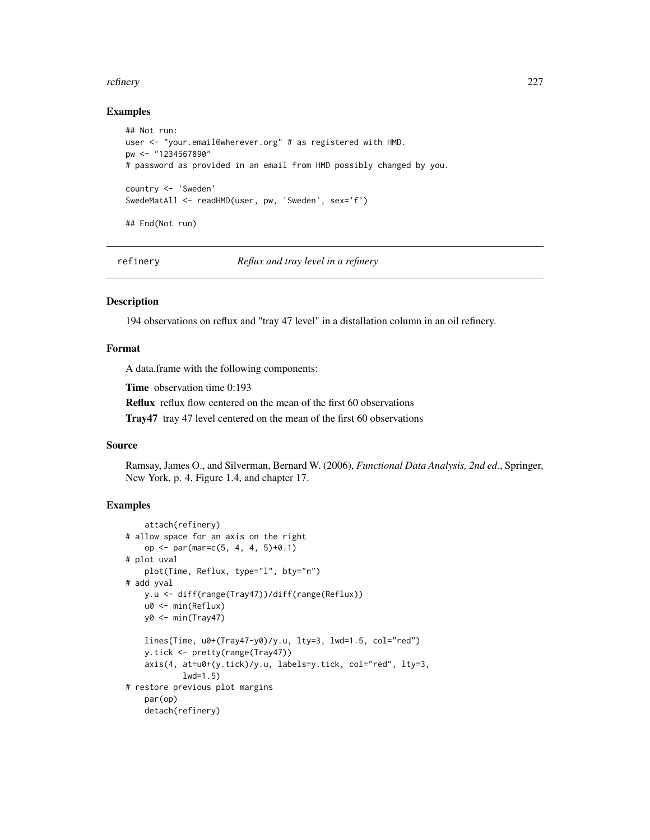#### refinery 227

### Examples

```
## Not run:
user <- "your.email@wherever.org" # as registered with HMD.
pw <- "1234567890"
# password as provided in an email from HMD possibly changed by you.
country <- 'Sweden'
SwedeMatAll <- readHMD(user, pw, 'Sweden', sex='f')
## End(Not run)
```
refinery *Reflux and tray level in a refinery*

### Description

194 observations on reflux and "tray 47 level" in a distallation column in an oil refinery.

# Format

A data.frame with the following components:

Time observation time 0:193

Reflux reflux flow centered on the mean of the first 60 observations

Tray47 tray 47 level centered on the mean of the first 60 observations

### Source

Ramsay, James O., and Silverman, Bernard W. (2006), *Functional Data Analysis, 2nd ed.*, Springer, New York, p. 4, Figure 1.4, and chapter 17.

```
attach(refinery)
# allow space for an axis on the right
   op <- par(mar=c(5, 4, 4, 5)+0.1)
# plot uval
   plot(Time, Reflux, type="l", bty="n")
# add yval
   y.u <- diff(range(Tray47))/diff(range(Reflux))
   u0 <- min(Reflux)
   y0 <- min(Tray47)
   lines(Time, u0+(Tray47-y0)/y.u, lty=3, lwd=1.5, col="red")
   y.tick <- pretty(range(Tray47))
   axis(4, at=u0+(y.tick)/y.u, labels=y.tick, col="red", lty=3,
            lwd=1.5)
# restore previous plot margins
   par(op)
   detach(refinery)
```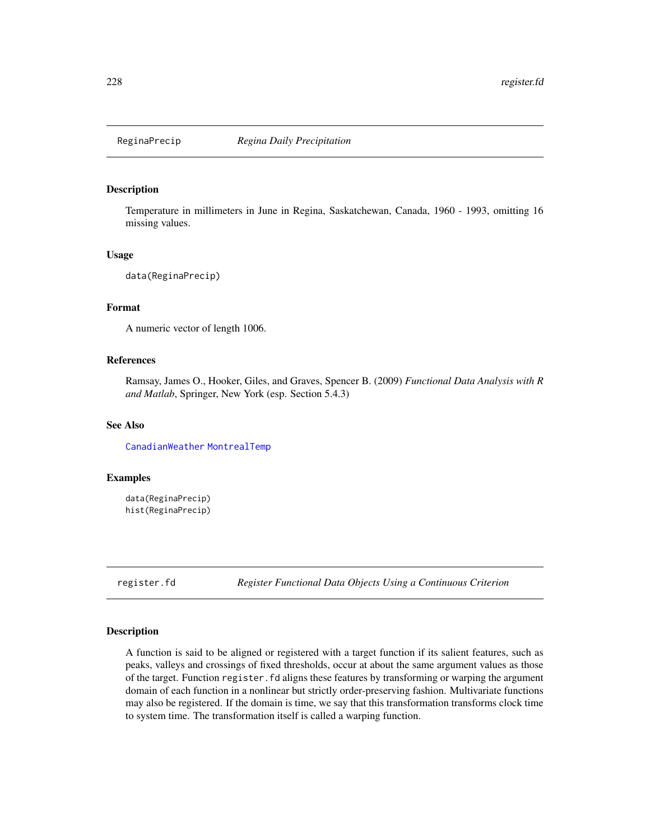### Description

Temperature in millimeters in June in Regina, Saskatchewan, Canada, 1960 - 1993, omitting 16 missing values.

#### Usage

```
data(ReginaPrecip)
```
### Format

A numeric vector of length 1006.

### References

Ramsay, James O., Hooker, Giles, and Graves, Spencer B. (2009) *Functional Data Analysis with R and Matlab*, Springer, New York (esp. Section 5.4.3)

#### See Also

[CanadianWeather](#page-29-0) [MontrealTemp](#page-174-0)

# Examples

```
data(ReginaPrecip)
hist(ReginaPrecip)
```
<span id="page-227-0"></span>register.fd *Register Functional Data Objects Using a Continuous Criterion*

# **Description**

A function is said to be aligned or registered with a target function if its salient features, such as peaks, valleys and crossings of fixed thresholds, occur at about the same argument values as those of the target. Function register.fd aligns these features by transforming or warping the argument domain of each function in a nonlinear but strictly order-preserving fashion. Multivariate functions may also be registered. If the domain is time, we say that this transformation transforms clock time to system time. The transformation itself is called a warping function.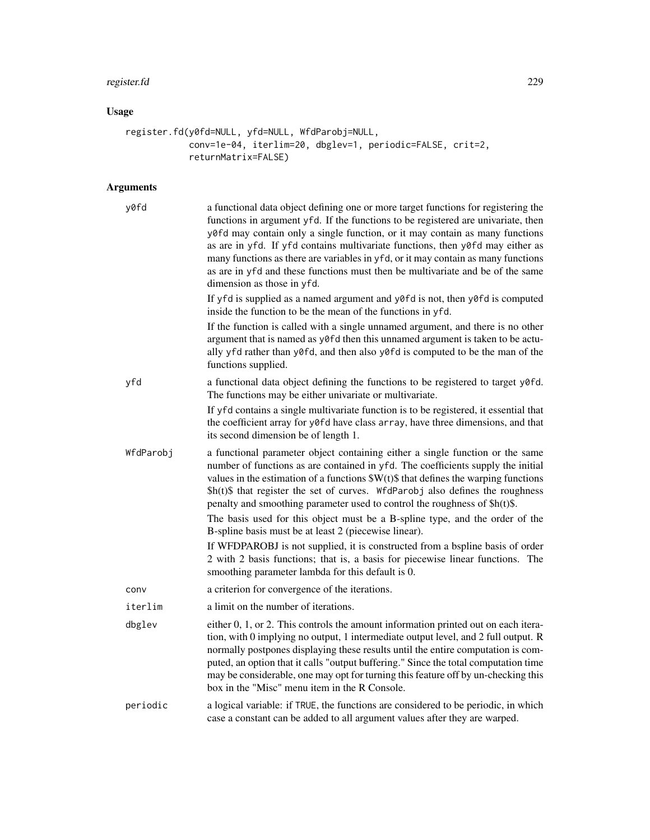# register.fd 229

# Usage

```
register.fd(y0fd=NULL, yfd=NULL, WfdParobj=NULL,
           conv=1e-04, iterlim=20, dbglev=1, periodic=FALSE, crit=2,
           returnMatrix=FALSE)
```
# Arguments

| y0fd      | a functional data object defining one or more target functions for registering the<br>functions in argument yfd. If the functions to be registered are univariate, then<br>y0fd may contain only a single function, or it may contain as many functions<br>as are in yfd. If yfd contains multivariate functions, then y0fd may either as<br>many functions as there are variables in yfd, or it may contain as many functions<br>as are in yfd and these functions must then be multivariate and be of the same<br>dimension as those in yfd. |
|-----------|------------------------------------------------------------------------------------------------------------------------------------------------------------------------------------------------------------------------------------------------------------------------------------------------------------------------------------------------------------------------------------------------------------------------------------------------------------------------------------------------------------------------------------------------|
|           | If yfd is supplied as a named argument and y0fd is not, then y0fd is computed<br>inside the function to be the mean of the functions in yfd.                                                                                                                                                                                                                                                                                                                                                                                                   |
|           | If the function is called with a single unnamed argument, and there is no other<br>argument that is named as y0fd then this unnamed argument is taken to be actu-<br>ally yfd rather than y0fd, and then also y0fd is computed to be the man of the<br>functions supplied.                                                                                                                                                                                                                                                                     |
| yfd       | a functional data object defining the functions to be registered to target y0fd.<br>The functions may be either univariate or multivariate.                                                                                                                                                                                                                                                                                                                                                                                                    |
|           | If yfd contains a single multivariate function is to be registered, it essential that<br>the coefficient array for y0fd have class array, have three dimensions, and that<br>its second dimension be of length 1.                                                                                                                                                                                                                                                                                                                              |
| WfdParobj | a functional parameter object containing either a single function or the same<br>number of functions as are contained in yfd. The coefficients supply the initial<br>values in the estimation of a functions $W(t)$ \$ that defines the warping functions<br>\$h(t)\$ that register the set of curves. WfdParobj also defines the roughness<br>penalty and smoothing parameter used to control the roughness of \$h(t)\$.                                                                                                                      |
|           | The basis used for this object must be a B-spline type, and the order of the<br>B-spline basis must be at least 2 (piecewise linear).                                                                                                                                                                                                                                                                                                                                                                                                          |
|           | If WFDPAROBJ is not supplied, it is constructed from a bspline basis of order<br>2 with 2 basis functions; that is, a basis for piecewise linear functions. The<br>smoothing parameter lambda for this default is 0.                                                                                                                                                                                                                                                                                                                           |
| conv      | a criterion for convergence of the iterations.                                                                                                                                                                                                                                                                                                                                                                                                                                                                                                 |
| iterlim   | a limit on the number of iterations.                                                                                                                                                                                                                                                                                                                                                                                                                                                                                                           |
| dbglev    | either $0, 1$ , or 2. This controls the amount information printed out on each itera-<br>tion, with 0 implying no output, 1 intermediate output level, and 2 full output. R<br>normally postpones displaying these results until the entire computation is com-<br>puted, an option that it calls "output buffering." Since the total computation time<br>may be considerable, one may opt for turning this feature off by un-checking this<br>box in the "Misc" menu item in the R Console.                                                   |
| periodic  | a logical variable: if TRUE, the functions are considered to be periodic, in which<br>case a constant can be added to all argument values after they are warped.                                                                                                                                                                                                                                                                                                                                                                               |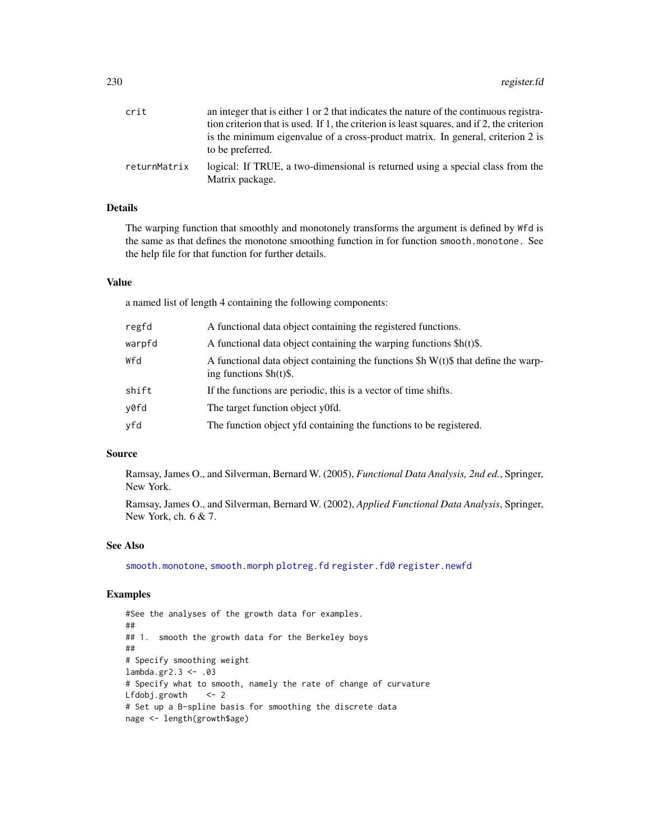| crit         | an integer that is either 1 or 2 that indicates the nature of the continuous registra-<br>tion criterion that is used. If 1, the criterion is least squares, and if 2, the criterion<br>is the minimum eigenvalue of a cross-product matrix. In general, criterion 2 is<br>to be preferred. |
|--------------|---------------------------------------------------------------------------------------------------------------------------------------------------------------------------------------------------------------------------------------------------------------------------------------------|
| returnMatrix | logical: If TRUE, a two-dimensional is returned using a special class from the<br>Matrix package.                                                                                                                                                                                           |

# Details

The warping function that smoothly and monotonely transforms the argument is defined by Wfd is the same as that defines the monotone smoothing function in for function smooth.monotone. See the help file for that function for further details.

#### Value

a named list of length 4 containing the following components:

| A functional data object containing the warping functions $h(t)$ .<br>warpfd                                                   |  |
|--------------------------------------------------------------------------------------------------------------------------------|--|
|                                                                                                                                |  |
| Wfd<br>A functional data object containing the functions $h$ W(t) $\$ that define the warp-<br>ing functions $\text{Sh}(t)\$ . |  |
| shift<br>If the functions are periodic, this is a vector of time shifts.                                                       |  |
| v0fd<br>The target function object y0fd.                                                                                       |  |
| The function object yfd containing the functions to be registered.<br>yfd                                                      |  |

# Source

Ramsay, James O., and Silverman, Bernard W. (2005), *Functional Data Analysis, 2nd ed.*, Springer, New York.

Ramsay, James O., and Silverman, Bernard W. (2002), *Applied Functional Data Analysis*, Springer, New York, ch. 6 & 7.

#### See Also

[smooth.monotone](#page-264-0), [smooth.morph](#page-267-0) [plotreg.fd](#page-208-0) [register.fd0](#page-232-0) [register.newfd](#page-234-0)

```
#See the analyses of the growth data for examples.
##
## 1. smooth the growth data for the Berkeley boys
##
# Specify smoothing weight
lambda.gr2.3 <- .03
# Specify what to smooth, namely the rate of change of curvature
Lfdobj.growth <- 2
# Set up a B-spline basis for smoothing the discrete data
nage <- length(growth$age)
```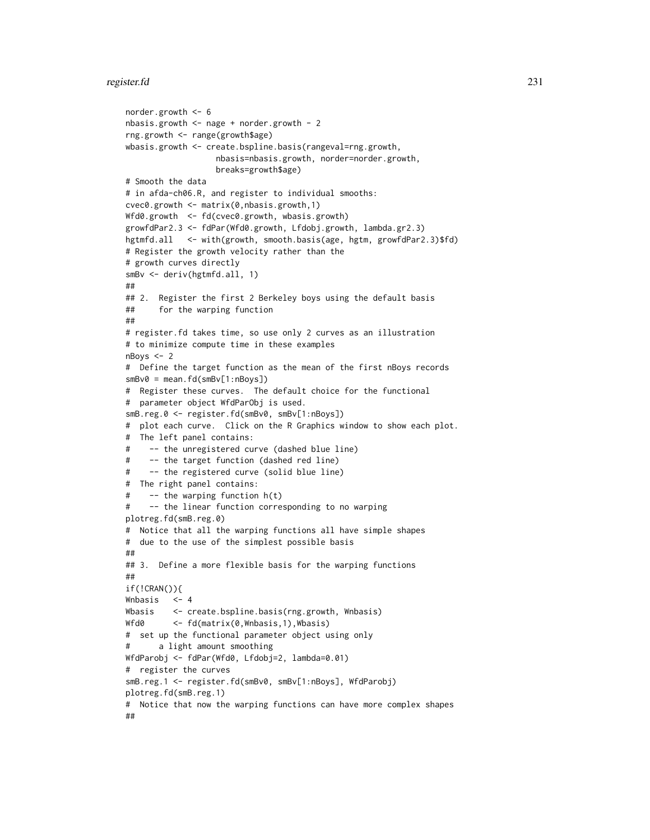#### register.fd 231

```
norder.growth <- 6
nbasis.growth <- nage + norder.growth - 2
rng.growth <- range(growth$age)
wbasis.growth <- create.bspline.basis(rangeval=rng.growth,
                  nbasis=nbasis.growth, norder=norder.growth,
                  breaks=growth$age)
# Smooth the data
# in afda-ch06.R, and register to individual smooths:
cvec0.growth <- matrix(0,nbasis.growth,1)
Wfd0.growth <- fd(cvec0.growth, wbasis.growth)
growfdPar2.3 <- fdPar(Wfd0.growth, Lfdobj.growth, lambda.gr2.3)
hgtmfd.all <- with(growth, smooth.basis(age, hgtm, growfdPar2.3)$fd)
# Register the growth velocity rather than the
# growth curves directly
smBv <- deriv(hgtmfd.all, 1)
##
## 2. Register the first 2 Berkeley boys using the default basis
## for the warping function
##
# register.fd takes time, so use only 2 curves as an illustration
# to minimize compute time in these examples
nBoys <- 2
# Define the target function as the mean of the first nBoys records
smBv0 = mean.fd(smBv[1:nBoys])
# Register these curves. The default choice for the functional
# parameter object WfdParObj is used.
smB.reg.0 <- register.fd(smBv0, smBv[1:nBoys])
# plot each curve. Click on the R Graphics window to show each plot.
# The left panel contains:
# -- the unregistered curve (dashed blue line)
# -- the target function (dashed red line)
# -- the registered curve (solid blue line)
# The right panel contains:
    - the warping function h(t)# -- the linear function corresponding to no warping
plotreg.fd(smB.reg.0)
# Notice that all the warping functions all have simple shapes
# due to the use of the simplest possible basis
##
## 3. Define a more flexible basis for the warping functions
##
if(!CRAN()){
Wnbasis <- 4
Wbasis <- create.bspline.basis(rng.growth, Wnbasis)
Wfd0 <- fd(matrix(0,Wnbasis,1),Wbasis)
# set up the functional parameter object using only
# a light amount smoothing
WfdParobj <- fdPar(Wfd0, Lfdobj=2, lambda=0.01)
# register the curves
smB.reg.1 <- register.fd(smBv0, smBv[1:nBoys], WfdParobj)
plotreg.fd(smB.reg.1)
# Notice that now the warping functions can have more complex shapes
##
```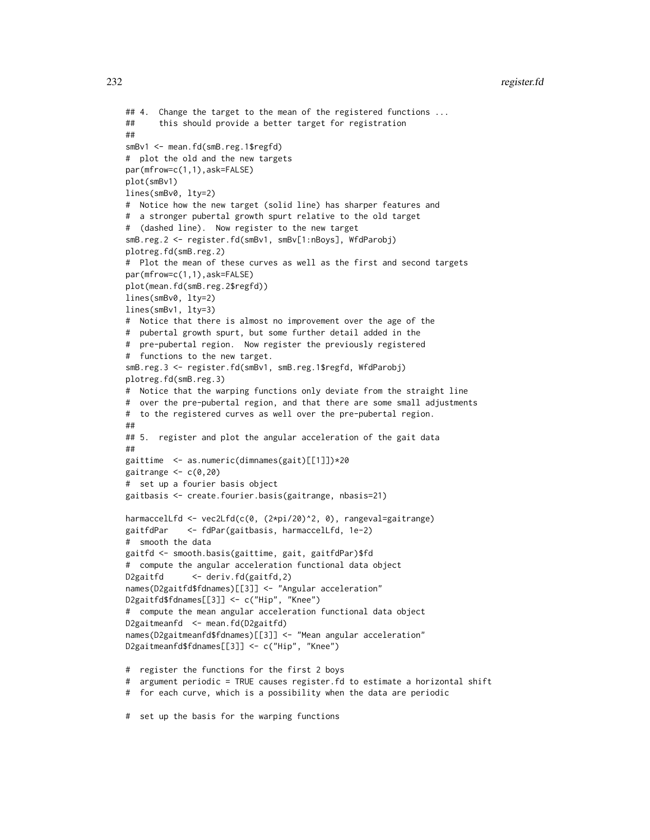```
## 4. Change the target to the mean of the registered functions ...
## this should provide a better target for registration
##
smBv1 <- mean.fd(smB.reg.1$regfd)
# plot the old and the new targets
par(mfrow=c(1,1),ask=FALSE)
plot(smBv1)
lines(smBv0, lty=2)
# Notice how the new target (solid line) has sharper features and
# a stronger pubertal growth spurt relative to the old target
# (dashed line). Now register to the new target
smB.reg.2 <- register.fd(smBv1, smBv[1:nBoys], WfdParobj)
plotreg.fd(smB.reg.2)
# Plot the mean of these curves as well as the first and second targets
par(mfrow=c(1,1),ask=FALSE)
plot(mean.fd(smB.reg.2$regfd))
lines(smBv0, lty=2)
lines(smBv1, lty=3)
# Notice that there is almost no improvement over the age of the
# pubertal growth spurt, but some further detail added in the
# pre-pubertal region. Now register the previously registered
# functions to the new target.
smB.reg.3 <- register.fd(smBv1, smB.reg.1$regfd, WfdParobj)
plotreg.fd(smB.reg.3)
# Notice that the warping functions only deviate from the straight line
# over the pre-pubertal region, and that there are some small adjustments
# to the registered curves as well over the pre-pubertal region.
##
## 5. register and plot the angular acceleration of the gait data
##
gaittime <- as.numeric(dimnames(gait)[[1]])*20
gaitrange \leq c(0,20)
# set up a fourier basis object
gaitbasis <- create.fourier.basis(gaitrange, nbasis=21)
harmaccelLfd <- vec2Lfd(c(0, (2*pi/20)^2, 0), rangeval=gaitrange)
gaitfdPar <- fdPar(gaitbasis, harmaccelLfd, 1e-2)
# smooth the data
gaitfd <- smooth.basis(gaittime, gait, gaitfdPar)$fd
# compute the angular acceleration functional data object
D2gaitfd <- deriv.fd(gaitfd,2)
names(D2gaitfd$fdnames)[[3]] <- "Angular acceleration"
D2gaitfd$fdnames[[3]] <- c("Hip", "Knee")
# compute the mean angular acceleration functional data object
D2gaitmeanfd <- mean.fd(D2gaitfd)
names(D2gaitmeanfd$fdnames)[[3]] <- "Mean angular acceleration"
D2gaitmeanfd$fdnames[[3]] <- c("Hip", "Knee")
# register the functions for the first 2 boys
# argument periodic = TRUE causes register.fd to estimate a horizontal shift
# for each curve, which is a possibility when the data are periodic
```
# set up the basis for the warping functions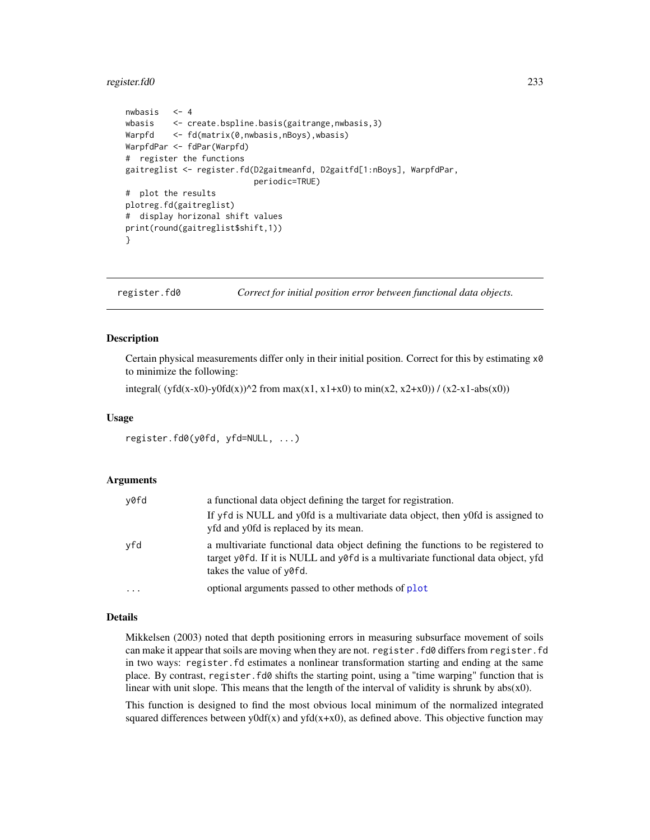# register.fd0 233

```
nwbasis <-4wbasis <- create.bspline.basis(gaitrange,nwbasis,3)
Warpfd <- fd(matrix(0,nwbasis,nBoys),wbasis)
WarpfdPar <- fdPar(Warpfd)
# register the functions
gaitreglist <- register.fd(D2gaitmeanfd, D2gaitfd[1:nBoys], WarpfdPar,
                          periodic=TRUE)
# plot the results
plotreg.fd(gaitreglist)
# display horizonal shift values
print(round(gaitreglist$shift,1))
}
```
<span id="page-232-0"></span>register.fd0 *Correct for initial position error between functional data objects.*

### **Description**

Certain physical measurements differ only in their initial position. Correct for this by estimating  $x\delta$ to minimize the following:

integral(  $(yfd(x-x0)-y0fd(x))^2$  from max(x1, x1+x0) to min(x2, x2+x0)) / (x2-x1-abs(x0))

#### Usage

```
register.fd0(y0fd, yfd=NULL, ...)
```
### Arguments

| v0fd                    | a functional data object defining the target for registration.                                                                                                                                    |
|-------------------------|---------------------------------------------------------------------------------------------------------------------------------------------------------------------------------------------------|
|                         | If yfd is NULL and y0fd is a multivariate data object, then y0fd is assigned to<br>yfd and y0fd is replaced by its mean.                                                                          |
| vfd                     | a multivariate functional data object defining the functions to be registered to<br>target y0fd. If it is NULL and y0fd is a multivariate functional data object, yfd<br>takes the value of y0fd. |
| $\cdot$ $\cdot$ $\cdot$ | optional arguments passed to other methods of plot                                                                                                                                                |

### Details

Mikkelsen (2003) noted that depth positioning errors in measuring subsurface movement of soils can make it appear that soils are moving when they are not. register.fd0 differs from register.fd in two ways: register.fd estimates a nonlinear transformation starting and ending at the same place. By contrast, register.fd0 shifts the starting point, using a "time warping" function that is linear with unit slope. This means that the length of the interval of validity is shrunk by  $abs(x0)$ .

This function is designed to find the most obvious local minimum of the normalized integrated squared differences between  $y0df(x)$  and  $yfd(x+x0)$ , as defined above. This objective function may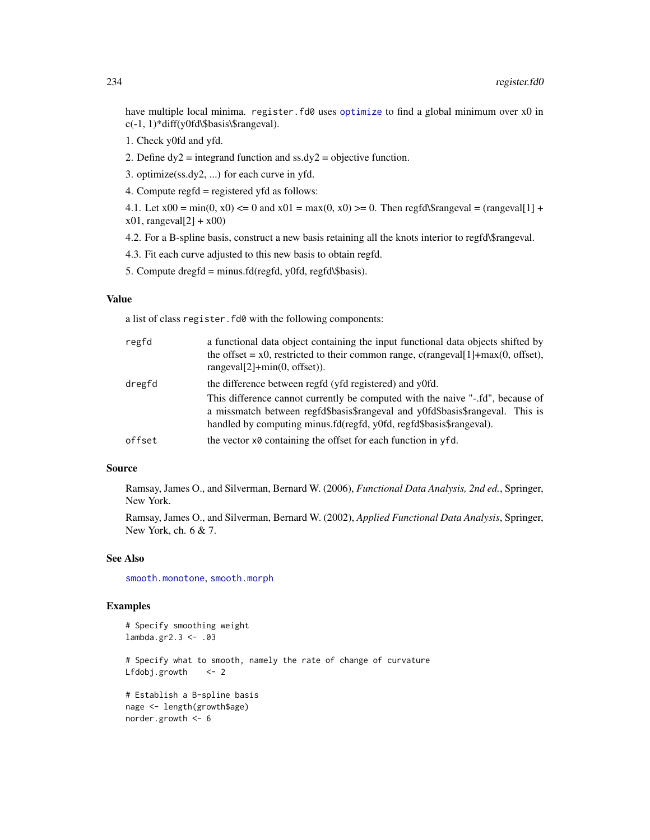have multiple local minima. register.fd0 uses [optimize](#page-0-0) to find a global minimum over x0 in c(-1, 1)\*diff(y0fd\\$basis\\$rangeval).

- 1. Check y0fd and yfd.
- 2. Define  $dy2$  = integrand function and  $ss. dy2$  = objective function.
- 3. optimize(ss.dy2, ...) for each curve in yfd.
- 4. Compute regfd = registered yfd as follows:

4.1. Let  $x00 = min(0, x0) \le 0$  and  $x01 = max(0, x0) \ge 0$ . Then regfd\\$rangeval = (rangeval[1] +  $x01$ , rangeval $[2] + x00$ 

4.2. For a B-spline basis, construct a new basis retaining all the knots interior to regfd\\$rangeval.

4.3. Fit each curve adjusted to this new basis to obtain regfd.

5. Compute dregfd = minus.fd(regfd, y0fd, regfd\\$basis).

# Value

a list of class register. fd0 with the following components:

| regfd  | a functional data object containing the input functional data objects shifted by<br>the offset = $x0$ , restricted to their common range, c(rangeval[1]+max(0, offset),<br>$rangeval[2] + min(0, offset)).$                                                                                      |
|--------|--------------------------------------------------------------------------------------------------------------------------------------------------------------------------------------------------------------------------------------------------------------------------------------------------|
| dregfd | the difference between regfd (yfd registered) and y0fd.<br>This difference cannot currently be computed with the naive "-fd", because of<br>a missmatch between regfd\$basis\$rangeval and y0fd\$basis\$rangeval. This is<br>handled by computing minus.fd(regfd, y0fd, regfd\$basis\$rangeval). |
| offset | the vector $x\theta$ containing the offset for each function in yfd.                                                                                                                                                                                                                             |

### Source

Ramsay, James O., and Silverman, Bernard W. (2006), *Functional Data Analysis, 2nd ed.*, Springer, New York.

Ramsay, James O., and Silverman, Bernard W. (2002), *Applied Functional Data Analysis*, Springer, New York, ch. 6 & 7.

# See Also

[smooth.monotone](#page-264-0), [smooth.morph](#page-267-0)

```
# Specify smoothing weight
lambda.gr2.3 <- .03
# Specify what to smooth, namely the rate of change of curvature
Lfdobj.growth <- 2
# Establish a B-spline basis
nage <- length(growth$age)
norder.growth <- 6
```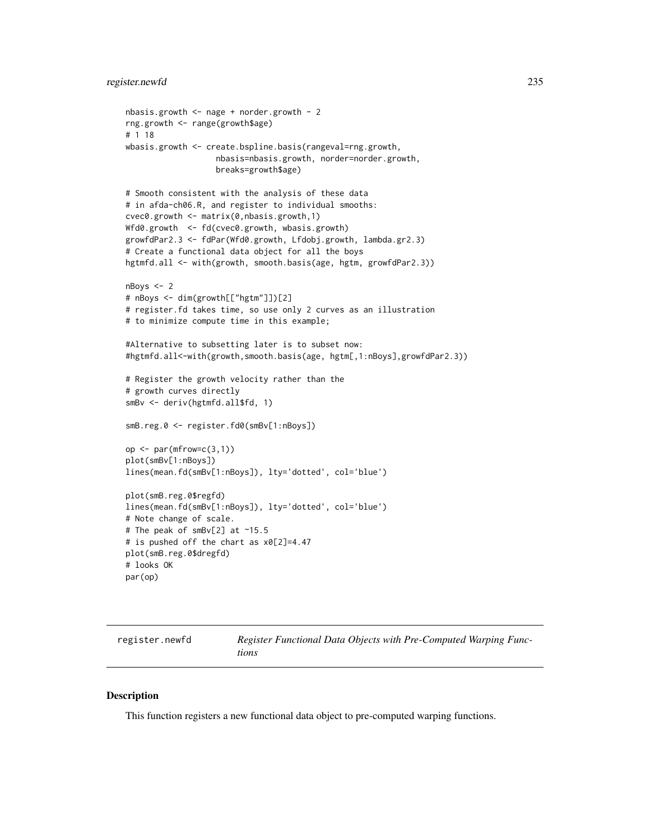```
nbasis.growth <- nage + norder.growth - 2
rng.growth <- range(growth$age)
# 1 18
wbasis.growth <- create.bspline.basis(rangeval=rng.growth,
                   nbasis=nbasis.growth, norder=norder.growth,
                   breaks=growth$age)
# Smooth consistent with the analysis of these data
# in afda-ch06.R, and register to individual smooths:
cvec0.growth <- matrix(0,nbasis.growth,1)
Wfd0.growth <- fd(cvec0.growth, wbasis.growth)
growfdPar2.3 <- fdPar(Wfd0.growth, Lfdobj.growth, lambda.gr2.3)
# Create a functional data object for all the boys
hgtmfd.all <- with(growth, smooth.basis(age, hgtm, growfdPar2.3))
nBoys <- 2
# nBoys <- dim(growth[["hgtm"]])[2]
# register.fd takes time, so use only 2 curves as an illustration
# to minimize compute time in this example;
#Alternative to subsetting later is to subset now:
#hgtmfd.all<-with(growth,smooth.basis(age, hgtm[,1:nBoys],growfdPar2.3))
# Register the growth velocity rather than the
# growth curves directly
smBv <- deriv(hgtmfd.all$fd, 1)
smB.reg.0 <- register.fd0(smBv[1:nBoys])
op \leq par(mfrow=c(3,1))
plot(smBv[1:nBoys])
lines(mean.fd(smBv[1:nBoys]), lty='dotted', col='blue')
plot(smB.reg.0$regfd)
lines(mean.fd(smBv[1:nBoys]), lty='dotted', col='blue')
# Note change of scale.
# The peak of smBv[2] at ~15.5
# is pushed off the chart as x0[2]=4.47
plot(smB.reg.0$dregfd)
# looks OK
par(op)
```
<span id="page-234-0"></span>

| register.newfd | Register Functional Data Objects with Pre-Computed Warping Func- |
|----------------|------------------------------------------------------------------|
|                | tions                                                            |

#### **Description**

This function registers a new functional data object to pre-computed warping functions.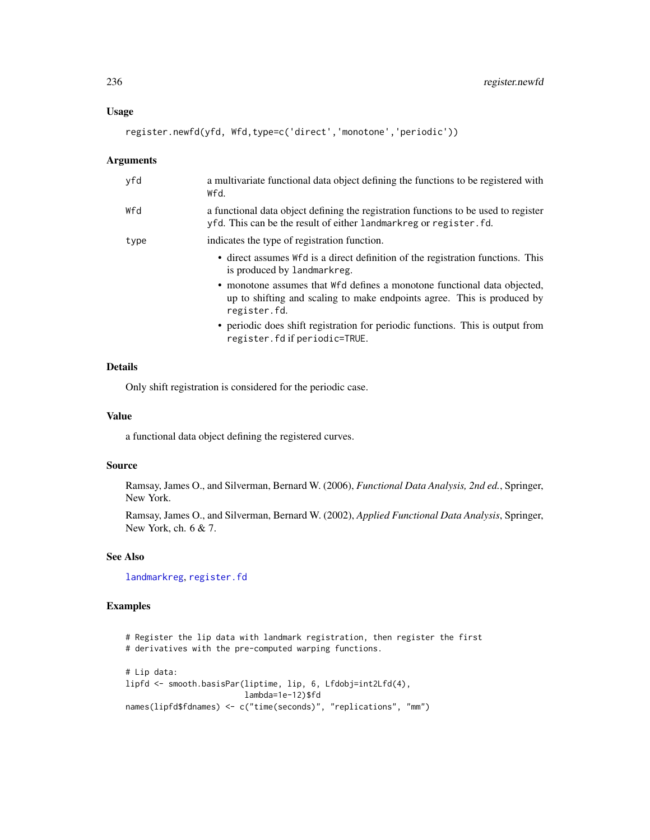#### Usage

register.newfd(yfd, Wfd,type=c('direct','monotone','periodic'))

### Arguments

| yfd  | a multivariate functional data object defining the functions to be registered with<br>Wfd.                                                                          |
|------|---------------------------------------------------------------------------------------------------------------------------------------------------------------------|
| Wfd  | a functional data object defining the registration functions to be used to register<br>yfd. This can be the result of either landmarkreg or register. fd.           |
| type | indicates the type of registration function.                                                                                                                        |
|      | • direct assumes We is a direct definition of the registration functions. This<br>is produced by landmarkreg.                                                       |
|      | • monotone assumes that Wfd defines a monotone functional data objected,<br>up to shifting and scaling to make endpoints agree. This is produced by<br>register.fd. |
|      | • periodic does shift registration for periodic functions. This is output from<br>register.fdifperiodic=TRUE.                                                       |

### Details

Only shift registration is considered for the periodic case.

#### Value

a functional data object defining the registered curves.

#### Source

Ramsay, James O., and Silverman, Bernard W. (2006), *Functional Data Analysis, 2nd ed.*, Springer, New York.

Ramsay, James O., and Silverman, Bernard W. (2002), *Applied Functional Data Analysis*, Springer, New York, ch. 6 & 7.

### See Also

[landmarkreg](#page-151-0), [register.fd](#page-227-0)

```
# Register the lip data with landmark registration, then register the first
# derivatives with the pre-computed warping functions.
# Lip data:
lipfd <- smooth.basisPar(liptime, lip, 6, Lfdobj=int2Lfd(4),
                        lambda=1e-12)$fd
names(lipfd$fdnames) <- c("time(seconds)", "replications", "mm")
```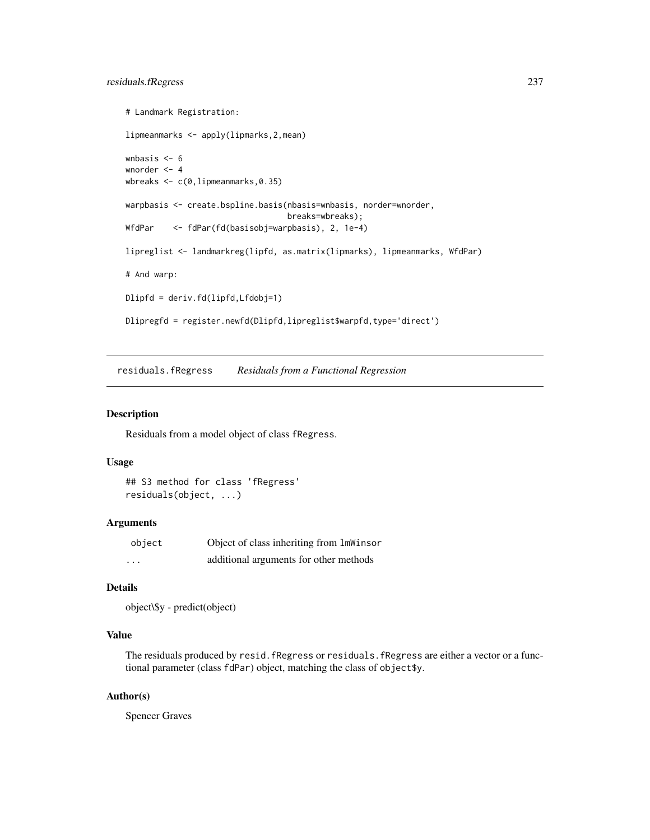# residuals.fRegress 237

```
# Landmark Registration:
lipmeanmarks <- apply(lipmarks,2,mean)
wnbasis <- 6
wnorder <- 4
wbreaks <- c(0,lipmeanmarks,0.35)
warpbasis <- create.bspline.basis(nbasis=wnbasis, norder=wnorder,
                                  breaks=wbreaks);
WfdPar <- fdPar(fd(basisobj=warpbasis), 2, 1e-4)
lipreglist <- landmarkreg(lipfd, as.matrix(lipmarks), lipmeanmarks, WfdPar)
# And warp:
Dlipfd = deriv.fd(lipfd,Lfdobj=1)
Dlipregfd = register.newfd(Dlipfd,lipreglist$warpfd,type='direct')
```
residuals.fRegress *Residuals from a Functional Regression*

### Description

Residuals from a model object of class fRegress.

#### Usage

```
## S3 method for class 'fRegress'
residuals(object, ...)
```
#### Arguments

| object   | Object of class inheriting from 1mWinsor |
|----------|------------------------------------------|
| $\cdots$ | additional arguments for other methods   |

#### Details

```
object\$y - predict(object)
```
# Value

The residuals produced by resid. fRegress or residuals. fRegress are either a vector or a functional parameter (class fdPar) object, matching the class of object\$y.

# Author(s)

Spencer Graves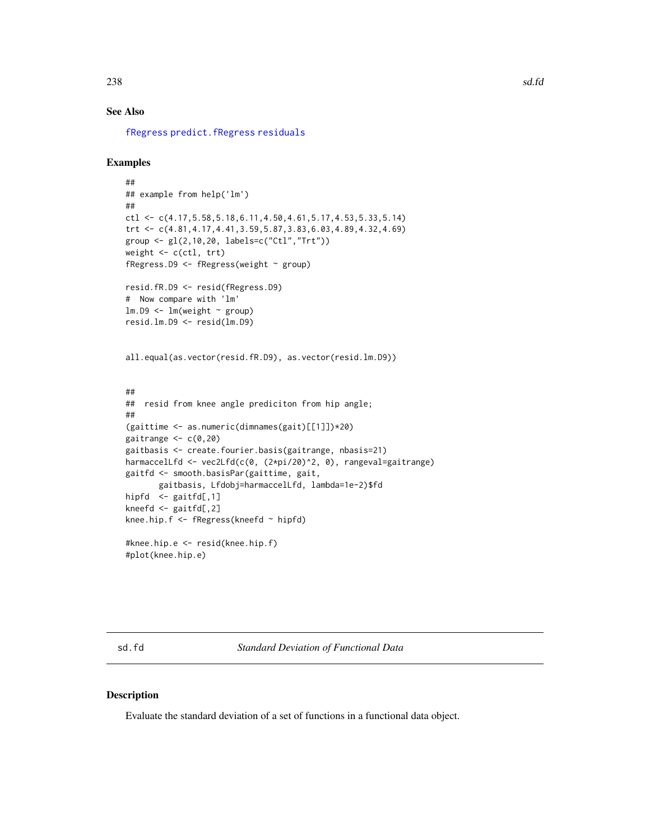# See Also

[fRegress](#page-120-0) [predict.fRegress](#page-215-0) [residuals](#page-0-0)

# Examples

```
##
## example from help('lm')
##
ctl <- c(4.17,5.58,5.18,6.11,4.50,4.61,5.17,4.53,5.33,5.14)
trt <- c(4.81,4.17,4.41,3.59,5.87,3.83,6.03,4.89,4.32,4.69)
group <- gl(2,10,20, labels=c("Ctl","Trt"))
weight <- c(ctl, trt)
fRegress.D9 <- fRegress(weight ~ group)
resid.fR.D9 <- resid(fRegress.D9)
# Now compare with 'lm'
lm.D9 \leq -lm(weight \sim group)resid.lm.D9 <- resid(lm.D9)
all.equal(as.vector(resid.fR.D9), as.vector(resid.lm.D9))
##
## resid from knee angle prediciton from hip angle;
##
(gaittime <- as.numeric(dimnames(gait)[[1]])*20)
gaitrange \leq c(0,20)
gaitbasis <- create.fourier.basis(gaitrange, nbasis=21)
harmaccelLfd <- vec2Lfd(c(0, (2*pi/20)^2, 0), rangeval=gaitrange)
gaitfd <- smooth.basisPar(gaittime, gait,
       gaitbasis, Lfdobj=harmaccelLfd, lambda=1e-2)$fd
hipfd <- gaitfd[,1]
kneefd <- gaitfd[,2]
knee.hip.f <- fRegress(kneefd ~ hipfd)
#knee.hip.e <- resid(knee.hip.f)
#plot(knee.hip.e)
```
sd.fd *Standard Deviation of Functional Data*

# Description

Evaluate the standard deviation of a set of functions in a functional data object.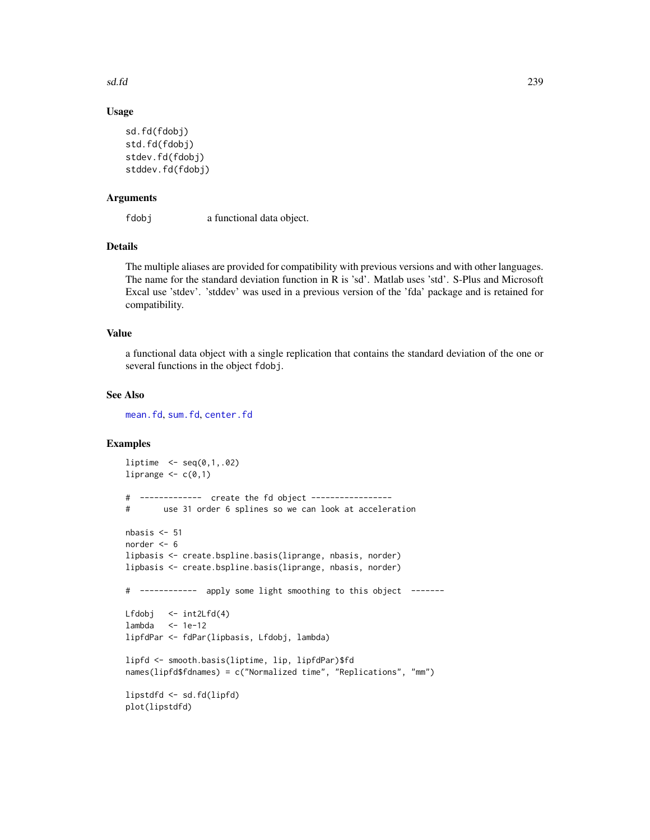sd.fd 239

# Usage

```
sd.fd(fdobj)
std.fd(fdobj)
stdev.fd(fdobj)
stddev.fd(fdobj)
```
### Arguments

fdobj a functional data object.

# Details

The multiple aliases are provided for compatibility with previous versions and with other languages. The name for the standard deviation function in R is 'sd'. Matlab uses 'std'. S-Plus and Microsoft Excal use 'stdev'. 'stddev' was used in a previous version of the 'fda' package and is retained for compatibility.

# Value

a functional data object with a single replication that contains the standard deviation of the one or several functions in the object fdobj.

### See Also

[mean.fd](#page-168-0), [sum.fd](#page-271-0), [center.fd](#page-32-0)

```
liptime \leq seq(0,1,.02)
liprange \leq c(0,1)# ------------- create the fd object -----------------
# use 31 order 6 splines so we can look at acceleration
nbasis <- 51
norder <- 6
lipbasis <- create.bspline.basis(liprange, nbasis, norder)
lipbasis <- create.bspline.basis(liprange, nbasis, norder)
# ------------ apply some light smoothing to this object -------
Lfdobj <- int2Lfd(4)
lambda <- 1e-12
lipfdPar <- fdPar(lipbasis, Lfdobj, lambda)
lipfd <- smooth.basis(liptime, lip, lipfdPar)$fd
names(lipfd$fdnames) = c("Normalized time", "Replications", "mm")
lipstdfd <- sd.fd(lipfd)
plot(lipstdfd)
```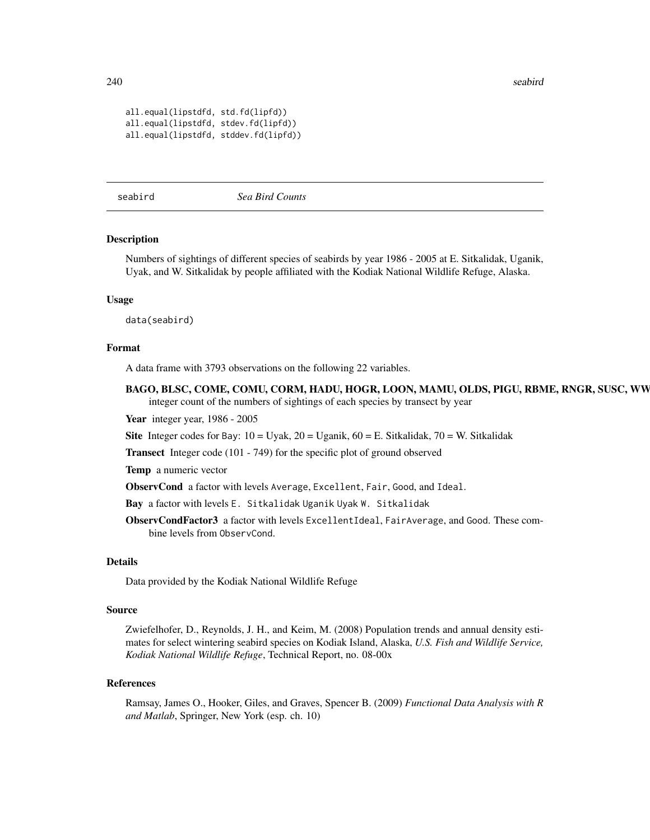240 seabird

```
all.equal(lipstdfd, std.fd(lipfd))
all.equal(lipstdfd, stdev.fd(lipfd))
all.equal(lipstdfd, stddev.fd(lipfd))
```
seabird *Sea Bird Counts*

### **Description**

Numbers of sightings of different species of seabirds by year 1986 - 2005 at E. Sitkalidak, Uganik, Uyak, and W. Sitkalidak by people affiliated with the Kodiak National Wildlife Refuge, Alaska.

#### Usage

data(seabird)

### Format

A data frame with 3793 observations on the following 22 variables.

BAGO, BLSC, COME, COMU, CORM, HADU, HOGR, LOON, MAMU, OLDS, PIGU, RBME, RNGR, SUSC, WWSC integer count of the numbers of sightings of each species by transect by year

Year integer year, 1986 - 2005

Site Integer codes for Bay:  $10 = \text{Uyak}$ ,  $20 = \text{Uganik}$ ,  $60 = \text{E}$ . Sitkalidak,  $70 = \text{W}$ . Sitkalidak

Transect Integer code (101 - 749) for the specific plot of ground observed

Temp a numeric vector

ObservCond a factor with levels Average, Excellent, Fair, Good, and Ideal.

Bay a factor with levels E. Sitkalidak Uganik Uyak W. Sitkalidak

ObservCondFactor3 a factor with levels ExcellentIdeal, FairAverage, and Good. These combine levels from ObservCond.

# Details

Data provided by the Kodiak National Wildlife Refuge

#### Source

Zwiefelhofer, D., Reynolds, J. H., and Keim, M. (2008) Population trends and annual density estimates for select wintering seabird species on Kodiak Island, Alaska, *U.S. Fish and Wildlife Service, Kodiak National Wildlife Refuge*, Technical Report, no. 08-00x

### References

Ramsay, James O., Hooker, Giles, and Graves, Spencer B. (2009) *Functional Data Analysis with R and Matlab*, Springer, New York (esp. ch. 10)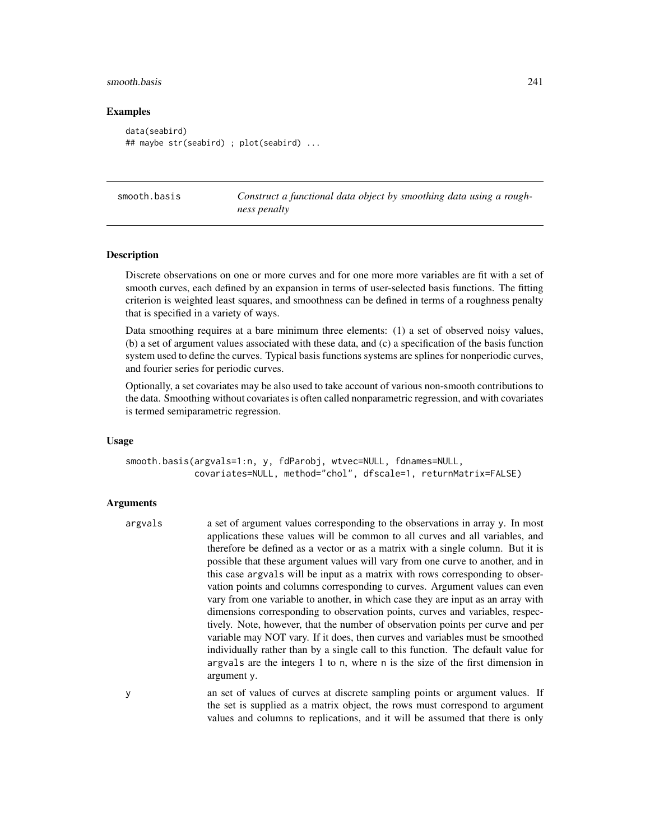#### smooth.basis 241

### Examples

```
data(seabird)
## maybe str(seabird) ; plot(seabird) ...
```
smooth.basis *Construct a functional data object by smoothing data using a roughness penalty*

#### Description

Discrete observations on one or more curves and for one more more variables are fit with a set of smooth curves, each defined by an expansion in terms of user-selected basis functions. The fitting criterion is weighted least squares, and smoothness can be defined in terms of a roughness penalty that is specified in a variety of ways.

Data smoothing requires at a bare minimum three elements: (1) a set of observed noisy values, (b) a set of argument values associated with these data, and (c) a specification of the basis function system used to define the curves. Typical basis functions systems are splines for nonperiodic curves, and fourier series for periodic curves.

Optionally, a set covariates may be also used to take account of various non-smooth contributions to the data. Smoothing without covariates is often called nonparametric regression, and with covariates is termed semiparametric regression.

#### Usage

smooth.basis(argvals=1:n, y, fdParobj, wtvec=NULL, fdnames=NULL, covariates=NULL, method="chol", dfscale=1, returnMatrix=FALSE)

#### Arguments

| argvals<br>a set of argument values corresponding to the observations in array y. In most | applications these values will be common to all curves and all variables, and<br>therefore be defined as a vector or as a matrix with a single column. But it is<br>possible that these argument values will vary from one curve to another, and in<br>this case argvals will be input as a matrix with rows corresponding to obser-<br>vation points and columns corresponding to curves. Argument values can even<br>vary from one variable to another, in which case they are input as an array with<br>dimensions corresponding to observation points, curves and variables, respec-<br>tively. Note, however, that the number of observation points per curve and per<br>variable may NOT vary. If it does, then curves and variables must be smoothed<br>individually rather than by a single call to this function. The default value for<br>argvals are the integers 1 to n, where n is the size of the first dimension in<br>argument y. |
|-------------------------------------------------------------------------------------------|---------------------------------------------------------------------------------------------------------------------------------------------------------------------------------------------------------------------------------------------------------------------------------------------------------------------------------------------------------------------------------------------------------------------------------------------------------------------------------------------------------------------------------------------------------------------------------------------------------------------------------------------------------------------------------------------------------------------------------------------------------------------------------------------------------------------------------------------------------------------------------------------------------------------------------------------------|
|                                                                                           | an set of values of curves at discrete sampling points or argument values. If                                                                                                                                                                                                                                                                                                                                                                                                                                                                                                                                                                                                                                                                                                                                                                                                                                                                     |

the set is supplied as a matrix object, the rows must correspond to argument values and columns to replications, and it will be assumed that there is only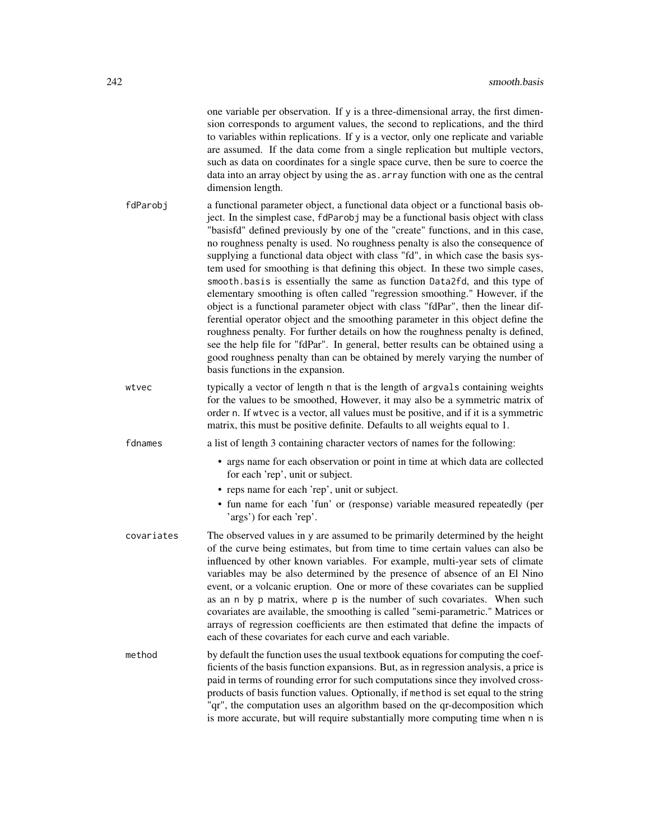one variable per observation. If y is a three-dimensional array, the first dimension corresponds to argument values, the second to replications, and the third to variables within replications. If  $\nu$  is a vector, only one replicate and variable are assumed. If the data come from a single replication but multiple vectors, such as data on coordinates for a single space curve, then be sure to coerce the data into an array object by using the as.array function with one as the central dimension length.

- fdParobj a functional parameter object, a functional data object or a functional basis object. In the simplest case, fdParobj may be a functional basis object with class "basisfd" defined previously by one of the "create" functions, and in this case, no roughness penalty is used. No roughness penalty is also the consequence of supplying a functional data object with class "fd", in which case the basis system used for smoothing is that defining this object. In these two simple cases, smooth.basis is essentially the same as function Data2fd, and this type of elementary smoothing is often called "regression smoothing." However, if the object is a functional parameter object with class "fdPar", then the linear differential operator object and the smoothing parameter in this object define the roughness penalty. For further details on how the roughness penalty is defined, see the help file for "fdPar". In general, better results can be obtained using a good roughness penalty than can be obtained by merely varying the number of basis functions in the expansion.
- wtvec typically a vector of length n that is the length of argvals containing weights for the values to be smoothed, However, it may also be a symmetric matrix of order n. If wtvec is a vector, all values must be positive, and if it is a symmetric matrix, this must be positive definite. Defaults to all weights equal to 1.
- fdnames a list of length 3 containing character vectors of names for the following:
	- args name for each observation or point in time at which data are collected for each 'rep', unit or subject.
	- reps name for each 'rep', unit or subject.
	- fun name for each 'fun' or (response) variable measured repeatedly (per 'args') for each 'rep'.
- covariates The observed values in y are assumed to be primarily determined by the height of the curve being estimates, but from time to time certain values can also be influenced by other known variables. For example, multi-year sets of climate variables may be also determined by the presence of absence of an El Nino event, or a volcanic eruption. One or more of these covariates can be supplied as an n by p matrix, where p is the number of such covariates. When such covariates are available, the smoothing is called "semi-parametric." Matrices or arrays of regression coefficients are then estimated that define the impacts of each of these covariates for each curve and each variable.
- method by default the function uses the usual textbook equations for computing the coefficients of the basis function expansions. But, as in regression analysis, a price is paid in terms of rounding error for such computations since they involved crossproducts of basis function values. Optionally, if method is set equal to the string "qr", the computation uses an algorithm based on the qr-decomposition which is more accurate, but will require substantially more computing time when n is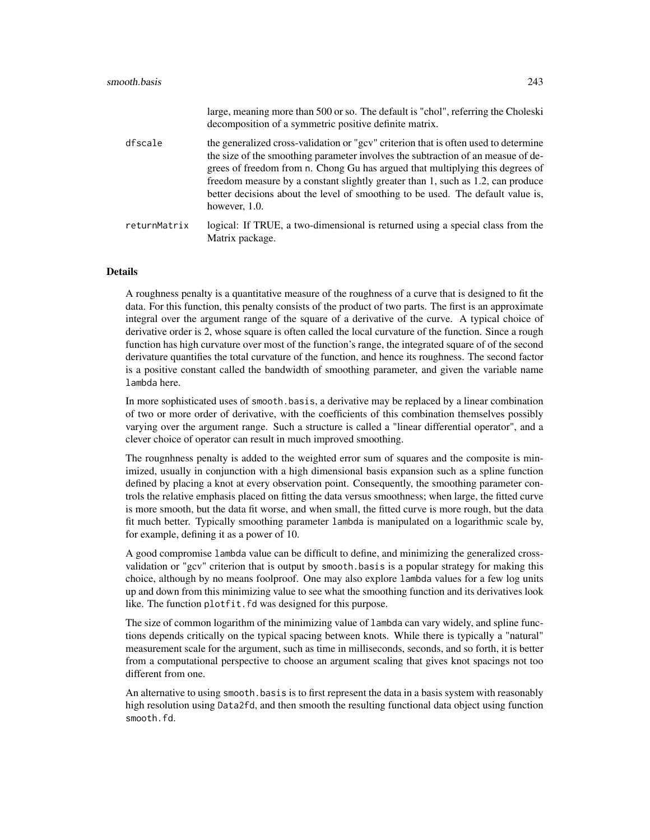|              | large, meaning more than 500 or so. The default is "chol", referring the Choleski<br>decomposition of a symmetric positive definite matrix.                                                                                                                                                                                                                                                                                                     |
|--------------|-------------------------------------------------------------------------------------------------------------------------------------------------------------------------------------------------------------------------------------------------------------------------------------------------------------------------------------------------------------------------------------------------------------------------------------------------|
| dfscale      | the generalized cross-validation or "gcv" criterion that is often used to determine<br>the size of the smoothing parameter involves the subtraction of an measue of de-<br>grees of freedom from n. Chong Gu has argued that multiplying this degrees of<br>freedom measure by a constant slightly greater than 1, such as 1.2, can produce<br>better decisions about the level of smoothing to be used. The default value is,<br>however, 1.0. |
| returnMatrix | logical: If TRUE, a two-dimensional is returned using a special class from the<br>Matrix package.                                                                                                                                                                                                                                                                                                                                               |

#### Details

A roughness penalty is a quantitative measure of the roughness of a curve that is designed to fit the data. For this function, this penalty consists of the product of two parts. The first is an approximate integral over the argument range of the square of a derivative of the curve. A typical choice of derivative order is 2, whose square is often called the local curvature of the function. Since a rough function has high curvature over most of the function's range, the integrated square of of the second derivature quantifies the total curvature of the function, and hence its roughness. The second factor is a positive constant called the bandwidth of smoothing parameter, and given the variable name lambda here.

In more sophisticated uses of smooth.basis, a derivative may be replaced by a linear combination of two or more order of derivative, with the coefficients of this combination themselves possibly varying over the argument range. Such a structure is called a "linear differential operator", and a clever choice of operator can result in much improved smoothing.

The rougnhness penalty is added to the weighted error sum of squares and the composite is minimized, usually in conjunction with a high dimensional basis expansion such as a spline function defined by placing a knot at every observation point. Consequently, the smoothing parameter controls the relative emphasis placed on fitting the data versus smoothness; when large, the fitted curve is more smooth, but the data fit worse, and when small, the fitted curve is more rough, but the data fit much better. Typically smoothing parameter lambda is manipulated on a logarithmic scale by, for example, defining it as a power of 10.

A good compromise lambda value can be difficult to define, and minimizing the generalized crossvalidation or "gcv" criterion that is output by smooth.basis is a popular strategy for making this choice, although by no means foolproof. One may also explore lambda values for a few log units up and down from this minimizing value to see what the smoothing function and its derivatives look like. The function plotfit.fd was designed for this purpose.

The size of common logarithm of the minimizing value of lambda can vary widely, and spline functions depends critically on the typical spacing between knots. While there is typically a "natural" measurement scale for the argument, such as time in milliseconds, seconds, and so forth, it is better from a computational perspective to choose an argument scaling that gives knot spacings not too different from one.

An alternative to using smooth.basis is to first represent the data in a basis system with reasonably high resolution using Data2fd, and then smooth the resulting functional data object using function smooth.fd.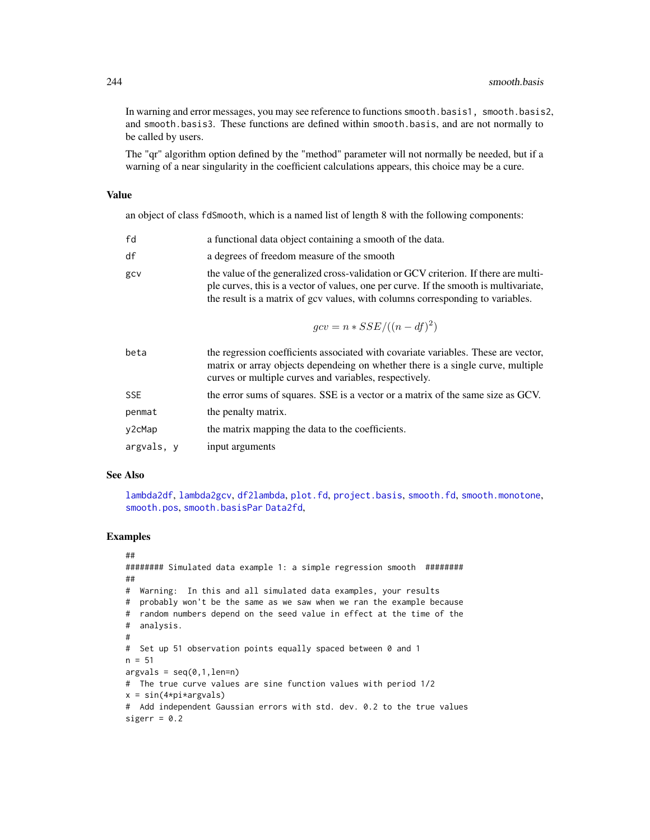In warning and error messages, you may see reference to functions smooth.basis1, smooth.basis2, and smooth.basis3. These functions are defined within smooth.basis, and are not normally to be called by users.

The "qr" algorithm option defined by the "method" parameter will not normally be needed, but if a warning of a near singularity in the coefficient calculations appears, this choice may be a cure.

#### Value

an object of class fdSmooth, which is a named list of length 8 with the following components:

| fd |  | a functional data object containing a smooth of the data. |
|----|--|-----------------------------------------------------------|
|    |  |                                                           |

- df a degrees of freedom measure of the smooth
- gcv the value of the generalized cross-validation or GCV criterion. If there are multiple curves, this is a vector of values, one per curve. If the smooth is multivariate, the result is a matrix of gcv values, with columns corresponding to variables.

$$
gcv = n * SSE/((n - df)^2)
$$

| beta       | the regression coefficients associated with covariate variables. These are vector,<br>matrix or array objects dependeing on whether there is a single curve, multiple<br>curves or multiple curves and variables, respectively. |
|------------|---------------------------------------------------------------------------------------------------------------------------------------------------------------------------------------------------------------------------------|
| <b>SSE</b> | the error sums of squares. SSE is a vector or a matrix of the same size as GCV.                                                                                                                                                 |
| penmat     | the penalty matrix.                                                                                                                                                                                                             |
| y2cMap     | the matrix mapping the data to the coefficients.                                                                                                                                                                                |
| argvals, y | input arguments                                                                                                                                                                                                                 |

### See Also

[lambda2df](#page-149-0), [lambda2gcv](#page-150-0), [df2lambda](#page-81-0), [plot.fd](#page-194-0), [project.basis](#page-221-0), [smooth.fd](#page-260-0), [smooth.monotone](#page-264-0), [smooth.pos](#page-268-0), [smooth.basisPar](#page-255-0) [Data2fd](#page-69-0),

```
##
######## Simulated data example 1: a simple regression smooth ########
##
# Warning: In this and all simulated data examples, your results
# probably won't be the same as we saw when we ran the example because
# random numbers depend on the seed value in effect at the time of the
# analysis.
#
# Set up 51 observation points equally spaced between 0 and 1
n = 51args = seq(0, 1, len=n)# The true curve values are sine function values with period 1/2
x = sin(4*pi*argvals)# Add independent Gaussian errors with std. dev. 0.2 to the true values
sigerr = 0.2
```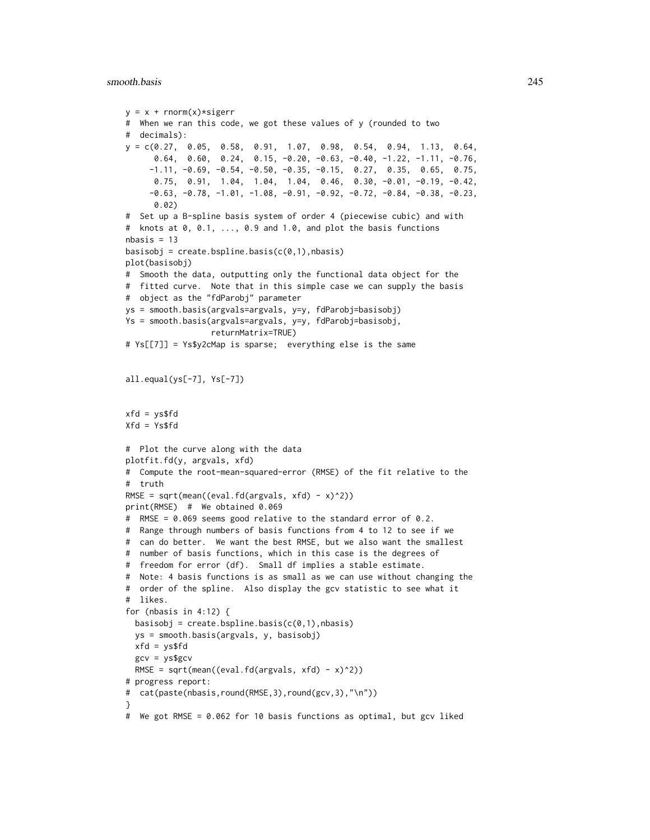#### smooth.basis 245

```
y = x + \text{norm}(x) * \text{sign}(x)# When we ran this code, we got these values of y (rounded to two
# decimals):
y = c(0.27, 0.05, 0.58, 0.91, 1.07, 0.98, 0.54, 0.94, 1.13, 0.64,0.64, 0.60, 0.24, 0.15, -0.20, -0.63, -0.40, -1.22, -1.11, -0.76,
     -1.11, -0.69, -0.54, -0.50, -0.35, -0.15, 0.27, 0.35, 0.65, 0.75,0.75, 0.91, 1.04, 1.04, 1.04, 0.46, 0.30, -0.01, -0.19, -0.42,
     -0.63, -0.78, -1.01, -1.08, -0.91, -0.92, -0.72, -0.84, -0.38, -0.23,0.02)
# Set up a B-spline basis system of order 4 (piecewise cubic) and with
# knots at 0, 0.1, ..., 0.9 and 1.0, and plot the basis functions
nbasis = 13basis) = create.bspline.basis(c(0,1), nbasis)
plot(basisobj)
# Smooth the data, outputting only the functional data object for the
# fitted curve. Note that in this simple case we can supply the basis
# object as the "fdParobj" parameter
ys = smooth.basis(argvals=argvals, y=y, fdParobj=basisobj)
Ys = smooth.basis(argvals=argvals, y=y, fdParobj=basisobj,
                  returnMatrix=TRUE)
# Ys[[7]] = Ys$y2cMap is sparse; everything else is the same
all.equal(ys[-7], Ys[-7])
xfd = vs$fd
Xfd = Ys$fd
# Plot the curve along with the data
plotfit.fd(y, argvals, xfd)
# Compute the root-mean-squared-error (RMSE) of the fit relative to the
# truth
RMSE = sqrt(mean((eval.fd(argvals, xfd) - x)^2))
print(RMSE) # We obtained 0.069
# RMSE = 0.069 seems good relative to the standard error of 0.2.
# Range through numbers of basis functions from 4 to 12 to see if we
# can do better. We want the best RMSE, but we also want the smallest
# number of basis functions, which in this case is the degrees of
# freedom for error (df). Small df implies a stable estimate.
# Note: 4 basis functions is as small as we can use without changing the
# order of the spline. Also display the gcv statistic to see what it
# likes.
for (nbasis in 4:12) {
  basisobj = create.bspline.basis(c(0,1), nbasis)
 ys = smooth.basis(argvals, y, basisobj)
 xfd = ys$fd
  gcv = ys$gcv
  RMSE = sqrt(mean((eval.fd(argvals, xfd) - x)^2))
# progress report:
# cat(paste(nbasis,round(RMSE,3),round(gcv,3),"\n"))
}
# We got RMSE = 0.062 for 10 basis functions as optimal, but gcv liked
```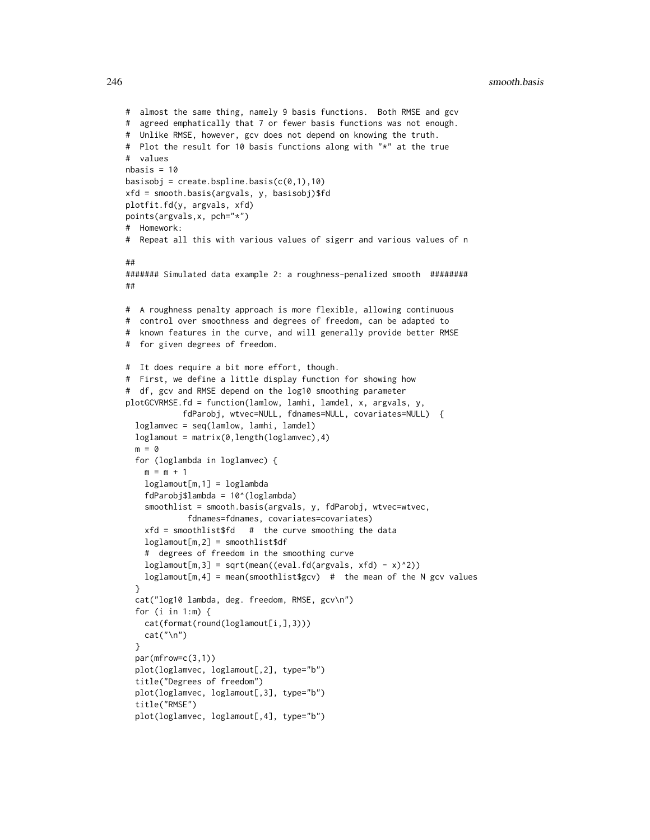```
# almost the same thing, namely 9 basis functions. Both RMSE and gcv
# agreed emphatically that 7 or fewer basis functions was not enough.
# Unlike RMSE, however, gcv does not depend on knowing the truth.
# Plot the result for 10 basis functions along with "*" at the true
# values
nbasis = 10basisobj = create.bspline.basis(c(0,1), 10)
xfd = smooth.basis(argvals, y, basisobj)$fd
plotfit.fd(y, argvals, xfd)
points(argvals,x, pch="*")
# Homework:
# Repeat all this with various values of sigerr and various values of n
##
####### Simulated data example 2: a roughness-penalized smooth ########
##
# A roughness penalty approach is more flexible, allowing continuous
# control over smoothness and degrees of freedom, can be adapted to
# known features in the curve, and will generally provide better RMSE
# for given degrees of freedom.
# It does require a bit more effort, though.
# First, we define a little display function for showing how
# df, gcv and RMSE depend on the log10 smoothing parameter
plotGCVRMSE.fd = function(lamlow, lamhi, lamdel, x, argvals, y,
            fdParobj, wtvec=NULL, fdnames=NULL, covariates=NULL) {
  loglamvec = seq(lamlow, lamhi, lamdel)
  loglamout = matrix(0,length(loglamvec),4)
  m = 0for (loglambda in loglamvec) {
   m = m + 1loglamout[m,1] = loglambdafdParobj$lambda = 10^(loglambda)
    smoothlist = smooth.basis(argvals, y, fdParobj, wtvec=wtvec,
             fdnames=fdnames, covariates=covariates)
    xfd = smoothlist\$fd # the curve smoothing the data
    loglamout[m,2] = smoothlist$df
    # degrees of freedom in the smoothing curve
    loglamout[m,3] = sqrt(mean((eval.fd(argvals, xfd) - x)^2))loglamout[m,4] = mean(smoothlist$gcv) # the mean of the N gcv values
  }
  cat("log10 lambda, deg. freedom, RMSE, gcv\n")
  for (i in 1:m) {
    cat(format(round(loglamout[i,],3)))
    cat("\n")
  }
  par(mfrow=c(3,1))
  plot(loglamvec, loglamout[,2], type="b")
  title("Degrees of freedom")
  plot(loglamvec, loglamout[,3], type="b")
  title("RMSE")
  plot(loglamvec, loglamout[,4], type="b")
```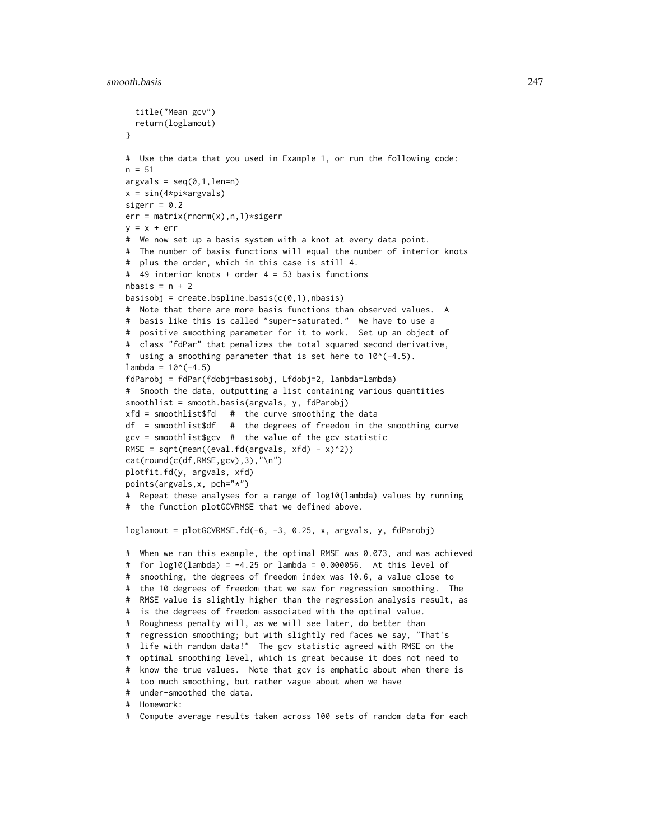```
title("Mean gcv")
 return(loglamout)
}
# Use the data that you used in Example 1, or run the following code:
n = 51argvals = seq(0, 1, len=n)x = sin(4*pi*argvals)sigerr = 0.2err = matrix(rnorm(x),n,1)*sigerr
y = x + err# We now set up a basis system with a knot at every data point.
# The number of basis functions will equal the number of interior knots
# plus the order, which in this case is still 4.
# 49 interior knots + order 4 = 53 basis functions
nbasis = n + 2basisobj = create.bspline.basis(c(0,1), nbasis)
# Note that there are more basis functions than observed values. A
# basis like this is called "super-saturated." We have to use a
# positive smoothing parameter for it to work. Set up an object of
# class "fdPar" that penalizes the total squared second derivative,
# using a smoothing parameter that is set here to 10^(-4.5).
lambda = 10^(-4.5)fdParobj = fdPar(fdobj=basisobj, Lfdobj=2, lambda=lambda)
# Smooth the data, outputting a list containing various quantities
smoothlist = smooth.basis(argvals, y, fdParobj)
xfd = smoothlist$fd # the curve smoothing the data
df = smoothlist$df # the degrees of freedom in the smoothing curve
gcv = smoothlist$gcv # the value of the gcv statistic
RMSE = sqrt(mean((eval.fd(argvals, xfd) - x)^2))
cat(round(c(df,RMSE,gcv),3),"\n")
plotfit.fd(y, argvals, xfd)
points(argvals,x, pch="*")
# Repeat these analyses for a range of log10(lambda) values by running
# the function plotGCVRMSE that we defined above.
loglamount = plotGCVRMSE.fd(-6, -3, 0.25, x, argvals, y, fdParobj)# When we ran this example, the optimal RMSE was 0.073, and was achieved
# for log10(lambda) = -4.25 or lambda = 0.000056. At this level of
# smoothing, the degrees of freedom index was 10.6, a value close to
# the 10 degrees of freedom that we saw for regression smoothing. The
# RMSE value is slightly higher than the regression analysis result, as
# is the degrees of freedom associated with the optimal value.
# Roughness penalty will, as we will see later, do better than
# regression smoothing; but with slightly red faces we say, "That's
# life with random data!" The gcv statistic agreed with RMSE on the
# optimal smoothing level, which is great because it does not need to
# know the true values. Note that gcv is emphatic about when there is
# too much smoothing, but rather vague about when we have
# under-smoothed the data.
# Homework:
```
# Compute average results taken across 100 sets of random data for each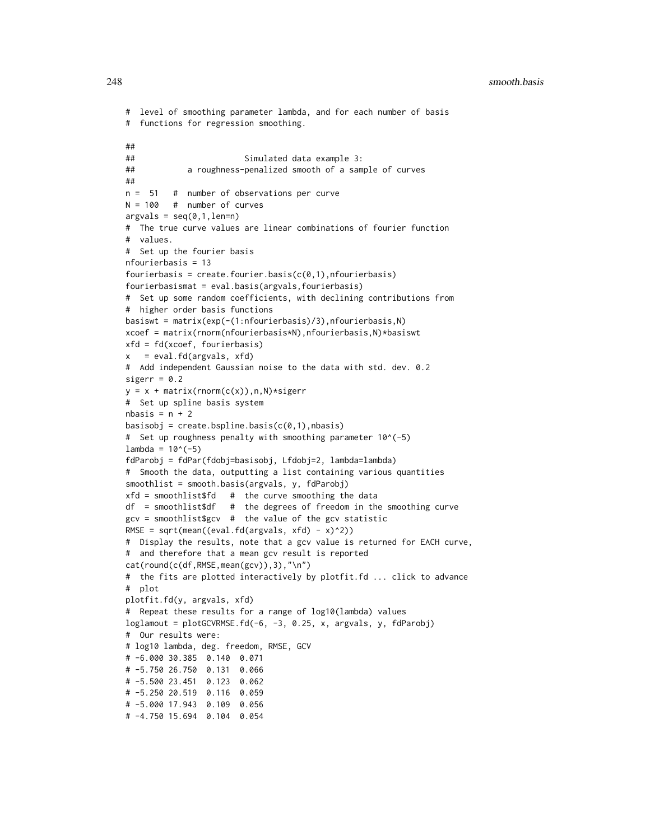```
# level of smoothing parameter lambda, and for each number of basis
# functions for regression smoothing.
##
## Simulated data example 3:
## a roughness-penalized smooth of a sample of curves
##
n = 51 # number of observations per curve
N = 100 # number of curves
argvals = seq(0, 1, len=n)# The true curve values are linear combinations of fourier function
# values.
# Set up the fourier basis
nfourierbasis = 13
fourierbasis = create.fourier.basis(c(0,1), nfourierbasis)
fourierbasismat = eval.basis(argvals,fourierbasis)
# Set up some random coefficients, with declining contributions from
# higher order basis functions
basis = matrix(exp(-(1:nfourierbasis)/3),nfourierbasis,N)
xcoef = matrix(rnorm(nfourierbasis*N),nfourierbasis,N)*basiswt
xfd = fd(xcoef, fourierbasis)
x = eval.fd(argvals, xfd)# Add independent Gaussian noise to the data with std. dev. 0.2
sigerr = 0.2y = x + matrix(rnorm(c(x)), n, N) * signer# Set up spline basis system
nbasis = n + 2basisobj = create.bsplit. basis(c(0,1),n basis)# Set up roughness penalty with smoothing parameter 10^(-5)
lambda = 10^(-5)fdParobj = fdPar(fdobj=basisobj, Lfdobj=2, lambda=lambda)
# Smooth the data, outputting a list containing various quantities
smoothlist = smooth.basis(argvals, y, fdParobj)
xfd = smoothlist\$fd # the curve smoothing the data
df = smoothlist\{f \# the degrees of freedom in the smoothing curve
gcv = smoothlist$gcv # the value of the gcv statistic
RMSE = sqrt(mean((eval.fd(argvals, xfd) - x)^2))
# Display the results, note that a gcv value is returned for EACH curve,
# and therefore that a mean gcv result is reported
cat(round(c(df,RMSE,mean(gcv)),3),"\n")
# the fits are plotted interactively by plotfit.fd ... click to advance
# plot
plotfit.fd(y, argvals, xfd)
# Repeat these results for a range of log10(lambda) values
loglamout = plotGCVRMSE.fd(-6, -3, 0.25, x, argvals, y, fdParobj)
# Our results were:
# log10 lambda, deg. freedom, RMSE, GCV
# -6.000 30.385 0.140 0.071
# -5.750 26.750 0.131 0.066
# -5.500 23.451 0.123 0.062
# -5.250 20.519 0.116 0.059
# -5.000 17.943 0.109 0.056
# -4.750 15.694 0.104 0.054
```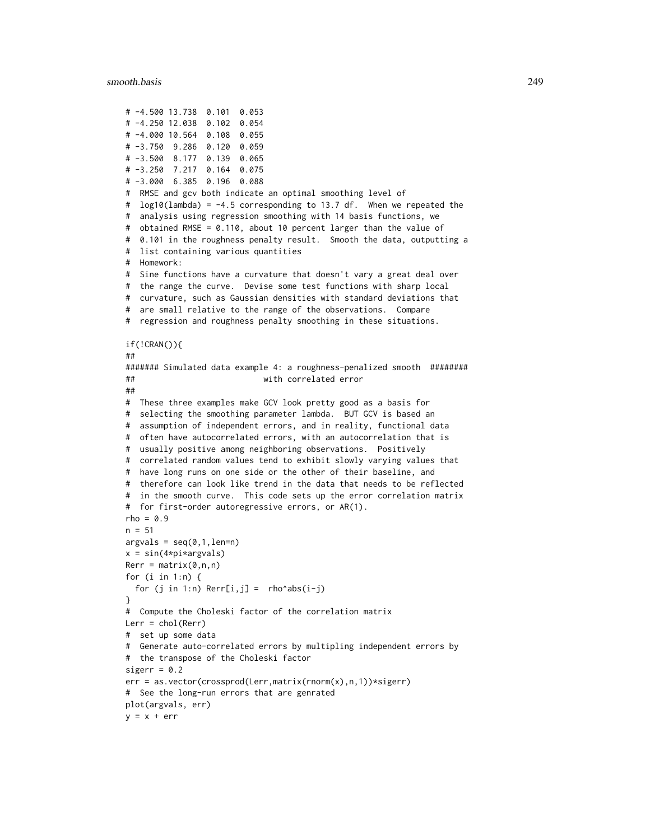```
# -4.500 13.738 0.101 0.053
# -4.250 12.038 0.102 0.054
# -4.000 10.564 0.108 0.055
# -3.750 9.286 0.120 0.059
# -3.500 8.177 0.139 0.065
# -3.250 7.217 0.164 0.075
# -3.000 6.385 0.196 0.088
# RMSE and gcv both indicate an optimal smoothing level of
# log10(lambda) = -4.5 corresponding to 13.7 df. When we repeated the
# analysis using regression smoothing with 14 basis functions, we
# obtained RMSE = 0.110, about 10 percent larger than the value of
# 0.101 in the roughness penalty result. Smooth the data, outputting a
# list containing various quantities
# Homework:
# Sine functions have a curvature that doesn't vary a great deal over
# the range the curve. Devise some test functions with sharp local
# curvature, such as Gaussian densities with standard deviations that
# are small relative to the range of the observations. Compare
# regression and roughness penalty smoothing in these situations.
if(!CRAN()){
##
####### Simulated data example 4: a roughness-penalized smooth ########
## with correlated error
##
# These three examples make GCV look pretty good as a basis for
# selecting the smoothing parameter lambda. BUT GCV is based an
# assumption of independent errors, and in reality, functional data
# often have autocorrelated errors, with an autocorrelation that is
# usually positive among neighboring observations. Positively
# correlated random values tend to exhibit slowly varying values that
# have long runs on one side or the other of their baseline, and
# therefore can look like trend in the data that needs to be reflected
# in the smooth curve. This code sets up the error correlation matrix
# for first-order autoregressive errors, or AR(1).
rho = 0.9n = 51argvals = seq(0, 1, len=n)x = sin(4*pi*argvals)
Rerr = matrix(0, n, n)for (i in 1:n) {
 for (j in 1:n) Rerr[i,j] = rho^abs(i-j)}
# Compute the Choleski factor of the correlation matrix
Lerr = chol(Rerr)
# set up some data
# Generate auto-correlated errors by multipling independent errors by
# the transpose of the Choleski factor
sigerr = 0.2err = as.vector(crossprod(Lerr,matrix(rnorm(x),n,1))*sigerr)
# See the long-run errors that are genrated
plot(argvals, err)
y = x + err
```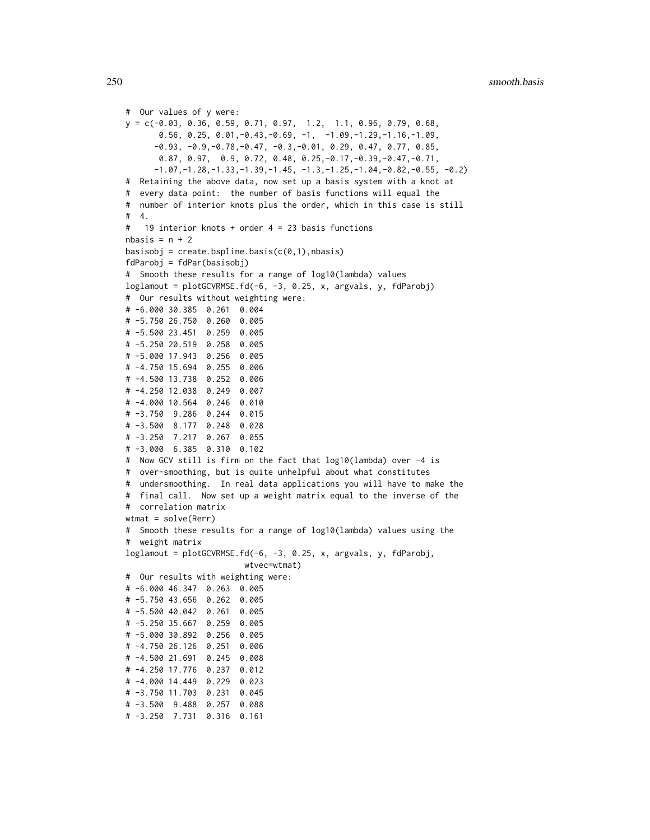```
# Our values of y were:
y = c(-0.03, 0.36, 0.59, 0.71, 0.97, 1.2, 1.1, 0.96, 0.79, 0.68,0.56, 0.25, 0.01,-0.43,-0.69, -1, -1.09,-1.29,-1.16,-1.09,
      -0.93, -0.9,-0.78,-0.47, -0.3,-0.01, 0.29, 0.47, 0.77, 0.85,
      0.87, 0.97, 0.9, 0.72, 0.48, 0.25,-0.17,-0.39,-0.47,-0.71,
      -1.07,-1.28,-1.33,-1.39,-1.45, -1.3,-1.25,-1.04,-0.82,-0.55, -0.2)
# Retaining the above data, now set up a basis system with a knot at
# every data point: the number of basis functions will equal the
# number of interior knots plus the order, which in this case is still
# 4.# 19 interior knots + order 4 = 23 basis functions
nbasis = n + 2basis) = create.bspline.basis(c(0,1), nbasis)
fdParobj = fdPar(basisobj)
# Smooth these results for a range of log10(lambda) values
loglamout = plotGCVRMSE.fd(-6, -3, 0.25, x, argvals, y, fdParobj)
# Our results without weighting were:
# -6.000 30.385 0.261 0.004
# -5.750 26.750 0.260 0.005
# -5.500 23.451 0.259 0.005
# -5.250 20.519 0.258 0.005
# -5.000 17.943 0.256 0.005
# -4.750 15.694 0.255 0.006
# -4.500 13.738 0.252 0.006
# -4.250 12.038 0.249 0.007
# -4.000 10.564 0.246 0.010
# -3.750 9.286 0.244 0.015
# -3.500 8.177 0.248 0.028
# -3.250 7.217 0.267 0.055
# -3.000 6.385 0.310 0.102
# Now GCV still is firm on the fact that log10(lambda) over -4 is
# over-smoothing, but is quite unhelpful about what constitutes
# undersmoothing. In real data applications you will have to make the
# final call. Now set up a weight matrix equal to the inverse of the
# correlation matrix
wtmat = solve(Rerr)
# Smooth these results for a range of log10(lambda) values using the
# weight matrix
loglamout = plotGCVRMSE.fd(-6, -3, 0.25, x, argvals, y, fdParobj,
                        wtvec=wtmat)
# Our results with weighting were:
# -6.000 46.347 0.263 0.005
# -5.750 43.656 0.262 0.005
# -5.500 40.042 0.261 0.005
# -5.250 35.667 0.259 0.005
# -5.000 30.892 0.256 0.005
# -4.750 26.126 0.251 0.006
# -4.500 21.691 0.245 0.008
# -4.250 17.776 0.237 0.012
# -4.000 14.449 0.229 0.023
# -3.750 11.703 0.231 0.045
# -3.500 9.488 0.257 0.088
# -3.250 7.731 0.316 0.161
```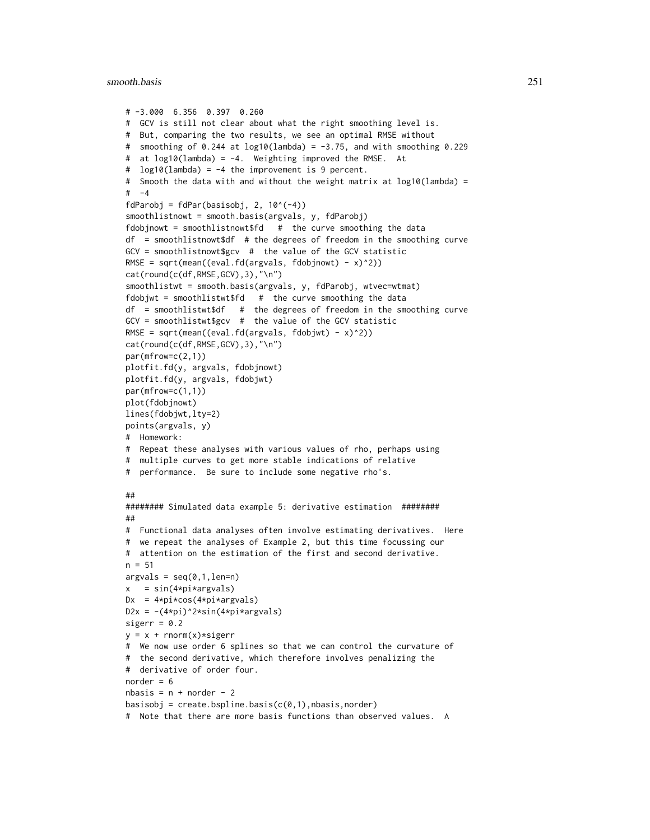#### smooth.basis 251

```
# -3.000 6.356 0.397 0.260
# GCV is still not clear about what the right smoothing level is.
# But, comparing the two results, we see an optimal RMSE without
# smoothing of 0.244 at log10(lambda) = -3.75, and with smoothing 0.229
# at log10(lambda) = -4. Weighting improved the RMSE. At
# log10(lambda) = -4 the improvement is 9 percent.
# Smooth the data with and without the weight matrix at log10(lambda) =
# -4fdParobj = fdPar(basisobj, 2, 10^(-4))smoothlistnowt = smooth.basis(argvals, y, fdParobj)
fdobjnowt = smoothlistnowt$fd # the curve smoothing the data
df = smoothlistnowt$df # the degrees of freedom in the smoothing curve
GCV = smoothlistnowt$gcv # the value of the GCV statistic
RMSE = sqrt(mean((eval.fd(argvals, fdobjnowt) - x)^2))
cat(round(c(df,RMSE,GCV),3),"\n")
smoothlistwt = smooth.basis(argvals, y, fdParobj, wtvec=wtmat)
fdobjwt = smoothlistwt$fd # the curve smoothing the data
df = smoothlistwt$df # the degrees of freedom in the smoothing curve
GCV = smoothlistwt$gcv # the value of the GCV statistic
RMSE = sqrt(mean((eval.fd(argvals, fdobjwt) - x)^2))
cat(round(c(df,RMSE,GCV),3),"\n")
par(mfrow=c(2,1))
plotfit.fd(y, argvals, fdobjnowt)
plotfit.fd(y, argvals, fdobjwt)
par(mfrow=c(1,1))
plot(fdobjnowt)
lines(fdobjwt,lty=2)
points(argvals, y)
# Homework:
# Repeat these analyses with various values of rho, perhaps using
# multiple curves to get more stable indications of relative
# performance. Be sure to include some negative rho's.
##
######## Simulated data example 5: derivative estimation ########
##
# Functional data analyses often involve estimating derivatives. Here
# we repeat the analyses of Example 2, but this time focussing our
# attention on the estimation of the first and second derivative.
n = 51argvals = seq(0, 1, len=n)x = sin(4*pi*argvals)Dx = 4*pi*cos(4*pi*argvals)D2x = -(4*pi)^2*sin(4*pi*argvals)sigerr = 0.2y = x + \text{norm}(x) * \text{sign}(x)# We now use order 6 splines so that we can control the curvature of
# the second derivative, which therefore involves penalizing the
# derivative of order four.
norder = 6nbasis = n + norder - 2basis) = create.bspline.basis(c(0,1),nbasis,norder)
# Note that there are more basis functions than observed values. A
```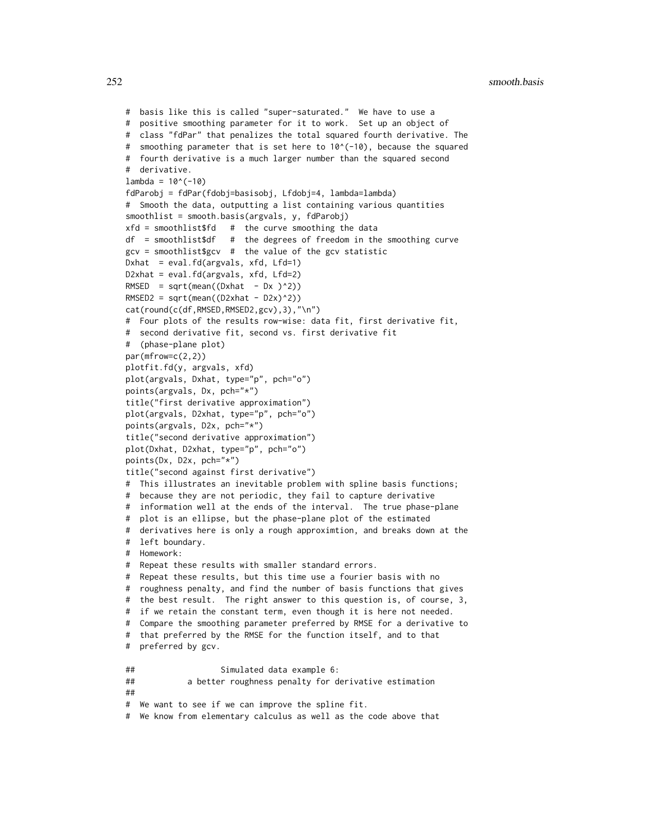252 smooth.basis

```
# basis like this is called "super-saturated." We have to use a
# positive smoothing parameter for it to work. Set up an object of
# class "fdPar" that penalizes the total squared fourth derivative. The
# smoothing parameter that is set here to 10^(-10), because the squared
# fourth derivative is a much larger number than the squared second
# derivative.
lambda = 10^(-10)fdParobj = fdPar(fdobj=basisobj, Lfdobj=4, lambda=lambda)
# Smooth the data, outputting a list containing various quantities
smoothlist = smooth.basis(argvals, y, fdParobj)
xfd = smoothlist$fd # the curve smoothing the data
df = smoothlist$df # the degrees of freedom in the smoothing curve
gcv = smoothlist$gcv # the value of the gcv statistic
Dxhat = eval.fd(argvals, xfd, Lfd=1)
D2xhat = eval.fd(argvals, xfd, Lfd=2)
RMSED = sqrt(mean((Dxhat - Dx )^2))
RMSED2 = sqrt(mean((D2xhat - D2x)^2))cat(round(c(df,RMSED,RMSED2,gcv),3),"\n")
# Four plots of the results row-wise: data fit, first derivative fit,
# second derivative fit, second vs. first derivative fit
# (phase-plane plot)
par(mfrow=c(2,2))
plotfit.fd(y, argvals, xfd)
plot(argvals, Dxhat, type="p", pch="o")
points(argvals, Dx, pch="*")
title("first derivative approximation")
plot(argvals, D2xhat, type="p", pch="o")
points(argvals, D2x, pch="*")
title("second derivative approximation")
plot(Dxhat, D2xhat, type="p", pch="o")
points(Dx, D2x, pch="*")
title("second against first derivative")
# This illustrates an inevitable problem with spline basis functions;
# because they are not periodic, they fail to capture derivative
# information well at the ends of the interval. The true phase-plane
# plot is an ellipse, but the phase-plane plot of the estimated
# derivatives here is only a rough approximtion, and breaks down at the
# left boundary.
# Homework:
# Repeat these results with smaller standard errors.
# Repeat these results, but this time use a fourier basis with no
# roughness penalty, and find the number of basis functions that gives
# the best result. The right answer to this question is, of course, 3,
# if we retain the constant term, even though it is here not needed.
# Compare the smoothing parameter preferred by RMSE for a derivative to
# that preferred by the RMSE for the function itself, and to that
# preferred by gcv.
## Simulated data example 6:
## a better roughness penalty for derivative estimation
##
```
# We want to see if we can improve the spline fit.

# We know from elementary calculus as well as the code above that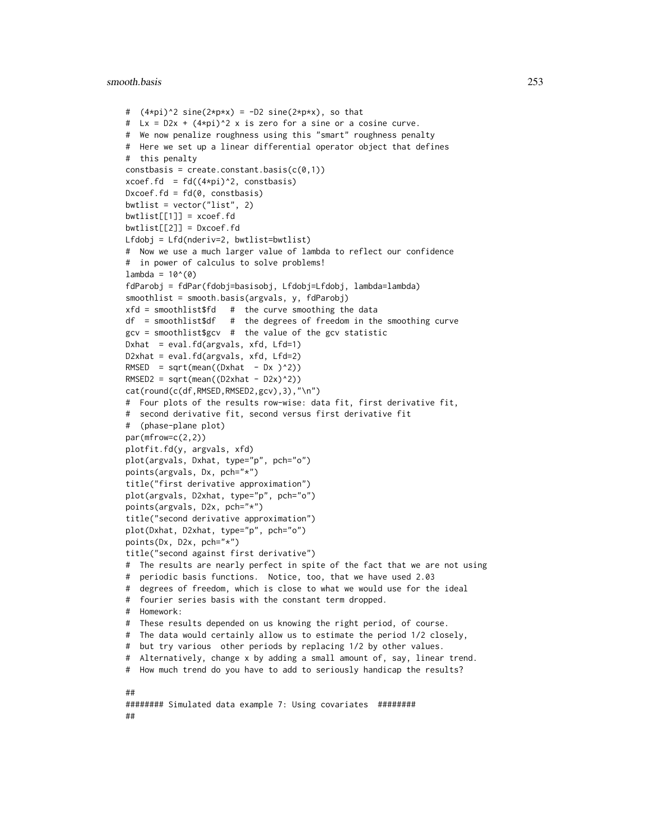```
# (4*pi)^2 sine(2*pi*x) = -D2 sine(2*pi*x), so that
# Lx = D2x + (4*pi)^2 x is zero for a sine or a cosine curve.
# We now penalize roughness using this "smart" roughness penalty
# Here we set up a linear differential operator object that defines
# this penalty
constbasis = create.constant.basis(c(0,1))
xcoef.fd = fd((4*pi)^2, constbasis)Dxcoef.fd = fd(0, constbasis)
bwtlist = vector("list", 2)
bwtlist[[1]] = xcoef.fd
bwtlist[[2]] = Dxcoef.fd
Lfdobj = Lfd(nderiv=2, bwtlist=bwtlist)
# Now we use a much larger value of lambda to reflect our confidence
# in power of calculus to solve problems!
lambda = 10^(0)fdParobj = fdPar(fdobj=basisobj, Lfdobj=Lfdobj, lambda=lambda)
smoothlist = smooth.basis(argvals, y, fdParobj)
xfd = smoothlist$fd # the curve smoothing the data
df = smoothlist$df # the degrees of freedom in the smoothing curve
gcv = smoothlist$gcv # the value of the gcv statistic
Dxhat = eval.fd(argvals, xfd, Lfd=1)
D2xhat = eval.fd(argvals, xfd, Lfd=2)
RMSED = sqrt(mean((Dxhat - Dx )^2))
RMSED2 = sqrt(mean((D2xhat - D2x)^2))cat(round(c(df,RMSED,RMSED2,gcv),3),"\n")
# Four plots of the results row-wise: data fit, first derivative fit,
# second derivative fit, second versus first derivative fit
# (phase-plane plot)
par(mfrow=c(2,2))
plotfit.fd(y, argvals, xfd)
plot(argvals, Dxhat, type="p", pch="o")
points(argvals, Dx, pch="*")
title("first derivative approximation")
plot(argvals, D2xhat, type="p", pch="o")
points(argvals, D2x, pch="*")
title("second derivative approximation")
plot(Dxhat, D2xhat, type="p", pch="o")
points(Dx, D2x, pch="*")
title("second against first derivative")
# The results are nearly perfect in spite of the fact that we are not using
# periodic basis functions. Notice, too, that we have used 2.03
# degrees of freedom, which is close to what we would use for the ideal
# fourier series basis with the constant term dropped.
# Homework:
# These results depended on us knowing the right period, of course.
# The data would certainly allow us to estimate the period 1/2 closely,
# but try various other periods by replacing 1/2 by other values.
# Alternatively, change x by adding a small amount of, say, linear trend.
# How much trend do you have to add to seriously handicap the results?
##
######## Simulated data example 7: Using covariates ########
##
```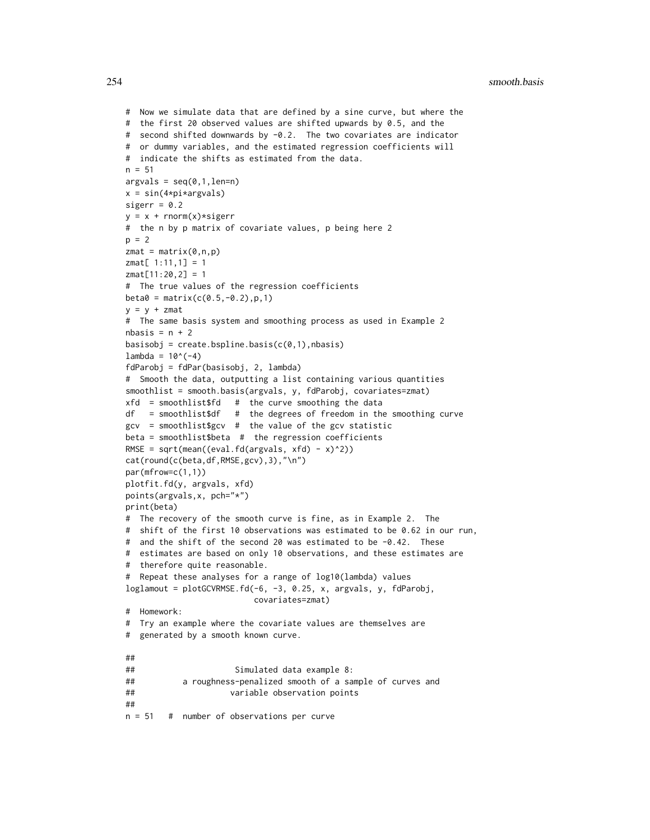254 smooth.basis

```
# Now we simulate data that are defined by a sine curve, but where the
# the first 20 observed values are shifted upwards by 0.5, and the
# second shifted downwards by -0.2. The two covariates are indicator
# or dummy variables, and the estimated regression coefficients will
# indicate the shifts as estimated from the data.
n = 51argvals = seq(0, 1, len=n)x = sin(4*pi*argvals)sigerr = 0.2y = x + \text{norm}(x) * \text{sigerr}# the n by p matrix of covariate values, p being here 2
p = 2zmat = matrix(0, n, p)zmat[ 1:11,1] = 1
zmat[11:20,2] = 1
# The true values of the regression coefficients
beta = matrix(c(0.5, -0.2), p, 1)y = y + zmat
# The same basis system and smoothing process as used in Example 2
nbasis = n + 2basisobj = create.bsplit. basis(c(0,1),n basis)lambda = 10^(-4)fdParobj = fdPar(basisobj, 2, lambda)
# Smooth the data, outputting a list containing various quantities
smoothlist = smooth.basis(argvals, y, fdParobj, covariates=zmat)
xfd = smoothlist$fd # the curve smoothing the data
df = smoothlist$df # the degrees of freedom in the smoothing curve
gcv = smoothlist$gcv # the value of the gcv statistic
beta = smoothlist$beta # the regression coefficients
RMSE = sqrt(mean((eval.fd(argvals, xfd) - x)^2))
cat(round(c(beta,df,RMSE,gcv),3),"\n")
par(mfrow=c(1,1))
plotfit.fd(y, argvals, xfd)
points(argvals,x, pch="*")
print(beta)
# The recovery of the smooth curve is fine, as in Example 2. The
# shift of the first 10 observations was estimated to be 0.62 in our run,
# and the shift of the second 20 was estimated to be -0.42. These
# estimates are based on only 10 observations, and these estimates are
# therefore quite reasonable.
# Repeat these analyses for a range of log10(lambda) values
loglamout = plotGCVRMSE.fd(-6, -3, 0.25, x, argvals, y, fdParobj,
                          covariates=zmat)
# Homework:
# Try an example where the covariate values are themselves are
# generated by a smooth known curve.
##
## Simulated data example 8:
## a roughness-penalized smooth of a sample of curves and
## variable observation points
##
n = 51 # number of observations per curve
```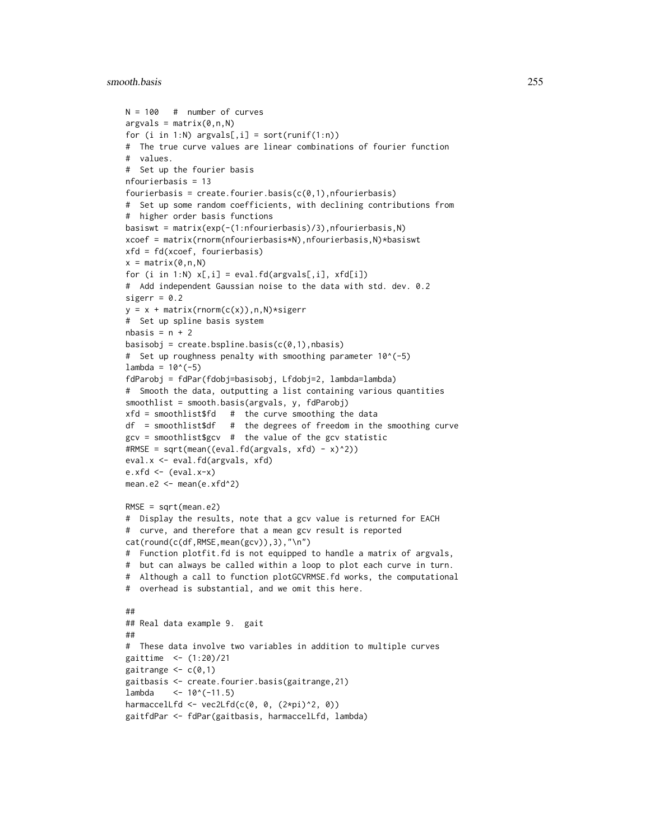#### smooth.basis 255

```
N = 100 # number of curves
argvals = matrix(0, n, N)for (i in 1:N) argvals[, i] = sort(runif(1:n))# The true curve values are linear combinations of fourier function
# values.
# Set up the fourier basis
nfourierbasis = 13
fourierbasis = create.fourier.basis(c(0,1), nfourierbasis)
# Set up some random coefficients, with declining contributions from
# higher order basis functions
basiswt = matrix(exp(-(1:nfourierbasis)/3),nfourierbasis,N)
xcoef = matrix(rnorm(nfourierbasis*N),nfourierbasis,N)*basiswt
xfd = fd(xcoef, fourierbasis)
x = matrix(0, n, N)for (i in 1:N) x[,i] = eval.fd(argvals[,i], xfd[i])# Add independent Gaussian noise to the data with std. dev. 0.2
sigerr = 0.2y = x + matrix(rnorm(c(x)), n, N) * signer# Set up spline basis system
nbasis = n + 2basisobj = create.bspline.basis(c(0,1),nbasis)
# Set up roughness penalty with smoothing parameter 10^(-5)
lambda = 10^(-5)fdParobj = fdPar(fdobj=basisobj, Lfdobj=2, lambda=lambda)
# Smooth the data, outputting a list containing various quantities
smoothlist = smooth.basis(argvals, y, fdParobj)
xfd = smoothlist$fd # the curve smoothing the data
df = smoothlist$df # the degrees of freedom in the smoothing curve
gcv = smoothlist$gcv # the value of the gcv statistic
#RMSE = sqrt(mean((eval.fd(argvals, xfd) - x)^2))
eval.x <- eval.fd(argvals, xfd)
e.xfd \leftarrow (eval.x-x)
mean.e2 <- mean(e.xfd^2)
RMSE = sqrt(mean.e2)# Display the results, note that a gcv value is returned for EACH
# curve, and therefore that a mean gcv result is reported
cat(round(c(df,RMSE,mean(gcv)),3),"\n")
# Function plotfit.fd is not equipped to handle a matrix of argvals,
# but can always be called within a loop to plot each curve in turn.
# Although a call to function plotGCVRMSE.fd works, the computational
# overhead is substantial, and we omit this here.
##
## Real data example 9. gait
##
# These data involve two variables in addition to multiple curves
gaittime <- (1:20)/21
gaitrange \leq c(0,1)gaitbasis <- create.fourier.basis(gaitrange,21)
lambda <- 10^(-11.5)
harmaccelLfd <- vec2Lfd(c(0, 0, (2*pi)^2, 0))
gaitfdPar <- fdPar(gaitbasis, harmaccelLfd, lambda)
```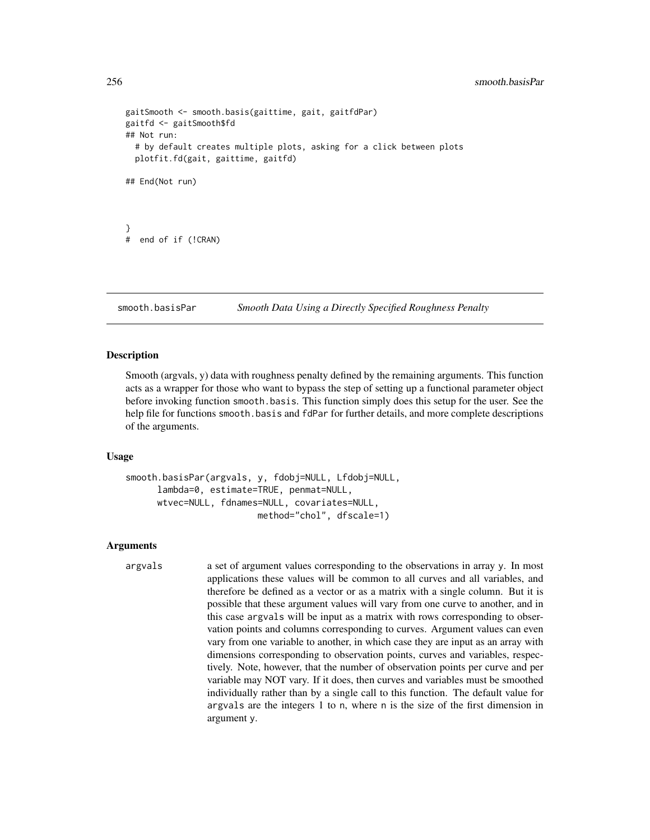```
gaitSmooth <- smooth.basis(gaittime, gait, gaitfdPar)
gaitfd <- gaitSmooth$fd
## Not run:
 # by default creates multiple plots, asking for a click between plots
 plotfit.fd(gait, gaittime, gaitfd)
## End(Not run)
}
# end of if (!CRAN)
```
smooth.basisPar *Smooth Data Using a Directly Specified Roughness Penalty*

#### Description

Smooth (argvals, y) data with roughness penalty defined by the remaining arguments. This function acts as a wrapper for those who want to bypass the step of setting up a functional parameter object before invoking function smooth.basis. This function simply does this setup for the user. See the help file for functions smooth. basis and fdPar for further details, and more complete descriptions of the arguments.

#### Usage

```
smooth.basisPar(argvals, y, fdobj=NULL, Lfdobj=NULL,
     lambda=0, estimate=TRUE, penmat=NULL,
     wtvec=NULL, fdnames=NULL, covariates=NULL,
                         method="chol", dfscale=1)
```
#### Arguments

```
argvals a set of argument values corresponding to the observations in array y. In most
                  applications these values will be common to all curves and all variables, and
                  therefore be defined as a vector or as a matrix with a single column. But it is
                  possible that these argument values will vary from one curve to another, and in
                  this case argvals will be input as a matrix with rows corresponding to obser-
                  vation points and columns corresponding to curves. Argument values can even
                  vary from one variable to another, in which case they are input as an array with
                  dimensions corresponding to observation points, curves and variables, respec-
                  tively. Note, however, that the number of observation points per curve and per
                  variable may NOT vary. If it does, then curves and variables must be smoothed
                  individually rather than by a single call to this function. The default value for
                  argvals are the integers 1 to n, where n is the size of the first dimension in
                  argument y.
```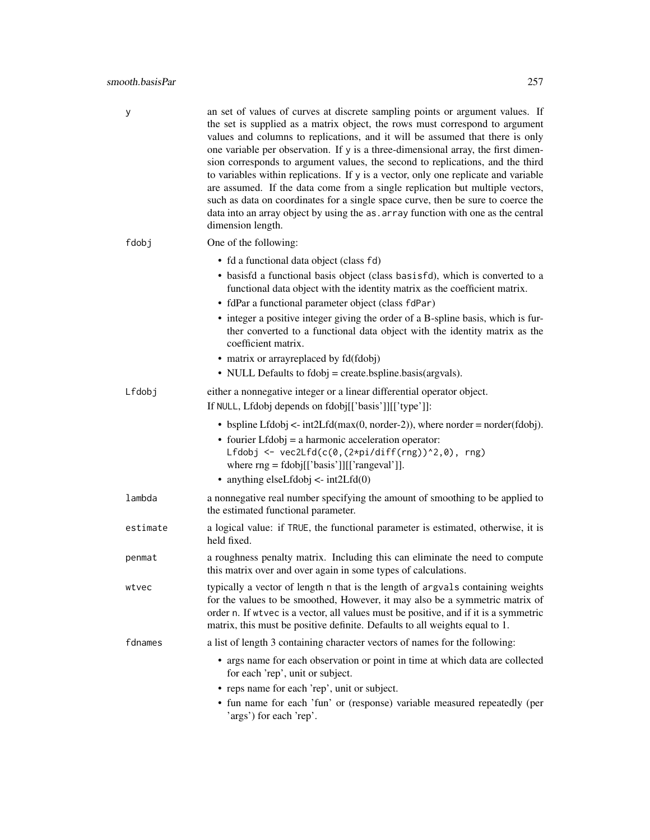# smooth.basisPar 257

| у        | an set of values of curves at discrete sampling points or argument values. If<br>the set is supplied as a matrix object, the rows must correspond to argument<br>values and columns to replications, and it will be assumed that there is only<br>one variable per observation. If y is a three-dimensional array, the first dimen-<br>sion corresponds to argument values, the second to replications, and the third<br>to variables within replications. If y is a vector, only one replicate and variable<br>are assumed. If the data come from a single replication but multiple vectors,<br>such as data on coordinates for a single space curve, then be sure to coerce the<br>data into an array object by using the as . array function with one as the central<br>dimension length. |
|----------|----------------------------------------------------------------------------------------------------------------------------------------------------------------------------------------------------------------------------------------------------------------------------------------------------------------------------------------------------------------------------------------------------------------------------------------------------------------------------------------------------------------------------------------------------------------------------------------------------------------------------------------------------------------------------------------------------------------------------------------------------------------------------------------------|
| fdobj    | One of the following:                                                                                                                                                                                                                                                                                                                                                                                                                                                                                                                                                                                                                                                                                                                                                                        |
|          | • fd a functional data object (class fd)<br>• basisfd a functional basis object (class basisfd), which is converted to a<br>functional data object with the identity matrix as the coefficient matrix.<br>• fdPar a functional parameter object (class fdPar)<br>• integer a positive integer giving the order of a B-spline basis, which is fur-                                                                                                                                                                                                                                                                                                                                                                                                                                            |
|          | ther converted to a functional data object with the identity matrix as the<br>coefficient matrix.                                                                                                                                                                                                                                                                                                                                                                                                                                                                                                                                                                                                                                                                                            |
|          | • matrix or arrayreplaced by fd(fdobj)                                                                                                                                                                                                                                                                                                                                                                                                                                                                                                                                                                                                                                                                                                                                                       |
|          | • NULL Defaults to fdobj = create.bspline.basis(argvals).                                                                                                                                                                                                                                                                                                                                                                                                                                                                                                                                                                                                                                                                                                                                    |
| Lfdobj   | either a nonnegative integer or a linear differential operator object.<br>If NULL, Lfdobj depends on fdobj[['basis']][['type']]:                                                                                                                                                                                                                                                                                                                                                                                                                                                                                                                                                                                                                                                             |
|          | • bspline Lfdobj <- int2Lfd(max(0, norder-2)), where norder = norder(fdobj).                                                                                                                                                                                                                                                                                                                                                                                                                                                                                                                                                                                                                                                                                                                 |
|          | • fourier $Lfdobj = a harmonic acceleration operator$ :<br>Lfdobj <- vec2Lfd(c(0,(2*pi/diff(rng))^2,0), rng)<br>where $rng = fdobj[['basis']][['rangeval']].$<br>• anything elseLfdobj $\leq$ - int2Lfd $(0)$                                                                                                                                                                                                                                                                                                                                                                                                                                                                                                                                                                                |
| lambda   | a nonnegative real number specifying the amount of smoothing to be applied to<br>the estimated functional parameter.                                                                                                                                                                                                                                                                                                                                                                                                                                                                                                                                                                                                                                                                         |
| estimate | a logical value: if TRUE, the functional parameter is estimated, otherwise, it is<br>held fixed.                                                                                                                                                                                                                                                                                                                                                                                                                                                                                                                                                                                                                                                                                             |
| penmat   | a roughness penalty matrix. Including this can eliminate the need to compute<br>this matrix over and over again in some types of calculations.                                                                                                                                                                                                                                                                                                                                                                                                                                                                                                                                                                                                                                               |
| wtvec    | typically a vector of length n that is the length of argvals containing weights<br>for the values to be smoothed, However, it may also be a symmetric matrix of<br>order n. If wtvec is a vector, all values must be positive, and if it is a symmetric<br>matrix, this must be positive definite. Defaults to all weights equal to 1.                                                                                                                                                                                                                                                                                                                                                                                                                                                       |
| fdnames  | a list of length 3 containing character vectors of names for the following:                                                                                                                                                                                                                                                                                                                                                                                                                                                                                                                                                                                                                                                                                                                  |
|          | • args name for each observation or point in time at which data are collected<br>for each 'rep', unit or subject.<br>• reps name for each 'rep', unit or subject.                                                                                                                                                                                                                                                                                                                                                                                                                                                                                                                                                                                                                            |
|          | • fun name for each 'fun' or (response) variable measured repeatedly (per                                                                                                                                                                                                                                                                                                                                                                                                                                                                                                                                                                                                                                                                                                                    |
|          | 'args') for each 'rep'.                                                                                                                                                                                                                                                                                                                                                                                                                                                                                                                                                                                                                                                                                                                                                                      |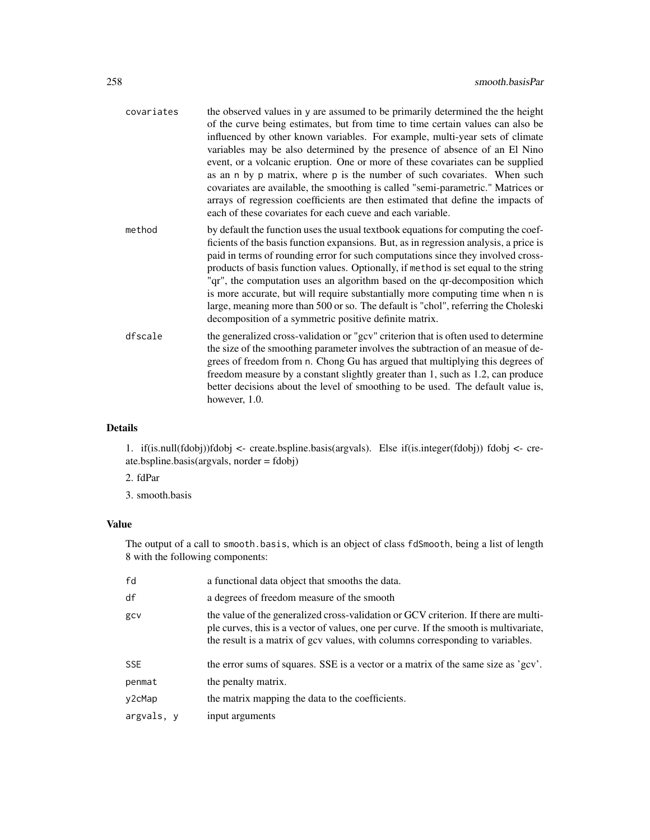| covariates | the observed values in y are assumed to be primarily determined the the height<br>of the curve being estimates, but from time to time certain values can also be<br>influenced by other known variables. For example, multi-year sets of climate<br>variables may be also determined by the presence of absence of an El Nino<br>event, or a volcanic eruption. One or more of these covariates can be supplied<br>as an n by p matrix, where p is the number of such covariates. When such<br>covariates are available, the smoothing is called "semi-parametric." Matrices or<br>arrays of regression coefficients are then estimated that define the impacts of<br>each of these covariates for each cueve and each variable. |
|------------|----------------------------------------------------------------------------------------------------------------------------------------------------------------------------------------------------------------------------------------------------------------------------------------------------------------------------------------------------------------------------------------------------------------------------------------------------------------------------------------------------------------------------------------------------------------------------------------------------------------------------------------------------------------------------------------------------------------------------------|
| method     | by default the function uses the usual textbook equations for computing the coef-<br>ficients of the basis function expansions. But, as in regression analysis, a price is<br>paid in terms of rounding error for such computations since they involved cross-<br>products of basis function values. Optionally, if method is set equal to the string<br>"qr", the computation uses an algorithm based on the qr-decomposition which<br>is more accurate, but will require substantially more computing time when n is<br>large, meaning more than 500 or so. The default is "chol", referring the Choleski<br>decomposition of a symmetric positive definite matrix.                                                            |
| dfscale    | the generalized cross-validation or "gcv" criterion that is often used to determine<br>the size of the smoothing parameter involves the subtraction of an measue of de-<br>grees of freedom from n. Chong Gu has argued that multiplying this degrees of<br>freedom measure by a constant slightly greater than 1, such as 1.2, can produce<br>better decisions about the level of smoothing to be used. The default value is,<br>however, 1.0.                                                                                                                                                                                                                                                                                  |

# Details

1. if(is.null(fdobj))fdobj <- create.bspline.basis(argvals). Else if(is.integer(fdobj)) fdobj <- create.bspline.basis(argvals, norder = fdobj)

- 2. fdPar
- 3. smooth.basis

#### Value

The output of a call to smooth.basis, which is an object of class fdSmooth, being a list of length 8 with the following components:

| fd         | a functional data object that smooths the data.                                                                                                                                                                                                                |
|------------|----------------------------------------------------------------------------------------------------------------------------------------------------------------------------------------------------------------------------------------------------------------|
| df         | a degrees of freedom measure of the smooth                                                                                                                                                                                                                     |
| gcv        | the value of the generalized cross-validation or GCV criterion. If there are multi-<br>ple curves, this is a vector of values, one per curve. If the smooth is multivariate,<br>the result is a matrix of gcv values, with columns corresponding to variables. |
| <b>SSE</b> | the error sums of squares. SSE is a vector or a matrix of the same size as 'gcv'.                                                                                                                                                                              |
| penmat     | the penalty matrix.                                                                                                                                                                                                                                            |
| y2cMap     | the matrix mapping the data to the coefficients.                                                                                                                                                                                                               |
| argvals, y | input arguments                                                                                                                                                                                                                                                |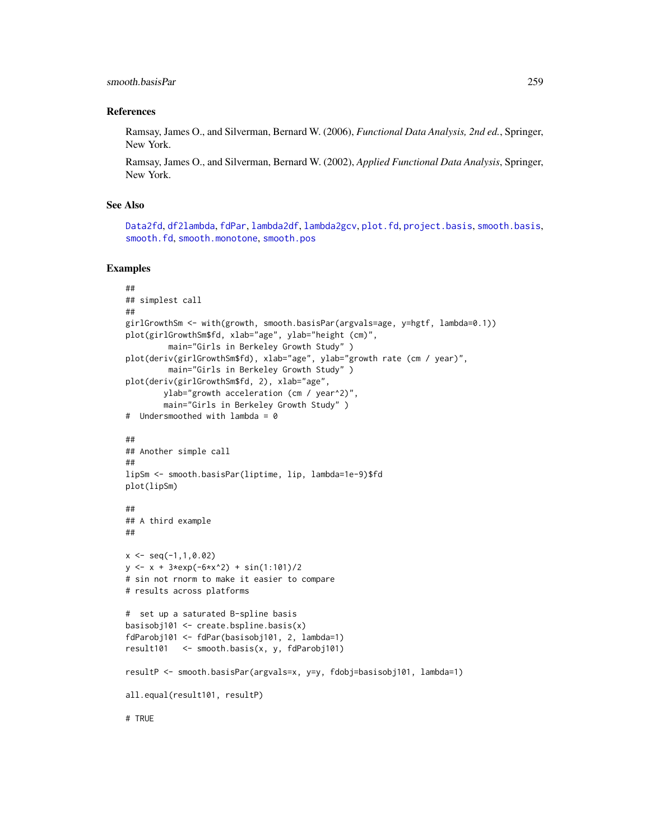# smooth.basisPar 259

#### References

Ramsay, James O., and Silverman, Bernard W. (2006), *Functional Data Analysis, 2nd ed.*, Springer, New York.

Ramsay, James O., and Silverman, Bernard W. (2002), *Applied Functional Data Analysis*, Springer, New York.

# See Also

[Data2fd](#page-69-0), [df2lambda](#page-81-0), [fdPar](#page-111-0), [lambda2df](#page-149-0), [lambda2gcv](#page-150-0), [plot.fd](#page-194-0), [project.basis](#page-221-0), [smooth.basis](#page-240-0), [smooth.fd](#page-260-0), [smooth.monotone](#page-264-0), [smooth.pos](#page-268-0)

```
##
## simplest call
##
girlGrowthSm <- with(growth, smooth.basisPar(argvals=age, y=hgtf, lambda=0.1))
plot(girlGrowthSm$fd, xlab="age", ylab="height (cm)",
         main="Girls in Berkeley Growth Study" )
plot(deriv(girlGrowthSm$fd), xlab="age", ylab="growth rate (cm / year)",
         main="Girls in Berkeley Growth Study" )
plot(deriv(girlGrowthSm$fd, 2), xlab="age",
        ylab="growth acceleration (cm / year^2)",
        main="Girls in Berkeley Growth Study" )
# Undersmoothed with lambda = 0
##
## Another simple call
##
lipSm <- smooth.basisPar(liptime, lip, lambda=1e-9)$fd
plot(lipSm)
##
## A third example
##
x \leq -\text{seq}(-1,1,0.02)y \le -x + 3*exp(-6*x^2) + sin(1:101)/2# sin not rnorm to make it easier to compare
# results across platforms
# set up a saturated B-spline basis
basisobj101 <- create.bspline.basis(x)
fdParobj101 <- fdPar(basisobj101, 2, lambda=1)
result101 <- smooth.basis(x, y, fdParobj101)
resultP <- smooth.basisPar(argvals=x, y=y, fdobj=basisobj101, lambda=1)
all.equal(result101, resultP)
# TRUE
```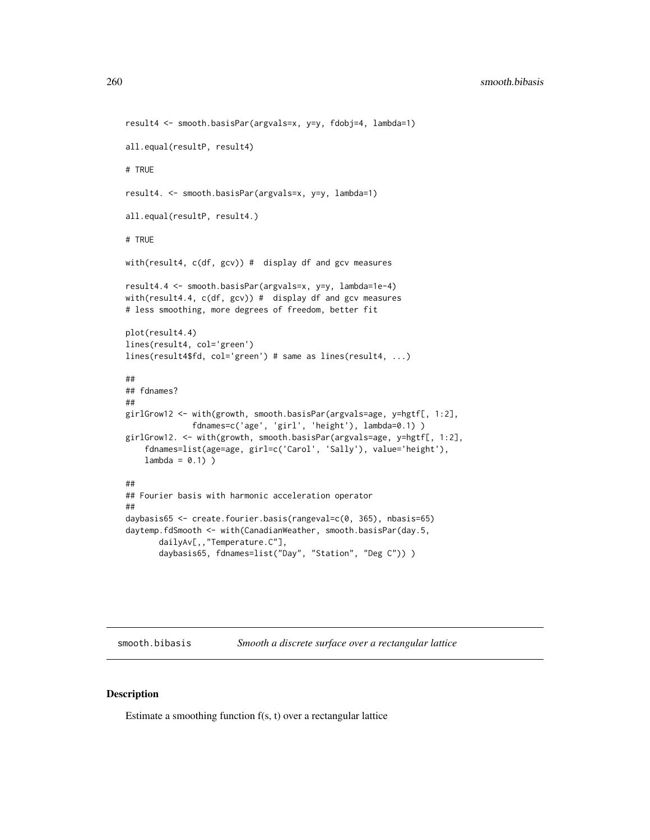```
result4 <- smooth.basisPar(argvals=x, y=y, fdobj=4, lambda=1)
all.equal(resultP, result4)
# TRUE
result4. <- smooth.basisPar(argvals=x, y=y, lambda=1)
all.equal(resultP, result4.)
# TRUE
with(result4, c(df, gcv)) # display df and gcv measures
result4.4 <- smooth.basisPar(argvals=x, y=y, lambda=1e-4)
with(result4.4, c(df, gcv)) # display df and gcv measures
# less smoothing, more degrees of freedom, better fit
plot(result4.4)
lines(result4, col='green')
lines(result4$fd, col='green') # same as lines(result4, ...)
##
## fdnames?
##
girlGrow12 <- with(growth, smooth.basisPar(argvals=age, y=hgtf[, 1:2],
              fdnames=c('age', 'girl', 'height'), lambda=0.1) )
girlGrow12. <- with(growth, smooth.basisPar(argvals=age, y=hgtf[, 1:2],
    fdnames=list(age=age, girl=c('Carol', 'Sally'), value='height'),
    lambda = 0.1))
##
## Fourier basis with harmonic acceleration operator
##
daybasis65 <- create.fourier.basis(rangeval=c(0, 365), nbasis=65)
daytemp.fdSmooth <- with(CanadianWeather, smooth.basisPar(day.5,
       dailyAv[,,"Temperature.C"],
       daybasis65, fdnames=list("Day", "Station", "Deg C")) )
```
smooth.bibasis *Smooth a discrete surface over a rectangular lattice*

#### Description

Estimate a smoothing function f(s, t) over a rectangular lattice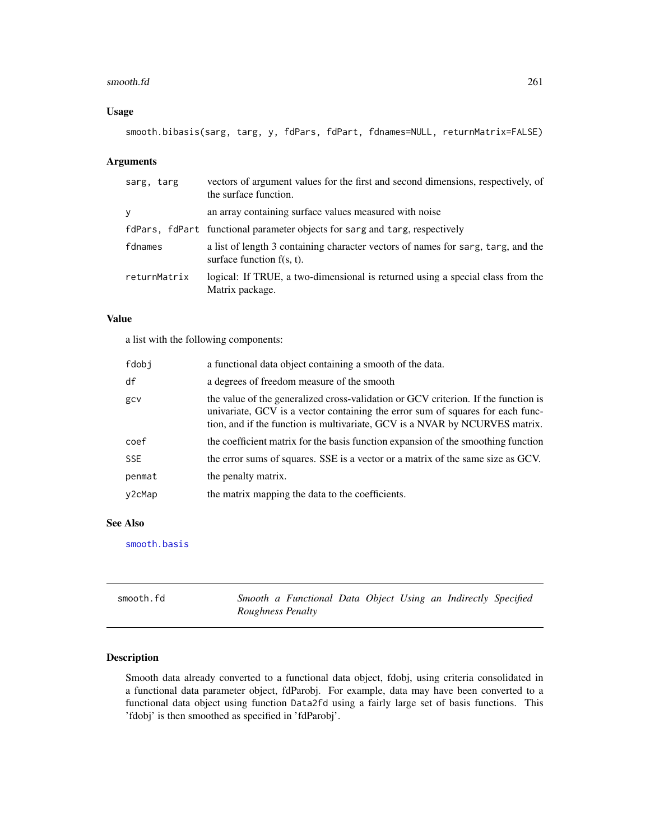#### smooth.fd 261

# Usage

```
smooth.bibasis(sarg, targ, y, fdPars, fdPart, fdnames=NULL, returnMatrix=FALSE)
```
# Arguments

| sarg, targ   | vectors of argument values for the first and second dimensions, respectively, of<br>the surface function.        |
|--------------|------------------------------------------------------------------------------------------------------------------|
| y            | an array containing surface values measured with noise                                                           |
|              | fdPars, fdPart functional parameter objects for sarg and targ, respectively                                      |
| fdnames      | a list of length 3 containing character vectors of names for sarg, targ, and the<br>surface function $f(s, t)$ . |
| returnMatrix | logical: If TRUE, a two-dimensional is returned using a special class from the<br>Matrix package.                |

# Value

a list with the following components:

| fdobj      | a functional data object containing a smooth of the data.                                                                                                                                                                                           |
|------------|-----------------------------------------------------------------------------------------------------------------------------------------------------------------------------------------------------------------------------------------------------|
| df         | a degrees of freedom measure of the smooth                                                                                                                                                                                                          |
| gcv        | the value of the generalized cross-validation or GCV criterion. If the function is<br>univariate, GCV is a vector containing the error sum of squares for each func-<br>tion, and if the function is multivariate, GCV is a NVAR by NCURVES matrix. |
| coef       | the coefficient matrix for the basis function expansion of the smoothing function                                                                                                                                                                   |
| <b>SSE</b> | the error sums of squares. SSE is a vector or a matrix of the same size as GCV.                                                                                                                                                                     |
| penmat     | the penalty matrix.                                                                                                                                                                                                                                 |
| y2cMap     | the matrix mapping the data to the coefficients.                                                                                                                                                                                                    |

# See Also

[smooth.basis](#page-240-0)

<span id="page-260-0"></span>

| smooth.fd |                   | Smooth a Functional Data Object Using an Indirectly Specified |  |  |  |
|-----------|-------------------|---------------------------------------------------------------|--|--|--|
|           | Roughness Penalty |                                                               |  |  |  |

# Description

Smooth data already converted to a functional data object, fdobj, using criteria consolidated in a functional data parameter object, fdParobj. For example, data may have been converted to a functional data object using function Data2fd using a fairly large set of basis functions. This 'fdobj' is then smoothed as specified in 'fdParobj'.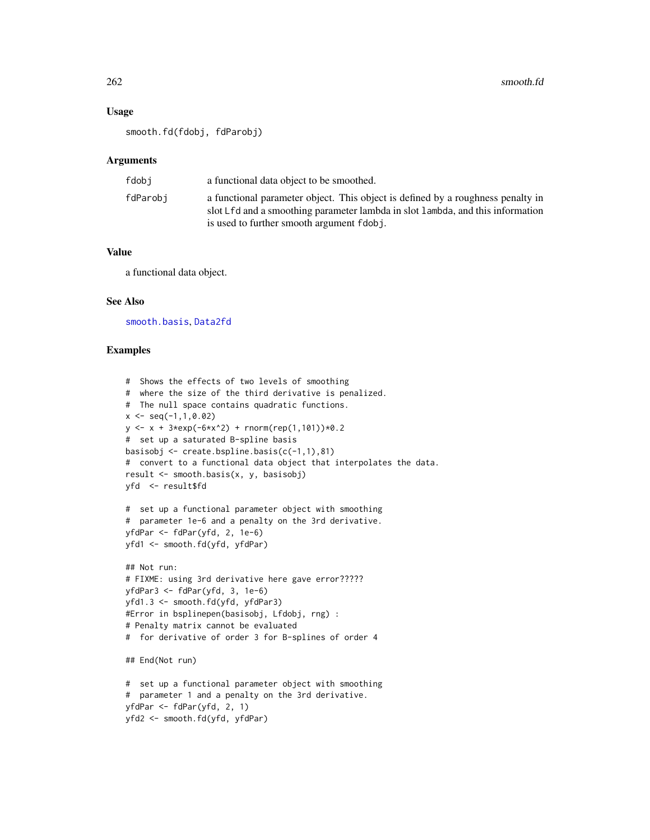#### Usage

smooth.fd(fdobj, fdParobj)

#### Arguments

| fdobi    | a functional data object to be smoothed.                                                                                                                                                                        |
|----------|-----------------------------------------------------------------------------------------------------------------------------------------------------------------------------------------------------------------|
| fdParobi | a functional parameter object. This object is defined by a roughness penalty in<br>slot Lfd and a smoothing parameter lambda in slot Lambda, and this information<br>is used to further smooth argument fdob j. |

#### Value

a functional data object.

# See Also

[smooth.basis](#page-240-0), [Data2fd](#page-69-0)

```
# Shows the effects of two levels of smoothing
# where the size of the third derivative is penalized.
# The null space contains quadratic functions.
x \leq -\text{seq}(-1, 1, 0.02)y \le -x + 3*exp(-6*x^2) + rnorm(rep(1,101))*0.2# set up a saturated B-spline basis
basisobj <- create.bspline.basis(c(-1,1),81)
# convert to a functional data object that interpolates the data.
result <- smooth.basis(x, y, basisobj)
yfd <- result$fd
# set up a functional parameter object with smoothing
# parameter 1e-6 and a penalty on the 3rd derivative.
yfdPar <- fdPar(yfd, 2, 1e-6)
yfd1 <- smooth.fd(yfd, yfdPar)
## Not run:
# FIXME: using 3rd derivative here gave error?????
yfdPar3 <- fdPar(yfd, 3, 1e-6)
yfd1.3 <- smooth.fd(yfd, yfdPar3)
#Error in bsplinepen(basisobj, Lfdobj, rng) :
# Penalty matrix cannot be evaluated
# for derivative of order 3 for B-splines of order 4
## End(Not run)
# set up a functional parameter object with smoothing
# parameter 1 and a penalty on the 3rd derivative.
yfdPar <- fdPar(yfd, 2, 1)
yfd2 <- smooth.fd(yfd, yfdPar)
```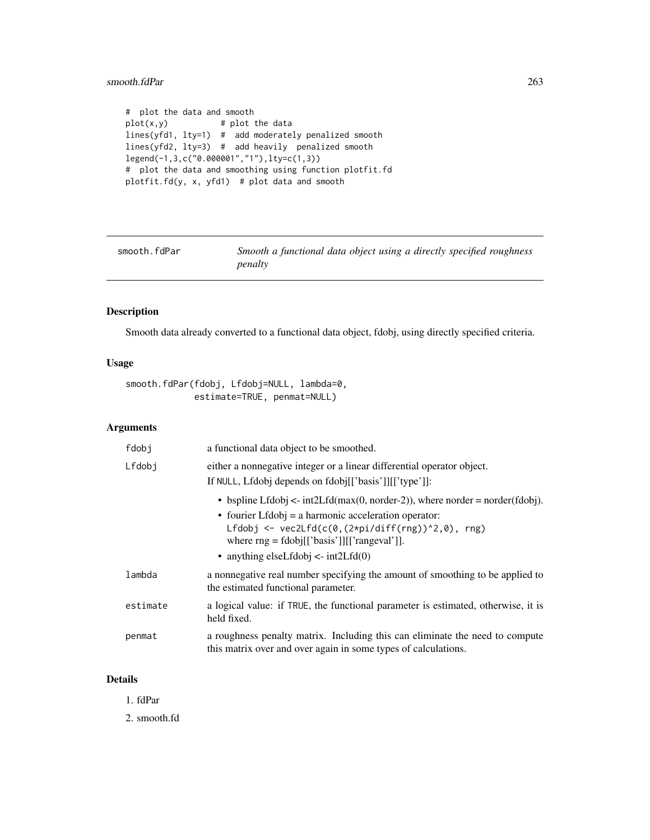#### smooth.fdPar 263

```
# plot the data and smooth
plot(x,y) # plot the data
lines(yfd1, lty=1) # add moderately penalized smooth
lines(yfd2, lty=3) # add heavily penalized smooth
legend(-1,3,c("0.000001","1"),lty=c(1,3))
# plot the data and smoothing using function plotfit.fd
plotfit.fd(y, x, yfd1) # plot data and smooth
```
smooth.fdPar *Smooth a functional data object using a directly specified roughness penalty*

# Description

Smooth data already converted to a functional data object, fdobj, using directly specified criteria.

# Usage

smooth.fdPar(fdobj, Lfdobj=NULL, lambda=0, estimate=TRUE, penmat=NULL)

# Arguments

| fdobi    | a functional data object to be smoothed.                                                                                                                                                                                                                                                                     |
|----------|--------------------------------------------------------------------------------------------------------------------------------------------------------------------------------------------------------------------------------------------------------------------------------------------------------------|
| Lfdobi   | either a nonnegative integer or a linear differential operator object.<br>If NULL, Lfdobj depends on fdobj[['basis']][['type']]:                                                                                                                                                                             |
|          | • bspline Lfdobj <- int2Lfd(max(0, norder-2)), where norder = norder(fdobj).<br>• fourier $Lfdobj = a harmonic acceleration operator$ :<br>Lfdobj <- $vec2Lfd(c(\theta, (2*pi/diff(rng))^2, \theta)$ , rng)<br>where $rng = fdobj[['basis']][['rangeval']].$<br>• anything elseLfdobj $\leq$ - int2Lfd $(0)$ |
| lambda   | a nonnegative real number specifying the amount of smoothing to be applied to<br>the estimated functional parameter.                                                                                                                                                                                         |
| estimate | a logical value: if TRUE, the functional parameter is estimated, otherwise, it is<br>held fixed.                                                                                                                                                                                                             |
| penmat   | a roughness penalty matrix. Including this can eliminate the need to compute<br>this matrix over and over again in some types of calculations.                                                                                                                                                               |

# Details

1. fdPar

2. smooth.fd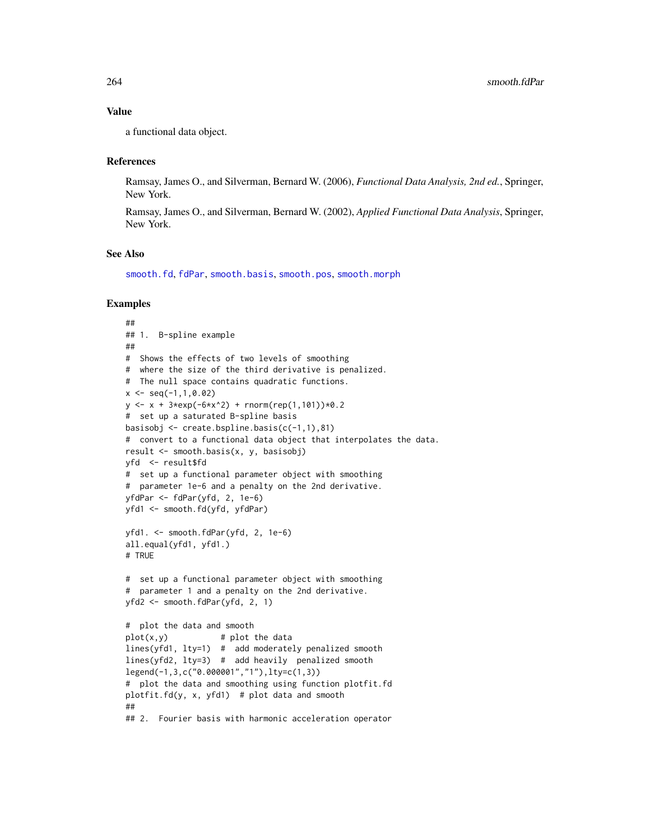# Value

a functional data object.

#### References

Ramsay, James O., and Silverman, Bernard W. (2006), *Functional Data Analysis, 2nd ed.*, Springer, New York.

Ramsay, James O., and Silverman, Bernard W. (2002), *Applied Functional Data Analysis*, Springer, New York.

# See Also

[smooth.fd](#page-260-0), [fdPar](#page-111-0), [smooth.basis](#page-240-0), [smooth.pos](#page-268-0), [smooth.morph](#page-267-0)

```
##
## 1. B-spline example
##
# Shows the effects of two levels of smoothing
# where the size of the third derivative is penalized.
# The null space contains quadratic functions.
x \leq -\text{seq}(-1, 1, 0.02)y \le -x + 3*exp(-6*x^2) + rnorm(rep(1,101))*0.2# set up a saturated B-spline basis
basisobj <- create.bspline.basis(c(-1,1),81)
# convert to a functional data object that interpolates the data.
result <- smooth.basis(x, y, basisobj)
yfd <- result$fd
# set up a functional parameter object with smoothing
# parameter 1e-6 and a penalty on the 2nd derivative.
yfdPar <- fdPar(yfd, 2, 1e-6)
yfd1 <- smooth.fd(yfd, yfdPar)
yfd1. <- smooth.fdPar(yfd, 2, 1e-6)
all.equal(yfd1, yfd1.)
# TRUE
# set up a functional parameter object with smoothing
# parameter 1 and a penalty on the 2nd derivative.
yfd2 <- smooth.fdPar(yfd, 2, 1)
# plot the data and smooth
plot(x,y) # plot the data
lines(yfd1, lty=1) # add moderately penalized smooth
lines(yfd2, lty=3) # add heavily penalized smooth
legend(-1,3,c("0.000001","1"),lty=c(1,3))
# plot the data and smoothing using function plotfit.fd
plotfit.fd(y, x, yfd1) # plot data and smooth
##
## 2. Fourier basis with harmonic acceleration operator
```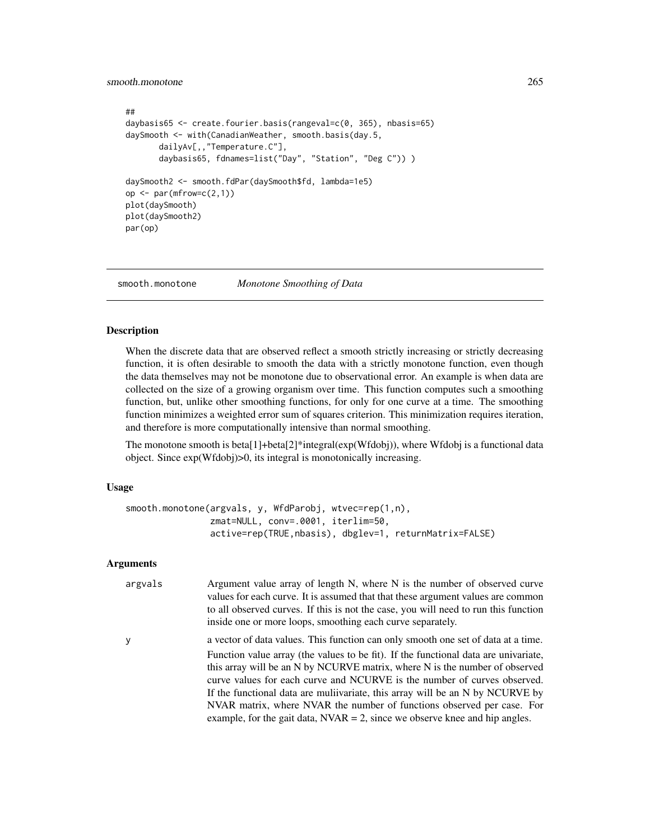#### smooth.monotone 265

```
##
daybasis65 <- create.fourier.basis(rangeval=c(0, 365), nbasis=65)
daySmooth <- with(CanadianWeather, smooth.basis(day.5,
       dailyAv[,,"Temperature.C"],
       daybasis65, fdnames=list("Day", "Station", "Deg C")) )
daySmooth2 <- smooth.fdPar(daySmooth$fd, lambda=1e5)
op \leq par(mfrow=c(2,1))
plot(daySmooth)
plot(daySmooth2)
par(op)
```
<span id="page-264-0"></span>smooth.monotone *Monotone Smoothing of Data*

#### Description

When the discrete data that are observed reflect a smooth strictly increasing or strictly decreasing function, it is often desirable to smooth the data with a strictly monotone function, even though the data themselves may not be monotone due to observational error. An example is when data are collected on the size of a growing organism over time. This function computes such a smoothing function, but, unlike other smoothing functions, for only for one curve at a time. The smoothing function minimizes a weighted error sum of squares criterion. This minimization requires iteration, and therefore is more computationally intensive than normal smoothing.

The monotone smooth is beta[1]+beta[2]\*integral( $exp(Wfdobj)$ ), where Wfdobj is a functional data object. Since exp(Wfdobj)>0, its integral is monotonically increasing.

#### Usage

```
smooth.monotone(argvals, y, WfdParobj, wtvec=rep(1,n),
                zmat=NULL, conv=.0001, iterlim=50,
                active=rep(TRUE,nbasis), dbglev=1, returnMatrix=FALSE)
```
#### Arguments

| argvals | Argument value array of length N, where N is the number of observed curve           |
|---------|-------------------------------------------------------------------------------------|
|         | values for each curve. It is assumed that that these argument values are common     |
|         | to all observed curves. If this is not the case, you will need to run this function |
|         | inside one or more loops, smoothing each curve separately.                          |

y a vector of data values. This function can only smooth one set of data at a time. Function value array (the values to be fit). If the functional data are univariate, this array will be an N by NCURVE matrix, where N is the number of observed curve values for each curve and NCURVE is the number of curves observed. If the functional data are muliivariate, this array will be an N by NCURVE by NVAR matrix, where NVAR the number of functions observed per case. For example, for the gait data,  $NVAR = 2$ , since we observe knee and hip angles.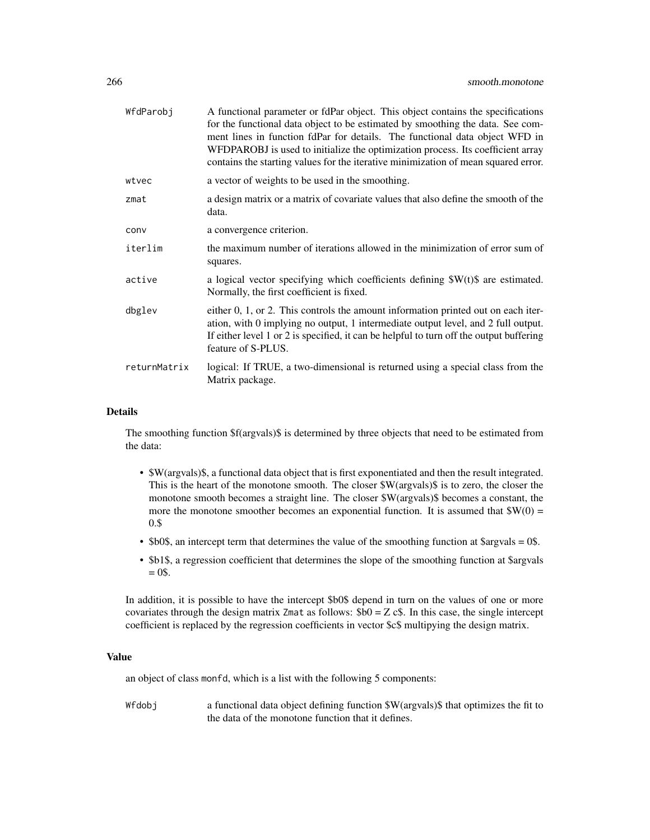| WfdParobj    | A functional parameter or fdPar object. This object contains the specifications<br>for the functional data object to be estimated by smoothing the data. See com-<br>ment lines in function fdPar for details. The functional data object WFD in<br>WFDPAROBJ is used to initialize the optimization process. Its coefficient array<br>contains the starting values for the iterative minimization of mean squared error. |
|--------------|---------------------------------------------------------------------------------------------------------------------------------------------------------------------------------------------------------------------------------------------------------------------------------------------------------------------------------------------------------------------------------------------------------------------------|
| wtvec        | a vector of weights to be used in the smoothing.                                                                                                                                                                                                                                                                                                                                                                          |
| zmat         | a design matrix or a matrix of covariate values that also define the smooth of the<br>data.                                                                                                                                                                                                                                                                                                                               |
| conv         | a convergence criterion.                                                                                                                                                                                                                                                                                                                                                                                                  |
| iterlim      | the maximum number of iterations allowed in the minimization of error sum of<br>squares.                                                                                                                                                                                                                                                                                                                                  |
| active       | a logical vector specifying which coefficients defining $W(t)$ are estimated.<br>Normally, the first coefficient is fixed.                                                                                                                                                                                                                                                                                                |
| dbglev       | either $0, 1$ , or 2. This controls the amount information printed out on each iter-<br>ation, with 0 implying no output, 1 intermediate output level, and 2 full output.<br>If either level 1 or 2 is specified, it can be helpful to turn off the output buffering<br>feature of S-PLUS.                                                                                                                                |
| returnMatrix | logical: If TRUE, a two-dimensional is returned using a special class from the<br>Matrix package.                                                                                                                                                                                                                                                                                                                         |

#### Details

The smoothing function \$f(argvals)\$ is determined by three objects that need to be estimated from the data:

- \$W(argvals)\$, a functional data object that is first exponentiated and then the result integrated. This is the heart of the monotone smooth. The closer \$W(argvals)\$ is to zero, the closer the monotone smooth becomes a straight line. The closer \$W(argvals)\$ becomes a constant, the more the monotone smoother becomes an exponential function. It is assumed that  $W(0) =$ 0.\$
- $b0\$  an intercept term that determines the value of the smoothing function at  $\qquad\arg$ vals = 0\$.
- \$b1\$, a regression coefficient that determines the slope of the smoothing function at \$argvals  $= 0$ \$.

In addition, it is possible to have the intercept \$b0\$ depend in turn on the values of one or more covariates through the design matrix  $Z$ mat as follows:  $$b0 = Z \text{ c}\$$ . In this case, the single intercept coefficient is replaced by the regression coefficients in vector \$c\$ multipying the design matrix.

#### Value

an object of class monfd, which is a list with the following 5 components:

Wfdobj a functional data object defining function \$W(argvals)\$ that optimizes the fit to the data of the monotone function that it defines.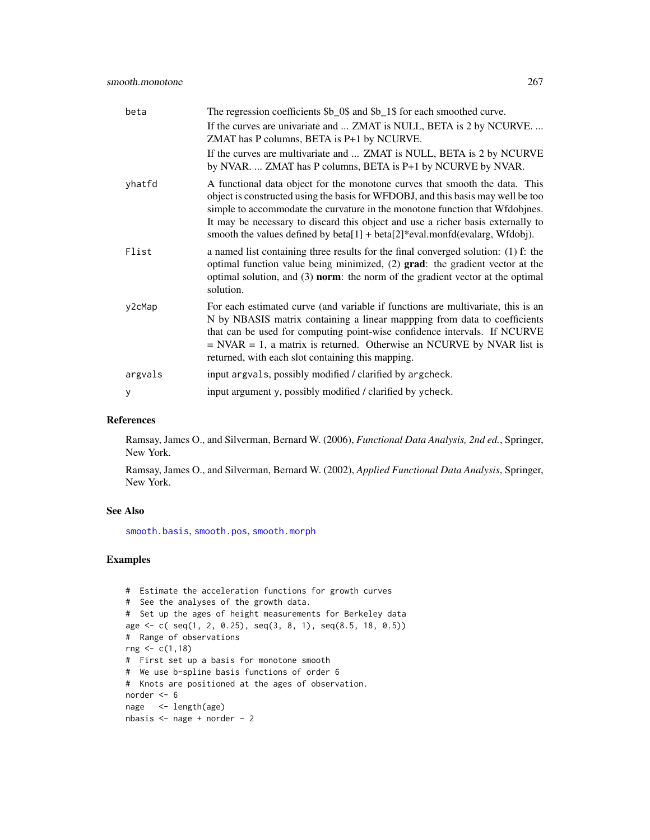| beta    | The regression coefficients \$b_0\$ and \$b_1\$ for each smoothed curve.                                                                                                                                                                                                                                                                                                                                          |
|---------|-------------------------------------------------------------------------------------------------------------------------------------------------------------------------------------------------------------------------------------------------------------------------------------------------------------------------------------------------------------------------------------------------------------------|
|         | If the curves are univariate and  ZMAT is NULL, BETA is 2 by NCURVE.<br>ZMAT has P columns, BETA is P+1 by NCURVE.                                                                                                                                                                                                                                                                                                |
|         | If the curves are multivariate and  ZMAT is NULL, BETA is 2 by NCURVE<br>by NVAR.  ZMAT has P columns, BETA is P+1 by NCURVE by NVAR.                                                                                                                                                                                                                                                                             |
| yhatfd  | A functional data object for the monotone curves that smooth the data. This<br>object is constructed using the basis for WFDOBJ, and this basis may well be too<br>simple to accommodate the curvature in the monotone function that Wfdobines.<br>It may be necessary to discard this object and use a richer basis externally to<br>smooth the values defined by beta[1] + beta[2]*eval.monfd(evalarg, Wfdobj). |
| Flist   | a named list containing three results for the final converged solution: (1) $f$ : the<br>optimal function value being minimized, $(2)$ grad: the gradient vector at the<br>optimal solution, and $(3)$ norm: the norm of the gradient vector at the optimal<br>solution.                                                                                                                                          |
| y2cMap  | For each estimated curve (and variable if functions are multivariate, this is an<br>N by NBASIS matrix containing a linear mappping from data to coefficients<br>that can be used for computing point-wise confidence intervals. If NCURVE<br>$=$ NVAR = 1, a matrix is returned. Otherwise an NCURVE by NVAR list is<br>returned, with each slot containing this mapping.                                        |
| argvals | input argvals, possibly modified / clarified by argcheck.                                                                                                                                                                                                                                                                                                                                                         |
| У       | input argument y, possibly modified / clarified by ycheck.                                                                                                                                                                                                                                                                                                                                                        |

#### References

Ramsay, James O., and Silverman, Bernard W. (2006), *Functional Data Analysis, 2nd ed.*, Springer, New York.

Ramsay, James O., and Silverman, Bernard W. (2002), *Applied Functional Data Analysis*, Springer, New York.

# See Also

[smooth.basis](#page-240-0), [smooth.pos](#page-268-0), [smooth.morph](#page-267-0)

```
# Estimate the acceleration functions for growth curves
# See the analyses of the growth data.
# Set up the ages of height measurements for Berkeley data
age <- c( seq(1, 2, 0.25), seq(3, 8, 1), seq(8.5, 18, 0.5))
# Range of observations
rng < -c(1,18)# First set up a basis for monotone smooth
# We use b-spline basis functions of order 6
# Knots are positioned at the ages of observation.
norder <- 6
nage <- length(age)
nbasis <- nage + norder - 2
```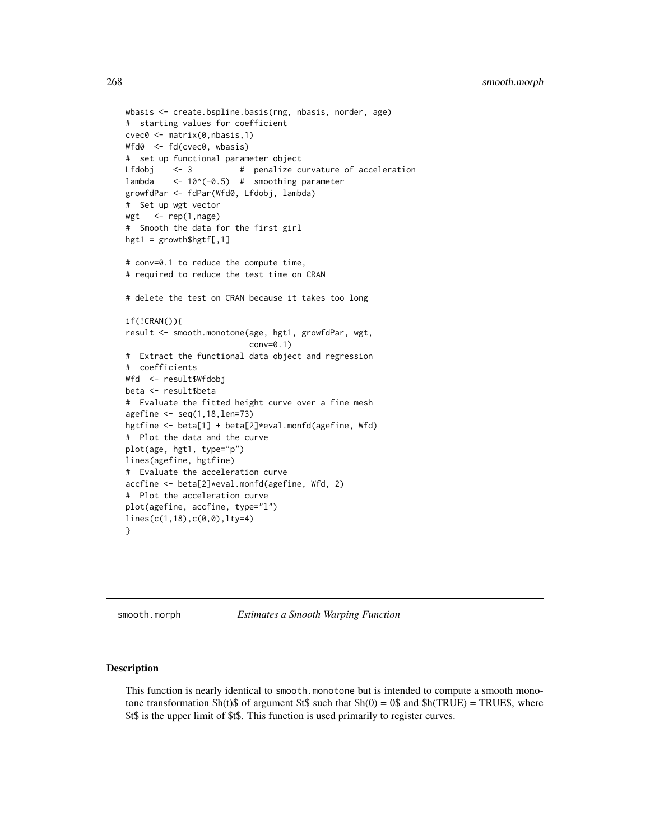```
wbasis <- create.bspline.basis(rng, nbasis, norder, age)
# starting values for coefficient
cvec0 <- matrix(0,nbasis,1)
Wfd0 <- fd(cvec0, wbasis)
# set up functional parameter object
Lfdobj \leq -3 # penalize curvature of acceleration
lambda <- 10^(-0.5) # smoothing parameter
growfdPar <- fdPar(Wfd0, Lfdobj, lambda)
# Set up wgt vector
wgt <- rep(1,nage)
# Smooth the data for the first girl
hgt1 = growth$hgtf[,1]
# conv=0.1 to reduce the compute time,
# required to reduce the test time on CRAN
# delete the test on CRAN because it takes too long
if(!CRAN()){
result <- smooth.monotone(age, hgt1, growfdPar, wgt,
                         conv=0.1)
# Extract the functional data object and regression
# coefficients
Wfd <- result$Wfdobj
beta <- result$beta
# Evaluate the fitted height curve over a fine mesh
agefine \leq seq(1,18, len=73)
hgtfine <- beta[1] + beta[2]*eval.monfd(agefine, Wfd)
# Plot the data and the curve
plot(age, hgt1, type="p")
lines(agefine, hgtfine)
# Evaluate the acceleration curve
accfine <- beta[2]*eval.monfd(agefine, Wfd, 2)
# Plot the acceleration curve
plot(agefine, accfine, type="l")
lines(c(1,18),c(0,0),lty=4)
}
```
<span id="page-267-0"></span>smooth.morph *Estimates a Smooth Warping Function*

#### Description

This function is nearly identical to smooth.monotone but is intended to compute a smooth monotone transformation  $h(t)$  of argument \$t\$ such that  $h(0) = 0$ \$ and  $h(TRUE) = TRUE$ \$, where \$t\$ is the upper limit of \$t\$. This function is used primarily to register curves.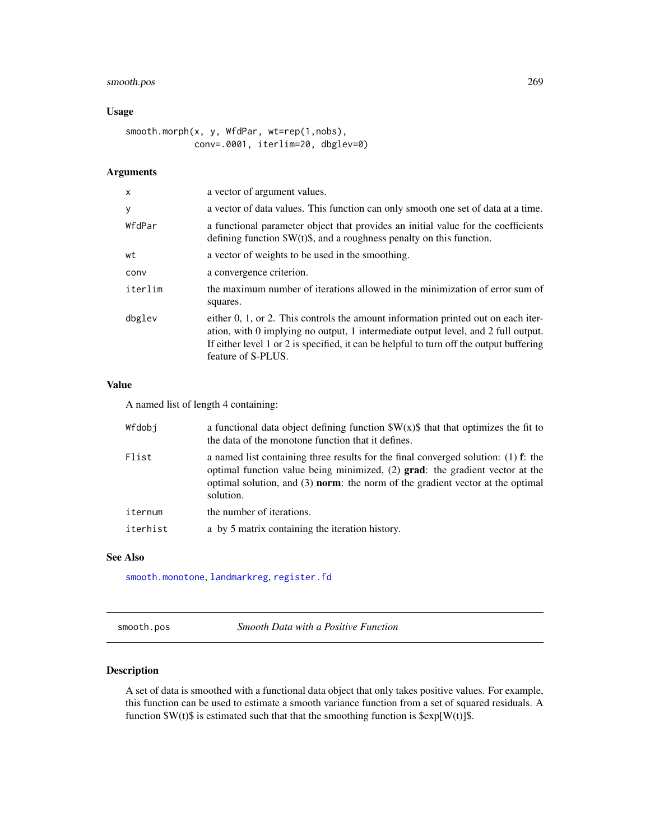# smooth.pos 269

# Usage

smooth.morph(x, y, WfdPar, wt=rep(1,nobs), conv=.0001, iterlim=20, dbglev=0)

# Arguments

| $\mathsf{x}$ | a vector of argument values.                                                                                                                                                                                                                                                                  |
|--------------|-----------------------------------------------------------------------------------------------------------------------------------------------------------------------------------------------------------------------------------------------------------------------------------------------|
| У            | a vector of data values. This function can only smooth one set of data at a time.                                                                                                                                                                                                             |
| WfdPar       | a functional parameter object that provides an initial value for the coefficients<br>defining function $W(t)\$ , and a roughness penalty on this function.                                                                                                                                    |
| wt           | a vector of weights to be used in the smoothing.                                                                                                                                                                                                                                              |
| conv         | a convergence criterion.                                                                                                                                                                                                                                                                      |
| iterlim      | the maximum number of iterations allowed in the minimization of error sum of<br>squares.                                                                                                                                                                                                      |
| dbglev       | either $0, 1$ , or $2$ . This controls the amount information printed out on each iter-<br>ation, with 0 implying no output, 1 intermediate output level, and 2 full output.<br>If either level 1 or 2 is specified, it can be helpful to turn off the output buffering<br>feature of S-PLUS. |

# Value

A named list of length 4 containing:

| Wfdobi   | a functional data object defining function $W(x)$ that that optimizes the fit to<br>the data of the monotone function that it defines.                                                                                                                                   |
|----------|--------------------------------------------------------------------------------------------------------------------------------------------------------------------------------------------------------------------------------------------------------------------------|
| Flist    | a named list containing three results for the final converged solution: (1) $f$ : the<br>optimal function value being minimized, $(2)$ grad: the gradient vector at the<br>optimal solution, and $(3)$ norm: the norm of the gradient vector at the optimal<br>solution. |
| iternum  | the number of iterations.                                                                                                                                                                                                                                                |
| iterhist | a by 5 matrix containing the iteration history.                                                                                                                                                                                                                          |
|          |                                                                                                                                                                                                                                                                          |

# See Also

[smooth.monotone](#page-264-0), [landmarkreg](#page-151-0), [register.fd](#page-227-0)

<span id="page-268-0"></span>smooth.pos *Smooth Data with a Positive Function*

# Description

A set of data is smoothed with a functional data object that only takes positive values. For example, this function can be used to estimate a smooth variance function from a set of squared residuals. A function  $W(t)$ \$ is estimated such that that the smoothing function is  $\exp[W(t)]$ \$.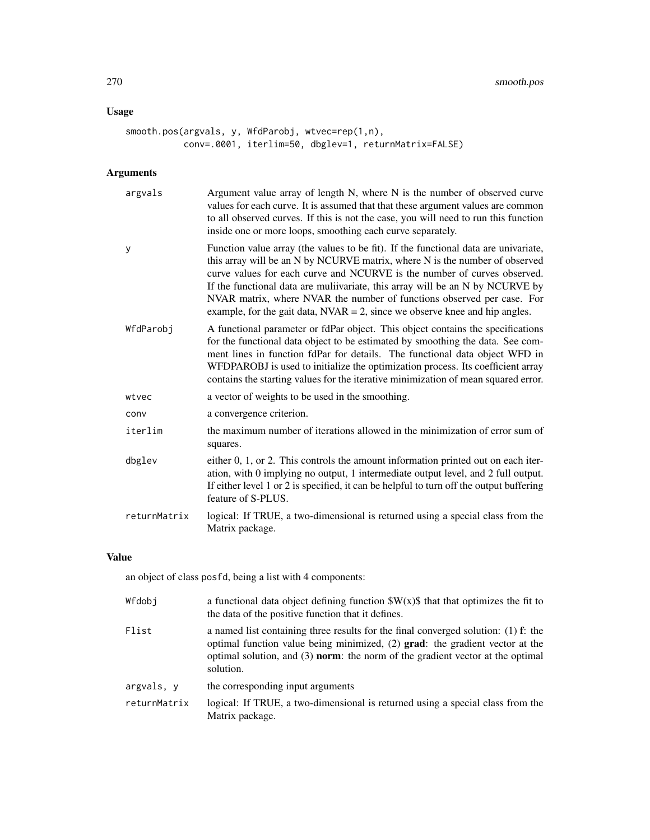# Usage

```
smooth.pos(argvals, y, WfdParobj, wtvec=rep(1,n),
          conv=.0001, iterlim=50, dbglev=1, returnMatrix=FALSE)
```
# Arguments

| argvals      | Argument value array of length N, where N is the number of observed curve<br>values for each curve. It is assumed that that these argument values are common<br>to all observed curves. If this is not the case, you will need to run this function<br>inside one or more loops, smoothing each curve separately.                                                                                                                                                                           |
|--------------|---------------------------------------------------------------------------------------------------------------------------------------------------------------------------------------------------------------------------------------------------------------------------------------------------------------------------------------------------------------------------------------------------------------------------------------------------------------------------------------------|
| y            | Function value array (the values to be fit). If the functional data are univariate,<br>this array will be an N by NCURVE matrix, where N is the number of observed<br>curve values for each curve and NCURVE is the number of curves observed.<br>If the functional data are muliivariate, this array will be an N by NCURVE by<br>NVAR matrix, where NVAR the number of functions observed per case. For<br>example, for the gait data, $NVAR = 2$ , since we observe knee and hip angles. |
| WfdParobj    | A functional parameter or fdPar object. This object contains the specifications<br>for the functional data object to be estimated by smoothing the data. See com-<br>ment lines in function fdPar for details. The functional data object WFD in<br>WFDPAROBJ is used to initialize the optimization process. Its coefficient array<br>contains the starting values for the iterative minimization of mean squared error.                                                                   |
| wtvec        | a vector of weights to be used in the smoothing.                                                                                                                                                                                                                                                                                                                                                                                                                                            |
| conv         | a convergence criterion.                                                                                                                                                                                                                                                                                                                                                                                                                                                                    |
| iterlim      | the maximum number of iterations allowed in the minimization of error sum of<br>squares.                                                                                                                                                                                                                                                                                                                                                                                                    |
| dbglev       | either $0, 1$ , or $2$ . This controls the amount information printed out on each iter-<br>ation, with 0 implying no output, 1 intermediate output level, and 2 full output.<br>If either level 1 or 2 is specified, it can be helpful to turn off the output buffering<br>feature of S-PLUS.                                                                                                                                                                                               |
| returnMatrix | logical: If TRUE, a two-dimensional is returned using a special class from the<br>Matrix package.                                                                                                                                                                                                                                                                                                                                                                                           |

# Value

an object of class posfd, being a list with 4 components:

| Wfdobj       | a functional data object defining function $W(x)$ that that optimizes the fit to<br>the data of the positive function that it defines.                                                                                                                                   |
|--------------|--------------------------------------------------------------------------------------------------------------------------------------------------------------------------------------------------------------------------------------------------------------------------|
| Flist        | a named list containing three results for the final converged solution: (1) $f$ : the<br>optimal function value being minimized, $(2)$ grad: the gradient vector at the<br>optimal solution, and $(3)$ norm: the norm of the gradient vector at the optimal<br>solution. |
| argvals, y   | the corresponding input arguments                                                                                                                                                                                                                                        |
| returnMatrix | logical: If TRUE, a two-dimensional is returned using a special class from the<br>Matrix package.                                                                                                                                                                        |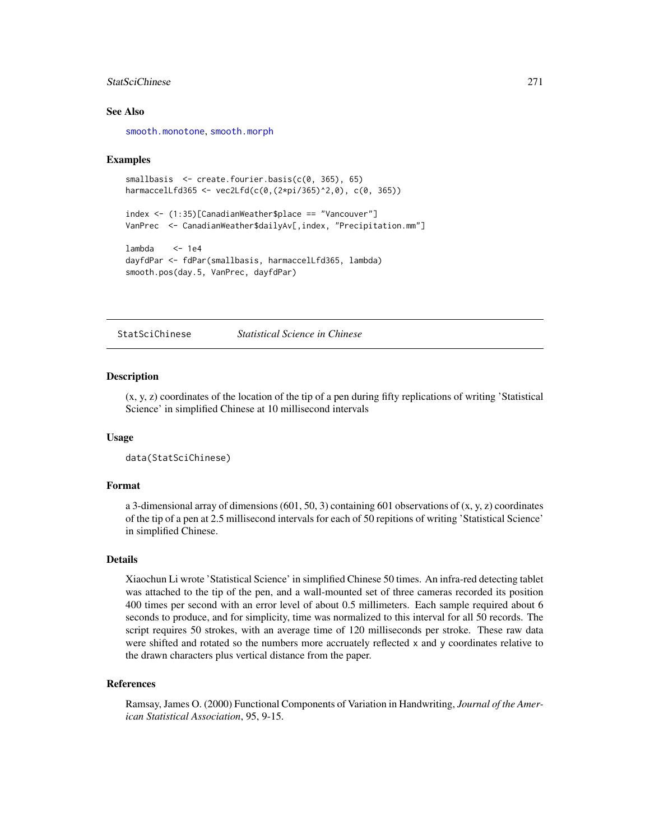# <span id="page-270-0"></span>StatSciChinese 271

#### See Also

[smooth.monotone](#page-264-0), [smooth.morph](#page-267-0)

#### Examples

```
smallbasis <- create.fourier.basis(c(0, 365), 65)
harmaccelLfd365 <- vec2Lfd(c(0,(2*pi/365)^2,0), c(0, 365))
index <- (1:35)[CanadianWeather$place == "Vancouver"]
VanPrec <- CanadianWeather$dailyAv[,index, "Precipitation.mm"]
lambda <- 1e4
dayfdPar <- fdPar(smallbasis, harmaccelLfd365, lambda)
smooth.pos(day.5, VanPrec, dayfdPar)
```
StatSciChinese *Statistical Science in Chinese*

#### Description

(x, y, z) coordinates of the location of the tip of a pen during fifty replications of writing 'Statistical Science' in simplified Chinese at 10 millisecond intervals

#### Usage

```
data(StatSciChinese)
```
#### Format

a 3-dimensional array of dimensions  $(601, 50, 3)$  containing  $601$  observations of  $(x, y, z)$  coordinates of the tip of a pen at 2.5 millisecond intervals for each of 50 repitions of writing 'Statistical Science' in simplified Chinese.

#### Details

Xiaochun Li wrote 'Statistical Science' in simplified Chinese 50 times. An infra-red detecting tablet was attached to the tip of the pen, and a wall-mounted set of three cameras recorded its position 400 times per second with an error level of about 0.5 millimeters. Each sample required about 6 seconds to produce, and for simplicity, time was normalized to this interval for all 50 records. The script requires 50 strokes, with an average time of 120 milliseconds per stroke. These raw data were shifted and rotated so the numbers more accruately reflected x and y coordinates relative to the drawn characters plus vertical distance from the paper.

#### References

Ramsay, James O. (2000) Functional Components of Variation in Handwriting, *Journal of the American Statistical Association*, 95, 9-15.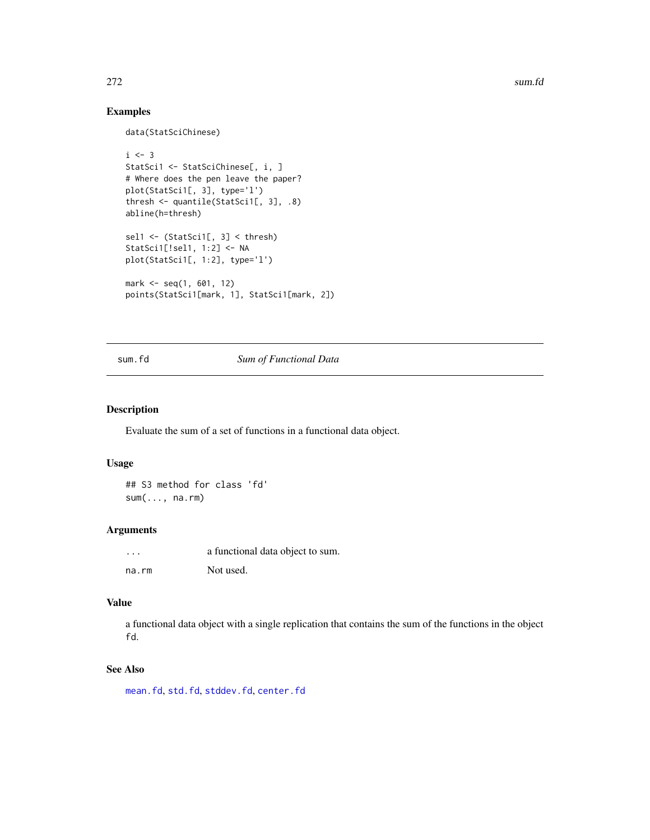272 sum.fd

# Examples

data(StatSciChinese)

```
i \leq -3StatSci1 <- StatSciChinese[, i, ]
# Where does the pen leave the paper?
plot(StatSci1[, 3], type='l')
thresh <- quantile(StatSci1[, 3], .8)
abline(h=thresh)
sel1 <- (StatSci1[, 3] < thresh)
StatSci1[!sel1, 1:2] <- NA
plot(StatSci1[, 1:2], type='l')
mark <- seq(1, 601, 12)
points(StatSci1[mark, 1], StatSci1[mark, 2])
```
#### sum.fd *Sum of Functional Data*

#### Description

Evaluate the sum of a set of functions in a functional data object.

#### Usage

## S3 method for class 'fd' sum(..., na.rm)

# Arguments

| $\cdots$ | a functional data object to sum. |
|----------|----------------------------------|
| na.rm    | Not used.                        |

#### Value

a functional data object with a single replication that contains the sum of the functions in the object fd.

#### See Also

[mean.fd](#page-168-0), [std.fd](#page-237-0), [stddev.fd](#page-237-0), [center.fd](#page-32-0)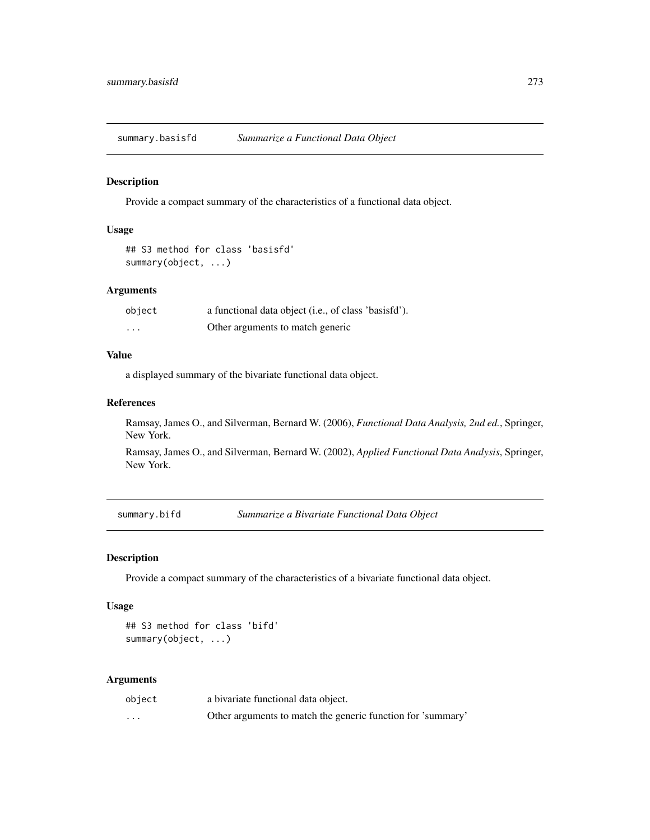summary.basisfd *Summarize a Functional Data Object*

# Description

Provide a compact summary of the characteristics of a functional data object.

#### Usage

```
## S3 method for class 'basisfd'
summary(object, ...)
```
#### Arguments

| object | a functional data object (i.e., of class 'basisfd'). |
|--------|------------------------------------------------------|
| .      | Other arguments to match generic                     |

# Value

a displayed summary of the bivariate functional data object.

# References

Ramsay, James O., and Silverman, Bernard W. (2006), *Functional Data Analysis, 2nd ed.*, Springer, New York.

Ramsay, James O., and Silverman, Bernard W. (2002), *Applied Functional Data Analysis*, Springer, New York.

summary.bifd *Summarize a Bivariate Functional Data Object*

#### Description

Provide a compact summary of the characteristics of a bivariate functional data object.

#### Usage

## S3 method for class 'bifd' summary(object, ...)

#### Arguments

| object   | a bivariate functional data object.                         |
|----------|-------------------------------------------------------------|
| $\cdots$ | Other arguments to match the generic function for 'summary' |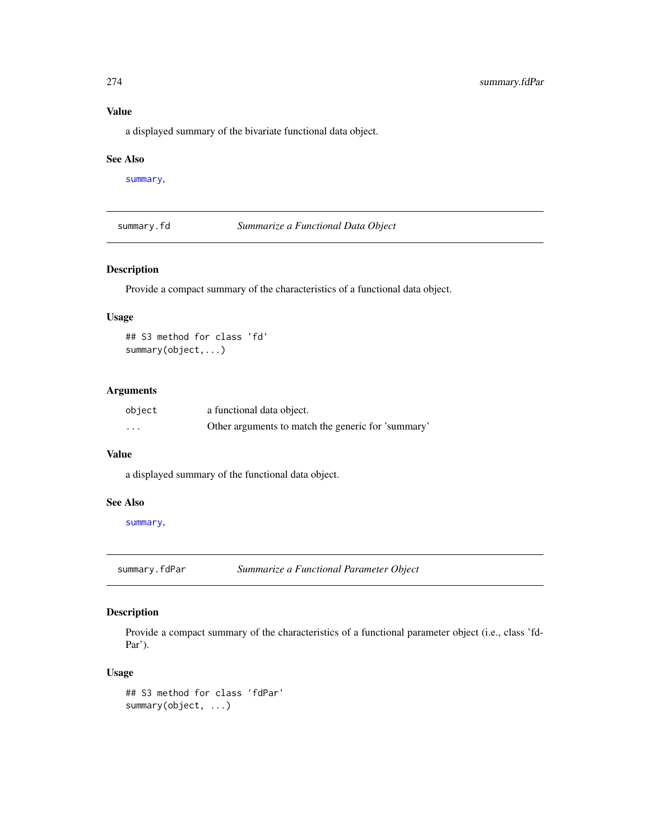a displayed summary of the bivariate functional data object.

#### See Also

[summary](#page-0-0),

summary.fd *Summarize a Functional Data Object*

#### Description

Provide a compact summary of the characteristics of a functional data object.

#### Usage

```
## S3 method for class 'fd'
summary(object,...)
```
# Arguments

| object   | a functional data object.                          |
|----------|----------------------------------------------------|
| $\cdots$ | Other arguments to match the generic for 'summary' |

# Value

a displayed summary of the functional data object.

# See Also

[summary](#page-0-0),

summary.fdPar *Summarize a Functional Parameter Object*

# Description

Provide a compact summary of the characteristics of a functional parameter object (i.e., class 'fd-Par').

# Usage

## S3 method for class 'fdPar' summary(object, ...)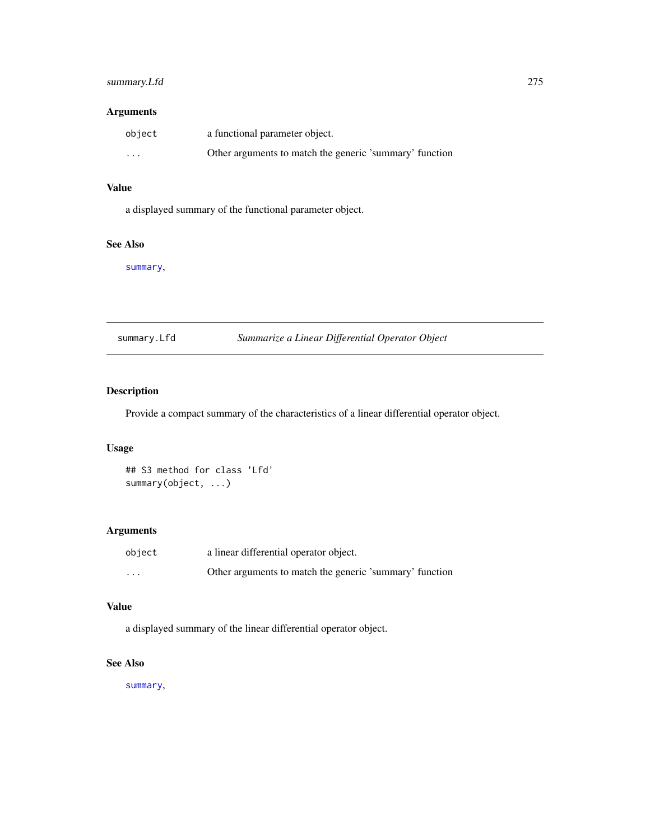# summary. Lfd 275

# Arguments

| object                  | a functional parameter object.                          |
|-------------------------|---------------------------------------------------------|
| $\cdot$ $\cdot$ $\cdot$ | Other arguments to match the generic 'summary' function |

# Value

a displayed summary of the functional parameter object.

# See Also

[summary](#page-0-0),

# summary.Lfd *Summarize a Linear Differential Operator Object*

# Description

Provide a compact summary of the characteristics of a linear differential operator object.

# Usage

## S3 method for class 'Lfd' summary(object, ...)

# Arguments

| object                  | a linear differential operator object.                  |
|-------------------------|---------------------------------------------------------|
| $\cdot$ $\cdot$ $\cdot$ | Other arguments to match the generic 'summary' function |

# Value

a displayed summary of the linear differential operator object.

#### See Also

[summary](#page-0-0),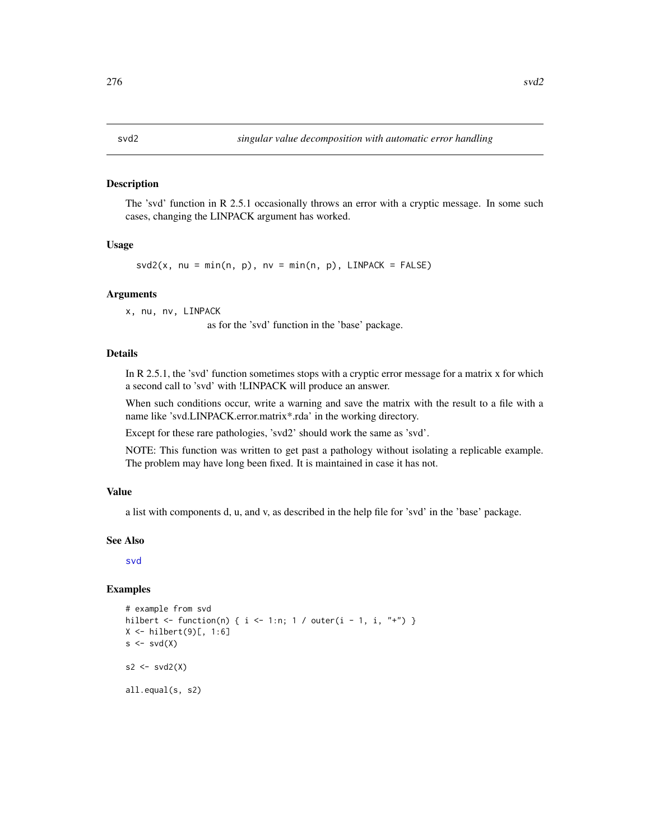#### <span id="page-275-0"></span>**Description**

The 'svd' function in R 2.5.1 occasionally throws an error with a cryptic message. In some such cases, changing the LINPACK argument has worked.

#### Usage

 $svd2(x, nu = min(n, p), nv = min(n, p), LINPACK = FALSE)$ 

#### Arguments

x, nu, nv, LINPACK

as for the 'svd' function in the 'base' package.

#### Details

In R 2.5.1, the 'svd' function sometimes stops with a cryptic error message for a matrix x for which a second call to 'svd' with !LINPACK will produce an answer.

When such conditions occur, write a warning and save the matrix with the result to a file with a name like 'svd.LINPACK.error.matrix\*.rda' in the working directory.

Except for these rare pathologies, 'svd2' should work the same as 'svd'.

NOTE: This function was written to get past a pathology without isolating a replicable example. The problem may have long been fixed. It is maintained in case it has not.

#### Value

a list with components d, u, and v, as described in the help file for 'svd' in the 'base' package.

#### See Also

[svd](#page-0-0)

```
# example from svd
hilbert <- function(n) { i <- 1:n; 1 / outer(i - 1, i, "+") }
X \leftarrow \text{hilbert}(9)[, 1:6]s \leftarrow svd(X)s2 \leftarrow svd2(X)all.equal(s, s2)
```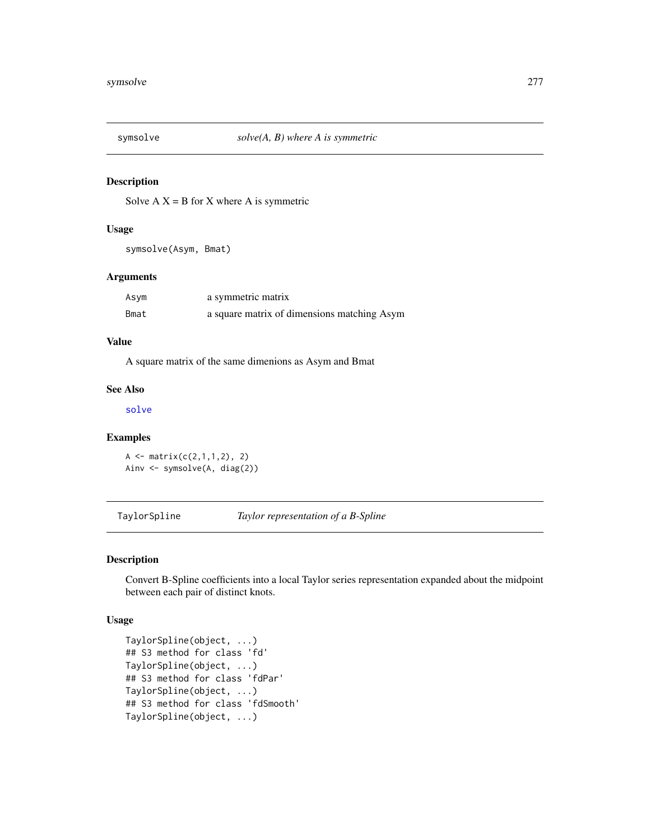<span id="page-276-0"></span>

# Description

Solve  $A X = B$  for X where A is symmetric

#### Usage

symsolve(Asym, Bmat)

# Arguments

| Asym | a symmetric matrix                          |
|------|---------------------------------------------|
| Bmat | a square matrix of dimensions matching Asym |

#### Value

A square matrix of the same dimenions as Asym and Bmat

#### See Also

[solve](#page-0-0)

# Examples

A  $\leftarrow$  matrix(c(2,1,1,2), 2) Ainv <- symsolve(A, diag(2))

TaylorSpline *Taylor representation of a B-Spline*

# Description

Convert B-Spline coefficients into a local Taylor series representation expanded about the midpoint between each pair of distinct knots.

# Usage

```
TaylorSpline(object, ...)
## S3 method for class 'fd'
TaylorSpline(object, ...)
## S3 method for class 'fdPar'
TaylorSpline(object, ...)
## S3 method for class 'fdSmooth'
TaylorSpline(object, ...)
```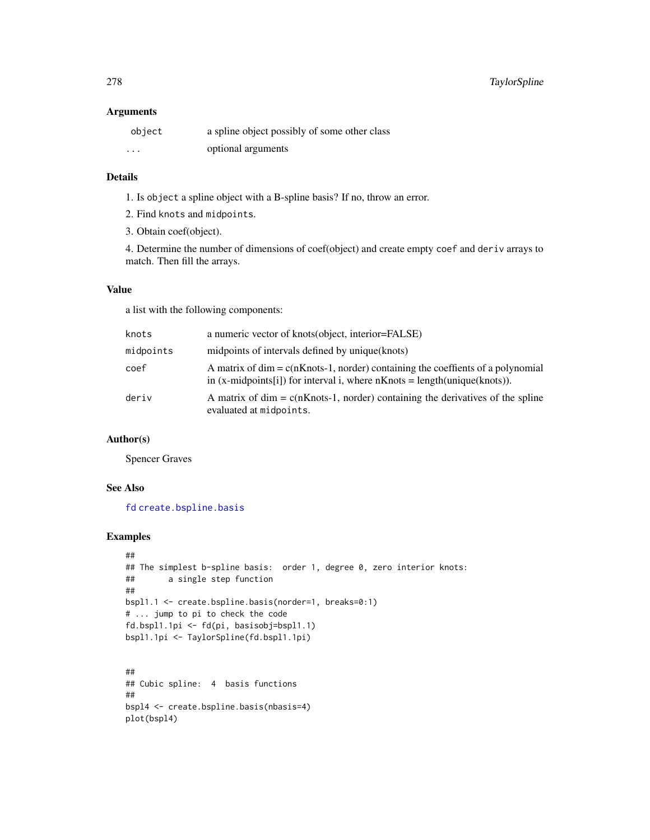# Arguments

| object                  | a spline object possibly of some other class |
|-------------------------|----------------------------------------------|
| $\cdot$ $\cdot$ $\cdot$ | optional arguments                           |

# Details

- 1. Is object a spline object with a B-spline basis? If no, throw an error.
- 2. Find knots and midpoints.
- 3. Obtain coef(object).

4. Determine the number of dimensions of coef(object) and create empty coef and deriv arrays to match. Then fill the arrays.

#### Value

a list with the following components:

| knots     | a numeric vector of knots (object, interior=FALSE)                                                                                                                       |
|-----------|--------------------------------------------------------------------------------------------------------------------------------------------------------------------------|
| midpoints | midpoints of intervals defined by unique (knots)                                                                                                                         |
| coef      | A matrix of dim = $c(nKnots-1, norder)$ containing the coeffients of a polynomial<br>in $(x$ -midpoints[i]) for interval i, where $n$ Knots = length $(unique(knots))$ . |
| deriv     | A matrix of dim = $c(nKnots-1)$ , norder) containing the derivatives of the spline<br>evaluated at midpoints.                                                            |

# Author(s)

Spencer Graves

#### See Also

[fd](#page-0-0) [create.bspline.basis](#page-47-0)

```
##
## The simplest b-spline basis: order 1, degree 0, zero interior knots:
## a single step function
##
bspl1.1 <- create.bspline.basis(norder=1, breaks=0:1)
# ... jump to pi to check the code
fd.bspl1.1pi <- fd(pi, basisobj=bspl1.1)
bspl1.1pi <- TaylorSpline(fd.bspl1.1pi)
```

```
##
## Cubic spline: 4 basis functions
##
bspl4 <- create.bspline.basis(nbasis=4)
plot(bspl4)
```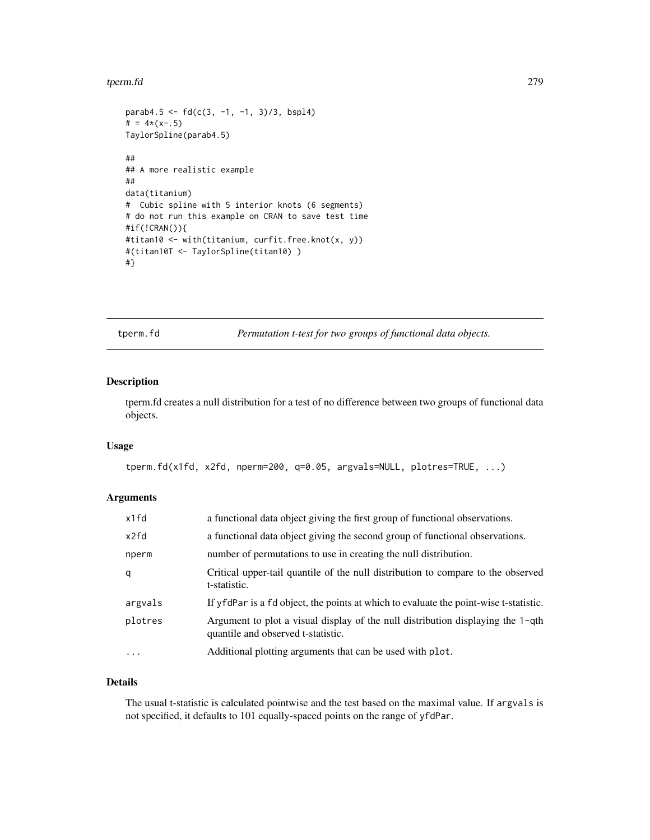#### tperm.fd 279

```
parab4.5 \leq f d(c(3, -1, -1, 3)/3, bsp14)# = 4*(x-.5)TaylorSpline(parab4.5)
##
## A more realistic example
##
data(titanium)
# Cubic spline with 5 interior knots (6 segments)
# do not run this example on CRAN to save test time
#if(!CRAN()){
#titan10 <- with(titanium, curfit.free.knot(x, y))
#(titan10T <- TaylorSpline(titan10) )
#}
```
tperm.fd *Permutation t-test for two groups of functional data objects.*

# Description

tperm.fd creates a null distribution for a test of no difference between two groups of functional data objects.

# Usage

```
tperm.fd(x1fd, x2fd, nperm=200, q=0.05, argvals=NULL, plotres=TRUE, ...)
```
#### Arguments

| x1fd    | a functional data object giving the first group of functional observations.                                           |
|---------|-----------------------------------------------------------------------------------------------------------------------|
| x2fd    | a functional data object giving the second group of functional observations.                                          |
| nperm   | number of permutations to use in creating the null distribution.                                                      |
| q       | Critical upper-tail quantile of the null distribution to compare to the observed<br>t-statistic.                      |
| argvals | If yfdPar is a fd object, the points at which to evaluate the point-wise t-statistic.                                 |
| plotres | Argument to plot a visual display of the null distribution displaying the 1-qth<br>quantile and observed t-statistic. |
| $\cdot$ | Additional plotting arguments that can be used with plot.                                                             |
|         |                                                                                                                       |

# Details

The usual t-statistic is calculated pointwise and the test based on the maximal value. If argvals is not specified, it defaults to 101 equally-spaced points on the range of yfdPar.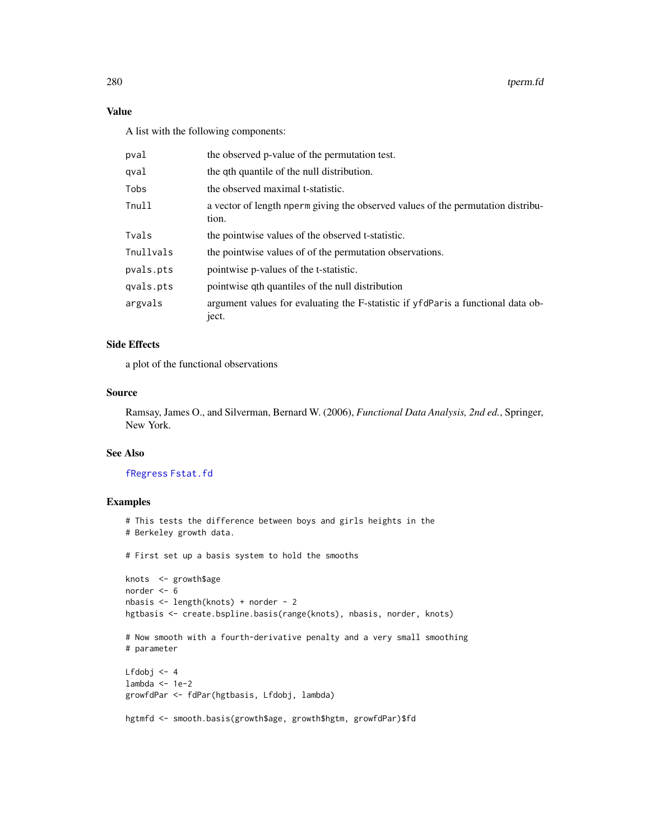# Value

A list with the following components:

| pval      | the observed p-value of the permutation test.                                             |
|-----------|-------------------------------------------------------------------------------------------|
| qval      | the qth quantile of the null distribution.                                                |
| Tobs      | the observed maximal t-statistic.                                                         |
| Tnull     | a vector of length nperm giving the observed values of the permutation distribu-<br>tion. |
| Tvals     | the pointwise values of the observed t-statistic.                                         |
| Tnullvals | the pointwise values of of the permutation observations.                                  |
| pvals.pts | pointwise p-values of the t-statistic.                                                    |
| qvals.pts | pointwise qth quantiles of the null distribution                                          |
| argvals   | argument values for evaluating the F-statistic if yfdParis a functional data ob-<br>ject. |

# Side Effects

a plot of the functional observations

### Source

Ramsay, James O., and Silverman, Bernard W. (2006), *Functional Data Analysis, 2nd ed.*, Springer, New York.

#### See Also

[fRegress](#page-120-0) [Fstat.fd](#page-131-0)

```
# This tests the difference between boys and girls heights in the
# Berkeley growth data.
# First set up a basis system to hold the smooths
knots <- growth$age
norder <- 6
nbasis <- length(knots) + norder - 2
hgtbasis <- create.bspline.basis(range(knots), nbasis, norder, knots)
# Now smooth with a fourth-derivative penalty and a very small smoothing
# parameter
Lfdobj \leftarrow 4lambda <- 1e-2
growfdPar <- fdPar(hgtbasis, Lfdobj, lambda)
hgtmfd <- smooth.basis(growth$age, growth$hgtm, growfdPar)$fd
```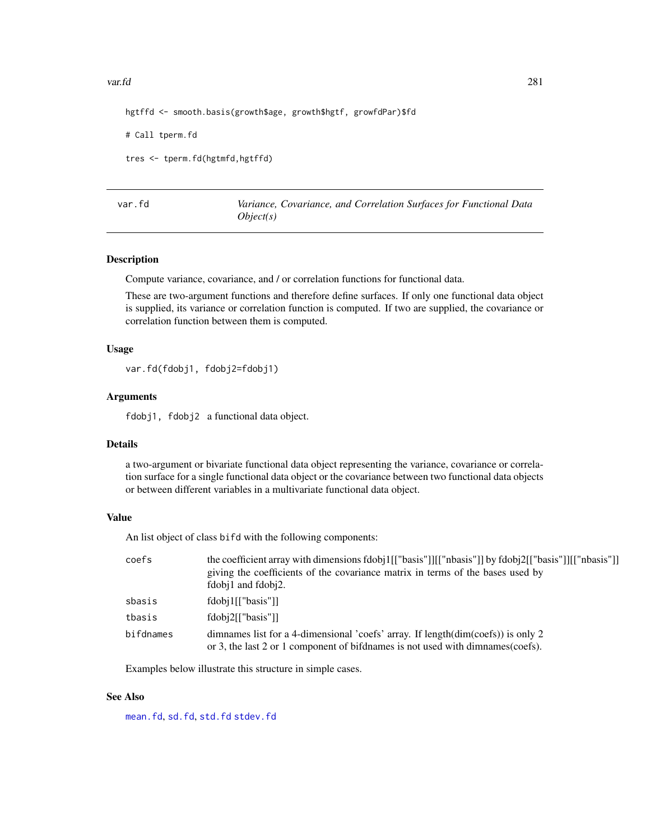#### var.fd 281

```
hgtffd <- smooth.basis(growth$age, growth$hgtf, growfdPar)$fd
# Call tperm.fd
tres <- tperm.fd(hgtmfd,hgtffd)
```
var.fd *Variance, Covariance, and Correlation Surfaces for Functional Data Object(s)*

# Description

Compute variance, covariance, and / or correlation functions for functional data.

These are two-argument functions and therefore define surfaces. If only one functional data object is supplied, its variance or correlation function is computed. If two are supplied, the covariance or correlation function between them is computed.

#### Usage

var.fd(fdobj1, fdobj2=fdobj1)

#### Arguments

fdobj1, fdobj2 a functional data object.

# Details

a two-argument or bivariate functional data object representing the variance, covariance or correlation surface for a single functional data object or the covariance between two functional data objects or between different variables in a multivariate functional data object.

#### Value

An list object of class bifd with the following components:

| coefs     | the coefficient array with dimensions fdobil [["basis"]] [["basis"]] by fdobi2[["basis"]] [["basis"]]<br>giving the coefficients of the covariance matrix in terms of the bases used by<br>$f_{\text{dobj}}1$ and $f_{\text{dobj}}2$ . |
|-----------|----------------------------------------------------------------------------------------------------------------------------------------------------------------------------------------------------------------------------------------|
| sbasis    | $f_{\text{dobj}}[T_{\text{class}}]$                                                                                                                                                                                                    |
| tbasis    | $f_{\text{dobj2}}[$ "basis"]]                                                                                                                                                                                                          |
| bifdnames | dimnames list for a 4-dimensional 'coefs' array. If length(dim(coefs)) is only 2<br>or 3, the last 2 or 1 component of bifdnames is not used with dimnames (coefs).                                                                    |

Examples below illustrate this structure in simple cases.

#### See Also

[mean.fd](#page-168-0), [sd.fd](#page-237-1), [std.fd](#page-237-0) [stdev.fd](#page-237-0)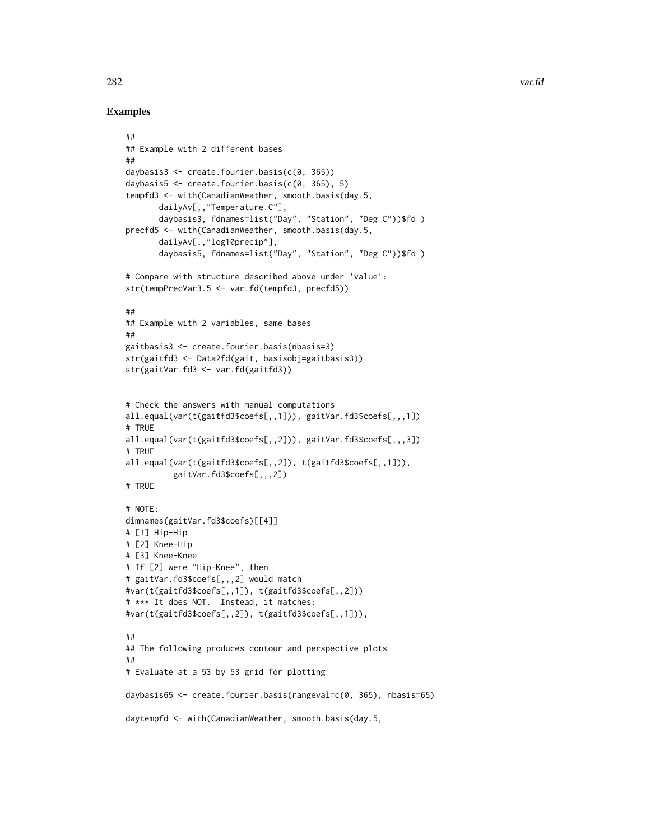#### Examples

##

```
## Example with 2 different bases
##
daybasis3 <- create.fourier.basis(c(0, 365))
daybasis5 <- create.fourier.basis(c(0, 365), 5)
tempfd3 <- with(CanadianWeather, smooth.basis(day.5,
      dailyAv[,,"Temperature.C"],
      daybasis3, fdnames=list("Day", "Station", "Deg C"))$fd )
precfd5 <- with(CanadianWeather, smooth.basis(day.5,
      dailyAv[,,"log10precip"],
      daybasis5, fdnames=list("Day", "Station", "Deg C"))$fd )
# Compare with structure described above under 'value':
str(tempPrecVar3.5 <- var.fd(tempfd3, precfd5))
##
## Example with 2 variables, same bases
##
gaitbasis3 <- create.fourier.basis(nbasis=3)
str(gaitfd3 <- Data2fd(gait, basisobj=gaitbasis3))
str(gaitVar.fd3 <- var.fd(gaitfd3))
# Check the answers with manual computations
all.equal(var(t(gaitfd3$coefs[,,1])), gaitVar.fd3$coefs[,,,1])
# TRUE
all.equal(var(t(gaitfd3$coefs[,,2])), gaitVar.fd3$coefs[,,,3])
# TRUE
all.equal(var(t(gaitfd3$coefs[,,2]), t(gaitfd3$coefs[,,1])),
          gaitVar.fd3$coefs[,,,2])
# TRUE
# NOTE:
dimnames(gaitVar.fd3$coefs)[[4]]
# [1] Hip-Hip
# [2] Knee-Hip
# [3] Knee-Knee
# If [2] were "Hip-Knee", then
# gaitVar.fd3$coefs[,,,2] would match
#var(t(gaitfd3$coefs[,,1]), t(gaitfd3$coefs[,,2]))
# *** It does NOT. Instead, it matches:
#var(t(gaitfd3$coefs[,,2]), t(gaitfd3$coefs[,,1])),
##
## The following produces contour and perspective plots
##
# Evaluate at a 53 by 53 grid for plotting
daybasis65 <- create.fourier.basis(rangeval=c(0, 365), nbasis=65)
daytempfd <- with(CanadianWeather, smooth.basis(day.5,
```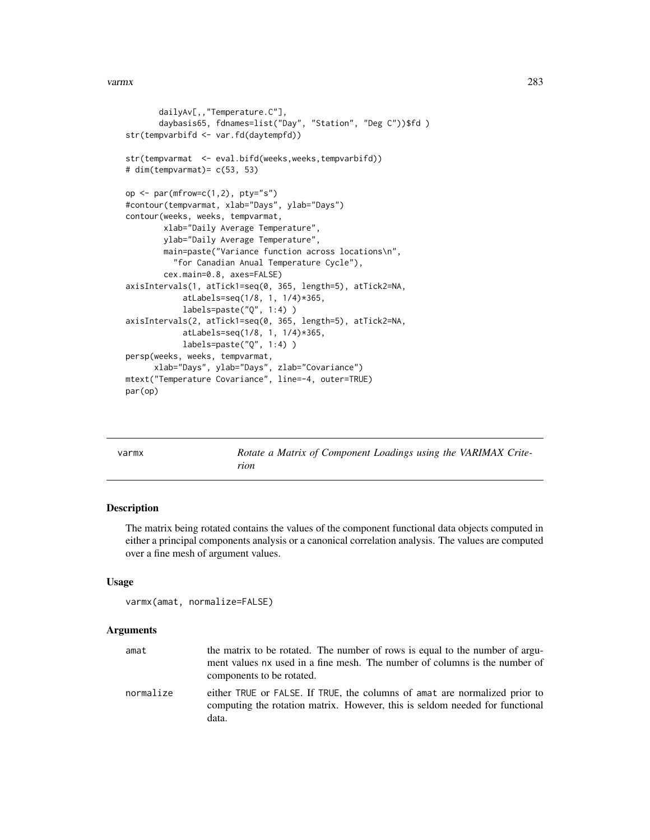varmx 283

```
dailyAv[,,"Temperature.C"],
      daybasis65, fdnames=list("Day", "Station", "Deg C"))$fd )
str(tempvarbifd <- var.fd(daytempfd))
str(tempvarmat <- eval.bifd(weeks,weeks,tempvarbifd))
# dim(tempvarmat)= c(53, 53)
op <- par(mfrow=c(1,2), pty="s")
#contour(tempvarmat, xlab="Days", ylab="Days")
contour(weeks, weeks, tempvarmat,
       xlab="Daily Average Temperature",
       ylab="Daily Average Temperature",
       main=paste("Variance function across locations\n",
          "for Canadian Anual Temperature Cycle"),
       cex.main=0.8, axes=FALSE)
axisIntervals(1, atTick1=seq(0, 365, length=5), atTick2=NA,
            atLabels=seq(1/8, 1, 1/4)*365,
            labels=paste("Q", 1:4) )
axisIntervals(2, atTick1=seq(0, 365, length=5), atTick2=NA,
            atLabels=seq(1/8, 1, 1/4)*365,
            labels=paste("Q", 1:4) )
persp(weeks, weeks, tempvarmat,
     xlab="Days", ylab="Days", zlab="Covariance")
mtext("Temperature Covariance", line=-4, outer=TRUE)
par(op)
```
<span id="page-282-0"></span>

| varmx | Rotate a Matrix of Component Loadings using the VARIMAX Crite- |
|-------|----------------------------------------------------------------|
|       | rion                                                           |

# Description

The matrix being rotated contains the values of the component functional data objects computed in either a principal components analysis or a canonical correlation analysis. The values are computed over a fine mesh of argument values.

#### Usage

```
varmx(amat, normalize=FALSE)
```
#### Arguments

| amat      | the matrix to be rotated. The number of rows is equal to the number of argu-<br>ment values nx used in a fine mesh. The number of columns is the number of<br>components to be rotated. |
|-----------|-----------------------------------------------------------------------------------------------------------------------------------------------------------------------------------------|
| normalize | either TRUE or FALSE. If TRUE, the columns of a mat are normalized prior to<br>computing the rotation matrix. However, this is seldom needed for functional<br>data.                    |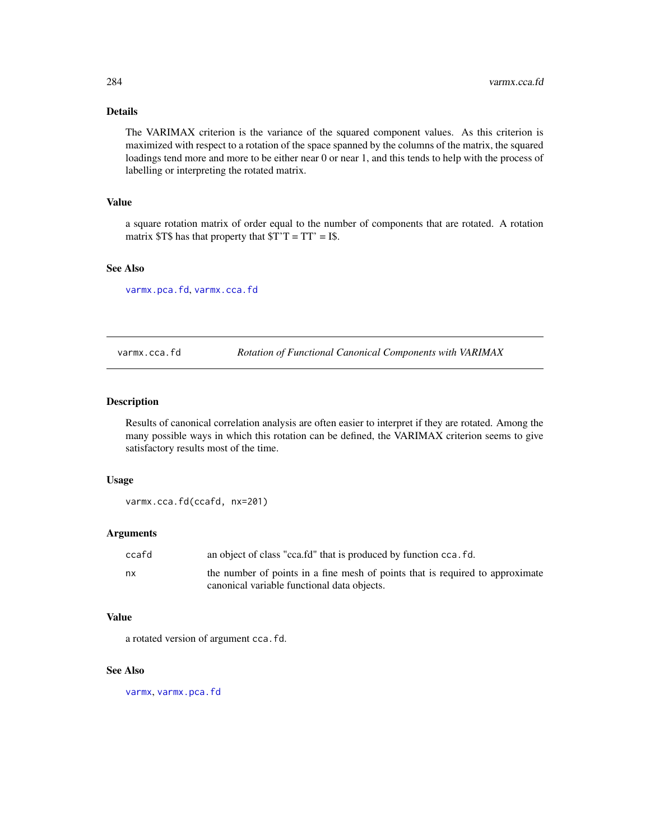# Details

The VARIMAX criterion is the variance of the squared component values. As this criterion is maximized with respect to a rotation of the space spanned by the columns of the matrix, the squared loadings tend more and more to be either near 0 or near 1, and this tends to help with the process of labelling or interpreting the rotated matrix.

# Value

a square rotation matrix of order equal to the number of components that are rotated. A rotation matrix  $T\$  has that property that  $T'T = TT' = I\$ .

#### See Also

[varmx.pca.fd](#page-284-0), [varmx.cca.fd](#page-283-0)

<span id="page-283-0"></span>varmx.cca.fd *Rotation of Functional Canonical Components with VARIMAX*

# Description

Results of canonical correlation analysis are often easier to interpret if they are rotated. Among the many possible ways in which this rotation can be defined, the VARIMAX criterion seems to give satisfactory results most of the time.

#### Usage

```
varmx.cca.fd(ccafd, nx=201)
```
#### Arguments

| ccafd | an object of class "cca.fd" that is produced by function cca.fd.                                                             |
|-------|------------------------------------------------------------------------------------------------------------------------------|
| nx    | the number of points in a fine mesh of points that is required to approximate<br>canonical variable functional data objects. |

# Value

a rotated version of argument cca.fd.

#### See Also

[varmx](#page-282-0), [varmx.pca.fd](#page-284-0)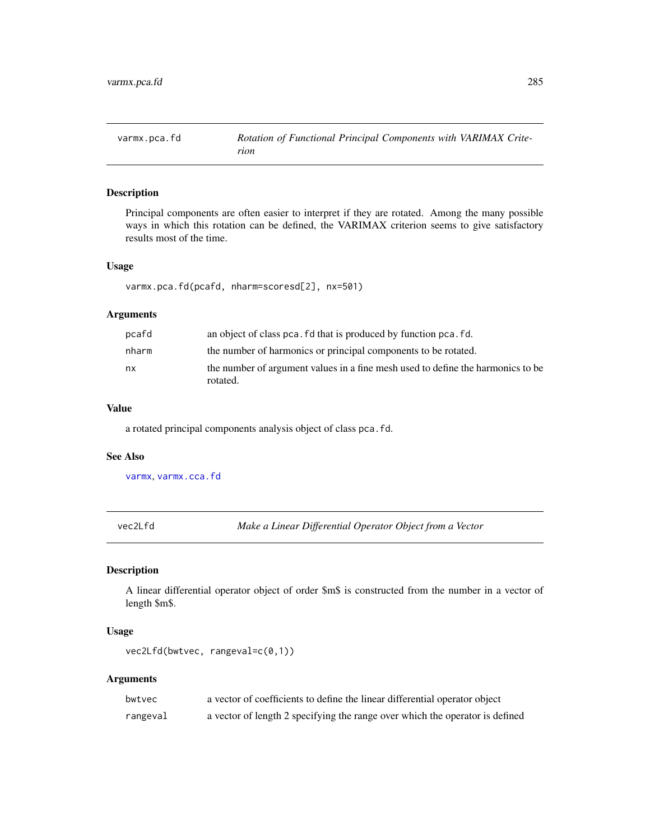<span id="page-284-0"></span>

# Description

Principal components are often easier to interpret if they are rotated. Among the many possible ways in which this rotation can be defined, the VARIMAX criterion seems to give satisfactory results most of the time.

#### Usage

varmx.pca.fd(pcafd, nharm=scoresd[2], nx=501)

# Arguments

| pcafd | an object of class pca. For that is produced by function pca. Fd.                           |
|-------|---------------------------------------------------------------------------------------------|
| nharm | the number of harmonics or principal components to be rotated.                              |
| nx    | the number of argument values in a fine mesh used to define the harmonics to be<br>rotated. |

# Value

a rotated principal components analysis object of class pca.fd.

#### See Also

[varmx](#page-282-0), [varmx.cca.fd](#page-283-0)

vec2Lfd *Make a Linear Differential Operator Object from a Vector*

# Description

A linear differential operator object of order \$m\$ is constructed from the number in a vector of length \$m\$.

# Usage

```
vec2Lfd(bwtvec, rangeval=c(0,1))
```
#### Arguments

| bwtvec   | a vector of coefficients to define the linear differential operator object   |
|----------|------------------------------------------------------------------------------|
| rangeval | a vector of length 2 specifying the range over which the operator is defined |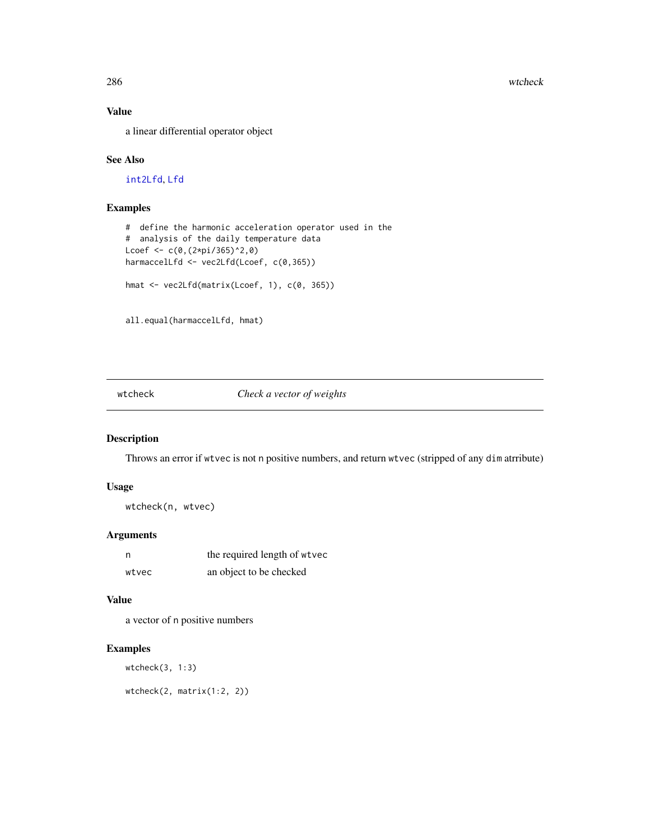<span id="page-285-0"></span>286 wtcheck

# Value

a linear differential operator object

# See Also

[int2Lfd](#page-142-0), [Lfd](#page-154-0)

# Examples

```
# define the harmonic acceleration operator used in the
# analysis of the daily temperature data
Lcoef <- c(0,(2*pi/365)^2,0)
harmaccelLfd <- vec2Lfd(Lcoef, c(0,365))
hmat <- vec2Lfd(matrix(Lcoef, 1), c(0, 365))
```
all.equal(harmaccelLfd, hmat)

wtcheck *Check a vector of weights*

# Description

Throws an error if wtvec is not n positive numbers, and return wtvec (stripped of any dim atrribute)

#### Usage

```
wtcheck(n, wtvec)
```
# Arguments

| n     | the required length of wtvec |
|-------|------------------------------|
| wtvec | an object to be checked      |

# Value

a vector of n positive numbers

# Examples

wtcheck(3, 1:3)

wtcheck(2, matrix(1:2, 2))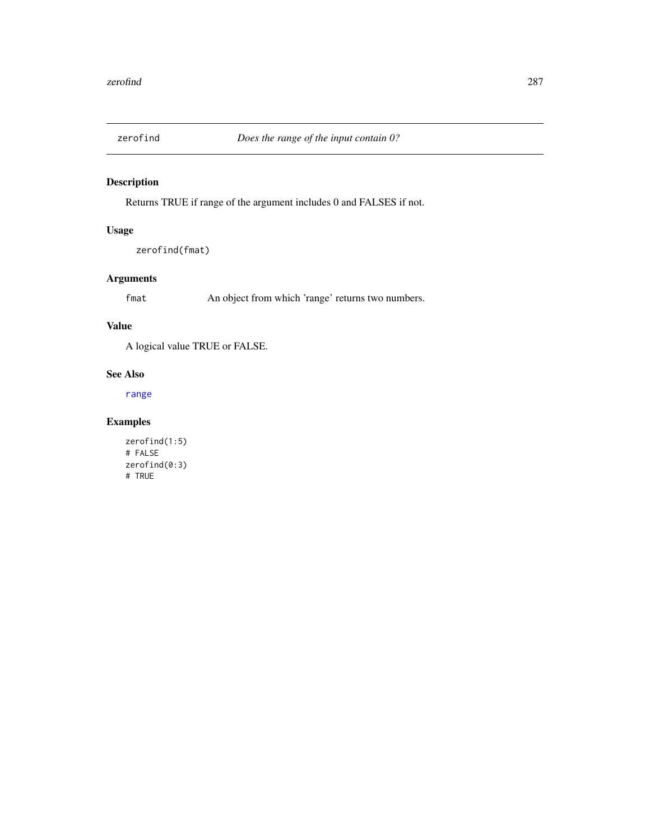<span id="page-286-0"></span>

# Description

Returns TRUE if range of the argument includes 0 and FALSES if not.

# Usage

```
zerofind(fmat)
```
# Arguments

fmat An object from which 'range' returns two numbers.

# Value

A logical value TRUE or FALSE.

# See Also

[range](#page-0-0)

```
zerofind(1:5)
# FALSE
zerofind(0:3)
# TRUE
```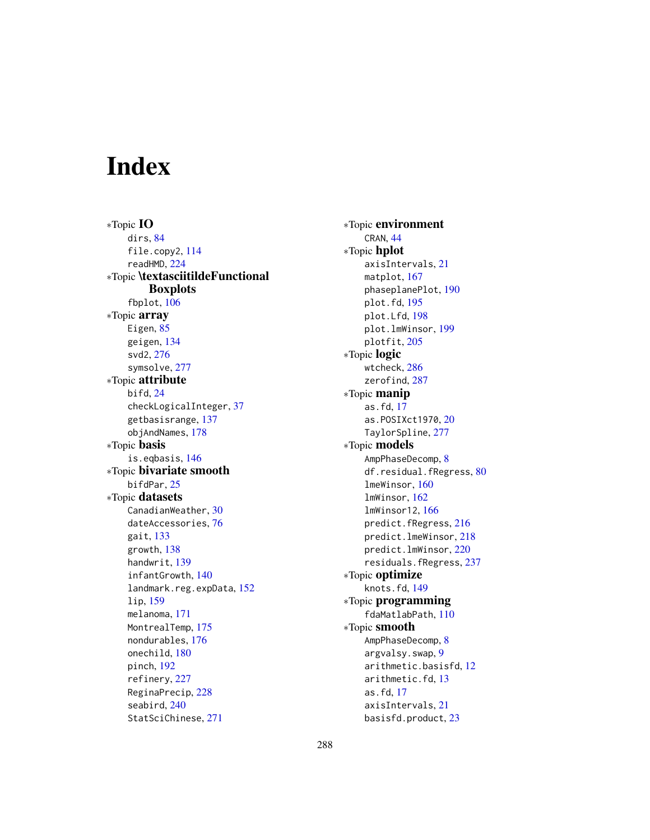# Index

∗Topic IO dirs, [84](#page-83-0) file.copy2, [114](#page-113-0) readHMD, [224](#page-223-0) ∗Topic \textasciitildeFunctional Boxplots fbplot, [106](#page-105-0) ∗Topic array Eigen, [85](#page-84-0) geigen, [134](#page-133-0) svd2, [276](#page-275-0) symsolve, [277](#page-276-0) ∗Topic attribute bifd, [24](#page-23-0) checkLogicalInteger, [37](#page-36-0) getbasisrange, [137](#page-136-0) objAndNames, [178](#page-177-0) ∗Topic basis is.eqbasis, [146](#page-145-0) ∗Topic bivariate smooth bifdPar, [25](#page-24-0) ∗Topic datasets CanadianWeather, [30](#page-29-0) dateAccessories, [76](#page-75-0) gait, [133](#page-132-0) growth, [138](#page-137-0) handwrit, [139](#page-138-0) infantGrowth, [140](#page-139-0) landmark.reg.expData, [152](#page-151-1) lip, [159](#page-158-0) melanoma, [171](#page-170-0) MontrealTemp, [175](#page-174-0) nondurables, [176](#page-175-0) onechild, [180](#page-179-0) pinch, [192](#page-191-0) refinery, [227](#page-226-0) ReginaPrecip, [228](#page-227-1) seabird, [240](#page-239-0) StatSciChinese, [271](#page-270-0)

∗Topic environment CRAN, [44](#page-43-0) ∗Topic hplot axisIntervals, [21](#page-20-0) matplot, [167](#page-166-0) phaseplanePlot, [190](#page-189-0) plot.fd, [195](#page-194-1) plot.Lfd, [198](#page-197-0) plot.lmWinsor, [199](#page-198-0) plotfit, [205](#page-204-0) ∗Topic logic wtcheck, [286](#page-285-0) zerofind, [287](#page-286-0) ∗Topic manip as.fd, [17](#page-16-0) as.POSIXct1970, [20](#page-19-0) TaylorSpline, [277](#page-276-0) ∗Topic models AmpPhaseDecomp, [8](#page-7-0) df.residual.fRegress, [80](#page-79-0) lmeWinsor, [160](#page-159-0) lmWinsor, [162](#page-161-0) lmWinsor12, [166](#page-165-0) predict.fRegress, [216](#page-215-0) predict.lmeWinsor, [218](#page-217-0) predict.lmWinsor, [220](#page-219-0) residuals.fRegress, [237](#page-236-0) ∗Topic optimize knots.fd, [149](#page-148-0) ∗Topic programming fdaMatlabPath, [110](#page-109-0) ∗Topic smooth AmpPhaseDecomp, [8](#page-7-0) argvalsy.swap, [9](#page-8-0) arithmetic.basisfd, [12](#page-11-0) arithmetic.fd, [13](#page-12-0) as.fd, [17](#page-16-0) axisIntervals, [21](#page-20-0) basisfd.product, [23](#page-22-0)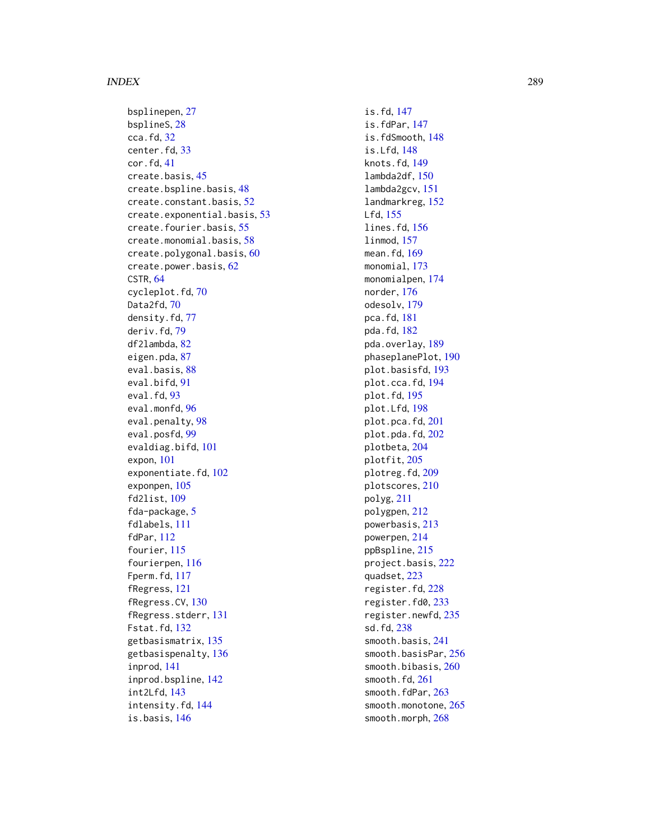bsplinepen , [27](#page-26-0) bsplineS , [28](#page-27-0) cca.fd, [32](#page-31-0) center.fd, [33](#page-32-0) cor.fd , [41](#page-40-0) create.basis , [45](#page-44-0) create.bspline.basis , [48](#page-47-0) create.constant.basis , [52](#page-51-0) create.exponential.basis , [53](#page-52-0) create.fourier.basis , [55](#page-54-0) create.monomial.basis , [58](#page-57-0) create.polygonal.basis, [60](#page-59-0) create.power.basis , [62](#page-61-0) CSTR, [64](#page-63-0) cycleplot.fd, [70](#page-69-0) Data2fd, [70](#page-69-0) density.fd, [77](#page-76-0) deriv.fd , [79](#page-78-0) df2lambda , [82](#page-81-0) eigen.pda , [87](#page-86-0) eval.basis, [88](#page-87-0) eval.bifd , [91](#page-90-0) eval.fd, [93](#page-92-0) eval.monfd, [96](#page-95-0) eval.penalty, [98](#page-97-0) eval.posfd , [99](#page-98-0) evaldiag.bifd , [101](#page-100-0) expon , [101](#page-100-0) exponentiate.fd, [102](#page-101-0) exponpen , [105](#page-104-0) fd2list , [109](#page-108-0) fda-package, [5](#page-4-0) fdlabels , [111](#page-110-0) fdPar , [112](#page-111-0) fourier , [115](#page-114-0) fourierpen , [116](#page-115-0) Fperm.fd, [117](#page-116-0) fRegress , [121](#page-120-0) fRegress.CV , [130](#page-129-0) fRegress.stderr , [131](#page-130-0) Fstat.fd , [132](#page-131-0) getbasismatrix , [135](#page-134-0) getbasispenalty , [136](#page-135-0) inprod , [141](#page-140-0) inprod.bspline , [142](#page-141-0) int2Lfd , [143](#page-142-0) intensity.fd , [144](#page-143-0) is.basis , [146](#page-145-0)

is.fd , [147](#page-146-0) is.fdPar , [147](#page-146-0) is.fdSmooth , [148](#page-147-0) is.Lfd , [148](#page-147-0) knots.fd , [149](#page-148-0) lambda2df , [150](#page-149-0) lambda2gcv , [151](#page-150-0) landmarkreg , [152](#page-151-0) Lfd , [155](#page-154-0) lines.fd, [156](#page-155-0) linmod , [157](#page-156-0) mean.fd, [169](#page-168-0) monomial , [173](#page-172-0) monomialpen , [174](#page-173-0) norder , [176](#page-175-0) odesolv , [179](#page-178-0) pca.fd , [181](#page-180-0) pda.fd, [182](#page-181-0) pda.overlay, <mark>[189](#page-188-0)</mark> phaseplanePlot , [190](#page-189-0) plot.basisfd , [193](#page-192-0) plot.cca.fd , [194](#page-193-0) plot.fd , [195](#page-194-0) plot.Lfd , [198](#page-197-0) plot.pca.fd , [201](#page-200-0) plot.pda.fd , [202](#page-201-0) plotbeta , [204](#page-203-0) plotfit , [205](#page-204-0) plotreg.fd, [209](#page-208-0) plotscores , [210](#page-209-0) polyg , [211](#page-210-0) polygpen , [212](#page-211-0) powerbasis , [213](#page-212-0) powerpen , [214](#page-213-0) ppBspline , [215](#page-214-0) project.basis , [222](#page-221-0) quadset , [223](#page-222-0) register.fd , [228](#page-227-0) register.fd0, [233](#page-232-0) register.newfd , [235](#page-234-0) sd.fd , [238](#page-237-0) smooth.basis , [241](#page-240-0) smooth.basisPar , [256](#page-255-0) smooth.bibasis , [260](#page-259-0) smooth.fd, [261](#page-260-0) smooth.fdPar, [263](#page-262-0) smooth.monotone, [265](#page-264-0) smooth.morph, [268](#page-267-0)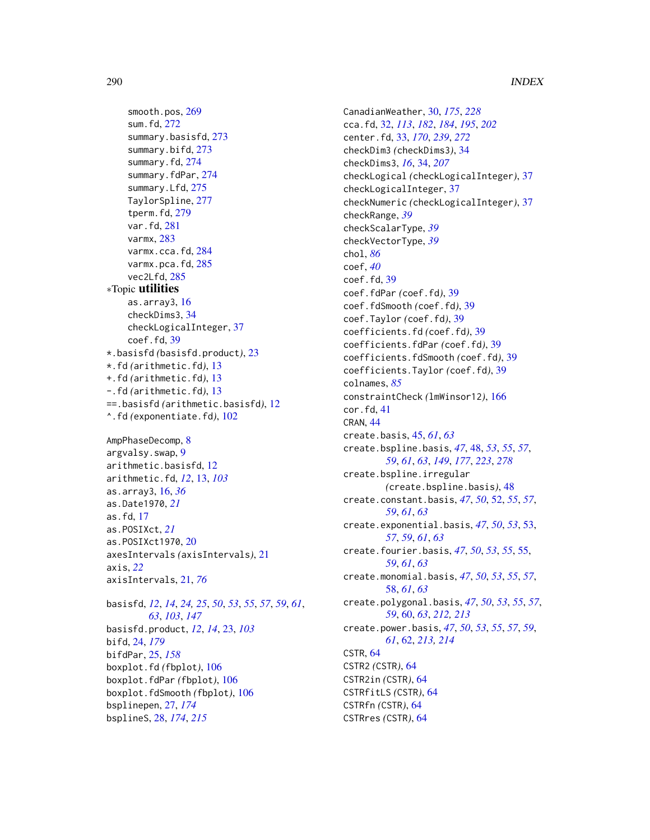```
smooth.pos, 269
    sum.fd, 272
    summary.basisfd, 273
    summary.bifd, 273
    summary.fd, 274
    274
    summary.Lfd, 275
    TaylorSpline, 277
    tperm.fd, 279
    var.fd, 281
    varmx, 283
    284
    varmx.pca.fd, 285
    vec2Lfd, 285
∗Topic utilities
    as.array3, 16
    checkDims3, 34
    checkLogicalInteger, 37
    39
*.basisfd (basisfd.product), 23
*.fd (arithmetic.fd), 13
+.fd (arithmetic.fd), 13
-.fd (arithmetic.fd), 13
==.basisfd (arithmetic.basisfd), 12
^.fd (exponentiate.fd), 102
AmpPhaseDecomp, 8
argvalsy.swap, 9
arithmetic.basisfd, 12
arithmetic.fd, 12, 13, 103
as.array3, 16, 36
as.Date1970, 21
as.fd, 17
as.POSIXct, 21
as.POSIXct1970, 20
axesIntervals (axisIntervals), 21
axis, 22
axisIntervals, 21, 76
basisfd, 12, 14, 24, 25, 50, 53, 55, 57, 59, 61,
        63, 103, 147
basisfd.product, 12, 14, 23, 103
bifd, 24, 179
```
bifdPar, [25,](#page-24-0) *[158](#page-157-0)*

bsplinepen, [27,](#page-26-0) *[174](#page-173-0)* bsplineS, [28,](#page-27-0) *[174](#page-173-0)*, *[215](#page-214-0)*

boxplot.fd *(*fbplot*)*, [106](#page-105-0) boxplot.fdPar *(*fbplot*)*, [106](#page-105-0) boxplot.fdSmooth *(*fbplot*)*, [106](#page-105-0) cca.fd, [32,](#page-31-0) *[113](#page-112-0)*, *[182](#page-181-0)*, *[184](#page-183-0)*, *[195](#page-194-0)*, *[202](#page-201-0)* center.fd, [33,](#page-32-0) *[170](#page-169-0)*, *[239](#page-238-0)*, *[272](#page-271-0)* checkDim3 *(*checkDims3*)*, [34](#page-33-0) checkDims3, *[16](#page-15-0)*, [34,](#page-33-0) *[207](#page-206-0)* checkLogical *(*checkLogicalInteger*)*, [37](#page-36-0) checkLogicalInteger, [37](#page-36-0) checkNumeric *(*checkLogicalInteger*)*, [37](#page-36-0) checkRange, *[39](#page-38-0)* checkScalarType, *[39](#page-38-0)* checkVectorType, *[39](#page-38-0)* chol, *[86](#page-85-0)* coef, *[40](#page-39-0)* coef.fd, [39](#page-38-0) coef.fdPar *(*coef.fd*)*, [39](#page-38-0) coef.fdSmooth *(*coef.fd*)*, [39](#page-38-0) coef.Taylor *(*coef.fd*)*, [39](#page-38-0) coefficients.fd *(*coef.fd*)*, [39](#page-38-0) coefficients.fdPar *(*coef.fd*)*, [39](#page-38-0) coefficients.fdSmooth *(*coef.fd*)*, [39](#page-38-0) coefficients.Taylor *(*coef.fd*)*, [39](#page-38-0) colnames, *[85](#page-84-0)* constraintCheck *(*lmWinsor12*)*, [166](#page-165-0) cor.fd, [41](#page-40-0) CRAN, [44](#page-43-0) create.basis, [45,](#page-44-0) *[61](#page-60-0)*, *[63](#page-62-0)* create.bspline.basis, *[47](#page-46-0)*, [48,](#page-47-0) *[53](#page-52-0)*, *[55](#page-54-0)*, *[57](#page-56-0)*, *[59](#page-58-0)*, *[61](#page-60-0)*, *[63](#page-62-0)*, *[149](#page-148-0)*, *[177](#page-176-0)*, *[223](#page-222-0)*, *[278](#page-277-0)* create.bspline.irregular *(*create.bspline.basis*)*, [48](#page-47-0) create.constant.basis, *[47](#page-46-0)*, *[50](#page-49-0)*, [52,](#page-51-0) *[55](#page-54-0)*, *[57](#page-56-0)*, *[59](#page-58-0)*, *[61](#page-60-0)*, *[63](#page-62-0)* create.exponential.basis, *[47](#page-46-0)*, *[50](#page-49-0)*, *[53](#page-52-0)*, [53,](#page-52-0) *[57](#page-56-0)*, *[59](#page-58-0)*, *[61](#page-60-0)*, *[63](#page-62-0)* create.fourier.basis, *[47](#page-46-0)*, *[50](#page-49-0)*, *[53](#page-52-0)*, *[55](#page-54-0)*, [55,](#page-54-0) *[59](#page-58-0)*, *[61](#page-60-0)*, *[63](#page-62-0)* create.monomial.basis, *[47](#page-46-0)*, *[50](#page-49-0)*, *[53](#page-52-0)*, *[55](#page-54-0)*, *[57](#page-56-0)*, [58,](#page-57-0) *[61](#page-60-0)*, *[63](#page-62-0)* create.polygonal.basis, *[47](#page-46-0)*, *[50](#page-49-0)*, *[53](#page-52-0)*, *[55](#page-54-0)*, *[57](#page-56-0)*, *[59](#page-58-0)*, [60,](#page-59-0) *[63](#page-62-0)*, *[212,](#page-211-0) [213](#page-212-0)* create.power.basis, *[47](#page-46-0)*, *[50](#page-49-0)*, *[53](#page-52-0)*, *[55](#page-54-0)*, *[57](#page-56-0)*, *[59](#page-58-0)*, *[61](#page-60-0)*, [62,](#page-61-0) *[213,](#page-212-0) [214](#page-213-0)* CSTR, [64](#page-63-0) CSTR2 *(*CSTR*)*, [64](#page-63-0) CSTR2in *(*CSTR*)*, [64](#page-63-0) CSTRfitLS *(*CSTR*)*, [64](#page-63-0) CSTRfn *(*CSTR*)*, [64](#page-63-0) CSTRres *(*CSTR*)*, [64](#page-63-0)

CanadianWeather, [30,](#page-29-0) *[175](#page-174-0)*, *[228](#page-227-0)*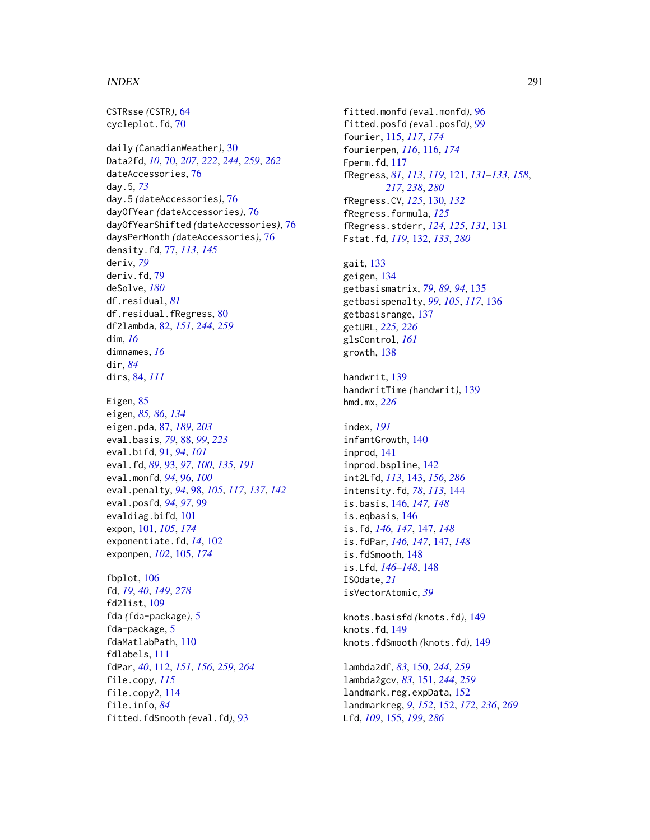## $I$ NDEX 291

CSTRsse *(*CSTR*)*, [64](#page-63-0) cycleplot.fd, [70](#page-69-0) daily *(*CanadianWeather*)*, [30](#page-29-0) Data2fd, *[10](#page-9-0)*, [70,](#page-69-0) *[207](#page-206-0)*, *[222](#page-221-0)*, *[244](#page-243-0)*, *[259](#page-258-0)*, *[262](#page-261-0)* dateAccessories, [76](#page-75-0) day.5, *[73](#page-72-0)* day.5 *(*dateAccessories*)*, [76](#page-75-0) dayOfYear *(*dateAccessories*)*, [76](#page-75-0) dayOfYearShifted *(*dateAccessories*)*, [76](#page-75-0) daysPerMonth *(*dateAccessories*)*, [76](#page-75-0) density.fd, [77,](#page-76-0) *[113](#page-112-0)*, *[145](#page-144-0)* deriv, *[79](#page-78-0)* deriv.fd, [79](#page-78-0) deSolve, *[180](#page-179-0)* df.residual, *[81](#page-80-0)* df.residual.fRegress, [80](#page-79-0) df2lambda, [82,](#page-81-0) *[151](#page-150-0)*, *[244](#page-243-0)*, *[259](#page-258-0)* dim, *[16](#page-15-0)* dimnames, *[16](#page-15-0)* dir, *[84](#page-83-0)* dirs, [84,](#page-83-0) *[111](#page-110-0)* Eigen, [85](#page-84-0) eigen, *[85,](#page-84-0) [86](#page-85-0)*, *[134](#page-133-0)* eigen.pda, [87,](#page-86-0) *[189](#page-188-0)*, *[203](#page-202-0)* eval.basis, *[79](#page-78-0)*, [88,](#page-87-0) *[99](#page-98-0)*, *[223](#page-222-0)* eval.bifd, [91,](#page-90-0) *[94](#page-93-0)*, *[101](#page-100-0)* eval.fd, *[89](#page-88-0)*, [93,](#page-92-0) *[97](#page-96-0)*, *[100](#page-99-0)*, *[135](#page-134-0)*, *[191](#page-190-0)* eval.monfd, *[94](#page-93-0)*, [96,](#page-95-0) *[100](#page-99-0)* eval.penalty, *[94](#page-93-0)*, [98,](#page-97-0) *[105](#page-104-0)*, *[117](#page-116-0)*, *[137](#page-136-0)*, *[142](#page-141-0)* eval.posfd, *[94](#page-93-0)*, *[97](#page-96-0)*, [99](#page-98-0) evaldiag.bifd, [101](#page-100-0) expon, [101,](#page-100-0) *[105](#page-104-0)*, *[174](#page-173-0)* exponentiate.fd, *[14](#page-13-0)*, [102](#page-101-0) exponpen, *[102](#page-101-0)*, [105,](#page-104-0) *[174](#page-173-0)* fbplot, [106](#page-105-0) fd, *[19](#page-18-0)*, *[40](#page-39-0)*, *[149](#page-148-0)*, *[278](#page-277-0)*

fd2list, [109](#page-108-0) fda *(*fda-package*)*, [5](#page-4-0) fda-package, [5](#page-4-0) fdaMatlabPath, [110](#page-109-0) fdlabels, [111](#page-110-0) fdPar, *[40](#page-39-0)*, [112,](#page-111-0) *[151](#page-150-0)*, *[156](#page-155-0)*, *[259](#page-258-0)*, *[264](#page-263-0)* file.copy, *[115](#page-114-0)* file.copy2, [114](#page-113-0) file.info, *[84](#page-83-0)* fitted.fdSmooth *(*eval.fd*)*, [93](#page-92-0)

fitted.monfd *(*eval.monfd*)*, [96](#page-95-0) fitted.posfd *(*eval.posfd*)*, [99](#page-98-0) fourier, [115,](#page-114-0) *[117](#page-116-0)*, *[174](#page-173-0)* fourierpen, *[116](#page-115-0)*, [116,](#page-115-0) *[174](#page-173-0)* Fperm.fd, [117](#page-116-0) fRegress, *[81](#page-80-0)*, *[113](#page-112-0)*, *[119](#page-118-0)*, [121,](#page-120-0) *[131](#page-130-0)[–133](#page-132-0)*, *[158](#page-157-0)*, *[217](#page-216-0)*, *[238](#page-237-0)*, *[280](#page-279-0)* fRegress.CV, *[125](#page-124-0)*, [130,](#page-129-0) *[132](#page-131-0)* fRegress.formula, *[125](#page-124-0)* fRegress.stderr, *[124,](#page-123-0) [125](#page-124-0)*, *[131](#page-130-0)*, [131](#page-130-0) Fstat.fd, *[119](#page-118-0)*, [132,](#page-131-0) *[133](#page-132-0)*, *[280](#page-279-0)* gait, [133](#page-132-0) geigen, [134](#page-133-0) getbasismatrix, *[79](#page-78-0)*, *[89](#page-88-0)*, *[94](#page-93-0)*, [135](#page-134-0) getbasispenalty, *[99](#page-98-0)*, *[105](#page-104-0)*, *[117](#page-116-0)*, [136](#page-135-0) getbasisrange, [137](#page-136-0) getURL, *[225,](#page-224-0) [226](#page-225-0)* glsControl, *[161](#page-160-0)* growth, [138](#page-137-0) handwrit, [139](#page-138-0) handwritTime *(*handwrit*)*, [139](#page-138-0) hmd.mx, *[226](#page-225-0)* index, *[191](#page-190-0)* infantGrowth, [140](#page-139-0) inprod, [141](#page-140-0) inprod.bspline, [142](#page-141-0) int2Lfd, *[113](#page-112-0)*, [143,](#page-142-0) *[156](#page-155-0)*, *[286](#page-285-0)* intensity.fd, *[78](#page-77-0)*, *[113](#page-112-0)*, [144](#page-143-0) is.basis, [146,](#page-145-0) *[147,](#page-146-0) [148](#page-147-0)* is.eqbasis, [146](#page-145-0) is.fd, *[146,](#page-145-0) [147](#page-146-0)*, [147,](#page-146-0) *[148](#page-147-0)* is.fdPar, *[146,](#page-145-0) [147](#page-146-0)*, [147,](#page-146-0) *[148](#page-147-0)* is.fdSmooth, [148](#page-147-0) is.Lfd, *[146](#page-145-0)[–148](#page-147-0)*, [148](#page-147-0) ISOdate, *[21](#page-20-0)* isVectorAtomic, *[39](#page-38-0)* knots.basisfd *(*knots.fd*)*, [149](#page-148-0) knots.fd, [149](#page-148-0) knots.fdSmooth *(*knots.fd*)*, [149](#page-148-0) lambda2df, *[83](#page-82-0)*, [150,](#page-149-0) *[244](#page-243-0)*, *[259](#page-258-0)* lambda2gcv, *[83](#page-82-0)*, [151,](#page-150-0) *[244](#page-243-0)*, *[259](#page-258-0)* landmark.reg.expData, [152](#page-151-0) landmarkreg, *[9](#page-8-0)*, *[152](#page-151-0)*, [152,](#page-151-0) *[172](#page-171-0)*, *[236](#page-235-0)*, *[269](#page-268-0)* Lfd, *[109](#page-108-0)*, [155,](#page-154-0) *[199](#page-198-0)*, *[286](#page-285-0)*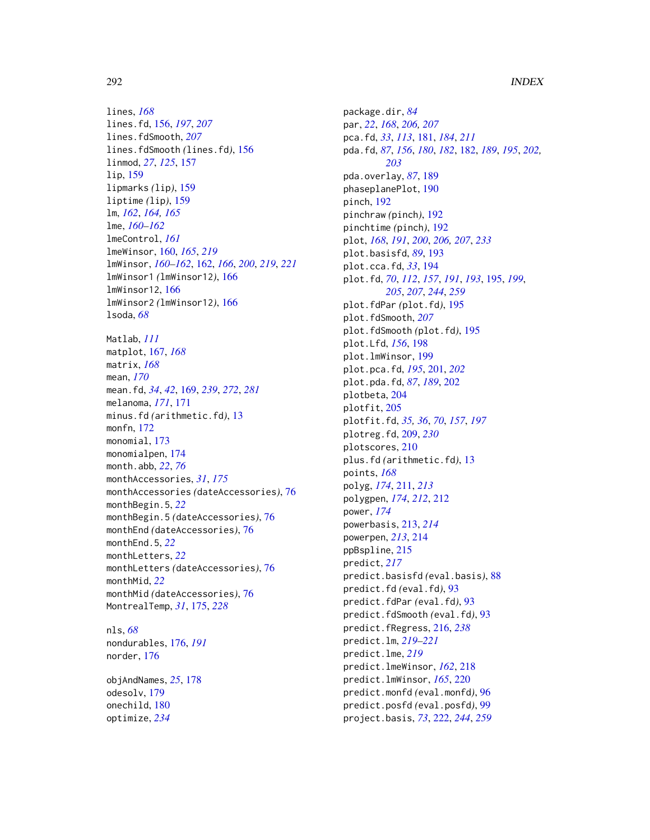lines, *[168](#page-167-0)* lines.fd, [156,](#page-155-0) *[197](#page-196-0)*, *[207](#page-206-0)* lines.fdSmooth, *[207](#page-206-0)* lines.fdSmooth *(*lines.fd*)*, [156](#page-155-0) linmod, *[27](#page-26-0)*, *[125](#page-124-0)*, [157](#page-156-0) lip, [159](#page-158-0) lipmarks *(*lip*)*, [159](#page-158-0) liptime *(*lip*)*, [159](#page-158-0) lm, *[162](#page-161-0)*, *[164,](#page-163-0) [165](#page-164-0)* lme, *[160](#page-159-0)[–162](#page-161-0)* lmeControl, *[161](#page-160-0)* lmeWinsor, [160,](#page-159-0) *[165](#page-164-0)*, *[219](#page-218-0)* lmWinsor, *[160](#page-159-0)[–162](#page-161-0)*, [162,](#page-161-0) *[166](#page-165-0)*, *[200](#page-199-0)*, *[219](#page-218-0)*, *[221](#page-220-0)* lmWinsor1 *(*lmWinsor12*)*, [166](#page-165-0) lmWinsor12, [166](#page-165-0) lmWinsor2 *(*lmWinsor12*)*, [166](#page-165-0) lsoda, *[68](#page-67-0)* Matlab, *[111](#page-110-0)* matplot, [167,](#page-166-0) *[168](#page-167-0)* matrix, *[168](#page-167-0)* mean, *[170](#page-169-0)* mean.fd, *[34](#page-33-0)*, *[42](#page-41-0)*, [169,](#page-168-0) *[239](#page-238-0)*, *[272](#page-271-0)*, *[281](#page-280-0)* melanoma, *[171](#page-170-0)*, [171](#page-170-0) minus.fd *(*arithmetic.fd*)*, [13](#page-12-0) monfn, [172](#page-171-0) monomial, [173](#page-172-0) monomialpen, [174](#page-173-0) month.abb, *[22](#page-21-0)*, *[76](#page-75-0)* monthAccessories, *[31](#page-30-0)*, *[175](#page-174-0)* monthAccessories *(*dateAccessories*)*, [76](#page-75-0) monthBegin.5, *[22](#page-21-0)* monthBegin.5 *(*dateAccessories*)*, [76](#page-75-0) monthEnd *(*dateAccessories*)*, [76](#page-75-0) monthEnd.5, *[22](#page-21-0)* monthLetters, *[22](#page-21-0)* monthLetters *(*dateAccessories*)*, [76](#page-75-0) monthMid, *[22](#page-21-0)*

monthMid *(*dateAccessories*)*, [76](#page-75-0) MontrealTemp, *[31](#page-30-0)*, [175,](#page-174-0) *[228](#page-227-0)* nls, *[68](#page-67-0)*

nondurables, [176,](#page-175-0) *[191](#page-190-0)* norder, [176](#page-175-0)

objAndNames, *[25](#page-24-0)*, [178](#page-177-0) odesolv, [179](#page-178-0) onechild, [180](#page-179-0) optimize, *[234](#page-233-0)*

package.dir, *[84](#page-83-0)* par, *[22](#page-21-0)*, *[168](#page-167-0)*, *[206,](#page-205-0) [207](#page-206-0)* pca.fd, *[33](#page-32-0)*, *[113](#page-112-0)*, [181,](#page-180-0) *[184](#page-183-0)*, *[211](#page-210-0)* pda.fd, *[87](#page-86-0)*, *[156](#page-155-0)*, *[180](#page-179-0)*, *[182](#page-181-0)*, [182,](#page-181-0) *[189](#page-188-0)*, *[195](#page-194-0)*, *[202,](#page-201-0) [203](#page-202-0)* pda.overlay, *[87](#page-86-0)*, [189](#page-188-0) phaseplanePlot, [190](#page-189-0) pinch, [192](#page-191-0) pinchraw *(*pinch*)*, [192](#page-191-0) pinchtime *(*pinch*)*, [192](#page-191-0) plot, *[168](#page-167-0)*, *[191](#page-190-0)*, *[200](#page-199-0)*, *[206,](#page-205-0) [207](#page-206-0)*, *[233](#page-232-0)* plot.basisfd, *[89](#page-88-0)*, [193](#page-192-0) plot.cca.fd, *[33](#page-32-0)*, [194](#page-193-0) plot.fd, *[70](#page-69-0)*, *[112](#page-111-0)*, *[157](#page-156-0)*, *[191](#page-190-0)*, *[193](#page-192-0)*, [195,](#page-194-0) *[199](#page-198-0)*, *[205](#page-204-0)*, *[207](#page-206-0)*, *[244](#page-243-0)*, *[259](#page-258-0)* plot.fdPar *(*plot.fd*)*, [195](#page-194-0) plot.fdSmooth, *[207](#page-206-0)* plot.fdSmooth *(*plot.fd*)*, [195](#page-194-0) plot.Lfd, *[156](#page-155-0)*, [198](#page-197-0) plot.lmWinsor, [199](#page-198-0) plot.pca.fd, *[195](#page-194-0)*, [201,](#page-200-0) *[202](#page-201-0)* plot.pda.fd, *[87](#page-86-0)*, *[189](#page-188-0)*, [202](#page-201-0) plotbeta, [204](#page-203-0) plotfit, [205](#page-204-0) plotfit.fd, *[35,](#page-34-0) [36](#page-35-0)*, *[70](#page-69-0)*, *[157](#page-156-0)*, *[197](#page-196-0)* plotreg.fd, [209,](#page-208-0) *[230](#page-229-0)* plotscores, [210](#page-209-0) plus.fd *(*arithmetic.fd*)*, [13](#page-12-0) points, *[168](#page-167-0)* polyg, *[174](#page-173-0)*, [211,](#page-210-0) *[213](#page-212-0)* polygpen, *[174](#page-173-0)*, *[212](#page-211-0)*, [212](#page-211-0) power, *[174](#page-173-0)* powerbasis, [213,](#page-212-0) *[214](#page-213-0)* powerpen, *[213](#page-212-0)*, [214](#page-213-0) ppBspline, [215](#page-214-0) predict, *[217](#page-216-0)* predict.basisfd *(*eval.basis*)*, [88](#page-87-0) predict.fd *(*eval.fd*)*, [93](#page-92-0) predict.fdPar *(*eval.fd*)*, [93](#page-92-0) predict.fdSmooth *(*eval.fd*)*, [93](#page-92-0) predict.fRegress, [216,](#page-215-0) *[238](#page-237-0)* predict.lm, *[219](#page-218-0)[–221](#page-220-0)* predict.lme, *[219](#page-218-0)* predict.lmeWinsor, *[162](#page-161-0)*, [218](#page-217-0) predict.lmWinsor, *[165](#page-164-0)*, [220](#page-219-0) predict.monfd *(*eval.monfd*)*, [96](#page-95-0) predict.posfd *(*eval.posfd*)*, [99](#page-98-0) project.basis, *[73](#page-72-0)*, [222,](#page-221-0) *[244](#page-243-0)*, *[259](#page-258-0)*